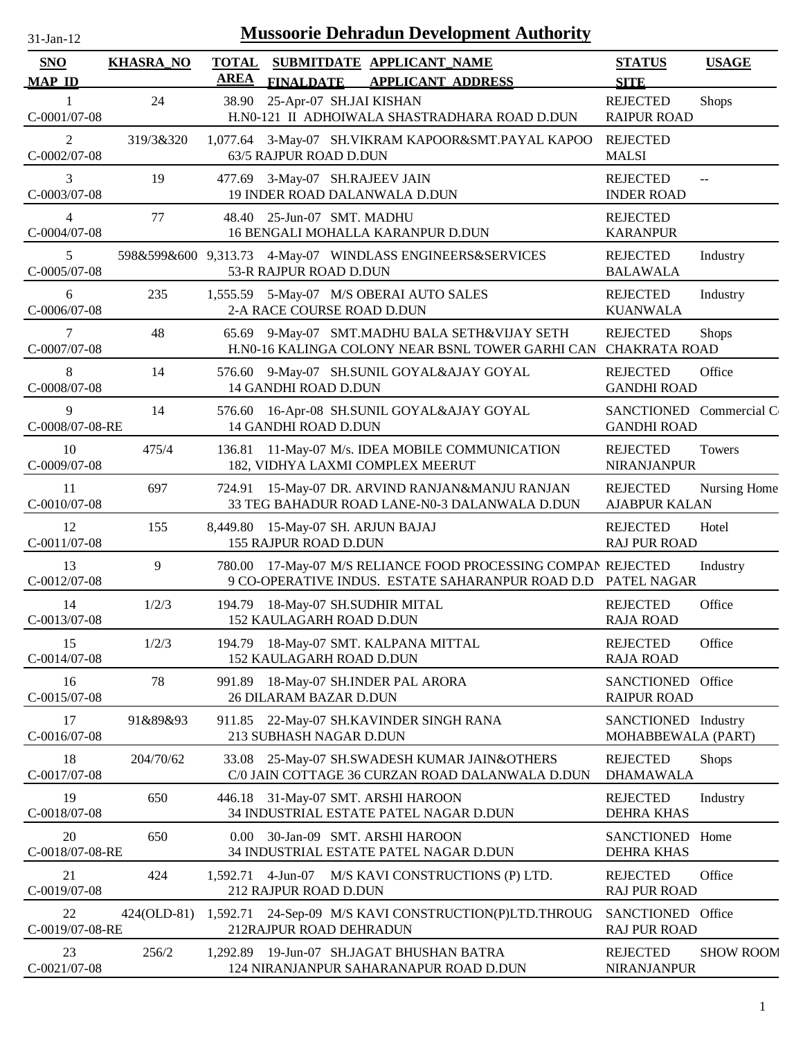| <b>Mussoorie Dehradun Development Authority</b><br>31-Jan-12 |                  |                             |                                                                     |  |                                                                                                                               |                                               |                  |
|--------------------------------------------------------------|------------------|-----------------------------|---------------------------------------------------------------------|--|-------------------------------------------------------------------------------------------------------------------------------|-----------------------------------------------|------------------|
| <b>SNO</b><br><b>MAP ID</b>                                  | <b>KHASRA_NO</b> | <b>TOTAL</b><br><b>AREA</b> | <b>FINALDATE</b>                                                    |  | SUBMITDATE APPLICANT NAME<br><b>APPLICANT ADDRESS</b>                                                                         | <b>STATUS</b><br><b>SITE</b>                  | <b>USAGE</b>     |
| 1<br>C-0001/07-08                                            | 24               | 38.90                       | 25-Apr-07 SH.JAI KISHAN                                             |  | H.N0-121 II ADHOIWALA SHASTRADHARA ROAD D.DUN                                                                                 | <b>REJECTED</b><br><b>RAIPUR ROAD</b>         | <b>Shops</b>     |
| $\overline{2}$<br>C-0002/07-08                               | 319/3&320        |                             | 63/5 RAJPUR ROAD D.DUN                                              |  | 1,077.64 3-May-07 SH.VIKRAM KAPOOR&SMT.PAYAL KAPOO                                                                            | <b>REJECTED</b><br><b>MALSI</b>               |                  |
| 3<br>C-0003/07-08                                            | 19               |                             | 477.69 3-May-07 SH.RAJEEV JAIN<br>19 INDER ROAD DALANWALA D.DUN     |  |                                                                                                                               | <b>REJECTED</b><br><b>INDER ROAD</b>          | $-$              |
| $\overline{4}$<br>C-0004/07-08                               | 77               | 48.40                       | 25-Jun-07 SMT. MADHU                                                |  | 16 BENGALI MOHALLA KARANPUR D.DUN                                                                                             | <b>REJECTED</b><br><b>KARANPUR</b>            |                  |
| 5<br>C-0005/07-08                                            |                  |                             | 53-R RAJPUR ROAD D.DUN                                              |  | 598&599&600 9,313.73 4-May-07 WINDLASS ENGINEERS&SERVICES                                                                     | <b>REJECTED</b><br><b>BALAWALA</b>            | Industry         |
| 6<br>C-0006/07-08                                            | 235              |                             | 2-A RACE COURSE ROAD D.DUN                                          |  | 1,555.59 5-May-07 M/S OBERAI AUTO SALES                                                                                       | <b>REJECTED</b><br><b>KUANWALA</b>            | Industry         |
| 7<br>C-0007/07-08                                            | 48               | 65.69                       |                                                                     |  | 9-May-07 SMT.MADHU BALA SETH&VIJAY SETH<br>H.N0-16 KALINGA COLONY NEAR BSNL TOWER GARHI CAN                                   | <b>REJECTED</b><br><b>CHAKRATA ROAD</b>       | <b>Shops</b>     |
| 8<br>C-0008/07-08                                            | 14               | 576.60                      | 14 GANDHI ROAD D.DUN                                                |  | 9-May-07 SH.SUNIL GOYAL&AJAY GOYAL                                                                                            | <b>REJECTED</b><br><b>GANDHI ROAD</b>         | Office           |
| 9<br>C-0008/07-08-RE                                         | 14               |                             | 14 GANDHI ROAD D.DUN                                                |  | 576.60 16-Apr-08 SH.SUNIL GOYAL&AJAY GOYAL                                                                                    | SANCTIONED Commercial C<br><b>GANDHI ROAD</b> |                  |
| 10<br>C-0009/07-08                                           | 475/4            | 136.81                      |                                                                     |  | 11-May-07 M/s. IDEA MOBILE COMMUNICATION<br>182, VIDHYA LAXMI COMPLEX MEERUT                                                  | <b>REJECTED</b><br><b>NIRANJANPUR</b>         | Towers           |
| 11<br>C-0010/07-08                                           | 697              |                             |                                                                     |  | 724.91 15-May-07 DR. ARVIND RANJAN&MANJU RANJAN<br>33 TEG BAHADUR ROAD LANE-N0-3 DALANWALA D.DUN                              | <b>REJECTED</b><br><b>AJABPUR KALAN</b>       | Nursing Home     |
| 12<br>C-0011/07-08                                           | 155              |                             | 8,449.80 15-May-07 SH. ARJUN BAJAJ<br>155 RAJPUR ROAD D.DUN         |  |                                                                                                                               | <b>REJECTED</b><br><b>RAJ PUR ROAD</b>        | Hotel            |
| 13<br>C-0012/07-08                                           | 9                |                             |                                                                     |  | 780.00 17-May-07 M/S RELIANCE FOOD PROCESSING COMPAN REJECTED<br>9 CO-OPERATIVE INDUS. ESTATE SAHARANPUR ROAD D.D PATEL NAGAR |                                               | Industry         |
| 14<br>C-0013/07-08                                           | 1/2/3            |                             | 194.79 18-May-07 SH.SUDHIR MITAL<br><b>152 KAULAGARH ROAD D.DUN</b> |  |                                                                                                                               | <b>REJECTED</b><br><b>RAJA ROAD</b>           | Office           |
| 15<br>C-0014/07-08                                           | 1/2/3            |                             | 152 KAULAGARH ROAD D.DUN                                            |  | 194.79 18-May-07 SMT. KALPANA MITTAL                                                                                          | <b>REJECTED</b><br><b>RAJA ROAD</b>           | Office           |
| 16<br>$C-0015/07-08$                                         | 78               | 991.89                      | 26 DILARAM BAZAR D.DUN                                              |  | 18-May-07 SH.INDER PAL ARORA                                                                                                  | SANCTIONED Office<br><b>RAIPUR ROAD</b>       |                  |
| 17<br>C-0016/07-08                                           | 91&89&93         |                             | 213 SUBHASH NAGAR D.DUN                                             |  | 911.85 22-May-07 SH.KAVINDER SINGH RANA                                                                                       | SANCTIONED Industry<br>MOHABBEWALA (PART)     |                  |
| 18<br>C-0017/07-08                                           | 204/70/62        | 33.08                       |                                                                     |  | 25-May-07 SH.SWADESH KUMAR JAIN&OTHERS<br>C/0 JAIN COTTAGE 36 CURZAN ROAD DALANWALA D.DUN                                     | <b>REJECTED</b><br><b>DHAMAWALA</b>           | <b>Shops</b>     |
| 19<br>C-0018/07-08                                           | 650              | 446.18                      | 31-May-07 SMT. ARSHI HAROON                                         |  | 34 INDUSTRIAL ESTATE PATEL NAGAR D.DUN                                                                                        | <b>REJECTED</b><br><b>DEHRA KHAS</b>          | Industry         |
| 20<br>C-0018/07-08-RE                                        | 650              | 0.00                        |                                                                     |  | 30-Jan-09 SMT. ARSHI HAROON<br>34 INDUSTRIAL ESTATE PATEL NAGAR D.DUN                                                         | <b>SANCTIONED</b><br><b>DEHRA KHAS</b>        | Home             |
| 21<br>C-0019/07-08                                           | 424              |                             | 212 RAJPUR ROAD D.DUN                                               |  | 1,592.71 4-Jun-07 M/S KAVI CONSTRUCTIONS (P) LTD.                                                                             | <b>REJECTED</b><br><b>RAJ PUR ROAD</b>        | Office           |
| 22<br>C-0019/07-08-RE                                        | 424(OLD-81)      |                             | 212RAJPUR ROAD DEHRADUN                                             |  | 1,592.71 24-Sep-09 M/S KAVI CONSTRUCTION(P)LTD.THROUG                                                                         | SANCTIONED Office<br><b>RAJ PUR ROAD</b>      |                  |
| 23<br>$C-0021/07-08$                                         | 256/2            |                             |                                                                     |  | 1,292.89 19-Jun-07 SH.JAGAT BHUSHAN BATRA<br>124 NIRANJANPUR SAHARANAPUR ROAD D.DUN                                           | <b>REJECTED</b><br>NIRANJANPUR                | <b>SHOW ROOM</b> |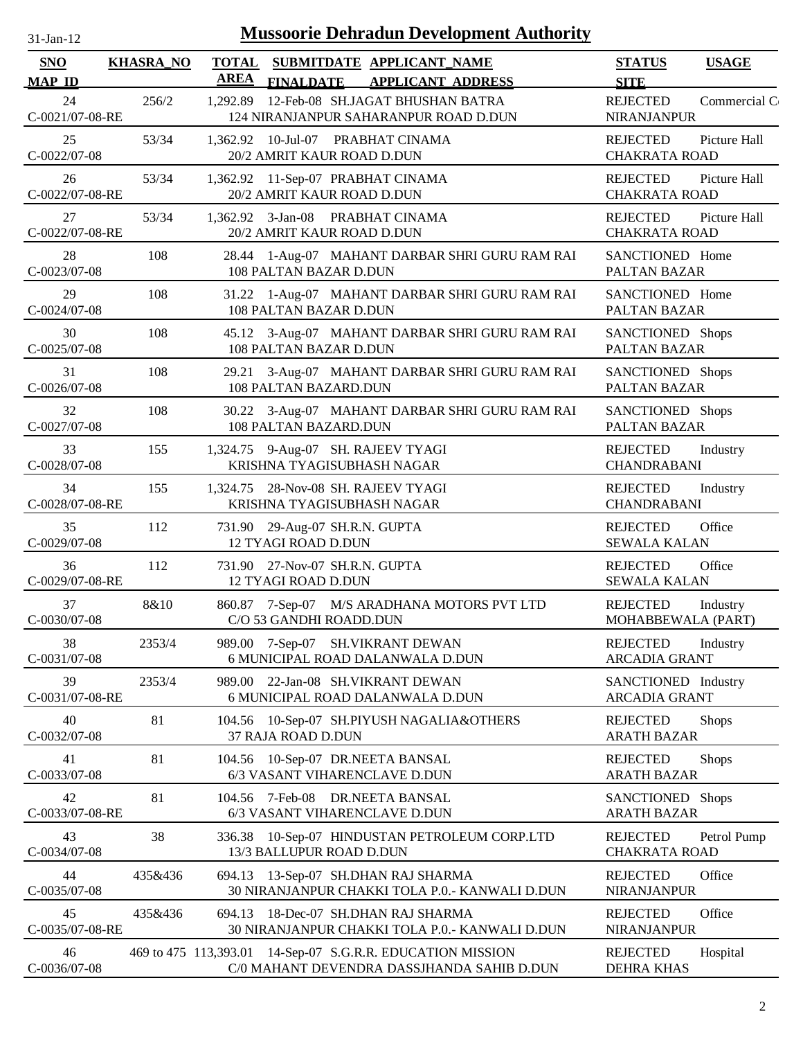| 1-Jan-1 |  |
|---------|--|
|         |  |

|         | TOTAL SUBMITDATE APPLICANT NAME<br><b>AREA</b>                                                                                                                | <b>STATUS</b><br><b>USAGE</b>                                                               |
|---------|---------------------------------------------------------------------------------------------------------------------------------------------------------------|---------------------------------------------------------------------------------------------|
|         | <b>FINALDATE</b><br><b>APPLICANT ADDRESS</b>                                                                                                                  | <b>SITE</b><br><b>REJECTED</b><br>Commercial C                                              |
|         | 124 NIRANJANPUR SAHARANPUR ROAD D.DUN                                                                                                                         | <b>NIRANJANPUR</b>                                                                          |
| 53/34   | 1,362.92 10-Jul-07 PRABHAT CINAMA<br>20/2 AMRIT KAUR ROAD D.DUN                                                                                               | Picture Hall<br><b>REJECTED</b><br><b>CHAKRATA ROAD</b>                                     |
| 53/34   | 1,362.92 11-Sep-07 PRABHAT CINAMA<br>20/2 AMRIT KAUR ROAD D.DUN                                                                                               | <b>REJECTED</b><br>Picture Hall<br><b>CHAKRATA ROAD</b>                                     |
| 53/34   | 1,362.92 3-Jan-08 PRABHAT CINAMA<br>20/2 AMRIT KAUR ROAD D.DUN                                                                                                | <b>REJECTED</b><br>Picture Hall<br><b>CHAKRATA ROAD</b>                                     |
| 108     | 28.44 1-Aug-07 MAHANT DARBAR SHRI GURU RAM RAI<br>108 PALTAN BAZAR D.DUN                                                                                      | SANCTIONED Home<br>PALTAN BAZAR                                                             |
| 108     | 31.22 1-Aug-07 MAHANT DARBAR SHRI GURU RAM RAI<br>108 PALTAN BAZAR D.DUN                                                                                      | SANCTIONED Home<br>PALTAN BAZAR                                                             |
| 108     | 45.12 3-Aug-07 MAHANT DARBAR SHRI GURU RAM RAI<br>108 PALTAN BAZAR D.DUN                                                                                      | SANCTIONED Shops<br>PALTAN BAZAR                                                            |
| 108     | 29.21 3-Aug-07 MAHANT DARBAR SHRI GURU RAM RAI<br>108 PALTAN BAZARD.DUN                                                                                       | SANCTIONED Shops<br>PALTAN BAZAR                                                            |
| 108     | 30.22 3-Aug-07 MAHANT DARBAR SHRI GURU RAM RAI<br>108 PALTAN BAZARD.DUN                                                                                       | SANCTIONED Shops<br>PALTAN BAZAR                                                            |
| 155     | 1,324.75 9-Aug-07 SH. RAJEEV TYAGI<br>KRISHNA TYAGISUBHASH NAGAR                                                                                              | <b>REJECTED</b><br>Industry<br><b>CHANDRABANI</b>                                           |
| 155     | 1,324.75 28-Nov-08 SH. RAJEEV TYAGI<br>KRISHNA TYAGISUBHASH NAGAR                                                                                             | <b>REJECTED</b><br>Industry<br><b>CHANDRABANI</b>                                           |
| 112     | 731.90 29-Aug-07 SH.R.N. GUPTA<br><b>12 TYAGI ROAD D.DUN</b>                                                                                                  | <b>REJECTED</b><br>Office<br><b>SEWALA KALAN</b>                                            |
| 112     | 731.90 27-Nov-07 SH.R.N. GUPTA<br><b>12 TYAGI ROAD D.DUN</b>                                                                                                  | <b>REJECTED</b><br>Office<br><b>SEWALA KALAN</b>                                            |
| 8&10    | 860.87 7-Sep-07 M/S ARADHANA MOTORS PVT LTD<br>C/O 53 GANDHI ROADD.DUN                                                                                        | <b>REJECTED</b><br>Industry<br>MOHABBEWALA (PART)                                           |
| 2353/4  | 989.00 7-Sep-07 SH.VIKRANT DEWAN<br>6 MUNICIPAL ROAD DALANWALA D.DUN                                                                                          | <b>REJECTED</b><br>Industry<br><b>ARCADIA GRANT</b>                                         |
| 2353/4  | 989.00 22-Jan-08 SH.VIKRANT DEWAN<br>6 MUNICIPAL ROAD DALANWALA D.DUN                                                                                         | SANCTIONED Industry<br><b>ARCADIA GRANT</b>                                                 |
| 81      | 104.56 10-Sep-07 SH.PIYUSH NAGALIA&OTHERS<br>37 RAJA ROAD D.DUN                                                                                               | <b>REJECTED</b><br><b>Shops</b><br><b>ARATH BAZAR</b>                                       |
| 81      | 104.56 10-Sep-07 DR.NEETA BANSAL<br>6/3 VASANT VIHARENCLAVE D.DUN                                                                                             | <b>REJECTED</b><br><b>Shops</b><br><b>ARATH BAZAR</b>                                       |
| 81      | 104.56 7-Feb-08 DR.NEETA BANSAL<br>6/3 VASANT VIHARENCLAVE D.DUN                                                                                              | SANCTIONED Shops<br><b>ARATH BAZAR</b>                                                      |
| 38      | 336.38 10-Sep-07 HINDUSTAN PETROLEUM CORP.LTD<br>13/3 BALLUPUR ROAD D.DUN                                                                                     | <b>REJECTED</b><br>Petrol Pump<br><b>CHAKRATA ROAD</b>                                      |
| 435&436 | 694.13 13-Sep-07 SH.DHAN RAJ SHARMA<br>30 NIRANJANPUR CHAKKI TOLA P.0.- KANWALI D.DUN                                                                         | <b>REJECTED</b><br>Office<br><b>NIRANJANPUR</b>                                             |
| 435&436 | 694.13 18-Dec-07 SH.DHAN RAJ SHARMA                                                                                                                           | Office<br><b>REJECTED</b><br>NIRANJANPUR                                                    |
|         | 469 to 475 113,393.01 14-Sep-07 S.G.R.R. EDUCATION MISSION                                                                                                    | <b>REJECTED</b><br>Hospital                                                                 |
|         | 256/2<br>C-0021/07-08-RE<br>C-0022/07-08-RE<br>C-0022/07-08-RE<br>C-0028/07-08-RE<br>C-0029/07-08-RE<br>C-0031/07-08-RE<br>C-0033/07-08-RE<br>C-0035/07-08-RE | 1,292.89 12-Feb-08 SH.JAGAT BHUSHAN BATRA<br>30 NIRANJANPUR CHAKKI TOLA P.0.- KANWALI D.DUN |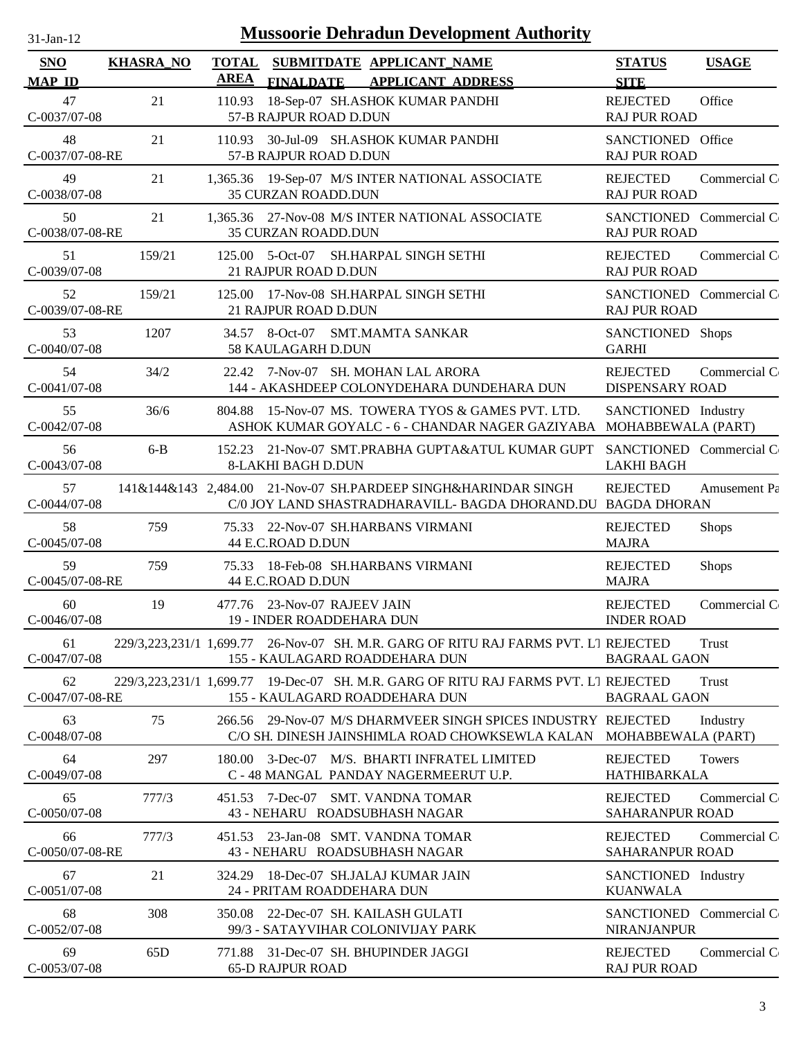| <b>Mussoorie Dehradun Development Authority</b><br>31-Jan-12 |                  |                             |                                                                                                                                |                                                |              |  |  |
|--------------------------------------------------------------|------------------|-----------------------------|--------------------------------------------------------------------------------------------------------------------------------|------------------------------------------------|--------------|--|--|
| <b>SNO</b><br><b>MAP ID</b>                                  | <b>KHASRA_NO</b> | <b>TOTAL</b><br><b>AREA</b> | SUBMITDATE APPLICANT_NAME<br><b>FINALDATE</b><br><b>APPLICANT ADDRESS</b>                                                      | <b>STATUS</b><br><b>SITE</b>                   | <b>USAGE</b> |  |  |
| 47<br>C-0037/07-08                                           | 21               | 110.93                      | 18-Sep-07 SH.ASHOK KUMAR PANDHI<br>57-B RAJPUR ROAD D.DUN                                                                      | <b>REJECTED</b><br><b>RAJ PUR ROAD</b>         | Office       |  |  |
| 48<br>C-0037/07-08-RE                                        | 21               | 110.93                      | 30-Jul-09 SH.ASHOK KUMAR PANDHI<br>57-B RAJPUR ROAD D.DUN                                                                      | SANCTIONED Office<br><b>RAJ PUR ROAD</b>       |              |  |  |
| 49<br>C-0038/07-08                                           | 21               |                             | 1,365.36 19-Sep-07 M/S INTER NATIONAL ASSOCIATE<br><b>35 CURZAN ROADD.DUN</b>                                                  | <b>REJECTED</b><br><b>RAJ PUR ROAD</b>         | Commercial C |  |  |
| 50<br>C-0038/07-08-RE                                        | 21               |                             | 1,365.36 27-Nov-08 M/S INTER NATIONAL ASSOCIATE<br>35 CURZAN ROADD.DUN                                                         | SANCTIONED Commercial C<br><b>RAJ PUR ROAD</b> |              |  |  |
| 51<br>C-0039/07-08                                           | 159/21           |                             | 125.00 5-Oct-07 SH.HARPAL SINGH SETHI<br>21 RAJPUR ROAD D.DUN                                                                  | <b>REJECTED</b><br><b>RAJ PUR ROAD</b>         | Commercial C |  |  |
| 52<br>C-0039/07-08-RE                                        | 159/21           | 125.00                      | 17-Nov-08 SH.HARPAL SINGH SETHI<br>21 RAJPUR ROAD D.DUN                                                                        | SANCTIONED Commercial C<br><b>RAJ PUR ROAD</b> |              |  |  |
| 53<br>C-0040/07-08                                           | 1207             |                             | 34.57 8-Oct-07 SMT.MAMTA SANKAR<br>58 KAULAGARH D.DUN                                                                          | SANCTIONED Shops<br><b>GARHI</b>               |              |  |  |
| 54<br>$C-0041/07-08$                                         | 34/2             | 22.42                       | 7-Nov-07 SH, MOHAN LAL ARORA<br>144 - AKASHDEEP COLONYDEHARA DUNDEHARA DUN                                                     | <b>REJECTED</b><br><b>DISPENSARY ROAD</b>      | Commercial C |  |  |
| 55<br>$C-0042/07-08$                                         | 36/6             | 804.88                      | 15-Nov-07 MS. TOWERA TYOS & GAMES PVT. LTD.<br>ASHOK KUMAR GOYALC - 6 - CHANDAR NAGER GAZIYABA MOHABBEWALA (PART)              | SANCTIONED Industry                            |              |  |  |
| 56<br>C-0043/07-08                                           | $6 - B$          | 152.23                      | 21-Nov-07 SMT.PRABHA GUPTA&ATUL KUMAR GUPT<br><b>8-LAKHI BAGH D.DUN</b>                                                        | SANCTIONED Commercial C<br><b>LAKHI BAGH</b>   |              |  |  |
| 57<br>$C-0044/07-08$                                         |                  |                             | 141&144&143 2,484.00 21-Nov-07 SH.PARDEEP SINGH&HARINDAR SINGH<br>C/0 JOY LAND SHASTRADHARAVILL- BAGDA DHORAND.DU BAGDA DHORAN | <b>REJECTED</b>                                | Amusement Pa |  |  |
| 58<br>$C-0045/07-08$                                         | 759              |                             | 75.33 22-Nov-07 SH.HARBANS VIRMANI<br>44 E.C.ROAD D.DUN                                                                        | <b>REJECTED</b><br><b>MAJRA</b>                | <b>Shops</b> |  |  |
| 59<br>C-0045/07-08-RE                                        | 759              |                             | 75.33 18-Feb-08 SH.HARBANS VIRMANI<br>44 E.C.ROAD D.DUN                                                                        | <b>REJECTED</b><br><b>MAJRA</b>                | <b>Shops</b> |  |  |
| 60<br>C-0046/07-08                                           | 19               |                             | 477.76 23-Nov-07 RAJEEV JAIN<br>19 - INDER ROADDEHARA DUN                                                                      | <b>REJECTED</b><br><b>INDER ROAD</b>           | Commercial C |  |  |
| 61<br>C-0047/07-08                                           |                  |                             | 229/3.223.231/1 1,699.77 26-Nov-07 SH. M.R. GARG OF RITU RAJ FARMS PVT. L1 REJECTED<br>155 - KAULAGARD ROADDEHARA DUN          | <b>BAGRAAL GAON</b>                            | Trust        |  |  |
| 62<br>C-0047/07-08-RE                                        |                  |                             | 229/3,223,231/1 1,699.77 19-Dec-07 SH. M.R. GARG OF RITU RAJ FARMS PVT. LI REJECTED<br>155 - KAULAGARD ROADDEHARA DUN          | <b>BAGRAAL GAON</b>                            | Trust        |  |  |
| 63<br>C-0048/07-08                                           | 75               |                             | 266.56 29-Nov-07 M/S DHARMVEER SINGH SPICES INDUSTRY REJECTED<br>C/O SH. DINESH JAINSHIMLA ROAD CHOWKSEWLA KALAN               | MOHABBEWALA (PART)                             | Industry     |  |  |
| 64<br>C-0049/07-08                                           | 297              | 180.00                      | M/S. BHARTI INFRATEL LIMITED<br>$3$ -Dec-07<br>C - 48 MANGAL PANDAY NAGERMEERUT U.P.                                           | <b>REJECTED</b><br><b>HATHIBARKALA</b>         | Towers       |  |  |
| 65<br>C-0050/07-08                                           | 777/3            |                             | 451.53 7-Dec-07 SMT. VANDNA TOMAR<br>43 - NEHARU ROADSUBHASH NAGAR                                                             | <b>REJECTED</b><br>SAHARANPUR ROAD             | Commercial C |  |  |
| 66<br>C-0050/07-08-RE                                        | 777/3            | 451.53                      | 23-Jan-08 SMT. VANDNA TOMAR<br>43 - NEHARU ROADSUBHASH NAGAR                                                                   | <b>REJECTED</b><br>SAHARANPUR ROAD             | Commercial C |  |  |
| 67<br>$C-0051/07-08$                                         | 21               | 324.29                      | 18-Dec-07 SH.JALAJ KUMAR JAIN<br>24 - PRITAM ROADDEHARA DUN                                                                    | SANCTIONED Industry<br><b>KUANWALA</b>         |              |  |  |
| 68<br>$C-0052/07-08$                                         | 308              | 350.08                      | 22-Dec-07 SH. KAILASH GULATI<br>99/3 - SATAYVIHAR COLONIVIJAY PARK                                                             | SANCTIONED Commercial C<br><b>NIRANJANPUR</b>  |              |  |  |
| 69<br>C-0053/07-08                                           | 65D              | 771.88                      | 31-Dec-07 SH. BHUPINDER JAGGI<br><b>65-D RAJPUR ROAD</b>                                                                       | <b>REJECTED</b><br><b>RAJ PUR ROAD</b>         | Commercial C |  |  |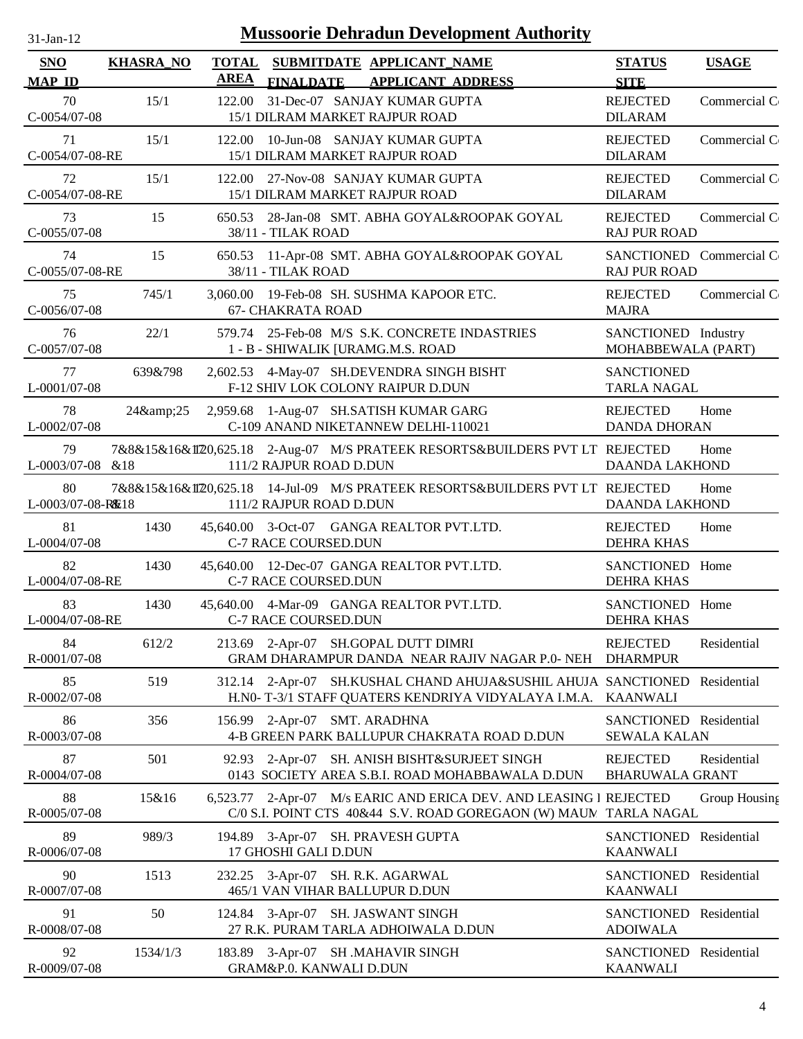| <b>Mussoorie Dehradun Development Authority</b><br>31-Jan-12 |                  |             |                                                                                                                              |                                                |               |  |
|--------------------------------------------------------------|------------------|-------------|------------------------------------------------------------------------------------------------------------------------------|------------------------------------------------|---------------|--|
| <b>SNO</b><br><b>MAP ID</b>                                  | <b>KHASRA_NO</b> | <b>AREA</b> | TOTAL SUBMITDATE APPLICANT NAME<br><b>FINALDATE</b><br><b>APPLICANT ADDRESS</b>                                              | <b>STATUS</b><br><b>SITE</b>                   | <b>USAGE</b>  |  |
| 70<br>C-0054/07-08                                           | 15/1             | 122.00      | 31-Dec-07 SANJAY KUMAR GUPTA<br>15/1 DILRAM MARKET RAJPUR ROAD                                                               | <b>REJECTED</b><br><b>DILARAM</b>              | Commercial C  |  |
| 71<br>C-0054/07-08-RE                                        | 15/1             |             | 122.00 10-Jun-08 SANJAY KUMAR GUPTA<br>15/1 DILRAM MARKET RAJPUR ROAD                                                        | <b>REJECTED</b><br><b>DILARAM</b>              | Commercial C  |  |
| 72<br>C-0054/07-08-RE                                        | 15/1             |             | 122.00 27-Nov-08 SANJAY KUMAR GUPTA<br>15/1 DILRAM MARKET RAJPUR ROAD                                                        | <b>REJECTED</b><br><b>DILARAM</b>              | Commercial C  |  |
| 73<br>C-0055/07-08                                           | 15               | 650.53      | 28-Jan-08 SMT. ABHA GOYAL&ROOPAK GOYAL<br>38/11 - TILAK ROAD                                                                 | <b>REJECTED</b><br><b>RAJ PUR ROAD</b>         | Commercial C  |  |
| 74<br>C-0055/07-08-RE                                        | 15               |             | 650.53 11-Apr-08 SMT. ABHA GOYAL&ROOPAK GOYAL<br>38/11 - TILAK ROAD                                                          | SANCTIONED Commercial C<br><b>RAJ PUR ROAD</b> |               |  |
| 75<br>C-0056/07-08                                           | 745/1            |             | 3,060.00 19-Feb-08 SH. SUSHMA KAPOOR ETC.<br><b>67- CHAKRATA ROAD</b>                                                        | <b>REJECTED</b><br><b>MAJRA</b>                | Commercial C  |  |
| 76<br>C-0057/07-08                                           | 22/1             |             | 579.74 25-Feb-08 M/S S.K. CONCRETE INDASTRIES<br>1 - B - SHIWALIK [URAMG.M.S. ROAD                                           | SANCTIONED Industry<br>MOHABBEWALA (PART)      |               |  |
| 77<br>L-0001/07-08                                           | 639&798          |             | 2,602.53 4-May-07 SH.DEVENDRA SINGH BISHT<br>F-12 SHIV LOK COLONY RAIPUR D.DUN                                               | <b>SANCTIONED</b><br><b>TARLA NAGAL</b>        |               |  |
| 78<br>L-0002/07-08                                           | 24&25            |             | 2,959.68 1-Aug-07 SH.SATISH KUMAR GARG<br>C-109 ANAND NIKETANNEW DELHI-110021                                                | <b>REJECTED</b><br><b>DANDA DHORAN</b>         | Home          |  |
| 79<br>L-0003/07-08 &18                                       |                  |             | 7&8&15&16&1I720,625.18 2-Aug-07 M/S PRATEEK RESORTS&BUILDERS PVT LT REJECTED<br>111/2 RAJPUR ROAD D.DUN                      | <b>DAANDA LAKHOND</b>                          | Home          |  |
| 80<br>L-0003/07-08-RE18                                      |                  |             | 7&8&15&16&1I720,625.18 14-Jul-09 M/S PRATEEK RESORTS&BUILDERS PVT LT REJECTED<br>111/2 RAJPUR ROAD D.DUN                     | <b>DAANDA LAKHOND</b>                          | Home          |  |
| 81<br>L-0004/07-08                                           | 1430             |             | 45,640.00 3-Oct-07 GANGA REALTOR PVT.LTD.<br>C-7 RACE COURSED.DUN                                                            | <b>REJECTED</b><br><b>DEHRA KHAS</b>           | Home          |  |
| 82<br>L-0004/07-08-RE                                        | 1430             |             | 45,640.00 12-Dec-07 GANGA REALTOR PVT.LTD.<br>C-7 RACE COURSED.DUN                                                           | SANCTIONED Home<br><b>DEHRA KHAS</b>           |               |  |
| 83<br>L-0004/07-08-RE                                        | 1430             |             | 45,640.00 4-Mar-09 GANGA REALTOR PVT.LTD.<br>C-7 RACE COURSED.DUN                                                            | SANCTIONED Home<br><b>DEHRA KHAS</b>           |               |  |
| 84<br>R-0001/07-08                                           | 612/2            |             | 213.69 2-Apr-07 SH.GOPAL DUTT DIMRI<br>GRAM DHARAMPUR DANDA NEAR RAJIV NAGAR P.0- NEH                                        | <b>REJECTED</b><br><b>DHARMPUR</b>             | Residential   |  |
| 85<br>R-0002/07-08                                           | 519              | 312.14      | 2-Apr-07 SH.KUSHAL CHAND AHUJA&SUSHIL AHUJA SANCTIONED Residential<br>H.NO-T-3/1 STAFF QUATERS KENDRIYA VIDYALAYA I.M.A.     | <b>KAANWALI</b>                                |               |  |
| 86<br>R-0003/07-08                                           | 356              | 156.99      | 2-Apr-07 SMT. ARADHNA<br>4-B GREEN PARK BALLUPUR CHAKRATA ROAD D.DUN                                                         | SANCTIONED Residential<br><b>SEWALA KALAN</b>  |               |  |
| 87<br>R-0004/07-08                                           | 501              | 92.93       | 2-Apr-07 SH. ANISH BISHT&SURJEET SINGH<br>0143 SOCIETY AREA S.B.I. ROAD MOHABBAWALA D.DUN                                    | <b>REJECTED</b><br><b>BHARUWALA GRANT</b>      | Residential   |  |
| 88<br>R-0005/07-08                                           | 15&16            | 6,523.77    | 2-Apr-07 M/s EARIC AND ERICA DEV. AND LEASING I REJECTED<br>C/0 S.I. POINT CTS 40&44 S.V. ROAD GOREGAON (W) MAUM TARLA NAGAL |                                                | Group Housing |  |
| 89<br>R-0006/07-08                                           | 989/3            | 194.89      | 3-Apr-07 SH. PRAVESH GUPTA<br>17 GHOSHI GALI D.DUN                                                                           | SANCTIONED<br><b>KAANWALI</b>                  | Residential   |  |
| 90<br>R-0007/07-08                                           | 1513             | 232.25      | 3-Apr-07 SH. R.K. AGARWAL<br>465/1 VAN VIHAR BALLUPUR D.DUN                                                                  | SANCTIONED Residential<br><b>KAANWALI</b>      |               |  |
| 91<br>R-0008/07-08                                           | 50               |             | 124.84 3-Apr-07 SH. JASWANT SINGH<br>27 R.K. PURAM TARLA ADHOIWALA D.DUN                                                     | SANCTIONED Residential<br><b>ADOIWALA</b>      |               |  |
| 92<br>R-0009/07-08                                           | 1534/1/3         |             | 183.89 3-Apr-07 SH .MAHAVIR SINGH<br>GRAM&P.0. KANWALI D.DUN                                                                 | SANCTIONED Residential<br><b>KAANWALI</b>      |               |  |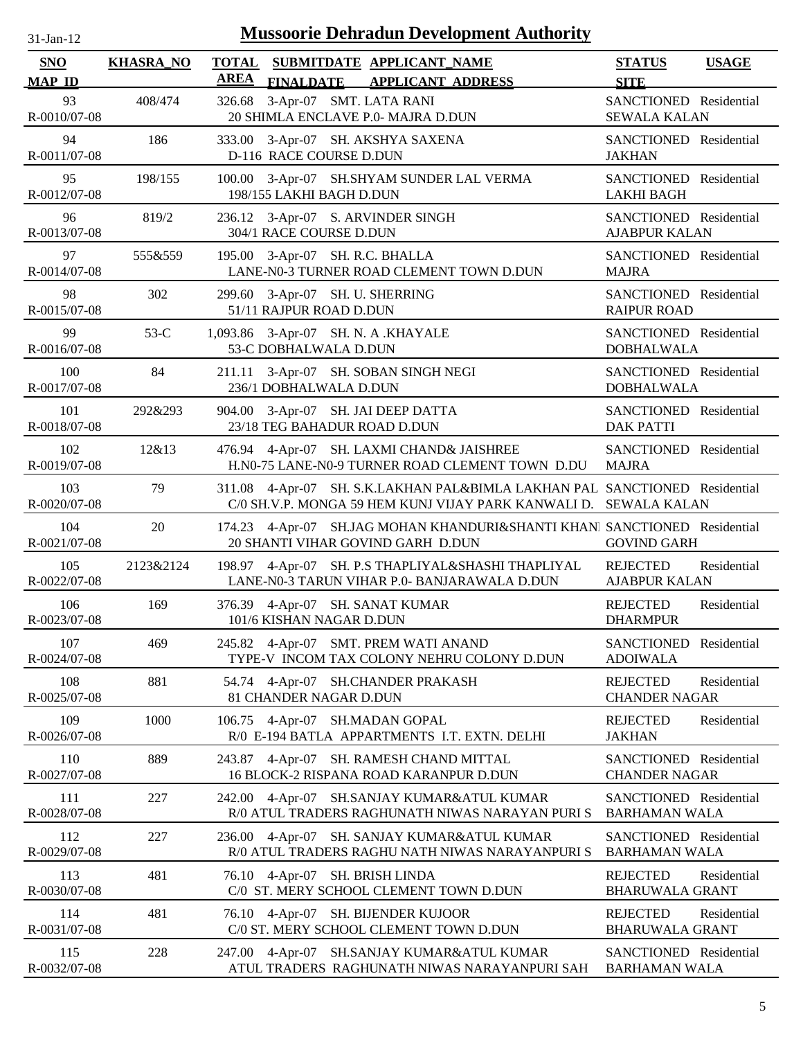| <b>Mussoorie Dehradun Development Authority</b><br>31-Jan-12 |                  |                             |                                                                                                                                         |                                                |              |  |
|--------------------------------------------------------------|------------------|-----------------------------|-----------------------------------------------------------------------------------------------------------------------------------------|------------------------------------------------|--------------|--|
| <b>SNO</b><br><b>MAP ID</b>                                  | <b>KHASRA_NO</b> | <b>TOTAL</b><br><b>AREA</b> | SUBMITDATE APPLICANT_NAME<br>FINALDATE APPLICANT ADDRESS                                                                                | <b>STATUS</b><br><b>SITE</b>                   | <b>USAGE</b> |  |
| 93<br>R-0010/07-08                                           | 408/474          | 326.68                      | 3-Apr-07 SMT. LATA RANI<br>20 SHIMLA ENCLAVE P.0- MAJRA D.DUN                                                                           | SANCTIONED Residential<br><b>SEWALA KALAN</b>  |              |  |
| 94<br>R-0011/07-08                                           | 186              |                             | 333.00 3-Apr-07 SH. AKSHYA SAXENA<br>D-116 RACE COURSE D.DUN                                                                            | SANCTIONED Residential<br><b>JAKHAN</b>        |              |  |
| 95<br>R-0012/07-08                                           | 198/155          |                             | 100.00 3-Apr-07 SH.SHYAM SUNDER LAL VERMA<br>198/155 LAKHI BAGH D.DUN                                                                   | SANCTIONED Residential<br><b>LAKHI BAGH</b>    |              |  |
| 96<br>R-0013/07-08                                           | 819/2            |                             | 236.12 3-Apr-07 S. ARVINDER SINGH<br>304/1 RACE COURSE D.DUN                                                                            | SANCTIONED Residential<br><b>AJABPUR KALAN</b> |              |  |
| 97<br>R-0014/07-08                                           | 555&559          |                             | 195.00 3-Apr-07 SH. R.C. BHALLA<br>LANE-N0-3 TURNER ROAD CLEMENT TOWN D.DUN                                                             | SANCTIONED Residential<br><b>MAJRA</b>         |              |  |
| 98<br>R-0015/07-08                                           | 302              | 299.60                      | 3-Apr-07 SH. U. SHERRING<br>51/11 RAJPUR ROAD D.DUN                                                                                     | SANCTIONED Residential<br><b>RAIPUR ROAD</b>   |              |  |
| 99<br>R-0016/07-08                                           | $53-C$           |                             | 1,093.86 3-Apr-07 SH. N. A .KHAYALE<br>53-C DOBHALWALA D.DUN                                                                            | SANCTIONED Residential<br><b>DOBHALWALA</b>    |              |  |
| 100<br>R-0017/07-08                                          | 84               |                             | 211.11 3-Apr-07 SH. SOBAN SINGH NEGI<br>236/1 DOBHALWALA D.DUN                                                                          | SANCTIONED Residential<br><b>DOBHALWALA</b>    |              |  |
| 101<br>R-0018/07-08                                          | 292&293          | 904.00                      | 3-Apr-07 SH. JAI DEEP DATTA<br>23/18 TEG BAHADUR ROAD D.DUN                                                                             | SANCTIONED Residential<br><b>DAK PATTI</b>     |              |  |
| 102<br>R-0019/07-08                                          | 12&13            | 476.94                      | 4-Apr-07 SH. LAXMI CHAND& JAISHREE<br>H.N0-75 LANE-N0-9 TURNER ROAD CLEMENT TOWN D.DU                                                   | SANCTIONED Residential<br><b>MAJRA</b>         |              |  |
| 103<br>R-0020/07-08                                          | 79               | 311.08                      | 4-Apr-07 SH. S.K.LAKHAN PAL&BIMLA LAKHAN PAL SANCTIONED Residential<br>C/0 SH.V.P. MONGA 59 HEM KUNJ VIJAY PARK KANWALI D. SEWALA KALAN |                                                |              |  |
| 104<br>R-0021/07-08                                          | 20               | 174.23                      | 4-Apr-07 SH.JAG MOHAN KHANDURI&SHANTI KHANI SANCTIONED Residential<br>20 SHANTI VIHAR GOVIND GARH D.DUN                                 | <b>GOVIND GARH</b>                             |              |  |
| 105<br>R-0022/07-08                                          | 2123&2124        |                             | 198.97 4-Apr-07 SH. P.S THAPLIYAL&SHASHI THAPLIYAL<br>LANE-N0-3 TARUN VIHAR P.0- BANJARAWALA D.DUN                                      | <b>REJECTED</b><br><b>AJABPUR KALAN</b>        | Residential  |  |
| 106<br>R-0023/07-08                                          | 169              |                             | 376.39 4-Apr-07 SH. SANAT KUMAR<br>101/6 KISHAN NAGAR D.DUN                                                                             | <b>REJECTED</b><br><b>DHARMPUR</b>             | Residential  |  |
| 107<br>R-0024/07-08                                          | 469              |                             | 245.82 4-Apr-07 SMT. PREM WATI ANAND<br>TYPE-V INCOM TAX COLONY NEHRU COLONY D.DUN                                                      | SANCTIONED Residential<br><b>ADOIWALA</b>      |              |  |
| 108<br>R-0025/07-08                                          | 881              |                             | 54.74 4-Apr-07 SH.CHANDER PRAKASH<br>81 CHANDER NAGAR D.DUN                                                                             | <b>REJECTED</b><br><b>CHANDER NAGAR</b>        | Residential  |  |
| 109<br>R-0026/07-08                                          | 1000             |                             | 106.75 4-Apr-07 SH.MADAN GOPAL<br>R/0 E-194 BATLA APPARTMENTS I.T. EXTN. DELHI                                                          | <b>REJECTED</b><br><b>JAKHAN</b>               | Residential  |  |
| 110<br>R-0027/07-08                                          | 889              | 243.87                      | 4-Apr-07 SH. RAMESH CHAND MITTAL<br>16 BLOCK-2 RISPANA ROAD KARANPUR D.DUN                                                              | SANCTIONED Residential<br><b>CHANDER NAGAR</b> |              |  |
| 111<br>R-0028/07-08                                          | 227              |                             | 242.00 4-Apr-07 SH.SANJAY KUMAR&ATUL KUMAR<br>R/0 ATUL TRADERS RAGHUNATH NIWAS NARAYAN PURI S                                           | SANCTIONED Residential<br><b>BARHAMAN WALA</b> |              |  |
| 112<br>R-0029/07-08                                          | 227              | 236.00                      | 4-Apr-07 SH. SANJAY KUMAR&ATUL KUMAR<br>R/0 ATUL TRADERS RAGHU NATH NIWAS NARAYANPURI S                                                 | SANCTIONED Residential<br><b>BARHAMAN WALA</b> |              |  |
| 113<br>R-0030/07-08                                          | 481              |                             | 76.10 4-Apr-07 SH. BRISH LINDA<br>C/0 ST. MERY SCHOOL CLEMENT TOWN D.DUN                                                                | <b>REJECTED</b><br><b>BHARUWALA GRANT</b>      | Residential  |  |
| 114<br>R-0031/07-08                                          | 481              |                             | 76.10 4-Apr-07 SH. BIJENDER KUJOOR<br>C/0 ST. MERY SCHOOL CLEMENT TOWN D.DUN                                                            | <b>REJECTED</b><br><b>BHARUWALA GRANT</b>      | Residential  |  |
| 115<br>R-0032/07-08                                          | 228              | 247.00                      | 4-Apr-07 SH.SANJAY KUMAR&ATUL KUMAR<br>ATUL TRADERS RAGHUNATH NIWAS NARAYANPURI SAH                                                     | SANCTIONED Residential<br><b>BARHAMAN WALA</b> |              |  |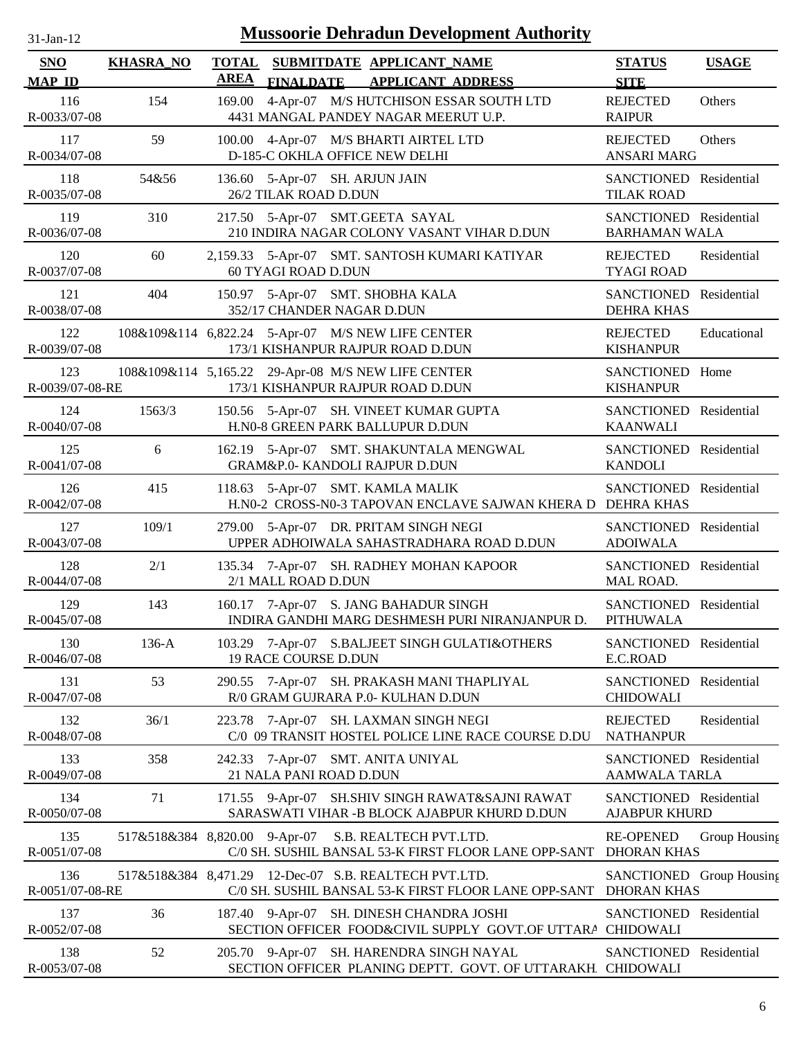| <b>Mussoorie Dehradun Development Authority</b><br>$31$ -Jan-12 |                  |                             |                                                                                                                           |                                                |               |  |
|-----------------------------------------------------------------|------------------|-----------------------------|---------------------------------------------------------------------------------------------------------------------------|------------------------------------------------|---------------|--|
| <b>SNO</b><br><b>MAP ID</b>                                     | <b>KHASRA_NO</b> | <b>TOTAL</b><br><b>AREA</b> | SUBMITDATE APPLICANT_NAME<br><b>FINALDATE</b><br><b>APPLICANT ADDRESS</b>                                                 | <b>STATUS</b><br><b>SITE</b>                   | <b>USAGE</b>  |  |
| 116<br>R-0033/07-08                                             | 154              | 169.00                      | 4-Apr-07 M/S HUTCHISON ESSAR SOUTH LTD<br>4431 MANGAL PANDEY NAGAR MEERUT U.P.                                            | <b>REJECTED</b><br><b>RAIPUR</b>               | Others        |  |
| 117<br>R-0034/07-08                                             | 59               |                             | 100.00 4-Apr-07 M/S BHARTI AIRTEL LTD<br>D-185-C OKHLA OFFICE NEW DELHI                                                   | <b>REJECTED</b><br><b>ANSARI MARG</b>          | Others        |  |
| 118<br>R-0035/07-08                                             | 54&56            |                             | 136.60 5-Apr-07 SH. ARJUN JAIN<br>26/2 TILAK ROAD D.DUN                                                                   | SANCTIONED Residential<br><b>TILAK ROAD</b>    |               |  |
| 119<br>R-0036/07-08                                             | 310              |                             | 217.50 5-Apr-07 SMT.GEETA SAYAL<br>210 INDIRA NAGAR COLONY VASANT VIHAR D.DUN                                             | SANCTIONED Residential<br><b>BARHAMAN WALA</b> |               |  |
| 120<br>R-0037/07-08                                             | 60               |                             | 2,159.33 5-Apr-07 SMT. SANTOSH KUMARI KATIYAR<br>60 TYAGI ROAD D.DUN                                                      | <b>REJECTED</b><br><b>TYAGI ROAD</b>           | Residential   |  |
| 121<br>R-0038/07-08                                             | 404              |                             | 150.97 5-Apr-07 SMT. SHOBHA KALA<br>352/17 CHANDER NAGAR D.DUN                                                            | <b>SANCTIONED</b><br><b>DEHRA KHAS</b>         | Residential   |  |
| 122<br>R-0039/07-08                                             |                  |                             | 108&109&114 6,822.24 5-Apr-07 M/S NEW LIFE CENTER<br>173/1 KISHANPUR RAJPUR ROAD D.DUN                                    | <b>REJECTED</b><br><b>KISHANPUR</b>            | Educational   |  |
| 123<br>R-0039/07-08-RE                                          |                  |                             | 108&109&114 5,165.22 29-Apr-08 M/S NEW LIFE CENTER<br>173/1 KISHANPUR RAJPUR ROAD D.DUN                                   | SANCTIONED Home<br><b>KISHANPUR</b>            |               |  |
| 124<br>R-0040/07-08                                             | 1563/3           |                             | 150.56 5-Apr-07 SH. VINEET KUMAR GUPTA<br>H.N0-8 GREEN PARK BALLUPUR D.DUN                                                | SANCTIONED Residential<br><b>KAANWALI</b>      |               |  |
| 125<br>R-0041/07-08                                             | 6                |                             | 162.19 5-Apr-07 SMT. SHAKUNTALA MENGWAL<br>GRAM&P.0- KANDOLI RAJPUR D.DUN                                                 | SANCTIONED Residential<br><b>KANDOLI</b>       |               |  |
| 126<br>R-0042/07-08                                             | 415              |                             | 118.63 5-Apr-07 SMT. KAMLA MALIK<br>H.N0-2 CROSS-N0-3 TAPOVAN ENCLAVE SAJWAN KHERA D DEHRA KHAS                           | SANCTIONED Residential                         |               |  |
| 127<br>R-0043/07-08                                             | 109/1            |                             | 279.00 5-Apr-07 DR. PRITAM SINGH NEGI<br>UPPER ADHOIWALA SAHASTRADHARA ROAD D.DUN                                         | SANCTIONED Residential<br><b>ADOIWALA</b>      |               |  |
| 128<br>R-0044/07-08                                             | 2/1              |                             | 135.34 7-Apr-07 SH. RADHEY MOHAN KAPOOR<br>2/1 MALL ROAD D.DUN                                                            | SANCTIONED Residential<br>MAL ROAD.            |               |  |
| 129<br>R-0045/07-08                                             | 143              |                             | 160.17 7-Apr-07 S. JANG BAHADUR SINGH<br>INDIRA GANDHI MARG DESHMESH PURI NIRANJANPUR D.                                  | SANCTIONED Residential<br><b>PITHUWALA</b>     |               |  |
| 130<br>R-0046/07-08                                             | 136-A            |                             | 103.29 7-Apr-07 S.BALJEET SINGH GULATI&OTHERS<br><b>19 RACE COURSE D.DUN</b>                                              | SANCTIONED Residential<br>E.C.ROAD             |               |  |
| 131<br>R-0047/07-08                                             | 53               |                             | 290.55 7-Apr-07 SH. PRAKASH MANI THAPLIYAL<br>R/0 GRAM GUJRARA P.0- KULHAN D.DUN                                          | SANCTIONED Residential<br><b>CHIDOWALI</b>     |               |  |
| 132<br>R-0048/07-08                                             | 36/1             |                             | 223.78 7-Apr-07 SH. LAXMAN SINGH NEGI<br>C/0 09 TRANSIT HOSTEL POLICE LINE RACE COURSE D.DU                               | <b>REJECTED</b><br><b>NATHANPUR</b>            | Residential   |  |
| 133<br>R-0049/07-08                                             | 358              |                             | 242.33 7-Apr-07 SMT. ANITA UNIYAL<br>21 NALA PANI ROAD D.DUN                                                              | SANCTIONED Residential<br><b>AAMWALA TARLA</b> |               |  |
| 134<br>R-0050/07-08                                             | 71               |                             | 171.55 9-Apr-07 SH.SHIV SINGH RAWAT&SAJNI RAWAT<br>SARASWATI VIHAR - B BLOCK AJABPUR KHURD D.DUN                          | SANCTIONED Residential<br><b>AJABPUR KHURD</b> |               |  |
| 135<br>R-0051/07-08                                             |                  |                             | 517&518&384 8,820.00 9-Apr-07 S.B. REALTECH PVT.LTD.<br>C/0 SH. SUSHIL BANSAL 53-K FIRST FLOOR LANE OPP-SANT              | <b>RE-OPENED</b><br><b>DHORAN KHAS</b>         | Group Housing |  |
| 136<br>R-0051/07-08-RE                                          |                  |                             | 517&518&384 8,471.29 12-Dec-07 S.B. REALTECH PVT.LTD.<br>C/0 SH. SUSHIL BANSAL 53-K FIRST FLOOR LANE OPP-SANT DHORAN KHAS | SANCTIONED Group Housing                       |               |  |
| 137<br>R-0052/07-08                                             | 36               |                             | 187.40 9-Apr-07 SH. DINESH CHANDRA JOSHI<br>SECTION OFFICER FOOD&CIVIL SUPPLY GOVT.OF UTTARA CHIDOWALI                    | SANCTIONED Residential                         |               |  |
| 138<br>R-0053/07-08                                             | 52               |                             | 205.70 9-Apr-07 SH. HARENDRA SINGH NAYAL<br>SECTION OFFICER PLANING DEPTT. GOVT. OF UTTARAKH CHIDOWALI                    | SANCTIONED Residential                         |               |  |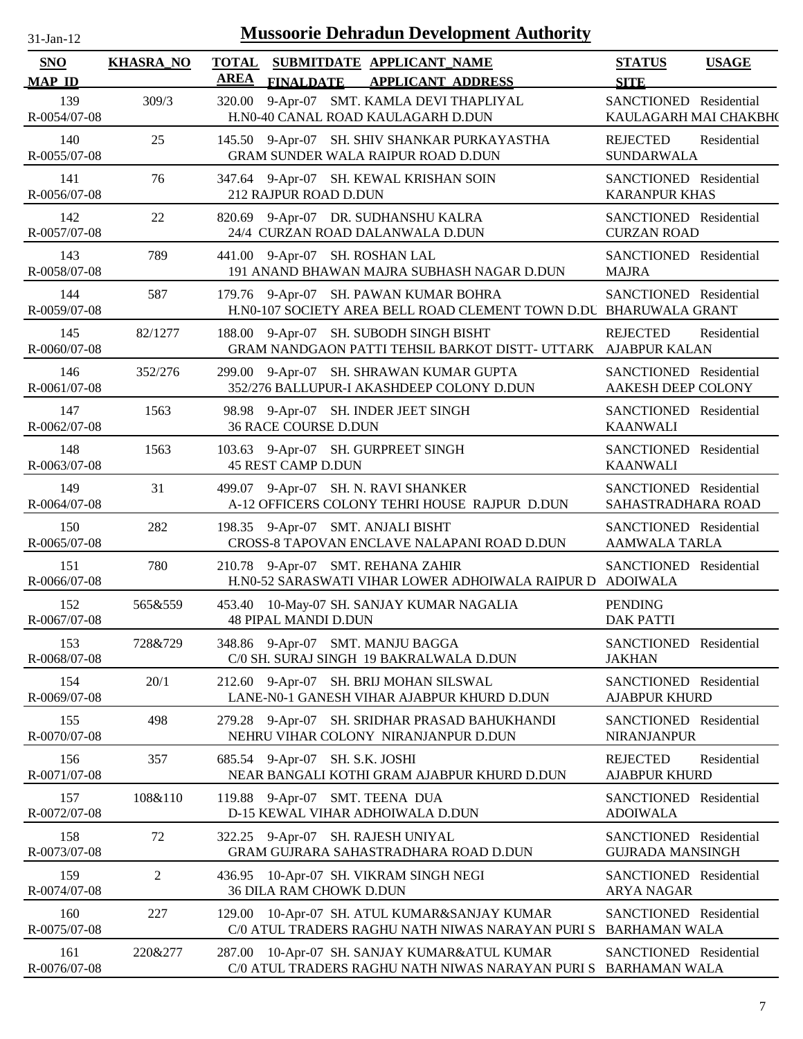| 31-Jan-12 |  |
|-----------|--|
|           |  |

| SNO                 | <b>KHASRA_NO</b> | <b>TOTAL</b> |                                | SUBMITDATE APPLICANT_NAME                                                                                  | <b>STATUS</b>                                     | <b>USAGE</b> |
|---------------------|------------------|--------------|--------------------------------|------------------------------------------------------------------------------------------------------------|---------------------------------------------------|--------------|
| <b>MAP ID</b>       |                  | <b>AREA</b>  | <b>FINALDATE</b>               | <b>APPLICANT ADDRESS</b>                                                                                   | <b>SITE</b>                                       |              |
| 139<br>R-0054/07-08 | 309/3            |              |                                | 320.00 9-Apr-07 SMT. KAMLA DEVI THAPLIYAL<br>H.N0-40 CANAL ROAD KAULAGARH D.DUN                            | SANCTIONED Residential<br>KAULAGARH MAI CHAKBH(   |              |
| 140<br>R-0055/07-08 | 25               |              |                                | 145.50 9-Apr-07 SH. SHIV SHANKAR PURKAYASTHA<br>GRAM SUNDER WALA RAIPUR ROAD D.DUN                         | <b>REJECTED</b><br><b>SUNDARWALA</b>              | Residential  |
| 141<br>R-0056/07-08 | 76               |              | 212 RAJPUR ROAD D.DUN          | 347.64 9-Apr-07 SH. KEWAL KRISHAN SOIN                                                                     | SANCTIONED Residential<br><b>KARANPUR KHAS</b>    |              |
| 142<br>R-0057/07-08 | 22               |              |                                | 820.69 9-Apr-07 DR. SUDHANSHU KALRA<br>24/4 CURZAN ROAD DALANWALA D.DUN                                    | SANCTIONED Residential<br><b>CURZAN ROAD</b>      |              |
| 143<br>R-0058/07-08 | 789              |              |                                | 441.00 9-Apr-07 SH. ROSHAN LAL<br>191 ANAND BHAWAN MAJRA SUBHASH NAGAR D.DUN                               | SANCTIONED Residential<br><b>MAJRA</b>            |              |
| 144<br>R-0059/07-08 | 587              |              |                                | 179.76 9-Apr-07 SH. PAWAN KUMAR BOHRA<br>H.N0-107 SOCIETY AREA BELL ROAD CLEMENT TOWN D.DU BHARUWALA GRANT | SANCTIONED Residential                            |              |
| 145<br>R-0060/07-08 | 82/1277          |              |                                | 188.00 9-Apr-07 SH. SUBODH SINGH BISHT<br>GRAM NANDGAON PATTI TEHSIL BARKOT DISTT- UTTARK                  | <b>REJECTED</b><br><b>AJABPUR KALAN</b>           | Residential  |
| 146<br>R-0061/07-08 | 352/276          |              |                                | 299.00 9-Apr-07 SH. SHRAWAN KUMAR GUPTA<br>352/276 BALLUPUR-I AKASHDEEP COLONY D.DUN                       | SANCTIONED Residential<br>AAKESH DEEP COLONY      |              |
| 147<br>R-0062/07-08 | 1563             |              | 36 RACE COURSE D.DUN           | 98.98 9-Apr-07 SH. INDER JEET SINGH                                                                        | SANCTIONED Residential<br><b>KAANWALI</b>         |              |
| 148<br>R-0063/07-08 | 1563             |              | <b>45 REST CAMP D.DUN</b>      | 103.63 9-Apr-07 SH. GURPREET SINGH                                                                         | SANCTIONED Residential<br><b>KAANWALI</b>         |              |
| 149<br>R-0064/07-08 | 31               |              |                                | 499.07 9-Apr-07 SH. N. RAVI SHANKER<br>A-12 OFFICERS COLONY TEHRI HOUSE RAJPUR D.DUN                       | SANCTIONED Residential<br>SAHASTRADHARA ROAD      |              |
| 150<br>R-0065/07-08 | 282              |              |                                | 198.35 9-Apr-07 SMT. ANJALI BISHT<br>CROSS-8 TAPOVAN ENCLAVE NALAPANI ROAD D.DUN                           | SANCTIONED Residential<br><b>AAMWALA TARLA</b>    |              |
| 151<br>R-0066/07-08 | 780              |              |                                | 210.78 9-Apr-07 SMT. REHANA ZAHIR<br>H.N0-52 SARASWATI VIHAR LOWER ADHOIWALA RAIPUR D                      | SANCTIONED Residential<br><b>ADOIWALA</b>         |              |
| 152<br>R-0067/07-08 | 565&559          |              | <b>48 PIPAL MANDI D.DUN</b>    | 453.40 10-May-07 SH. SANJAY KUMAR NAGALIA                                                                  | <b>PENDING</b><br><b>DAK PATTI</b>                |              |
| 153<br>R-0068/07-08 | 728&729          |              |                                | 348.86 9-Apr-07 SMT. MANJU BAGGA<br>C/0 SH. SURAJ SINGH 19 BAKRALWALA D.DUN                                | SANCTIONED Residential<br><b>JAKHAN</b>           |              |
| 154<br>R-0069/07-08 | 20/1             |              |                                | 212.60 9-Apr-07 SH. BRIJ MOHAN SILSWAL<br>LANE-N0-1 GANESH VIHAR AJABPUR KHURD D.DUN                       | SANCTIONED Residential<br><b>AJABPUR KHURD</b>    |              |
| 155<br>R-0070/07-08 | 498              |              |                                | 279.28 9-Apr-07 SH. SRIDHAR PRASAD BAHUKHANDI<br>NEHRU VIHAR COLONY NIRANJANPUR D.DUN                      | SANCTIONED Residential<br><b>NIRANJANPUR</b>      |              |
| 156<br>R-0071/07-08 | 357              |              | 685.54 9-Apr-07 SH. S.K. JOSHI | NEAR BANGALI KOTHI GRAM AJABPUR KHURD D.DUN                                                                | <b>REJECTED</b><br><b>AJABPUR KHURD</b>           | Residential  |
| 157<br>R-0072/07-08 | 108&110          |              |                                | 119.88 9-Apr-07 SMT. TEENA DUA<br>D-15 KEWAL VIHAR ADHOIWALA D.DUN                                         | SANCTIONED Residential<br><b>ADOIWALA</b>         |              |
| 158<br>R-0073/07-08 | 72               |              |                                | 322.25 9-Apr-07 SH. RAJESH UNIYAL<br>GRAM GUJRARA SAHASTRADHARA ROAD D.DUN                                 | SANCTIONED Residential<br><b>GUJRADA MANSINGH</b> |              |
| 159<br>R-0074/07-08 | $\overline{2}$   |              | <b>36 DILA RAM CHOWK D.DUN</b> | 436.95 10-Apr-07 SH. VIKRAM SINGH NEGI                                                                     | SANCTIONED Residential<br><b>ARYA NAGAR</b>       |              |
| 160<br>R-0075/07-08 | 227              |              |                                | 129.00 10-Apr-07 SH. ATUL KUMAR&SANJAY KUMAR<br>C/0 ATUL TRADERS RAGHU NATH NIWAS NARAYAN PURI S           | SANCTIONED Residential<br><b>BARHAMAN WALA</b>    |              |
| 161<br>R-0076/07-08 | 220&277          |              |                                | 287.00 10-Apr-07 SH. SANJAY KUMAR&ATUL KUMAR<br>C/0 ATUL TRADERS RAGHU NATH NIWAS NARAYAN PURI S           | SANCTIONED Residential<br><b>BARHAMAN WALA</b>    |              |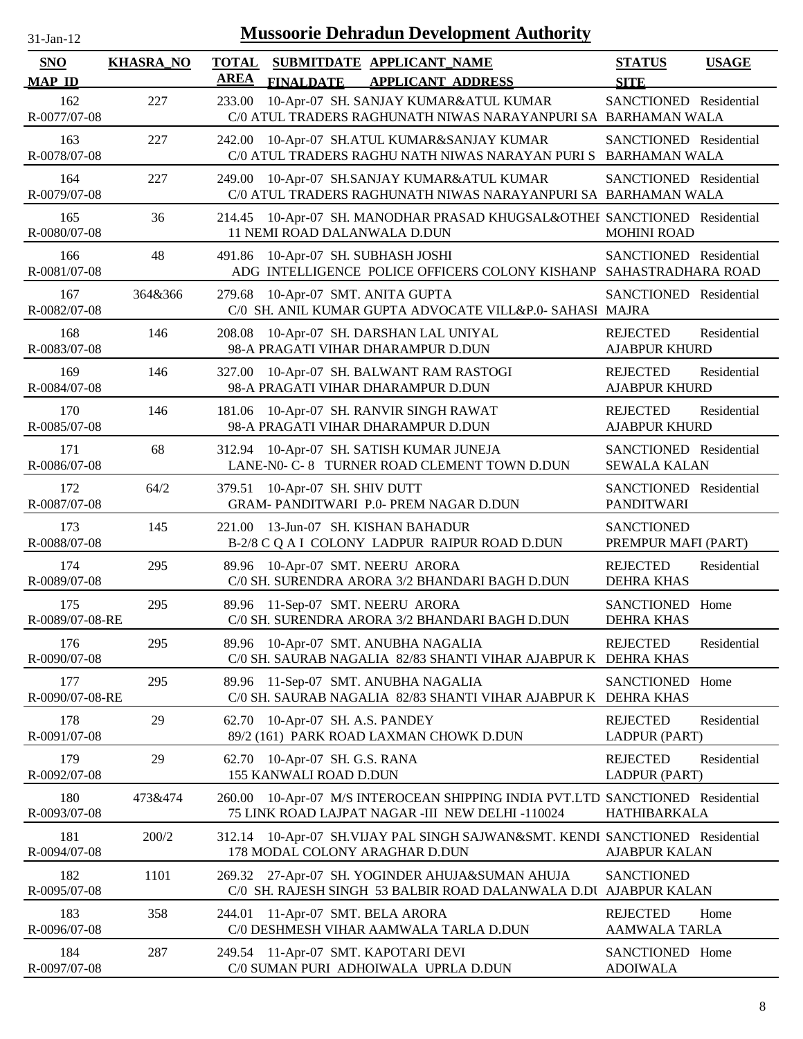| $31$ -Jan-12 |
|--------------|
|              |

| <b>SNO</b><br><b>MAP ID</b> | <b>KHASRA_NO</b> | <b>TOTAL</b><br><b>AREA</b> | <b>FINALDATE</b>                                  | SUBMITDATE APPLICANT_NAME<br><b>APPLICANT ADDRESS</b>                                                                      | <b>STATUS</b><br><b>SITE</b>                  | <b>USAGE</b> |
|-----------------------------|------------------|-----------------------------|---------------------------------------------------|----------------------------------------------------------------------------------------------------------------------------|-----------------------------------------------|--------------|
| 162<br>R-0077/07-08         | 227              | 233.00                      |                                                   | 10-Apr-07 SH. SANJAY KUMAR&ATUL KUMAR<br>C/0 ATUL TRADERS RAGHUNATH NIWAS NARAYANPURI SA BARHAMAN WALA                     | SANCTIONED Residential                        |              |
| 163<br>R-0078/07-08         | 227              | 242.00                      |                                                   | 10-Apr-07 SH.ATUL KUMAR&SANJAY KUMAR<br>C/0 ATUL TRADERS RAGHU NATH NIWAS NARAYAN PURI S BARHAMAN WALA                     | SANCTIONED Residential                        |              |
| 164<br>R-0079/07-08         | 227              | 249.00                      |                                                   | 10-Apr-07 SH.SANJAY KUMAR&ATUL KUMAR<br>C/0 ATUL TRADERS RAGHUNATH NIWAS NARAYANPURI SA BARHAMAN WALA                      | SANCTIONED Residential                        |              |
| 165<br>R-0080/07-08         | 36               | 214.45                      | 11 NEMI ROAD DALANWALA D.DUN                      | 10-Apr-07 SH. MANODHAR PRASAD KHUGSAL&OTHEF SANCTIONED Residential                                                         | <b>MOHINI ROAD</b>                            |              |
| 166<br>R-0081/07-08         | 48               | 491.86                      | 10-Apr-07 SH. SUBHASH JOSHI                       | ADG INTELLIGENCE POLICE OFFICERS COLONY KISHANP SAHASTRADHARA ROAD                                                         | SANCTIONED Residential                        |              |
| 167<br>R-0082/07-08         | 364&366          | 279.68                      | 10-Apr-07 SMT. ANITA GUPTA                        | C/0 SH. ANIL KUMAR GUPTA ADVOCATE VILL&P.0- SAHASI MAJRA                                                                   | SANCTIONED Residential                        |              |
| 168<br>R-0083/07-08         | 146              | 208.08                      |                                                   | 10-Apr-07 SH. DARSHAN LAL UNIYAL<br>98-A PRAGATI VIHAR DHARAMPUR D.DUN                                                     | <b>REJECTED</b><br><b>AJABPUR KHURD</b>       | Residential  |
| 169<br>R-0084/07-08         | 146              | 327.00                      |                                                   | 10-Apr-07 SH. BALWANT RAM RASTOGI<br>98-A PRAGATI VIHAR DHARAMPUR D.DUN                                                    | <b>REJECTED</b><br><b>AJABPUR KHURD</b>       | Residential  |
| 170<br>R-0085/07-08         | 146              | 181.06                      |                                                   | 10-Apr-07 SH. RANVIR SINGH RAWAT<br>98-A PRAGATI VIHAR DHARAMPUR D.DUN                                                     | <b>REJECTED</b><br><b>AJABPUR KHURD</b>       | Residential  |
| 171<br>R-0086/07-08         | 68               |                             |                                                   | 312.94 10-Apr-07 SH. SATISH KUMAR JUNEJA<br>LANE-N0- C-8 TURNER ROAD CLEMENT TOWN D.DUN                                    | SANCTIONED Residential<br><b>SEWALA KALAN</b> |              |
| 172<br>R-0087/07-08         | 64/2             | 379.51                      | 10-Apr-07 SH. SHIV DUTT                           | GRAM- PANDITWARI P.0- PREM NAGAR D.DUN                                                                                     | SANCTIONED Residential<br><b>PANDITWARI</b>   |              |
| 173<br>R-0088/07-08         | 145              | 221.00                      |                                                   | 13-Jun-07 SH. KISHAN BAHADUR<br>B-2/8 C Q A I COLONY LADPUR RAIPUR ROAD D.DUN                                              | <b>SANCTIONED</b><br>PREMPUR MAFI (PART)      |              |
| 174<br>R-0089/07-08         | 295              |                             |                                                   | 89.96 10-Apr-07 SMT. NEERU ARORA<br>C/0 SH. SURENDRA ARORA 3/2 BHANDARI BAGH D.DUN                                         | <b>REJECTED</b><br><b>DEHRA KHAS</b>          | Residential  |
| 175<br>R-0089/07-08-RE      | 295              | 89.96                       |                                                   | 11-Sep-07 SMT. NEERU ARORA<br>C/0 SH. SURENDRA ARORA 3/2 BHANDARI BAGH D.DUN                                               | <b>SANCTIONED</b><br><b>DEHRA KHAS</b>        | Home         |
| 176<br>R-0090/07-08         | 295              |                             |                                                   | 89.96 10-Apr-07 SMT. ANUBHA NAGALIA<br>C/0 SH. SAURAB NAGALIA 82/83 SHANTI VIHAR AJABPUR K                                 | <b>REJECTED</b><br><b>DEHRA KHAS</b>          | Residential  |
| 177<br>R-0090/07-08-RE      | 295              | 89.96                       |                                                   | 11-Sep-07 SMT. ANUBHA NAGALIA<br>C/0 SH. SAURAB NAGALIA 82/83 SHANTI VIHAR AJABPUR K DEHRA KHAS                            | <b>SANCTIONED</b>                             | Home         |
| 178<br>R-0091/07-08         | 29               | 62.70                       | 10-Apr-07 SH. A.S. PANDEY                         | 89/2 (161) PARK ROAD LAXMAN CHOWK D.DUN                                                                                    | <b>REJECTED</b><br>LADPUR (PART)              | Residential  |
| 179<br>R-0092/07-08         | 29               | 62.70                       | 10-Apr-07 SH. G.S. RANA<br>155 KANWALI ROAD D.DUN |                                                                                                                            | <b>REJECTED</b><br>LADPUR (PART)              | Residential  |
| 180<br>R-0093/07-08         | 473&474          | 260.00                      |                                                   | 10-Apr-07 M/S INTEROCEAN SHIPPING INDIA PVT.LTD SANCTIONED Residential<br>75 LINK ROAD LAJPAT NAGAR -III NEW DELHI -110024 | HATHIBARKALA                                  |              |
| 181<br>R-0094/07-08         | 200/2            | 312.14                      |                                                   | 10-Apr-07 SH.VIJAY PAL SINGH SAJWAN&SMT. KENDI SANCTIONED Residential<br>178 MODAL COLONY ARAGHAR D.DUN                    | <b>AJABPUR KALAN</b>                          |              |
| 182<br>R-0095/07-08         | 1101             |                             |                                                   | 269.32 27-Apr-07 SH. YOGINDER AHUJA&SUMAN AHUJA<br>C/0 SH. RAJESH SINGH 53 BALBIR ROAD DALANWALA D.DU                      | <b>SANCTIONED</b><br><b>AJABPUR KALAN</b>     |              |
| 183<br>R-0096/07-08         | 358              | 244.01                      | 11-Apr-07 SMT. BELA ARORA                         | C/0 DESHMESH VIHAR AAMWALA TARLA D.DUN                                                                                     | <b>REJECTED</b><br>AAMWALA TARLA              | Home         |
| 184<br>R-0097/07-08         | 287              |                             |                                                   | 249.54 11-Apr-07 SMT. KAPOTARI DEVI<br>C/0 SUMAN PURI ADHOIWALA UPRLA D.DUN                                                | SANCTIONED Home<br><b>ADOIWALA</b>            |              |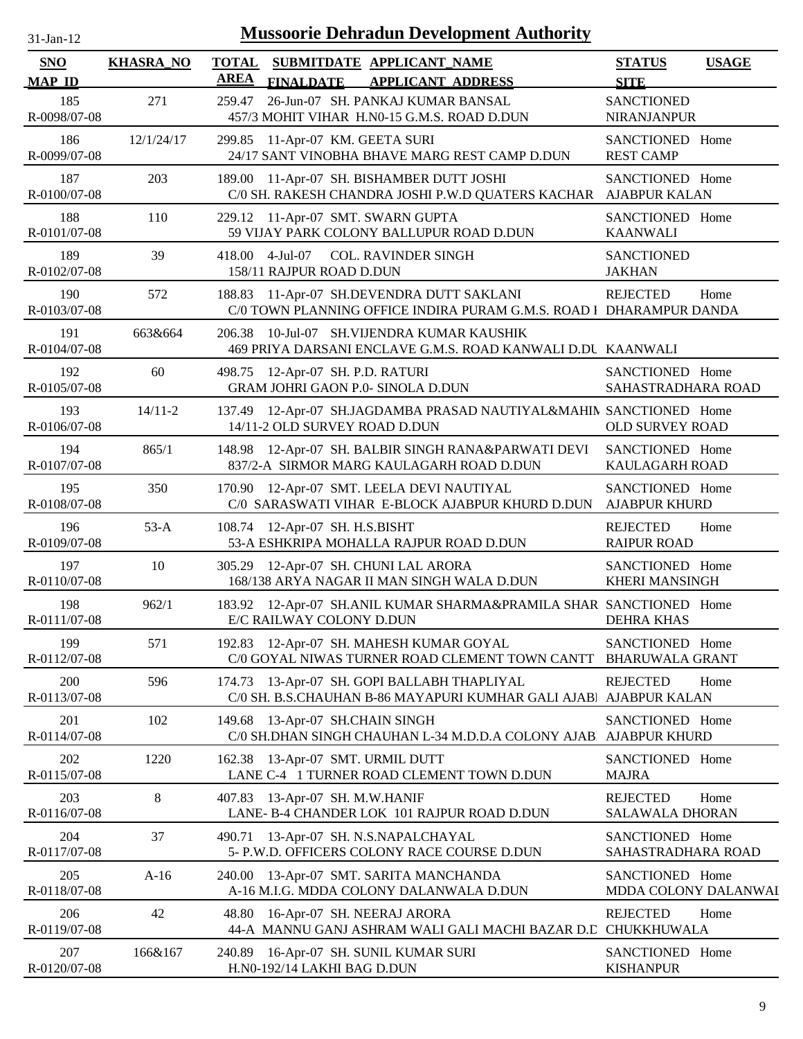| $31$ -Jan-12 |  |
|--------------|--|

| <b>SNO</b>          | <b>KHASRA_NO</b> | <b>TOTAL</b><br>SUBMITDATE APPLICANT_NAME                                                                           | <b>STATUS</b><br><b>USAGE</b>                     |
|---------------------|------------------|---------------------------------------------------------------------------------------------------------------------|---------------------------------------------------|
| <b>MAP ID</b>       |                  | <b>AREA</b><br><b>FINALDATE</b><br><b>APPLICANT ADDRESS</b>                                                         | <b>SITE</b>                                       |
| 185<br>R-0098/07-08 | 271              | 26-Jun-07 SH. PANKAJ KUMAR BANSAL<br>259.47<br>457/3 MOHIT VIHAR H.N0-15 G.M.S. ROAD D.DUN                          | <b>SANCTIONED</b><br><b>NIRANJANPUR</b>           |
| 186<br>R-0099/07-08 | 12/1/24/17       | 299.85 11-Apr-07 KM. GEETA SURI<br>24/17 SANT VINOBHA BHAVE MARG REST CAMP D.DUN                                    | SANCTIONED Home<br><b>REST CAMP</b>               |
| 187<br>R-0100/07-08 | 203              | 189.00 11-Apr-07 SH. BISHAMBER DUTT JOSHI<br>C/0 SH. RAKESH CHANDRA JOSHI P.W.D QUATERS KACHAR                      | SANCTIONED Home<br><b>AJABPUR KALAN</b>           |
| 188<br>R-0101/07-08 | 110              | 229.12 11-Apr-07 SMT. SWARN GUPTA<br>59 VIJAY PARK COLONY BALLUPUR ROAD D.DUN                                       | SANCTIONED Home<br><b>KAANWALI</b>                |
| 189<br>R-0102/07-08 | 39               | $4-Jul-07$<br><b>COL. RAVINDER SINGH</b><br>418.00<br>158/11 RAJPUR ROAD D.DUN                                      | <b>SANCTIONED</b><br><b>JAKHAN</b>                |
| 190<br>R-0103/07-08 | 572              | 11-Apr-07 SH.DEVENDRA DUTT SAKLANI<br>188.83<br>C/0 TOWN PLANNING OFFICE INDIRA PURAM G.M.S. ROAD 1 DHARAMPUR DANDA | <b>REJECTED</b><br>Home                           |
| 191<br>R-0104/07-08 | 663&664          | 10-Jul-07 SH.VIJENDRA KUMAR KAUSHIK<br>206.38<br>469 PRIYA DARSANI ENCLAVE G.M.S. ROAD KANWALI D.DU KAANWALI        |                                                   |
| 192<br>R-0105/07-08 | 60               | 498.75 12-Apr-07 SH. P.D. RATURI<br><b>GRAM JOHRI GAON P.0- SINOLA D.DUN</b>                                        | SANCTIONED Home<br>SAHASTRADHARA ROAD             |
| 193<br>R-0106/07-08 | $14/11 - 2$      | 137.49 12-Apr-07 SH.JAGDAMBA PRASAD NAUTIYAL&MAHIN SANCTIONED Home<br>14/11-2 OLD SURVEY ROAD D.DUN                 | <b>OLD SURVEY ROAD</b>                            |
| 194<br>R-0107/07-08 | 865/1            | 148.98 12-Apr-07 SH. BALBIR SINGH RANA&PARWATI DEVI<br>837/2-A SIRMOR MARG KAULAGARH ROAD D.DUN                     | SANCTIONED Home<br>KAULAGARH ROAD                 |
| 195<br>R-0108/07-08 | 350              | 170.90 12-Apr-07 SMT. LEELA DEVI NAUTIYAL<br>C/0 SARASWATI VIHAR E-BLOCK AJABPUR KHURD D.DUN                        | SANCTIONED Home<br><b>AJABPUR KHURD</b>           |
| 196<br>R-0109/07-08 | $53-A$           | 108.74 12-Apr-07 SH. H.S.BISHT<br>53-A ESHKRIPA MOHALLA RAJPUR ROAD D.DUN                                           | <b>REJECTED</b><br>Home<br><b>RAIPUR ROAD</b>     |
| 197<br>R-0110/07-08 | 10               | 305.29 12-Apr-07 SH. CHUNI LAL ARORA<br>168/138 ARYA NAGAR II MAN SINGH WALA D.DUN                                  | SANCTIONED Home<br><b>KHERI MANSINGH</b>          |
| 198<br>R-0111/07-08 | 962/1            | 183.92 12-Apr-07 SH.ANIL KUMAR SHARMA&PRAMILA SHAR SANCTIONED Home<br>E/C RAILWAY COLONY D.DUN                      | <b>DEHRA KHAS</b>                                 |
| 199<br>R-0112/07-08 | 571              | 192.83 12-Apr-07 SH. MAHESH KUMAR GOYAL<br>C/0 GOYAL NIWAS TURNER ROAD CLEMENT TOWN CANTT                           | SANCTIONED Home<br><b>BHARUWALA GRANT</b>         |
| 200<br>R-0113/07-08 | 596              | 174.73 13-Apr-07 SH. GOPI BALLABH THAPLIYAL<br>C/0 SH. B.S.CHAUHAN B-86 MAYAPURI KUMHAR GALI AJABI                  | <b>REJECTED</b><br>Home<br><b>AJABPUR KALAN</b>   |
| 201<br>R-0114/07-08 | 102              | 13-Apr-07 SH.CHAIN SINGH<br>149.68<br>C/0 SH.DHAN SINGH CHAUHAN L-34 M.D.D.A COLONY AJAB                            | SANCTIONED Home<br><b>AJABPUR KHURD</b>           |
| 202<br>R-0115/07-08 | 1220             | 162.38 13-Apr-07 SMT. URMIL DUTT<br>LANE C-4 1 TURNER ROAD CLEMENT TOWN D.DUN                                       | SANCTIONED Home<br><b>MAJRA</b>                   |
| 203<br>R-0116/07-08 | 8                | 13-Apr-07 SH. M.W.HANIF<br>407.83<br>LANE- B-4 CHANDER LOK 101 RAJPUR ROAD D.DUN                                    | <b>REJECTED</b><br>Home<br><b>SALAWALA DHORAN</b> |
| 204<br>R-0117/07-08 | 37               | 13-Apr-07 SH. N.S.NAPALCHAYAL<br>490.71<br>5- P.W.D. OFFICERS COLONY RACE COURSE D.DUN                              | SANCTIONED Home<br>SAHASTRADHARA ROAD             |
| 205<br>R-0118/07-08 | $A-16$           | 240.00 13-Apr-07 SMT. SARITA MANCHANDA<br>A-16 M.I.G. MDDA COLONY DALANWALA D.DUN                                   | SANCTIONED Home<br>MDDA COLONY DALANWAI           |
| 206<br>R-0119/07-08 | 42               | 16-Apr-07 SH. NEERAJ ARORA<br>48.80<br>44-A MANNU GANJ ASHRAM WALI GALI MACHI BAZAR D.C CHUKKHUWALA                 | <b>REJECTED</b><br>Home                           |
| 207<br>R-0120/07-08 | 166&167          | 240.89 16-Apr-07 SH. SUNIL KUMAR SURI<br>H.N0-192/14 LAKHI BAG D.DUN                                                | SANCTIONED Home<br><b>KISHANPUR</b>               |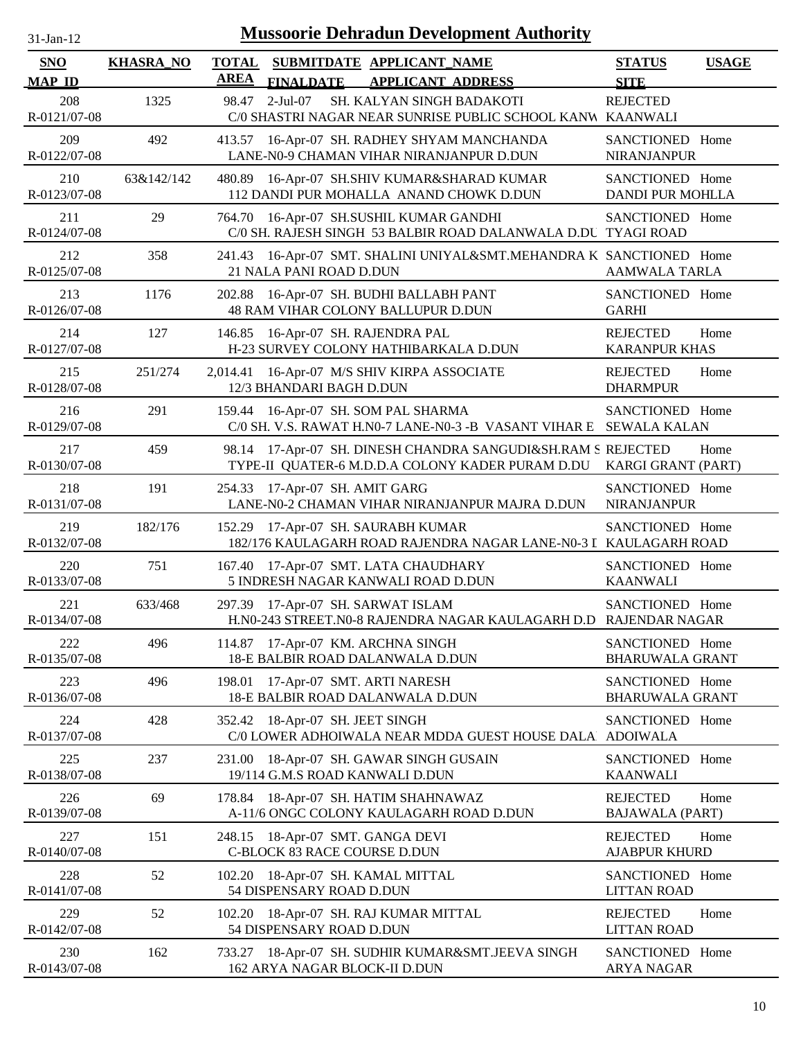| $31 - Jan - 12$ |  |
|-----------------|--|
|                 |  |

| <b>SNO</b><br><b>MAP ID</b> | <b>KHASRA_NO</b> | <b>TOTAL</b><br><b>AREA</b> | SUBMITDATE APPLICANT NAME<br><b>APPLICANT ADDRESS</b><br><b>FINALDATE</b>                                        | <b>STATUS</b><br><b>SITE</b>               | <b>USAGE</b> |
|-----------------------------|------------------|-----------------------------|------------------------------------------------------------------------------------------------------------------|--------------------------------------------|--------------|
| 208<br>R-0121/07-08         | 1325             | 98.47                       | $2-Jul-07$<br>SH. KALYAN SINGH BADAKOTI<br>C/0 SHASTRI NAGAR NEAR SUNRISE PUBLIC SCHOOL KANW KAANWALI            | <b>REJECTED</b>                            |              |
| 209<br>R-0122/07-08         | 492              |                             | 413.57 16-Apr-07 SH. RADHEY SHYAM MANCHANDA<br>LANE-N0-9 CHAMAN VIHAR NIRANJANPUR D.DUN                          | SANCTIONED Home<br>NIRANJANPUR             |              |
| 210<br>R-0123/07-08         | 63&142/142       |                             | 480.89 16-Apr-07 SH.SHIV KUMAR&SHARAD KUMAR<br>112 DANDI PUR MOHALLA ANAND CHOWK D.DUN                           | SANCTIONED Home<br><b>DANDI PUR MOHLLA</b> |              |
| 211<br>R-0124/07-08         | 29               |                             | 764.70 16-Apr-07 SH.SUSHIL KUMAR GANDHI<br>C/0 SH. RAJESH SINGH 53 BALBIR ROAD DALANWALA D.DU TYAGI ROAD         | SANCTIONED Home                            |              |
| 212<br>R-0125/07-08         | 358              | 241.43                      | 16-Apr-07 SMT. SHALINI UNIYAL&SMT.MEHANDRA K SANCTIONED Home<br>21 NALA PANI ROAD D.DUN                          | <b>AAMWALA TARLA</b>                       |              |
| 213<br>R-0126/07-08         | 1176             | 202.88                      | 16-Apr-07 SH. BUDHI BALLABH PANT<br>48 RAM VIHAR COLONY BALLUPUR D.DUN                                           | SANCTIONED Home<br><b>GARHI</b>            |              |
| 214<br>R-0127/07-08         | 127              | 146.85                      | 16-Apr-07 SH. RAJENDRA PAL<br>H-23 SURVEY COLONY HATHIBARKALA D.DUN                                              | <b>REJECTED</b><br><b>KARANPUR KHAS</b>    | Home         |
| 215<br>R-0128/07-08         | 251/274          | 2,014.41                    | 16-Apr-07 M/S SHIV KIRPA ASSOCIATE<br>12/3 BHANDARI BAGH D.DUN                                                   | <b>REJECTED</b><br><b>DHARMPUR</b>         | Home         |
| 216<br>R-0129/07-08         | 291              | 159.44                      | 16-Apr-07 SH. SOM PAL SHARMA<br>C/0 SH. V.S. RAWAT H.N0-7 LANE-N0-3 -B VASANT VIHAR E SEWALA KALAN               | SANCTIONED Home                            |              |
| 217<br>R-0130/07-08         | 459              |                             | 98.14 17-Apr-07 SH. DINESH CHANDRA SANGUDI&SH.RAM S REJECTED<br>TYPE-II QUATER-6 M.D.D.A COLONY KADER PURAM D.DU | <b>KARGI GRANT (PART)</b>                  | Home         |
| 218<br>R-0131/07-08         | 191              |                             | 254.33 17-Apr-07 SH. AMIT GARG<br>LANE-N0-2 CHAMAN VIHAR NIRANJANPUR MAJRA D.DUN                                 | SANCTIONED Home<br><b>NIRANJANPUR</b>      |              |
| 219<br>R-0132/07-08         | 182/176          |                             | 152.29 17-Apr-07 SH. SAURABH KUMAR<br>182/176 KAULAGARH ROAD RAJENDRA NAGAR LANE-N0-3 I KAULAGARH ROAD           | SANCTIONED Home                            |              |
| 220<br>R-0133/07-08         | 751              | 167.40                      | 17-Apr-07 SMT. LATA CHAUDHARY<br>5 INDRESH NAGAR KANWALI ROAD D.DUN                                              | SANCTIONED Home<br><b>KAANWALI</b>         |              |
| 221<br>R-0134/07-08         | 633/468          |                             | 297.39 17-Apr-07 SH. SARWAT ISLAM<br>H.NO-243 STREET.NO-8 RAJENDRA NAGAR KAULAGARH D.D RAJENDAR NAGAR            | SANCTIONED Home                            |              |
| 222<br>R-0135/07-08         | 496              |                             | 114.87 17-Apr-07 KM. ARCHNA SINGH<br>18-E BALBIR ROAD DALANWALA D.DUN                                            | SANCTIONED Home<br><b>BHARUWALA GRANT</b>  |              |
| 223<br>R-0136/07-08         | 496              | 198.01                      | 17-Apr-07 SMT. ARTI NARESH<br>18-E BALBIR ROAD DALANWALA D.DUN                                                   | SANCTIONED Home<br><b>BHARUWALA GRANT</b>  |              |
| 224<br>R-0137/07-08         | 428              | 352.42                      | 18-Apr-07 SH. JEET SINGH<br>C/0 LOWER ADHOIWALA NEAR MDDA GUEST HOUSE DALA                                       | SANCTIONED Home<br><b>ADOIWALA</b>         |              |
| 225<br>R-0138/07-08         | 237              | 231.00                      | 18-Apr-07 SH. GAWAR SINGH GUSAIN<br>19/114 G.M.S ROAD KANWALI D.DUN                                              | SANCTIONED Home<br><b>KAANWALI</b>         |              |
| 226<br>R-0139/07-08         | 69               | 178.84                      | 18-Apr-07 SH. HATIM SHAHNAWAZ<br>A-11/6 ONGC COLONY KAULAGARH ROAD D.DUN                                         | <b>REJECTED</b><br><b>BAJAWALA (PART)</b>  | Home         |
| 227<br>R-0140/07-08         | 151              | 248.15                      | 18-Apr-07 SMT. GANGA DEVI<br>C-BLOCK 83 RACE COURSE D.DUN                                                        | <b>REJECTED</b><br><b>AJABPUR KHURD</b>    | Home         |
| 228<br>R-0141/07-08         | 52               | 102.20                      | 18-Apr-07 SH. KAMAL MITTAL<br>54 DISPENSARY ROAD D.DUN                                                           | SANCTIONED Home<br><b>LITTAN ROAD</b>      |              |
| 229<br>R-0142/07-08         | 52               | 102.20                      | 18-Apr-07 SH. RAJ KUMAR MITTAL<br>54 DISPENSARY ROAD D.DUN                                                       | <b>REJECTED</b><br><b>LITTAN ROAD</b>      | Home         |
| 230<br>R-0143/07-08         | 162              | 733.27                      | 18-Apr-07 SH. SUDHIR KUMAR&SMT.JEEVA SINGH<br>162 ARYA NAGAR BLOCK-II D.DUN                                      | SANCTIONED Home<br>ARYA NAGAR              |              |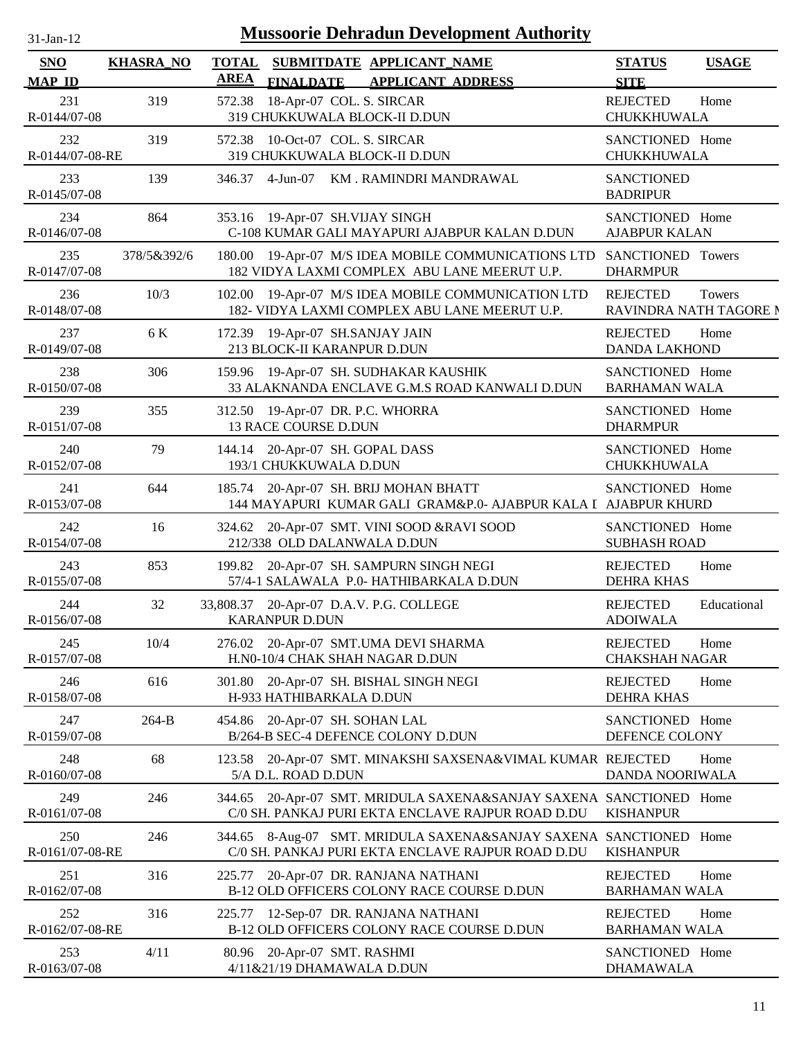| $31-Jan-12$                 | <b>Mussoorie Dehradun Development Authority</b> |                             |                                                                                                                         |                                           |              |  |  |
|-----------------------------|-------------------------------------------------|-----------------------------|-------------------------------------------------------------------------------------------------------------------------|-------------------------------------------|--------------|--|--|
| <b>SNO</b><br><b>MAP ID</b> | <b>KHASRA_NO</b>                                | <b>TOTAL</b><br><b>AREA</b> | SUBMITDATE APPLICANT NAME<br><b>FINALDATE</b><br><b>APPLICANT ADDRESS</b>                                               | <b>STATUS</b><br><b>SITE</b>              | <b>USAGE</b> |  |  |
| 231<br>R-0144/07-08         | 319                                             | 572.38                      | 18-Apr-07 COL. S. SIRCAR<br>319 CHUKKUWALA BLOCK-II D.DUN                                                               | <b>REJECTED</b><br>CHUKKHUWALA            | Home         |  |  |
| 232<br>R-0144/07-08-RE      | 319                                             | 572.38                      | 10-Oct-07 COL. S. SIRCAR<br>319 CHUKKUWALA BLOCK-II D.DUN                                                               | SANCTIONED Home<br>CHUKKHUWALA            |              |  |  |
| 233<br>R-0145/07-08         | 139                                             |                             | 346.37 4-Jun-07 KM. RAMINDRI MANDRAWAL                                                                                  | <b>SANCTIONED</b><br><b>BADRIPUR</b>      |              |  |  |
| 234<br>R-0146/07-08         | 864                                             | 353.16                      | 19-Apr-07 SH.VIJAY SINGH<br>C-108 KUMAR GALI MAYAPURI AJABPUR KALAN D.DUN                                               | SANCTIONED Home<br><b>AJABPUR KALAN</b>   |              |  |  |
| 235<br>R-0147/07-08         | 378/5&392/6                                     | 180.00                      | 19-Apr-07 M/S IDEA MOBILE COMMUNICATIONS LTD<br>182 VIDYA LAXMI COMPLEX ABU LANE MEERUT U.P.                            | SANCTIONED Towers<br><b>DHARMPUR</b>      |              |  |  |
| 236<br>R-0148/07-08         | 10/3                                            |                             | 102.00 19-Apr-07 M/S IDEA MOBILE COMMUNICATION LTD<br>182- VIDYA LAXMI COMPLEX ABU LANE MEERUT U.P.                     | <b>REJECTED</b><br>RAVINDRA NATH TAGORE N | Towers       |  |  |
| 237<br>R-0149/07-08         | 6 K                                             |                             | 172.39 19-Apr-07 SH.SANJAY JAIN<br>213 BLOCK-II KARANPUR D.DUN                                                          | <b>REJECTED</b><br><b>DANDA LAKHOND</b>   | Home         |  |  |
| 238<br>R-0150/07-08         | 306                                             |                             | 159.96 19-Apr-07 SH. SUDHAKAR KAUSHIK<br>33 ALAKNANDA ENCLAVE G.M.S ROAD KANWALI D.DUN                                  | SANCTIONED Home<br><b>BARHAMAN WALA</b>   |              |  |  |
| 239<br>R-0151/07-08         | 355                                             |                             | 312.50 19-Apr-07 DR. P.C. WHORRA<br>13 RACE COURSE D.DUN                                                                | SANCTIONED Home<br><b>DHARMPUR</b>        |              |  |  |
| 240<br>R-0152/07-08         | 79                                              |                             | 144.14 20-Apr-07 SH. GOPAL DASS<br>193/1 CHUKKUWALA D.DUN                                                               | SANCTIONED Home<br>CHUKKHUWALA            |              |  |  |
| 241<br>R-0153/07-08         | 644                                             | 185.74                      | 20-Apr-07 SH. BRIJ MOHAN BHATT<br>144 MAYAPURI KUMAR GALI GRAM&P.0- AJABPUR KALA I AJABPUR KHURD                        | SANCTIONED Home                           |              |  |  |
| 242<br>R-0154/07-08         | 16                                              | 324.62                      | 20-Apr-07 SMT. VINI SOOD &RAVI SOOD<br>212/338 OLD DALANWALA D.DUN                                                      | SANCTIONED Home<br><b>SUBHASH ROAD</b>    |              |  |  |
| 243<br>R-0155/07-08         | 853                                             | 199.82                      | 20-Apr-07 SH. SAMPURN SINGH NEGI<br>57/4-1 SALAWALA P.0- HATHIBARKALA D.DUN                                             | <b>REJECTED</b><br><b>DEHRA KHAS</b>      | Home         |  |  |
| 244<br>R-0156/07-08         | 32                                              | 33,808.37                   | 20-Apr-07 D.A.V. P.G. COLLEGE<br><b>KARANPUR D.DUN</b>                                                                  | <b>REJECTED</b><br><b>ADOIWALA</b>        | Educational  |  |  |
| 245<br>R-0157/07-08         | 10/4                                            | 276.02                      | 20-Apr-07 SMT.UMA DEVI SHARMA<br>H.N0-10/4 CHAK SHAH NAGAR D.DUN                                                        | <b>REJECTED</b><br><b>CHAKSHAH NAGAR</b>  | Home         |  |  |
| 246<br>R-0158/07-08         | 616                                             | 301.80                      | 20-Apr-07 SH. BISHAL SINGH NEGI<br>H-933 HATHIBARKALA D.DUN                                                             | <b>REJECTED</b><br><b>DEHRA KHAS</b>      | Home         |  |  |
| 247<br>R-0159/07-08         | $264-B$                                         |                             | 454.86 20-Apr-07 SH. SOHAN LAL<br>B/264-B SEC-4 DEFENCE COLONY D.DUN                                                    | SANCTIONED Home<br>DEFENCE COLONY         |              |  |  |
| 248<br>R-0160/07-08         | 68                                              |                             | 123.58 20-Apr-07 SMT. MINAKSHI SAXSENA&VIMAL KUMAR REJECTED<br>5/A D.L. ROAD D.DUN                                      | DANDA NOORIWALA                           | Home         |  |  |
| 249<br>R-0161/07-08         | 246                                             |                             | 344.65 20-Apr-07 SMT. MRIDULA SAXENA&SANJAY SAXENA SANCTIONED Home<br>C/0 SH. PANKAJ PURI EKTA ENCLAVE RAJPUR ROAD D.DU | <b>KISHANPUR</b>                          |              |  |  |
| 250<br>R-0161/07-08-RE      | 246                                             |                             | 344.65 8-Aug-07 SMT. MRIDULA SAXENA&SANJAY SAXENA SANCTIONED Home<br>C/0 SH. PANKAJ PURI EKTA ENCLAVE RAJPUR ROAD D.DU  | <b>KISHANPUR</b>                          |              |  |  |
| 251<br>R-0162/07-08         | 316                                             |                             | 225.77 20-Apr-07 DR. RANJANA NATHANI<br>B-12 OLD OFFICERS COLONY RACE COURSE D.DUN                                      | <b>REJECTED</b><br><b>BARHAMAN WALA</b>   | Home         |  |  |
| 252<br>R-0162/07-08-RE      | 316                                             |                             | 225.77 12-Sep-07 DR. RANJANA NATHANI<br>B-12 OLD OFFICERS COLONY RACE COURSE D.DUN                                      | <b>REJECTED</b><br><b>BARHAMAN WALA</b>   | Home         |  |  |
| 253<br>R-0163/07-08         | 4/11                                            |                             | 80.96 20-Apr-07 SMT. RASHMI<br>4/11&21/19 DHAMAWALA D.DUN                                                               | SANCTIONED Home<br><b>DHAMAWALA</b>       |              |  |  |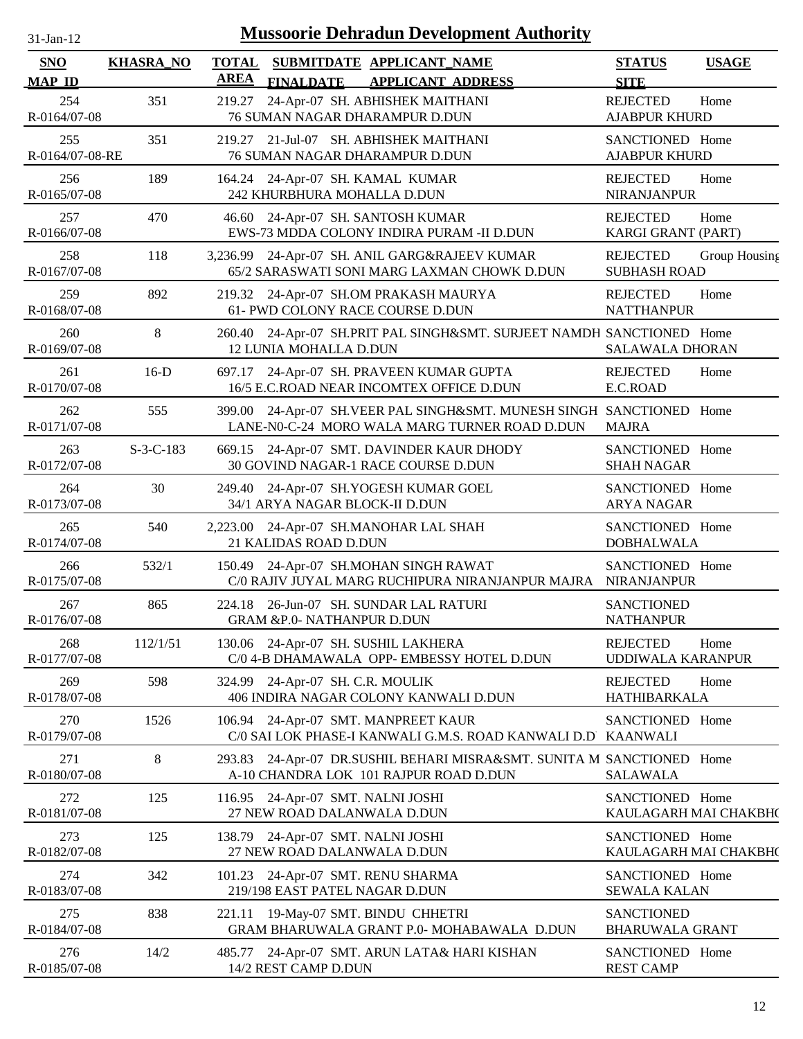| .1-Jan-1<br>$\mathbf{L}$ |  |
|--------------------------|--|

| <b>SNO</b>             | <b>KHASRA_NO</b> | <b>TOTAL</b><br><b>AREA</b> | SUBMITDATE APPLICANT NAME                                                                                             | <b>STATUS</b>                               | <b>USAGE</b>  |
|------------------------|------------------|-----------------------------|-----------------------------------------------------------------------------------------------------------------------|---------------------------------------------|---------------|
| <b>MAP ID</b>          |                  |                             | <b>FINALDATE</b><br><b>APPLICANT ADDRESS</b>                                                                          | <b>SITE</b>                                 |               |
| 254<br>R-0164/07-08    | 351              | 219.27                      | 24-Apr-07 SH. ABHISHEK MAITHANI<br>76 SUMAN NAGAR DHARAMPUR D.DUN                                                     | <b>REJECTED</b><br><b>AJABPUR KHURD</b>     | Home          |
| 255<br>R-0164/07-08-RE | 351              |                             | 219.27 21-Jul-07 SH. ABHISHEK MAITHANI<br>76 SUMAN NAGAR DHARAMPUR D.DUN                                              | SANCTIONED Home<br><b>AJABPUR KHURD</b>     |               |
| 256<br>R-0165/07-08    | 189              |                             | 164.24 24-Apr-07 SH. KAMAL KUMAR<br>242 KHURBHURA MOHALLA D.DUN                                                       | <b>REJECTED</b><br><b>NIRANJANPUR</b>       | Home          |
| 257<br>R-0166/07-08    | 470              |                             | 46.60 24-Apr-07 SH. SANTOSH KUMAR<br>EWS-73 MDDA COLONY INDIRA PURAM -II D.DUN                                        | <b>REJECTED</b><br>KARGI GRANT (PART)       | Home          |
| 258<br>R-0167/07-08    | 118              |                             | 3,236.99 24-Apr-07 SH. ANIL GARG&RAJEEV KUMAR<br>65/2 SARASWATI SONI MARG LAXMAN CHOWK D.DUN                          | <b>REJECTED</b><br><b>SUBHASH ROAD</b>      | Group Housing |
| 259<br>R-0168/07-08    | 892              |                             | 219.32 24-Apr-07 SH.OM PRAKASH MAURYA<br>61- PWD COLONY RACE COURSE D.DUN                                             | <b>REJECTED</b><br><b>NATTHANPUR</b>        | Home          |
| 260<br>R-0169/07-08    | 8                |                             | 260.40 24-Apr-07 SH.PRIT PAL SINGH&SMT. SURJEET NAMDH SANCTIONED Home<br>12 LUNIA MOHALLA D.DUN                       | <b>SALAWALA DHORAN</b>                      |               |
| 261<br>R-0170/07-08    | $16-D$           |                             | 697.17 24-Apr-07 SH. PRAVEEN KUMAR GUPTA<br>16/5 E.C.ROAD NEAR INCOMTEX OFFICE D.DUN                                  | <b>REJECTED</b><br>E.C.ROAD                 | Home          |
| 262<br>R-0171/07-08    | 555              |                             | 399.00 24-Apr-07 SH.VEER PAL SINGH&SMT. MUNESH SINGH SANCTIONED Home<br>LANE-N0-C-24 MORO WALA MARG TURNER ROAD D.DUN | <b>MAJRA</b>                                |               |
| 263<br>R-0172/07-08    | $S-3-C-183$      |                             | 669.15 24-Apr-07 SMT. DAVINDER KAUR DHODY<br>30 GOVIND NAGAR-1 RACE COURSE D.DUN                                      | SANCTIONED Home<br><b>SHAH NAGAR</b>        |               |
| 264<br>R-0173/07-08    | 30               |                             | 249.40 24-Apr-07 SH.YOGESH KUMAR GOEL<br>34/1 ARYA NAGAR BLOCK-II D.DUN                                               | SANCTIONED Home<br><b>ARYA NAGAR</b>        |               |
| 265<br>R-0174/07-08    | 540              |                             | 2,223.00 24-Apr-07 SH.MANOHAR LAL SHAH<br>21 KALIDAS ROAD D.DUN                                                       | SANCTIONED Home<br><b>DOBHALWALA</b>        |               |
| 266<br>R-0175/07-08    | 532/1            |                             | 150.49 24-Apr-07 SH.MOHAN SINGH RAWAT<br>C/0 RAJIV JUYAL MARG RUCHIPURA NIRANJANPUR MAJRA                             | SANCTIONED Home<br><b>NIRANJANPUR</b>       |               |
| 267<br>R-0176/07-08    | 865              |                             | 224.18 26-Jun-07 SH. SUNDAR LAL RATURI<br><b>GRAM &amp;P.0- NATHANPUR D.DUN</b>                                       | <b>SANCTIONED</b><br><b>NATHANPUR</b>       |               |
| 268<br>R-0177/07-08    | 112/1/51         |                             | 130.06 24-Apr-07 SH. SUSHIL LAKHERA<br>C/0 4-B DHAMAWALA OPP- EMBESSY HOTEL D.DUN                                     | <b>REJECTED</b><br><b>UDDIWALA KARANPUR</b> | Home          |
| 269<br>R-0178/07-08    | 598              |                             | 324.99 24-Apr-07 SH. C.R. MOULIK<br>406 INDIRA NAGAR COLONY KANWALI D.DUN                                             | <b>REJECTED</b><br>HATHIBARKALA             | Home          |
| 270<br>R-0179/07-08    | 1526             |                             | 106.94 24-Apr-07 SMT. MANPREET KAUR<br>C/0 SAI LOK PHASE-I KANWALI G.M.S. ROAD KANWALI D.D KAANWALI                   | SANCTIONED Home                             |               |
| 271<br>R-0180/07-08    | 8                | 293.83                      | 24-Apr-07 DR.SUSHIL BEHARI MISRA&SMT. SUNITA M SANCTIONED Home<br>A-10 CHANDRA LOK 101 RAJPUR ROAD D.DUN              | <b>SALAWALA</b>                             |               |
| 272<br>R-0181/07-08    | 125              |                             | 116.95 24-Apr-07 SMT. NALNI JOSHI<br>27 NEW ROAD DALANWALA D.DUN                                                      | SANCTIONED Home<br>KAULAGARH MAI CHAKBH(    |               |
| 273<br>R-0182/07-08    | 125              |                             | 138.79 24-Apr-07 SMT. NALNI JOSHI<br>27 NEW ROAD DALANWALA D.DUN                                                      | SANCTIONED Home<br>KAULAGARH MAI CHAKBH(    |               |
| 274<br>R-0183/07-08    | 342              | 101.23                      | 24-Apr-07 SMT. RENU SHARMA<br>219/198 EAST PATEL NAGAR D.DUN                                                          | SANCTIONED Home<br><b>SEWALA KALAN</b>      |               |
| 275<br>R-0184/07-08    | 838              |                             | 221.11 19-May-07 SMT. BINDU CHHETRI<br>GRAM BHARUWALA GRANT P.0- MOHABAWALA D.DUN                                     | <b>SANCTIONED</b><br><b>BHARUWALA GRANT</b> |               |
| 276<br>R-0185/07-08    | 14/2             |                             | 485.77 24-Apr-07 SMT. ARUN LATA& HARI KISHAN<br>14/2 REST CAMP D.DUN                                                  | SANCTIONED Home<br><b>REST CAMP</b>         |               |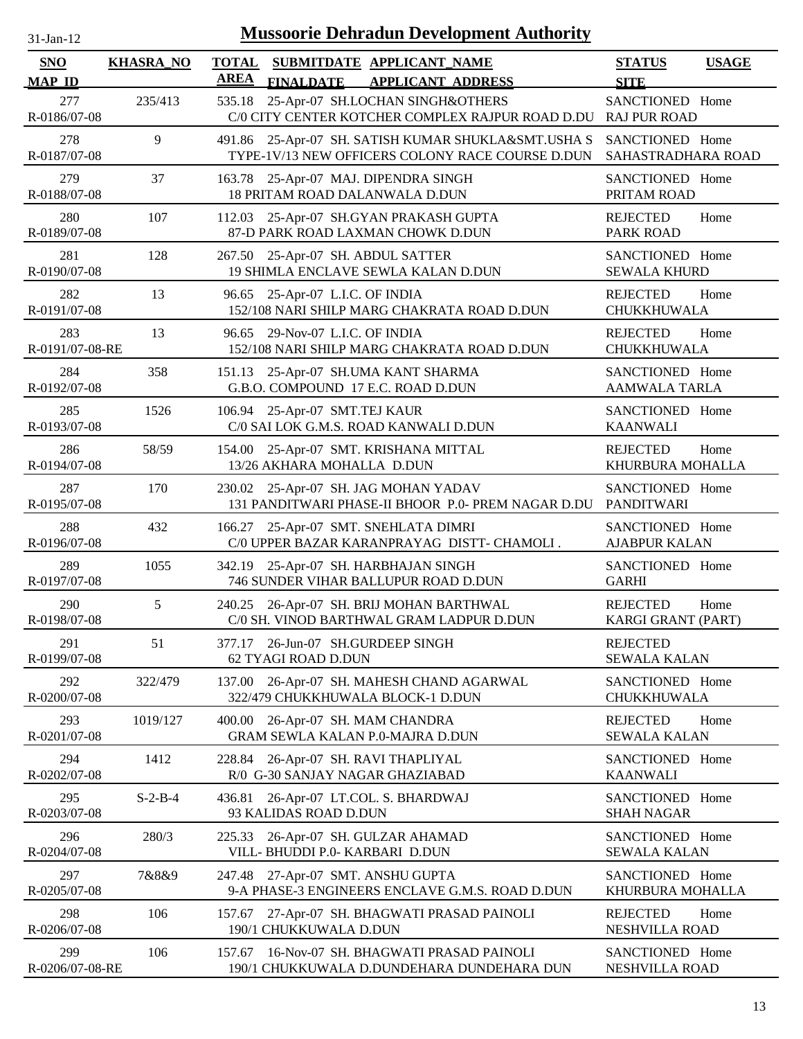| $31-Jan-12$            |                  | <b>Mussoorie Dehradun Development Authority</b>                                                             |                                                |
|------------------------|------------------|-------------------------------------------------------------------------------------------------------------|------------------------------------------------|
| SNO<br>MAP ID          | <b>KHASRA_NO</b> | <b>TOTAL</b><br>SUBMITDATE APPLICANT_NAME<br><b>AREA</b><br><b>FINALDATE</b><br><b>APPLICANT ADDRESS</b>    | <b>STATUS</b><br><b>USAGE</b><br><b>SITE</b>   |
| 277<br>R-0186/07-08    | 235/413          | 25-Apr-07 SH.LOCHAN SINGH&OTHERS<br>535.18<br>C/0 CITY CENTER KOTCHER COMPLEX RAJPUR ROAD D.DU RAJ PUR ROAD | SANCTIONED Home                                |
| 278<br>R-0187/07-08    | 9                | 491.86 25-Apr-07 SH. SATISH KUMAR SHUKLA&SMT.USHA S<br>TYPE-1V/13 NEW OFFICERS COLONY RACE COURSE D.DUN     | SANCTIONED Home<br>SAHASTRADHARA ROAD          |
| 279<br>R-0188/07-08    | 37               | 163.78 25-Apr-07 MAJ. DIPENDRA SINGH<br>18 PRITAM ROAD DALANWALA D.DUN                                      | SANCTIONED Home<br>PRITAM ROAD                 |
| 280<br>R-0189/07-08    | 107              | 25-Apr-07 SH.GYAN PRAKASH GUPTA<br>112.03<br>87-D PARK ROAD LAXMAN CHOWK D.DUN                              | <b>REJECTED</b><br>Home<br><b>PARK ROAD</b>    |
| 281<br>R-0190/07-08    | 128              | 25-Apr-07 SH. ABDUL SATTER<br>267.50<br>19 SHIMLA ENCLAVE SEWLA KALAN D.DUN                                 | SANCTIONED Home<br><b>SEWALA KHURD</b>         |
| 282<br>R-0191/07-08    | 13               | 96.65<br>25-Apr-07 L.I.C. OF INDIA<br>152/108 NARI SHILP MARG CHAKRATA ROAD D.DUN                           | <b>REJECTED</b><br>Home<br>CHUKKHUWALA         |
| 283<br>R-0191/07-08-RE | 13               | 29-Nov-07 L.I.C. OF INDIA<br>96.65<br>152/108 NARI SHILP MARG CHAKRATA ROAD D.DUN                           | <b>REJECTED</b><br>Home<br>CHUKKHUWALA         |
| 284<br>R-0192/07-08    | 358              | 151.13 25-Apr-07 SH.UMA KANT SHARMA<br>G.B.O. COMPOUND 17 E.C. ROAD D.DUN                                   | SANCTIONED Home<br><b>AAMWALA TARLA</b>        |
| 285<br>R-0193/07-08    | 1526             | 106.94 25-Apr-07 SMT.TEJ KAUR<br>C/0 SAI LOK G.M.S. ROAD KANWALI D.DUN                                      | SANCTIONED Home<br><b>KAANWALI</b>             |
| 286<br>R-0194/07-08    | 58/59            | 154.00 25-Apr-07 SMT. KRISHANA MITTAL<br>13/26 AKHARA MOHALLA D.DUN                                         | <b>REJECTED</b><br>Home<br>KHURBURA MOHALLA    |
| 287<br>R-0195/07-08    | 170              | 230.02 25-Apr-07 SH. JAG MOHAN YADAV<br>131 PANDITWARI PHASE-II BHOOR P.0- PREM NAGAR D.DU PANDITWARI       | SANCTIONED Home                                |
| 288<br>R-0196/07-08    | 432              | 166.27 25-Apr-07 SMT. SNEHLATA DIMRI<br>C/0 UPPER BAZAR KARANPRAYAG DISTT- CHAMOLI.                         | SANCTIONED Home<br><b>AJABPUR KALAN</b>        |
| 289<br>R-0197/07-08    | 1055             | 342.19 25-Apr-07 SH. HARBHAJAN SINGH<br>746 SUNDER VIHAR BALLUPUR ROAD D.DUN                                | SANCTIONED Home<br><b>GARHI</b>                |
| 290<br>R-0198/07-08    | 5                | 240.25 26-Apr-07 SH. BRIJ MOHAN BARTHWAL<br>C/0 SH. VINOD BARTHWAL GRAM LADPUR D.DUN                        | <b>REJECTED</b><br>Home<br>KARGI GRANT (PART)  |
| 291<br>R-0199/07-08    | 51               | 26-Jun-07 SH.GURDEEP SINGH<br>377.17<br>62 TYAGI ROAD D.DUN                                                 | <b>REJECTED</b><br><b>SEWALA KALAN</b>         |
| 292<br>R-0200/07-08    | 322/479          | 137.00<br>26-Apr-07 SH. MAHESH CHAND AGARWAL<br>322/479 CHUKKHUWALA BLOCK-1 D.DUN                           | SANCTIONED Home<br>CHUKKHUWALA                 |
| 293<br>R-0201/07-08    | 1019/127         | 26-Apr-07 SH. MAM CHANDRA<br>400.00<br>GRAM SEWLA KALAN P.0-MAJRA D.DUN                                     | <b>REJECTED</b><br>Home<br><b>SEWALA KALAN</b> |
| 294<br>R-0202/07-08    | 1412             | 26-Apr-07 SH. RAVI THAPLIYAL<br>228.84<br>R/0 G-30 SANJAY NAGAR GHAZIABAD                                   | SANCTIONED Home<br><b>KAANWALI</b>             |
| 295<br>R-0203/07-08    | $S-2-B-4$        | 26-Apr-07 LT.COL. S. BHARDWAJ<br>436.81<br>93 KALIDAS ROAD D.DUN                                            | SANCTIONED Home<br><b>SHAH NAGAR</b>           |
| 296<br>R-0204/07-08    | 280/3            | 26-Apr-07 SH. GULZAR AHAMAD<br>225.33<br>VILL-BHUDDI P.0- KARBARI D.DUN                                     | SANCTIONED Home<br><b>SEWALA KALAN</b>         |
| 297<br>R-0205/07-08    | 7&8&9            | 27-Apr-07 SMT. ANSHU GUPTA<br>247.48<br>9-A PHASE-3 ENGINEERS ENCLAVE G.M.S. ROAD D.DUN                     | SANCTIONED Home<br>KHURBURA MOHALLA            |
| 298<br>R-0206/07-08    | 106              | 27-Apr-07 SH. BHAGWATI PRASAD PAINOLI<br>157.67<br>190/1 CHUKKUWALA D.DUN                                   | <b>REJECTED</b><br>Home<br>NESHVILLA ROAD      |
| 299                    | 106              | 16-Nov-07 SH. BHAGWATI PRASAD PAINOLI<br>157.67                                                             | SANCTIONED Home                                |

190/1 CHUKKUWALA D.DUNDEHARA DUNDEHARA DUN

R-0206/07-08-RE

NESHVILLA ROAD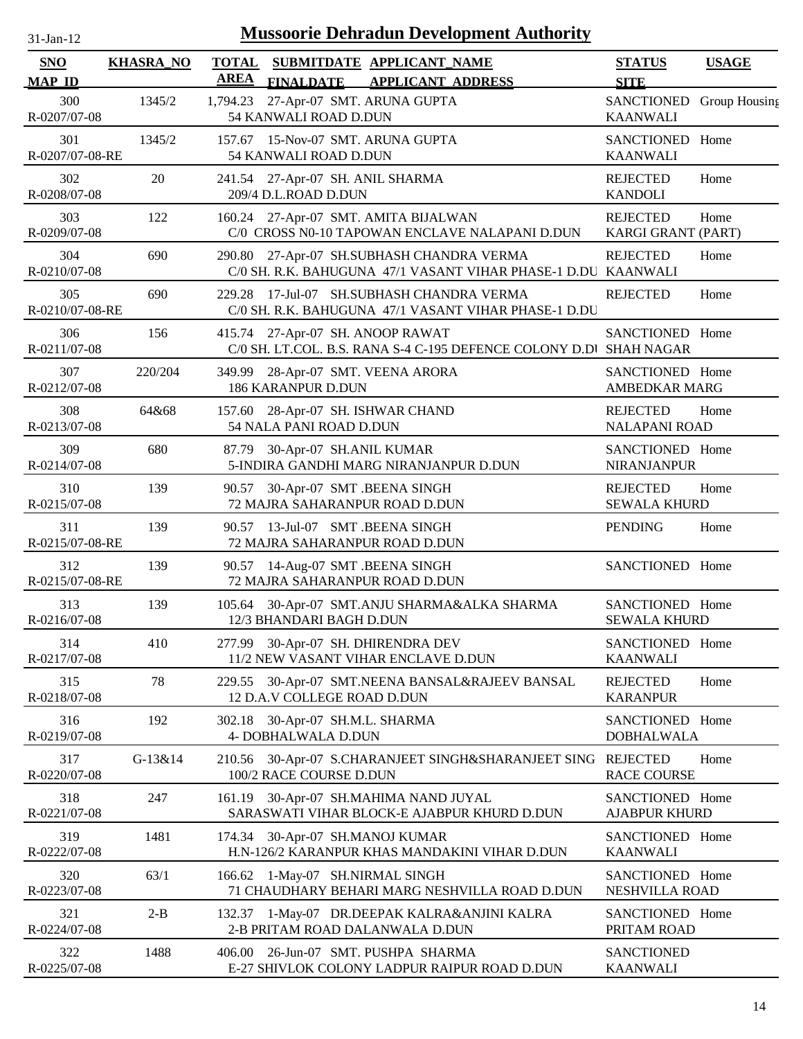| $31$ -Jan-12                |                  | <b>Mussoorie Dehradun Development Authority</b>                                                               |                                             |              |
|-----------------------------|------------------|---------------------------------------------------------------------------------------------------------------|---------------------------------------------|--------------|
| <b>SNO</b><br><b>MAP ID</b> | <b>KHASRA_NO</b> | <b>TOTAL</b><br>SUBMITDATE APPLICANT_NAME<br><b>AREA</b><br>FINALDATE APPLICANT ADDRESS                       | <b>STATUS</b><br><b>SITE</b>                | <b>USAGE</b> |
| 300<br>R-0207/07-08         | 1345/2           | 27-Apr-07 SMT. ARUNA GUPTA<br>1,794.23<br>54 KANWALI ROAD D.DUN                                               | SANCTIONED Group Housing<br><b>KAANWALI</b> |              |
| 301<br>R-0207/07-08-RE      | 1345/2           | 157.67 15-Nov-07 SMT. ARUNA GUPTA<br>54 KANWALI ROAD D.DUN                                                    | SANCTIONED Home<br><b>KAANWALI</b>          |              |
| 302<br>R-0208/07-08         | 20               | 241.54 27-Apr-07 SH. ANIL SHARMA<br>209/4 D.L.ROAD D.DUN                                                      | <b>REJECTED</b><br><b>KANDOLI</b>           | Home         |
| 303<br>R-0209/07-08         | 122              | 160.24 27-Apr-07 SMT. AMITA BIJALWAN<br>C/0 CROSS N0-10 TAPOWAN ENCLAVE NALAPANI D.DUN                        | <b>REJECTED</b><br>KARGI GRANT (PART)       | Home         |
| 304<br>R-0210/07-08         | 690              | 27-Apr-07 SH.SUBHASH CHANDRA VERMA<br>290.80<br>C/0 SH. R.K. BAHUGUNA 47/1 VASANT VIHAR PHASE-1 D.DU KAANWALI | <b>REJECTED</b>                             | Home         |
| 305<br>R-0210/07-08-RE      | 690              | 17-Jul-07 SH.SUBHASH CHANDRA VERMA<br>229.28<br>C/0 SH. R.K. BAHUGUNA 47/1 VASANT VIHAR PHASE-1 D.DU          | <b>REJECTED</b>                             | Home         |
| 306<br>R-0211/07-08         | 156              | 415.74 27-Apr-07 SH. ANOOP RAWAT<br>C/0 SH. LT.COL. B.S. RANA S-4 C-195 DEFENCE COLONY D.Dl SHAH NAGAR        | SANCTIONED Home                             |              |
| 307<br>R-0212/07-08         | 220/204          | 349.99<br>28-Apr-07 SMT. VEENA ARORA<br><b>186 KARANPUR D.DUN</b>                                             | SANCTIONED Home<br><b>AMBEDKAR MARG</b>     |              |
| 308<br>R-0213/07-08         | 64&68            | 28-Apr-07 SH. ISHWAR CHAND<br>157.60<br>54 NALA PANI ROAD D.DUN                                               | <b>REJECTED</b><br><b>NALAPANI ROAD</b>     | Home         |
| 309<br>R-0214/07-08         | 680              | 30-Apr-07 SH.ANIL KUMAR<br>87.79<br>5-INDIRA GANDHI MARG NIRANJANPUR D.DUN                                    | SANCTIONED Home<br><b>NIRANJANPUR</b>       |              |
| 310<br>R-0215/07-08         | 139              | 30-Apr-07 SMT .BEENA SINGH<br>90.57<br>72 MAJRA SAHARANPUR ROAD D.DUN                                         | <b>REJECTED</b><br><b>SEWALA KHURD</b>      | Home         |
| 311<br>R-0215/07-08-RE      | 139              | 13-Jul-07 SMT .BEENA SINGH<br>90.57<br>72 MAJRA SAHARANPUR ROAD D.DUN                                         | <b>PENDING</b>                              | Home         |
| 312<br>R-0215/07-08-RE      | 139              | 14-Aug-07 SMT .BEENA SINGH<br>90.57<br>72 MAJRA SAHARANPUR ROAD D.DUN                                         | SANCTIONED Home                             |              |
| 313<br>R-0216/07-08         | 139              | 105.64 30-Apr-07 SMT.ANJU SHARMA&ALKA SHARMA<br>12/3 BHANDARI BAGH D.DUN                                      | SANCTIONED Home<br><b>SEWALA KHURD</b>      |              |
| 314<br>R-0217/07-08         | 410              | 277.99 30-Apr-07 SH. DHIRENDRA DEV<br>11/2 NEW VASANT VIHAR ENCLAVE D.DUN                                     | SANCTIONED Home<br><b>KAANWALI</b>          |              |
| 315<br>R-0218/07-08         | 78               | 30-Apr-07 SMT.NEENA BANSAL&RAJEEV BANSAL<br>229.55<br>12 D.A.V COLLEGE ROAD D.DUN                             | <b>REJECTED</b><br><b>KARANPUR</b>          | Home         |
| 316<br>R-0219/07-08         | 192              | 302.18 30-Apr-07 SH.M.L. SHARMA<br>4- DOBHALWALA D.DUN                                                        | SANCTIONED Home<br><b>DOBHALWALA</b>        |              |
| 317<br>R-0220/07-08         | G-13&14          | 30-Apr-07 S.CHARANJEET SINGH&SHARANJEET SING<br>210.56<br>100/2 RACE COURSE D.DUN                             | <b>REJECTED</b><br><b>RACE COURSE</b>       | Home         |
| 318<br>R-0221/07-08         | 247              | 30-Apr-07 SH.MAHIMA NAND JUYAL<br>161.19<br>SARASWATI VIHAR BLOCK-E AJABPUR KHURD D.DUN                       | SANCTIONED Home<br><b>AJABPUR KHURD</b>     |              |
| 319<br>R-0222/07-08         | 1481             | 30-Apr-07 SH.MANOJ KUMAR<br>174.34<br>H.N-126/2 KARANPUR KHAS MANDAKINI VIHAR D.DUN                           | SANCTIONED Home<br><b>KAANWALI</b>          |              |
| 320<br>R-0223/07-08         | 63/1             | 1-May-07 SH.NIRMAL SINGH<br>166.62<br>71 CHAUDHARY BEHARI MARG NESHVILLA ROAD D.DUN                           | SANCTIONED Home<br>NESHVILLA ROAD           |              |
| 321<br>R-0224/07-08         | $2-B$            | 1-May-07 DR.DEEPAK KALRA&ANJINI KALRA<br>132.37<br>2-B PRITAM ROAD DALANWALA D.DUN                            | SANCTIONED Home<br>PRITAM ROAD              |              |
| 322<br>R-0225/07-08         | 1488             | 26-Jun-07 SMT. PUSHPA SHARMA<br>406.00<br>E-27 SHIVLOK COLONY LADPUR RAIPUR ROAD D.DUN                        | <b>SANCTIONED</b><br><b>KAANWALI</b>        |              |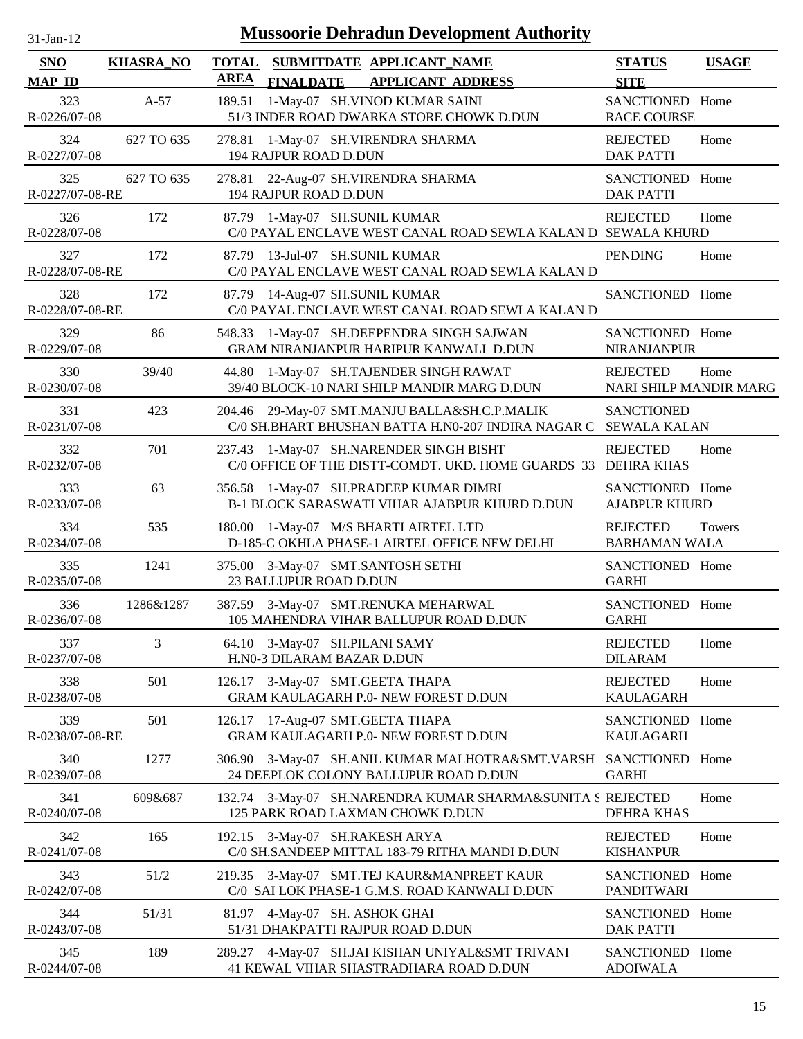| $31$ -Jan-12                | <b>Mussoorie Dehradun Development Authority</b> |                                                                                                          |                                                  |               |  |  |
|-----------------------------|-------------------------------------------------|----------------------------------------------------------------------------------------------------------|--------------------------------------------------|---------------|--|--|
| <b>SNO</b><br><b>MAP ID</b> | <b>KHASRA_NO</b>                                | <b>TOTAL</b><br>SUBMITDATE APPLICANT_NAME<br><b>AREA</b><br><b>FINALDATE</b><br><b>APPLICANT ADDRESS</b> | <b>STATUS</b><br><b>SITE</b>                     | <b>USAGE</b>  |  |  |
| 323<br>R-0226/07-08         | $A-57$                                          | 1-May-07 SH.VINOD KUMAR SAINI<br>189.51<br>51/3 INDER ROAD DWARKA STORE CHOWK D.DUN                      | SANCTIONED Home<br><b>RACE COURSE</b>            |               |  |  |
| 324<br>R-0227/07-08         | 627 TO 635                                      | 278.81<br>1-May-07 SH.VIRENDRA SHARMA<br>194 RAJPUR ROAD D.DUN                                           | <b>REJECTED</b><br><b>DAK PATTI</b>              | Home          |  |  |
| 325<br>R-0227/07-08-RE      | 627 TO 635                                      | 278.81 22-Aug-07 SH.VIRENDRA SHARMA<br>194 RAJPUR ROAD D.DUN                                             | SANCTIONED Home<br><b>DAK PATTI</b>              |               |  |  |
| 326<br>R-0228/07-08         | 172                                             | 87.79 1-May-07 SH.SUNIL KUMAR<br>C/0 PAYAL ENCLAVE WEST CANAL ROAD SEWLA KALAN D SEWALA KHURD            | <b>REJECTED</b>                                  | Home          |  |  |
| 327<br>R-0228/07-08-RE      | 172                                             | 13-Jul-07 SH.SUNIL KUMAR<br>87.79<br>C/0 PAYAL ENCLAVE WEST CANAL ROAD SEWLA KALAN D                     | <b>PENDING</b>                                   | Home          |  |  |
| 328<br>R-0228/07-08-RE      | 172                                             | 14-Aug-07 SH.SUNIL KUMAR<br>87.79<br>C/0 PAYAL ENCLAVE WEST CANAL ROAD SEWLA KALAN D                     | SANCTIONED Home                                  |               |  |  |
| 329<br>R-0229/07-08         | 86                                              | 1-May-07 SH.DEEPENDRA SINGH SAJWAN<br>548.33<br>GRAM NIRANJANPUR HARIPUR KANWALI D.DUN                   | SANCTIONED Home<br><b>NIRANJANPUR</b>            |               |  |  |
| 330<br>R-0230/07-08         | 39/40                                           | 1-May-07 SH.TAJENDER SINGH RAWAT<br>44.80<br>39/40 BLOCK-10 NARI SHILP MANDIR MARG D.DUN                 | <b>REJECTED</b><br><b>NARI SHILP MANDIR MARG</b> | Home          |  |  |
| 331<br>R-0231/07-08         | 423                                             | 29-May-07 SMT.MANJU BALLA&SH.C.P.MALIK<br>204.46<br>C/0 SH.BHART BHUSHAN BATTA H.N0-207 INDIRA NAGAR C   | <b>SANCTIONED</b><br><b>SEWALA KALAN</b>         |               |  |  |
| 332<br>R-0232/07-08         | 701                                             | 1-May-07 SH.NARENDER SINGH BISHT<br>237.43<br>C/0 OFFICE OF THE DISTT-COMDT. UKD. HOME GUARDS 33         | <b>REJECTED</b><br><b>DEHRA KHAS</b>             | Home          |  |  |
| 333<br>R-0233/07-08         | 63                                              | 1-May-07 SH.PRADEEP KUMAR DIMRI<br>356.58<br>B-1 BLOCK SARASWATI VIHAR AJABPUR KHURD D.DUN               | SANCTIONED Home<br><b>AJABPUR KHURD</b>          |               |  |  |
| 334<br>R-0234/07-08         | 535                                             | 1-May-07 M/S BHARTI AIRTEL LTD<br>180.00<br>D-185-C OKHLA PHASE-1 AIRTEL OFFICE NEW DELHI                | <b>REJECTED</b><br><b>BARHAMAN WALA</b>          | <b>Towers</b> |  |  |
| 335<br>R-0235/07-08         | 1241                                            | 375.00 3-May-07 SMT.SANTOSH SETHI<br>23 BALLUPUR ROAD D.DUN                                              | SANCTIONED Home<br><b>GARHI</b>                  |               |  |  |
| 336<br>R-0236/07-08         | 1286&1287                                       | 387.59 3-May-07 SMT.RENUKA MEHARWAL<br>105 MAHENDRA VIHAR BALLUPUR ROAD D.DUN                            | SANCTIONED Home<br><b>GARHI</b>                  |               |  |  |
| 337<br>R-0237/07-08         | 3                                               | 64.10 3-May-07 SH.PILANI SAMY<br>H.N0-3 DILARAM BAZAR D.DUN                                              | <b>REJECTED</b><br><b>DILARAM</b>                | Home          |  |  |
| 338<br>R-0238/07-08         | 501                                             | 3-May-07 SMT.GEETA THAPA<br>126.17<br>GRAM KAULAGARH P.0- NEW FOREST D.DUN                               | <b>REJECTED</b><br><b>KAULAGARH</b>              | Home          |  |  |
| 339<br>R-0238/07-08-RE      | 501                                             | 17-Aug-07 SMT.GEETA THAPA<br>126.17<br>GRAM KAULAGARH P.0- NEW FOREST D.DUN                              | SANCTIONED Home<br><b>KAULAGARH</b>              |               |  |  |
| 340<br>R-0239/07-08         | 1277                                            | 3-May-07 SH.ANIL KUMAR MALHOTRA&SMT.VARSH<br>306.90<br>24 DEEPLOK COLONY BALLUPUR ROAD D.DUN             | SANCTIONED Home<br><b>GARHI</b>                  |               |  |  |
| 341<br>R-0240/07-08         | 609&687                                         | 3-May-07 SH.NARENDRA KUMAR SHARMA&SUNITA S REJECTED<br>132.74<br>125 PARK ROAD LAXMAN CHOWK D.DUN        | <b>DEHRA KHAS</b>                                | Home          |  |  |
| 342<br>R-0241/07-08         | 165                                             | 3-May-07 SH.RAKESH ARYA<br>192.15<br>C/0 SH.SANDEEP MITTAL 183-79 RITHA MANDI D.DUN                      | <b>REJECTED</b><br><b>KISHANPUR</b>              | Home          |  |  |
| 343<br>R-0242/07-08         | 51/2                                            | 3-May-07 SMT.TEJ KAUR&MANPREET KAUR<br>219.35<br>C/0 SAI LOK PHASE-1 G.M.S. ROAD KANWALI D.DUN           | SANCTIONED Home<br><b>PANDITWARI</b>             |               |  |  |
| 344<br>R-0243/07-08         | 51/31                                           | 81.97 4-May-07 SH. ASHOK GHAI<br>51/31 DHAKPATTI RAJPUR ROAD D.DUN                                       | SANCTIONED Home<br><b>DAK PATTI</b>              |               |  |  |
| 345<br>R-0244/07-08         | 189                                             | 4-May-07 SH.JAI KISHAN UNIYAL&SMT TRIVANI<br>289.27<br>41 KEWAL VIHAR SHASTRADHARA ROAD D.DUN            | SANCTIONED Home<br><b>ADOIWALA</b>               |               |  |  |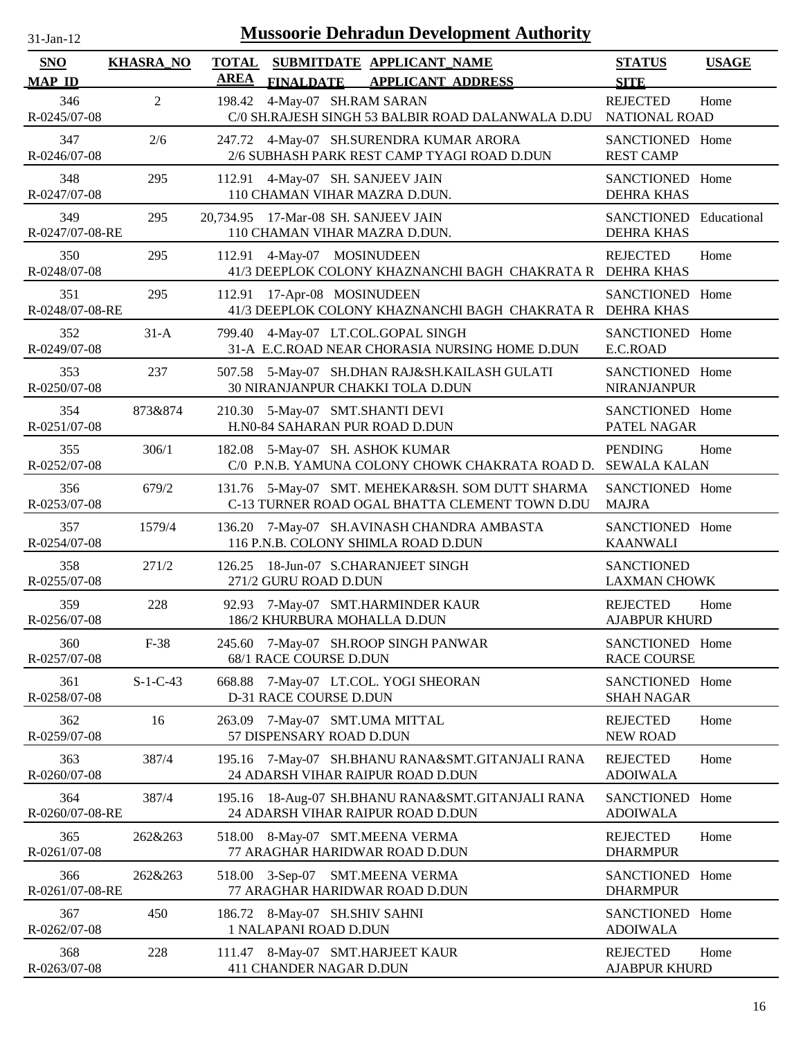| $31$ -Jan-12                |                  |                             |                                                                                   | <b>Mussoorie Dehradun Development Authority</b>                                                    |                                             |              |
|-----------------------------|------------------|-----------------------------|-----------------------------------------------------------------------------------|----------------------------------------------------------------------------------------------------|---------------------------------------------|--------------|
| <b>SNO</b><br><b>MAP ID</b> | <b>KHASRA_NO</b> | <b>TOTAL</b><br><b>AREA</b> | SUBMITDATE APPLICANT_NAME<br><b>FINALDATE</b>                                     | <b>APPLICANT ADDRESS</b>                                                                           | <b>STATUS</b><br><b>SITE</b>                | <b>USAGE</b> |
| 346<br>R-0245/07-08         | $\overline{2}$   | 198.42                      | 4-May-07 SH.RAM SARAN                                                             | C/0 SH.RAJESH SINGH 53 BALBIR ROAD DALANWALA D.DU                                                  | <b>REJECTED</b><br><b>NATIONAL ROAD</b>     | Home         |
| 347<br>R-0246/07-08         | 2/6              |                             | 247.72 4-May-07 SH.SURENDRA KUMAR ARORA                                           | 2/6 SUBHASH PARK REST CAMP TYAGI ROAD D.DUN                                                        | SANCTIONED Home<br><b>REST CAMP</b>         |              |
| 348<br>R-0247/07-08         | 295              | 112.91                      | 4-May-07 SH. SANJEEV JAIN<br>110 CHAMAN VIHAR MAZRA D.DUN.                        |                                                                                                    | SANCTIONED Home<br><b>DEHRA KHAS</b>        |              |
| 349<br>R-0247/07-08-RE      | 295              |                             | 20,734.95 17-Mar-08 SH. SANJEEV JAIN<br>110 CHAMAN VIHAR MAZRA D.DUN.             |                                                                                                    | SANCTIONED Educational<br><b>DEHRA KHAS</b> |              |
| 350<br>R-0248/07-08         | 295              | 112.91                      | 4-May-07 MOSINUDEEN                                                               | 41/3 DEEPLOK COLONY KHAZNANCHI BAGH CHAKRATA R DEHRA KHAS                                          | <b>REJECTED</b>                             | Home         |
| 351<br>R-0248/07-08-RE      | 295              | 112.91                      | 17-Apr-08 MOSINUDEEN                                                              | 41/3 DEEPLOK COLONY KHAZNANCHI BAGH CHAKRATA R DEHRA KHAS                                          | SANCTIONED Home                             |              |
| 352<br>R-0249/07-08         | $31-A$           | 799.40                      | 4-May-07 LT.COL.GOPAL SINGH                                                       | 31-A E.C.ROAD NEAR CHORASIA NURSING HOME D.DUN                                                     | SANCTIONED Home<br>E.C.ROAD                 |              |
| 353<br>R-0250/07-08         | 237              |                             | <b>30 NIRANJANPUR CHAKKI TOLA D.DUN</b>                                           | 507.58 5-May-07 SH.DHAN RAJ&SH.KAILASH GULATI                                                      | SANCTIONED Home<br><b>NIRANJANPUR</b>       |              |
| 354<br>R-0251/07-08         | 873&874          |                             | 210.30 5-May-07 SMT.SHANTI DEVI<br>H.N0-84 SAHARAN PUR ROAD D.DUN                 |                                                                                                    | SANCTIONED Home<br>PATEL NAGAR              |              |
| 355<br>R-0252/07-08         | 306/1            |                             | 182.08 5-May-07 SH. ASHOK KUMAR                                                   | C/0 P.N.B. YAMUNA COLONY CHOWK CHAKRATA ROAD D.                                                    | <b>PENDING</b><br><b>SEWALA KALAN</b>       | Home         |
| 356<br>R-0253/07-08         | 679/2            |                             |                                                                                   | 131.76 5-May-07 SMT. MEHEKAR&SH. SOM DUTT SHARMA<br>C-13 TURNER ROAD OGAL BHATTA CLEMENT TOWN D.DU | SANCTIONED Home<br><b>MAJRA</b>             |              |
| 357<br>R-0254/07-08         | 1579/4           |                             | 136.20 7-May-07 SH.AVINASH CHANDRA AMBASTA<br>116 P.N.B. COLONY SHIMLA ROAD D.DUN |                                                                                                    | SANCTIONED Home<br><b>KAANWALI</b>          |              |
| 358<br>R-0255/07-08         | 271/2            | 126.25                      | 18-Jun-07 S.CHARANJEET SINGH<br>271/2 GURU ROAD D.DUN                             |                                                                                                    | <b>SANCTIONED</b><br><b>LAXMAN CHOWK</b>    |              |
| 359<br>R-0256/07-08         | 228              |                             | 92.93 7-May-07 SMT.HARMINDER KAUR<br>186/2 KHURBURA MOHALLA D.DUN                 |                                                                                                    | <b>REJECTED</b><br><b>AJABPUR KHURD</b>     | Home         |
| 360<br>R-0257/07-08         | $F-38$           | 245.60                      | 7-May-07 SH.ROOP SINGH PANWAR<br>68/1 RACE COURSE D.DUN                           |                                                                                                    | SANCTIONED Home<br><b>RACE COURSE</b>       |              |
| 361<br>R-0258/07-08         | $S-1-C-43$       | 668.88                      | 7-May-07 LT.COL. YOGI SHEORAN<br>D-31 RACE COURSE D.DUN                           |                                                                                                    | SANCTIONED Home<br><b>SHAH NAGAR</b>        |              |
| 362<br>R-0259/07-08         | 16               | 263.09                      | 7-May-07 SMT.UMA MITTAL<br>57 DISPENSARY ROAD D.DUN                               |                                                                                                    | <b>REJECTED</b><br><b>NEW ROAD</b>          | Home         |
| 363<br>R-0260/07-08         | 387/4            | 195.16                      | 24 ADARSH VIHAR RAIPUR ROAD D.DUN                                                 | 7-May-07 SH.BHANU RANA&SMT.GITANJALI RANA                                                          | <b>REJECTED</b><br><b>ADOIWALA</b>          | Home         |
| 364<br>R-0260/07-08-RE      | 387/4            | 195.16                      | 24 ADARSH VIHAR RAIPUR ROAD D.DUN                                                 | 18-Aug-07 SH.BHANU RANA&SMT.GITANJALI RANA                                                         | SANCTIONED Home<br><b>ADOIWALA</b>          |              |
| 365<br>R-0261/07-08         | 262&263          |                             | 518.00 8-May-07 SMT.MEENA VERMA<br>77 ARAGHAR HARIDWAR ROAD D.DUN                 |                                                                                                    | <b>REJECTED</b><br><b>DHARMPUR</b>          | Home         |
| 366<br>R-0261/07-08-RE      | 262&263          |                             | 518.00 3-Sep-07<br><b>SMT.MEENA VERMA</b><br>77 ARAGHAR HARIDWAR ROAD D.DUN       |                                                                                                    | SANCTIONED Home<br><b>DHARMPUR</b>          |              |
| 367<br>R-0262/07-08         | 450              |                             | 186.72 8-May-07 SH.SHIV SAHNI<br>1 NALAPANI ROAD D.DUN                            |                                                                                                    | SANCTIONED Home<br><b>ADOIWALA</b>          |              |
| 368<br>R-0263/07-08         | 228              | 111.47                      | 8-May-07 SMT.HARJEET KAUR<br>411 CHANDER NAGAR D.DUN                              |                                                                                                    | <b>REJECTED</b><br><b>AJABPUR KHURD</b>     | Home         |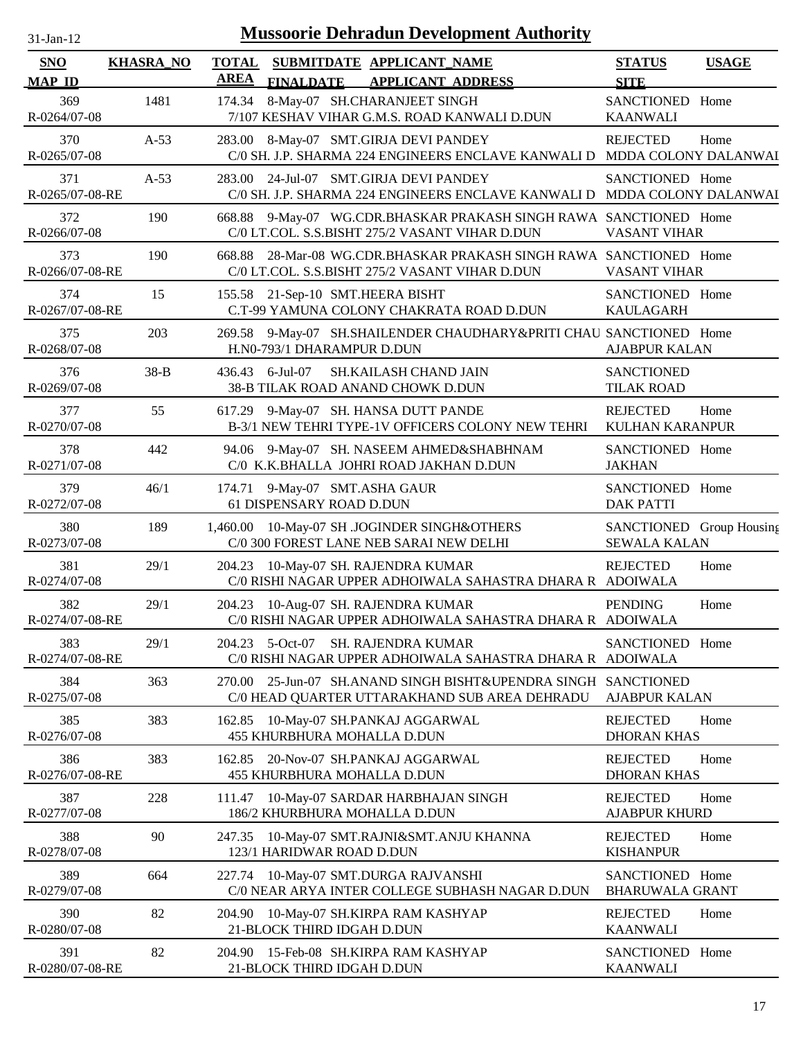| 31-Jan-12                   |                  | <b>Mussoorie Dehradun Development Authority</b>                                                                         |                                                 |              |
|-----------------------------|------------------|-------------------------------------------------------------------------------------------------------------------------|-------------------------------------------------|--------------|
| <b>SNO</b><br><b>MAP ID</b> | <b>KHASRA_NO</b> | <b>TOTAL</b><br>SUBMITDATE APPLICANT_NAME<br><b>AREA</b><br><b>FINALDATE</b><br><b>APPLICANT ADDRESS</b>                | <b>STATUS</b><br><b>SITE</b>                    | <b>USAGE</b> |
| 369<br>R-0264/07-08         | 1481             | 8-May-07 SH.CHARANJEET SINGH<br>174.34<br>7/107 KESHAV VIHAR G.M.S. ROAD KANWALI D.DUN                                  | SANCTIONED Home<br><b>KAANWALI</b>              |              |
| 370<br>R-0265/07-08         | $A-53$           | 283.00 8-May-07 SMT.GIRJA DEVI PANDEY<br>C/0 SH. J.P. SHARMA 224 ENGINEERS ENCLAVE KANWALI D MDDA COLONY DALANWAI       | <b>REJECTED</b>                                 | Home         |
| 371<br>R-0265/07-08-RE      | $A-53$           | 283.00 24-Jul-07 SMT.GIRJA DEVI PANDEY<br>C/0 SH. J.P. SHARMA 224 ENGINEERS ENCLAVE KANWALI D MDDA COLONY DALANWAI      | SANCTIONED Home                                 |              |
| 372<br>R-0266/07-08         | 190              | 668.88 9-May-07 WG.CDR.BHASKAR PRAKASH SINGH RAWA SANCTIONED Home<br>C/0 LT.COL. S.S.BISHT 275/2 VASANT VIHAR D.DUN     | <b>VASANT VIHAR</b>                             |              |
| 373<br>R-0266/07-08-RE      | 190              | 28-Mar-08 WG.CDR.BHASKAR PRAKASH SINGH RAWA SANCTIONED Home<br>668.88<br>C/0 LT.COL. S.S.BISHT 275/2 VASANT VIHAR D.DUN | VASANT VIHAR                                    |              |
| 374<br>R-0267/07-08-RE      | 15               | 155.58 21-Sep-10 SMT.HEERA BISHT<br>C.T-99 YAMUNA COLONY CHAKRATA ROAD D.DUN                                            | SANCTIONED Home<br><b>KAULAGARH</b>             |              |
| 375<br>R-0268/07-08         | 203              | 9-May-07 SH.SHAILENDER CHAUDHARY&PRITI CHAU SANCTIONED Home<br>269.58<br>H.N0-793/1 DHARAMPUR D.DUN                     | <b>AJABPUR KALAN</b>                            |              |
| 376<br>R-0269/07-08         | $38-B$           | $6$ -Jul-07<br>SH.KAILASH CHAND JAIN<br>436.43<br>38-B TILAK ROAD ANAND CHOWK D.DUN                                     | <b>SANCTIONED</b><br><b>TILAK ROAD</b>          |              |
| 377<br>R-0270/07-08         | 55               | 617.29 9-May-07 SH. HANSA DUTT PANDE<br>B-3/1 NEW TEHRI TYPE-1V OFFICERS COLONY NEW TEHRI                               | <b>REJECTED</b><br><b>KULHAN KARANPUR</b>       | Home         |
| 378<br>R-0271/07-08         | 442              | 9-May-07 SH. NASEEM AHMED&SHABHNAM<br>94.06<br>C/0 K.K.BHALLA JOHRI ROAD JAKHAN D.DUN                                   | SANCTIONED Home<br><b>JAKHAN</b>                |              |
| 379<br>R-0272/07-08         | 46/1             | 9-May-07 SMT.ASHA GAUR<br>174.71<br>61 DISPENSARY ROAD D.DUN                                                            | SANCTIONED Home<br><b>DAK PATTI</b>             |              |
| 380<br>R-0273/07-08         | 189              | 10-May-07 SH .JOGINDER SINGH&OTHERS<br>1,460.00<br>C/0 300 FOREST LANE NEB SARAI NEW DELHI                              | SANCTIONED Group Housing<br><b>SEWALA KALAN</b> |              |
| 381<br>R-0274/07-08         | 29/1             | 10-May-07 SH. RAJENDRA KUMAR<br>204.23<br>C/0 RISHI NAGAR UPPER ADHOIWALA SAHASTRA DHARA R ADOIWALA                     | <b>REJECTED</b>                                 | Home         |
| 382<br>R-0274/07-08-RE      | 29/1             | 204.23 10-Aug-07 SH. RAJENDRA KUMAR<br>C/0 RISHI NAGAR UPPER ADHOIWALA SAHASTRA DHARA R ADOIWALA                        | <b>PENDING</b>                                  | Home         |
| 383<br>R-0274/07-08-RE      | 29/1             | 204.23 5-Oct-07<br><b>SH. RAJENDRA KUMAR</b><br>C/0 RISHI NAGAR UPPER ADHOIWALA SAHASTRA DHARA R ADOIWALA               | SANCTIONED Home                                 |              |
| 384<br>R-0275/07-08         | 363              | 25-Jun-07 SH.ANAND SINGH BISHT&UPENDRA SINGH SANCTIONED<br>270.00<br>C/0 HEAD QUARTER UTTARAKHAND SUB AREA DEHRADU      | <b>AJABPUR KALAN</b>                            |              |
| 385<br>R-0276/07-08         | 383              | 10-May-07 SH.PANKAJ AGGARWAL<br>162.85<br>455 KHURBHURA MOHALLA D.DUN                                                   | <b>REJECTED</b><br><b>DHORAN KHAS</b>           | Home         |
| 386<br>R-0276/07-08-RE      | 383              | 20-Nov-07 SH.PANKAJ AGGARWAL<br>162.85<br>455 KHURBHURA MOHALLA D.DUN                                                   | <b>REJECTED</b><br><b>DHORAN KHAS</b>           | Home         |
| 387<br>R-0277/07-08         | 228              | 10-May-07 SARDAR HARBHAJAN SINGH<br>111.47<br>186/2 KHURBHURA MOHALLA D.DUN                                             | <b>REJECTED</b><br><b>AJABPUR KHURD</b>         | Home         |
| 388<br>R-0278/07-08         | 90               | 10-May-07 SMT.RAJNI&SMT.ANJU KHANNA<br>247.35<br>123/1 HARIDWAR ROAD D.DUN                                              | <b>REJECTED</b><br><b>KISHANPUR</b>             | Home         |
| 389<br>R-0279/07-08         | 664              | 10-May-07 SMT.DURGA RAJVANSHI<br>227.74<br>C/0 NEAR ARYA INTER COLLEGE SUBHASH NAGAR D.DUN                              | SANCTIONED Home<br><b>BHARUWALA GRANT</b>       |              |
| 390                         | 82               | 204.90<br>10-May-07 SH.KIRPA RAM KASHYAP                                                                                | <b>REJECTED</b>                                 | Home         |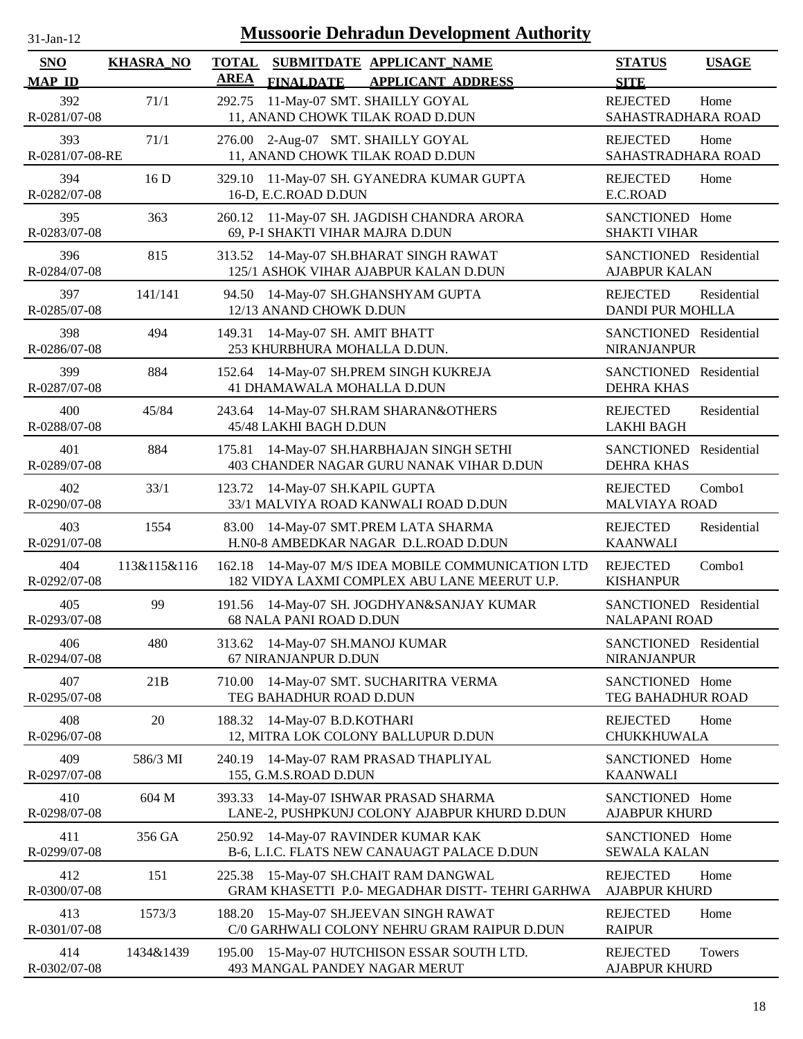| $-Jan-1$ |  |
|----------|--|
|          |  |

| SNO                    | <b>KHASRA_NO</b> | <b>TOTAL</b><br>SUBMITDATE APPLICANT_NAME                                                             | <b>STATUS</b>                                  | <b>USAGE</b> |
|------------------------|------------------|-------------------------------------------------------------------------------------------------------|------------------------------------------------|--------------|
| <b>MAP ID</b>          |                  | <b>AREA</b><br><b>FINALDATE</b><br><b>APPLICANT ADDRESS</b>                                           | <b>SITE</b>                                    |              |
| 392<br>R-0281/07-08    | 71/1             | 11-May-07 SMT. SHAILLY GOYAL<br>292.75<br>11, ANAND CHOWK TILAK ROAD D.DUN                            | <b>REJECTED</b><br>SAHASTRADHARA ROAD          | Home         |
| 393<br>R-0281/07-08-RE | 71/1             | 276.00 2-Aug-07 SMT. SHAILLY GOYAL<br>11, ANAND CHOWK TILAK ROAD D.DUN                                | <b>REJECTED</b><br>SAHASTRADHARA ROAD          | Home         |
| 394<br>R-0282/07-08    | 16D              | 329.10<br>11-May-07 SH. GYANEDRA KUMAR GUPTA<br>16-D, E.C.ROAD D.DUN                                  | <b>REJECTED</b><br>E.C.ROAD                    | Home         |
| 395<br>R-0283/07-08    | 363              | 11-May-07 SH. JAGDISH CHANDRA ARORA<br>260.12<br>69, P-I SHAKTI VIHAR MAJRA D.DUN                     | SANCTIONED Home<br><b>SHAKTI VIHAR</b>         |              |
| 396<br>R-0284/07-08    | 815              | 313.52<br>14-May-07 SH.BHARAT SINGH RAWAT<br>125/1 ASHOK VIHAR AJABPUR KALAN D.DUN                    | SANCTIONED Residential<br><b>AJABPUR KALAN</b> |              |
| 397<br>R-0285/07-08    | 141/141          | 94.50<br>14-May-07 SH.GHANSHYAM GUPTA<br>12/13 ANAND CHOWK D.DUN                                      | <b>REJECTED</b><br>DANDI PUR MOHLLA            | Residential  |
| 398<br>R-0286/07-08    | 494              | 14-May-07 SH. AMIT BHATT<br>149.31<br>253 KHURBHURA MOHALLA D.DUN.                                    | SANCTIONED Residential<br><b>NIRANJANPUR</b>   |              |
| 399<br>R-0287/07-08    | 884              | 14-May-07 SH.PREM SINGH KUKREJA<br>152.64<br>41 DHAMAWALA MOHALLA D.DUN                               | SANCTIONED Residential<br><b>DEHRA KHAS</b>    |              |
| 400<br>R-0288/07-08    | 45/84            | 14-May-07 SH.RAM SHARAN&OTHERS<br>243.64<br>45/48 LAKHI BAGH D.DUN                                    | <b>REJECTED</b><br><b>LAKHI BAGH</b>           | Residential  |
| 401<br>R-0289/07-08    | 884              | 14-May-07 SH.HARBHAJAN SINGH SETHI<br>175.81<br>403 CHANDER NAGAR GURU NANAK VIHAR D.DUN              | SANCTIONED<br><b>DEHRA KHAS</b>                | Residential  |
| 402<br>R-0290/07-08    | 33/1             | 14-May-07 SH.KAPIL GUPTA<br>123.72<br>33/1 MALVIYA ROAD KANWALI ROAD D.DUN                            | <b>REJECTED</b><br><b>MALVIAYA ROAD</b>        | Combo1       |
| 403<br>R-0291/07-08    | 1554             | 14-May-07 SMT.PREM LATA SHARMA<br>83.00<br>H.N0-8 AMBEDKAR NAGAR D.L.ROAD D.DUN                       | <b>REJECTED</b><br><b>KAANWALI</b>             | Residential  |
| 404<br>R-0292/07-08    | 113&115&116      | 14-May-07 M/S IDEA MOBILE COMMUNICATION LTD<br>162.18<br>182 VIDYA LAXMI COMPLEX ABU LANE MEERUT U.P. | <b>REJECTED</b><br><b>KISHANPUR</b>            | Combo1       |
| 405<br>R-0293/07-08    | 99               | 191.56 14-May-07 SH. JOGDHYAN&SANJAY KUMAR<br><b>68 NALA PANI ROAD D.DUN</b>                          | SANCTIONED Residential<br><b>NALAPANI ROAD</b> |              |
| 406<br>R-0294/07-08    | 480              | 313.62 14-May-07 SH.MANOJ KUMAR<br>67 NIRANJANPUR D.DUN                                               | SANCTIONED Residential<br>NIRANJANPUR          |              |
| 407<br>R-0295/07-08    | 21B              | 14-May-07 SMT. SUCHARITRA VERMA<br>710.00<br>TEG BAHADHUR ROAD D.DUN                                  | SANCTIONED Home<br>TEG BAHADHUR ROAD           |              |
| 408<br>R-0296/07-08    | 20               | 188.32<br>14-May-07 B.D.KOTHARI<br>12, MITRA LOK COLONY BALLUPUR D.DUN                                | <b>REJECTED</b><br>CHUKKHUWALA                 | Home         |
| 409<br>R-0297/07-08    | 586/3 MI         | 14-May-07 RAM PRASAD THAPLIYAL<br>240.19<br>155, G.M.S.ROAD D.DUN                                     | SANCTIONED Home<br><b>KAANWALI</b>             |              |
| 410<br>R-0298/07-08    | 604 M            | 14-May-07 ISHWAR PRASAD SHARMA<br>393.33<br>LANE-2, PUSHPKUNJ COLONY AJABPUR KHURD D.DUN              | SANCTIONED Home<br><b>AJABPUR KHURD</b>        |              |
| 411<br>R-0299/07-08    | 356 GA           | 14-May-07 RAVINDER KUMAR KAK<br>250.92<br>B-6, L.I.C. FLATS NEW CANAUAGT PALACE D.DUN                 | SANCTIONED Home<br><b>SEWALA KALAN</b>         |              |
| 412<br>R-0300/07-08    | 151              | 225.38 15-May-07 SH.CHAIT RAM DANGWAL<br>GRAM KHASETTI P.0- MEGADHAR DISTT-TEHRI GARHWA               | <b>REJECTED</b><br><b>AJABPUR KHURD</b>        | Home         |
| 413<br>R-0301/07-08    | 1573/3           | 15-May-07 SH.JEEVAN SINGH RAWAT<br>188.20<br>C/0 GARHWALI COLONY NEHRU GRAM RAIPUR D.DUN              | <b>REJECTED</b><br><b>RAIPUR</b>               | Home         |
| 414<br>R-0302/07-08    | 1434&1439        | 195.00 15-May-07 HUTCHISON ESSAR SOUTH LTD.<br>493 MANGAL PANDEY NAGAR MERUT                          | <b>REJECTED</b><br><b>AJABPUR KHURD</b>        | Towers       |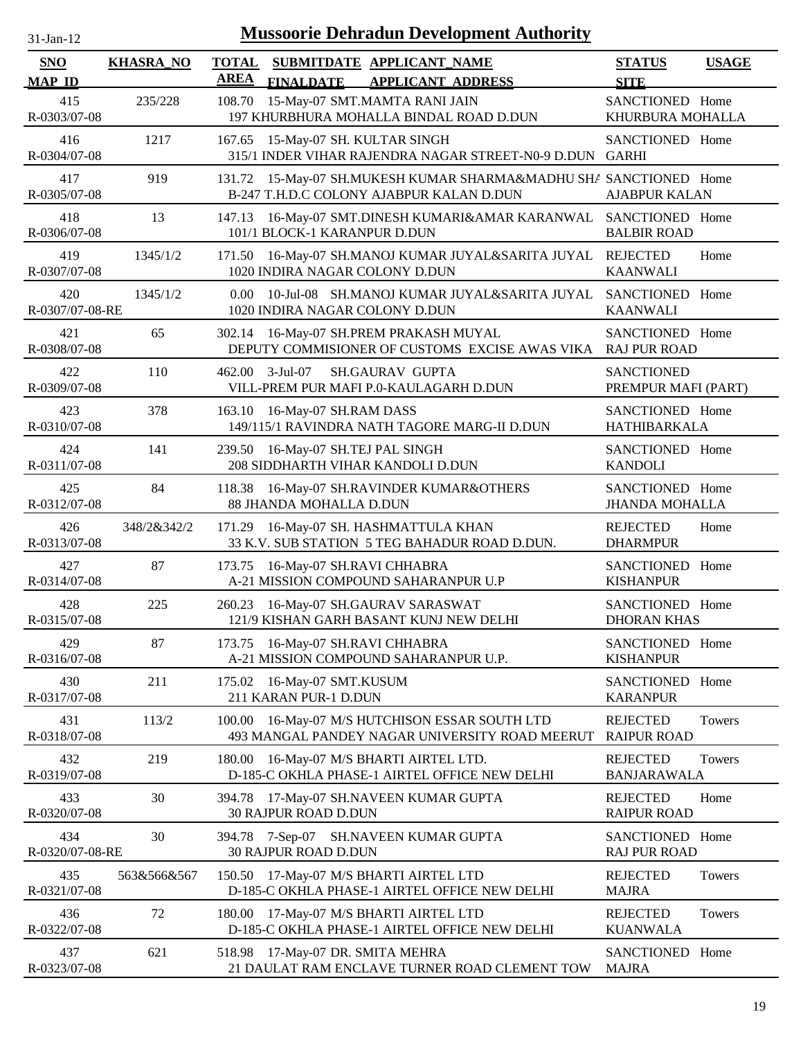| $31$ -Jan-12 |  |
|--------------|--|
|              |  |

| <b>SNO</b><br><b>MAP ID</b> | <b>KHASRA_NO</b> | <b>AREA</b>    | <b>FINALDATE</b>                                    | TOTAL SUBMITDATE APPLICANT NAME<br><b>APPLICANT ADDRESS</b>                                            | <b>STATUS</b><br><b>SITE</b>             | <b>USAGE</b> |
|-----------------------------|------------------|----------------|-----------------------------------------------------|--------------------------------------------------------------------------------------------------------|------------------------------------------|--------------|
| 415<br>R-0303/07-08         | 235/228          | 108.70         |                                                     | 15-May-07 SMT.MAMTA RANI JAIN<br>197 KHURBHURA MOHALLA BINDAL ROAD D.DUN                               | SANCTIONED Home<br>KHURBURA MOHALLA      |              |
| 416<br>R-0304/07-08         | 1217             | 167.65         | 15-May-07 SH. KULTAR SINGH                          | 315/1 INDER VIHAR RAJENDRA NAGAR STREET-N0-9 D.DUN GARHI                                               | SANCTIONED Home                          |              |
| 417<br>R-0305/07-08         | 919              | 131.72         |                                                     | 15-May-07 SH.MUKESH KUMAR SHARMA&MADHU SHA SANCTIONED Home<br>B-247 T.H.D.C COLONY AJABPUR KALAN D.DUN | <b>AJABPUR KALAN</b>                     |              |
| 418<br>R-0306/07-08         | 13               | 147.13         | 101/1 BLOCK-1 KARANPUR D.DUN                        | 16-May-07 SMT.DINESH KUMARI&AMAR KARANWAL SANCTIONED Home                                              | <b>BALBIR ROAD</b>                       |              |
| 419<br>R-0307/07-08         | 1345/1/2         | 171.50         | 1020 INDIRA NAGAR COLONY D.DUN                      | 16-May-07 SH.MANOJ KUMAR JUYAL&SARITA JUYAL                                                            | <b>REJECTED</b><br><b>KAANWALI</b>       | Home         |
| 420<br>R-0307/07-08-RE      | 1345/1/2         | $0.00^{\circ}$ | 1020 INDIRA NAGAR COLONY D.DUN                      | 10-Jul-08 SH.MANOJ KUMAR JUYAL&SARITA JUYAL                                                            | SANCTIONED Home<br><b>KAANWALI</b>       |              |
| 421<br>R-0308/07-08         | 65               | 302.14         |                                                     | 16-May-07 SH.PREM PRAKASH MUYAL<br>DEPUTY COMMISIONER OF CUSTOMS EXCISE AWAS VIKA                      | SANCTIONED Home<br><b>RAJ PUR ROAD</b>   |              |
| 422<br>R-0309/07-08         | 110              |                | 462.00 3-Jul-07                                     | <b>SH.GAURAV GUPTA</b><br>VILL-PREM PUR MAFI P.0-KAULAGARH D.DUN                                       | <b>SANCTIONED</b><br>PREMPUR MAFI (PART) |              |
| 423<br>R-0310/07-08         | 378              | 163.10         | 16-May-07 SH.RAM DASS                               | 149/115/1 RAVINDRA NATH TAGORE MARG-II D.DUN                                                           | SANCTIONED Home<br><b>HATHIBARKALA</b>   |              |
| 424<br>R-0311/07-08         | 141              | 239.50         | 16-May-07 SH.TEJ PAL SINGH                          | 208 SIDDHARTH VIHAR KANDOLI D.DUN                                                                      | SANCTIONED Home<br><b>KANDOLI</b>        |              |
| 425<br>R-0312/07-08         | 84               |                | 88 JHANDA MOHALLA D.DUN                             | 118.38 16-May-07 SH.RAVINDER KUMAR&OTHERS                                                              | SANCTIONED Home<br><b>JHANDA MOHALLA</b> |              |
| 426<br>R-0313/07-08         | 348/2&342/2      | 171.29         |                                                     | 16-May-07 SH. HASHMATTULA KHAN<br>33 K.V. SUB STATION 5 TEG BAHADUR ROAD D.DUN.                        | <b>REJECTED</b><br><b>DHARMPUR</b>       | Home         |
| 427<br>R-0314/07-08         | 87               | 173.75         | 16-May-07 SH.RAVI CHHABRA                           | A-21 MISSION COMPOUND SAHARANPUR U.P                                                                   | SANCTIONED Home<br><b>KISHANPUR</b>      |              |
| 428<br>R-0315/07-08         | 225              | 260.23         |                                                     | 16-May-07 SH.GAURAV SARASWAT<br>121/9 KISHAN GARH BASANT KUNJ NEW DELHI                                | SANCTIONED Home<br><b>DHORAN KHAS</b>    |              |
| 429<br>R-0316/07-08         | 87               |                | 173.75 16-May-07 SH.RAVI CHHABRA                    | A-21 MISSION COMPOUND SAHARANPUR U.P.                                                                  | <b>SANCTIONED</b><br><b>KISHANPUR</b>    | Home         |
| 430<br>R-0317/07-08         | 211              |                | 175.02 16-May-07 SMT.KUSUM<br>211 KARAN PUR-1 D.DUN |                                                                                                        | SANCTIONED Home<br><b>KARANPUR</b>       |              |
| 431<br>R-0318/07-08         | 113/2            | 100.00         |                                                     | 16-May-07 M/S HUTCHISON ESSAR SOUTH LTD<br>493 MANGAL PANDEY NAGAR UNIVERSITY ROAD MEERUT              | <b>REJECTED</b><br><b>RAIPUR ROAD</b>    | Towers       |
| 432<br>R-0319/07-08         | 219              | 180.00         |                                                     | 16-May-07 M/S BHARTI AIRTEL LTD.<br>D-185-C OKHLA PHASE-1 AIRTEL OFFICE NEW DELHI                      | <b>REJECTED</b><br><b>BANJARAWALA</b>    | Towers       |
| 433<br>R-0320/07-08         | 30               | 394.78         | <b>30 RAJPUR ROAD D.DUN</b>                         | 17-May-07 SH.NAVEEN KUMAR GUPTA                                                                        | <b>REJECTED</b><br><b>RAIPUR ROAD</b>    | Home         |
| 434<br>R-0320/07-08-RE      | 30               |                | <b>30 RAJPUR ROAD D.DUN</b>                         | 394.78 7-Sep-07 SH.NAVEEN KUMAR GUPTA                                                                  | SANCTIONED Home<br><b>RAJ PUR ROAD</b>   |              |
| 435<br>R-0321/07-08         | 563&566&567      |                |                                                     | 150.50 17-May-07 M/S BHARTI AIRTEL LTD<br>D-185-C OKHLA PHASE-1 AIRTEL OFFICE NEW DELHI                | <b>REJECTED</b><br><b>MAJRA</b>          | Towers       |
| 436<br>R-0322/07-08         | 72               | 180.00         |                                                     | 17-May-07 M/S BHARTI AIRTEL LTD<br>D-185-C OKHLA PHASE-1 AIRTEL OFFICE NEW DELHI                       | <b>REJECTED</b><br><b>KUANWALA</b>       | Towers       |
| 437<br>R-0323/07-08         | 621              |                | 518.98 17-May-07 DR. SMITA MEHRA                    | 21 DAULAT RAM ENCLAVE TURNER ROAD CLEMENT TOW                                                          | SANCTIONED Home<br><b>MAJRA</b>          |              |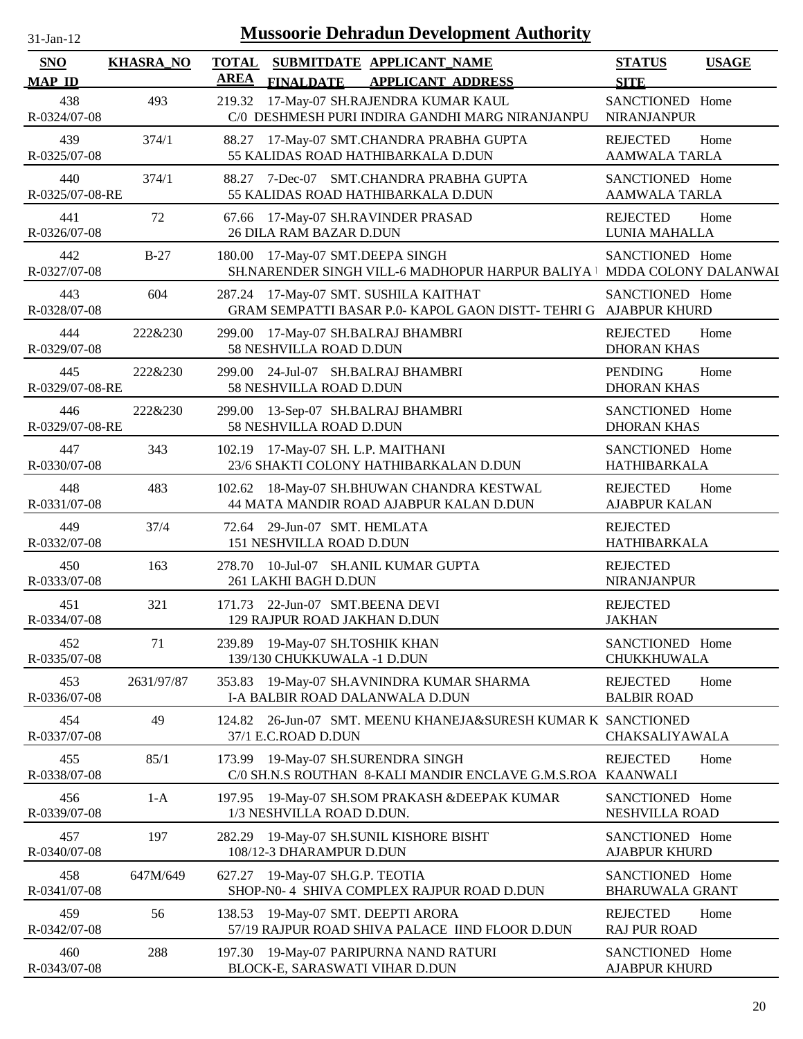| $31$ -Jan-12 |  |
|--------------|--|

| SNO                    | <b>KHASRA_NO</b> | <b>TOTAL</b> |                                                                 | SUBMITDATE APPLICANT_NAME                                                                                 | <b>STATUS</b>                             | <b>USAGE</b> |
|------------------------|------------------|--------------|-----------------------------------------------------------------|-----------------------------------------------------------------------------------------------------------|-------------------------------------------|--------------|
| <b>MAP ID</b>          |                  | AREA         | <b>FINALDATE</b>                                                | <b>APPLICANT ADDRESS</b>                                                                                  | <b>SITE</b>                               |              |
| 438<br>R-0324/07-08    | 493              |              |                                                                 | 219.32 17-May-07 SH.RAJENDRA KUMAR KAUL<br>C/0 DESHMESH PURI INDIRA GANDHI MARG NIRANJANPU                | SANCTIONED Home<br><b>NIRANJANPUR</b>     |              |
| 439<br>R-0325/07-08    | 374/1            |              |                                                                 | 88.27 17-May-07 SMT.CHANDRA PRABHA GUPTA<br>55 KALIDAS ROAD HATHIBARKALA D.DUN                            | <b>REJECTED</b><br><b>AAMWALA TARLA</b>   | Home         |
| 440<br>R-0325/07-08-RE | 374/1            |              |                                                                 | 88.27 7-Dec-07 SMT.CHANDRA PRABHA GUPTA<br>55 KALIDAS ROAD HATHIBARKALA D.DUN                             | SANCTIONED Home<br><b>AAMWALA TARLA</b>   |              |
| 441<br>R-0326/07-08    | 72               |              | <b>26 DILA RAM BAZAR D.DUN</b>                                  | 67.66 17-May-07 SH.RAVINDER PRASAD                                                                        | <b>REJECTED</b><br>LUNIA MAHALLA          | Home         |
| 442<br>R-0327/07-08    | $B-27$           | 180.00       | 17-May-07 SMT.DEEPA SINGH                                       | SH.NARENDER SINGH VILL-6 MADHOPUR HARPUR BALIYA   MDDA COLONY DALANWAI                                    | SANCTIONED Home                           |              |
| 443<br>R-0328/07-08    | 604              |              |                                                                 | 287.24 17-May-07 SMT. SUSHILA KAITHAT<br>GRAM SEMPATTI BASAR P.0- KAPOL GAON DISTT- TEHRI G AJABPUR KHURD | SANCTIONED Home                           |              |
| 444<br>R-0329/07-08    | 222&230          |              | 299.00 17-May-07 SH.BALRAJ BHAMBRI<br>58 NESHVILLA ROAD D.DUN   |                                                                                                           | <b>REJECTED</b><br><b>DHORAN KHAS</b>     | Home         |
| 445<br>R-0329/07-08-RE | 222&230          |              | 299.00 24-Jul-07 SH.BALRAJ BHAMBRI<br>58 NESHVILLA ROAD D.DUN   |                                                                                                           | <b>PENDING</b><br><b>DHORAN KHAS</b>      | Home         |
| 446<br>R-0329/07-08-RE | 222&230          |              | 299.00 13-Sep-07 SH.BALRAJ BHAMBRI<br>58 NESHVILLA ROAD D.DUN   |                                                                                                           | SANCTIONED Home<br><b>DHORAN KHAS</b>     |              |
| 447<br>R-0330/07-08    | 343              |              | 102.19 17-May-07 SH. L.P. MAITHANI                              | 23/6 SHAKTI COLONY HATHIBARKALAN D.DUN                                                                    | SANCTIONED Home<br><b>HATHIBARKALA</b>    |              |
| 448<br>R-0331/07-08    | 483              |              |                                                                 | 102.62 18-May-07 SH.BHUWAN CHANDRA KESTWAL<br>44 MATA MANDIR ROAD AJABPUR KALAN D.DUN                     | <b>REJECTED</b><br><b>AJABPUR KALAN</b>   | Home         |
| 449<br>R-0332/07-08    | 37/4             |              | 72.64 29-Jun-07 SMT. HEMLATA<br>151 NESHVILLA ROAD D.DUN        |                                                                                                           | <b>REJECTED</b><br><b>HATHIBARKALA</b>    |              |
| 450<br>R-0333/07-08    | 163              |              | 261 LAKHI BAGH D.DUN                                            | 278.70 10-Jul-07 SH.ANIL KUMAR GUPTA                                                                      | <b>REJECTED</b><br><b>NIRANJANPUR</b>     |              |
| 451<br>R-0334/07-08    | 321              |              | 171.73 22-Jun-07 SMT.BEENA DEVI<br>129 RAJPUR ROAD JAKHAN D.DUN |                                                                                                           | <b>REJECTED</b><br><b>JAKHAN</b>          |              |
| 452<br>R-0335/07-08    | 71               |              | 239.89 19-May-07 SH.TOSHIK KHAN<br>139/130 CHUKKUWALA -1 D.DUN  |                                                                                                           | SANCTIONED Home<br>CHUKKHUWALA            |              |
| 453<br>R-0336/07-08    | 2631/97/87       | 353.83       |                                                                 | 19-May-07 SH.AVNINDRA KUMAR SHARMA<br>I-A BALBIR ROAD DALANWALA D.DUN                                     | <b>REJECTED</b><br><b>BALBIR ROAD</b>     | Home         |
| 454<br>R-0337/07-08    | 49               | 124.82       | 37/1 E.C.ROAD D.DUN                                             | 26-Jun-07 SMT. MEENU KHANEJA&SURESH KUMAR K SANCTIONED                                                    | CHAKSALIYAWALA                            |              |
| 455<br>R-0338/07-08    | 85/1             | 173.99       | 19-May-07 SH.SURENDRA SINGH                                     | C/0 SH.N.S ROUTHAN 8-KALI MANDIR ENCLAVE G.M.S.ROA KAANWALI                                               | <b>REJECTED</b>                           | Home         |
| 456<br>R-0339/07-08    | $1-A$            |              | 1/3 NESHVILLA ROAD D.DUN.                                       | 197.95 19-May-07 SH.SOM PRAKASH & DEEPAK KUMAR                                                            | SANCTIONED Home<br>NESHVILLA ROAD         |              |
| 457<br>R-0340/07-08    | 197              | 282.29       | 108/12-3 DHARAMPUR D.DUN                                        | 19-May-07 SH.SUNIL KISHORE BISHT                                                                          | SANCTIONED Home<br><b>AJABPUR KHURD</b>   |              |
| 458<br>R-0341/07-08    | 647M/649         | 627.27       | 19-May-07 SH.G.P. TEOTIA                                        | SHOP-N0-4 SHIVA COMPLEX RAJPUR ROAD D.DUN                                                                 | SANCTIONED Home<br><b>BHARUWALA GRANT</b> |              |
| 459<br>R-0342/07-08    | 56               | 138.53       | 19-May-07 SMT. DEEPTI ARORA                                     | 57/19 RAJPUR ROAD SHIVA PALACE IIND FLOOR D.DUN                                                           | <b>REJECTED</b><br><b>RAJ PUR ROAD</b>    | Home         |
| 460<br>R-0343/07-08    | 288              |              | BLOCK-E, SARASWATI VIHAR D.DUN                                  | 197.30 19-May-07 PARIPURNA NAND RATURI                                                                    | SANCTIONED Home<br><b>AJABPUR KHURD</b>   |              |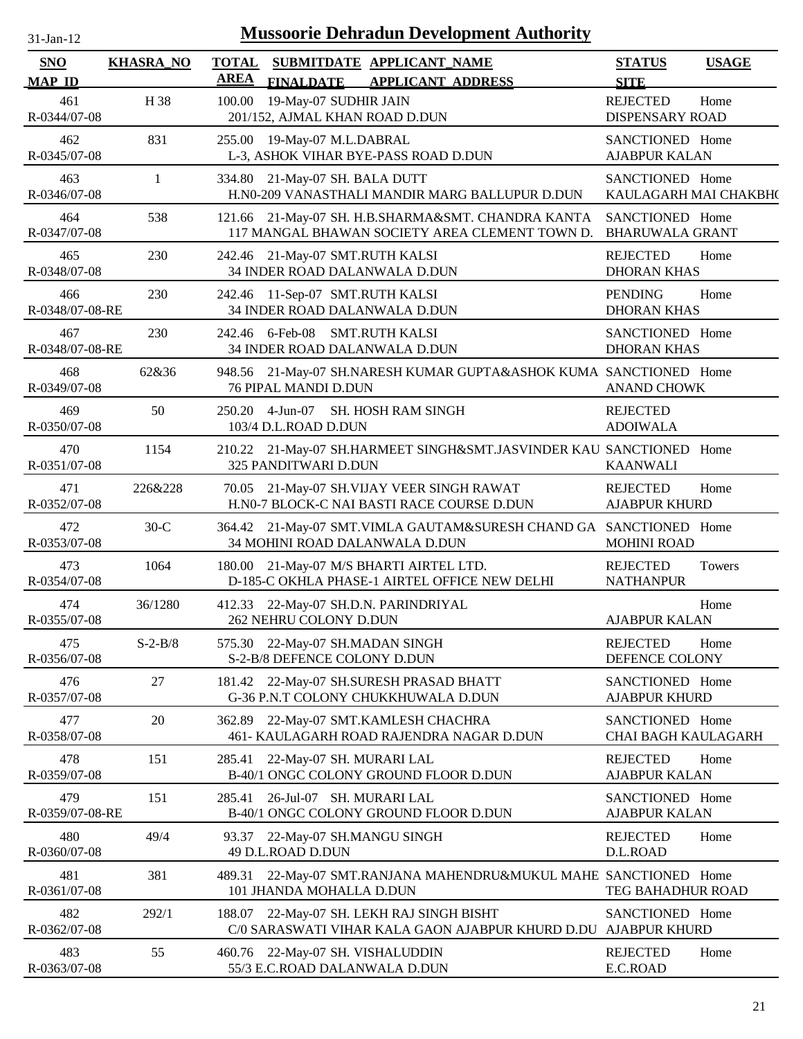| $31$ -Jan- $12$        |                  | <b>Mussoorie Dehradun Development Authority</b>                                                      |                                               |              |
|------------------------|------------------|------------------------------------------------------------------------------------------------------|-----------------------------------------------|--------------|
| SNO<br><b>MAP ID</b>   | <b>KHASRA_NO</b> | TOTAL SUBMITDATE APPLICANT_NAME<br><b>AREA</b><br><b>FINALDATE</b><br><b>APPLICANT ADDRESS</b>       | <b>STATUS</b><br><b>SITE</b>                  | <b>USAGE</b> |
| 461<br>R-0344/07-08    | H 38             | 19-May-07 SUDHIR JAIN<br>100.00<br>201/152, AJMAL KHAN ROAD D.DUN                                    | <b>REJECTED</b><br>DISPENSARY ROAD            | Home         |
| 462<br>R-0345/07-08    | 831              | 255.00 19-May-07 M.L.DABRAL<br>L-3, ASHOK VIHAR BYE-PASS ROAD D.DUN                                  | SANCTIONED Home<br><b>AJABPUR KALAN</b>       |              |
| 463<br>R-0346/07-08    | $\mathbf{1}$     | 334.80 21-May-07 SH. BALA DUTT<br>H.N0-209 VANASTHALI MANDIR MARG BALLUPUR D.DUN                     | SANCTIONED Home<br>KAULAGARH MAI CHAKBH(      |              |
| 464<br>R-0347/07-08    | 538              | 121.66 21-May-07 SH. H.B.SHARMA&SMT. CHANDRA KANTA<br>117 MANGAL BHAWAN SOCIETY AREA CLEMENT TOWN D. | SANCTIONED Home<br><b>BHARUWALA GRANT</b>     |              |
| 465<br>R-0348/07-08    | 230              | 242.46 21-May-07 SMT.RUTH KALSI<br>34 INDER ROAD DALANWALA D.DUN                                     | <b>REJECTED</b><br><b>DHORAN KHAS</b>         | Home         |
| 466<br>R-0348/07-08-RE | 230              | 11-Sep-07 SMT.RUTH KALSI<br>242.46<br>34 INDER ROAD DALANWALA D.DUN                                  | <b>PENDING</b><br><b>DHORAN KHAS</b>          | Home         |
| 467<br>R-0348/07-08-RE | 230              | 242.46 6-Feb-08 SMT.RUTH KALSI<br>34 INDER ROAD DALANWALA D.DUN                                      | SANCTIONED Home<br><b>DHORAN KHAS</b>         |              |
| 468<br>R-0349/07-08    | 62&36            | 948.56 21-May-07 SH.NARESH KUMAR GUPTA&ASHOK KUMA SANCTIONED Home<br><b>76 PIPAL MANDI D.DUN</b>     | ANAND CHOWK                                   |              |
| 469<br>R-0350/07-08    | 50               | 250.20 4-Jun-07 SH. HOSH RAM SINGH<br>103/4 D.L.ROAD D.DUN                                           | <b>REJECTED</b><br><b>ADOIWALA</b>            |              |
| 470<br>R-0351/07-08    | 1154             | 210.22 21-May-07 SH.HARMEET SINGH&SMT.JASVINDER KAU SANCTIONED Home<br>325 PANDITWARI D.DUN          | <b>KAANWALI</b>                               |              |
| 471<br>R-0352/07-08    | 226&228          | 21-May-07 SH.VIJAY VEER SINGH RAWAT<br>70.05<br>H.N0-7 BLOCK-C NAI BASTI RACE COURSE D.DUN           | <b>REJECTED</b><br><b>AJABPUR KHURD</b>       | Home         |
| 472<br>R-0353/07-08    | $30-C$           | 364.42 21-May-07 SMT. VIMLA GAUTAM&SURESH CHAND GA SANCTIONED Home<br>34 MOHINI ROAD DALANWALA D.DUN | <b>MOHINI ROAD</b>                            |              |
| 473<br>R-0354/07-08    | 1064             | 180.00 21-May-07 M/S BHARTI AIRTEL LTD.<br>D-185-C OKHLA PHASE-1 AIRTEL OFFICE NEW DELHI             | <b>REJECTED</b><br><b>NATHANPUR</b>           | Towers       |
| 474<br>R-0355/07-08    | 36/1280          | 412.33 22-May-07 SH.D.N. PARINDRIYAL<br>262 NEHRU COLONY D.DUN                                       | <b>AJABPUR KALAN</b>                          | Home         |
| 475<br>R-0356/07-08    | $S-2-B/8$        | 575.30 22-May-07 SH.MADAN SINGH<br>S-2-B/8 DEFENCE COLONY D.DUN                                      | <b>REJECTED</b><br>DEFENCE COLONY             | Home         |
| 476<br>R-0357/07-08    | 27               | 22-May-07 SH.SURESH PRASAD BHATT<br>181.42<br>G-36 P.N.T COLONY CHUKKHUWALA D.DUN                    | SANCTIONED Home<br><b>AJABPUR KHURD</b>       |              |
| 477<br>R-0358/07-08    | 20               | 22-May-07 SMT.KAMLESH CHACHRA<br>362.89<br>461- KAULAGARH ROAD RAJENDRA NAGAR D.DUN                  | SANCTIONED Home<br><b>CHAI BAGH KAULAGARH</b> |              |
| 478<br>R-0359/07-08    | 151              | 285.41<br>22-May-07 SH. MURARI LAL<br>B-40/1 ONGC COLONY GROUND FLOOR D.DUN                          | <b>REJECTED</b><br><b>AJABPUR KALAN</b>       | Home         |
| 479<br>R-0359/07-08-RE | 151              | 26-Jul-07 SH. MURARI LAL<br>285.41<br>B-40/1 ONGC COLONY GROUND FLOOR D.DUN                          | SANCTIONED Home<br><b>AJABPUR KALAN</b>       |              |
| 480<br>R-0360/07-08    | 49/4             | 93.37 22-May-07 SH.MANGU SINGH<br>49 D.L.ROAD D.DUN                                                  | <b>REJECTED</b><br>D.L.ROAD                   | Home         |
| 481<br>R-0361/07-08    | 381              | 22-May-07 SMT.RANJANA MAHENDRU&MUKUL MAHE SANCTIONED Home<br>489.31<br>101 JHANDA MOHALLA D.DUN      | TEG BAHADHUR ROAD                             |              |
| 482<br>R-0362/07-08    | 292/1            | 188.07 22-May-07 SH. LEKH RAJ SINGH BISHT<br>C/0 SARASWATI VIHAR KALA GAON AJABPUR KHURD D.DU        | SANCTIONED Home<br><b>AJABPUR KHURD</b>       |              |
| 483<br>R-0363/07-08    | 55               | 460.76 22-May-07 SH. VISHALUDDIN<br>55/3 E.C.ROAD DALANWALA D.DUN                                    | <b>REJECTED</b><br>E.C.ROAD                   | Home         |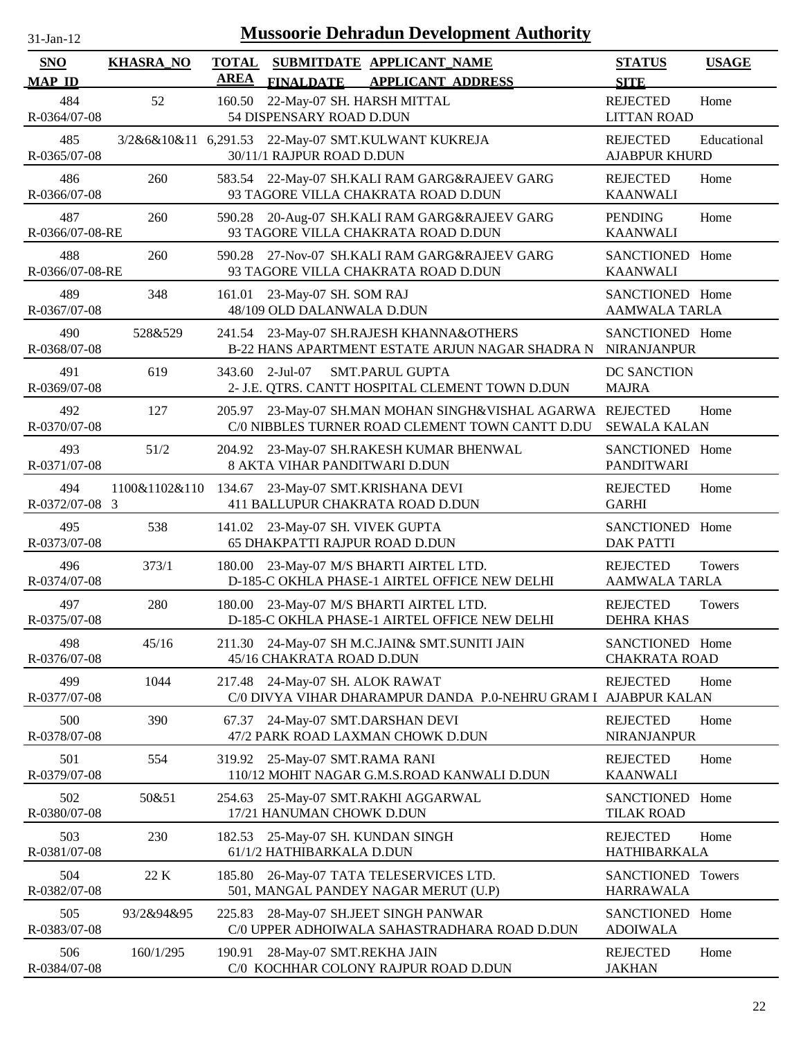| n, | t-Jan-T |  |
|----|---------|--|
|    |         |  |

| <b>SNO</b>             | <b>KHASRA_NO</b> | <b>TOTAL</b> |                                                     | SUBMITDATE APPLICANT_NAME                                                                |                                                                                                        | <b>STATUS</b>                           | <b>USAGE</b>  |
|------------------------|------------------|--------------|-----------------------------------------------------|------------------------------------------------------------------------------------------|--------------------------------------------------------------------------------------------------------|-----------------------------------------|---------------|
| <b>MAP ID</b>          |                  | <b>AREA</b>  | <b>FINALDATE</b>                                    | <b>APPLICANT ADDRESS</b>                                                                 |                                                                                                        | <b>SITE</b>                             |               |
| 484<br>R-0364/07-08    | 52               | 160.50       | 54 DISPENSARY ROAD D.DUN                            | 22-May-07 SH. HARSH MITTAL                                                               |                                                                                                        | <b>REJECTED</b><br><b>LITTAN ROAD</b>   | Home          |
| 485<br>R-0365/07-08    |                  |              | 30/11/1 RAJPUR ROAD D.DUN                           | 3/2&6&10&11 6,291.53 22-May-07 SMT.KULWANT KUKREJA                                       |                                                                                                        | <b>REJECTED</b><br><b>AJABPUR KHURD</b> | Educational   |
| 486<br>R-0366/07-08    | 260              | 583.54       |                                                     | 22-May-07 SH.KALI RAM GARG&RAJEEV GARG<br>93 TAGORE VILLA CHAKRATA ROAD D.DUN            |                                                                                                        | <b>REJECTED</b><br><b>KAANWALI</b>      | Home          |
| 487<br>R-0366/07-08-RE | 260              | 590.28       |                                                     | 20-Aug-07 SH.KALI RAM GARG&RAJEEV GARG<br>93 TAGORE VILLA CHAKRATA ROAD D.DUN            |                                                                                                        | <b>PENDING</b><br><b>KAANWALI</b>       | Home          |
| 488<br>R-0366/07-08-RE | 260              | 590.28       |                                                     | 27-Nov-07 SH.KALI RAM GARG&RAJEEV GARG<br>93 TAGORE VILLA CHAKRATA ROAD D.DUN            |                                                                                                        | SANCTIONED Home<br><b>KAANWALI</b>      |               |
| 489<br>R-0367/07-08    | 348              | 161.01       | 23-May-07 SH. SOM RAJ<br>48/109 OLD DALANWALA D.DUN |                                                                                          |                                                                                                        | SANCTIONED Home<br><b>AAMWALA TARLA</b> |               |
| 490<br>R-0368/07-08    | 528&529          |              |                                                     | 241.54 23-May-07 SH.RAJESH KHANNA&OTHERS                                                 | B-22 HANS APARTMENT ESTATE ARJUN NAGAR SHADRA N                                                        | SANCTIONED Home<br><b>NIRANJANPUR</b>   |               |
| 491<br>R-0369/07-08    | 619              | 343.60       | 2-Jul-07                                            | <b>SMT.PARUL GUPTA</b><br>2- J.E. QTRS. CANTT HOSPITAL CLEMENT TOWN D.DUN                |                                                                                                        | DC SANCTION<br><b>MAJRA</b>             |               |
| 492<br>R-0370/07-08    | 127              | 205.97       |                                                     |                                                                                          | 23-May-07 SH.MAN MOHAN SINGH&VISHAL AGARWA REJECTED<br>C/0 NIBBLES TURNER ROAD CLEMENT TOWN CANTT D.DU | <b>SEWALA KALAN</b>                     | Home          |
| 493<br>R-0371/07-08    | 51/2             |              |                                                     | 204.92 23-May-07 SH.RAKESH KUMAR BHENWAL<br>8 AKTA VIHAR PANDITWARI D.DUN                |                                                                                                        | SANCTIONED Home<br><b>PANDITWARI</b>    |               |
| 494<br>R-0372/07-08 3  | 1100&1102&110    |              |                                                     | 134.67 23-May-07 SMT.KRISHANA DEVI<br>411 BALLUPUR CHAKRATA ROAD D.DUN                   |                                                                                                        | <b>REJECTED</b><br><b>GARHI</b>         | Home          |
| 495<br>R-0373/07-08    | 538              |              | 141.02 23-May-07 SH. VIVEK GUPTA                    | <b>65 DHAKPATTI RAJPUR ROAD D.DUN</b>                                                    |                                                                                                        | SANCTIONED Home<br><b>DAK PATTI</b>     |               |
| 496<br>R-0374/07-08    | 373/1            |              |                                                     | 180.00 23-May-07 M/S BHARTI AIRTEL LTD.<br>D-185-C OKHLA PHASE-1 AIRTEL OFFICE NEW DELHI |                                                                                                        | <b>REJECTED</b><br><b>AAMWALA TARLA</b> | <b>Towers</b> |
| 497<br>R-0375/07-08    | 280              | 180.00       |                                                     | 23-May-07 M/S BHARTI AIRTEL LTD.<br>D-185-C OKHLA PHASE-1 AIRTEL OFFICE NEW DELHI        |                                                                                                        | <b>REJECTED</b><br><b>DEHRA KHAS</b>    | Towers        |
| 498<br>R-0376/07-08    | 45/16            |              | 45/16 CHAKRATA ROAD D.DUN                           | 211.30 24-May-07 SH M.C.JAIN& SMT.SUNITI JAIN                                            |                                                                                                        | SANCTIONED Home<br><b>CHAKRATA ROAD</b> |               |
| 499<br>R-0377/07-08    | 1044             | 217.48       | 24-May-07 SH. ALOK RAWAT                            |                                                                                          | C/0 DIVYA VIHAR DHARAMPUR DANDA P.0-NEHRU GRAM I                                                       | <b>REJECTED</b><br><b>AJABPUR KALAN</b> | Home          |
| 500<br>R-0378/07-08    | 390              | 67.37        |                                                     | 24-May-07 SMT.DARSHAN DEVI<br>47/2 PARK ROAD LAXMAN CHOWK D.DUN                          |                                                                                                        | <b>REJECTED</b><br><b>NIRANJANPUR</b>   | Home          |
| 501<br>R-0379/07-08    | 554              | 319.92       | 25-May-07 SMT.RAMA RANI                             | 110/12 MOHIT NAGAR G.M.S.ROAD KANWALI D.DUN                                              |                                                                                                        | <b>REJECTED</b><br><b>KAANWALI</b>      | Home          |
| 502<br>R-0380/07-08    | 50&51            | 254.63       | 17/21 HANUMAN CHOWK D.DUN                           | 25-May-07 SMT.RAKHI AGGARWAL                                                             |                                                                                                        | <b>SANCTIONED</b><br><b>TILAK ROAD</b>  | Home          |
| 503<br>R-0381/07-08    | 230              | 182.53       | 61/1/2 HATHIBARKALA D.DUN                           | 25-May-07 SH. KUNDAN SINGH                                                               |                                                                                                        | <b>REJECTED</b><br><b>HATHIBARKALA</b>  | Home          |
| 504<br>R-0382/07-08    | 22 K             | 185.80       |                                                     | 26-May-07 TATA TELESERVICES LTD.<br>501, MANGAL PANDEY NAGAR MERUT (U.P)                 |                                                                                                        | <b>SANCTIONED</b><br><b>HARRAWALA</b>   | <b>Towers</b> |
| 505<br>R-0383/07-08    | 93/2&94&95       | 225.83       |                                                     | 28-May-07 SH.JEET SINGH PANWAR                                                           | C/0 UPPER ADHOIWALA SAHASTRADHARA ROAD D.DUN                                                           | SANCTIONED Home<br><b>ADOIWALA</b>      |               |
| 506<br>R-0384/07-08    | 160/1/295        | 190.91       | 28-May-07 SMT.REKHA JAIN                            | C/0 KOCHHAR COLONY RAJPUR ROAD D.DUN                                                     |                                                                                                        | <b>REJECTED</b><br><b>JAKHAN</b>        | Home          |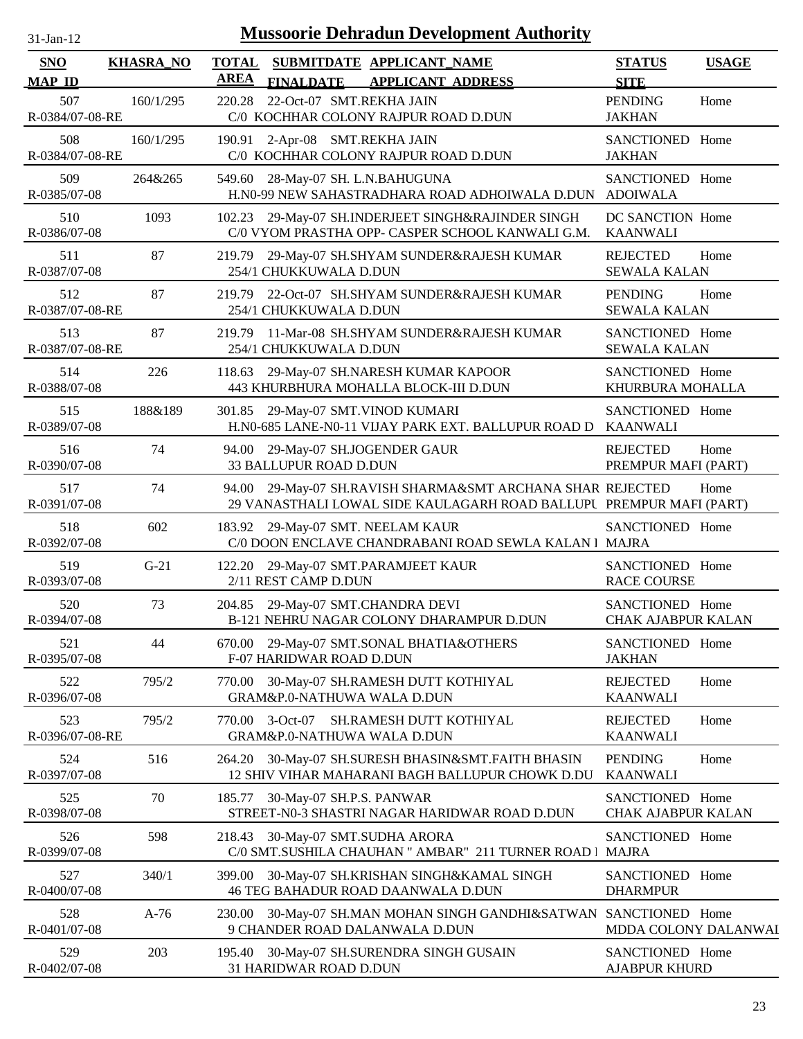| $31$ -Jan-12 |  |
|--------------|--|

| SNO                                     | <b>KHASRA_NO</b> | <b>TOTAL</b><br>SUBMITDATE APPLICANT_NAME                                                                                                 | <b>STATUS</b><br><b>USAGE</b>                          |
|-----------------------------------------|------------------|-------------------------------------------------------------------------------------------------------------------------------------------|--------------------------------------------------------|
| <b>MAP ID</b><br>507<br>R-0384/07-08-RE | 160/1/295        | <b>AREA</b><br><b>FINALDATE</b><br><b>APPLICANT ADDRESS</b><br>22-Oct-07 SMT.REKHA JAIN<br>220.28<br>C/0 KOCHHAR COLONY RAJPUR ROAD D.DUN | <b>SITE</b><br><b>PENDING</b><br>Home<br><b>JAKHAN</b> |
| 508<br>R-0384/07-08-RE                  | 160/1/295        | 190.91 2-Apr-08 SMT.REKHA JAIN<br>C/0 KOCHHAR COLONY RAJPUR ROAD D.DUN                                                                    | SANCTIONED Home<br><b>JAKHAN</b>                       |
| 509<br>R-0385/07-08                     | 264&265          | 549.60<br>28-May-07 SH. L.N.BAHUGUNA<br>H.N0-99 NEW SAHASTRADHARA ROAD ADHOIWALA D.DUN                                                    | SANCTIONED Home<br><b>ADOIWALA</b>                     |
| 510<br>R-0386/07-08                     | 1093             | 29-May-07 SH.INDERJEET SINGH&RAJINDER SINGH<br>102.23<br>C/0 VYOM PRASTHA OPP- CASPER SCHOOL KANWALI G.M.                                 | DC SANCTION Home<br><b>KAANWALI</b>                    |
| 511<br>R-0387/07-08                     | 87               | 219.79<br>29-May-07 SH.SHYAM SUNDER&RAJESH KUMAR<br>254/1 CHUKKUWALA D.DUN                                                                | <b>REJECTED</b><br>Home<br><b>SEWALA KALAN</b>         |
| 512<br>R-0387/07-08-RE                  | 87               | 22-Oct-07 SH.SHYAM SUNDER&RAJESH KUMAR<br>219.79<br>254/1 CHUKKUWALA D.DUN                                                                | <b>PENDING</b><br>Home<br><b>SEWALA KALAN</b>          |
| 513<br>R-0387/07-08-RE                  | 87               | 11-Mar-08 SH.SHYAM SUNDER&RAJESH KUMAR<br>219.79<br>254/1 CHUKKUWALA D.DUN                                                                | SANCTIONED Home<br><b>SEWALA KALAN</b>                 |
| 514<br>R-0388/07-08                     | 226              | 29-May-07 SH.NARESH KUMAR KAPOOR<br>118.63<br>443 KHURBHURA MOHALLA BLOCK-III D.DUN                                                       | SANCTIONED Home<br>KHURBURA MOHALLA                    |
| 515<br>R-0389/07-08                     | 188&189          | 301.85<br>29-May-07 SMT.VINOD KUMARI<br>H.N0-685 LANE-N0-11 VIJAY PARK EXT. BALLUPUR ROAD D                                               | SANCTIONED Home<br><b>KAANWALI</b>                     |
| 516<br>R-0390/07-08                     | 74               | 94.00 29-May-07 SH.JOGENDER GAUR<br>33 BALLUPUR ROAD D.DUN                                                                                | <b>REJECTED</b><br>Home<br>PREMPUR MAFI (PART)         |
| 517<br>R-0391/07-08                     | 74               | 94.00 29-May-07 SH.RAVISH SHARMA&SMT ARCHANA SHAR REJECTED<br>29 VANASTHALI LOWAL SIDE KAULAGARH ROAD BALLUPU PREMPUR MAFI (PART)         | Home                                                   |
| 518<br>R-0392/07-08                     | 602              | 183.92 29-May-07 SMT. NEELAM KAUR<br>C/0 DOON ENCLAVE CHANDRABANI ROAD SEWLA KALAN   MAJRA                                                | SANCTIONED Home                                        |
| 519<br>R-0393/07-08                     | $G-21$           | 122.20 29-May-07 SMT.PARAMJEET KAUR<br>2/11 REST CAMP D.DUN                                                                               | SANCTIONED Home<br><b>RACE COURSE</b>                  |
| 520<br>R-0394/07-08                     | 73               | 204.85 29-May-07 SMT.CHANDRA DEVI<br><b>B-121 NEHRU NAGAR COLONY DHARAMPUR D.DUN</b>                                                      | SANCTIONED Home<br><b>CHAK AJABPUR KALAN</b>           |
| 521<br>R-0395/07-08                     | 44               | 670.00 29-May-07 SMT.SONAL BHATIA&OTHERS<br>F-07 HARIDWAR ROAD D.DUN                                                                      | SANCTIONED Home<br><b>JAKHAN</b>                       |
| 522<br>R-0396/07-08                     | 795/2            | 30-May-07 SH.RAMESH DUTT KOTHIYAL<br>770.00<br>GRAM&P.0-NATHUWA WALA D.DUN                                                                | <b>REJECTED</b><br>Home<br><b>KAANWALI</b>             |
| 523<br>R-0396/07-08-RE                  | 795/2            | $3-Oct-07$<br>SH.RAMESH DUTT KOTHIYAL<br>770.00<br>GRAM&P.0-NATHUWA WALA D.DUN                                                            | <b>REJECTED</b><br>Home<br><b>KAANWALI</b>             |
| 524<br>R-0397/07-08                     | 516              | 30-May-07 SH.SURESH BHASIN&SMT.FAITH BHASIN<br>264.20<br>12 SHIV VIHAR MAHARANI BAGH BALLUPUR CHOWK D.DU                                  | <b>PENDING</b><br>Home<br><b>KAANWALI</b>              |
| 525<br>R-0398/07-08                     | 70               | 185.77<br>30-May-07 SH.P.S. PANWAR<br>STREET-N0-3 SHASTRI NAGAR HARIDWAR ROAD D.DUN                                                       | SANCTIONED Home<br>CHAK AJABPUR KALAN                  |
| 526<br>R-0399/07-08                     | 598              | 30-May-07 SMT.SUDHA ARORA<br>218.43<br>C/0 SMT.SUSHILA CHAUHAN " AMBAR" 211 TURNER ROAD   MAJRA                                           | SANCTIONED Home                                        |
| 527<br>R-0400/07-08                     | 340/1            | 30-May-07 SH.KRISHAN SINGH&KAMAL SINGH<br>399.00<br><b>46 TEG BAHADUR ROAD DAANWALA D.DUN</b>                                             | SANCTIONED Home<br><b>DHARMPUR</b>                     |
| 528<br>R-0401/07-08                     | $A-76$           | 230.00<br>30-May-07 SH.MAN MOHAN SINGH GANDHI&SATWAN<br>9 CHANDER ROAD DALANWALA D.DUN                                                    | SANCTIONED Home<br>MDDA COLONY DALANWAI                |
| 529<br>R-0402/07-08                     | 203              | 30-May-07 SH.SURENDRA SINGH GUSAIN<br>195.40<br>31 HARIDWAR ROAD D.DUN                                                                    | SANCTIONED Home<br><b>AJABPUR KHURD</b>                |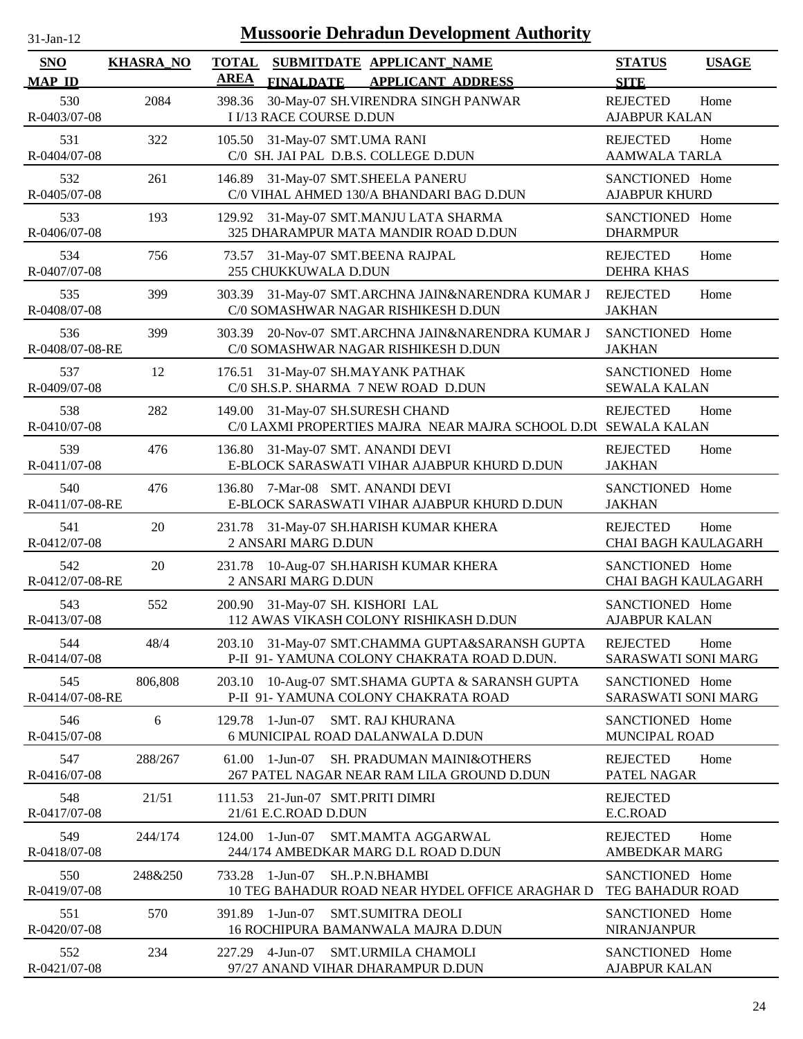| $31-Jan-12$                 |                  | <b>Mussoorie Dehradun Development Authority</b>                                                          |                                                       |
|-----------------------------|------------------|----------------------------------------------------------------------------------------------------------|-------------------------------------------------------|
| <b>SNO</b><br><b>MAP ID</b> | <b>KHASRA_NO</b> | <b>TOTAL</b><br>SUBMITDATE APPLICANT_NAME<br><b>AREA</b><br><b>FINALDATE</b><br><b>APPLICANT ADDRESS</b> | <b>STATUS</b><br><b>USAGE</b><br><b>SITE</b>          |
| 530<br>R-0403/07-08         | 2084             | 30-May-07 SH.VIRENDRA SINGH PANWAR<br>398.36<br><b>I I/13 RACE COURSE D.DUN</b>                          | <b>REJECTED</b><br>Home<br><b>AJABPUR KALAN</b>       |
| 531<br>R-0404/07-08         | 322              | 105.50 31-May-07 SMT.UMA RANI<br>C/0 SH. JAI PAL D.B.S. COLLEGE D.DUN                                    | <b>REJECTED</b><br>Home<br><b>AAMWALA TARLA</b>       |
| 532<br>R-0405/07-08         | 261              | 146.89 31-May-07 SMT.SHEELA PANERU<br>C/0 VIHAL AHMED 130/A BHANDARI BAG D.DUN                           | SANCTIONED Home<br><b>AJABPUR KHURD</b>               |
| 533<br>R-0406/07-08         | 193              | 129.92 31-May-07 SMT.MANJU LATA SHARMA<br>325 DHARAMPUR MATA MANDIR ROAD D.DUN                           | SANCTIONED Home<br><b>DHARMPUR</b>                    |
| 534<br>R-0407/07-08         | 756              | 31-May-07 SMT.BEENA RAJPAL<br>73.57<br>255 CHUKKUWALA D.DUN                                              | <b>REJECTED</b><br>Home<br><b>DEHRA KHAS</b>          |
| 535<br>R-0408/07-08         | 399              | 31-May-07 SMT.ARCHNA JAIN&NARENDRA KUMAR J<br>303.39<br>C/0 SOMASHWAR NAGAR RISHIKESH D.DUN              | <b>REJECTED</b><br>Home<br><b>JAKHAN</b>              |
| 536<br>R-0408/07-08-RE      | 399              | 20-Nov-07 SMT.ARCHNA JAIN&NARENDRA KUMAR J<br>303.39<br>C/0 SOMASHWAR NAGAR RISHIKESH D.DUN              | SANCTIONED Home<br><b>JAKHAN</b>                      |
| 537<br>R-0409/07-08         | 12               | 31-May-07 SH.MAYANK PATHAK<br>176.51<br>C/0 SH.S.P. SHARMA 7 NEW ROAD D.DUN                              | SANCTIONED Home<br><b>SEWALA KALAN</b>                |
| 538<br>R-0410/07-08         | 282              | 149.00<br>31-May-07 SH.SURESH CHAND<br>C/0 LAXMI PROPERTIES MAJRA NEAR MAJRA SCHOOL D.DU SEWALA KALAN    | <b>REJECTED</b><br>Home                               |
| 539<br>R-0411/07-08         | 476              | 31-May-07 SMT. ANANDI DEVI<br>136.80<br>E-BLOCK SARASWATI VIHAR AJABPUR KHURD D.DUN                      | <b>REJECTED</b><br>Home<br><b>JAKHAN</b>              |
| 540<br>R-0411/07-08-RE      | 476              | 7-Mar-08 SMT. ANANDI DEVI<br>136.80<br>E-BLOCK SARASWATI VIHAR AJABPUR KHURD D.DUN                       | SANCTIONED Home<br><b>JAKHAN</b>                      |
| 541<br>R-0412/07-08         | 20               | 231.78 31-May-07 SH.HARISH KUMAR KHERA<br>2 ANSARI MARG D.DUN                                            | Home<br><b>REJECTED</b><br><b>CHAI BAGH KAULAGARH</b> |
| 542<br>R-0412/07-08-RE      | 20               | 231.78 10-Aug-07 SH.HARISH KUMAR KHERA<br>2 ANSARI MARG D.DUN                                            | SANCTIONED Home<br><b>CHAI BAGH KAULAGARH</b>         |
| 543<br>R-0413/07-08         | 552              | 200.90 31-May-07 SH. KISHORI LAL<br>112 AWAS VIKASH COLONY RISHIKASH D.DUN                               | SANCTIONED Home<br><b>AJABPUR KALAN</b>               |
| 544<br>R-0414/07-08         | 48/4             | 203.10 31-May-07 SMT.CHAMMA GUPTA&SARANSH GUPTA<br>P-II 91- YAMUNA COLONY CHAKRATA ROAD D.DUN.           | <b>REJECTED</b><br>Home<br>SARASWATI SONI MARG        |
| 545<br>R-0414/07-08-RE      | 806,808          | 10-Aug-07 SMT.SHAMA GUPTA & SARANSH GUPTA<br>203.10<br>P-II 91- YAMUNA COLONY CHAKRATA ROAD              | SANCTIONED Home<br>SARASWATI SONI MARG                |
| 546<br>R-0415/07-08         | 6                | <b>SMT. RAJ KHURANA</b><br>129.78<br>1-Jun-07<br>6 MUNICIPAL ROAD DALANWALA D.DUN                        | SANCTIONED Home<br>MUNCIPAL ROAD                      |
| 547<br>R-0416/07-08         | 288/267          | 61.00<br>1-Jun-07<br>SH. PRADUMAN MAINI&OTHERS<br>267 PATEL NAGAR NEAR RAM LILA GROUND D.DUN             | <b>REJECTED</b><br>Home<br>PATEL NAGAR                |
| 548<br>R-0417/07-08         | 21/51            | 21-Jun-07 SMT.PRITI DIMRI<br>111.53<br>21/61 E.C.ROAD D.DUN                                              | <b>REJECTED</b><br>E.C.ROAD                           |
| 549<br>R-0418/07-08         | 244/174          | 1-Jun-07<br>124.00<br>SMT.MAMTA AGGARWAL<br>244/174 AMBEDKAR MARG D.L ROAD D.DUN                         | <b>REJECTED</b><br>Home<br><b>AMBEDKAR MARG</b>       |
| 550<br>R-0419/07-08         | 248&250          | 1-Jun-07<br>SHP.N.BHAMBI<br>733.28<br>10 TEG BAHADUR ROAD NEAR HYDEL OFFICE ARAGHAR D                    | SANCTIONED Home<br><b>TEG BAHADUR ROAD</b>            |
| 551<br>R-0420/07-08         | 570              | 1-Jun-07<br><b>SMT.SUMITRA DEOLI</b><br>391.89<br>16 ROCHIPURA BAMANWALA MAJRA D.DUN                     | SANCTIONED Home<br><b>NIRANJANPUR</b>                 |
| 552<br>R-0421/07-08         | 234              | 227.29 4-Jun-07<br><b>SMT.URMILA CHAMOLI</b><br>97/27 ANAND VIHAR DHARAMPUR D.DUN                        | SANCTIONED Home<br><b>AJABPUR KALAN</b>               |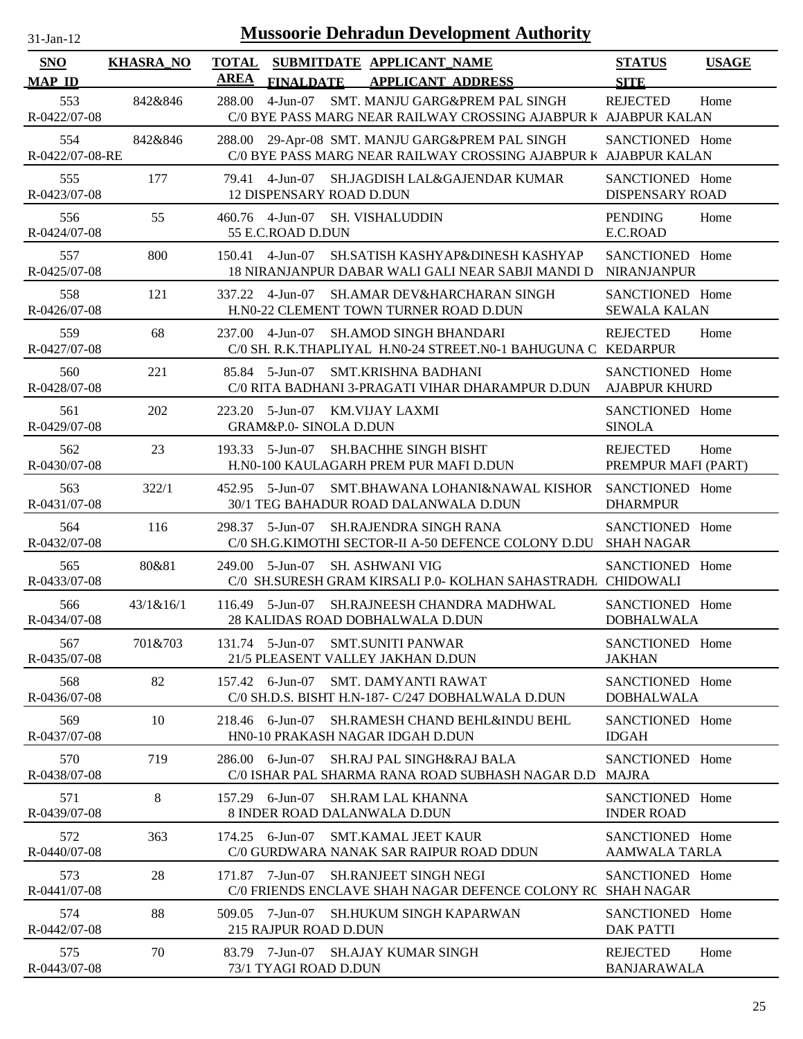| 31-Jan-12 |  |
|-----------|--|

| SNO                                  | <b>KHASRA_NO</b> | <b>TOTAL</b><br><b>AREA</b> |                                                      | SUBMITDATE APPLICANT_NAME                                                                                                              | <b>STATUS</b>                             | <b>USAGE</b> |
|--------------------------------------|------------------|-----------------------------|------------------------------------------------------|----------------------------------------------------------------------------------------------------------------------------------------|-------------------------------------------|--------------|
| <b>MAP ID</b><br>553<br>R-0422/07-08 | 842&846          | 288.00                      | <b>FINALDATE</b>                                     | <b>APPLICANT ADDRESS</b><br>4-Jun-07 SMT. MANJU GARG&PREM PAL SINGH<br>C/0 BYE PASS MARG NEAR RAILWAY CROSSING AJABPUR K AJABPUR KALAN | <b>SITE</b><br><b>REJECTED</b>            | Home         |
| 554<br>R-0422/07-08-RE               | 842&846          |                             |                                                      | 288.00 29-Apr-08 SMT. MANJU GARG&PREM PAL SINGH<br>C/0 BYE PASS MARG NEAR RAILWAY CROSSING AJABPUR K AJABPUR KALAN                     | SANCTIONED Home                           |              |
| 555<br>R-0423/07-08                  | 177              |                             | <b>12 DISPENSARY ROAD D.DUN</b>                      | 79.41 4-Jun-07 SH.JAGDISH LAL&GAJENDAR KUMAR                                                                                           | SANCTIONED Home<br><b>DISPENSARY ROAD</b> |              |
| 556<br>R-0424/07-08                  | 55               |                             | 460.76 4-Jun-07 SH. VISHALUDDIN<br>55 E.C.ROAD D.DUN |                                                                                                                                        | <b>PENDING</b><br>E.C.ROAD                | Home         |
| 557<br>R-0425/07-08                  | 800              | 150.41                      | 4-Jun-07                                             | SH.SATISH KASHYAP&DINESH KASHYAP<br>18 NIRANJANPUR DABAR WALI GALI NEAR SABJI MANDI D                                                  | SANCTIONED Home<br><b>NIRANJANPUR</b>     |              |
| 558<br>R-0426/07-08                  | 121              |                             | 337.22 4-Jun-07                                      | <b>SH.AMAR DEV&amp;HARCHARAN SINGH</b><br>H.N0-22 CLEMENT TOWN TURNER ROAD D.DUN                                                       | SANCTIONED Home<br><b>SEWALA KALAN</b>    |              |
| 559<br>R-0427/07-08                  | 68               | 237.00                      | $4-Jun-07$                                           | <b>SH.AMOD SINGH BHANDARI</b><br>C/0 SH. R.K.THAPLIYAL H.N0-24 STREET.N0-1 BAHUGUNA C KEDARPUR                                         | <b>REJECTED</b>                           | Home         |
| 560<br>R-0428/07-08                  | 221              |                             | 85.84 5-Jun-07                                       | <b>SMT.KRISHNA BADHANI</b><br>C/0 RITA BADHANI 3-PRAGATI VIHAR DHARAMPUR D.DUN                                                         | SANCTIONED Home<br><b>AJABPUR KHURD</b>   |              |
| 561<br>R-0429/07-08                  | 202              | 223.20                      | 5-Jun-07<br><b>GRAM&amp;P.0- SINOLA D.DUN</b>        | KM.VIJAY LAXMI                                                                                                                         | SANCTIONED Home<br><b>SINOLA</b>          |              |
| 562<br>R-0430/07-08                  | 23               |                             | 193.33 5-Jun-07                                      | <b>SH.BACHHE SINGH BISHT</b><br>H.N0-100 KAULAGARH PREM PUR MAFI D.DUN                                                                 | <b>REJECTED</b><br>PREMPUR MAFI (PART)    | Home         |
| 563<br>R-0431/07-08                  | 322/1            |                             | 452.95 5-Jun-07                                      | SMT.BHAWANA LOHANI&NAWAL KISHOR<br>30/1 TEG BAHADUR ROAD DALANWALA D.DUN                                                               | SANCTIONED Home<br><b>DHARMPUR</b>        |              |
| 564<br>R-0432/07-08                  | 116              |                             | 298.37 5-Jun-07                                      | SH.RAJENDRA SINGH RANA<br>C/0 SH.G.KIMOTHI SECTOR-II A-50 DEFENCE COLONY D.DU SHAH NAGAR                                               | SANCTIONED Home                           |              |
| 565<br>R-0433/07-08                  | 80&81            |                             | 249.00 5-Jun-07                                      | <b>SH. ASHWANI VIG</b><br>C/0 SH.SURESH GRAM KIRSALI P.0- KOLHAN SAHASTRADH. CHIDOWALI                                                 | SANCTIONED Home                           |              |
| 566<br>R-0434/07-08                  | 43/1&16/1        |                             | $116.49$ 5-Jun-07                                    | SH.RAJNEESH CHANDRA MADHWAL<br>28 KALIDAS ROAD DOBHALWALA D.DUN                                                                        | SANCTIONED Home<br><b>DOBHALWALA</b>      |              |
| 567<br>R-0435/07-08                  | 701&703          |                             | 131.74 5-Jun-07                                      | <b>SMT.SUNITI PANWAR</b><br>21/5 PLEASENT VALLEY JAKHAN D.DUN                                                                          | SANCTIONED Home<br><b>JAKHAN</b>          |              |
| 568<br>R-0436/07-08                  | 82               |                             | 157.42 6-Jun-07                                      | SMT. DAMYANTI RAWAT<br>C/0 SH.D.S. BISHT H.N-187- C/247 DOBHALWALA D.DUN                                                               | SANCTIONED Home<br><b>DOBHALWALA</b>      |              |
| 569<br>R-0437/07-08                  | 10               | 218.46                      | 6-Jun-07                                             | SH.RAMESH CHAND BEHL&INDU BEHL<br>HN0-10 PRAKASH NAGAR IDGAH D.DUN                                                                     | SANCTIONED Home<br><b>IDGAH</b>           |              |
| 570<br>R-0438/07-08                  | 719              | 286.00                      | 6-Jun-07                                             | <b>SH.RAJ PAL SINGH&amp;RAJ BALA</b><br>C/0 ISHAR PAL SHARMA RANA ROAD SUBHASH NAGAR D.D                                               | SANCTIONED Home<br><b>MAJRA</b>           |              |
| 571<br>R-0439/07-08                  | $\,8\,$          | 157.29                      | 6-Jun-07                                             | <b>SH.RAM LAL KHANNA</b><br>8 INDER ROAD DALANWALA D.DUN                                                                               | SANCTIONED Home<br><b>INDER ROAD</b>      |              |
| 572<br>R-0440/07-08                  | 363              |                             | 174.25 6-Jun-07                                      | <b>SMT.KAMAL JEET KAUR</b><br>C/0 GURDWARA NANAK SAR RAIPUR ROAD DDUN                                                                  | SANCTIONED Home<br><b>AAMWALA TARLA</b>   |              |
| 573<br>R-0441/07-08                  | 28               |                             | 171.87 7-Jun-07                                      | <b>SH.RANJEET SINGH NEGI</b><br>C/0 FRIENDS ENCLAVE SHAH NAGAR DEFENCE COLONY RC SHAH NAGAR                                            | SANCTIONED Home                           |              |
| 574<br>R-0442/07-08                  | 88               |                             | 509.05 7-Jun-07<br>215 RAJPUR ROAD D.DUN             | <b>SH.HUKUM SINGH KAPARWAN</b>                                                                                                         | SANCTIONED Home<br><b>DAK PATTI</b>       |              |
| 575<br>R-0443/07-08                  | 70               |                             | 83.79 7-Jun-07<br>73/1 TYAGI ROAD D.DUN              | <b>SH.AJAY KUMAR SINGH</b>                                                                                                             | <b>REJECTED</b><br><b>BANJARAWALA</b>     | Home         |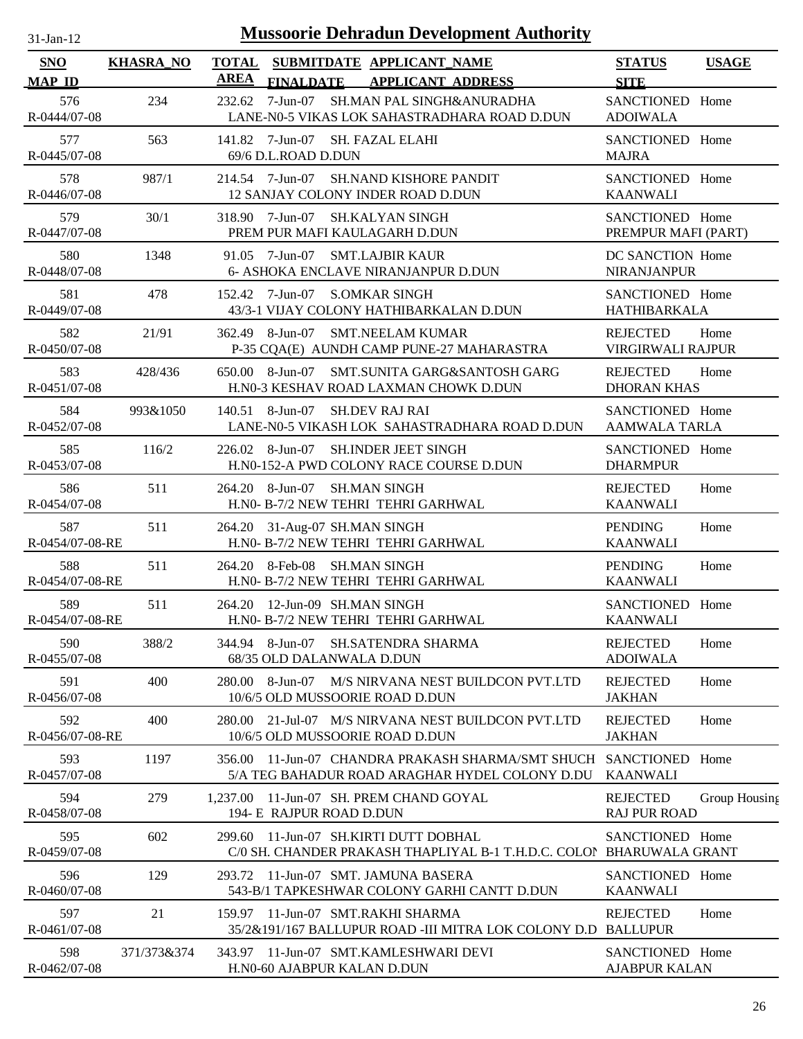| $31-Jan-12$                 |                  | <b>Mussoorie Dehradun Development Authority</b>                                                          |                                           |               |
|-----------------------------|------------------|----------------------------------------------------------------------------------------------------------|-------------------------------------------|---------------|
| <b>SNO</b><br><b>MAP ID</b> | <b>KHASRA_NO</b> | <b>TOTAL</b><br>SUBMITDATE APPLICANT_NAME<br><b>AREA</b><br><b>APPLICANT ADDRESS</b><br><b>FINALDATE</b> | <b>STATUS</b><br><b>SITE</b>              | <b>USAGE</b>  |
| 576<br>R-0444/07-08         | 234              | 7-Jun-07<br>SH.MAN PAL SINGH&ANURADHA<br>232.62<br>LANE-N0-5 VIKAS LOK SAHASTRADHARA ROAD D.DUN          | SANCTIONED Home<br><b>ADOIWALA</b>        |               |
| 577<br>R-0445/07-08         | 563              | 141.82 7-Jun-07 SH. FAZAL ELAHI<br>69/6 D.L.ROAD D.DUN                                                   | SANCTIONED Home<br><b>MAJRA</b>           |               |
| 578<br>R-0446/07-08         | 987/1            | 214.54 7-Jun-07<br><b>SH.NAND KISHORE PANDIT</b><br>12 SANJAY COLONY INDER ROAD D.DUN                    | SANCTIONED Home<br><b>KAANWALI</b>        |               |
| 579<br>R-0447/07-08         | 30/1             | 318.90 7-Jun-07 SH.KALYAN SINGH<br>PREM PUR MAFI KAULAGARH D.DUN                                         | SANCTIONED Home<br>PREMPUR MAFI (PART)    |               |
| 580<br>R-0448/07-08         | 1348             | 7-Jun-07<br><b>SMT.LAJBIR KAUR</b><br>91.05<br>6- ASHOKA ENCLAVE NIRANJANPUR D.DUN                       | DC SANCTION Home<br><b>NIRANJANPUR</b>    |               |
| 581<br>R-0449/07-08         | 478              | 7-Jun-07 S.OMKAR SINGH<br>152.42<br>43/3-1 VIJAY COLONY HATHIBARKALAN D.DUN                              | SANCTIONED Home<br>HATHIBARKALA           |               |
| 582<br>R-0450/07-08         | 21/91            | 362.49<br>8-Jun-07<br><b>SMT.NEELAM KUMAR</b><br>P-35 CQA(E) AUNDH CAMP PUNE-27 MAHARASTRA               | <b>REJECTED</b><br>VIRGIRWALI RAJPUR      | Home          |
| 583<br>R-0451/07-08         | 428/436          | 8-Jun-07<br>SMT.SUNITA GARG&SANTOSH GARG<br>650.00<br>H.N0-3 KESHAV ROAD LAXMAN CHOWK D.DUN              | <b>REJECTED</b><br><b>DHORAN KHAS</b>     | Home          |
| 584<br>R-0452/07-08         | 993&1050         | 140.51 8-Jun-07<br><b>SH.DEV RAJ RAI</b><br>LANE-N0-5 VIKASH LOK SAHASTRADHARA ROAD D.DUN                | SANCTIONED Home<br><b>AAMWALA TARLA</b>   |               |
| 585<br>R-0453/07-08         | 116/2            | 8-Jun-07<br><b>SH.INDER JEET SINGH</b><br>226.02<br>H.N0-152-A PWD COLONY RACE COURSE D.DUN              | SANCTIONED Home<br><b>DHARMPUR</b>        |               |
| 586<br>R-0454/07-08         | 511              | 264.20 8-Jun-07<br><b>SH.MAN SINGH</b><br>H.NO- B-7/2 NEW TEHRI TEHRI GARHWAL                            | <b>REJECTED</b><br><b>KAANWALI</b>        | Home          |
| 587<br>R-0454/07-08-RE      | 511              | 31-Aug-07 SH.MAN SINGH<br>264.20<br>H.NO- B-7/2 NEW TEHRI TEHRI GARHWAL                                  | <b>PENDING</b><br><b>KAANWALI</b>         | Home          |
| 588<br>R-0454/07-08-RE      | 511              | 264.20 8-Feb-08<br>SH.MAN SINGH<br>H.N0- B-7/2 NEW TEHRI TEHRI GARHWAL                                   | <b>PENDING</b><br><b>KAANWALI</b>         | Home          |
| 589<br>R-0454/07-08-RE      | 511              | 264.20 12-Jun-09 SH.MAN SINGH<br>H.NO- B-7/2 NEW TEHRI TEHRI GARHWAL                                     | SANCTIONED Home<br><b>KAANWALI</b>        |               |
| 590<br>R-0455/07-08         | 388/2            | 344.94 8-Jun-07<br><b>SH.SATENDRA SHARMA</b><br>68/35 OLD DALANWALA D.DUN                                | <b>REJECTED</b><br><b>ADOIWALA</b>        | Home          |
| 591<br>R-0456/07-08         | 400              | 280.00<br>8-Jun-07<br>M/S NIRVANA NEST BUILDCON PVT.LTD<br>10/6/5 OLD MUSSOORIE ROAD D.DUN               | <b>REJECTED</b><br><b>JAKHAN</b>          | Home          |
| 592<br>R-0456/07-08-RE      | 400              | 21-Jul-07 M/S NIRVANA NEST BUILDCON PVT.LTD<br>280.00<br>10/6/5 OLD MUSSOORIE ROAD D.DUN                 | <b>REJECTED</b><br><b>JAKHAN</b>          | Home          |
| 593<br>R-0457/07-08         | 1197             | 11-Jun-07 CHANDRA PRAKASH SHARMA/SMT SHUCH<br>356.00<br>5/A TEG BAHADUR ROAD ARAGHAR HYDEL COLONY D.DU   | SANCTIONED Home<br><b>KAANWALI</b>        |               |
| 594<br>R-0458/07-08         | 279              | 11-Jun-07 SH. PREM CHAND GOYAL<br>1.237.00<br>194- E RAJPUR ROAD D.DUN                                   | <b>REJECTED</b><br><b>RAJ PUR ROAD</b>    | Group Housing |
| 595<br>R-0459/07-08         | 602              | 11-Jun-07 SH.KIRTI DUTT DOBHAL<br>299.60<br>C/0 SH. CHANDER PRAKASH THAPLIYAL B-1 T.H.D.C. COLON         | SANCTIONED Home<br><b>BHARUWALA GRANT</b> |               |
| 596<br>R-0460/07-08         | 129              | 11-Jun-07 SMT. JAMUNA BASERA<br>293.72<br>543-B/1 TAPKESHWAR COLONY GARHI CANTT D.DUN                    | SANCTIONED Home<br><b>KAANWALI</b>        |               |
| 597<br>R-0461/07-08         | 21               | 11-Jun-07 SMT.RAKHI SHARMA<br>159.97<br>35/2&191/167 BALLUPUR ROAD -III MITRA LOK COLONY D.D             | <b>REJECTED</b><br><b>BALLUPUR</b>        | Home          |
| 598<br>R-0462/07-08         | 371/373&374      | 11-Jun-07 SMT.KAMLESHWARI DEVI<br>343.97<br>H.N0-60 AJABPUR KALAN D.DUN                                  | SANCTIONED Home<br><b>AJABPUR KALAN</b>   |               |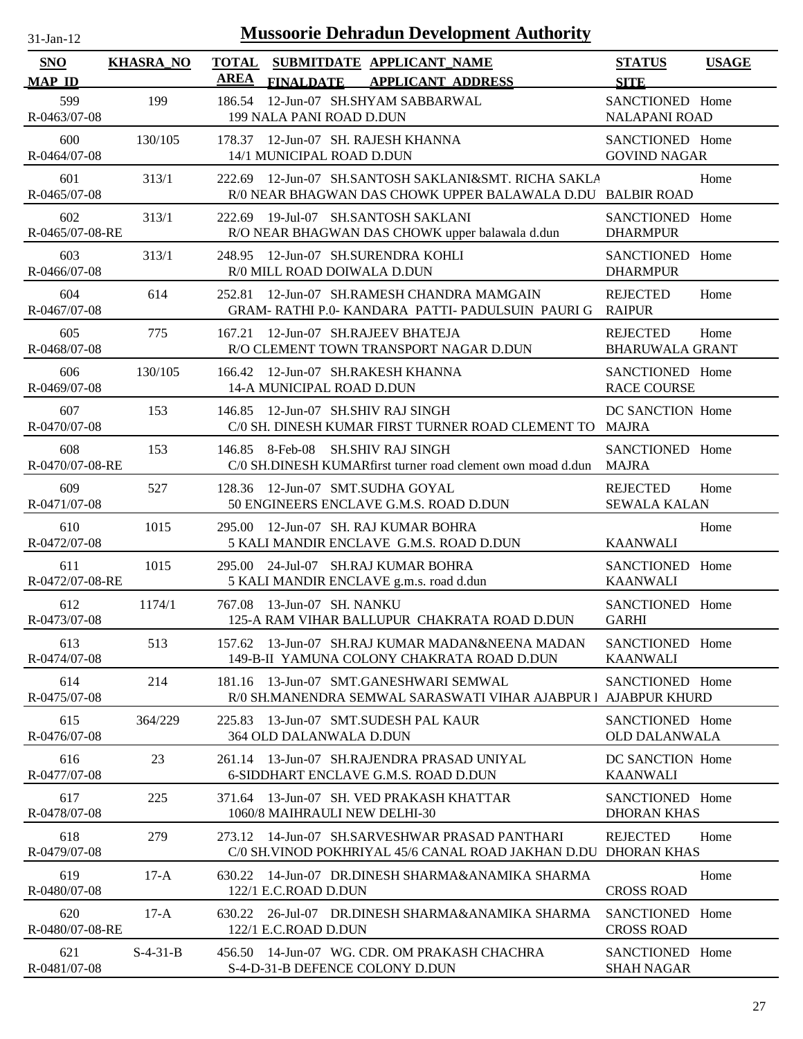| $31-Jan-12$                 |                  | <b>Mussoorie Dehradun Development Authority</b>                                                                       |                                           |              |
|-----------------------------|------------------|-----------------------------------------------------------------------------------------------------------------------|-------------------------------------------|--------------|
| <b>SNO</b><br><b>MAP ID</b> | <b>KHASRA_NO</b> | <b>TOTAL</b><br>SUBMITDATE APPLICANT_NAME<br><b>AREA</b><br><b>FINALDATE</b><br><b>APPLICANT ADDRESS</b>              | <b>STATUS</b><br><b>SITE</b>              | <b>USAGE</b> |
| 599<br>R-0463/07-08         | 199              | 12-Jun-07 SH.SHYAM SABBARWAL<br>186.54<br>199 NALA PANI ROAD D.DUN                                                    | SANCTIONED Home<br><b>NALAPANI ROAD</b>   |              |
| 600<br>R-0464/07-08         | 130/105          | 178.37 12-Jun-07 SH. RAJESH KHANNA<br>14/1 MUNICIPAL ROAD D.DUN                                                       | SANCTIONED Home<br><b>GOVIND NAGAR</b>    |              |
| 601<br>R-0465/07-08         | 313/1            | 12-Jun-07 SH.SANTOSH SAKLANI&SMT. RICHA SAKLA<br>222.69<br>R/0 NEAR BHAGWAN DAS CHOWK UPPER BALAWALA D.DU BALBIR ROAD |                                           | Home         |
| 602<br>R-0465/07-08-RE      | 313/1            | 19-Jul-07 SH.SANTOSH SAKLANI<br>222.69<br>R/O NEAR BHAGWAN DAS CHOWK upper balawala d.dun                             | SANCTIONED Home<br><b>DHARMPUR</b>        |              |
| 603<br>R-0466/07-08         | 313/1            | 12-Jun-07 SH.SURENDRA KOHLI<br>248.95<br>R/0 MILL ROAD DOIWALA D.DUN                                                  | SANCTIONED Home<br><b>DHARMPUR</b>        |              |
| 604<br>R-0467/07-08         | 614              | 12-Jun-07 SH.RAMESH CHANDRA MAMGAIN<br>252.81<br>GRAM-RATHI P.0- KANDARA PATTI-PADULSUIN PAURI G                      | <b>REJECTED</b><br><b>RAIPUR</b>          | Home         |
| 605<br>R-0468/07-08         | 775              | 12-Jun-07 SH.RAJEEV BHATEJA<br>167.21<br>R/O CLEMENT TOWN TRANSPORT NAGAR D.DUN                                       | <b>REJECTED</b><br><b>BHARUWALA GRANT</b> | Home         |
| 606<br>R-0469/07-08         | 130/105          | 166.42 12-Jun-07 SH.RAKESH KHANNA<br>14-A MUNICIPAL ROAD D.DUN                                                        | SANCTIONED Home<br><b>RACE COURSE</b>     |              |
| 607<br>R-0470/07-08         | 153              | 146.85 12-Jun-07 SH.SHIV RAJ SINGH<br>C/0 SH. DINESH KUMAR FIRST TURNER ROAD CLEMENT TO MAJRA                         | DC SANCTION Home                          |              |
| 608<br>R-0470/07-08-RE      | 153              | 146.85 8-Feb-08<br><b>SH.SHIV RAJ SINGH</b><br>C/0 SH.DINESH KUMARfirst turner road clement own moad d.dun            | SANCTIONED Home<br><b>MAJRA</b>           |              |
| 609<br>R-0471/07-08         | 527              | 12-Jun-07 SMT.SUDHA GOYAL<br>128.36<br>50 ENGINEERS ENCLAVE G.M.S. ROAD D.DUN                                         | <b>REJECTED</b><br><b>SEWALA KALAN</b>    | Home         |
| 610<br>R-0472/07-08         | 1015             | 12-Jun-07 SH. RAJ KUMAR BOHRA<br>295.00<br>5 KALI MANDIR ENCLAVE G.M.S. ROAD D.DUN                                    | <b>KAANWALI</b>                           | Home         |
| 611<br>R-0472/07-08-RE      | 1015             | 24-Jul-07 SH.RAJ KUMAR BOHRA<br>295.00<br>5 KALI MANDIR ENCLAVE g.m.s. road d.dun                                     | SANCTIONED Home<br><b>KAANWALI</b>        |              |
| 612<br>R-0473/07-08         | 1174/1           | 767.08 13-Jun-07 SH. NANKU<br>125-A RAM VIHAR BALLUPUR CHAKRATA ROAD D.DUN                                            | SANCTIONED Home<br><b>GARHI</b>           |              |
| 613<br>R-0474/07-08         | 513              | 157.62 13-Jun-07 SH.RAJ KUMAR MADAN&NEENA MADAN<br>149-B-II YAMUNA COLONY CHAKRATA ROAD D.DUN                         | SANCTIONED Home<br><b>KAANWALI</b>        |              |
| 614<br>R-0475/07-08         | 214              | 181.16 13-Jun-07 SMT.GANESHWARI SEMWAL<br>R/0 SH.MANENDRA SEMWAL SARASWATI VIHAR AJABPUR   AJABPUR KHURD              | SANCTIONED Home                           |              |
| 615<br>R-0476/07-08         | 364/229          | 13-Jun-07 SMT.SUDESH PAL KAUR<br>225.83<br>364 OLD DALANWALA D.DUN                                                    | SANCTIONED Home<br><b>OLD DALANWALA</b>   |              |
| 616<br>R-0477/07-08         | 23               | 261.14 13-Jun-07 SH.RAJENDRA PRASAD UNIYAL<br>6-SIDDHART ENCLAVE G.M.S. ROAD D.DUN                                    | DC SANCTION Home<br><b>KAANWALI</b>       |              |
| 617<br>R-0478/07-08         | 225              | 13-Jun-07 SH. VED PRAKASH KHATTAR<br>371.64<br>1060/8 MAIHRAULI NEW DELHI-30                                          | SANCTIONED Home<br><b>DHORAN KHAS</b>     |              |
| 618<br>R-0479/07-08         | 279              | 273.12 14-Jun-07 SH.SARVESHWAR PRASAD PANTHARI<br>C/0 SH. VINOD POKHRIYAL 45/6 CANAL ROAD JAKHAN D.DU                 | <b>REJECTED</b><br>DHORAN KHAS            | Home         |
| 619<br>R-0480/07-08         | $17-A$           | 14-Jun-07 DR.DINESH SHARMA&ANAMIKA SHARMA<br>630.22<br>122/1 E.C.ROAD D.DUN                                           | <b>CROSS ROAD</b>                         | Home         |
| 620<br>R-0480/07-08-RE      | $17-A$           | 630.22 26-Jul-07 DR.DINESH SHARMA&ANAMIKA SHARMA<br>122/1 E.C.ROAD D.DUN                                              | SANCTIONED Home<br><b>CROSS ROAD</b>      |              |
| 621<br>R-0481/07-08         | $S-4-31-B$       | 456.50 14-Jun-07 WG. CDR. OM PRAKASH CHACHRA<br>S-4-D-31-B DEFENCE COLONY D.DUN                                       | SANCTIONED Home<br><b>SHAH NAGAR</b>      |              |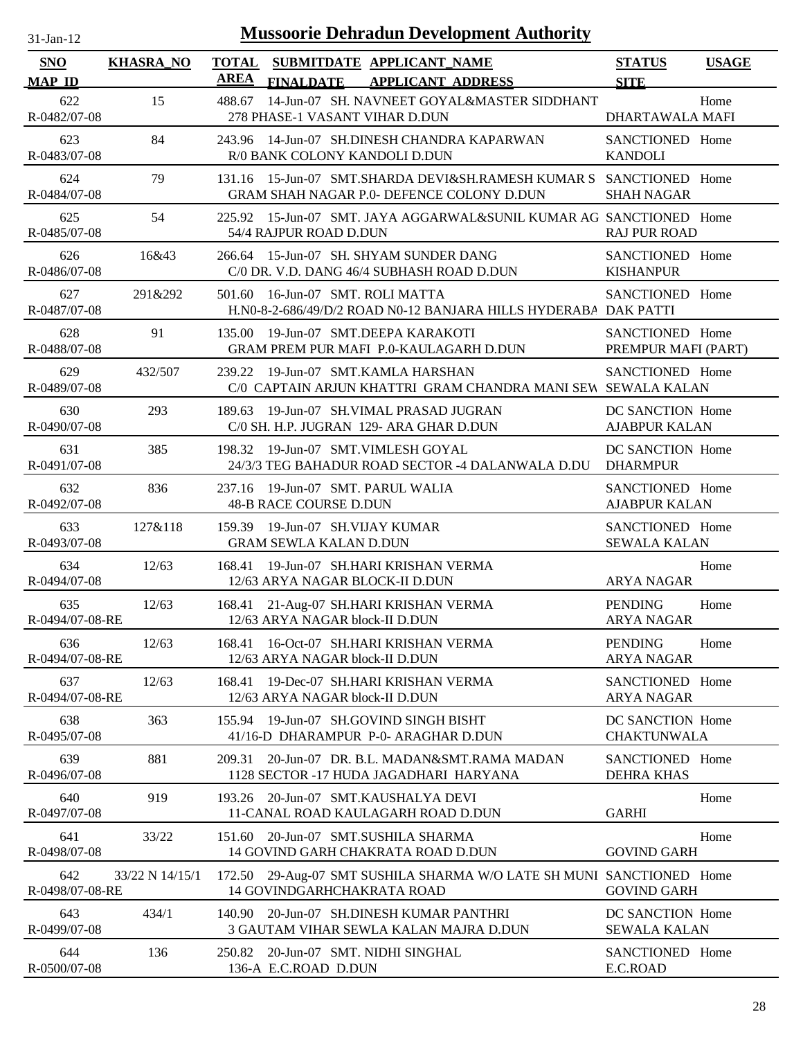| $31$ -Jan-12           |                  | <b>Mussoorie Dehradun Development Authority</b>                                                                        |                                          |              |
|------------------------|------------------|------------------------------------------------------------------------------------------------------------------------|------------------------------------------|--------------|
| SNO<br><b>MAP ID</b>   | <b>KHASRA_NO</b> | <b>TOTAL</b><br>SUBMITDATE APPLICANT_NAME<br><b>AREA</b><br><b>FINALDATE</b><br><b>APPLICANT ADDRESS</b>               | <b>STATUS</b><br><b>SITE</b>             | <b>USAGE</b> |
| 622<br>R-0482/07-08    | 15               | 14-Jun-07 SH. NAVNEET GOYAL&MASTER SIDDHANT<br>488.67<br>278 PHASE-1 VASANT VIHAR D.DUN                                | DHARTAWALA MAFI                          | Home         |
| 623<br>R-0483/07-08    | 84               | 243.96 14-Jun-07 SH.DINESH CHANDRA KAPARWAN<br>R/0 BANK COLONY KANDOLI D.DUN                                           | SANCTIONED Home<br><b>KANDOLI</b>        |              |
| 624<br>R-0484/07-08    | 79               | 131.16 15-Jun-07 SMT.SHARDA DEVI&SH.RAMESH KUMAR S SANCTIONED Home<br><b>GRAM SHAH NAGAR P.0- DEFENCE COLONY D.DUN</b> | <b>SHAH NAGAR</b>                        |              |
| 625<br>R-0485/07-08    | 54               | 225.92 15-Jun-07 SMT. JAYA AGGARWAL&SUNIL KUMAR AG SANCTIONED Home<br>54/4 RAJPUR ROAD D.DUN                           | <b>RAJ PUR ROAD</b>                      |              |
| 626<br>R-0486/07-08    | 16&43            | 266.64 15-Jun-07 SH. SHYAM SUNDER DANG<br>C/0 DR. V.D. DANG 46/4 SUBHASH ROAD D.DUN                                    | SANCTIONED Home<br><b>KISHANPUR</b>      |              |
| 627<br>R-0487/07-08    | 291&292          | 16-Jun-07 SMT. ROLI MATTA<br>501.60<br>H.N0-8-2-686/49/D/2 ROAD N0-12 BANJARA HILLS HYDERABA DAK PATTI                 | SANCTIONED Home                          |              |
| 628<br>R-0488/07-08    | 91               | 19-Jun-07 SMT.DEEPA KARAKOTI<br>135.00<br>GRAM PREM PUR MAFI P.0-KAULAGARH D.DUN                                       | SANCTIONED Home<br>PREMPUR MAFI (PART)   |              |
| 629<br>R-0489/07-08    | 432/507          | 239.22 19-Jun-07 SMT.KAMLA HARSHAN<br>C/0 CAPTAIN ARJUN KHATTRI GRAM CHANDRA MANI SEW SEWALA KALAN                     | SANCTIONED Home                          |              |
| 630<br>R-0490/07-08    | 293              | 19-Jun-07 SH.VIMAL PRASAD JUGRAN<br>189.63<br>C/0 SH. H.P. JUGRAN 129- ARA GHAR D.DUN                                  | DC SANCTION Home<br><b>AJABPUR KALAN</b> |              |
| 631<br>R-0491/07-08    | 385              | 19-Jun-07 SMT.VIMLESH GOYAL<br>198.32<br>24/3/3 TEG BAHADUR ROAD SECTOR -4 DALANWALA D.DU                              | DC SANCTION Home<br><b>DHARMPUR</b>      |              |
| 632<br>R-0492/07-08    | 836              | 237.16 19-Jun-07 SMT. PARUL WALIA<br><b>48-B RACE COURSE D.DUN</b>                                                     | SANCTIONED Home<br><b>AJABPUR KALAN</b>  |              |
| 633<br>R-0493/07-08    | 127&118          | 159.39 19-Jun-07 SH.VIJAY KUMAR<br><b>GRAM SEWLA KALAN D.DUN</b>                                                       | SANCTIONED Home<br><b>SEWALA KALAN</b>   |              |
| 634<br>R-0494/07-08    | 12/63            | 19-Jun-07 SH.HARI KRISHAN VERMA<br>168.41<br>12/63 ARYA NAGAR BLOCK-II D.DUN                                           | <b>ARYA NAGAR</b>                        | Home         |
| 635<br>R-0494/07-08-RE | 12/63            | 168.41 21-Aug-07 SH.HARI KRISHAN VERMA<br>12/63 ARYA NAGAR block-II D.DUN                                              | <b>PENDING</b><br><b>ARYA NAGAR</b>      | Home         |
| 636<br>R-0494/07-08-RE | 12/63            | 16-Oct-07 SH.HARI KRISHAN VERMA<br>168.41<br>12/63 ARYA NAGAR block-II D.DUN                                           | <b>PENDING</b><br><b>ARYA NAGAR</b>      | Home         |
| 637<br>R-0494/07-08-RE | 12/63            | 19-Dec-07 SH.HARI KRISHAN VERMA<br>168.41<br>12/63 ARYA NAGAR block-II D.DUN                                           | SANCTIONED Home<br><b>ARYA NAGAR</b>     |              |
| 638<br>R-0495/07-08    | 363              | 19-Jun-07 SH.GOVIND SINGH BISHT<br>155.94<br>41/16-D DHARAMPUR P-0- ARAGHAR D.DUN                                      | DC SANCTION Home<br><b>CHAKTUNWALA</b>   |              |
| 639<br>R-0496/07-08    | 881              | 20-Jun-07 DR. B.L. MADAN&SMT.RAMA MADAN<br>209.31<br>1128 SECTOR -17 HUDA JAGADHARI HARYANA                            | SANCTIONED Home<br><b>DEHRA KHAS</b>     |              |
| 640<br>R-0497/07-08    | 919              | 193.26 20-Jun-07 SMT.KAUSHALYA DEVI<br>11-CANAL ROAD KAULAGARH ROAD D.DUN                                              | <b>GARHI</b>                             | Home         |
| 641<br>R-0498/07-08    | 33/22            | 151.60 20-Jun-07 SMT.SUSHILA SHARMA<br>14 GOVIND GARH CHAKRATA ROAD D.DUN                                              | <b>GOVIND GARH</b>                       | Home         |
| 642<br>R-0498/07-08-RE | 33/22 N 14/15/1  | 172.50 29-Aug-07 SMT SUSHILA SHARMA W/O LATE SH MUNI SANCTIONED Home<br>14 GOVINDGARHCHAKRATA ROAD                     | <b>GOVIND GARH</b>                       |              |
| 643<br>R-0499/07-08    | 434/1            | 140.90<br>20-Jun-07 SH.DINESH KUMAR PANTHRI<br>3 GAUTAM VIHAR SEWLA KALAN MAJRA D.DUN                                  | DC SANCTION Home<br><b>SEWALA KALAN</b>  |              |
| 644<br>R-0500/07-08    | 136              | 20-Jun-07 SMT. NIDHI SINGHAL<br>250.82<br>136-A E.C.ROAD D.DUN                                                         | SANCTIONED Home<br>E.C.ROAD              |              |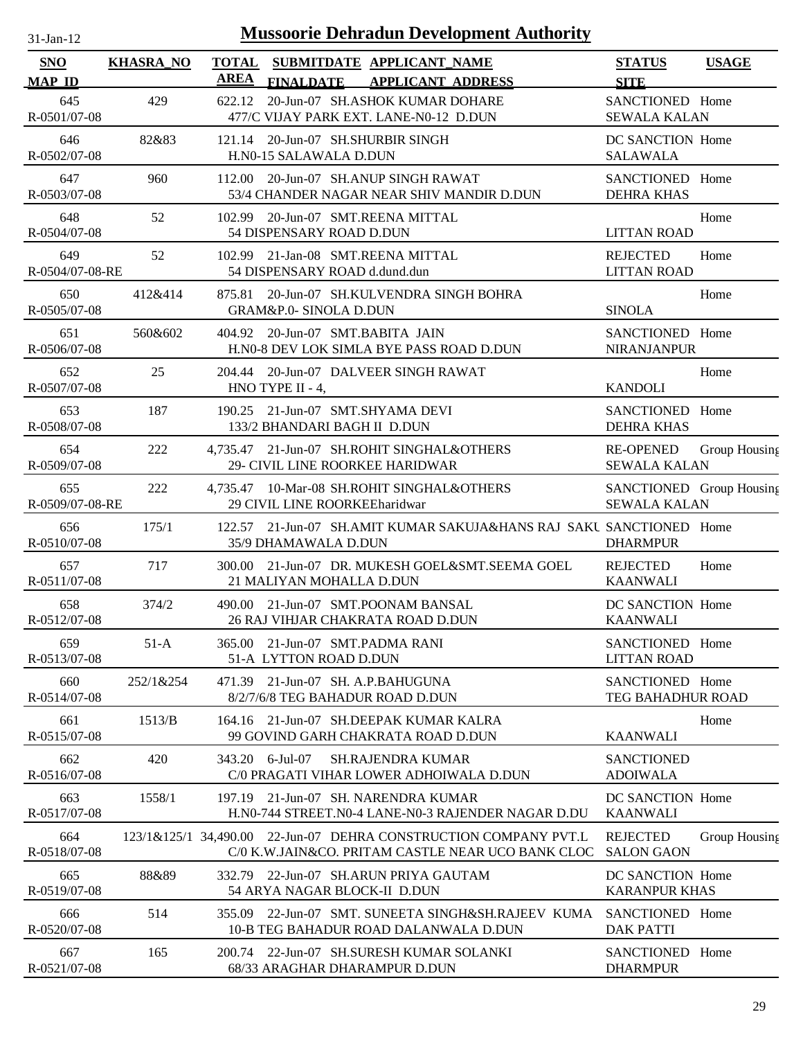| $31$ -Jan-12 |
|--------------|
|              |

| SNO<br><b>MAP ID</b>   | <b>KHASRA_NO</b> | <b>TOTAL</b><br>AREA | <b>FINALDATE</b>                                            | SUBMITDATE APPLICANT_NAME<br><b>APPLICANT ADDRESS</b>                                                                 | <b>STATUS</b><br><b>SITE</b>                    | <b>USAGE</b>  |
|------------------------|------------------|----------------------|-------------------------------------------------------------|-----------------------------------------------------------------------------------------------------------------------|-------------------------------------------------|---------------|
| 645<br>R-0501/07-08    | 429              | 622.12               |                                                             | 20-Jun-07 SH.ASHOK KUMAR DOHARE<br>477/C VIJAY PARK EXT. LANE-N0-12 D.DUN                                             | SANCTIONED Home<br><b>SEWALA KALAN</b>          |               |
| 646<br>R-0502/07-08    | 82&83            |                      | 121.14 20-Jun-07 SH.SHURBIR SINGH<br>H.N0-15 SALAWALA D.DUN |                                                                                                                       | DC SANCTION Home<br><b>SALAWALA</b>             |               |
| 647<br>R-0503/07-08    | 960              |                      |                                                             | 112.00 20-Jun-07 SH.ANUP SINGH RAWAT<br>53/4 CHANDER NAGAR NEAR SHIV MANDIR D.DUN                                     | SANCTIONED Home<br><b>DEHRA KHAS</b>            |               |
| 648<br>R-0504/07-08    | 52               |                      | 54 DISPENSARY ROAD D.DUN                                    | 102.99 20-Jun-07 SMT.REENA MITTAL                                                                                     | <b>LITTAN ROAD</b>                              | Home          |
| 649<br>R-0504/07-08-RE | 52               |                      | 54 DISPENSARY ROAD d.dund.dun                               | 102.99 21-Jan-08 SMT.REENA MITTAL                                                                                     | <b>REJECTED</b><br><b>LITTAN ROAD</b>           | Home          |
| 650<br>R-0505/07-08    | 412&414          | 875.81               | GRAM&P.0- SINOLA D.DUN                                      | 20-Jun-07 SH.KULVENDRA SINGH BOHRA                                                                                    | <b>SINOLA</b>                                   | Home          |
| 651<br>R-0506/07-08    | 560&602          |                      | 404.92 20-Jun-07 SMT.BABITA JAIN                            | H.N0-8 DEV LOK SIMLA BYE PASS ROAD D.DUN                                                                              | SANCTIONED Home<br><b>NIRANJANPUR</b>           |               |
| 652<br>R-0507/07-08    | 25               |                      | HNO TYPE II - 4,                                            | 204.44 20-Jun-07 DALVEER SINGH RAWAT                                                                                  | <b>KANDOLI</b>                                  | Home          |
| 653<br>R-0508/07-08    | 187              |                      | 133/2 BHANDARI BAGH II D.DUN                                | 190.25 21-Jun-07 SMT.SHYAMA DEVI                                                                                      | SANCTIONED Home<br><b>DEHRA KHAS</b>            |               |
| 654<br>R-0509/07-08    | 222              |                      |                                                             | 4,735.47 21-Jun-07 SH.ROHIT SINGHAL&OTHERS<br>29- CIVIL LINE ROORKEE HARIDWAR                                         | <b>RE-OPENED</b><br><b>SEWALA KALAN</b>         | Group Housing |
| 655<br>R-0509/07-08-RE | 222              |                      | 29 CIVIL LINE ROORKEEharidwar                               | 4,735.47 10-Mar-08 SH.ROHIT SINGHAL&OTHERS                                                                            | SANCTIONED Group Housing<br><b>SEWALA KALAN</b> |               |
| 656<br>R-0510/07-08    | 175/1            |                      | 35/9 DHAMAWALA D.DUN                                        | 122.57 21-Jun-07 SH.AMIT KUMAR SAKUJA&HANS RAJ SAKU SANCTIONED Home                                                   | <b>DHARMPUR</b>                                 |               |
| 657<br>R-0511/07-08    | 717              |                      | 21 MALIYAN MOHALLA D.DUN                                    | 300.00 21-Jun-07 DR. MUKESH GOEL&SMT.SEEMA GOEL                                                                       | <b>REJECTED</b><br><b>KAANWALI</b>              | Home          |
| 658<br>R-0512/07-08    | 374/2            |                      |                                                             | 490.00 21-Jun-07 SMT.POONAM BANSAL<br>26 RAJ VIHJAR CHAKRATA ROAD D.DUN                                               | DC SANCTION Home<br><b>KAANWALI</b>             |               |
| 659<br>R-0513/07-08    | $51-A$           |                      | 365.00 21-Jun-07 SMT.PADMA RANI<br>51-A LYTTON ROAD D.DUN   |                                                                                                                       | SANCTIONED Home<br><b>LITTAN ROAD</b>           |               |
| 660<br>R-0514/07-08    | 252/1&254        |                      | 471.39 21-Jun-07 SH. A.P.BAHUGUNA                           | 8/2/7/6/8 TEG BAHADUR ROAD D.DUN                                                                                      | SANCTIONED Home<br>TEG BAHADHUR ROAD            |               |
| 661<br>R-0515/07-08    | 1513/B           | 164.16               |                                                             | 21-Jun-07 SH.DEEPAK KUMAR KALRA<br>99 GOVIND GARH CHAKRATA ROAD D.DUN                                                 | <b>KAANWALI</b>                                 | Home          |
| 662<br>R-0516/07-08    | 420              | 343.20               | 6-Jul-07                                                    | <b>SH.RAJENDRA KUMAR</b><br>C/0 PRAGATI VIHAR LOWER ADHOIWALA D.DUN                                                   | <b>SANCTIONED</b><br><b>ADOIWALA</b>            |               |
| 663<br>R-0517/07-08    | 1558/1           | 197.19               |                                                             | 21-Jun-07 SH. NARENDRA KUMAR<br>H.N0-744 STREET.N0-4 LANE-N0-3 RAJENDER NAGAR D.DU                                    | DC SANCTION Home<br><b>KAANWALI</b>             |               |
| 664<br>R-0518/07-08    |                  |                      |                                                             | 123/1&125/1 34,490.00 22-Jun-07 DEHRA CONSTRUCTION COMPANY PVT.L<br>C/0 K.W.JAIN&CO. PRITAM CASTLE NEAR UCO BANK CLOC | <b>REJECTED</b><br><b>SALON GAON</b>            | Group Housing |
| 665<br>R-0519/07-08    | 88&89            |                      | 54 ARYA NAGAR BLOCK-II D.DUN                                | 332.79 22-Jun-07 SH.ARUN PRIYA GAUTAM                                                                                 | DC SANCTION Home<br><b>KARANPUR KHAS</b>        |               |
| 666<br>R-0520/07-08    | 514              | 355.09               |                                                             | 22-Jun-07 SMT. SUNEETA SINGH&SH.RAJEEV KUMA<br>10-B TEG BAHADUR ROAD DALANWALA D.DUN                                  | SANCTIONED Home<br><b>DAK PATTI</b>             |               |
| 667<br>R-0521/07-08    | 165              |                      |                                                             | 200.74 22-Jun-07 SH.SURESH KUMAR SOLANKI<br>68/33 ARAGHAR DHARAMPUR D.DUN                                             | SANCTIONED Home<br><b>DHARMPUR</b>              |               |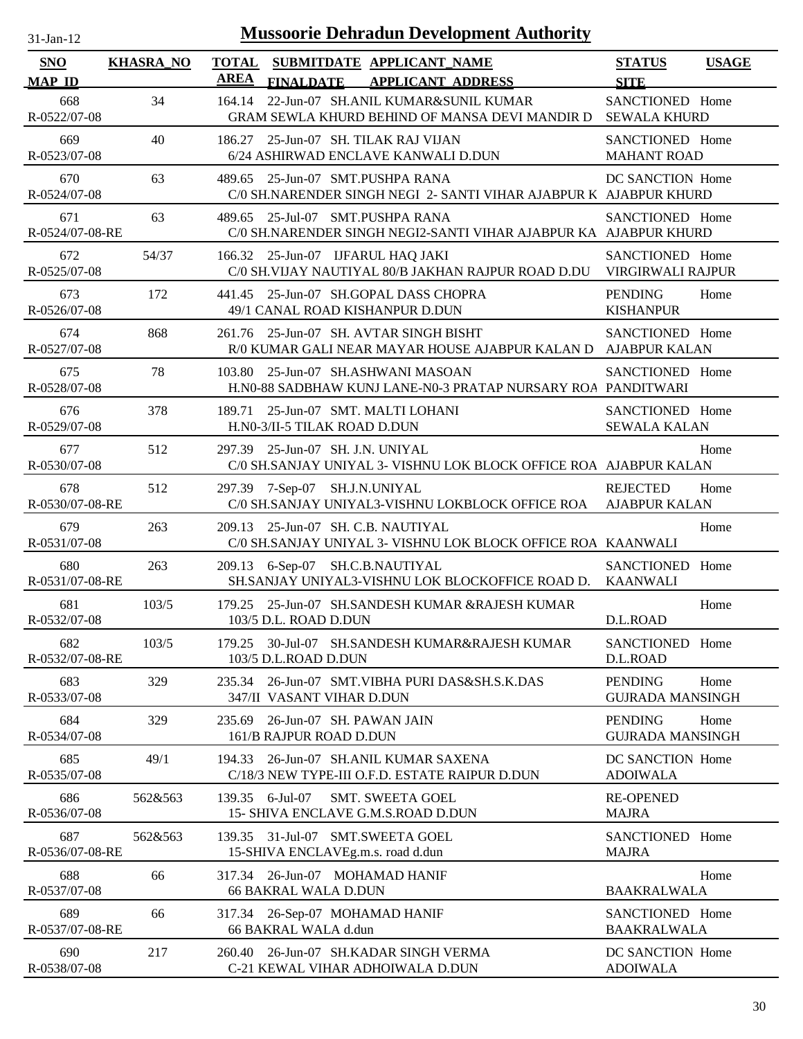| $31$ -Jan-12                |                  | <b>Mussoorie Dehradun Development Authority</b>                                                          |                                                   |
|-----------------------------|------------------|----------------------------------------------------------------------------------------------------------|---------------------------------------------------|
| <b>SNO</b><br><b>MAP ID</b> | <b>KHASRA_NO</b> | <b>TOTAL</b><br>SUBMITDATE APPLICANT_NAME<br><b>AREA</b><br><b>APPLICANT ADDRESS</b><br><b>FINALDATE</b> | <b>STATUS</b><br><b>USAGE</b><br><b>SITE</b>      |
| 668<br>R-0522/07-08         | 34               | 22-Jun-07 SH.ANIL KUMAR&SUNIL KUMAR<br>164.14<br>GRAM SEWLA KHURD BEHIND OF MANSA DEVI MANDIR D          | SANCTIONED Home<br><b>SEWALA KHURD</b>            |
| 669<br>R-0523/07-08         | 40               | 25-Jun-07 SH. TILAK RAJ VIJAN<br>186.27<br>6/24 ASHIRWAD ENCLAVE KANWALI D.DUN                           | SANCTIONED Home<br><b>MAHANT ROAD</b>             |
| 670<br>R-0524/07-08         | 63               | 25-Jun-07 SMT.PUSHPA RANA<br>489.65<br>C/0 SH.NARENDER SINGH NEGI 2- SANTI VIHAR AJABPUR K AJABPUR KHURD | DC SANCTION Home                                  |
| 671<br>R-0524/07-08-RE      | 63               | 25-Jul-07 SMT.PUSHPA RANA<br>489.65<br>C/0 SH.NARENDER SINGH NEGI2-SANTI VIHAR AJABPUR KA AJABPUR KHURD  | SANCTIONED Home                                   |
| 672<br>R-0525/07-08         | 54/37            | 166.32 25-Jun-07 IJFARUL HAQ JAKI<br>C/0 SH.VIJAY NAUTIYAL 80/B JAKHAN RAJPUR ROAD D.DU                  | SANCTIONED Home<br>VIRGIRWALI RAJPUR              |
| 673<br>R-0526/07-08         | 172              | 25-Jun-07 SH.GOPAL DASS CHOPRA<br>441.45<br>49/1 CANAL ROAD KISHANPUR D.DUN                              | <b>PENDING</b><br>Home<br><b>KISHANPUR</b>        |
| 674<br>R-0527/07-08         | 868              | 261.76 25-Jun-07 SH. AVTAR SINGH BISHT<br>R/0 KUMAR GALI NEAR MAYAR HOUSE AJABPUR KALAN D AJABPUR KALAN  | SANCTIONED Home                                   |
| 675<br>R-0528/07-08         | 78               | 25-Jun-07 SH.ASHWANI MASOAN<br>103.80<br>H.N0-88 SADBHAW KUNJ LANE-N0-3 PRATAP NURSARY ROA PANDITWARI    | SANCTIONED Home                                   |
| 676<br>R-0529/07-08         | 378              | 189.71 25-Jun-07 SMT. MALTI LOHANI<br>H.N0-3/II-5 TILAK ROAD D.DUN                                       | SANCTIONED Home<br><b>SEWALA KALAN</b>            |
| 677<br>R-0530/07-08         | 512              | 25-Jun-07 SH. J.N. UNIYAL<br>297.39<br>C/0 SH.SANJAY UNIYAL 3- VISHNU LOK BLOCK OFFICE ROA AJABPUR KALAN | Home                                              |
| 678<br>R-0530/07-08-RE      | 512              | 297.39 7-Sep-07<br>SH.J.N.UNIYAL<br>C/0 SH.SANJAY UNIYAL3-VISHNU LOKBLOCK OFFICE ROA                     | <b>REJECTED</b><br>Home<br><b>AJABPUR KALAN</b>   |
| 679<br>R-0531/07-08         | 263              | 25-Jun-07 SH. C.B. NAUTIYAL<br>209.13<br>C/0 SH.SANJAY UNIYAL 3- VISHNU LOK BLOCK OFFICE ROA KAANWALI    | Home                                              |
| 680<br>R-0531/07-08-RE      | 263              | 6-Sep-07 SH.C.B.NAUTIYAL<br>209.13<br>SH.SANJAY UNIYAL3-VISHNU LOK BLOCKOFFICE ROAD D.                   | SANCTIONED Home<br><b>KAANWALI</b>                |
| 681<br>R-0532/07-08         | 103/5            | 179.25 25-Jun-07 SH.SANDESH KUMAR &RAJESH KUMAR<br>103/5 D.L. ROAD D.DUN                                 | Home<br>D.L.ROAD                                  |
| 682<br>R-0532/07-08-RE      | 103/5            | 30-Jul-07 SH.SANDESH KUMAR&RAJESH KUMAR<br>179.25<br>103/5 D.L.ROAD D.DUN                                | SANCTIONED Home<br>D.L.ROAD                       |
| 683<br>R-0533/07-08         | 329              | 26-Jun-07 SMT. VIBHA PURI DAS&SH.S.K.DAS<br>235.34<br>347/II VASANT VIHAR D.DUN                          | <b>PENDING</b><br>Home<br><b>GUJRADA MANSINGH</b> |
| 684<br>R-0534/07-08         | 329              | 235.69<br>26-Jun-07 SH. PAWAN JAIN<br>161/B RAJPUR ROAD D.DUN                                            | <b>PENDING</b><br>Home<br><b>GUJRADA MANSINGH</b> |
| 685<br>R-0535/07-08         | 49/1             | 26-Jun-07 SH.ANIL KUMAR SAXENA<br>194.33<br>C/18/3 NEW TYPE-III O.F.D. ESTATE RAIPUR D.DUN               | DC SANCTION Home<br><b>ADOIWALA</b>               |
| 686<br>R-0536/07-08         | 562&563          | 6-Jul-07<br>139.35<br><b>SMT. SWEETA GOEL</b><br>15- SHIVA ENCLAVE G.M.S.ROAD D.DUN                      | <b>RE-OPENED</b><br><b>MAJRA</b>                  |
| 687<br>R-0536/07-08-RE      | 562&563          | 139.35 31-Jul-07 SMT.SWEETA GOEL<br>15-SHIVA ENCLAVEg.m.s. road d.dun                                    | SANCTIONED Home<br><b>MAJRA</b>                   |
| 688<br>R-0537/07-08         | 66               | 317.34 26-Jun-07 MOHAMAD HANIF<br><b>66 BAKRAL WALA D.DUN</b>                                            | Home<br><b>BAAKRALWALA</b>                        |
| 689<br>R-0537/07-08-RE      | 66               | 317.34 26-Sep-07 MOHAMAD HANIF<br>66 BAKRAL WALA d.dun                                                   | SANCTIONED Home<br><b>BAAKRALWALA</b>             |
| 690<br>R-0538/07-08         | 217              | 26-Jun-07 SH.KADAR SINGH VERMA<br>260.40<br>C-21 KEWAL VIHAR ADHOIWALA D.DUN                             | DC SANCTION Home<br><b>ADOIWALA</b>               |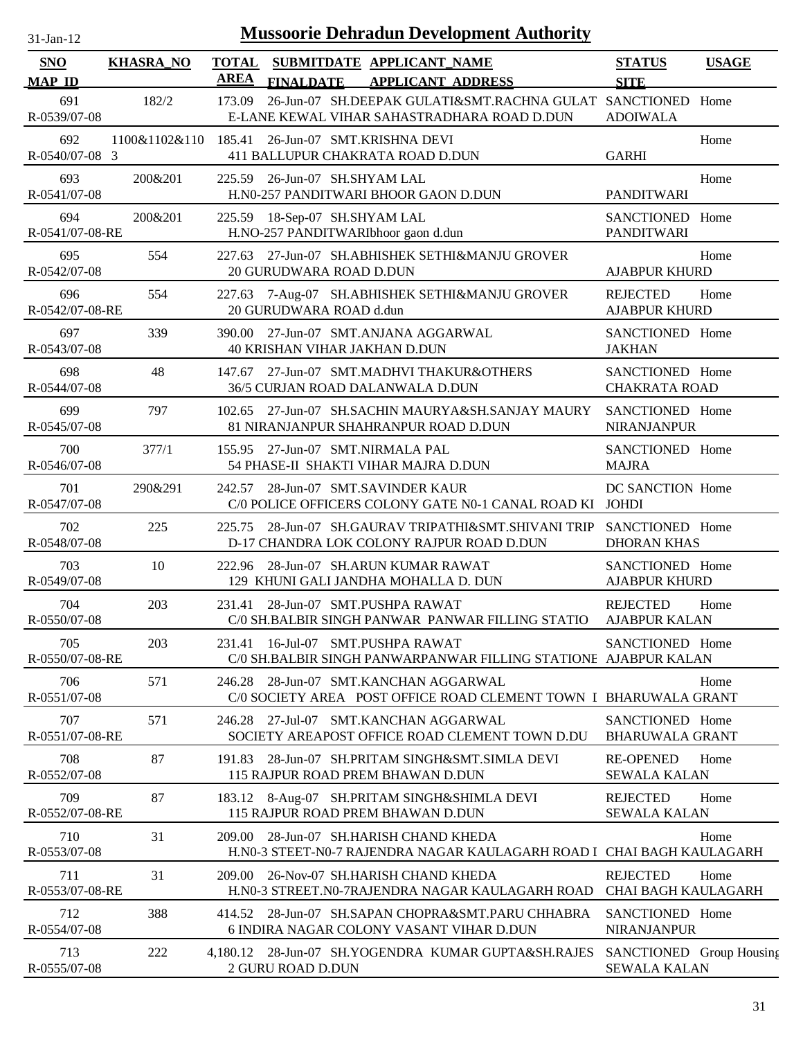| $31-Jan-12$                 |                  |                             |                                  | <b>Mussoorie Dehradun Development Authority</b>                                                            |                                                 |              |
|-----------------------------|------------------|-----------------------------|----------------------------------|------------------------------------------------------------------------------------------------------------|-------------------------------------------------|--------------|
| <b>SNO</b><br><b>MAP ID</b> | <b>KHASRA_NO</b> | <b>TOTAL</b><br><b>AREA</b> | <b>FINALDATE</b>                 | SUBMITDATE APPLICANT_NAME<br><b>APPLICANT ADDRESS</b>                                                      | <b>STATUS</b><br><b>SITE</b>                    | <b>USAGE</b> |
| 691<br>R-0539/07-08         | 182/2            | 173.09                      |                                  | 26-Jun-07 SH.DEEPAK GULATI&SMT.RACHNA GULAT SANCTIONED Home<br>E-LANE KEWAL VIHAR SAHASTRADHARA ROAD D.DUN | <b>ADOIWALA</b>                                 |              |
| 692<br>R-0540/07-08 3       | 1100&1102&110    |                             |                                  | 185.41 26-Jun-07 SMT.KRISHNA DEVI<br>411 BALLUPUR CHAKRATA ROAD D.DUN                                      | <b>GARHI</b>                                    | Home         |
| 693<br>R-0541/07-08         | 200&201          |                             | 225.59 26-Jun-07 SH.SHYAM LAL    | H.N0-257 PANDITWARI BHOOR GAON D.DUN                                                                       | <b>PANDITWARI</b>                               | Home         |
| 694<br>R-0541/07-08-RE      | 200&201          | 225.59                      | 18-Sep-07 SH.SHYAM LAL           | H.NO-257 PANDITWARIbhoor gaon d.dun                                                                        | SANCTIONED Home<br><b>PANDITWARI</b>            |              |
| 695<br>R-0542/07-08         | 554              | 227.63                      | 20 GURUDWARA ROAD D.DUN          | 27-Jun-07 SH.ABHISHEK SETHI&MANJU GROVER                                                                   | <b>AJABPUR KHURD</b>                            | Home         |
| 696<br>R-0542/07-08-RE      | 554              | 227.63                      | 20 GURUDWARA ROAD d.dun          | 7-Aug-07 SH.ABHISHEK SETHI&MANJU GROVER                                                                    | <b>REJECTED</b><br><b>AJABPUR KHURD</b>         | Home         |
| 697<br>R-0543/07-08         | 339              | 390.00                      | 40 KRISHAN VIHAR JAKHAN D.DUN    | 27-Jun-07 SMT.ANJANA AGGARWAL                                                                              | SANCTIONED Home<br><b>JAKHAN</b>                |              |
| 698<br>R-0544/07-08         | 48               | 147.67                      |                                  | 27-Jun-07 SMT.MADHVI THAKUR&OTHERS<br>36/5 CURJAN ROAD DALANWALA D.DUN                                     | SANCTIONED Home<br><b>CHAKRATA ROAD</b>         |              |
| 699<br>R-0545/07-08         | 797              |                             |                                  | 102.65 27-Jun-07 SH.SACHIN MAURYA&SH.SANJAY MAURY<br>81 NIRANJANPUR SHAHRANPUR ROAD D.DUN                  | SANCTIONED Home<br><b>NIRANJANPUR</b>           |              |
| 700<br>R-0546/07-08         | 377/1            |                             | 155.95 27-Jun-07 SMT.NIRMALA PAL | 54 PHASE-II SHAKTI VIHAR MAJRA D.DUN                                                                       | SANCTIONED Home<br><b>MAJRA</b>                 |              |
| 701<br>R-0547/07-08         | 290&291          | 242.57                      |                                  | 28-Jun-07 SMT.SAVINDER KAUR<br>C/0 POLICE OFFICERS COLONY GATE N0-1 CANAL ROAD KI JOHDI                    | DC SANCTION Home                                |              |
| 702<br>R-0548/07-08         | 225              | 225.75                      |                                  | 28-Jun-07 SH.GAURAV TRIPATHI&SMT.SHIVANI TRIP<br>D-17 CHANDRA LOK COLONY RAJPUR ROAD D.DUN                 | SANCTIONED Home<br><b>DHORAN KHAS</b>           |              |
| 703<br>R-0549/07-08         | 10               | 222.96                      |                                  | 28-Jun-07 SH.ARUN KUMAR RAWAT<br>129 KHUNI GALI JANDHA MOHALLA D. DUN                                      | SANCTIONED Home<br><b>AJABPUR KHURD</b>         |              |
| 704<br>R-0550/07-08         | 203              |                             |                                  | 231.41 28-Jun-07 SMT.PUSHPA RAWAT<br>C/0 SH.BALBIR SINGH PANWAR PANWAR FILLING STATIO                      | <b>REJECTED</b><br><b>AJABPUR KALAN</b>         | Home         |
| 705<br>R-0550/07-08-RE      | 203              |                             |                                  | 231.41 16-Jul-07 SMT.PUSHPA RAWAT<br>C/0 SH.BALBIR SINGH PANWARPANWAR FILLING STATIONE AJABPUR KALAN       | SANCTIONED Home                                 |              |
| 706<br>R-0551/07-08         | 571              | 246.28                      |                                  | 28-Jun-07 SMT.KANCHAN AGGARWAL<br>C/0 SOCIETY AREA POST OFFICE ROAD CLEMENT TOWN I BHARUWALA GRANT         |                                                 | Home         |
| 707<br>R-0551/07-08-RE      | 571              | 246.28                      |                                  | 27-Jul-07 SMT.KANCHAN AGGARWAL<br>SOCIETY AREAPOST OFFICE ROAD CLEMENT TOWN D.DU                           | SANCTIONED Home<br><b>BHARUWALA GRANT</b>       |              |
| 708<br>R-0552/07-08         | 87               | 191.83                      |                                  | 28-Jun-07 SH.PRITAM SINGH&SMT.SIMLA DEVI<br>115 RAJPUR ROAD PREM BHAWAN D.DUN                              | <b>RE-OPENED</b><br><b>SEWALA KALAN</b>         | Home         |
| 709<br>R-0552/07-08-RE      | 87               |                             |                                  | 183.12 8-Aug-07 SH.PRITAM SINGH&SHIMLA DEVI<br>115 RAJPUR ROAD PREM BHAWAN D.DUN                           | <b>REJECTED</b><br><b>SEWALA KALAN</b>          | Home         |
| 710<br>R-0553/07-08         | 31               | 209.00                      |                                  | 28-Jun-07 SH.HARISH CHAND KHEDA<br>H.NO-3 STEET-NO-7 RAJENDRA NAGAR KAULAGARH ROAD I CHAI BAGH KAULAGARH   |                                                 | Home         |
| 711<br>R-0553/07-08-RE      | 31               | 209.00                      |                                  | 26-Nov-07 SH.HARISH CHAND KHEDA<br>H.NO-3 STREET.NO-7RAJENDRA NAGAR KAULAGARH ROAD                         | <b>REJECTED</b><br><b>CHAI BAGH KAULAGARH</b>   | Home         |
| 712<br>R-0554/07-08         | 388              |                             |                                  | 414.52 28-Jun-07 SH.SAPAN CHOPRA&SMT.PARU CHHABRA<br>6 INDIRA NAGAR COLONY VASANT VIHAR D.DUN              | SANCTIONED Home<br><b>NIRANJANPUR</b>           |              |
| 713<br>R-0555/07-08         | 222              |                             | 2 GURU ROAD D.DUN                | 4,180.12 28-Jun-07 SH.YOGENDRA KUMAR GUPTA&SH.RAJES                                                        | SANCTIONED Group Housing<br><b>SEWALA KALAN</b> |              |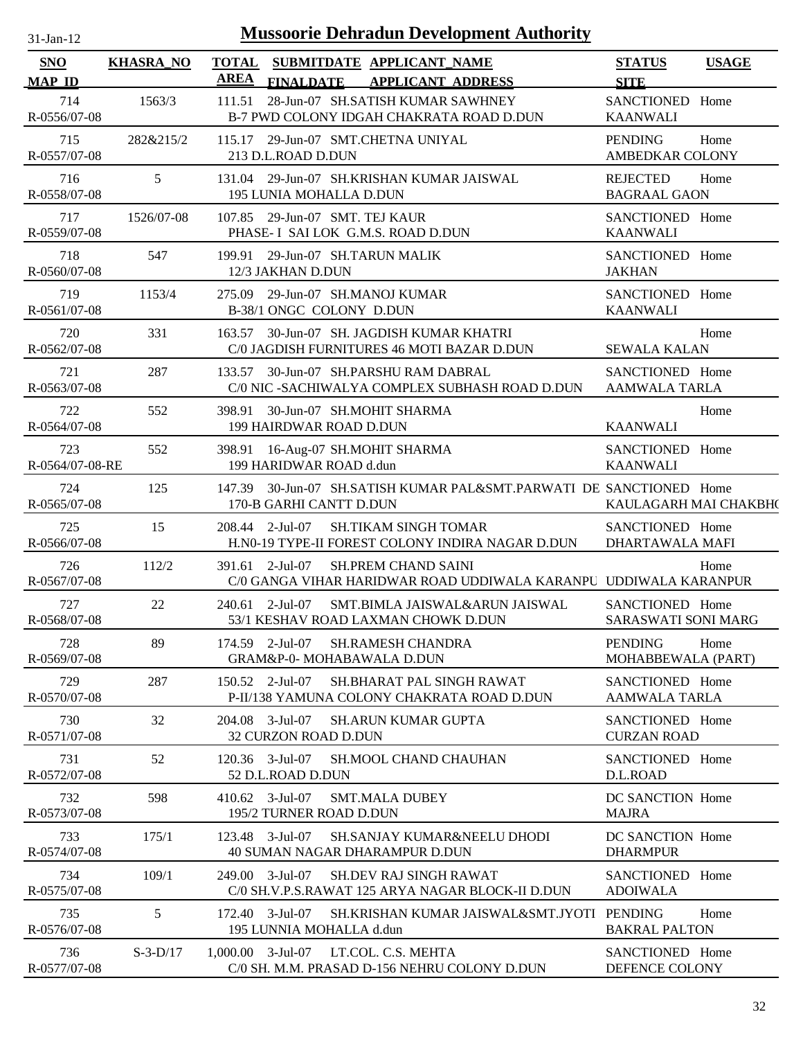| $31$ -Jan-12                |                  |                     | <b>Mussoorie Dehradun Development Authority</b>                                                                   |                                               |              |
|-----------------------------|------------------|---------------------|-------------------------------------------------------------------------------------------------------------------|-----------------------------------------------|--------------|
| <b>SNO</b><br><b>MAP ID</b> | <b>KHASRA_NO</b> | <b>AREA</b>         | TOTAL SUBMITDATE APPLICANT NAME<br><b>FINALDATE</b><br><b>APPLICANT ADDRESS</b>                                   | <b>STATUS</b><br><b>SITE</b>                  | <b>USAGE</b> |
| 714<br>R-0556/07-08         | 1563/3           | 111.51              | 28-Jun-07 SH.SATISH KUMAR SAWHNEY<br>B-7 PWD COLONY IDGAH CHAKRATA ROAD D.DUN                                     | SANCTIONED Home<br><b>KAANWALI</b>            |              |
| 715<br>R-0557/07-08         | 282&215/2        |                     | 115.17 29-Jun-07 SMT.CHETNA UNIYAL<br>213 D.L.ROAD D.DUN                                                          | <b>PENDING</b><br><b>AMBEDKAR COLONY</b>      | Home         |
| 716<br>R-0558/07-08         | 5 <sup>5</sup>   |                     | 131.04 29-Jun-07 SH.KRISHAN KUMAR JAISWAL<br>195 LUNIA MOHALLA D.DUN                                              | <b>REJECTED</b><br><b>BAGRAAL GAON</b>        | Home         |
| 717<br>R-0559/07-08         | 1526/07-08       |                     | 107.85 29-Jun-07 SMT. TEJ KAUR<br>PHASE- I SAI LOK G.M.S. ROAD D.DUN                                              | SANCTIONED Home<br><b>KAANWALI</b>            |              |
| 718<br>R-0560/07-08         | 547              |                     | 199.91 29-Jun-07 SH.TARUN MALIK<br>12/3 JAKHAN D.DUN                                                              | SANCTIONED Home<br><b>JAKHAN</b>              |              |
| 719<br>R-0561/07-08         | 1153/4           | 275.09              | 29-Jun-07 SH.MANOJ KUMAR<br>B-38/1 ONGC COLONY D.DUN                                                              | SANCTIONED Home<br><b>KAANWALI</b>            |              |
| 720<br>R-0562/07-08         | 331              | 163.57              | 30-Jun-07 SH. JAGDISH KUMAR KHATRI<br>C/0 JAGDISH FURNITURES 46 MOTI BAZAR D.DUN                                  | <b>SEWALA KALAN</b>                           | Home         |
| 721<br>R-0563/07-08         | 287              |                     | 133.57 30-Jun-07 SH.PARSHU RAM DABRAL<br>C/0 NIC -SACHIWALYA COMPLEX SUBHASH ROAD D.DUN                           | SANCTIONED Home<br>AAMWALA TARLA              |              |
| 722<br>R-0564/07-08         | 552              |                     | 398.91 30-Jun-07 SH.MOHIT SHARMA<br>199 HAIRDWAR ROAD D.DUN                                                       | <b>KAANWALI</b>                               | Home         |
| 723<br>R-0564/07-08-RE      | 552              |                     | 398.91 16-Aug-07 SH.MOHIT SHARMA<br>199 HARIDWAR ROAD d.dun                                                       | SANCTIONED Home<br><b>KAANWALI</b>            |              |
| 724<br>R-0565/07-08         | 125              |                     | 147.39 30-Jun-07 SH.SATISH KUMAR PAL&SMT.PARWATI DE SANCTIONED Home<br>170-B GARHI CANTT D.DUN                    | KAULAGARH MAI CHAKBH(                         |              |
| 725<br>R-0566/07-08         | 15               |                     | <b>SH.TIKAM SINGH TOMAR</b><br>208.44 2-Jul-07<br>H.N0-19 TYPE-II FOREST COLONY INDIRA NAGAR D.DUN                | SANCTIONED Home<br>DHARTAWALA MAFI            |              |
| 726<br>R-0567/07-08         | 112/2            |                     | 391.61 2-Jul-07<br><b>SH.PREM CHAND SAINI</b><br>C/0 GANGA VIHAR HARIDWAR ROAD UDDIWALA KARANPU UDDIWALA KARANPUR |                                               | Home         |
| 727<br>R-0568/07-08         | 22               |                     | 240.61 2-Jul-07<br>SMT.BIMLA JAISWAL&ARUN JAISWAL<br>53/1 KESHAV ROAD LAXMAN CHOWK D.DUN                          | SANCTIONED Home<br><b>SARASWATI SONI MARG</b> |              |
| 728<br>R-0569/07-08         | 89               |                     | $174.59$ 2-Jul-07<br><b>SH.RAMESH CHANDRA</b><br><b>GRAM&amp;P-0- MOHABAWALA D.DUN</b>                            | <b>PENDING</b><br>MOHABBEWALA (PART)          | Home         |
| 729<br>R-0570/07-08         | 287              |                     | $150.52$ 2-Jul-07<br><b>SH.BHARAT PAL SINGH RAWAT</b><br>P-II/138 YAMUNA COLONY CHAKRATA ROAD D.DUN               | SANCTIONED Home<br><b>AAMWALA TARLA</b>       |              |
| 730<br>R-0571/07-08         | 32               |                     | $204.08$ 3-Jul-07<br><b>SH.ARUN KUMAR GUPTA</b><br>32 CURZON ROAD D.DUN                                           | SANCTIONED Home<br><b>CURZAN ROAD</b>         |              |
| 731<br>R-0572/07-08         | 52               |                     | 120.36 3-Jul-07<br>SH.MOOL CHAND CHAUHAN<br>52 D.L.ROAD D.DUN                                                     | SANCTIONED Home<br>D.L.ROAD                   |              |
| 732<br>R-0573/07-08         | 598              |                     | $410.62$ 3-Jul-07<br><b>SMT.MALA DUBEY</b><br>195/2 TURNER ROAD D.DUN                                             | DC SANCTION Home<br><b>MAJRA</b>              |              |
| 733<br>R-0574/07-08         | 175/1            |                     | 123.48 3-Jul-07<br><b>SH.SANJAY KUMAR&amp;NEELU DHODI</b><br>40 SUMAN NAGAR DHARAMPUR D.DUN                       | DC SANCTION Home<br><b>DHARMPUR</b>           |              |
| 734<br>R-0575/07-08         | 109/1            |                     | 249.00 3-Jul-07<br><b>SH.DEV RAJ SINGH RAWAT</b><br>C/0 SH.V.P.S.RAWAT 125 ARYA NAGAR BLOCK-II D.DUN              | SANCTIONED Home<br><b>ADOIWALA</b>            |              |
| 735<br>R-0576/07-08         | 5                |                     | $172.40$ 3-Jul-07<br>SH.KRISHAN KUMAR JAISWAL&SMT.JYOTI PENDING<br>195 LUNNIA MOHALLA d.dun                       | <b>BAKRAL PALTON</b>                          | Home         |
| 736<br>R-0577/07-08         | $S-3-D/17$       | $1,000.00$ 3-Jul-07 | LT.COL. C.S. MEHTA<br>C/0 SH. M.M. PRASAD D-156 NEHRU COLONY D.DUN                                                | SANCTIONED Home<br>DEFENCE COLONY             |              |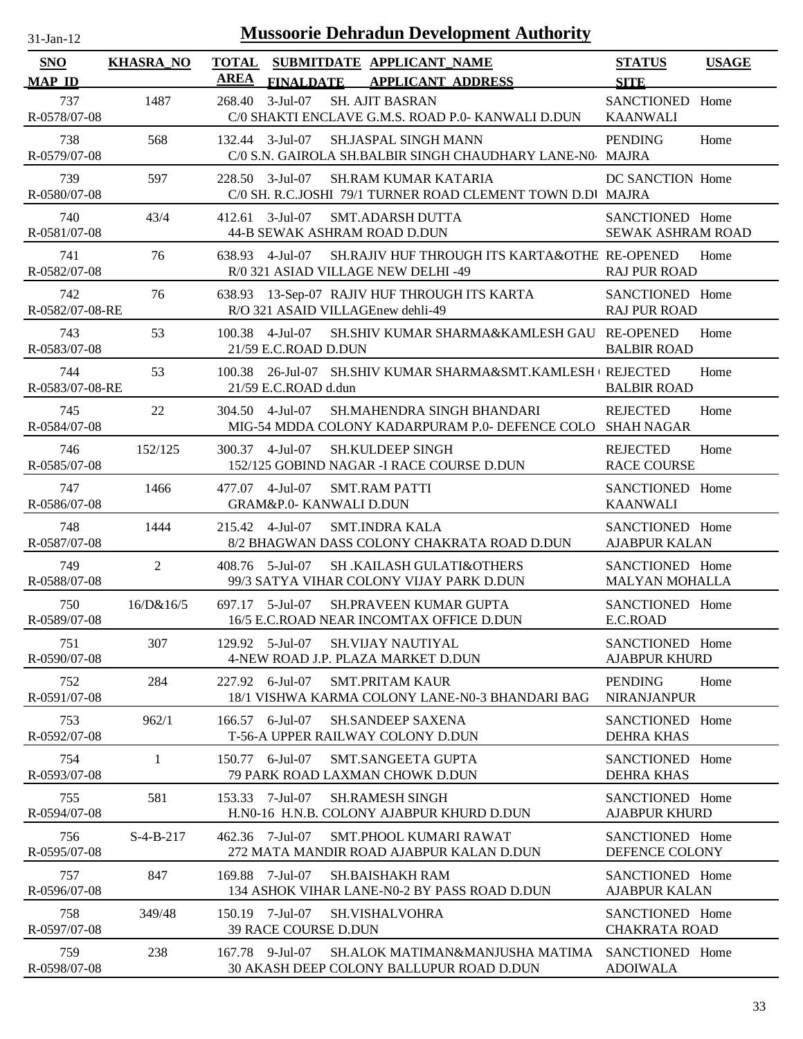| 31-Jan-12                   |                  | <b>Mussoorie Dehradun Development Authority</b>                                                                    |                                          |              |
|-----------------------------|------------------|--------------------------------------------------------------------------------------------------------------------|------------------------------------------|--------------|
| <b>SNO</b><br><b>MAP ID</b> | <b>KHASRA_NO</b> | <b>TOTAL</b><br>SUBMITDATE APPLICANT_NAME<br><b>AREA</b><br><b>FINALDATE</b><br><b>APPLICANT ADDRESS</b>           | <b>STATUS</b><br><b>SITE</b>             | <b>USAGE</b> |
| 737<br>R-0578/07-08         | 1487             | 268.40<br>$3-Jul-07$<br><b>SH. AJIT BASRAN</b><br>C/0 SHAKTI ENCLAVE G.M.S. ROAD P.0- KANWALI D.DUN                | SANCTIONED Home<br><b>KAANWALI</b>       |              |
| 738<br>R-0579/07-08         | 568              | 132.44 3-Jul-07<br>SH.JASPAL SINGH MANN<br>C/0 S.N. GAIROLA SH.BALBIR SINGH CHAUDHARY LANE-N0 MAJRA                | <b>PENDING</b>                           | Home         |
| 739<br>R-0580/07-08         | 597              | 228.50 3-Jul-07<br><b>SH.RAM KUMAR KATARIA</b><br>C/0 SH. R.C.JOSHI 79/1 TURNER ROAD CLEMENT TOWN D.DI MAJRA       | DC SANCTION Home                         |              |
| 740<br>R-0581/07-08         | 43/4             | $3-Jul-07$<br>412.61<br><b>SMT.ADARSH DUTTA</b><br>44-B SEWAK ASHRAM ROAD D.DUN                                    | SANCTIONED Home<br>SEWAK ASHRAM ROAD     |              |
| 741<br>R-0582/07-08         | 76               | SH.RAJIV HUF THROUGH ITS KARTA&OTHE RE-OPENED<br>638.93<br>4-Jul-07<br>R/0 321 ASIAD VILLAGE NEW DELHI -49         | <b>RAJ PUR ROAD</b>                      | Home         |
| 742<br>R-0582/07-08-RE      | 76               | 13-Sep-07 RAJIV HUF THROUGH ITS KARTA<br>638.93<br>R/O 321 ASAID VILLAGEnew dehli-49                               | SANCTIONED Home<br><b>RAJ PUR ROAD</b>   |              |
| 743<br>R-0583/07-08         | 53               | 100.38<br>4-Jul-07<br>SH.SHIV KUMAR SHARMA&KAMLESH GAU RE-OPENED<br>21/59 E.C.ROAD D.DUN                           | <b>BALBIR ROAD</b>                       | Home         |
| 744<br>R-0583/07-08-RE      | 53               | 26-Jul-07 SH.SHIV KUMAR SHARMA&SMT.KAMLESH ( REJECTED<br>100.38<br>21/59 E.C.ROAD d.dun                            | <b>BALBIR ROAD</b>                       | Home         |
| 745<br>R-0584/07-08         | 22               | 304.50 4-Jul-07<br><b>SH.MAHENDRA SINGH BHANDARI</b><br>MIG-54 MDDA COLONY KADARPURAM P.0- DEFENCE COLO SHAH NAGAR | <b>REJECTED</b>                          | Home         |
| 746<br>R-0585/07-08         | 152/125          | 300.37 4-Jul-07<br><b>SH.KULDEEP SINGH</b><br>152/125 GOBIND NAGAR -I RACE COURSE D.DUN                            | <b>REJECTED</b><br><b>RACE COURSE</b>    | Home         |
| 747<br>R-0586/07-08         | 1466             | 477.07 4-Jul-07<br><b>SMT.RAM PATTI</b><br>GRAM&P.0- KANWALI D.DUN                                                 | SANCTIONED Home<br><b>KAANWALI</b>       |              |
| 748<br>R-0587/07-08         | 1444             | 215.42 4-Jul-07<br><b>SMT.INDRA KALA</b><br>8/2 BHAGWAN DASS COLONY CHAKRATA ROAD D.DUN                            | SANCTIONED Home<br><b>AJABPUR KALAN</b>  |              |
| 749<br>R-0588/07-08         | $\overline{2}$   | 408.76 5-Jul-07<br><b>SH .KAILASH GULATI&amp;OTHERS</b><br>99/3 SATYA VIHAR COLONY VIJAY PARK D.DUN                | SANCTIONED Home<br><b>MALYAN MOHALLA</b> |              |
| 750<br>R-0589/07-08         | 16/D&16/5        | 697.17 5-Jul-07<br><b>SH.PRAVEEN KUMAR GUPTA</b><br>16/5 E.C.ROAD NEAR INCOMTAX OFFICE D.DUN                       | SANCTIONED Home<br>E.C.ROAD              |              |
| 751<br>R-0590/07-08         | 307              | 129.92 5-Jul-07<br><b>SH.VIJAY NAUTIYAL</b><br>4-NEW ROAD J.P. PLAZA MARKET D.DUN                                  | SANCTIONED Home<br><b>AJABPUR KHURD</b>  |              |
| 752<br>R-0591/07-08         | 284              | $6$ -Jul-07<br>227.92<br><b>SMT.PRITAM KAUR</b><br>18/1 VISHWA KARMA COLONY LANE-N0-3 BHANDARI BAG                 | <b>PENDING</b><br><b>NIRANJANPUR</b>     | Home         |
| 753<br>R-0592/07-08         | 962/1            | $6$ -Jul-07<br><b>SH.SANDEEP SAXENA</b><br>166.57<br>T-56-A UPPER RAILWAY COLONY D.DUN                             | SANCTIONED Home<br><b>DEHRA KHAS</b>     |              |
| 754<br>R-0593/07-08         | $\mathbf{1}$     | $6$ -Jul $-07$<br><b>SMT.SANGEETA GUPTA</b><br>150.77<br>79 PARK ROAD LAXMAN CHOWK D.DUN                           | SANCTIONED Home<br><b>DEHRA KHAS</b>     |              |
| 755<br>R-0594/07-08         | 581              | 153.33 7-Jul-07<br><b>SH.RAMESH SINGH</b><br>H.N0-16 H.N.B. COLONY AJABPUR KHURD D.DUN                             | SANCTIONED Home<br><b>AJABPUR KHURD</b>  |              |
| 756<br>R-0595/07-08         | $S-4-B-217$      | 462.36 7-Jul-07<br>SMT.PHOOL KUMARI RAWAT<br>272 MATA MANDIR ROAD AJABPUR KALAN D.DUN                              | SANCTIONED Home<br>DEFENCE COLONY        |              |
| 757<br>R-0596/07-08         | 847              | 169.88 7-Jul-07<br>SH.BAISHAKH RAM<br>134 ASHOK VIHAR LANE-N0-2 BY PASS ROAD D.DUN                                 | SANCTIONED Home<br><b>AJABPUR KALAN</b>  |              |
| 758<br>R-0597/07-08         | 349/48           | 150.19 7-Jul-07<br><b>SH.VISHALVOHRA</b><br><b>39 RACE COURSE D.DUN</b>                                            | SANCTIONED Home<br><b>CHAKRATA ROAD</b>  |              |
| 759<br>R-0598/07-08         | 238              | 167.78 9-Jul-07<br>SH.ALOK MATIMAN&MANJUSHA MATIMA<br>30 AKASH DEEP COLONY BALLUPUR ROAD D.DUN                     | SANCTIONED Home<br><b>ADOIWALA</b>       |              |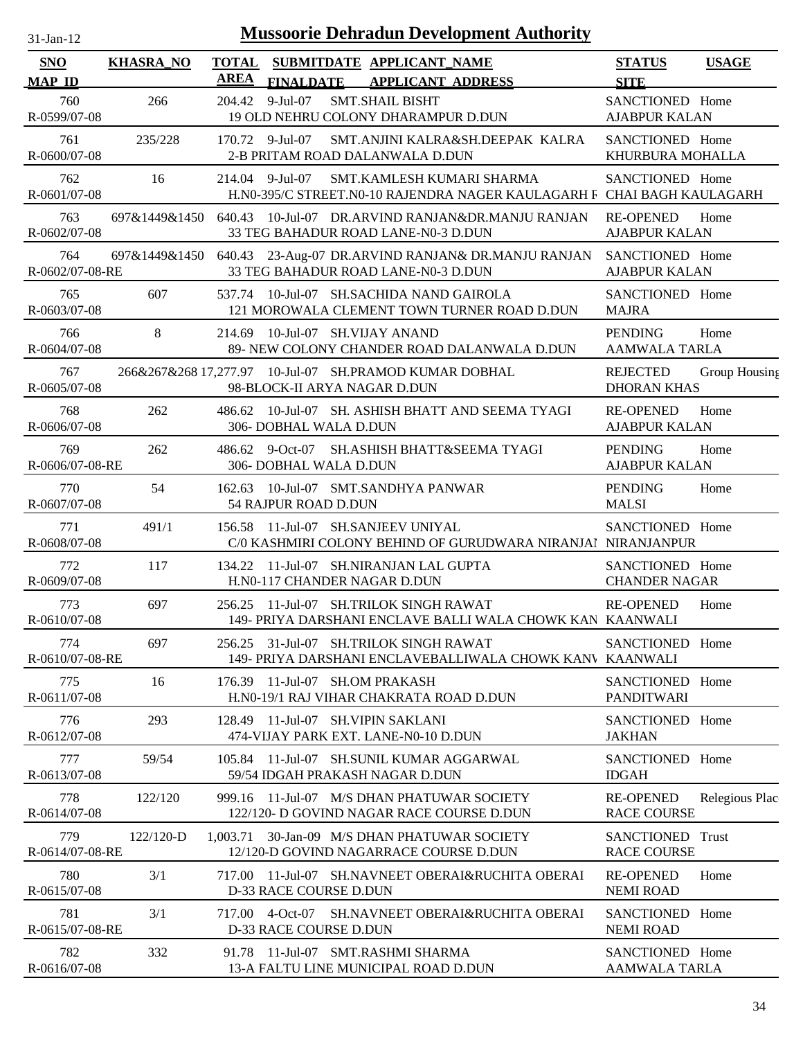| -Jan- |  |
|-------|--|
|       |  |

| <b>SNO</b>                          | <b>KHASRA_NO</b> | <b>TOTAL</b><br><b>AREA</b> | SUBMITDATE APPLICANT_NAME                                                                   |                                                    |                                                                                                     | <b>STATUS</b>                                               | <b>USAGE</b>   |
|-------------------------------------|------------------|-----------------------------|---------------------------------------------------------------------------------------------|----------------------------------------------------|-----------------------------------------------------------------------------------------------------|-------------------------------------------------------------|----------------|
| <b>MAP ID</b><br>760                | 266              |                             | <b>FINALDATE</b><br>204.42 9-Jul-07                                                         | <b>APPLICANT ADDRESS</b><br><b>SMT.SHAIL BISHT</b> |                                                                                                     | <b>SITE</b><br>SANCTIONED Home                              |                |
| R-0599/07-08<br>761<br>R-0600/07-08 | 235/228          |                             | 19 OLD NEHRU COLONY DHARAMPUR D.DUN<br>$170.72$ 9-Jul-07<br>2-B PRITAM ROAD DALANWALA D.DUN |                                                    | SMT.ANJINI KALRA&SH.DEEPAK KALRA                                                                    | <b>AJABPUR KALAN</b><br>SANCTIONED Home<br>KHURBURA MOHALLA |                |
| 762<br>R-0601/07-08                 | 16               |                             | 214.04 9-Jul-07                                                                             |                                                    | SMT.KAMLESH KUMARI SHARMA<br>H.N0-395/C STREET.N0-10 RAJENDRA NAGER KAULAGARH F CHAI BAGH KAULAGARH | SANCTIONED Home                                             |                |
| 763<br>R-0602/07-08                 | 697&1449&1450    | 640.43                      | 33 TEG BAHADUR ROAD LANE-N0-3 D.DUN                                                         |                                                    | 10-Jul-07 DR.ARVIND RANJAN&DR.MANJU RANJAN                                                          | <b>RE-OPENED</b><br><b>AJABPUR KALAN</b>                    | Home           |
| 764<br>R-0602/07-08-RE              | 697&1449&1450    |                             | 33 TEG BAHADUR ROAD LANE-N0-3 D.DUN                                                         |                                                    | 640.43 23-Aug-07 DR.ARVIND RANJAN& DR.MANJU RANJAN SANCTIONED Home                                  | <b>AJABPUR KALAN</b>                                        |                |
| 765<br>R-0603/07-08                 | 607              |                             | 537.74 10-Jul-07 SH.SACHIDA NAND GAIROLA                                                    |                                                    | 121 MOROWALA CLEMENT TOWN TURNER ROAD D.DUN                                                         | SANCTIONED Home<br><b>MAJRA</b>                             |                |
| 766<br>R-0604/07-08                 | $8\,$            | 214.69                      | 10-Jul-07 SH.VIJAY ANAND                                                                    |                                                    | 89- NEW COLONY CHANDER ROAD DALANWALA D.DUN                                                         | <b>PENDING</b><br><b>AAMWALA TARLA</b>                      | Home           |
| 767<br>R-0605/07-08                 |                  |                             | 266&267&268 17,277.97   10-Jul-07   SH.PRAMOD KUMAR DOBHAL<br>98-BLOCK-II ARYA NAGAR D.DUN  |                                                    |                                                                                                     | <b>REJECTED</b><br><b>DHORAN KHAS</b>                       | Group Housing  |
| 768<br>R-0606/07-08                 | 262              |                             | 306- DOBHAL WALA D.DUN                                                                      |                                                    | 486.62 10-Jul-07 SH. ASHISH BHATT AND SEEMA TYAGI                                                   | <b>RE-OPENED</b><br><b>AJABPUR KALAN</b>                    | Home           |
| 769<br>R-0606/07-08-RE              | 262              |                             | 486.62 9-Oct-07<br>306- DOBHAL WALA D.DUN                                                   |                                                    | SH.ASHISH BHATT&SEEMA TYAGI                                                                         | <b>PENDING</b><br><b>AJABPUR KALAN</b>                      | Home           |
| 770<br>R-0607/07-08                 | 54               |                             | 162.63 10-Jul-07 SMT.SANDHYA PANWAR<br>54 RAJPUR ROAD D.DUN                                 |                                                    |                                                                                                     | PENDING<br><b>MALSI</b>                                     | Home           |
| 771<br>R-0608/07-08                 | 491/1            |                             | 156.58 11-Jul-07 SH.SANJEEV UNIYAL                                                          |                                                    | C/0 KASHMIRI COLONY BEHIND OF GURUDWARA NIRANJAI NIRANJANPUR                                        | SANCTIONED Home                                             |                |
| 772<br>R-0609/07-08                 | 117              |                             | 134.22 11-Jul-07 SH.NIRANJAN LAL GUPTA<br>H.N0-117 CHANDER NAGAR D.DUN                      |                                                    |                                                                                                     | SANCTIONED Home<br><b>CHANDER NAGAR</b>                     |                |
| 773<br>R-0610/07-08                 | 697              |                             | 256.25 11-Jul-07 SH.TRILOK SINGH RAWAT                                                      |                                                    | 149- PRIYA DARSHANI ENCLAVE BALLI WALA CHOWK KAN KAANWALI                                           | <b>RE-OPENED</b>                                            | Home           |
| 774<br>R-0610/07-08-RE              | 697              |                             | 256.25 31-Jul-07 SH.TRILOK SINGH RAWAT                                                      |                                                    | 149- PRIYA DARSHANI ENCLAVEBALLIWALA CHOWK KANV KAANWALI                                            | SANCTIONED Home                                             |                |
| 775<br>R-0611/07-08                 | 16               | 176.39                      | 11-Jul-07 SH.OM PRAKASH<br>H.N0-19/1 RAJ VIHAR CHAKRATA ROAD D.DUN                          |                                                    |                                                                                                     | SANCTIONED Home<br><b>PANDITWARI</b>                        |                |
| 776<br>R-0612/07-08                 | 293              | 128.49                      | 11-Jul-07 SH.VIPIN SAKLANI<br>474-VIJAY PARK EXT. LANE-N0-10 D.DUN                          |                                                    |                                                                                                     | SANCTIONED Home<br><b>JAKHAN</b>                            |                |
| 777<br>R-0613/07-08                 | 59/54            |                             | 105.84 11-Jul-07 SH.SUNIL KUMAR AGGARWAL<br>59/54 IDGAH PRAKASH NAGAR D.DUN                 |                                                    |                                                                                                     | SANCTIONED Home<br><b>IDGAH</b>                             |                |
| 778<br>R-0614/07-08                 | 122/120          |                             | 999.16 11-Jul-07 M/S DHAN PHATUWAR SOCIETY<br>122/120- D GOVIND NAGAR RACE COURSE D.DUN     |                                                    |                                                                                                     | <b>RE-OPENED</b><br><b>RACE COURSE</b>                      | Relegious Plac |
| 779<br>R-0614/07-08-RE              | 122/120-D        | 1.003.71                    | 30-Jan-09 M/S DHAN PHATUWAR SOCIETY<br>12/120-D GOVIND NAGARRACE COURSE D.DUN               |                                                    |                                                                                                     | SANCTIONED Trust<br><b>RACE COURSE</b>                      |                |
| 780<br>R-0615/07-08                 | 3/1              |                             | D-33 RACE COURSE D.DUN                                                                      |                                                    | 717.00 11-Jul-07 SH.NAVNEET OBERAI&RUCHITA OBERAI                                                   | <b>RE-OPENED</b><br><b>NEMI ROAD</b>                        | Home           |
| 781<br>R-0615/07-08-RE              | 3/1              |                             | 717.00 4-Oct-07<br>D-33 RACE COURSE D.DUN                                                   |                                                    | SH.NAVNEET OBERAI&RUCHITA OBERAI                                                                    | SANCTIONED Home<br><b>NEMI ROAD</b>                         |                |
| 782<br>R-0616/07-08                 | 332              |                             | 91.78 11-Jul-07 SMT.RASHMI SHARMA<br>13-A FALTU LINE MUNICIPAL ROAD D.DUN                   |                                                    |                                                                                                     | SANCTIONED Home<br>AAMWALA TARLA                            |                |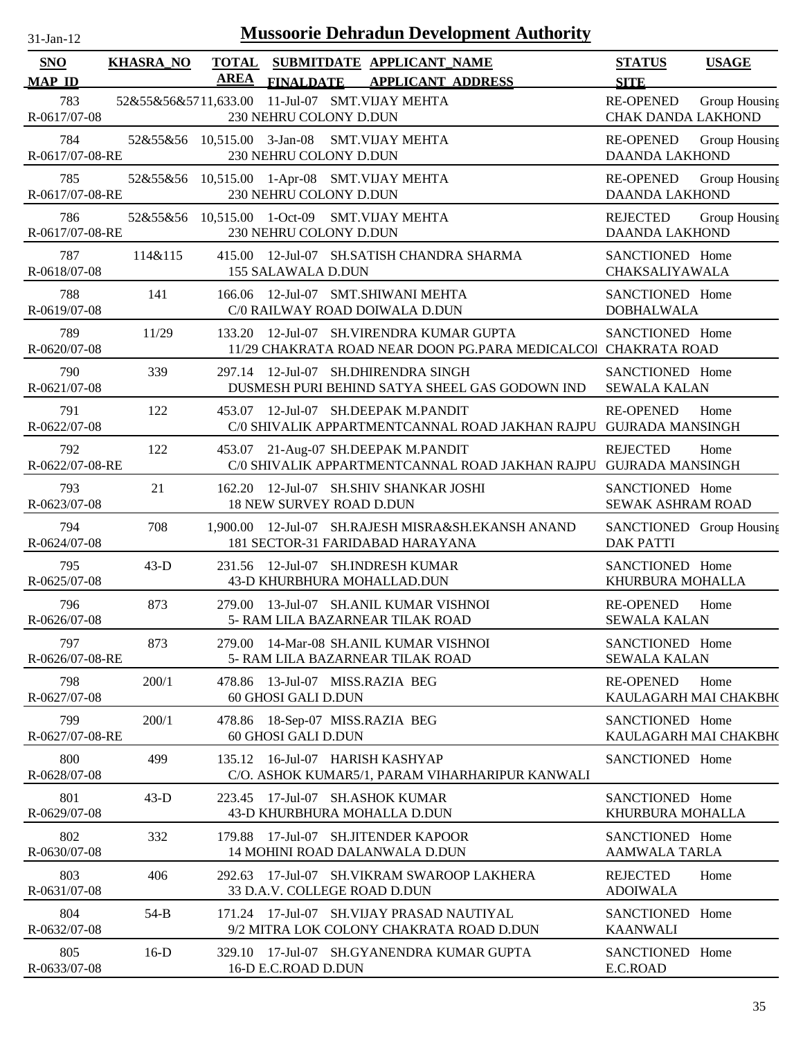| $31$ -Jan-12 |  |
|--------------|--|
|              |  |

| SNO                    | <b>KHASRA_NO</b>            | <b>TOTAL</b><br><b>AREA</b> |                                                        | SUBMITDATE APPLICANT_NAME                                                  |                                                                  | <b>STATUS</b>                                 | <b>USAGE</b>  |
|------------------------|-----------------------------|-----------------------------|--------------------------------------------------------|----------------------------------------------------------------------------|------------------------------------------------------------------|-----------------------------------------------|---------------|
| <b>MAP ID</b>          |                             |                             | <b>FINALDATE</b>                                       | <b>APPLICANT ADDRESS</b>                                                   |                                                                  | <b>SITE</b>                                   |               |
| 783<br>R-0617/07-08    | 52&55&56&5711,633.00        |                             | 230 NEHRU COLONY D.DUN                                 | 11-Jul-07 SMT.VIJAY MEHTA                                                  |                                                                  | <b>RE-OPENED</b><br><b>CHAK DANDA LAKHOND</b> | Group Housing |
| 784<br>R-0617/07-08-RE | 52&55&56 10,515.00 3-Jan-08 |                             | 230 NEHRU COLONY D.DUN                                 | <b>SMT.VIJAY MEHTA</b>                                                     |                                                                  | <b>RE-OPENED</b><br><b>DAANDA LAKHOND</b>     | Group Housing |
| 785<br>R-0617/07-08-RE | 52&55&56                    |                             | 230 NEHRU COLONY D.DUN                                 | 10,515.00 1-Apr-08 SMT.VIJAY MEHTA                                         |                                                                  | <b>RE-OPENED</b><br><b>DAANDA LAKHOND</b>     | Group Housing |
| 786<br>R-0617/07-08-RE |                             |                             | 230 NEHRU COLONY D.DUN                                 | 52&55&56 10,515.00 1-Oct-09 SMT.VIJAY MEHTA                                |                                                                  | <b>REJECTED</b><br><b>DAANDA LAKHOND</b>      | Group Housing |
| 787<br>R-0618/07-08    | 114&115                     |                             | 155 SALAWALA D.DUN                                     | 415.00 12-Jul-07 SH.SATISH CHANDRA SHARMA                                  |                                                                  | SANCTIONED Home<br>CHAKSALIYAWALA             |               |
| 788<br>R-0619/07-08    | 141                         |                             |                                                        | 166.06 12-Jul-07 SMT.SHIWANI MEHTA<br>C/0 RAILWAY ROAD DOIWALA D.DUN       |                                                                  | SANCTIONED Home<br><b>DOBHALWALA</b>          |               |
| 789<br>R-0620/07-08    | 11/29                       |                             |                                                        | 133.20 12-Jul-07 SH. VIRENDRA KUMAR GUPTA                                  | 11/29 CHAKRATA ROAD NEAR DOON PG.PARA MEDICALCOI CHAKRATA ROAD   | SANCTIONED Home                               |               |
| 790<br>R-0621/07-08    | 339                         |                             |                                                        | 297.14 12-Jul-07 SH.DHIRENDRA SINGH                                        | DUSMESH PURI BEHIND SATYA SHEEL GAS GODOWN IND                   | SANCTIONED Home<br><b>SEWALA KALAN</b>        |               |
| 791<br>R-0622/07-08    | 122                         |                             |                                                        | 453.07 12-Jul-07 SH.DEEPAK M.PANDIT                                        | C/0 SHIVALIK APPARTMENTCANNAL ROAD JAKHAN RAJPU                  | <b>RE-OPENED</b><br><b>GUJRADA MANSINGH</b>   | Home          |
| 792<br>R-0622/07-08-RE | 122                         |                             |                                                        | 453.07 21-Aug-07 SH.DEEPAK M.PANDIT                                        | C/0 SHIVALIK APPARTMENTCANNAL ROAD JAKHAN RAJPU GUJRADA MANSINGH | <b>REJECTED</b>                               | Home          |
| 793<br>R-0623/07-08    | 21                          |                             | 18 NEW SURVEY ROAD D.DUN                               | 162.20 12-Jul-07 SH.SHIV SHANKAR JOSHI                                     |                                                                  | SANCTIONED Home<br>SEWAK ASHRAM ROAD          |               |
| 794<br>R-0624/07-08    | 708                         | 1.900.00                    |                                                        | 181 SECTOR-31 FARIDABAD HARAYANA                                           | 12-Jul-07 SH.RAJESH MISRA&SH.EKANSH ANAND                        | SANCTIONED Group Housing<br><b>DAK PATTI</b>  |               |
| 795<br>R-0625/07-08    | $43-D$                      |                             |                                                        | 231.56 12-Jul-07 SH.INDRESH KUMAR<br>43-D KHURBHURA MOHALLAD.DUN           |                                                                  | SANCTIONED Home<br>KHURBURA MOHALLA           |               |
| 796<br>R-0626/07-08    | 873                         |                             |                                                        | 279.00 13-Jul-07 SH.ANIL KUMAR VISHNOI<br>5- RAM LILA BAZARNEAR TILAK ROAD |                                                                  | <b>RE-OPENED</b><br><b>SEWALA KALAN</b>       | Home          |
| 797<br>R-0626/07-08-RE | 873                         |                             |                                                        | 279.00 14-Mar-08 SH.ANIL KUMAR VISHNOI<br>5- RAM LILA BAZARNEAR TILAK ROAD |                                                                  | SANCTIONED Home<br><b>SEWALA KALAN</b>        |               |
| 798<br>R-0627/07-08    | 200/1                       |                             | 478.86 13-Jul-07 MISS.RAZIA BEG<br>60 GHOSI GALI D.DUN |                                                                            |                                                                  | <b>RE-OPENED</b><br>KAULAGARH MAI CHAKBH(     | Home          |
| 799<br>R-0627/07-08-RE | 200/1                       |                             | 478.86 18-Sep-07 MISS.RAZIA BEG<br>60 GHOSI GALI D.DUN |                                                                            |                                                                  | SANCTIONED Home<br>KAULAGARH MAI CHAKBH(      |               |
| 800<br>R-0628/07-08    | 499                         |                             | 135.12 16-Jul-07 HARISH KASHYAP                        |                                                                            | C/O. ASHOK KUMAR5/1, PARAM VIHARHARIPUR KANWALI                  | SANCTIONED Home                               |               |
| 801<br>R-0629/07-08    | $43-D$                      |                             |                                                        | 223.45 17-Jul-07 SH.ASHOK KUMAR<br>43-D KHURBHURA MOHALLA D.DUN            |                                                                  | SANCTIONED Home<br>KHURBURA MOHALLA           |               |
| 802<br>R-0630/07-08    | 332                         |                             |                                                        | 179.88 17-Jul-07 SH.JITENDER KAPOOR<br>14 MOHINI ROAD DALANWALA D.DUN      |                                                                  | SANCTIONED Home<br>AAMWALA TARLA              |               |
| 803<br>R-0631/07-08    | 406                         |                             | 33 D.A.V. COLLEGE ROAD D.DUN                           |                                                                            | 292.63 17-Jul-07 SH.VIKRAM SWAROOP LAKHERA                       | <b>REJECTED</b><br><b>ADOIWALA</b>            | Home          |
| 804<br>R-0632/07-08    | $54-B$                      |                             |                                                        | 171.24 17-Jul-07 SH.VIJAY PRASAD NAUTIYAL                                  | 9/2 MITRA LOK COLONY CHAKRATA ROAD D.DUN                         | SANCTIONED Home<br><b>KAANWALI</b>            |               |
| 805<br>R-0633/07-08    | $16-D$                      |                             | 16-D E.C.ROAD D.DUN                                    |                                                                            | 329.10 17-Jul-07 SH.GYANENDRA KUMAR GUPTA                        | SANCTIONED Home<br>E.C.ROAD                   |               |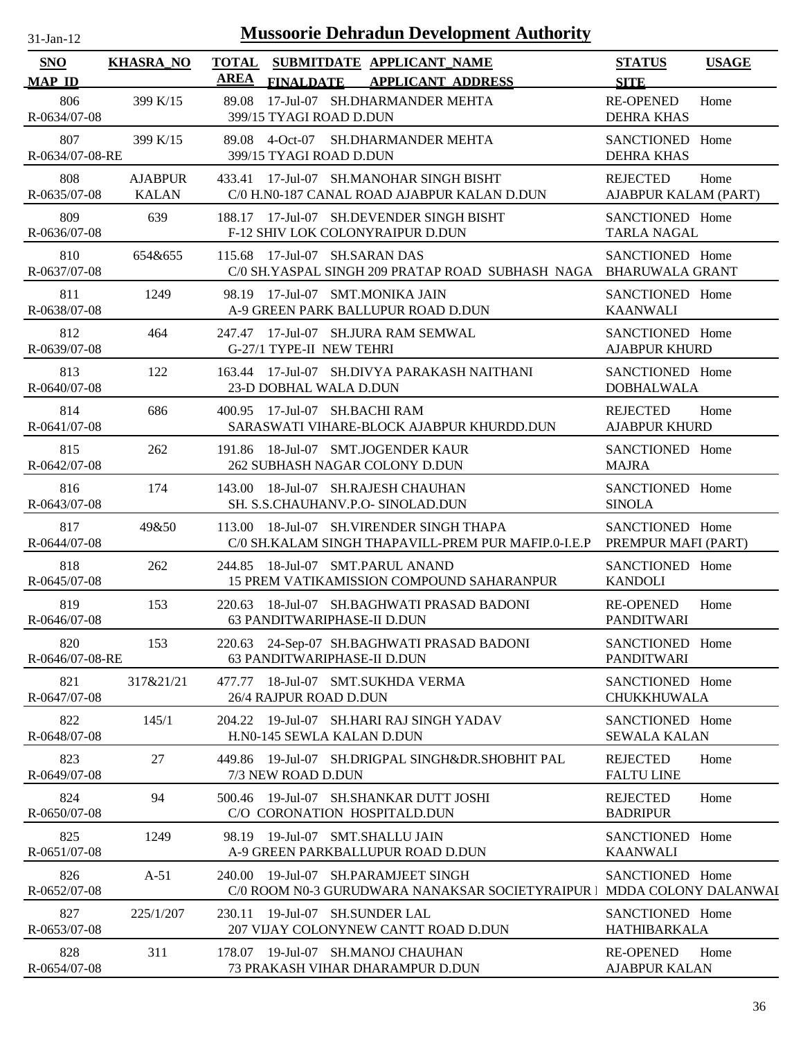| $31$ -Jan-12 |  |
|--------------|--|
|              |  |

| <b>SNO</b><br><b>MAP ID</b> | <b>KHASRA_NO</b>               | <b>TOTAL</b><br><b>AREA</b> | <b>FINALDATE</b>                       | SUBMITDATE APPLICANT_NAME<br><b>APPLICANT ADDRESS</b>                                                        | <b>STATUS</b><br><b>SITE</b>                   | <b>USAGE</b> |
|-----------------------------|--------------------------------|-----------------------------|----------------------------------------|--------------------------------------------------------------------------------------------------------------|------------------------------------------------|--------------|
| 806<br>R-0634/07-08         | 399 K/15                       | 89.08                       | 399/15 TYAGI ROAD D.DUN                | 17-Jul-07 SH.DHARMANDER MEHTA                                                                                | <b>RE-OPENED</b><br><b>DEHRA KHAS</b>          | Home         |
| 807<br>R-0634/07-08-RE      | 399 K/15                       | 89.08                       | $4$ -Oct-07<br>399/15 TYAGI ROAD D.DUN | SH.DHARMANDER MEHTA                                                                                          | SANCTIONED Home<br><b>DEHRA KHAS</b>           |              |
| 808<br>R-0635/07-08         | <b>AJABPUR</b><br><b>KALAN</b> | 433.41                      |                                        | 17-Jul-07 SH.MANOHAR SINGH BISHT<br>C/0 H.N0-187 CANAL ROAD AJABPUR KALAN D.DUN                              | <b>REJECTED</b><br><b>AJABPUR KALAM (PART)</b> | Home         |
| 809<br>R-0636/07-08         | 639                            | 188.17                      |                                        | 17-Jul-07 SH.DEVENDER SINGH BISHT<br>F-12 SHIV LOK COLONYRAIPUR D.DUN                                        | SANCTIONED Home<br><b>TARLA NAGAL</b>          |              |
| 810<br>R-0637/07-08         | 654&655                        | 115.68                      | 17-Jul-07 SH.SARAN DAS                 | C/0 SH.YASPAL SINGH 209 PRATAP ROAD SUBHASH NAGA                                                             | SANCTIONED Home<br><b>BHARUWALA GRANT</b>      |              |
| 811<br>R-0638/07-08         | 1249                           |                             | 98.19 17-Jul-07 SMT.MONIKA JAIN        | A-9 GREEN PARK BALLUPUR ROAD D.DUN                                                                           | SANCTIONED Home<br><b>KAANWALI</b>             |              |
| 812<br>R-0639/07-08         | 464                            | 247.47                      | G-27/1 TYPE-II NEW TEHRI               | 17-Jul-07 SH.JURA RAM SEMWAL                                                                                 | SANCTIONED Home<br><b>AJABPUR KHURD</b>        |              |
| 813<br>R-0640/07-08         | 122                            |                             | 23-D DOBHAL WALA D.DUN                 | 163.44 17-Jul-07 SH.DIVYA PARAKASH NAITHANI                                                                  | SANCTIONED Home<br><b>DOBHALWALA</b>           |              |
| 814<br>R-0641/07-08         | 686                            |                             | 400.95 17-Jul-07 SH.BACHI RAM          | SARASWATI VIHARE-BLOCK AJABPUR KHURDD.DUN                                                                    | <b>REJECTED</b><br><b>AJABPUR KHURD</b>        | Home         |
| 815<br>R-0642/07-08         | 262                            |                             | 262 SUBHASH NAGAR COLONY D.DUN         | 191.86 18-Jul-07 SMT.JOGENDER KAUR                                                                           | SANCTIONED Home<br><b>MAJRA</b>                |              |
| 816<br>R-0643/07-08         | 174                            |                             |                                        | 143.00 18-Jul-07 SH.RAJESH CHAUHAN<br>SH. S.S.CHAUHANV.P.O- SINOLAD.DUN                                      | SANCTIONED Home<br><b>SINOLA</b>               |              |
| 817<br>R-0644/07-08         | 49&50                          | 113.00                      |                                        | 18-Jul-07 SH. VIRENDER SINGH THAPA<br>C/0 SH.KALAM SINGH THAPAVILL-PREM PUR MAFIP.0-I.E.P                    | SANCTIONED Home<br>PREMPUR MAFI (PART)         |              |
| 818<br>R-0645/07-08         | 262                            | 244.85                      | 18-Jul-07 SMT.PARUL ANAND              | 15 PREM VATIKAMISSION COMPOUND SAHARANPUR                                                                    | SANCTIONED Home<br><b>KANDOLI</b>              |              |
| 819<br>R-0646/07-08         | 153                            | 220.63                      | 63 PANDITWARIPHASE-II D.DUN            | 18-Jul-07 SH.BAGHWATI PRASAD BADONI                                                                          | <b>RE-OPENED</b><br><b>PANDITWARI</b>          | Home         |
| 820<br>R-0646/07-08-RE      | 153                            |                             | 63 PANDITWARIPHASE-II D.DUN            | 220.63 24-Sep-07 SH.BAGHWATI PRASAD BADONI                                                                   | SANCTIONED Home<br><b>PANDITWARI</b>           |              |
| 821<br>R-0647/07-08         | 317&21/21                      |                             | 26/4 RAJPUR ROAD D.DUN                 | 477.77 18-Jul-07 SMT.SUKHDA VERMA                                                                            | SANCTIONED Home<br><b>CHUKKHUWALA</b>          |              |
| 822<br>R-0648/07-08         | 145/1                          |                             | H.N0-145 SEWLA KALAN D.DUN             | 204.22 19-Jul-07 SH.HARI RAJ SINGH YADAV                                                                     | SANCTIONED Home<br><b>SEWALA KALAN</b>         |              |
| 823<br>R-0649/07-08         | 27                             |                             | 7/3 NEW ROAD D.DUN                     | 449.86 19-Jul-07 SH.DRIGPAL SINGH&DR.SHOBHIT PAL                                                             | <b>REJECTED</b><br><b>FALTU LINE</b>           | Home         |
| 824<br>R-0650/07-08         | 94                             |                             | C/O CORONATION HOSPITALD.DUN           | 500.46 19-Jul-07 SH.SHANKAR DUTT JOSHI                                                                       | <b>REJECTED</b><br><b>BADRIPUR</b>             | Home         |
| 825<br>$R-0651/07-08$       | 1249                           |                             | 98.19 19-Jul-07 SMT.SHALLU JAIN        | A-9 GREEN PARKBALLUPUR ROAD D.DUN                                                                            | SANCTIONED Home<br><b>KAANWALI</b>             |              |
| 826<br>R-0652/07-08         | $A-51$                         |                             |                                        | 240.00 19-Jul-07 SH.PARAMJEET SINGH<br>C/0 ROOM N0-3 GURUDWARA NANAKSAR SOCIETYRAIPUR   MDDA COLONY DALANWAI | SANCTIONED Home                                |              |
| 827<br>R-0653/07-08         | 225/1/207                      |                             | 230.11 19-Jul-07 SH.SUNDER LAL         | 207 VIJAY COLONYNEW CANTT ROAD D.DUN                                                                         | SANCTIONED Home<br><b>HATHIBARKALA</b>         |              |
| 828<br>R-0654/07-08         | 311                            |                             | 178.07 19-Jul-07 SH.MANOJ CHAUHAN      | 73 PRAKASH VIHAR DHARAMPUR D.DUN                                                                             | <b>RE-OPENED</b><br><b>AJABPUR KALAN</b>       | Home         |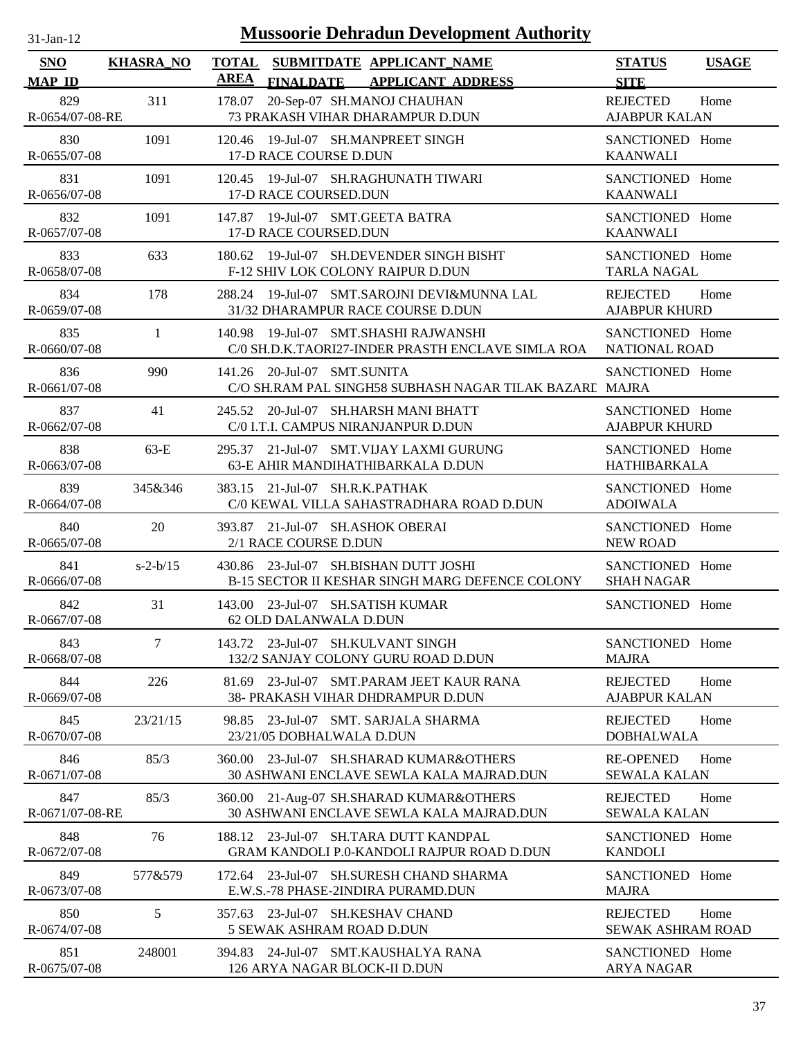| <b>Mussoorie Dehradun Development Authority</b><br>$31$ -Jan-12 |                  |                                                                                                          |                                         |              |  |  |  |
|-----------------------------------------------------------------|------------------|----------------------------------------------------------------------------------------------------------|-----------------------------------------|--------------|--|--|--|
| <b>SNO</b><br><b>MAP ID</b>                                     | <b>KHASRA_NO</b> | <b>TOTAL</b><br>SUBMITDATE APPLICANT NAME<br><b>AREA</b><br><b>FINALDATE</b><br><b>APPLICANT ADDRESS</b> | <b>STATUS</b><br><b>SITE</b>            | <b>USAGE</b> |  |  |  |
| 829<br>R-0654/07-08-RE                                          | 311              | 20-Sep-07 SH.MANOJ CHAUHAN<br>178.07<br>73 PRAKASH VIHAR DHARAMPUR D.DUN                                 | <b>REJECTED</b><br><b>AJABPUR KALAN</b> | Home         |  |  |  |
| 830<br>R-0655/07-08                                             | 1091             | 120.46 19-Jul-07 SH.MANPREET SINGH<br>17-D RACE COURSE D.DUN                                             | SANCTIONED Home<br><b>KAANWALI</b>      |              |  |  |  |
| 831<br>R-0656/07-08                                             | 1091             | 120.45 19-Jul-07 SH.RAGHUNATH TIWARI<br>17-D RACE COURSED.DUN                                            | SANCTIONED Home<br><b>KAANWALI</b>      |              |  |  |  |
| 832<br>R-0657/07-08                                             | 1091             | 147.87 19-Jul-07 SMT.GEETA BATRA<br>17-D RACE COURSED.DUN                                                | SANCTIONED Home<br><b>KAANWALI</b>      |              |  |  |  |
| 833<br>R-0658/07-08                                             | 633              | 180.62 19-Jul-07 SH.DEVENDER SINGH BISHT<br>F-12 SHIV LOK COLONY RAIPUR D.DUN                            | SANCTIONED Home<br><b>TARLA NAGAL</b>   |              |  |  |  |
| 834<br>R-0659/07-08                                             | 178              | 19-Jul-07 SMT.SAROJNI DEVI&MUNNA LAL<br>288.24<br>31/32 DHARAMPUR RACE COURSE D.DUN                      | <b>REJECTED</b><br><b>AJABPUR KHURD</b> | Home         |  |  |  |
| 835<br>R-0660/07-08                                             | $\mathbf{1}$     | 19-Jul-07 SMT.SHASHI RAJWANSHI<br>140.98<br>C/0 SH.D.K.TAORI27-INDER PRASTH ENCLAVE SIMLA ROA            | SANCTIONED Home<br><b>NATIONAL ROAD</b> |              |  |  |  |
| 836<br>R-0661/07-08                                             | 990              | 20-Jul-07 SMT.SUNITA<br>141.26<br>C/O SH.RAM PAL SINGH58 SUBHASH NAGAR TILAK BAZARI MAJRA                | SANCTIONED Home                         |              |  |  |  |
| 837<br>R-0662/07-08                                             | 41               | 245.52 20-Jul-07 SH.HARSH MANI BHATT<br>C/0 I.T.I. CAMPUS NIRANJANPUR D.DUN                              | SANCTIONED Home<br><b>AJABPUR KHURD</b> |              |  |  |  |
| 838<br>R-0663/07-08                                             | $63-E$           | 21-Jul-07 SMT.VIJAY LAXMI GURUNG<br>295.37<br>63-E AHIR MANDIHATHIBARKALA D.DUN                          | SANCTIONED Home<br>HATHIBARKALA         |              |  |  |  |
| 839<br>R-0664/07-08                                             | 345&346          | 21-Jul-07 SH.R.K.PATHAK<br>383.15<br>C/0 KEWAL VILLA SAHASTRADHARA ROAD D.DUN                            | SANCTIONED Home<br><b>ADOIWALA</b>      |              |  |  |  |
| 840<br>R-0665/07-08                                             | 20               | 21-Jul-07 SH.ASHOK OBERAI<br>393.87<br>2/1 RACE COURSE D.DUN                                             | SANCTIONED Home<br><b>NEW ROAD</b>      |              |  |  |  |
| 841<br>R-0666/07-08                                             | $s - 2 - b/15$   | 430.86 23-Jul-07 SH.BISHAN DUTT JOSHI<br>B-15 SECTOR II KESHAR SINGH MARG DEFENCE COLONY                 | SANCTIONED Home<br><b>SHAH NAGAR</b>    |              |  |  |  |
| 842<br>R-0667/07-08                                             | 31               | 143.00 23-Jul-07 SH.SATISH KUMAR<br>62 OLD DALANWALA D.DUN                                               | SANCTIONED Home                         |              |  |  |  |
| 843<br>R-0668/07-08                                             | 7                | 143.72 23-Jul-07 SH.KULVANT SINGH<br>132/2 SANJAY COLONY GURU ROAD D.DUN                                 | SANCTIONED Home<br><b>MAJRA</b>         |              |  |  |  |
| 844<br>R-0669/07-08                                             | 226              | 23-Jul-07 SMT.PARAM JEET KAUR RANA<br>81.69<br>38- PRAKASH VIHAR DHDRAMPUR D.DUN                         | <b>REJECTED</b><br><b>AJABPUR KALAN</b> | Home         |  |  |  |
| 845<br>R-0670/07-08                                             | 23/21/15         | 23-Jul-07 SMT. SARJALA SHARMA<br>98.85<br>23/21/05 DOBHALWALA D.DUN                                      | <b>REJECTED</b><br><b>DOBHALWALA</b>    | Home         |  |  |  |
| 846<br>R-0671/07-08                                             | 85/3             | 360.00<br>23-Jul-07 SH.SHARAD KUMAR&OTHERS<br>30 ASHWANI ENCLAVE SEWLA KALA MAJRAD.DUN                   | <b>RE-OPENED</b><br><b>SEWALA KALAN</b> | Home         |  |  |  |
| 847<br>R-0671/07-08-RE                                          | 85/3             | 21-Aug-07 SH.SHARAD KUMAR&OTHERS<br>360.00<br>30 ASHWANI ENCLAVE SEWLA KALA MAJRAD.DUN                   | <b>REJECTED</b><br><b>SEWALA KALAN</b>  | Home         |  |  |  |
| 848<br>R-0672/07-08                                             | 76               | 188.12 23-Jul-07 SH.TARA DUTT KANDPAL<br>GRAM KANDOLI P.0-KANDOLI RAJPUR ROAD D.DUN                      | SANCTIONED Home<br><b>KANDOLI</b>       |              |  |  |  |
| 849<br>R-0673/07-08                                             | 577&579          | 172.64 23-Jul-07 SH.SURESH CHAND SHARMA<br>E.W.S.-78 PHASE-2INDIRA PURAMD.DUN                            | SANCTIONED Home<br><b>MAJRA</b>         |              |  |  |  |
| 850<br>R-0674/07-08                                             | 5                | 23-Jul-07 SH.KESHAV CHAND<br>357.63<br>5 SEWAK ASHRAM ROAD D.DUN                                         | <b>REJECTED</b><br>SEWAK ASHRAM ROAD    | Home         |  |  |  |
| 851<br>R-0675/07-08                                             | 248001           | 394.83 24-Jul-07 SMT.KAUSHALYA RANA<br>126 ARYA NAGAR BLOCK-II D.DUN                                     | SANCTIONED Home<br><b>ARYA NAGAR</b>    |              |  |  |  |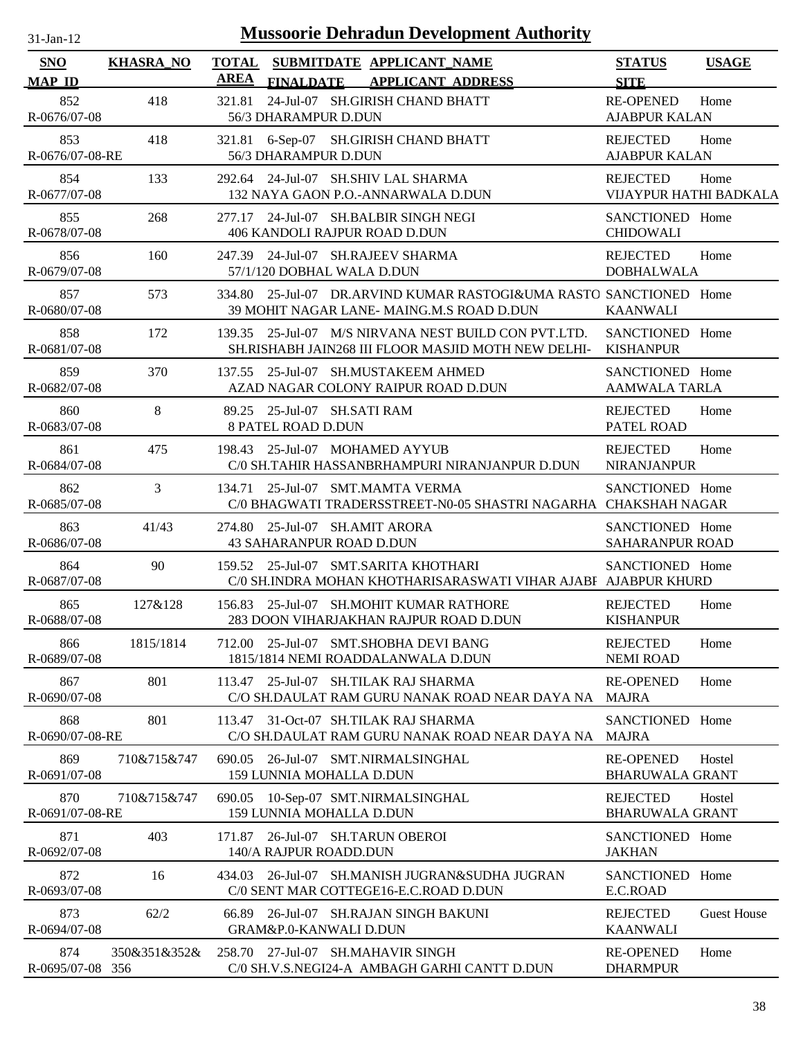| 31-Jan-12                   |                  | <b>Mussoorie Dehradun Development Authority</b>                                                                    |                                            |                    |
|-----------------------------|------------------|--------------------------------------------------------------------------------------------------------------------|--------------------------------------------|--------------------|
| <b>SNO</b><br><b>MAP ID</b> | <b>KHASRA NO</b> | <b>TOTAL</b><br>SUBMITDATE APPLICANT_NAME<br><b>AREA</b><br><b>APPLICANT ADDRESS</b><br><b>FINALDATE</b>           | <b>STATUS</b><br><b>SITE</b>               | <b>USAGE</b>       |
| 852<br>R-0676/07-08         | 418              | 24-Jul-07 SH.GIRISH CHAND BHATT<br>321.81<br>56/3 DHARAMPUR D.DUN                                                  | <b>RE-OPENED</b><br><b>AJABPUR KALAN</b>   | Home               |
| 853<br>R-0676/07-08-RE      | 418              | 321.81<br>6-Sep-07 SH.GIRISH CHAND BHATT<br>56/3 DHARAMPUR D.DUN                                                   | <b>REJECTED</b><br><b>AJABPUR KALAN</b>    | Home               |
| 854<br>R-0677/07-08         | 133              | 292.64 24-Jul-07 SH.SHIV LAL SHARMA<br>132 NAYA GAON P.O.-ANNARWALA D.DUN                                          | <b>REJECTED</b><br>VIJAYPUR HATHI BADKALA  | Home               |
| 855<br>R-0678/07-08         | 268              | 277.17 24-Jul-07 SH.BALBIR SINGH NEGI<br>406 KANDOLI RAJPUR ROAD D.DUN                                             | SANCTIONED Home<br><b>CHIDOWALI</b>        |                    |
| 856<br>R-0679/07-08         | 160              | 247.39 24-Jul-07 SH.RAJEEV SHARMA<br>57/1/120 DOBHAL WALA D.DUN                                                    | <b>REJECTED</b><br><b>DOBHALWALA</b>       | Home               |
| 857<br>R-0680/07-08         | 573              | 25-Jul-07 DR.ARVIND KUMAR RASTOGI&UMA RASTO SANCTIONED Home<br>334.80<br>39 MOHIT NAGAR LANE- MAING.M.S ROAD D.DUN | <b>KAANWALI</b>                            |                    |
| 858<br>R-0681/07-08         | 172              | 139.35 25-Jul-07 M/S NIRVANA NEST BUILD CON PVT.LTD.<br>SH.RISHABH JAIN268 III FLOOR MASJID MOTH NEW DELHI-        | SANCTIONED Home<br><b>KISHANPUR</b>        |                    |
| 859<br>R-0682/07-08         | 370              | 25-Jul-07 SH.MUSTAKEEM AHMED<br>137.55<br>AZAD NAGAR COLONY RAIPUR ROAD D.DUN                                      | SANCTIONED Home<br><b>AAMWALA TARLA</b>    |                    |
| 860<br>R-0683/07-08         | 8                | 89.25 25-Jul-07 SH.SATI RAM<br><b>8 PATEL ROAD D.DUN</b>                                                           | <b>REJECTED</b><br>PATEL ROAD              | Home               |
| 861<br>R-0684/07-08         | 475              | 25-Jul-07 MOHAMED AYYUB<br>198.43<br>C/0 SH.TAHIR HASSANBRHAMPURI NIRANJANPUR D.DUN                                | <b>REJECTED</b><br><b>NIRANJANPUR</b>      | Home               |
| 862<br>R-0685/07-08         | 3                | 134.71 25-Jul-07 SMT.MAMTA VERMA<br>C/0 BHAGWATI TRADERSSTREET-N0-05 SHASTRI NAGARHA CHAKSHAH NAGAR                | SANCTIONED Home                            |                    |
| 863<br>R-0686/07-08         | 41/43            | 274.80 25-Jul-07 SH.AMIT ARORA<br><b>43 SAHARANPUR ROAD D.DUN</b>                                                  | SANCTIONED Home<br><b>SAHARANPUR ROAD</b>  |                    |
| 864<br>R-0687/07-08         | 90               | 159.52 25-Jul-07 SMT.SARITA KHOTHARI<br>C/0 SH.INDRA MOHAN KHOTHARISARASWATI VIHAR AJABF AJABPUR KHURD             | SANCTIONED Home                            |                    |
| 865<br>R-0688/07-08         | 127&128          | 156.83 25-Jul-07 SH.MOHIT KUMAR RATHORE<br>283 DOON VIHARJAKHAN RAJPUR ROAD D.DUN                                  | <b>REJECTED</b><br><b>KISHANPUR</b>        | Home               |
| 866<br>R-0689/07-08         | 1815/1814        | 712.00 25-Jul-07 SMT.SHOBHA DEVI BANG<br>1815/1814 NEMI ROADDALANWALA D.DUN                                        | <b>REJECTED</b><br><b>NEMI ROAD</b>        | Home               |
| 867<br>R-0690/07-08         | 801              | 113.47 25-Jul-07 SH.TILAK RAJ SHARMA<br>C/O SH.DAULAT RAM GURU NANAK ROAD NEAR DAYA NA                             | <b>RE-OPENED</b><br>MAJRA                  | Home               |
| 868<br>R-0690/07-08-RE      | 801              | 113.47 31-Oct-07 SH.TILAK RAJ SHARMA<br>C/O SH.DAULAT RAM GURU NANAK ROAD NEAR DAYA NA                             | SANCTIONED Home<br>MAJRA                   |                    |
| 869<br>R-0691/07-08         | 710&715&747      | 26-Jul-07 SMT.NIRMALSINGHAL<br>690.05<br>159 LUNNIA MOHALLA D.DUN                                                  | <b>RE-OPENED</b><br><b>BHARUWALA GRANT</b> | Hostel             |
| 870<br>R-0691/07-08-RE      | 710&715&747      | 10-Sep-07 SMT.NIRMALSINGHAL<br>690.05<br>159 LUNNIA MOHALLA D.DUN                                                  | <b>REJECTED</b><br><b>BHARUWALA GRANT</b>  | Hostel             |
| 871<br>R-0692/07-08         | 403              | 26-Jul-07 SH.TARUN OBEROI<br>171.87<br>140/A RAJPUR ROADD.DUN                                                      | SANCTIONED Home<br><b>JAKHAN</b>           |                    |
| 872<br>R-0693/07-08         | 16               | 26-Jul-07 SH.MANISH JUGRAN&SUDHA JUGRAN<br>434.03<br>C/0 SENT MAR COTTEGE16-E.C.ROAD D.DUN                         | SANCTIONED Home<br>E.C.ROAD                |                    |
| 873<br>R-0694/07-08         | 62/2             | 66.89 26-Jul-07 SH.RAJAN SINGH BAKUNI<br>GRAM&P.0-KANWALI D.DUN                                                    | <b>REJECTED</b><br><b>KAANWALI</b>         | <b>Guest House</b> |
| 874<br>R-0695/07-08 356     | 350&351&352&     | 258.70 27-Jul-07 SH.MAHAVIR SINGH<br>C/0 SH.V.S.NEGI24-A AMBAGH GARHI CANTT D.DUN                                  | <b>RE-OPENED</b><br><b>DHARMPUR</b>        | Home               |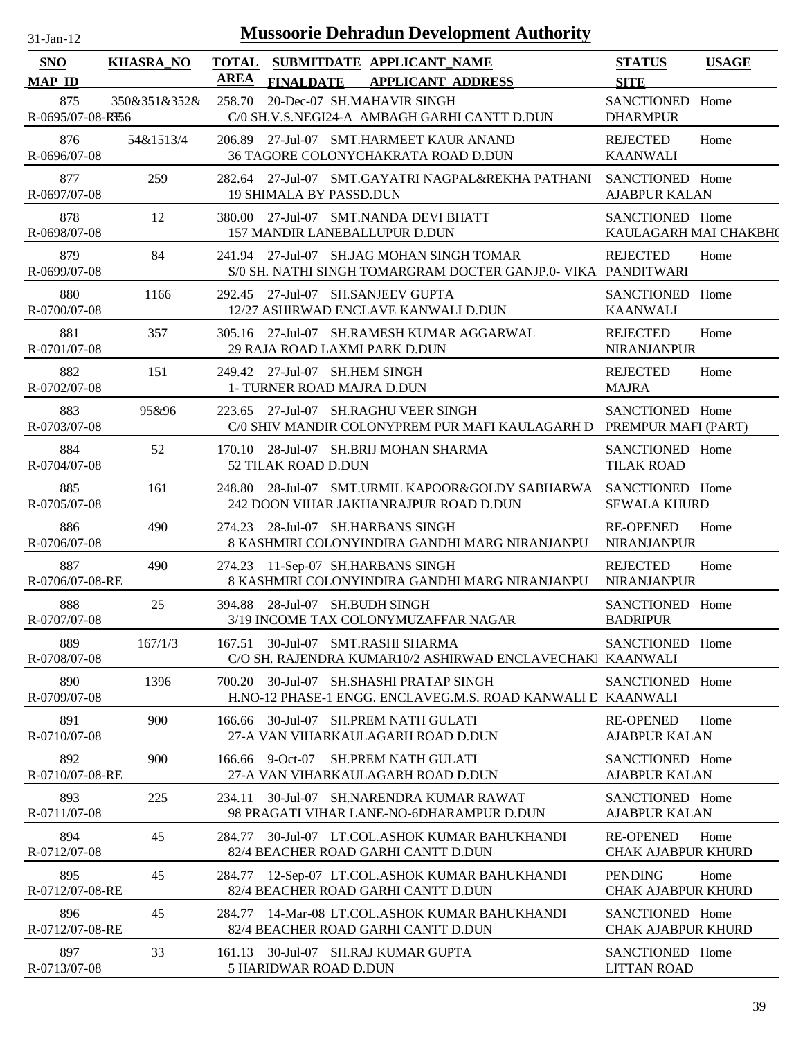| $31$ -Jan-12 |  |
|--------------|--|

| <b>SNO</b>              | <b>KHASRA_NO</b> | <b>TOTAL</b> |                                                             | SUBMITDATE APPLICANT_NAME                                                                                  | <b>STATUS</b>                                 | <b>USAGE</b> |
|-------------------------|------------------|--------------|-------------------------------------------------------------|------------------------------------------------------------------------------------------------------------|-----------------------------------------------|--------------|
| <b>MAP ID</b>           |                  | AREA         | <b>FINALDATE</b>                                            | <b>APPLICANT ADDRESS</b>                                                                                   | <b>SITE</b>                                   |              |
| 875<br>R-0695/07-08-RB6 | 350&351&352&     | 258.70       | 20-Dec-07 SH.MAHAVIR SINGH                                  | C/0 SH.V.S.NEGI24-A AMBAGH GARHI CANTT D.DUN                                                               | SANCTIONED Home<br><b>DHARMPUR</b>            |              |
| 876<br>R-0696/07-08     | 54&1513/4        |              |                                                             | 206.89 27-Jul-07 SMT.HARMEET KAUR ANAND<br>36 TAGORE COLONYCHAKRATA ROAD D.DUN                             | <b>REJECTED</b><br><b>KAANWALI</b>            | Home         |
| 877<br>R-0697/07-08     | 259              |              | <b>19 SHIMALA BY PASSD.DUN</b>                              | 282.64 27-Jul-07 SMT.GAYATRI NAGPAL&REKHA PATHANI                                                          | SANCTIONED Home<br><b>AJABPUR KALAN</b>       |              |
| 878<br>R-0698/07-08     | 12               |              | 157 MANDIR LANEBALLUPUR D.DUN                               | 380.00 27-Jul-07 SMT.NANDA DEVI BHATT                                                                      | SANCTIONED Home<br>KAULAGARH MAI CHAKBH(      |              |
| 879<br>R-0699/07-08     | 84               |              |                                                             | 241.94 27-Jul-07 SH.JAG MOHAN SINGH TOMAR<br>S/0 SH. NATHI SINGH TOMARGRAM DOCTER GANJP.0- VIKA PANDITWARI | <b>REJECTED</b>                               | Home         |
| 880<br>R-0700/07-08     | 1166             |              | 292.45 27-Jul-07 SH.SANJEEV GUPTA                           | 12/27 ASHIRWAD ENCLAVE KANWALI D.DUN                                                                       | SANCTIONED Home<br><b>KAANWALI</b>            |              |
| 881<br>R-0701/07-08     | 357              | 305.16       | 29 RAJA ROAD LAXMI PARK D.DUN                               | 27-Jul-07 SH.RAMESH KUMAR AGGARWAL                                                                         | <b>REJECTED</b><br>NIRANJANPUR                | Home         |
| 882<br>R-0702/07-08     | 151              |              | 249.42 27-Jul-07 SH.HEM SINGH<br>1- TURNER ROAD MAJRA D.DUN |                                                                                                            | <b>REJECTED</b><br><b>MAJRA</b>               | Home         |
| 883<br>R-0703/07-08     | 95&96            |              |                                                             | 223.65 27-Jul-07 SH.RAGHU VEER SINGH<br>C/0 SHIV MANDIR COLONYPREM PUR MAFI KAULAGARH D                    | SANCTIONED Home<br>PREMPUR MAFI (PART)        |              |
| 884<br>R-0704/07-08     | 52               |              | 52 TILAK ROAD D.DUN                                         | 170.10 28-Jul-07 SH.BRIJ MOHAN SHARMA                                                                      | SANCTIONED Home<br><b>TILAK ROAD</b>          |              |
| 885<br>R-0705/07-08     | 161              |              |                                                             | 248.80 28-Jul-07 SMT.URMIL KAPOOR&GOLDY SABHARWA SANCTIONED Home<br>242 DOON VIHAR JAKHANRAJPUR ROAD D.DUN | <b>SEWALA KHURD</b>                           |              |
| 886<br>R-0706/07-08     | 490              |              | 274.23 28-Jul-07 SH.HARBANS SINGH                           | 8 KASHMIRI COLONYINDIRA GANDHI MARG NIRANJANPU                                                             | <b>RE-OPENED</b><br><b>NIRANJANPUR</b>        | Home         |
| 887<br>R-0706/07-08-RE  | 490              |              | 274.23 11-Sep-07 SH.HARBANS SINGH                           | 8 KASHMIRI COLONYINDIRA GANDHI MARG NIRANJANPU                                                             | <b>REJECTED</b><br>NIRANJANPUR                | Home         |
| 888<br>R-0707/07-08     | 25               |              | 394.88 28-Jul-07 SH. BUDH SINGH                             | 3/19 INCOME TAX COLONYMUZAFFAR NAGAR                                                                       | SANCTIONED Home<br><b>BADRIPUR</b>            |              |
| 889<br>R-0708/07-08     | 167/1/3          |              | 167.51 30-Jul-07 SMT.RASHI SHARMA                           | C/O SH. RAJENDRA KUMAR10/2 ASHIRWAD ENCLAVECHAK KAANWALI                                                   | SANCTIONED Home                               |              |
| 890<br>R-0709/07-08     | 1396             |              |                                                             | 700.20 30-Jul-07 SH.SHASHI PRATAP SINGH<br>H.NO-12 PHASE-1 ENGG. ENCLAVEG.M.S. ROAD KANWALI L KAANWALI     | SANCTIONED Home                               |              |
| 891<br>R-0710/07-08     | 900              | 166.66       |                                                             | 30-Jul-07 SH.PREM NATH GULATI<br>27-A VAN VIHARKAULAGARH ROAD D.DUN                                        | <b>RE-OPENED</b><br><b>AJABPUR KALAN</b>      | Home         |
| 892<br>R-0710/07-08-RE  | 900              |              | 166.66 9-Oct-07                                             | <b>SH.PREM NATH GULATI</b><br>27-A VAN VIHARKAULAGARH ROAD D.DUN                                           | SANCTIONED Home<br><b>AJABPUR KALAN</b>       |              |
| 893<br>R-0711/07-08     | 225              | 234.11       |                                                             | 30-Jul-07 SH.NARENDRA KUMAR RAWAT<br>98 PRAGATI VIHAR LANE-NO-6DHARAMPUR D.DUN                             | SANCTIONED Home<br><b>AJABPUR KALAN</b>       |              |
| 894<br>R-0712/07-08     | 45               |              |                                                             | 284.77 30-Jul-07 LT.COL.ASHOK KUMAR BAHUKHANDI<br>82/4 BEACHER ROAD GARHI CANTT D.DUN                      | <b>RE-OPENED</b><br><b>CHAK AJABPUR KHURD</b> | Home         |
| 895<br>R-0712/07-08-RE  | 45               |              |                                                             | 284.77 12-Sep-07 LT.COL.ASHOK KUMAR BAHUKHANDI<br>82/4 BEACHER ROAD GARHI CANTT D.DUN                      | <b>PENDING</b><br><b>CHAK AJABPUR KHURD</b>   | Home         |
| 896<br>R-0712/07-08-RE  | 45               |              |                                                             | 284.77 14-Mar-08 LT.COL.ASHOK KUMAR BAHUKHANDI<br>82/4 BEACHER ROAD GARHI CANTT D.DUN                      | SANCTIONED Home<br><b>CHAK AJABPUR KHURD</b>  |              |
| 897<br>R-0713/07-08     | 33               |              | <b>5 HARIDWAR ROAD D.DUN</b>                                | 161.13 30-Jul-07 SH.RAJ KUMAR GUPTA                                                                        | SANCTIONED Home<br><b>LITTAN ROAD</b>         |              |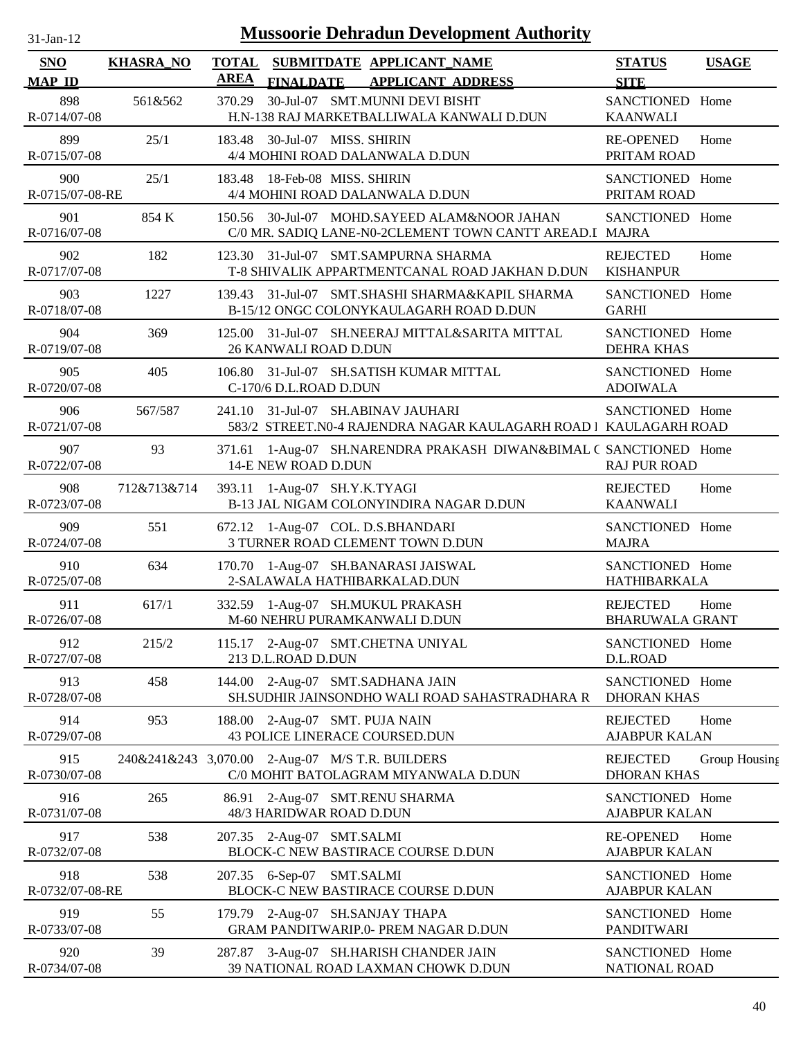| $31$ -Jan-12                |                  |                             | <b>Mussoorie Dehradun Development Authority</b>                                                         |                                           |               |
|-----------------------------|------------------|-----------------------------|---------------------------------------------------------------------------------------------------------|-------------------------------------------|---------------|
| <b>SNO</b><br><b>MAP ID</b> | <b>KHASRA_NO</b> | <b>TOTAL</b><br><b>AREA</b> | SUBMITDATE APPLICANT_NAME<br><b>FINALDATE</b><br><b>APPLICANT ADDRESS</b>                               | <b>STATUS</b><br><b>SITE</b>              | <b>USAGE</b>  |
| 898<br>R-0714/07-08         | 561&562          | 370.29                      | 30-Jul-07 SMT.MUNNI DEVI BISHT<br>H.N-138 RAJ MARKETBALLIWALA KANWALI D.DUN                             | SANCTIONED Home<br><b>KAANWALI</b>        |               |
| 899<br>R-0715/07-08         | 25/1             |                             | 183.48 30-Jul-07 MISS. SHIRIN<br>4/4 MOHINI ROAD DALANWALA D.DUN                                        | <b>RE-OPENED</b><br>PRITAM ROAD           | Home          |
| 900<br>R-0715/07-08-RE      | 25/1             |                             | 183.48 18-Feb-08 MISS. SHIRIN<br>4/4 MOHINI ROAD DALANWALA D.DUN                                        | SANCTIONED Home<br>PRITAM ROAD            |               |
| 901<br>R-0716/07-08         | 854 K            |                             | 150.56 30-Jul-07 MOHD.SAYEED ALAM&NOOR JAHAN<br>C/0 MR. SADIQ LANE-N0-2CLEMENT TOWN CANTT AREAD.I MAJRA | SANCTIONED Home                           |               |
| 902<br>R-0717/07-08         | 182              | 123.30                      | 31-Jul-07 SMT.SAMPURNA SHARMA<br>T-8 SHIVALIK APPARTMENTCANAL ROAD JAKHAN D.DUN                         | <b>REJECTED</b><br><b>KISHANPUR</b>       | Home          |
| 903<br>R-0718/07-08         | 1227             | 139.43                      | 31-Jul-07 SMT.SHASHI SHARMA&KAPIL SHARMA<br>B-15/12 ONGC COLONYKAULAGARH ROAD D.DUN                     | SANCTIONED Home<br><b>GARHI</b>           |               |
| 904<br>R-0719/07-08         | 369              | 125.00                      | 31-Jul-07 SH.NEERAJ MITTAL&SARITA MITTAL<br>26 KANWALI ROAD D.DUN                                       | SANCTIONED Home<br><b>DEHRA KHAS</b>      |               |
| 905<br>R-0720/07-08         | 405              | 106.80                      | 31-Jul-07 SH.SATISH KUMAR MITTAL<br>C-170/6 D.L.ROAD D.DUN                                              | SANCTIONED Home<br><b>ADOIWALA</b>        |               |
| 906<br>R-0721/07-08         | 567/587          | 241.10                      | 31-Jul-07 SH.ABINAV JAUHARI<br>583/2 STREET.N0-4 RAJENDRA NAGAR KAULAGARH ROAD   KAULAGARH ROAD         | SANCTIONED Home                           |               |
| 907<br>R-0722/07-08         | 93               | 371.61                      | 1-Aug-07 SH.NARENDRA PRAKASH DIWAN&BIMAL C SANCTIONED Home<br>14-E NEW ROAD D.DUN                       | <b>RAJ PUR ROAD</b>                       |               |
| 908<br>R-0723/07-08         | 712&713&714      | 393.11                      | 1-Aug-07 SH.Y.K.TYAGI<br>B-13 JAL NIGAM COLONYINDIRA NAGAR D.DUN                                        | <b>REJECTED</b><br><b>KAANWALI</b>        | Home          |
| 909<br>R-0724/07-08         | 551              |                             | 672.12 1-Aug-07 COL. D.S.BHANDARI<br>3 TURNER ROAD CLEMENT TOWN D.DUN                                   | SANCTIONED Home<br><b>MAJRA</b>           |               |
| 910<br>R-0725/07-08         | 634              |                             | 170.70 1-Aug-07 SH.BANARASI JAISWAL<br>2-SALAWALA HATHIBARKALAD.DUN                                     | SANCTIONED Home<br>HATHIBARKALA           |               |
| 911<br>R-0726/07-08         | 617/1            |                             | 332.59 1-Aug-07 SH.MUKUL PRAKASH<br>M-60 NEHRU PURAMKANWALI D.DUN                                       | <b>REJECTED</b><br><b>BHARUWALA GRANT</b> | Home          |
| 912<br>R-0727/07-08         | 215/2            |                             | 115.17 2-Aug-07 SMT.CHETNA UNIYAL<br>213 D.L.ROAD D.DUN                                                 | SANCTIONED Home<br>D.L.ROAD               |               |
| 913<br>R-0728/07-08         | 458              |                             | 144.00 2-Aug-07 SMT.SADHANA JAIN<br>SH.SUDHIR JAINSONDHO WALI ROAD SAHASTRADHARA R                      | SANCTIONED Home<br><b>DHORAN KHAS</b>     |               |
| 914<br>R-0729/07-08         | 953              |                             | 188.00 2-Aug-07 SMT. PUJA NAIN<br>43 POLICE LINERACE COURSED.DUN                                        | <b>REJECTED</b><br><b>AJABPUR KALAN</b>   | Home          |
| 915<br>R-0730/07-08         |                  |                             | 240&241&243 3,070.00 2-Aug-07 M/S T.R. BUILDERS<br>C/0 MOHIT BATOLAGRAM MIYANWALA D.DUN                 | <b>REJECTED</b><br><b>DHORAN KHAS</b>     | Group Housing |
| 916<br>R-0731/07-08         | 265              |                             | 86.91 2-Aug-07 SMT.RENU SHARMA<br>48/3 HARIDWAR ROAD D.DUN                                              | SANCTIONED Home<br><b>AJABPUR KALAN</b>   |               |
| 917<br>R-0732/07-08         | 538              |                             | 207.35 2-Aug-07 SMT.SALMI<br>BLOCK-C NEW BASTIRACE COURSE D.DUN                                         | <b>RE-OPENED</b><br><b>AJABPUR KALAN</b>  | Home          |
| 918<br>R-0732/07-08-RE      | 538              |                             | 207.35 6-Sep-07 SMT.SALMI<br>BLOCK-C NEW BASTIRACE COURSE D.DUN                                         | SANCTIONED Home<br><b>AJABPUR KALAN</b>   |               |
| 919<br>R-0733/07-08         | 55               |                             | 179.79 2-Aug-07 SH.SANJAY THAPA<br>GRAM PANDITWARIP.0- PREM NAGAR D.DUN                                 | SANCTIONED Home<br><b>PANDITWARI</b>      |               |
| 920<br>R-0734/07-08         | 39               |                             | 287.87 3-Aug-07 SH.HARISH CHANDER JAIN<br>39 NATIONAL ROAD LAXMAN CHOWK D.DUN                           | SANCTIONED Home<br>NATIONAL ROAD          |               |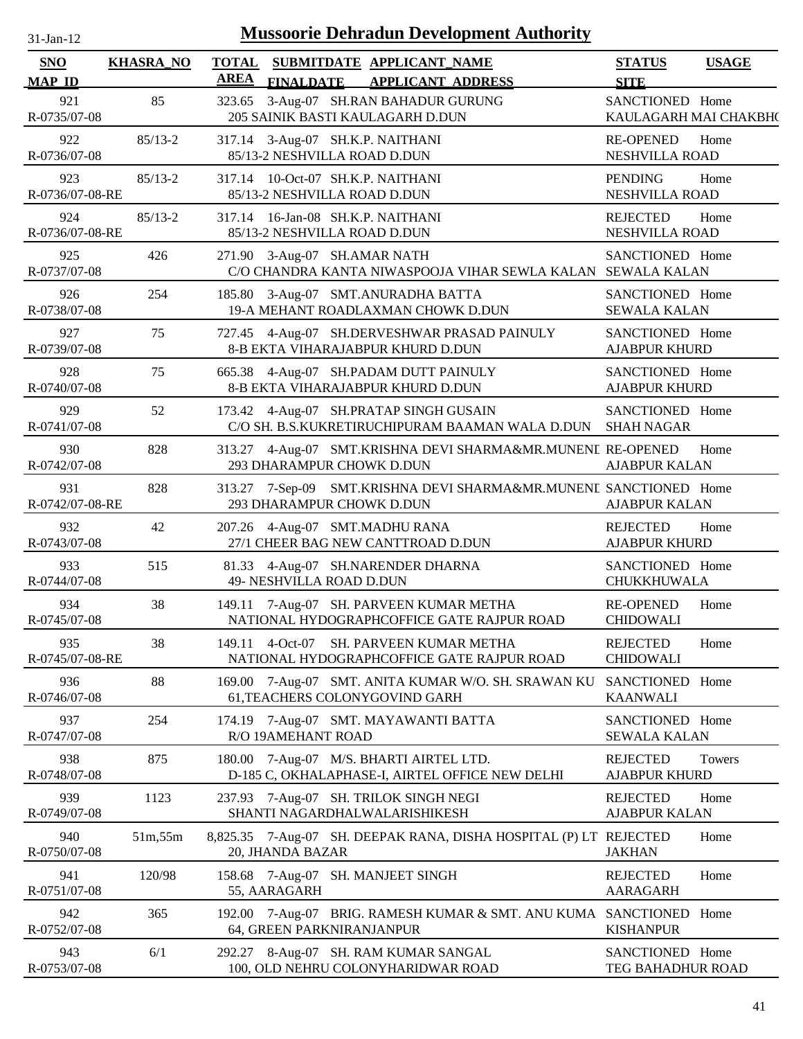| $31$ -Jan-12 |  |
|--------------|--|
|              |  |

| SNO<br><b>MAP ID</b>   | <b>KHASRA_NO</b> | <b>TOTAL</b><br><b>AREA</b> | <b>FINALDATE</b>             | <b>SUBMITDATE APPLICANT_NAME</b><br><b>APPLICANT ADDRESS</b>                               | <b>STATUS</b><br><b>SITE</b>             | <b>USAGE</b> |
|------------------------|------------------|-----------------------------|------------------------------|--------------------------------------------------------------------------------------------|------------------------------------------|--------------|
| 921<br>R-0735/07-08    | 85               |                             |                              | 323.65 3-Aug-07 SH.RAN BAHADUR GURUNG<br>205 SAINIK BASTI KAULAGARH D.DUN                  | SANCTIONED Home<br>KAULAGARH MAI CHAKBH( |              |
| 922<br>R-0736/07-08    | $85/13 - 2$      |                             | 85/13-2 NESHVILLA ROAD D.DUN | 317.14 3-Aug-07 SH.K.P. NAITHANI                                                           | <b>RE-OPENED</b><br>NESHVILLA ROAD       | Home         |
| 923<br>R-0736/07-08-RE | $85/13 - 2$      |                             | 85/13-2 NESHVILLA ROAD D.DUN | 317.14 10-Oct-07 SH.K.P. NAITHANI                                                          | <b>PENDING</b><br>NESHVILLA ROAD         | Home         |
| 924<br>R-0736/07-08-RE | $85/13 - 2$      |                             | 85/13-2 NESHVILLA ROAD D.DUN | 317.14 16-Jan-08 SH.K.P. NAITHANI                                                          | <b>REJECTED</b><br>NESHVILLA ROAD        | Home         |
| 925<br>R-0737/07-08    | 426              |                             | 271.90 3-Aug-07 SH.AMAR NATH | C/O CHANDRA KANTA NIWASPOOJA VIHAR SEWLA KALAN SEWALA KALAN                                | SANCTIONED Home                          |              |
| 926<br>R-0738/07-08    | 254              |                             |                              | 185.80 3-Aug-07 SMT.ANURADHA BATTA<br>19-A MEHANT ROADLAXMAN CHOWK D.DUN                   | SANCTIONED Home<br><b>SEWALA KALAN</b>   |              |
| 927<br>R-0739/07-08    | 75               |                             |                              | 727.45 4-Aug-07 SH.DERVESHWAR PRASAD PAINULY<br>8-B EKTA VIHARAJABPUR KHURD D.DUN          | SANCTIONED Home<br><b>AJABPUR KHURD</b>  |              |
| 928<br>R-0740/07-08    | 75               |                             |                              | 665.38 4-Aug-07 SH.PADAM DUTT PAINULY<br>8-B EKTA VIHARAJABPUR KHURD D.DUN                 | SANCTIONED Home<br><b>AJABPUR KHURD</b>  |              |
| 929<br>R-0741/07-08    | 52               |                             |                              | 173.42 4-Aug-07 SH.PRATAP SINGH GUSAIN<br>C/O SH. B.S.KUKRETIRUCHIPURAM BAAMAN WALA D.DUN  | SANCTIONED Home<br><b>SHAH NAGAR</b>     |              |
| 930<br>R-0742/07-08    | 828              |                             | 293 DHARAMPUR CHOWK D.DUN    | 313.27 4-Aug-07 SMT.KRISHNA DEVI SHARMA&MR.MUNENL RE-OPENED                                | <b>AJABPUR KALAN</b>                     | Home         |
| 931<br>R-0742/07-08-RE | 828              |                             | 293 DHARAMPUR CHOWK D.DUN    | 313.27 7-Sep-09 SMT.KRISHNA DEVI SHARMA&MR.MUNENI SANCTIONED Home                          | <b>AJABPUR KALAN</b>                     |              |
| 932<br>R-0743/07-08    | 42               |                             |                              | 207.26 4-Aug-07 SMT.MADHU RANA<br>27/1 CHEER BAG NEW CANTTROAD D.DUN                       | <b>REJECTED</b><br><b>AJABPUR KHURD</b>  | Home         |
| 933<br>R-0744/07-08    | 515              |                             | 49- NESHVILLA ROAD D.DUN     | 81.33 4-Aug-07 SH.NARENDER DHARNA                                                          | SANCTIONED Home<br>CHUKKHUWALA           |              |
| 934<br>R-0745/07-08    | 38               |                             |                              | 149.11 7-Aug-07 SH. PARVEEN KUMAR METHA<br>NATIONAL HYDOGRAPHCOFFICE GATE RAJPUR ROAD      | <b>RE-OPENED</b><br><b>CHIDOWALI</b>     | Home         |
| 935<br>R-0745/07-08-RE | 38               |                             | 149.11 4-Oct-07              | SH. PARVEEN KUMAR METHA<br>NATIONAL HYDOGRAPHCOFFICE GATE RAJPUR ROAD                      | <b>REJECTED</b><br><b>CHIDOWALI</b>      | Home         |
| 936<br>R-0746/07-08    | 88               |                             |                              | 169.00 7-Aug-07 SMT. ANITA KUMAR W/O. SH. SRAWAN KU<br>61, TEACHERS COLONYGOVIND GARH      | SANCTIONED Home<br><b>KAANWALI</b>       |              |
| 937<br>R-0747/07-08    | 254              |                             | R/O 19AMEHANT ROAD           | 174.19 7-Aug-07 SMT. MAYAWANTI BATTA                                                       | SANCTIONED Home<br><b>SEWALA KALAN</b>   |              |
| 938<br>R-0748/07-08    | 875              |                             |                              | 180.00 7-Aug-07 M/S. BHARTI AIRTEL LTD.<br>D-185 C, OKHALAPHASE-I, AIRTEL OFFICE NEW DELHI | <b>REJECTED</b><br><b>AJABPUR KHURD</b>  | Towers       |
| 939<br>R-0749/07-08    | 1123             |                             |                              | 237.93 7-Aug-07 SH. TRILOK SINGH NEGI<br>SHANTI NAGARDHALWALARISHIKESH                     | <b>REJECTED</b><br><b>AJABPUR KALAN</b>  | Home         |
| 940<br>R-0750/07-08    | 51m, 55m         |                             | 20, JHANDA BAZAR             | 8,825.35 7-Aug-07 SH. DEEPAK RANA, DISHA HOSPITAL (P) LT REJECTED                          | <b>JAKHAN</b>                            | Home         |
| 941<br>R-0751/07-08    | 120/98           |                             | 55, AARAGARH                 | 158.68 7-Aug-07 SH. MANJEET SINGH                                                          | <b>REJECTED</b><br><b>AARAGARH</b>       | Home         |
| 942<br>R-0752/07-08    | 365              |                             | 64, GREEN PARKNIRANJANPUR    | 192.00 7-Aug-07 BRIG. RAMESH KUMAR & SMT. ANU KUMA SANCTIONED Home                         | <b>KISHANPUR</b>                         |              |
| 943<br>R-0753/07-08    | 6/1              |                             |                              | 292.27 8-Aug-07 SH. RAM KUMAR SANGAL<br>100, OLD NEHRU COLONYHARIDWAR ROAD                 | SANCTIONED Home<br>TEG BAHADHUR ROAD     |              |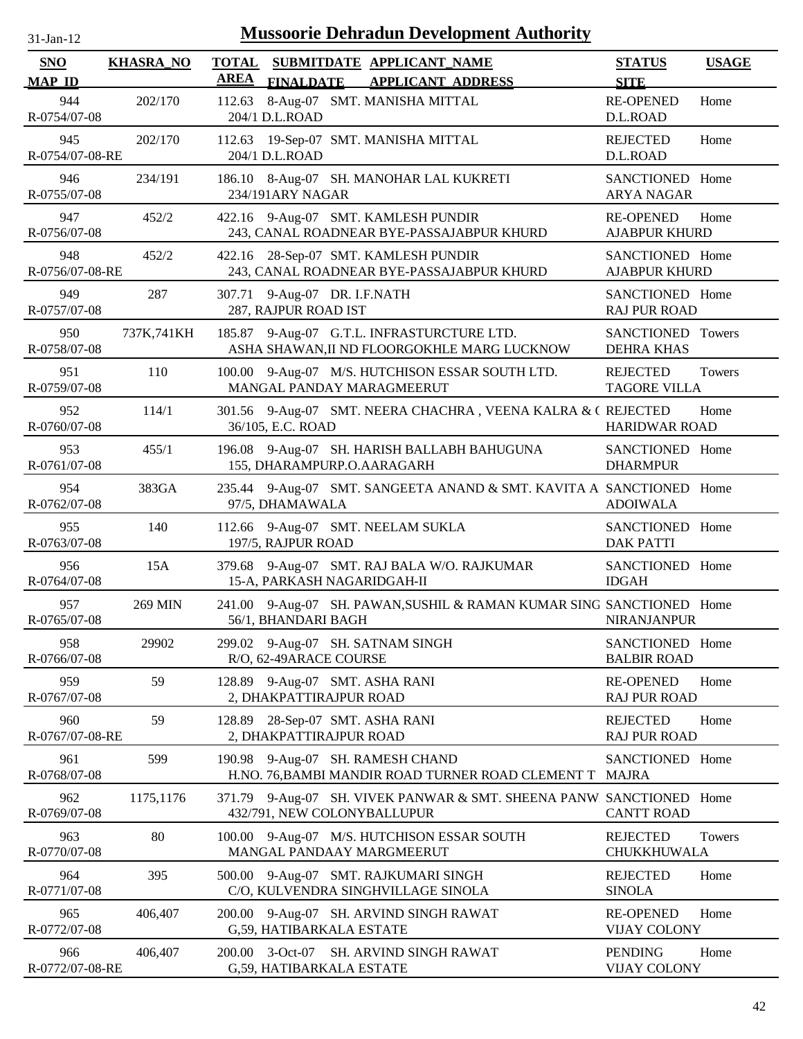| $31$ -Jan-12 |  |
|--------------|--|
|              |  |

| <b>SNO</b><br><b>MAP ID</b> | <b>KHASRA_NO</b> | <b>TOTAL</b><br>SUBMITDATE APPLICANT_NAME<br><b>AREA</b><br><b>FINALDATE</b><br><b>APPLICANT ADDRESS</b> | <b>STATUS</b><br><b>SITE</b>             | <b>USAGE</b>  |
|-----------------------------|------------------|----------------------------------------------------------------------------------------------------------|------------------------------------------|---------------|
| 944<br>R-0754/07-08         | 202/170          | 8-Aug-07 SMT. MANISHA MITTAL<br>112.63<br>204/1 D.L.ROAD                                                 | <b>RE-OPENED</b><br>D.L.ROAD             | Home          |
| 945<br>R-0754/07-08-RE      | 202/170          | 112.63<br>19-Sep-07 SMT. MANISHA MITTAL<br>204/1 D.L.ROAD                                                | <b>REJECTED</b><br>D.L.ROAD              | Home          |
| 946<br>R-0755/07-08         | 234/191          | 186.10 8-Aug-07 SH. MANOHAR LAL KUKRETI<br>234/191ARY NAGAR                                              | SANCTIONED Home<br><b>ARYA NAGAR</b>     |               |
| 947<br>R-0756/07-08         | 452/2            | 422.16 9-Aug-07 SMT. KAMLESH PUNDIR<br>243, CANAL ROADNEAR BYE-PASSAJABPUR KHURD                         | <b>RE-OPENED</b><br><b>AJABPUR KHURD</b> | Home          |
| 948<br>R-0756/07-08-RE      | 452/2            | 28-Sep-07 SMT. KAMLESH PUNDIR<br>422.16<br>243, CANAL ROADNEAR BYE-PASSAJABPUR KHURD                     | SANCTIONED Home<br><b>AJABPUR KHURD</b>  |               |
| 949<br>R-0757/07-08         | 287              | 307.71 9-Aug-07 DR. I.F.NATH<br>287, RAJPUR ROAD IST                                                     | SANCTIONED Home<br><b>RAJ PUR ROAD</b>   |               |
| 950<br>R-0758/07-08         | 737K,741KH       | 185.87 9-Aug-07 G.T.L. INFRASTURCTURE LTD.<br>ASHA SHAWAN, II ND FLOORGOKHLE MARG LUCKNOW                | SANCTIONED Towers<br><b>DEHRA KHAS</b>   |               |
| 951<br>R-0759/07-08         | 110              | 100.00 9-Aug-07 M/S. HUTCHISON ESSAR SOUTH LTD.<br>MANGAL PANDAY MARAGMEERUT                             | <b>REJECTED</b><br><b>TAGORE VILLA</b>   | <b>Towers</b> |
| 952<br>R-0760/07-08         | 114/1            | 301.56 9-Aug-07 SMT. NEERA CHACHRA, VEENA KALRA & C REJECTED<br>36/105, E.C. ROAD                        | <b>HARIDWAR ROAD</b>                     | Home          |
| 953<br>R-0761/07-08         | 455/1            | 196.08 9-Aug-07 SH. HARISH BALLABH BAHUGUNA<br>155, DHARAMPURP.O.AARAGARH                                | SANCTIONED Home<br><b>DHARMPUR</b>       |               |
| 954<br>R-0762/07-08         | 383GA            | 235.44 9-Aug-07 SMT. SANGEETA ANAND & SMT. KAVITA A SANCTIONED Home<br>97/5, DHAMAWALA                   | <b>ADOIWALA</b>                          |               |
| 955<br>R-0763/07-08         | 140              | 112.66 9-Aug-07 SMT. NEELAM SUKLA<br>197/5, RAJPUR ROAD                                                  | SANCTIONED Home<br><b>DAK PATTI</b>      |               |
| 956<br>R-0764/07-08         | 15A              | 379.68 9-Aug-07 SMT. RAJ BALA W/O. RAJKUMAR<br>15-A, PARKASH NAGARIDGAH-II                               | SANCTIONED Home<br><b>IDGAH</b>          |               |
| 957<br>R-0765/07-08         | 269 MIN          | 241.00 9-Aug-07 SH. PAWAN, SUSHIL & RAMAN KUMAR SING SANCTIONED Home<br>56/1, BHANDARI BAGH              | <b>NIRANJANPUR</b>                       |               |
| 958<br>R-0766/07-08         | 29902            | 299.02 9-Aug-07 SH. SATNAM SINGH<br>R/O, 62-49ARACE COURSE                                               | SANCTIONED Home<br><b>BALBIR ROAD</b>    |               |
| 959<br>R-0767/07-08         | 59               | 128.89 9-Aug-07 SMT. ASHA RANI<br>2, DHAKPATTIRAJPUR ROAD                                                | <b>RE-OPENED</b><br><b>RAJ PUR ROAD</b>  | Home          |
| 960<br>R-0767/07-08-RE      | 59               | 28-Sep-07 SMT. ASHA RANI<br>128.89<br>2, DHAKPATTIRAJPUR ROAD                                            | <b>REJECTED</b><br><b>RAJ PUR ROAD</b>   | Home          |
| 961<br>R-0768/07-08         | 599              | 9-Aug-07 SH. RAMESH CHAND<br>190.98<br>H.NO. 76, BAMBI MANDIR ROAD TURNER ROAD CLEMENT T MAJRA           | SANCTIONED Home                          |               |
| 962<br>R-0769/07-08         | 1175,1176        | 371.79 9-Aug-07 SH. VIVEK PANWAR & SMT. SHEENA PANW. SANCTIONED Home<br>432/791, NEW COLONYBALLUPUR      | <b>CANTT ROAD</b>                        |               |
| 963<br>R-0770/07-08         | 80               | 100.00 9-Aug-07 M/S. HUTCHISON ESSAR SOUTH<br>MANGAL PANDAAY MARGMEERUT                                  | <b>REJECTED</b><br>CHUKKHUWALA           | Towers        |
| 964<br>R-0771/07-08         | 395              | 500.00 9-Aug-07 SMT. RAJKUMARI SINGH<br>C/O, KULVENDRA SINGHVILLAGE SINOLA                               | <b>REJECTED</b><br><b>SINOLA</b>         | Home          |
| 965<br>R-0772/07-08         | 406,407          | 200.00 9-Aug-07 SH. ARVIND SINGH RAWAT<br>G,59, HATIBARKALA ESTATE                                       | <b>RE-OPENED</b><br><b>VIJAY COLONY</b>  | Home          |
| 966<br>R-0772/07-08-RE      | 406,407          | 200.00 3-Oct-07 SH. ARVIND SINGH RAWAT<br>G,59, HATIBARKALA ESTATE                                       | <b>PENDING</b><br><b>VIJAY COLONY</b>    | Home          |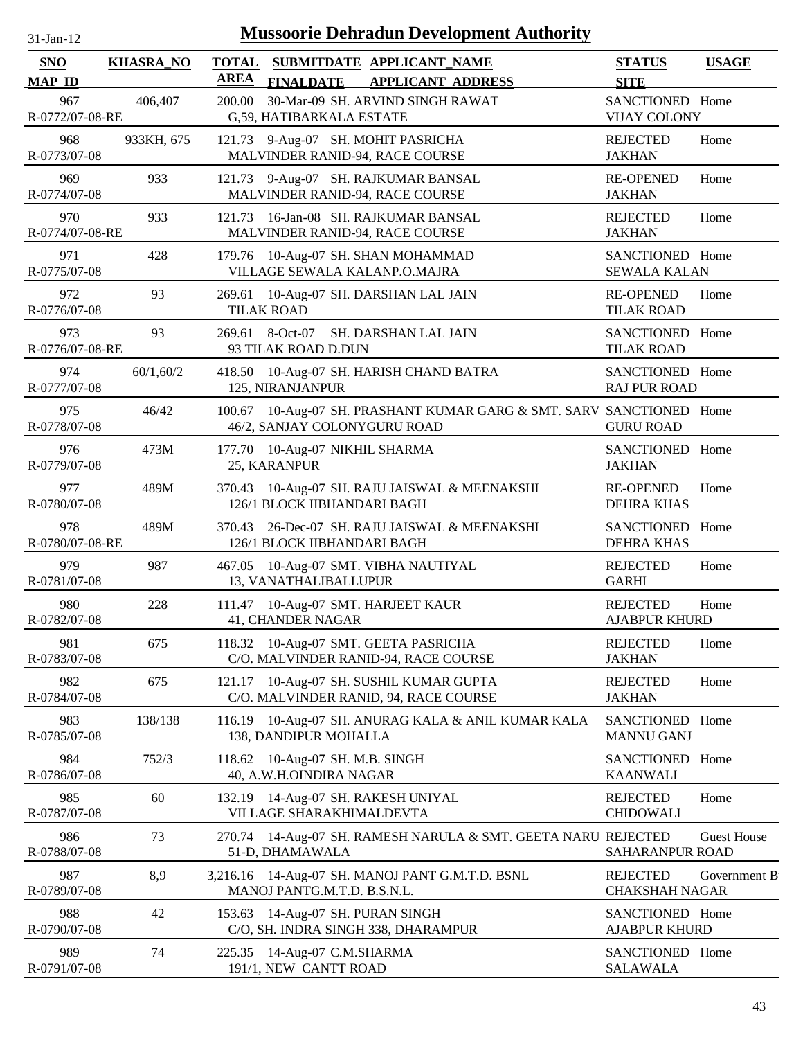| $31$ -Jan-12 |  |
|--------------|--|
|              |  |

| SNO<br><b>MAP ID</b>   | <b>KHASRA_NO</b> | <b>TOTAL</b><br><b>AREA</b> |                                                            | SUBMITDATE APPLICANT NAME                                                        | <b>STATUS</b>                                         | <b>USAGE</b>       |
|------------------------|------------------|-----------------------------|------------------------------------------------------------|----------------------------------------------------------------------------------|-------------------------------------------------------|--------------------|
| 967<br>R-0772/07-08-RE | 406,407          | 200.00                      | <b>FINALDATE</b><br>G,59, HATIBARKALA ESTATE               | <b>APPLICANT ADDRESS</b><br>30-Mar-09 SH. ARVIND SINGH RAWAT                     | <b>SITE</b><br>SANCTIONED Home<br><b>VIJAY COLONY</b> |                    |
| 968<br>R-0773/07-08    | 933KH, 675       |                             |                                                            | 121.73 9-Aug-07 SH. MOHIT PASRICHA<br>MALVINDER RANID-94, RACE COURSE            | <b>REJECTED</b><br><b>JAKHAN</b>                      | Home               |
| 969<br>R-0774/07-08    | 933              |                             |                                                            | 121.73 9-Aug-07 SH. RAJKUMAR BANSAL<br>MALVINDER RANID-94, RACE COURSE           | <b>RE-OPENED</b><br><b>JAKHAN</b>                     | Home               |
| 970<br>R-0774/07-08-RE | 933              |                             |                                                            | 121.73 16-Jan-08 SH. RAJKUMAR BANSAL<br>MALVINDER RANID-94, RACE COURSE          | <b>REJECTED</b><br><b>JAKHAN</b>                      | Home               |
| 971<br>R-0775/07-08    | 428              | 179.76                      |                                                            | 10-Aug-07 SH. SHAN MOHAMMAD<br>VILLAGE SEWALA KALANP.O.MAJRA                     | SANCTIONED Home<br><b>SEWALA KALAN</b>                |                    |
| 972<br>R-0776/07-08    | 93               | <b>TILAK ROAD</b>           |                                                            | 269.61 10-Aug-07 SH. DARSHAN LAL JAIN                                            | <b>RE-OPENED</b><br><b>TILAK ROAD</b>                 | Home               |
| 973<br>R-0776/07-08-RE | 93               | 269.61 8-Oct-07             | 93 TILAK ROAD D.DUN                                        | SH. DARSHAN LAL JAIN                                                             | SANCTIONED Home<br><b>TILAK ROAD</b>                  |                    |
| 974<br>R-0777/07-08    | 60/1,60/2        |                             | 125, NIRANJANPUR                                           | 418.50 10-Aug-07 SH. HARISH CHAND BATRA                                          | SANCTIONED Home<br><b>RAJ PUR ROAD</b>                |                    |
| 975<br>R-0778/07-08    | 46/42            |                             | 46/2, SANJAY COLONYGURU ROAD                               | 100.67 10-Aug-07 SH. PRASHANT KUMAR GARG & SMT. SARV SANCTIONED Home             | <b>GURU ROAD</b>                                      |                    |
| 976<br>R-0779/07-08    | 473M             | 25, KARANPUR                | 177.70 10-Aug-07 NIKHIL SHARMA                             |                                                                                  | SANCTIONED Home<br><b>JAKHAN</b>                      |                    |
| 977<br>R-0780/07-08    | 489M             |                             | 126/1 BLOCK IIBHANDARI BAGH                                | 370.43 10-Aug-07 SH. RAJU JAISWAL & MEENAKSHI                                    | <b>RE-OPENED</b><br><b>DEHRA KHAS</b>                 | Home               |
| 978<br>R-0780/07-08-RE | 489M             |                             | 126/1 BLOCK IIBHANDARI BAGH                                | 370.43 26-Dec-07 SH. RAJU JAISWAL & MEENAKSHI                                    | SANCTIONED Home<br><b>DEHRA KHAS</b>                  |                    |
| 979<br>R-0781/07-08    | 987              |                             | 13, VANATHALIBALLUPUR                                      | 467.05 10-Aug-07 SMT. VIBHA NAUTIYAL                                             | <b>REJECTED</b><br><b>GARHI</b>                       | Home               |
| 980<br>R-0782/07-08    | 228              |                             | 41, CHANDER NAGAR                                          | 111.47 10-Aug-07 SMT. HARJEET KAUR                                               | <b>REJECTED</b><br><b>AJABPUR KHURD</b>               | Home               |
| 981<br>R-0783/07-08    | 675              |                             |                                                            | 118.32 10-Aug-07 SMT. GEETA PASRICHA<br>C/O. MALVINDER RANID-94, RACE COURSE     | <b>REJECTED</b><br><b>JAKHAN</b>                      | Home               |
| 982<br>R-0784/07-08    | 675              |                             |                                                            | 121.17 10-Aug-07 SH. SUSHIL KUMAR GUPTA<br>C/O. MALVINDER RANID, 94, RACE COURSE | <b>REJECTED</b><br><b>JAKHAN</b>                      | Home               |
| 983<br>R-0785/07-08    | 138/138          | 116.19                      | 138, DANDIPUR MOHALLA                                      | 10-Aug-07 SH. ANURAG KALA & ANIL KUMAR KALA                                      | SANCTIONED Home<br><b>MANNU GANJ</b>                  |                    |
| 984<br>R-0786/07-08    | 752/3            |                             | 118.62 10-Aug-07 SH. M.B. SINGH<br>40, A.W.H.OINDIRA NAGAR |                                                                                  | SANCTIONED Home<br><b>KAANWALI</b>                    |                    |
| 985<br>R-0787/07-08    | 60               | 132.19                      | VILLAGE SHARAKHIMALDEVTA                                   | 14-Aug-07 SH. RAKESH UNIYAL                                                      | <b>REJECTED</b><br><b>CHIDOWALI</b>                   | Home               |
| 986<br>R-0788/07-08    | 73               |                             | 51-D, DHAMAWALA                                            | 270.74 14-Aug-07 SH. RAMESH NARULA & SMT. GEETA NARU REJECTED                    | SAHARANPUR ROAD                                       | <b>Guest House</b> |
| 987<br>R-0789/07-08    | 8,9              |                             | MANOJ PANTG.M.T.D. B.S.N.L.                                | 3,216.16 14-Aug-07 SH. MANOJ PANT G.M.T.D. BSNL                                  | <b>REJECTED</b><br><b>CHAKSHAH NAGAR</b>              | Government B       |
| 988<br>R-0790/07-08    | 42               |                             | 153.63 14-Aug-07 SH. PURAN SINGH                           | C/O, SH. INDRA SINGH 338, DHARAMPUR                                              | SANCTIONED Home<br><b>AJABPUR KHURD</b>               |                    |
| 989<br>R-0791/07-08    | 74               |                             | 225.35 14-Aug-07 C.M.SHARMA<br>191/1, NEW CANTT ROAD       |                                                                                  | SANCTIONED Home<br><b>SALAWALA</b>                    |                    |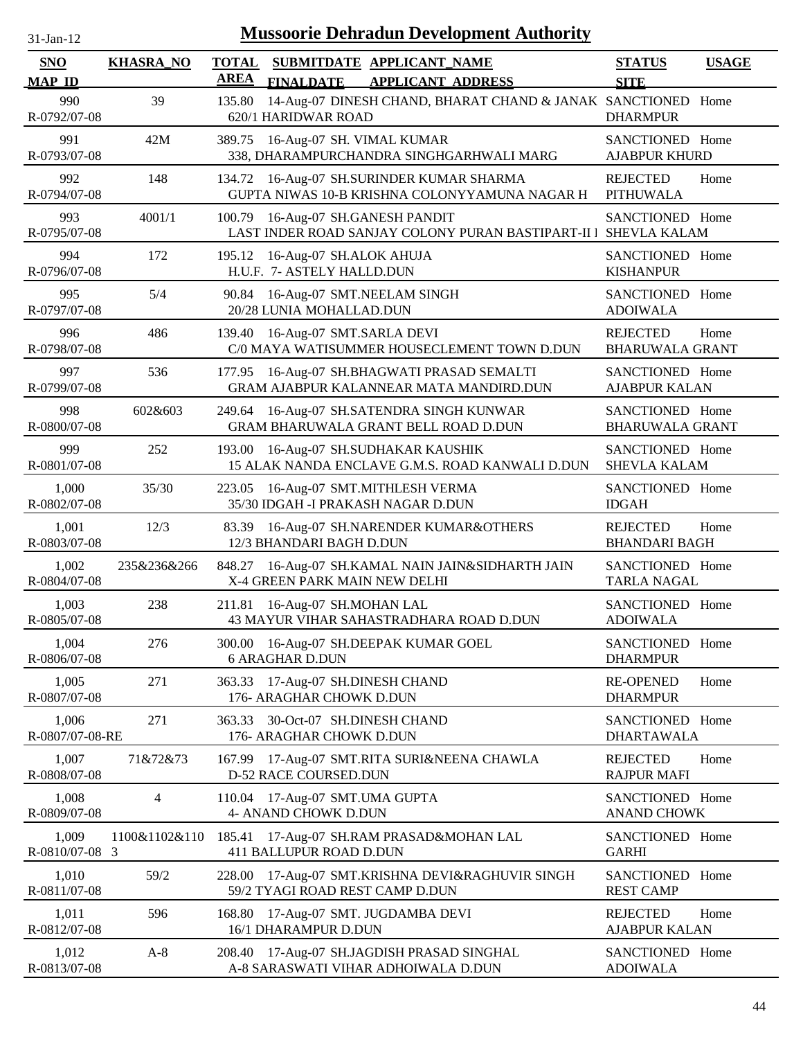| 31-Jan-12                   | <b>Mussoorie Dehradun Development Authority</b> |                             |                                                        |                                                                                        |                                           |              |  |
|-----------------------------|-------------------------------------------------|-----------------------------|--------------------------------------------------------|----------------------------------------------------------------------------------------|-------------------------------------------|--------------|--|
| <b>SNO</b><br><b>MAP ID</b> | <b>KHASRA_NO</b>                                | <b>TOTAL</b><br><b>AREA</b> | <b>FINALDATE</b>                                       | SUBMITDATE APPLICANT NAME<br><b>APPLICANT ADDRESS</b>                                  | <b>STATUS</b><br><b>SITE</b>              | <b>USAGE</b> |  |
| 990<br>R-0792/07-08         | 39                                              | 135.80                      | 620/1 HARIDWAR ROAD                                    | 14-Aug-07 DINESH CHAND, BHARAT CHAND & JANAK SANCTIONED Home                           | <b>DHARMPUR</b>                           |              |  |
| 991<br>R-0793/07-08         | 42M                                             | 389.75                      | 16-Aug-07 SH. VIMAL KUMAR                              | 338, DHARAMPURCHANDRA SINGHGARHWALI MARG                                               | SANCTIONED Home<br><b>AJABPUR KHURD</b>   |              |  |
| 992<br>R-0794/07-08         | 148                                             | 134.72                      |                                                        | 16-Aug-07 SH.SURINDER KUMAR SHARMA<br>GUPTA NIWAS 10-B KRISHNA COLONYYAMUNA NAGAR H    | <b>REJECTED</b><br><b>PITHUWALA</b>       | Home         |  |
| 993<br>R-0795/07-08         | 4001/1                                          | 100.79                      | 16-Aug-07 SH.GANESH PANDIT                             | LAST INDER ROAD SANJAY COLONY PURAN BASTIPART-II I                                     | SANCTIONED Home<br><b>SHEVLA KALAM</b>    |              |  |
| 994<br>R-0796/07-08         | 172                                             | 195.12                      | 16-Aug-07 SH.ALOK AHUJA<br>H.U.F. 7- ASTELY HALLD.DUN  |                                                                                        | SANCTIONED Home<br><b>KISHANPUR</b>       |              |  |
| 995<br>R-0797/07-08         | 5/4                                             | 90.84                       | 16-Aug-07 SMT.NEELAM SINGH<br>20/28 LUNIA MOHALLAD.DUN |                                                                                        | SANCTIONED Home<br><b>ADOIWALA</b>        |              |  |
| 996<br>R-0798/07-08         | 486                                             | 139.40                      | 16-Aug-07 SMT.SARLA DEVI                               | C/0 MAYA WATISUMMER HOUSECLEMENT TOWN D.DUN                                            | <b>REJECTED</b><br><b>BHARUWALA GRANT</b> | Home         |  |
| 997<br>R-0799/07-08         | 536                                             |                             |                                                        | 177.95 16-Aug-07 SH.BHAGWATI PRASAD SEMALTI<br>GRAM AJABPUR KALANNEAR MATA MANDIRD.DUN | SANCTIONED Home<br><b>AJABPUR KALAN</b>   |              |  |
| 998<br>R-0800/07-08         | 602&603                                         | 249.64                      |                                                        | 16-Aug-07 SH.SATENDRA SINGH KUNWAR<br>GRAM BHARUWALA GRANT BELL ROAD D.DUN             | SANCTIONED Home<br><b>BHARUWALA GRANT</b> |              |  |
| 999<br>R-0801/07-08         | 252                                             | 193.00                      |                                                        | 16-Aug-07 SH.SUDHAKAR KAUSHIK<br>15 ALAK NANDA ENCLAVE G.M.S. ROAD KANWALI D.DUN       | SANCTIONED Home<br><b>SHEVLA KALAM</b>    |              |  |
| 1,000<br>R-0802/07-08       | 35/30                                           | 223.05                      |                                                        | 16-Aug-07 SMT.MITHLESH VERMA<br>35/30 IDGAH - I PRAKASH NAGAR D.DUN                    | SANCTIONED Home<br><b>IDGAH</b>           |              |  |
| 1,001<br>R-0803/07-08       | 12/3                                            | 83.39                       | 12/3 BHANDARI BAGH D.DUN                               | 16-Aug-07 SH.NARENDER KUMAR&OTHERS                                                     | <b>REJECTED</b><br><b>BHANDARI BAGH</b>   | Home         |  |
| 1,002<br>R-0804/07-08       | 235&236&266                                     | 848.27                      | X-4 GREEN PARK MAIN NEW DELHI                          | 16-Aug-07 SH.KAMAL NAIN JAIN&SIDHARTH JAIN                                             | SANCTIONED Home<br><b>TARLA NAGAL</b>     |              |  |
| 1,003<br>R-0805/07-08       | 238                                             | 211.81                      | 16-Aug-07 SH.MOHAN LAL                                 | 43 MAYUR VIHAR SAHASTRADHARA ROAD D.DUN                                                | SANCTIONED Home<br><b>ADOIWALA</b>        |              |  |
| 1,004<br>R-0806/07-08       | 276                                             | 300.00                      | <b>6 ARAGHAR D.DUN</b>                                 | 16-Aug-07 SH.DEEPAK KUMAR GOEL                                                         | SANCTIONED Home<br><b>DHARMPUR</b>        |              |  |
| 1,005<br>R-0807/07-08       | 271                                             | 363.33                      | 17-Aug-07 SH.DINESH CHAND<br>176- ARAGHAR CHOWK D.DUN  |                                                                                        | <b>RE-OPENED</b><br><b>DHARMPUR</b>       | Home         |  |
| 1,006<br>R-0807/07-08-RE    | 271                                             | 363.33                      | 30-Oct-07 SH.DINESH CHAND<br>176- ARAGHAR CHOWK D.DUN  |                                                                                        | SANCTIONED Home<br><b>DHARTAWALA</b>      |              |  |
| 1,007<br>R-0808/07-08       | 71&72&73                                        |                             | D-52 RACE COURSED.DUN                                  | 167.99 17-Aug-07 SMT.RITA SURI&NEENA CHAWLA                                            | <b>REJECTED</b><br><b>RAJPUR MAFI</b>     | Home         |  |
| 1,008<br>R-0809/07-08       | 4                                               |                             | 110.04 17-Aug-07 SMT.UMA GUPTA<br>4- ANAND CHOWK D.DUN |                                                                                        | SANCTIONED Home<br><b>ANAND CHOWK</b>     |              |  |
| 1,009<br>R-0810/07-08 3     | 1100&1102&110                                   |                             | 411 BALLUPUR ROAD D.DUN                                | 185.41 17-Aug-07 SH.RAM PRASAD&MOHAN LAL                                               | SANCTIONED Home<br><b>GARHI</b>           |              |  |
| 1,010<br>R-0811/07-08       | 59/2                                            | 228.00                      | 59/2 TYAGI ROAD REST CAMP D.DUN                        | 17-Aug-07 SMT.KRISHNA DEVI&RAGHUVIR SINGH                                              | SANCTIONED Home<br><b>REST CAMP</b>       |              |  |
| 1,011<br>R-0812/07-08       | 596                                             | 168.80                      | 17-Aug-07 SMT. JUGDAMBA DEVI<br>16/1 DHARAMPUR D.DUN   |                                                                                        | <b>REJECTED</b><br><b>AJABPUR KALAN</b>   | Home         |  |
| 1,012<br>R-0813/07-08       | $A-8$                                           | 208.40                      |                                                        | 17-Aug-07 SH.JAGDISH PRASAD SINGHAL<br>A-8 SARASWATI VIHAR ADHOIWALA D.DUN             | SANCTIONED Home<br><b>ADOIWALA</b>        |              |  |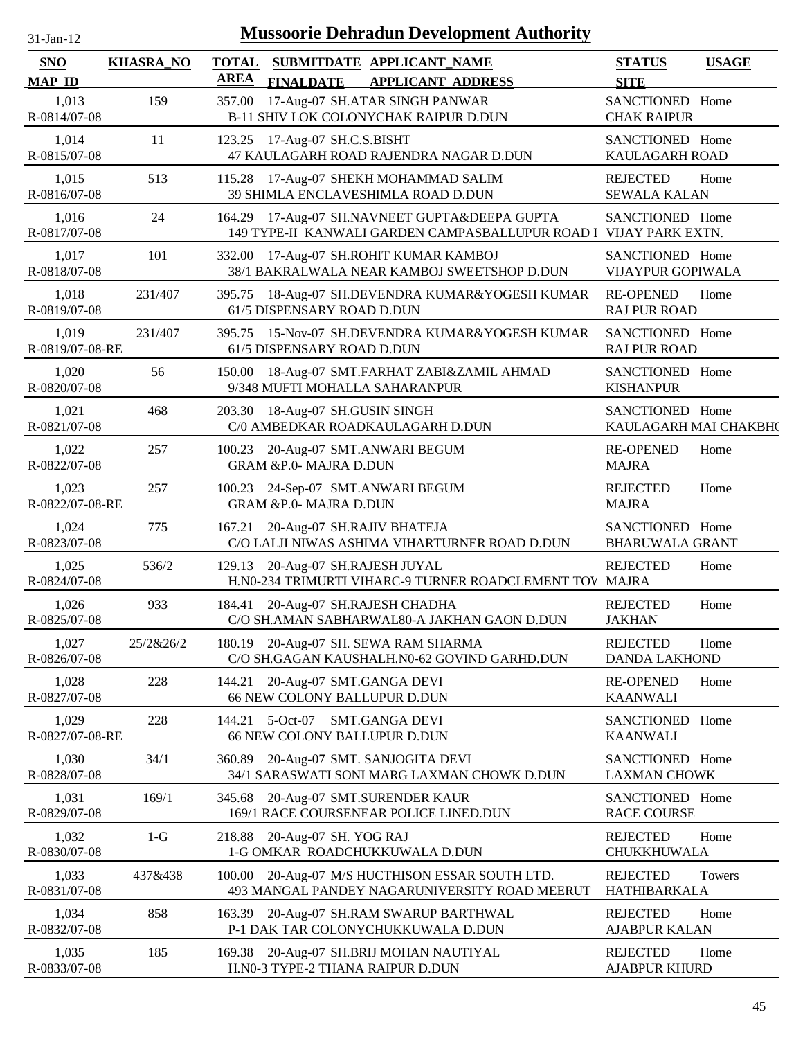| <b>Mussoorie Dehradun Development Authority</b><br>$31-Jan-12$ |                  |                             |                                                                                                   |                                             |               |  |
|----------------------------------------------------------------|------------------|-----------------------------|---------------------------------------------------------------------------------------------------|---------------------------------------------|---------------|--|
| <b>SNO</b><br><b>MAP ID</b>                                    | <b>KHASRA_NO</b> | <b>TOTAL</b><br><b>AREA</b> | SUBMITDATE APPLICANT NAME<br><b>APPLICANT ADDRESS</b><br><b>FINALDATE</b>                         | <b>STATUS</b><br><b>SITE</b>                | <b>USAGE</b>  |  |
| 1,013<br>R-0814/07-08                                          | 159              | 357.00                      | 17-Aug-07 SH.ATAR SINGH PANWAR<br>B-11 SHIV LOK COLONYCHAK RAIPUR D.DUN                           | SANCTIONED Home<br><b>CHAK RAIPUR</b>       |               |  |
| 1,014<br>R-0815/07-08                                          | 11               |                             | 123.25 17-Aug-07 SH.C.S.BISHT<br>47 KAULAGARH ROAD RAJENDRA NAGAR D.DUN                           | SANCTIONED Home<br>KAULAGARH ROAD           |               |  |
| 1,015<br>R-0816/07-08                                          | 513              |                             | 115.28 17-Aug-07 SHEKH MOHAMMAD SALIM<br>39 SHIMLA ENCLAVESHIMLA ROAD D.DUN                       | <b>REJECTED</b><br><b>SEWALA KALAN</b>      | Home          |  |
| 1,016<br>R-0817/07-08                                          | 24               |                             | 164.29 17-Aug-07 SH.NAVNEET GUPTA&DEEPA GUPTA<br>149 TYPE-II KANWALI GARDEN CAMPASBALLUPUR ROAD I | SANCTIONED Home<br>VIJAY PARK EXTN.         |               |  |
| 1,017<br>R-0818/07-08                                          | 101              | 332.00                      | 17-Aug-07 SH.ROHIT KUMAR KAMBOJ<br>38/1 BAKRALWALA NEAR KAMBOJ SWEETSHOP D.DUN                    | SANCTIONED Home<br><b>VIJAYPUR GOPIWALA</b> |               |  |
| 1,018<br>R-0819/07-08                                          | 231/407          |                             | 395.75 18-Aug-07 SH.DEVENDRA KUMAR&YOGESH KUMAR<br>61/5 DISPENSARY ROAD D.DUN                     | <b>RE-OPENED</b><br><b>RAJ PUR ROAD</b>     | Home          |  |
| 1,019<br>R-0819/07-08-RE                                       | 231/407          | 395.75                      | 15-Nov-07 SH.DEVENDRA KUMAR&YOGESH KUMAR<br>61/5 DISPENSARY ROAD D.DUN                            | SANCTIONED Home<br><b>RAJ PUR ROAD</b>      |               |  |
| 1,020<br>R-0820/07-08                                          | 56               |                             | 150.00 18-Aug-07 SMT.FARHAT ZABI&ZAMIL AHMAD<br>9/348 MUFTI MOHALLA SAHARANPUR                    | SANCTIONED Home<br><b>KISHANPUR</b>         |               |  |
| 1,021<br>R-0821/07-08                                          | 468              |                             | 203.30 18-Aug-07 SH.GUSIN SINGH<br>C/0 AMBEDKAR ROADKAULAGARH D.DUN                               | SANCTIONED Home<br>KAULAGARH MAI CHAKBH(    |               |  |
| 1,022<br>R-0822/07-08                                          | 257              |                             | 100.23 20-Aug-07 SMT.ANWARI BEGUM<br>GRAM &P.0- MAJRA D.DUN                                       | <b>RE-OPENED</b><br><b>MAJRA</b>            | Home          |  |
| 1,023<br>R-0822/07-08-RE                                       | 257              | 100.23                      | 24-Sep-07 SMT.ANWARI BEGUM<br><b>GRAM &amp;P.0- MAJRA D.DUN</b>                                   | <b>REJECTED</b><br><b>MAJRA</b>             | Home          |  |
| 1,024<br>R-0823/07-08                                          | 775              | 167.21                      | 20-Aug-07 SH.RAJIV BHATEJA<br>C/O LALJI NIWAS ASHIMA VIHARTURNER ROAD D.DUN                       | SANCTIONED Home<br><b>BHARUWALA GRANT</b>   |               |  |
| 1,025<br>R-0824/07-08                                          | 536/2            | 129.13                      | 20-Aug-07 SH.RAJESH JUYAL<br>H.N0-234 TRIMURTI VIHARC-9 TURNER ROADCLEMENT TOV MAJRA              | <b>REJECTED</b>                             | Home          |  |
| 1,026<br>R-0825/07-08                                          | 933              |                             | 184.41 20-Aug-07 SH.RAJESH CHADHA<br>C/O SH.AMAN SABHARWAL80-A JAKHAN GAON D.DUN                  | <b>REJECTED</b><br><b>JAKHAN</b>            | Home          |  |
| 1,027<br>R-0826/07-08                                          | 25/2&26/2        |                             | 180.19 20-Aug-07 SH. SEWA RAM SHARMA<br>C/O SH.GAGAN KAUSHALH.N0-62 GOVIND GARHD.DUN              | <b>REJECTED</b><br><b>DANDA LAKHOND</b>     | Home          |  |
| 1,028<br>R-0827/07-08                                          | 228              |                             | 144.21 20-Aug-07 SMT.GANGA DEVI<br>66 NEW COLONY BALLUPUR D.DUN                                   | <b>RE-OPENED</b><br><b>KAANWALI</b>         | Home          |  |
| 1,029<br>R-0827/07-08-RE                                       | 228              | 144.21                      | 5-Oct-07<br><b>SMT.GANGA DEVI</b><br>66 NEW COLONY BALLUPUR D.DUN                                 | SANCTIONED Home<br><b>KAANWALI</b>          |               |  |
| 1,030<br>R-0828/07-08                                          | 34/1             |                             | 360.89 20-Aug-07 SMT. SANJOGITA DEVI<br>34/1 SARASWATI SONI MARG LAXMAN CHOWK D.DUN               | SANCTIONED Home<br><b>LAXMAN CHOWK</b>      |               |  |
| 1,031<br>R-0829/07-08                                          | 169/1            | 345.68                      | 20-Aug-07 SMT.SURENDER KAUR<br>169/1 RACE COURSENEAR POLICE LINED.DUN                             | SANCTIONED Home<br><b>RACE COURSE</b>       |               |  |
| 1,032<br>R-0830/07-08                                          | $1-G$            |                             | 218.88 20-Aug-07 SH. YOG RAJ<br>1-G OMKAR ROADCHUKKUWALA D.DUN                                    | <b>REJECTED</b><br>CHUKKHUWALA              | Home          |  |
| 1,033<br>R-0831/07-08                                          | 437&438          | 100.00                      | 20-Aug-07 M/S HUCTHISON ESSAR SOUTH LTD.<br>493 MANGAL PANDEY NAGARUNIVERSITY ROAD MEERUT         | <b>REJECTED</b><br>HATHIBARKALA             | <b>Towers</b> |  |
| 1,034<br>R-0832/07-08                                          | 858              |                             | 163.39 20-Aug-07 SH.RAM SWARUP BARTHWAL<br>P-1 DAK TAR COLONYCHUKKUWALA D.DUN                     | <b>REJECTED</b><br><b>AJABPUR KALAN</b>     | Home          |  |
| 1,035<br>R-0833/07-08                                          | 185              | 169.38                      | 20-Aug-07 SH.BRIJ MOHAN NAUTIYAL<br>H.N0-3 TYPE-2 THANA RAIPUR D.DUN                              | <b>REJECTED</b><br><b>AJABPUR KHURD</b>     | Home          |  |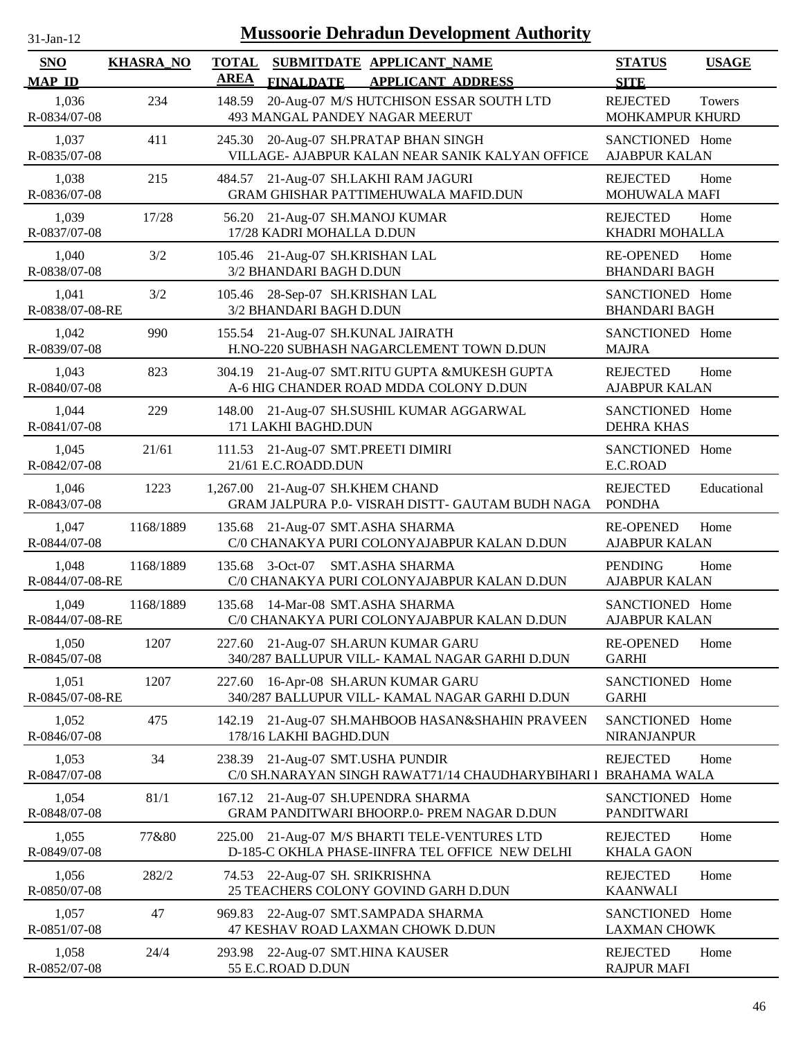| $31$ -Jan- $12$             |                  |                             |                                                            | <b>Mussoorie Dehradun Development Authority</b>                                                  |                                          |              |
|-----------------------------|------------------|-----------------------------|------------------------------------------------------------|--------------------------------------------------------------------------------------------------|------------------------------------------|--------------|
| <b>SNO</b><br><b>MAP ID</b> | <b>KHASRA_NO</b> | <b>TOTAL</b><br><b>AREA</b> | <b>FINALDATE</b>                                           | SUBMITDATE APPLICANT NAME<br><b>APPLICANT ADDRESS</b>                                            | <b>STATUS</b><br><b>SITE</b>             | <b>USAGE</b> |
| 1,036<br>R-0834/07-08       | 234              | 148.59                      |                                                            | 20-Aug-07 M/S HUTCHISON ESSAR SOUTH LTD<br>493 MANGAL PANDEY NAGAR MEERUT                        | <b>REJECTED</b><br>MOHKAMPUR KHURD       | Towers       |
| 1,037<br>R-0835/07-08       | 411              | 245.30                      |                                                            | 20-Aug-07 SH.PRATAP BHAN SINGH<br>VILLAGE- AJABPUR KALAN NEAR SANIK KALYAN OFFICE                | SANCTIONED Home<br><b>AJABPUR KALAN</b>  |              |
| 1,038<br>R-0836/07-08       | 215              | 484.57                      |                                                            | 21-Aug-07 SH.LAKHI RAM JAGURI<br>GRAM GHISHAR PATTIMEHUWALA MAFID.DUN                            | <b>REJECTED</b><br><b>MOHUWALA MAFI</b>  | Home         |
| 1,039<br>R-0837/07-08       | 17/28            | 56.20                       | 21-Aug-07 SH.MANOJ KUMAR<br>17/28 KADRI MOHALLA D.DUN      |                                                                                                  | <b>REJECTED</b><br>KHADRI MOHALLA        | Home         |
| 1,040<br>R-0838/07-08       | 3/2              | 105.46                      | 21-Aug-07 SH.KRISHAN LAL<br>3/2 BHANDARI BAGH D.DUN        |                                                                                                  | <b>RE-OPENED</b><br><b>BHANDARI BAGH</b> | Home         |
| 1,041<br>R-0838/07-08-RE    | 3/2              |                             | 105.46 28-Sep-07 SH.KRISHAN LAL<br>3/2 BHANDARI BAGH D.DUN |                                                                                                  | SANCTIONED Home<br><b>BHANDARI BAGH</b>  |              |
| 1,042<br>R-0839/07-08       | 990              | 155.54                      | 21-Aug-07 SH.KUNAL JAIRATH                                 | H.NO-220 SUBHASH NAGARCLEMENT TOWN D.DUN                                                         | SANCTIONED Home<br><b>MAJRA</b>          |              |
| 1,043<br>R-0840/07-08       | 823              | 304.19                      |                                                            | 21-Aug-07 SMT.RITU GUPTA &MUKESH GUPTA<br>A-6 HIG CHANDER ROAD MDDA COLONY D.DUN                 | <b>REJECTED</b><br><b>AJABPUR KALAN</b>  | Home         |
| 1,044<br>R-0841/07-08       | 229              | 148.00                      | 171 LAKHI BAGHD.DUN                                        | 21-Aug-07 SH.SUSHIL KUMAR AGGARWAL                                                               | SANCTIONED Home<br><b>DEHRA KHAS</b>     |              |
| 1,045<br>R-0842/07-08       | 21/61            |                             | 111.53 21-Aug-07 SMT.PREETI DIMIRI<br>21/61 E.C.ROADD.DUN  |                                                                                                  | SANCTIONED Home<br>E.C.ROAD              |              |
| 1,046<br>R-0843/07-08       | 1223             | 1,267.00                    | 21-Aug-07 SH.KHEM CHAND                                    | GRAM JALPURA P.0- VISRAH DISTT- GAUTAM BUDH NAGA                                                 | <b>REJECTED</b><br><b>PONDHA</b>         | Educational  |
| 1,047<br>R-0844/07-08       | 1168/1889        | 135.68                      | 21-Aug-07 SMT.ASHA SHARMA                                  | C/0 CHANAKYA PURI COLONYAJABPUR KALAN D.DUN                                                      | <b>RE-OPENED</b><br><b>AJABPUR KALAN</b> | Home         |
| 1,048<br>R-0844/07-08-RE    | 1168/1889        | 135.68                      | $3-Oct-07$                                                 | <b>SMT.ASHA SHARMA</b><br>C/0 CHANAKYA PURI COLONYAJABPUR KALAN D.DUN                            | <b>PENDING</b><br><b>AJABPUR KALAN</b>   | Home         |
| 1,049<br>R-0844/07-08-RE    | 1168/1889        |                             | 135.68 14-Mar-08 SMT.ASHA SHARMA                           | C/0 CHANAKYA PURI COLONYAJABPUR KALAN D.DUN                                                      | SANCTIONED Home<br><b>AJABPUR KALAN</b>  |              |
| 1,050<br>R-0845/07-08       | 1207             | 227.60                      |                                                            | 21-Aug-07 SH.ARUN KUMAR GARU<br>340/287 BALLUPUR VILL- KAMAL NAGAR GARHI D.DUN                   | <b>RE-OPENED</b><br><b>GARHI</b>         | Home         |
| 1,051<br>R-0845/07-08-RE    | 1207             | 227.60                      |                                                            | 16-Apr-08 SH.ARUN KUMAR GARU<br>340/287 BALLUPUR VILL- KAMAL NAGAR GARHI D.DUN                   | SANCTIONED Home<br><b>GARHI</b>          |              |
| 1,052<br>R-0846/07-08       | 475              | 142.19                      | 178/16 LAKHI BAGHD.DUN                                     | 21-Aug-07 SH.MAHBOOB HASAN&SHAHIN PRAVEEN                                                        | SANCTIONED Home<br><b>NIRANJANPUR</b>    |              |
| 1,053<br>R-0847/07-08       | 34               | 238.39                      | 21-Aug-07 SMT.USHA PUNDIR                                  | C/0 SH.NARAYAN SINGH RAWAT71/14 CHAUDHARYBIHARI I                                                | <b>REJECTED</b><br><b>BRAHAMA WALA</b>   | Home         |
| 1,054<br>R-0848/07-08       | 81/1             | 167.12                      |                                                            | 21-Aug-07 SH.UPENDRA SHARMA<br>GRAM PANDITWARI BHOORP.0- PREM NAGAR D.DUN                        | SANCTIONED Home<br><b>PANDITWARI</b>     |              |
| 1,055<br>R-0849/07-08       | 77&80            |                             |                                                            | 225.00 21-Aug-07 M/S BHARTI TELE-VENTURES LTD<br>D-185-C OKHLA PHASE-IINFRA TEL OFFICE NEW DELHI | <b>REJECTED</b><br><b>KHALA GAON</b>     | Home         |
| 1,056<br>R-0850/07-08       | 282/2            |                             | 74.53 22-Aug-07 SH. SRIKRISHNA                             | 25 TEACHERS COLONY GOVIND GARH D.DUN                                                             | <b>REJECTED</b><br><b>KAANWALI</b>       | Home         |
| 1,057<br>R-0851/07-08       | 47               |                             |                                                            | 969.83 22-Aug-07 SMT.SAMPADA SHARMA<br>47 KESHAV ROAD LAXMAN CHOWK D.DUN                         | SANCTIONED Home<br><b>LAXMAN CHOWK</b>   |              |
| 1,058<br>R-0852/07-08       | 24/4             | 293.98                      | 22-Aug-07 SMT.HINA KAUSER<br>55 E.C.ROAD D.DUN             |                                                                                                  | <b>REJECTED</b><br><b>RAJPUR MAFI</b>    | Home         |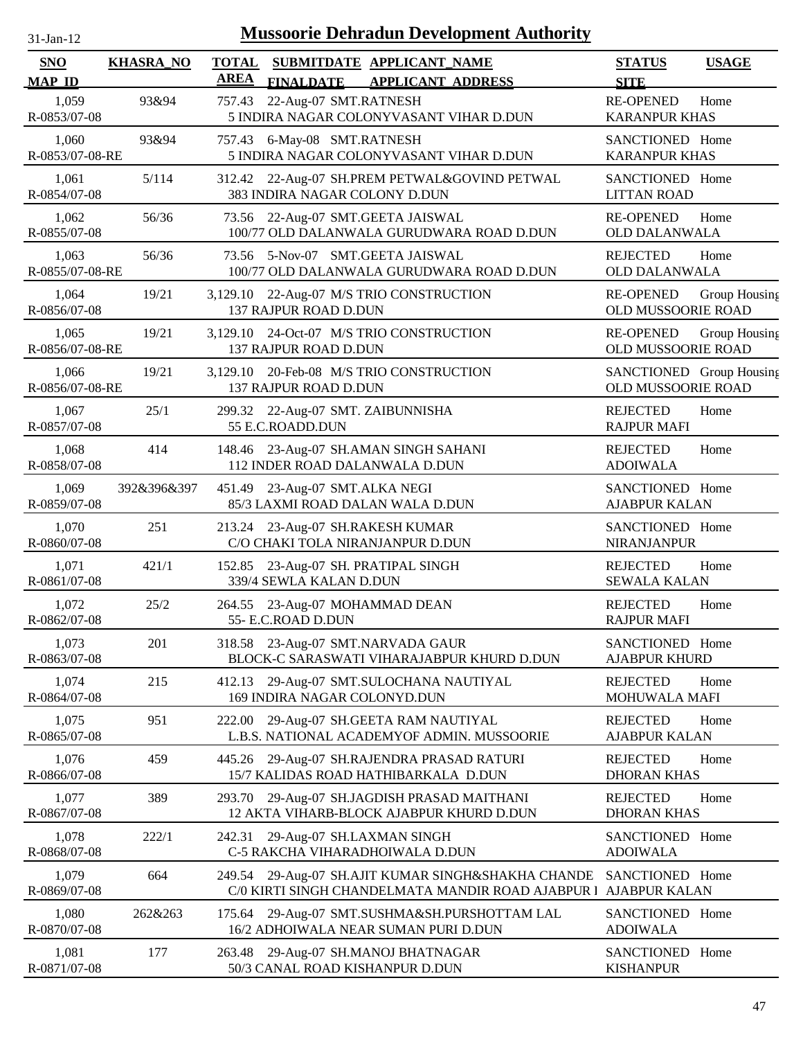| $31-Jan-12$                 |                  |                             | <b>Mussoorie Dehradun Development Authority</b>                                                  |                                                |               |
|-----------------------------|------------------|-----------------------------|--------------------------------------------------------------------------------------------------|------------------------------------------------|---------------|
| <b>SNO</b><br><b>MAP ID</b> | <b>KHASRA_NO</b> | <b>TOTAL</b><br><b>AREA</b> | SUBMITDATE APPLICANT NAME<br><b>FINALDATE</b><br><b>APPLICANT ADDRESS</b>                        | <b>STATUS</b><br><b>SITE</b>                   | <b>USAGE</b>  |
| 1,059<br>R-0853/07-08       | 93&94            | 757.43                      | 22-Aug-07 SMT.RATNESH<br>5 INDIRA NAGAR COLONYVASANT VIHAR D.DUN                                 | <b>RE-OPENED</b><br><b>KARANPUR KHAS</b>       | Home          |
| 1,060<br>R-0853/07-08-RE    | 93&94            | 757.43                      | 6-May-08 SMT.RATNESH<br>5 INDIRA NAGAR COLONYVASANT VIHAR D.DUN                                  | SANCTIONED Home<br><b>KARANPUR KHAS</b>        |               |
| 1,061<br>R-0854/07-08       | 5/114            |                             | 312.42 22-Aug-07 SH.PREM PETWAL&GOVIND PETWAL<br>383 INDIRA NAGAR COLONY D.DUN                   | SANCTIONED Home<br><b>LITTAN ROAD</b>          |               |
| 1,062<br>R-0855/07-08       | 56/36            | 73.56                       | 22-Aug-07 SMT.GEETA JAISWAL<br>100/77 OLD DALANWALA GURUDWARA ROAD D.DUN                         | <b>RE-OPENED</b><br>OLD DALANWALA              | Home          |
| 1,063<br>R-0855/07-08-RE    | 56/36            |                             | 73.56 5-Nov-07 SMT.GEETA JAISWAL<br>100/77 OLD DALANWALA GURUDWARA ROAD D.DUN                    | <b>REJECTED</b><br><b>OLD DALANWALA</b>        | Home          |
| 1,064<br>R-0856/07-08       | 19/21            |                             | 3,129.10 22-Aug-07 M/S TRIO CONSTRUCTION<br>137 RAJPUR ROAD D.DUN                                | <b>RE-OPENED</b><br>OLD MUSSOORIE ROAD         | Group Housing |
| 1,065<br>R-0856/07-08-RE    | 19/21            |                             | 3,129.10 24-Oct-07 M/S TRIO CONSTRUCTION<br>137 RAJPUR ROAD D.DUN                                | <b>RE-OPENED</b><br>OLD MUSSOORIE ROAD         | Group Housing |
| 1,066<br>R-0856/07-08-RE    | 19/21            |                             | 3,129.10 20-Feb-08 M/S TRIO CONSTRUCTION<br>137 RAJPUR ROAD D.DUN                                | SANCTIONED Group Housing<br>OLD MUSSOORIE ROAD |               |
| 1,067<br>R-0857/07-08       | 25/1             |                             | 299.32 22-Aug-07 SMT. ZAIBUNNISHA<br>55 E.C.ROADD.DUN                                            | <b>REJECTED</b><br><b>RAJPUR MAFI</b>          | Home          |
| 1,068<br>R-0858/07-08       | 414              |                             | 148.46 23-Aug-07 SH.AMAN SINGH SAHANI<br>112 INDER ROAD DALANWALA D.DUN                          | <b>REJECTED</b><br><b>ADOIWALA</b>             | Home          |
| 1,069<br>R-0859/07-08       | 392&396&397      | 451.49                      | 23-Aug-07 SMT.ALKA NEGI<br>85/3 LAXMI ROAD DALAN WALA D.DUN                                      | SANCTIONED Home<br><b>AJABPUR KALAN</b>        |               |
| 1,070<br>R-0860/07-08       | 251              | 213.24                      | 23-Aug-07 SH.RAKESH KUMAR<br>C/O CHAKI TOLA NIRANJANPUR D.DUN                                    | SANCTIONED Home<br><b>NIRANJANPUR</b>          |               |
| 1,071<br>R-0861/07-08       | 421/1            | 152.85                      | 23-Aug-07 SH. PRATIPAL SINGH<br>339/4 SEWLA KALAN D.DUN                                          | <b>REJECTED</b><br><b>SEWALA KALAN</b>         | Home          |
| 1,072<br>R-0862/07-08       | 25/2             |                             | 264.55 23-Aug-07 MOHAMMAD DEAN<br>55- E.C.ROAD D.DUN                                             | <b>REJECTED</b><br><b>RAJPUR MAFI</b>          | Home          |
| 1,073<br>R-0863/07-08       | 201              |                             | 318.58 23-Aug-07 SMT.NARVADA GAUR<br>BLOCK-C SARASWATI VIHARAJABPUR KHURD D.DUN                  | SANCTIONED Home<br><b>AJABPUR KHURD</b>        |               |
| 1,074<br>R-0864/07-08       | 215              | 412.13                      | 29-Aug-07 SMT.SULOCHANA NAUTIYAL<br>169 INDIRA NAGAR COLONYD.DUN                                 | <b>REJECTED</b><br>MOHUWALA MAFI               | Home          |
| 1,075<br>R-0865/07-08       | 951              | 222.00                      | 29-Aug-07 SH.GEETA RAM NAUTIYAL<br>L.B.S. NATIONAL ACADEMYOF ADMIN. MUSSOORIE                    | <b>REJECTED</b><br><b>AJABPUR KALAN</b>        | Home          |
| 1,076<br>R-0866/07-08       | 459              |                             | 445.26 29-Aug-07 SH.RAJENDRA PRASAD RATURI<br>15/7 KALIDAS ROAD HATHIBARKALA D.DUN               | <b>REJECTED</b><br><b>DHORAN KHAS</b>          | Home          |
| 1,077<br>R-0867/07-08       | 389              | 293.70                      | 29-Aug-07 SH.JAGDISH PRASAD MAITHANI<br>12 AKTA VIHARB-BLOCK AJABPUR KHURD D.DUN                 | <b>REJECTED</b><br><b>DHORAN KHAS</b>          | Home          |
| 1,078<br>R-0868/07-08       | 222/1            |                             | 242.31 29-Aug-07 SH.LAXMAN SINGH<br>C-5 RAKCHA VIHARADHOIWALA D.DUN                              | SANCTIONED Home<br><b>ADOIWALA</b>             |               |
| 1,079<br>R-0869/07-08       | 664              | 249.54                      | 29-Aug-07 SH.AJIT KUMAR SINGH&SHAKHA CHANDE<br>C/0 KIRTI SINGH CHANDELMATA MANDIR ROAD AJABPUR I | SANCTIONED Home<br><b>AJABPUR KALAN</b>        |               |
| 1,080<br>R-0870/07-08       | 262&263          | 175.64                      | 29-Aug-07 SMT.SUSHMA&SH.PURSHOTTAM LAL<br>16/2 ADHOIWALA NEAR SUMAN PURI D.DUN                   | SANCTIONED Home<br><b>ADOIWALA</b>             |               |
| 1,081<br>R-0871/07-08       | 177              | 263.48                      | 29-Aug-07 SH.MANOJ BHATNAGAR<br>50/3 CANAL ROAD KISHANPUR D.DUN                                  | SANCTIONED Home<br><b>KISHANPUR</b>            |               |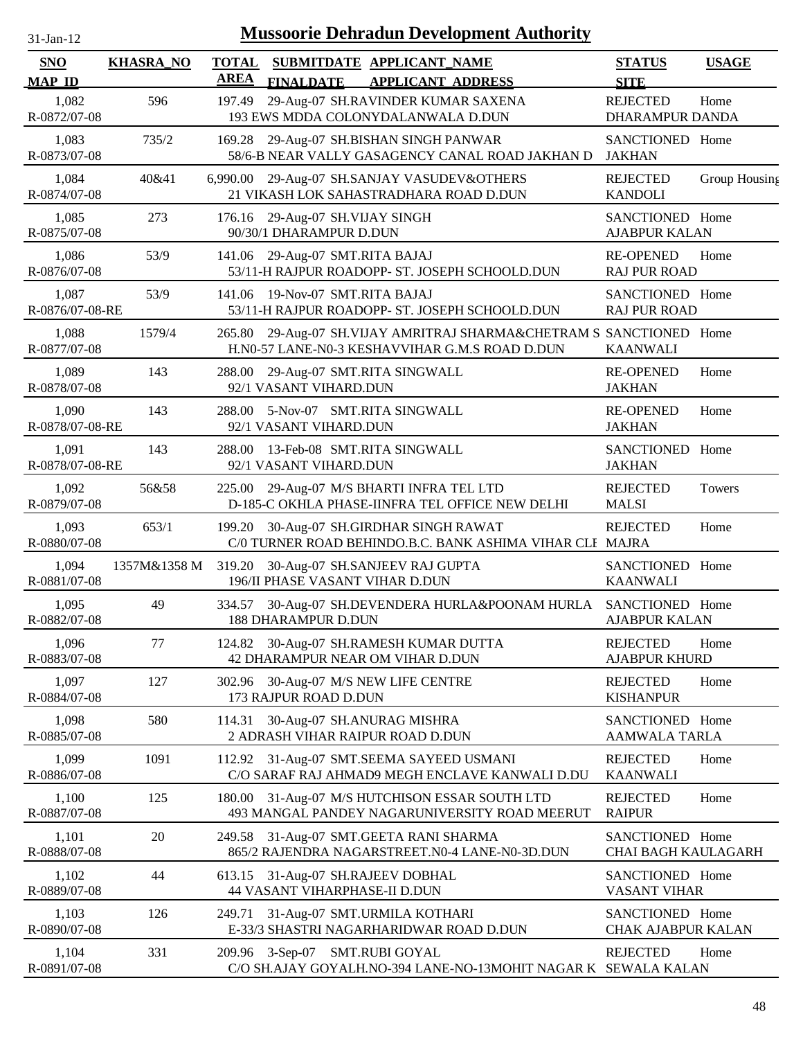| 31-Jan-12 |  |
|-----------|--|

| <b>SNO</b><br><b>MAP ID</b> | <b>KHASRA_NO</b> | <b>TOTAL</b><br><b>AREA</b> | <b>FINALDATE</b>                                                          | SUBMITDATE APPLICANT_NAME<br><b>APPLICANT ADDRESS</b>                                                          | <b>STATUS</b><br><b>SITE</b>                  | <b>USAGE</b>  |
|-----------------------------|------------------|-----------------------------|---------------------------------------------------------------------------|----------------------------------------------------------------------------------------------------------------|-----------------------------------------------|---------------|
| 1,082<br>R-0872/07-08       | 596              | 197.49                      |                                                                           | 29-Aug-07 SH.RAVINDER KUMAR SAXENA<br>193 EWS MDDA COLONYDALANWALA D.DUN                                       | <b>REJECTED</b><br><b>DHARAMPUR DANDA</b>     | Home          |
| 1,083<br>R-0873/07-08       | 735/2            |                             |                                                                           | 169.28 29-Aug-07 SH.BISHAN SINGH PANWAR<br>58/6-B NEAR VALLY GASAGENCY CANAL ROAD JAKHAN D                     | SANCTIONED Home<br>JAKHAN                     |               |
| 1,084<br>R-0874/07-08       | 40&41            |                             |                                                                           | 6,990.00 29-Aug-07 SH.SANJAY VASUDEV&OTHERS<br>21 VIKASH LOK SAHASTRADHARA ROAD D.DUN                          | <b>REJECTED</b><br><b>KANDOLI</b>             | Group Housing |
| 1,085<br>R-0875/07-08       | 273              | 176.16                      | 29-Aug-07 SH.VIJAY SINGH<br>90/30/1 DHARAMPUR D.DUN                       |                                                                                                                | SANCTIONED Home<br><b>AJABPUR KALAN</b>       |               |
| 1,086<br>R-0876/07-08       | 53/9             | 141.06                      | 29-Aug-07 SMT.RITA BAJAJ                                                  | 53/11-H RAJPUR ROADOPP- ST. JOSEPH SCHOOLD.DUN                                                                 | <b>RE-OPENED</b><br><b>RAJ PUR ROAD</b>       | Home          |
| 1,087<br>R-0876/07-08-RE    | 53/9             | 141.06                      | 19-Nov-07 SMT.RITA BAJAJ                                                  | 53/11-H RAJPUR ROADOPP- ST. JOSEPH SCHOOLD.DUN                                                                 | SANCTIONED Home<br><b>RAJ PUR ROAD</b>        |               |
| 1,088<br>R-0877/07-08       | 1579/4           | 265.80                      |                                                                           | 29-Aug-07 SH.VIJAY AMRITRAJ SHARMA&CHETRAM S SANCTIONED Home<br>H.N0-57 LANE-N0-3 KESHAVVIHAR G.M.S ROAD D.DUN | <b>KAANWALI</b>                               |               |
| 1,089<br>R-0878/07-08       | 143              | 288.00                      | 29-Aug-07 SMT.RITA SINGWALL<br>92/1 VASANT VIHARD.DUN                     |                                                                                                                | <b>RE-OPENED</b><br><b>JAKHAN</b>             | Home          |
| 1,090<br>R-0878/07-08-RE    | 143              | 288.00                      | 5-Nov-07 SMT.RITA SINGWALL<br>92/1 VASANT VIHARD.DUN                      |                                                                                                                | <b>RE-OPENED</b><br><b>JAKHAN</b>             | Home          |
| 1,091<br>R-0878/07-08-RE    | 143              | 288.00                      | 13-Feb-08 SMT.RITA SINGWALL<br>92/1 VASANT VIHARD.DUN                     |                                                                                                                | SANCTIONED Home<br><b>JAKHAN</b>              |               |
| 1,092<br>R-0879/07-08       | 56&58            |                             |                                                                           | 225.00 29-Aug-07 M/S BHARTI INFRA TEL LTD<br>D-185-C OKHLA PHASE-IINFRA TEL OFFICE NEW DELHI                   | <b>REJECTED</b><br><b>MALSI</b>               | <b>Towers</b> |
| 1,093<br>R-0880/07-08       | 653/1            |                             |                                                                           | 199.20 30-Aug-07 SH.GIRDHAR SINGH RAWAT<br>C/0 TURNER ROAD BEHINDO.B.C. BANK ASHIMA VIHAR CLI MAJRA            | <b>REJECTED</b>                               | Home          |
| 1,094<br>R-0881/07-08       | 1357M&1358 M     |                             | 196/II PHASE VASANT VIHAR D.DUN                                           | 319.20 30-Aug-07 SH.SANJEEV RAJ GUPTA                                                                          | SANCTIONED Home<br><b>KAANWALI</b>            |               |
| 1,095<br>R-0882/07-08       | 49               |                             | <b>188 DHARAMPUR D.DUN</b>                                                | 334.57 30-Aug-07 SH.DEVENDERA HURLA&POONAM HURLA SANCTIONED Home                                               | <b>AJABPUR KALAN</b>                          |               |
| 1,096<br>R-0883/07-08       | 77               |                             |                                                                           | 124.82 30-Aug-07 SH.RAMESH KUMAR DUTTA<br>42 DHARAMPUR NEAR OM VIHAR D.DUN                                     | <b>REJECTED</b><br><b>AJABPUR KHURD</b>       | Home          |
| 1,097<br>R-0884/07-08       | 127              |                             | 173 RAJPUR ROAD D.DUN                                                     | 302.96 30-Aug-07 M/S NEW LIFE CENTRE                                                                           | <b>REJECTED</b><br><b>KISHANPUR</b>           | Home          |
| 1,098<br>R-0885/07-08       | 580              | 114.31                      | 30-Aug-07 SH.ANURAG MISHRA                                                | 2 ADRASH VIHAR RAIPUR ROAD D.DUN                                                                               | SANCTIONED Home<br><b>AAMWALA TARLA</b>       |               |
| 1,099<br>R-0886/07-08       | 1091             |                             |                                                                           | 112.92 31-Aug-07 SMT.SEEMA SAYEED USMANI<br>C/O SARAF RAJ AHMAD9 MEGH ENCLAVE KANWALI D.DU                     | <b>REJECTED</b><br><b>KAANWALI</b>            | Home          |
| 1,100<br>R-0887/07-08       | 125              | 180.00                      |                                                                           | 31-Aug-07 M/S HUTCHISON ESSAR SOUTH LTD<br>493 MANGAL PANDEY NAGARUNIVERSITY ROAD MEERUT                       | <b>REJECTED</b><br><b>RAIPUR</b>              | Home          |
| 1,101<br>R-0888/07-08       | 20               | 249.58                      |                                                                           | 31-Aug-07 SMT.GEETA RANI SHARMA<br>865/2 RAJENDRA NAGARSTREET.N0-4 LANE-N0-3D.DUN                              | SANCTIONED Home<br><b>CHAI BAGH KAULAGARH</b> |               |
| 1,102<br>R-0889/07-08       | 44               |                             | 613.15 31-Aug-07 SH.RAJEEV DOBHAL<br><b>44 VASANT VIHARPHASE-II D.DUN</b> |                                                                                                                | SANCTIONED Home<br><b>VASANT VIHAR</b>        |               |
| 1,103<br>R-0890/07-08       | 126              | 249.71                      |                                                                           | 31-Aug-07 SMT.URMILA KOTHARI<br>E-33/3 SHASTRI NAGARHARIDWAR ROAD D.DUN                                        | SANCTIONED Home<br>CHAK AJABPUR KALAN         |               |
| 1,104<br>R-0891/07-08       | 331              |                             | 209.96 3-Sep-07 SMT.RUBI GOYAL                                            | C/O SH.AJAY GOYALH.NO-394 LANE-NO-13MOHIT NAGAR K SEWALA KALAN                                                 | <b>REJECTED</b>                               | Home          |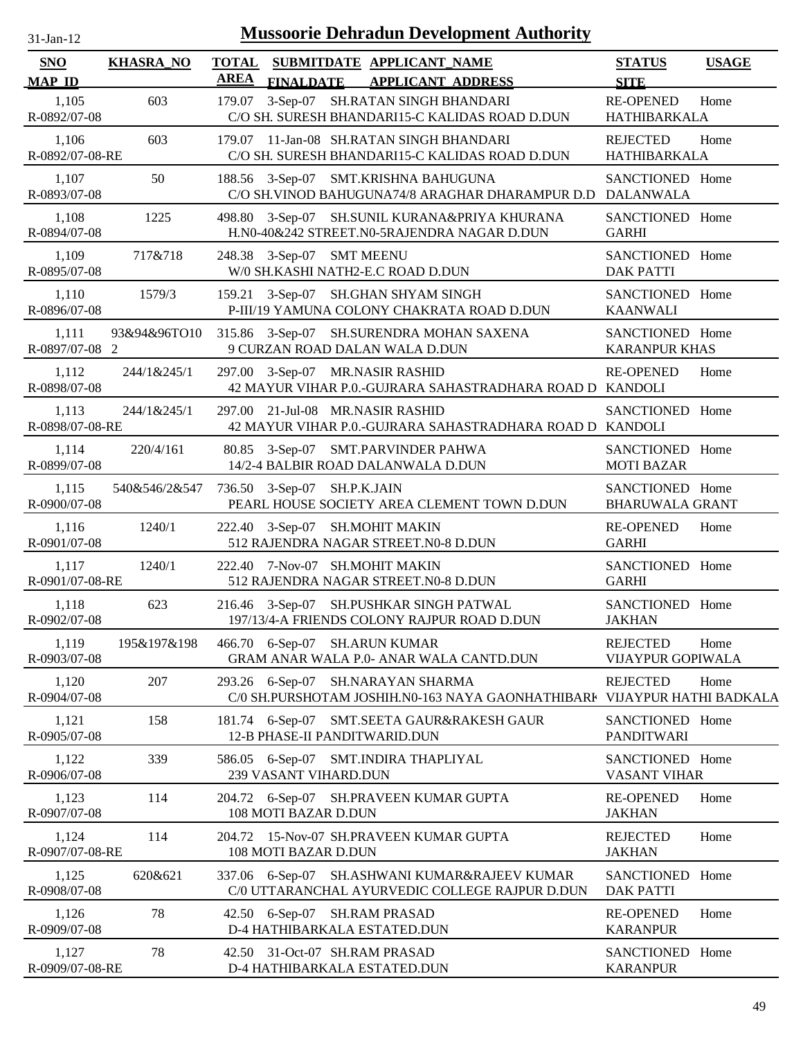| $31$ -Jan-12 |  |
|--------------|--|

| <b>SNO</b>               | <b>KHASRA_NO</b> |             |                                  | TOTAL SUBMITDATE APPLICANT NAME                                                                               | <b>STATUS</b>                               | <b>USAGE</b> |
|--------------------------|------------------|-------------|----------------------------------|---------------------------------------------------------------------------------------------------------------|---------------------------------------------|--------------|
| <b>MAP ID</b>            |                  | <b>AREA</b> | <b>FINALDATE</b>                 | <b>APPLICANT ADDRESS</b>                                                                                      | <b>SITE</b>                                 |              |
| 1,105<br>R-0892/07-08    | 603              | 179.07      |                                  | 3-Sep-07 SH.RATAN SINGH BHANDARI<br>C/O SH. SURESH BHANDARI15-C KALIDAS ROAD D.DUN                            | <b>RE-OPENED</b><br>HATHIBARKALA            | Home         |
| 1,106<br>R-0892/07-08-RE | 603              |             |                                  | 179.07 11-Jan-08 SH.RATAN SINGH BHANDARI<br>C/O SH. SURESH BHANDARI15-C KALIDAS ROAD D.DUN                    | <b>REJECTED</b><br>HATHIBARKALA             | Home         |
| 1,107<br>R-0893/07-08    | 50               |             |                                  | 188.56 3-Sep-07 SMT.KRISHNA BAHUGUNA<br>C/O SH.VINOD BAHUGUNA74/8 ARAGHAR DHARAMPUR D.D DALANWALA             | SANCTIONED Home                             |              |
| 1,108<br>R-0894/07-08    | 1225             |             |                                  | 498.80 3-Sep-07 SH.SUNIL KURANA&PRIYA KHURANA<br>H.N0-40&242 STREET.N0-5RAJENDRA NAGAR D.DUN                  | SANCTIONED Home<br><b>GARHI</b>             |              |
| 1,109<br>R-0895/07-08    | 717&718          |             | 248.38 3-Sep-07 SMT MEENU        | W/0 SH.KASHI NATH2-E.C ROAD D.DUN                                                                             | SANCTIONED Home<br><b>DAK PATTI</b>         |              |
| 1,110<br>R-0896/07-08    | 1579/3           |             |                                  | 159.21 3-Sep-07 SH.GHAN SHYAM SINGH<br>P-III/19 YAMUNA COLONY CHAKRATA ROAD D.DUN                             | SANCTIONED Home<br><b>KAANWALI</b>          |              |
| 1,111<br>R-0897/07-08 2  | 93&94&96TO10     |             |                                  | 315.86 3-Sep-07 SH.SURENDRA MOHAN SAXENA<br>9 CURZAN ROAD DALAN WALA D.DUN                                    | SANCTIONED Home<br><b>KARANPUR KHAS</b>     |              |
| 1,112<br>R-0898/07-08    | 244/1&245/1      |             | 297.00 3-Sep-07 MR.NASIR RASHID  | 42 MAYUR VIHAR P.O.-GUJRARA SAHASTRADHARA ROAD D KANDOLI                                                      | <b>RE-OPENED</b>                            | Home         |
| 1,113<br>R-0898/07-08-RE | 244/1&245/1      |             | 297.00 21-Jul-08 MR.NASIR RASHID | 42 MAYUR VIHAR P.O.-GUJRARA SAHASTRADHARA ROAD D KANDOLI                                                      | SANCTIONED Home                             |              |
| 1,114<br>R-0899/07-08    | 220/4/161        |             |                                  | 80.85 3-Sep-07 SMT.PARVINDER PAHWA<br>14/2-4 BALBIR ROAD DALANWALA D.DUN                                      | SANCTIONED Home<br><b>MOTI BAZAR</b>        |              |
| 1,115<br>R-0900/07-08    | 540&546/2&547    |             | 736.50 3-Sep-07 SH.P.K.JAIN      | PEARL HOUSE SOCIETY AREA CLEMENT TOWN D.DUN                                                                   | SANCTIONED Home<br><b>BHARUWALA GRANT</b>   |              |
| 1,116<br>R-0901/07-08    | 1240/1           |             | 222.40 3-Sep-07 SH.MOHIT MAKIN   | 512 RAJENDRA NAGAR STREET.N0-8 D.DUN                                                                          | <b>RE-OPENED</b><br><b>GARHI</b>            | Home         |
| 1,117<br>R-0901/07-08-RE | 1240/1           |             | 222.40 7-Nov-07 SH.MOHIT MAKIN   | 512 RAJENDRA NAGAR STREET.N0-8 D.DUN                                                                          | SANCTIONED Home<br><b>GARHI</b>             |              |
| 1,118<br>R-0902/07-08    | 623              |             |                                  | 216.46 3-Sep-07 SH.PUSHKAR SINGH PATWAL<br>197/13/4-A FRIENDS COLONY RAJPUR ROAD D.DUN                        | SANCTIONED Home<br><b>JAKHAN</b>            |              |
| 1,119<br>R-0903/07-08    | 195&197&198      |             | 466.70 6-Sep-07 SH.ARUN KUMAR    | GRAM ANAR WALA P.0- ANAR WALA CANTD.DUN                                                                       | <b>REJECTED</b><br><b>VIJAYPUR GOPIWALA</b> | Home         |
| 1,120<br>R-0904/07-08    | 207              |             |                                  | 293.26 6-Sep-07 SH.NARAYAN SHARMA<br>C/0 SH.PURSHOTAM JOSHIH.N0-163 NAYA GAONHATHIBARI VIJAYPUR HATHI BADKALA | <b>REJECTED</b>                             | Home         |
| 1,121<br>R-0905/07-08    | 158              | 181.74      | 12-B PHASE-II PANDITWARID.DUN    | 6-Sep-07 SMT.SEETA GAUR&RAKESH GAUR                                                                           | SANCTIONED Home<br><b>PANDITWARI</b>        |              |
| 1,122<br>R-0906/07-08    | 339              |             | 239 VASANT VIHARD.DUN            | 586.05 6-Sep-07 SMT.INDIRA THAPLIYAL                                                                          | SANCTIONED Home<br><b>VASANT VIHAR</b>      |              |
| 1,123<br>R-0907/07-08    | 114              |             | 108 MOTI BAZAR D.DUN             | 204.72 6-Sep-07 SH.PRAVEEN KUMAR GUPTA                                                                        | <b>RE-OPENED</b><br><b>JAKHAN</b>           | Home         |
| 1,124<br>R-0907/07-08-RE | 114              |             | 108 MOTI BAZAR D.DUN             | 204.72 15-Nov-07 SH.PRAVEEN KUMAR GUPTA                                                                       | <b>REJECTED</b><br><b>JAKHAN</b>            | Home         |
| 1,125<br>R-0908/07-08    | 620&621          |             |                                  | 337.06 6-Sep-07 SH.ASHWANI KUMAR&RAJEEV KUMAR<br>C/0 UTTARANCHAL AYURVEDIC COLLEGE RAJPUR D.DUN               | SANCTIONED Home<br><b>DAK PATTI</b>         |              |
| 1,126<br>R-0909/07-08    | 78               |             | 42.50 6-Sep-07 SH.RAM PRASAD     | D-4 HATHIBARKALA ESTATED.DUN                                                                                  | <b>RE-OPENED</b><br><b>KARANPUR</b>         | Home         |
| 1,127<br>R-0909/07-08-RE | 78               |             | 42.50 31-Oct-07 SH.RAM PRASAD    | D-4 HATHIBARKALA ESTATED.DUN                                                                                  | SANCTIONED Home<br><b>KARANPUR</b>          |              |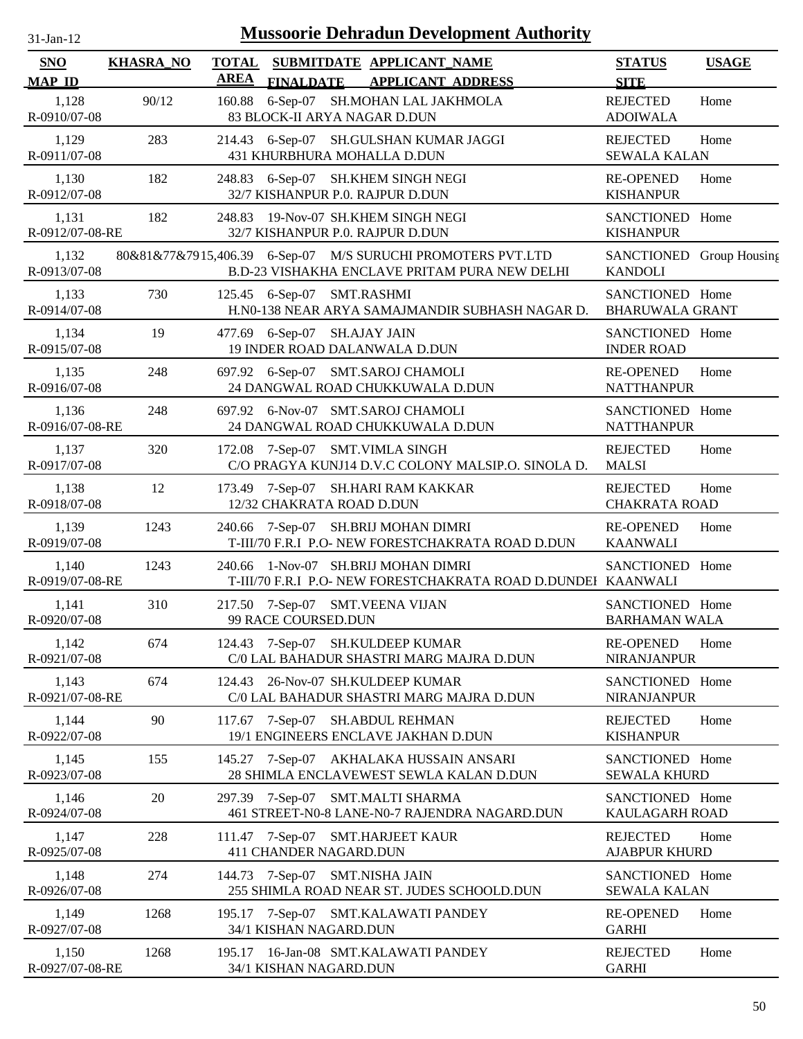| $31$ -Jan-12 |  |
|--------------|--|
|              |  |

| SNO<br><b>MAP ID</b>     | <b>KHASRA_NO</b> | <b>TOTAL</b><br><b>AREA</b> | <b>FINALDATE</b>               | SUBMITDATE APPLICANT_NAME<br><b>APPLICANT ADDRESS</b>                                                        | <b>STATUS</b><br><b>SITE</b>               | <b>USAGE</b> |
|--------------------------|------------------|-----------------------------|--------------------------------|--------------------------------------------------------------------------------------------------------------|--------------------------------------------|--------------|
| 1,128<br>R-0910/07-08    | 90/12            | 160.88                      | 83 BLOCK-II ARYA NAGAR D.DUN   | 6-Sep-07 SH.MOHAN LAL JAKHMOLA                                                                               | <b>REJECTED</b><br><b>ADOIWALA</b>         | Home         |
| 1,129<br>R-0911/07-08    | 283              |                             |                                | 214.43 6-Sep-07 SH.GULSHAN KUMAR JAGGI<br>431 KHURBHURA MOHALLA D.DUN                                        | <b>REJECTED</b><br><b>SEWALA KALAN</b>     | Home         |
| 1,130<br>R-0912/07-08    | 182              |                             |                                | 248.83 6-Sep-07 SH.KHEM SINGH NEGI<br>32/7 KISHANPUR P.O. RAJPUR D.DUN                                       | <b>RE-OPENED</b><br><b>KISHANPUR</b>       | Home         |
| 1,131<br>R-0912/07-08-RE | 182              |                             |                                | 248.83 19-Nov-07 SH.KHEM SINGH NEGI<br>32/7 KISHANPUR P.O. RAJPUR D.DUN                                      | SANCTIONED Home<br><b>KISHANPUR</b>        |              |
| 1,132<br>R-0913/07-08    |                  |                             |                                | 80&81&77&7915,406.39 6-Sep-07 M/S SURUCHI PROMOTERS PVT.LTD<br>B.D-23 VISHAKHA ENCLAVE PRITAM PURA NEW DELHI | SANCTIONED Group Housing<br><b>KANDOLI</b> |              |
| 1,133<br>R-0914/07-08    | 730              |                             | 125.45 6-Sep-07 SMT.RASHMI     | H.N0-138 NEAR ARYA SAMAJMANDIR SUBHASH NAGAR D.                                                              | SANCTIONED Home<br><b>BHARUWALA GRANT</b>  |              |
| 1,134<br>R-0915/07-08    | 19               |                             | 477.69 6-Sep-07 SH.AJAY JAIN   | 19 INDER ROAD DALANWALA D.DUN                                                                                | SANCTIONED Home<br><b>INDER ROAD</b>       |              |
| 1,135<br>R-0916/07-08    | 248              |                             |                                | 697.92 6-Sep-07 SMT.SAROJ CHAMOLI<br>24 DANGWAL ROAD CHUKKUWALA D.DUN                                        | <b>RE-OPENED</b><br><b>NATTHANPUR</b>      | Home         |
| 1,136<br>R-0916/07-08-RE | 248              |                             |                                | 697.92 6-Nov-07 SMT.SAROJ CHAMOLI<br>24 DANGWAL ROAD CHUKKUWALA D.DUN                                        | SANCTIONED Home<br><b>NATTHANPUR</b>       |              |
| 1,137<br>R-0917/07-08    | 320              |                             |                                | 172.08 7-Sep-07 SMT. VIMLA SINGH<br>C/O PRAGYA KUNJ14 D.V.C COLONY MALSIP.O. SINOLA D.                       | <b>REJECTED</b><br><b>MALSI</b>            | Home         |
| 1,138<br>R-0918/07-08    | 12               |                             | 12/32 CHAKRATA ROAD D.DUN      | 173.49 7-Sep-07 SH.HARI RAM KAKKAR                                                                           | <b>REJECTED</b><br><b>CHAKRATA ROAD</b>    | Home         |
| 1,139<br>R-0919/07-08    | 1243             |                             |                                | 240.66 7-Sep-07 SH.BRIJ MOHAN DIMRI<br>T-III/70 F.R.I P.O- NEW FORESTCHAKRATA ROAD D.DUN                     | <b>RE-OPENED</b><br><b>KAANWALI</b>        | Home         |
| 1,140<br>R-0919/07-08-RE | 1243             |                             |                                | 240.66 1-Nov-07 SH.BRIJ MOHAN DIMRI<br>T-III/70 F.R.I P.O- NEW FORESTCHAKRATA ROAD D.DUNDEI KAANWALI         | SANCTIONED Home                            |              |
| 1,141<br>R-0920/07-08    | 310              |                             | 99 RACE COURSED.DUN            | 217.50 7-Sep-07 SMT.VEENA VIJAN                                                                              | SANCTIONED Home<br><b>BARHAMAN WALA</b>    |              |
| 1,142<br>R-0921/07-08    | 674              |                             |                                | 124.43 7-Sep-07 SH.KULDEEP KUMAR<br>C/0 LAL BAHADUR SHASTRI MARG MAJRA D.DUN                                 | <b>RE-OPENED</b><br>NIRANJANPUR            | Home         |
| 1,143<br>R-0921/07-08-RE | 674              |                             |                                | 124.43 26-Nov-07 SH.KULDEEP KUMAR<br>C/0 LAL BAHADUR SHASTRI MARG MAJRA D.DUN                                | SANCTIONED Home<br>NIRANJANPUR             |              |
| 1,144<br>R-0922/07-08    | 90               |                             | 117.67 7-Sep-07                | SH.ABDUL REHMAN<br>19/1 ENGINEERS ENCLAVE JAKHAN D.DUN                                                       | <b>REJECTED</b><br><b>KISHANPUR</b>        | Home         |
| 1,145<br>R-0923/07-08    | 155              |                             |                                | 145.27 7-Sep-07 AKHALAKA HUSSAIN ANSARI<br>28 SHIMLA ENCLAVEWEST SEWLA KALAN D.DUN                           | SANCTIONED Home<br><b>SEWALA KHURD</b>     |              |
| 1,146<br>R-0924/07-08    | 20               |                             |                                | 297.39 7-Sep-07 SMT.MALTI SHARMA<br>461 STREET-N0-8 LANE-N0-7 RAJENDRA NAGARD.DUN                            | SANCTIONED Home<br>KAULAGARH ROAD          |              |
| 1,147<br>R-0925/07-08    | 228              |                             | 411 CHANDER NAGARD.DUN         | 111.47 7-Sep-07 SMT.HARJEET KAUR                                                                             | <b>REJECTED</b><br><b>AJABPUR KHURD</b>    | Home         |
| 1,148<br>R-0926/07-08    | 274              |                             | 144.73 7-Sep-07 SMT.NISHA JAIN | 255 SHIMLA ROAD NEAR ST. JUDES SCHOOLD.DUN                                                                   | SANCTIONED Home<br><b>SEWALA KALAN</b>     |              |
| 1,149<br>R-0927/07-08    | 1268             |                             | 34/1 KISHAN NAGARD.DUN         | 195.17 7-Sep-07 SMT.KALAWATI PANDEY                                                                          | <b>RE-OPENED</b><br><b>GARHI</b>           | Home         |
| 1,150<br>R-0927/07-08-RE | 1268             |                             | 34/1 KISHAN NAGARD.DUN         | 195.17 16-Jan-08 SMT.KALAWATI PANDEY                                                                         | <b>REJECTED</b><br><b>GARHI</b>            | Home         |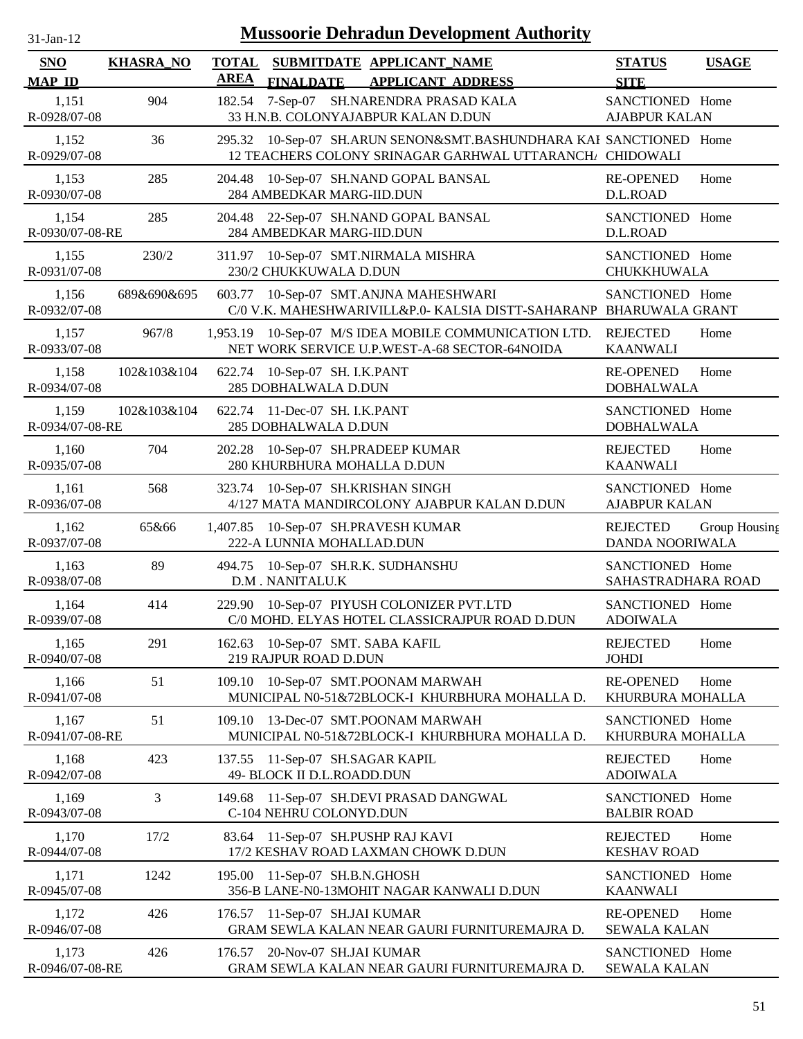| <b>Mussoorie Dehradun Development Authority</b><br>$31-Jan-12$ |                  |                             |                                                           |                                                                                                                                |                                         |               |
|----------------------------------------------------------------|------------------|-----------------------------|-----------------------------------------------------------|--------------------------------------------------------------------------------------------------------------------------------|-----------------------------------------|---------------|
| <b>SNO</b><br><b>MAP ID</b>                                    | <b>KHASRA_NO</b> | <b>TOTAL</b><br><b>AREA</b> | <b>FINALDATE</b>                                          | SUBMITDATE APPLICANT_NAME<br><b>APPLICANT ADDRESS</b>                                                                          | <b>STATUS</b><br><b>SITE</b>            | <b>USAGE</b>  |
| 1,151<br>R-0928/07-08                                          | 904              | 182.54                      |                                                           | 7-Sep-07 SH.NARENDRA PRASAD KALA<br>33 H.N.B. COLONYAJABPUR KALAN D.DUN                                                        | SANCTIONED Home<br><b>AJABPUR KALAN</b> |               |
| 1,152<br>R-0929/07-08                                          | 36               |                             |                                                           | 295.32 10-Sep-07 SH.ARUN SENON&SMT.BASHUNDHARA KAI SANCTIONED Home<br>12 TEACHERS COLONY SRINAGAR GARHWAL UTTARANCH, CHIDOWALI |                                         |               |
| 1,153<br>R-0930/07-08                                          | 285              |                             | 284 AMBEDKAR MARG-IID.DUN                                 | 204.48 10-Sep-07 SH.NAND GOPAL BANSAL                                                                                          | <b>RE-OPENED</b><br>D.L.ROAD            | Home          |
| 1,154<br>R-0930/07-08-RE                                       | 285              | 204.48                      | 284 AMBEDKAR MARG-IID.DUN                                 | 22-Sep-07 SH.NAND GOPAL BANSAL                                                                                                 | SANCTIONED Home<br>D.L.ROAD             |               |
| 1,155<br>R-0931/07-08                                          | 230/2            | 311.97                      | 230/2 CHUKKUWALA D.DUN                                    | 10-Sep-07 SMT.NIRMALA MISHRA                                                                                                   | SANCTIONED Home<br>CHUKKHUWALA          |               |
| 1,156<br>R-0932/07-08                                          | 689&690&695      | 603.77                      |                                                           | 10-Sep-07 SMT.ANJNA MAHESHWARI<br>C/0 V.K. MAHESHWARIVILL&P.0- KALSIA DISTT-SAHARANP BHARUWALA GRANT                           | SANCTIONED Home                         |               |
| 1,157<br>R-0933/07-08                                          | 967/8            |                             |                                                           | 1,953.19 10-Sep-07 M/S IDEA MOBILE COMMUNICATION LTD.<br>NET WORK SERVICE U.P.WEST-A-68 SECTOR-64NOIDA                         | <b>REJECTED</b><br><b>KAANWALI</b>      | Home          |
| 1,158<br>R-0934/07-08                                          | 102&103&104      | 622.74                      | 10-Sep-07 SH. I.K.PANT<br>285 DOBHALWALA D.DUN            |                                                                                                                                | <b>RE-OPENED</b><br><b>DOBHALWALA</b>   | Home          |
| 1,159<br>R-0934/07-08-RE                                       | 102&103&104      |                             | 622.74 11-Dec-07 SH. I.K.PANT<br>285 DOBHALWALA D.DUN     |                                                                                                                                | SANCTIONED Home<br><b>DOBHALWALA</b>    |               |
| 1,160<br>R-0935/07-08                                          | 704              | 202.28                      | 280 KHURBHURA MOHALLA D.DUN                               | 10-Sep-07 SH.PRADEEP KUMAR                                                                                                     | <b>REJECTED</b><br><b>KAANWALI</b>      | Home          |
| 1,161<br>R-0936/07-08                                          | 568              | 323.74                      | 10-Sep-07 SH.KRISHAN SINGH                                | 4/127 MATA MANDIRCOLONY AJABPUR KALAN D.DUN                                                                                    | SANCTIONED Home<br><b>AJABPUR KALAN</b> |               |
| 1,162<br>R-0937/07-08                                          | 65&66            | 1,407.85                    | 222-A LUNNIA MOHALLAD.DUN                                 | 10-Sep-07 SH.PRAVESH KUMAR                                                                                                     | <b>REJECTED</b><br>DANDA NOORIWALA      | Group Housing |
| 1,163<br>R-0938/07-08                                          | 89               | 494.75                      | 10-Sep-07 SH.R.K. SUDHANSHU<br>D.M. NANITALU.K            |                                                                                                                                | SANCTIONED Home<br>SAHASTRADHARA ROAD   |               |
| 1,164<br>R-0939/07-08                                          | 414              |                             |                                                           | 229.90 10-Sep-07 PIYUSH COLONIZER PVT.LTD<br>C/0 MOHD. ELYAS HOTEL CLASSICRAJPUR ROAD D.DUN                                    | SANCTIONED Home<br><b>ADOIWALA</b>      |               |
| 1,165<br>R-0940/07-08                                          | 291              |                             | 162.63 10-Sep-07 SMT. SABA KAFIL<br>219 RAJPUR ROAD D.DUN |                                                                                                                                | <b>REJECTED</b><br><b>JOHDI</b>         | Home          |
| 1,166<br>R-0941/07-08                                          | 51               | 109.10                      |                                                           | 10-Sep-07 SMT.POONAM MARWAH<br>MUNICIPAL N0-51&72BLOCK-I KHURBHURA MOHALLA D.                                                  | <b>RE-OPENED</b><br>KHURBURA MOHALLA    | Home          |
| 1,167<br>R-0941/07-08-RE                                       | 51               | 109.10                      |                                                           | 13-Dec-07 SMT.POONAM MARWAH<br>MUNICIPAL N0-51&72BLOCK-I KHURBHURA MOHALLA D.                                                  | SANCTIONED Home<br>KHURBURA MOHALLA     |               |
| 1,168<br>R-0942/07-08                                          | 423              | 137.55                      | 11-Sep-07 SH.SAGAR KAPIL<br>49- BLOCK II D.L.ROADD.DUN    |                                                                                                                                | <b>REJECTED</b><br><b>ADOIWALA</b>      | Home          |
| 1,169<br>R-0943/07-08                                          | 3                | 149.68                      | C-104 NEHRU COLONYD.DUN                                   | 11-Sep-07 SH.DEVI PRASAD DANGWAL                                                                                               | SANCTIONED Home<br><b>BALBIR ROAD</b>   |               |
| 1,170<br>R-0944/07-08                                          | 17/2             | 83.64                       | 11-Sep-07 SH.PUSHP RAJ KAVI                               | 17/2 KESHAV ROAD LAXMAN CHOWK D.DUN                                                                                            | <b>REJECTED</b><br><b>KESHAV ROAD</b>   | Home          |
| 1,171<br>R-0945/07-08                                          | 1242             | 195.00                      | 11-Sep-07 SH.B.N.GHOSH                                    | 356-B LANE-N0-13MOHIT NAGAR KANWALI D.DUN                                                                                      | SANCTIONED Home<br><b>KAANWALI</b>      |               |
| 1,172<br>R-0946/07-08                                          | 426              |                             | 176.57 11-Sep-07 SH.JAI KUMAR                             | GRAM SEWLA KALAN NEAR GAURI FURNITUREMAJRA D.                                                                                  | <b>RE-OPENED</b><br><b>SEWALA KALAN</b> | Home          |
| 1,173<br>R-0946/07-08-RE                                       | 426              |                             | 176.57 20-Nov-07 SH.JAI KUMAR                             | GRAM SEWLA KALAN NEAR GAURI FURNITUREMAJRA D.                                                                                  | SANCTIONED Home<br><b>SEWALA KALAN</b>  |               |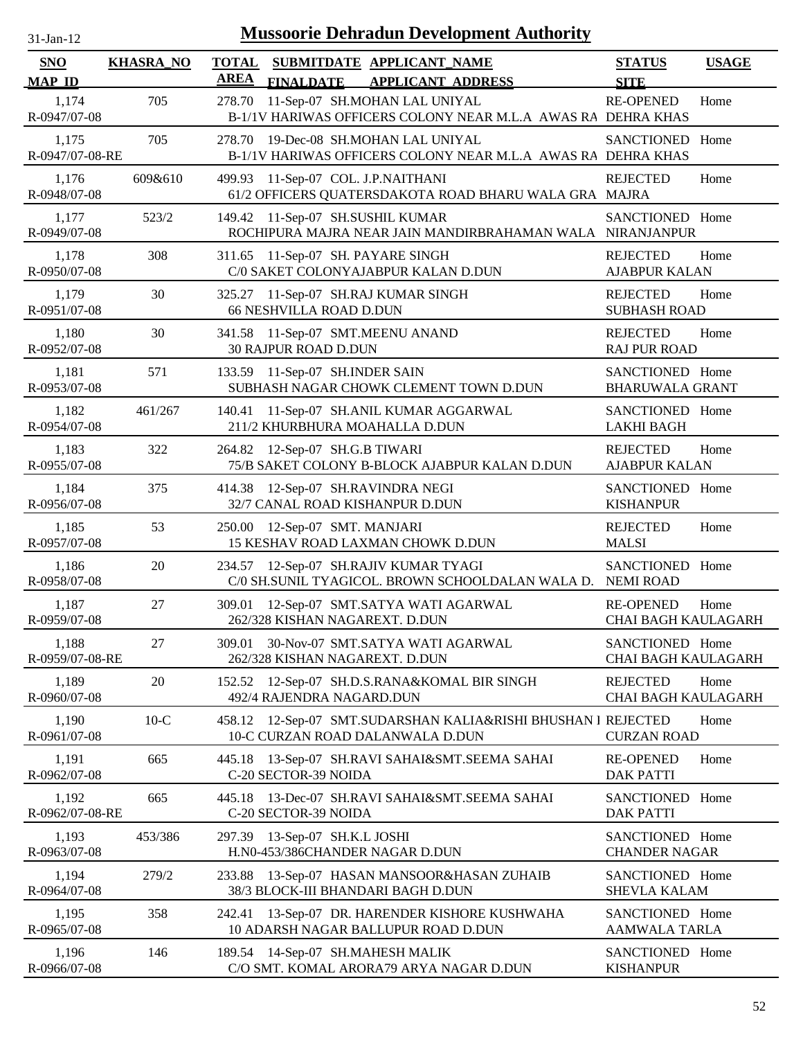| $31-Jan-12$                 |                  |                             |                                                                       | Mussoorie Dehradun Development Authority                                                      |                                                |              |
|-----------------------------|------------------|-----------------------------|-----------------------------------------------------------------------|-----------------------------------------------------------------------------------------------|------------------------------------------------|--------------|
| <b>SNO</b><br><b>MAP ID</b> | <b>KHASRA_NO</b> | <b>TOTAL</b><br><b>AREA</b> | <b>FINALDATE</b>                                                      | SUBMITDATE APPLICANT NAME<br><b>APPLICANT ADDRESS</b>                                         | <b>STATUS</b><br><b>SITE</b>                   | <b>USAGE</b> |
| 1,174<br>R-0947/07-08       | 705              | 278.70                      |                                                                       | 11-Sep-07 SH.MOHAN LAL UNIYAL<br>B-1/1V HARIWAS OFFICERS COLONY NEAR M.L.A AWAS RA DEHRA KHAS | <b>RE-OPENED</b>                               | Home         |
| 1,175<br>R-0947/07-08-RE    | 705              | 278.70                      |                                                                       | 19-Dec-08 SH.MOHAN LAL UNIYAL<br>B-1/1V HARIWAS OFFICERS COLONY NEAR M.L.A AWAS RA DEHRA KHAS | <b>SANCTIONED</b>                              | Home         |
| 1,176<br>R-0948/07-08       | 609&610          | 499.93                      | 11-Sep-07 COL. J.P.NAITHANI                                           | 61/2 OFFICERS QUATERSDAKOTA ROAD BHARU WALA GRA MAJRA                                         | <b>REJECTED</b>                                | Home         |
| 1,177<br>R-0949/07-08       | 523/2            | 149.42                      | 11-Sep-07 SH.SUSHIL KUMAR                                             | ROCHIPURA MAJRA NEAR JAIN MANDIRBRAHAMAN WALA NIRANJANPUR                                     | SANCTIONED Home                                |              |
| 1,178<br>R-0950/07-08       | 308              |                             | 311.65 11-Sep-07 SH. PAYARE SINGH                                     | C/0 SAKET COLONYAJABPUR KALAN D.DUN                                                           | <b>REJECTED</b><br><b>AJABPUR KALAN</b>        | Home         |
| 1,179<br>R-0951/07-08       | 30               |                             | 325.27 11-Sep-07 SH.RAJ KUMAR SINGH<br><b>66 NESHVILLA ROAD D.DUN</b> |                                                                                               | <b>REJECTED</b><br><b>SUBHASH ROAD</b>         | Home         |
| 1,180<br>R-0952/07-08       | 30               |                             | 341.58 11-Sep-07 SMT.MEENU ANAND<br><b>30 RAJPUR ROAD D.DUN</b>       |                                                                                               | <b>REJECTED</b><br><b>RAJ PUR ROAD</b>         | Home         |
| 1,181<br>R-0953/07-08       | 571              |                             | 133.59 11-Sep-07 SH.INDER SAIN                                        | SUBHASH NAGAR CHOWK CLEMENT TOWN D.DUN                                                        | SANCTIONED Home<br><b>BHARUWALA GRANT</b>      |              |
| 1,182<br>R-0954/07-08       | 461/267          | 140.41                      | 211/2 KHURBHURA MOAHALLA D.DUN                                        | 11-Sep-07 SH.ANIL KUMAR AGGARWAL                                                              | SANCTIONED Home<br><b>LAKHI BAGH</b>           |              |
| 1,183<br>R-0955/07-08       | 322              |                             | 264.82 12-Sep-07 SH.G.B TIWARI                                        | 75/B SAKET COLONY B-BLOCK AJABPUR KALAN D.DUN                                                 | <b>REJECTED</b><br><b>AJABPUR KALAN</b>        | Home         |
| 1,184<br>R-0956/07-08       | 375              | 414.38                      | 12-Sep-07 SH.RAVINDRA NEGI<br>32/7 CANAL ROAD KISHANPUR D.DUN         |                                                                                               | SANCTIONED Home<br><b>KISHANPUR</b>            |              |
| 1,185<br>R-0957/07-08       | 53               | 250.00                      | 12-Sep-07 SMT. MANJARI                                                | 15 KESHAV ROAD LAXMAN CHOWK D.DUN                                                             | <b>REJECTED</b><br><b>MALSI</b>                | Home         |
| 1,186<br>R-0958/07-08       | 20               | 234.57                      |                                                                       | 12-Sep-07 SH.RAJIV KUMAR TYAGI<br>C/0 SH.SUNIL TYAGICOL. BROWN SCHOOLDALAN WALA D. NEMI ROAD  | SANCTIONED Home                                |              |
| 1,187<br>R-0959/07-08       | 27               |                             | 262/328 KISHAN NAGAREXT. D.DUN                                        | 309.01 12-Sep-07 SMT.SATYA WATI AGARWAL                                                       | <b>RE-OPENED</b><br><b>CHAI BAGH KAULAGARH</b> | Home         |
| 1,188<br>R-0959/07-08-RE    | 27               | 309.01                      | 262/328 KISHAN NAGAREXT. D.DUN                                        | 30-Nov-07 SMT.SATYA WATI AGARWAL                                                              | SANCTIONED Home<br><b>CHAI BAGH KAULAGARH</b>  |              |
| 1,189<br>R-0960/07-08       | 20               |                             | 492/4 RAJENDRA NAGARD.DUN                                             | 152.52 12-Sep-07 SH.D.S.RANA&KOMAL BIR SINGH                                                  | <b>REJECTED</b><br>CHAI BAGH KAULAGARH         | Home         |
| 1,190<br>R-0961/07-08       | $10-C$           | 458.12                      |                                                                       | 12-Sep-07 SMT.SUDARSHAN KALIA&RISHI BHUSHAN I REJECTED<br>10-C CURZAN ROAD DALANWALA D.DUN    | <b>CURZAN ROAD</b>                             | Home         |
| 1,191<br>R-0962/07-08       | 665              | 445.18                      | C-20 SECTOR-39 NOIDA                                                  | 13-Sep-07 SH.RAVI SAHAI&SMT.SEEMA SAHAI                                                       | <b>RE-OPENED</b><br><b>DAK PATTI</b>           | Home         |
| 1,192<br>R-0962/07-08-RE    | 665              | 445.18                      | C-20 SECTOR-39 NOIDA                                                  | 13-Dec-07 SH.RAVI SAHAI&SMT.SEEMA SAHAI                                                       | SANCTIONED Home<br><b>DAK PATTI</b>            |              |
| 1,193<br>R-0963/07-08       | 453/386          |                             | 297.39 13-Sep-07 SH.K.L JOSHI<br>H.N0-453/386CHANDER NAGAR D.DUN      |                                                                                               | SANCTIONED Home<br><b>CHANDER NAGAR</b>        |              |
| 1,194<br>R-0964/07-08       | 279/2            | 233.88                      |                                                                       | 13-Sep-07 HASAN MANSOOR&HASAN ZUHAIB<br>38/3 BLOCK-III BHANDARI BAGH D.DUN                    | SANCTIONED Home<br><b>SHEVLA KALAM</b>         |              |
| 1,195<br>R-0965/07-08       | 358              | 242.41                      |                                                                       | 13-Sep-07 DR. HARENDER KISHORE KUSHWAHA<br>10 ADARSH NAGAR BALLUPUR ROAD D.DUN                | SANCTIONED Home<br>AAMWALA TARLA               |              |
| 1,196<br>R-0966/07-08       | 146              |                             | 189.54 14-Sep-07 SH.MAHESH MALIK                                      | C/O SMT. KOMAL ARORA79 ARYA NAGAR D.DUN                                                       | SANCTIONED Home<br><b>KISHANPUR</b>            |              |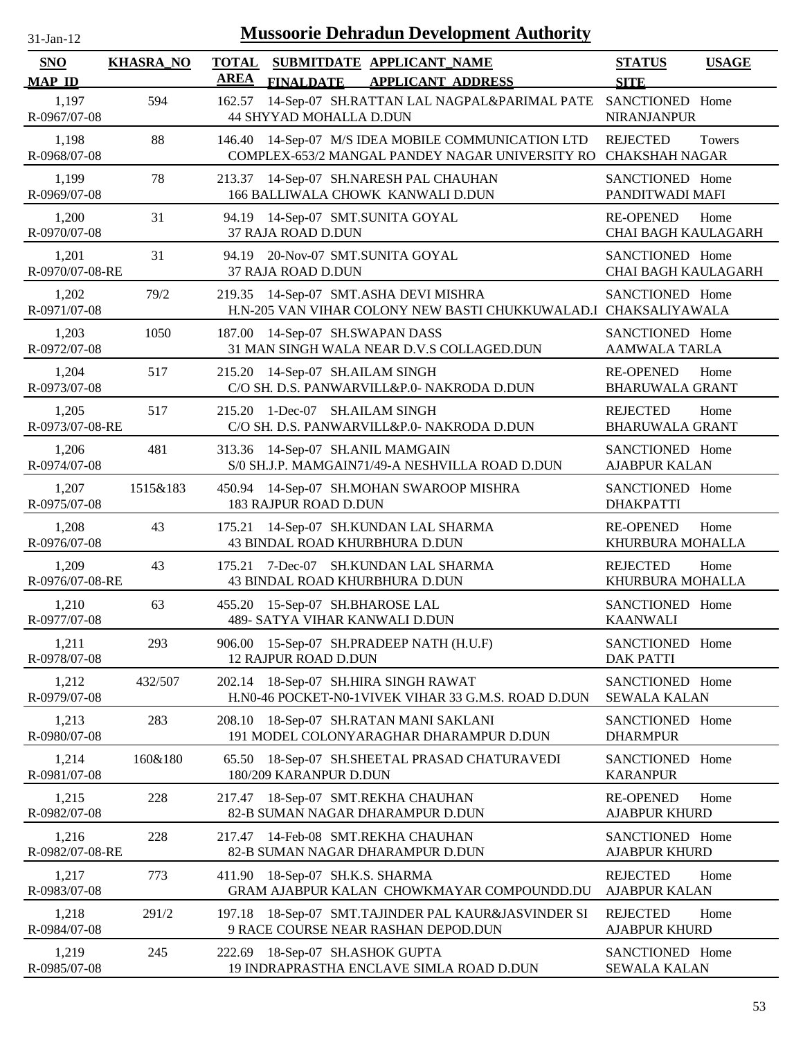| 31-Jan-12                   |                  | <b>Mussoorie Dehradun Development Authority</b>                                                           |                                                |              |
|-----------------------------|------------------|-----------------------------------------------------------------------------------------------------------|------------------------------------------------|--------------|
| <b>SNO</b><br><b>MAP ID</b> | <b>KHASRA_NO</b> | SUBMITDATE APPLICANT NAME<br><b>TOTAL</b><br><b>AREA</b><br><b>FINALDATE</b><br><b>APPLICANT ADDRESS</b>  | <b>STATUS</b><br><b>SITE</b>                   | <b>USAGE</b> |
| 1,197<br>R-0967/07-08       | 594              | 14-Sep-07 SH.RATTAN LAL NAGPAL&PARIMAL PATE<br>162.57<br><b>44 SHYYAD MOHALLA D.DUN</b>                   | SANCTIONED Home<br><b>NIRANJANPUR</b>          |              |
| 1,198<br>R-0968/07-08       | 88               | 14-Sep-07 M/S IDEA MOBILE COMMUNICATION LTD<br>146.40<br>COMPLEX-653/2 MANGAL PANDEY NAGAR UNIVERSITY RO  | <b>REJECTED</b><br><b>CHAKSHAH NAGAR</b>       | Towers       |
| 1,199<br>R-0969/07-08       | 78               | 14-Sep-07 SH.NARESH PAL CHAUHAN<br>213.37<br>166 BALLIWALA CHOWK KANWALI D.DUN                            | SANCTIONED Home<br>PANDITWADI MAFI             |              |
| 1,200<br>R-0970/07-08       | 31               | 14-Sep-07 SMT.SUNITA GOYAL<br>94.19<br>37 RAJA ROAD D.DUN                                                 | <b>RE-OPENED</b><br><b>CHAI BAGH KAULAGARH</b> | Home         |
| 1,201<br>R-0970/07-08-RE    | 31               | 94.19 20-Nov-07 SMT.SUNITA GOYAL<br>37 RAJA ROAD D.DUN                                                    | SANCTIONED Home<br><b>CHAI BAGH KAULAGARH</b>  |              |
| 1,202<br>R-0971/07-08       | 79/2             | 219.35 14-Sep-07 SMT.ASHA DEVI MISHRA<br>H.N-205 VAN VIHAR COLONY NEW BASTI CHUKKUWALAD. I CHAKSALIYAWALA | SANCTIONED Home                                |              |
| 1,203<br>R-0972/07-08       | 1050             | 187.00<br>14-Sep-07 SH.SWAPAN DASS<br>31 MAN SINGH WALA NEAR D.V.S COLLAGED.DUN                           | SANCTIONED Home<br><b>AAMWALA TARLA</b>        |              |
| 1,204<br>R-0973/07-08       | 517              | 215.20 14-Sep-07 SH.AILAM SINGH<br>C/O SH. D.S. PANWARVILL&P.0- NAKRODA D.DUN                             | <b>RE-OPENED</b><br><b>BHARUWALA GRANT</b>     | Home         |
| 1,205<br>R-0973/07-08-RE    | 517              | 215.20 1-Dec-07 SH.AILAM SINGH<br>C/O SH. D.S. PANWARVILL&P.0- NAKRODA D.DUN                              | <b>REJECTED</b><br><b>BHARUWALA GRANT</b>      | Home         |
| 1,206<br>R-0974/07-08       | 481              | 313.36 14-Sep-07 SH.ANIL MAMGAIN<br>S/0 SH.J.P. MAMGAIN71/49-A NESHVILLA ROAD D.DUN                       | SANCTIONED Home<br><b>AJABPUR KALAN</b>        |              |
| 1,207<br>R-0975/07-08       | 1515&183         | 450.94<br>14-Sep-07 SH.MOHAN SWAROOP MISHRA<br>183 RAJPUR ROAD D.DUN                                      | SANCTIONED Home<br><b>DHAKPATTI</b>            |              |
| 1,208<br>R-0976/07-08       | 43               | 14-Sep-07 SH.KUNDAN LAL SHARMA<br>175.21<br>43 BINDAL ROAD KHURBHURA D.DUN                                | <b>RE-OPENED</b><br>KHURBURA MOHALLA           | Home         |
| 1,209<br>R-0976/07-08-RE    | 43               | 7-Dec-07 SH.KUNDAN LAL SHARMA<br>175.21<br>43 BINDAL ROAD KHURBHURA D.DUN                                 | <b>REJECTED</b><br>KHURBURA MOHALLA            | Home         |
| 1,210<br>R-0977/07-08       | 63               | 455.20 15-Sep-07 SH.BHAROSE LAL<br>489- SATYA VIHAR KANWALI D.DUN                                         | SANCTIONED Home<br><b>KAANWALI</b>             |              |
| 1,211<br>R-0978/07-08       | 293              | 15-Sep-07 SH.PRADEEP NATH (H.U.F)<br>906.00<br><b>12 RAJPUR ROAD D.DUN</b>                                | SANCTIONED Home<br><b>DAK PATTI</b>            |              |
| 1,212<br>R-0979/07-08       | 432/507          | 18-Sep-07 SH.HIRA SINGH RAWAT<br>202.14<br>H.N0-46 POCKET-N0-1VIVEK VIHAR 33 G.M.S. ROAD D.DUN            | SANCTIONED Home<br><b>SEWALA KALAN</b>         |              |
| 1,213<br>R-0980/07-08       | 283              | 208.10<br>18-Sep-07 SH.RATAN MANI SAKLANI<br>191 MODEL COLONYARAGHAR DHARAMPUR D.DUN                      | SANCTIONED Home<br><b>DHARMPUR</b>             |              |
| 1,214<br>R-0981/07-08       | 160&180          | 18-Sep-07 SH.SHEETAL PRASAD CHATURAVEDI<br>65.50<br>180/209 KARANPUR D.DUN                                | SANCTIONED Home<br><b>KARANPUR</b>             |              |
| 1,215<br>R-0982/07-08       | 228              | 18-Sep-07 SMT.REKHA CHAUHAN<br>217.47<br>82-B SUMAN NAGAR DHARAMPUR D.DUN                                 | <b>RE-OPENED</b><br><b>AJABPUR KHURD</b>       | Home         |
| 1,216<br>R-0982/07-08-RE    | 228              | 14-Feb-08 SMT.REKHA CHAUHAN<br>217.47<br>82-B SUMAN NAGAR DHARAMPUR D.DUN                                 | SANCTIONED Home<br><b>AJABPUR KHURD</b>        |              |
| 1,217<br>R-0983/07-08       | 773              | 411.90 18-Sep-07 SH.K.S. SHARMA<br>GRAM AJABPUR KALAN CHOWKMAYAR COMPOUNDD.DU                             | <b>REJECTED</b><br><b>AJABPUR KALAN</b>        | Home         |
| 1,218<br>R-0984/07-08       | 291/2            | 197.18 18-Sep-07 SMT.TAJINDER PAL KAUR&JASVINDER SI<br>9 RACE COURSE NEAR RASHAN DEPOD.DUN                | <b>REJECTED</b><br><b>AJABPUR KHURD</b>        | Home         |
| 1,219<br>R-0985/07-08       | 245              | 222.69 18-Sep-07 SH.ASHOK GUPTA<br>19 INDRAPRASTHA ENCLAVE SIMLA ROAD D.DUN                               | SANCTIONED Home<br><b>SEWALA KALAN</b>         |              |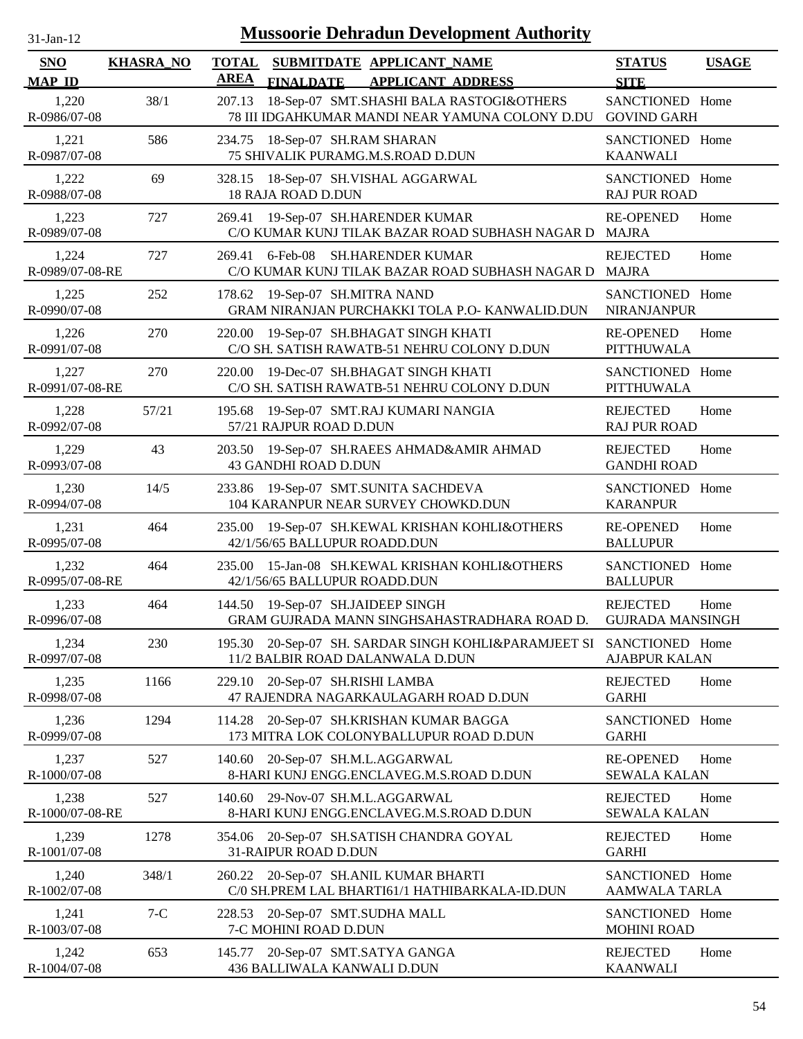| $31-Jan-12$                 |                  |                             | <b>Mussoorie Dehradun Development Authority</b>                                             |                                            |              |
|-----------------------------|------------------|-----------------------------|---------------------------------------------------------------------------------------------|--------------------------------------------|--------------|
| <b>SNO</b><br><b>MAP ID</b> | <b>KHASRA_NO</b> | <b>TOTAL</b><br><b>AREA</b> | SUBMITDATE APPLICANT NAME<br><b>FINALDATE</b><br><b>APPLICANT ADDRESS</b>                   | <b>STATUS</b><br><b>SITE</b>               | <b>USAGE</b> |
| 1,220<br>R-0986/07-08       | 38/1             | 207.13                      | 18-Sep-07 SMT.SHASHI BALA RASTOGI&OTHERS<br>78 III IDGAHKUMAR MANDI NEAR YAMUNA COLONY D.DU | SANCTIONED Home<br><b>GOVIND GARH</b>      |              |
| 1,221<br>R-0987/07-08       | 586              | 234.75                      | 18-Sep-07 SH.RAM SHARAN<br>75 SHIVALIK PURAMG.M.S.ROAD D.DUN                                | SANCTIONED Home<br><b>KAANWALI</b>         |              |
| 1,222<br>R-0988/07-08       | 69               | 328.15                      | 18-Sep-07 SH.VISHAL AGGARWAL<br><b>18 RAJA ROAD D.DUN</b>                                   | SANCTIONED Home<br><b>RAJ PUR ROAD</b>     |              |
| 1,223<br>R-0989/07-08       | 727              | 269.41                      | 19-Sep-07 SH.HARENDER KUMAR<br>C/O KUMAR KUNJ TILAK BAZAR ROAD SUBHASH NAGAR D              | <b>RE-OPENED</b><br><b>MAJRA</b>           | Home         |
| 1,224<br>R-0989/07-08-RE    | 727              | 269.41                      | 6-Feb-08<br>SH.HARENDER KUMAR<br>C/O KUMAR KUNJ TILAK BAZAR ROAD SUBHASH NAGAR D            | <b>REJECTED</b><br><b>MAJRA</b>            | Home         |
| 1,225<br>R-0990/07-08       | 252              |                             | 178.62 19-Sep-07 SH.MITRA NAND<br>GRAM NIRANJAN PURCHAKKI TOLA P.O- KANWALID.DUN            | SANCTIONED Home<br><b>NIRANJANPUR</b>      |              |
| 1,226<br>R-0991/07-08       | 270              |                             | 220.00 19-Sep-07 SH.BHAGAT SINGH KHATI<br>C/O SH. SATISH RAWATB-51 NEHRU COLONY D.DUN       | <b>RE-OPENED</b><br>PITTHUWALA             | Home         |
| 1,227<br>R-0991/07-08-RE    | 270              |                             | 220.00 19-Dec-07 SH.BHAGAT SINGH KHATI<br>C/O SH. SATISH RAWATB-51 NEHRU COLONY D.DUN       | SANCTIONED Home<br><b>PITTHUWALA</b>       |              |
| 1,228<br>R-0992/07-08       | 57/21            | 195.68                      | 19-Sep-07 SMT.RAJ KUMARI NANGIA<br>57/21 RAJPUR ROAD D.DUN                                  | <b>REJECTED</b><br><b>RAJ PUR ROAD</b>     | Home         |
| 1,229<br>R-0993/07-08       | 43               |                             | 203.50 19-Sep-07 SH.RAEES AHMAD&AMIR AHMAD<br>43 GANDHI ROAD D.DUN                          | <b>REJECTED</b><br><b>GANDHI ROAD</b>      | Home         |
| 1,230<br>R-0994/07-08       | 14/5             | 233.86                      | 19-Sep-07 SMT.SUNITA SACHDEVA<br>104 KARANPUR NEAR SURVEY CHOWKD.DUN                        | SANCTIONED Home<br><b>KARANPUR</b>         |              |
| 1,231<br>R-0995/07-08       | 464              | 235.00                      | 19-Sep-07 SH.KEWAL KRISHAN KOHLI&OTHERS<br>42/1/56/65 BALLUPUR ROADD.DUN                    | <b>RE-OPENED</b><br><b>BALLUPUR</b>        | Home         |
| 1,232<br>R-0995/07-08-RE    | 464              | 235.00                      | 15-Jan-08 SH.KEWAL KRISHAN KOHLI&OTHERS<br>42/1/56/65 BALLUPUR ROADD.DUN                    | SANCTIONED Home<br><b>BALLUPUR</b>         |              |
| 1,233<br>R-0996/07-08       | 464              |                             | 144.50 19-Sep-07 SH.JAIDEEP SINGH<br>GRAM GUJRADA MANN SINGHSAHASTRADHARA ROAD D.           | <b>REJECTED</b><br><b>GUJRADA MANSINGH</b> | Home         |
| 1,234<br>R-0997/07-08       | 230              | 195.30                      | 20-Sep-07 SH. SARDAR SINGH KOHLI&PARAMJEET SI<br>11/2 BALBIR ROAD DALANWALA D.DUN           | SANCTIONED Home<br><b>AJABPUR KALAN</b>    |              |
| 1,235<br>R-0998/07-08       | 1166             |                             | 229.10 20-Sep-07 SH.RISHI LAMBA<br>47 RAJENDRA NAGARKAULAGARH ROAD D.DUN                    | <b>REJECTED</b><br><b>GARHI</b>            | Home         |
| 1,236<br>R-0999/07-08       | 1294             | 114.28                      | 20-Sep-07 SH.KRISHAN KUMAR BAGGA<br>173 MITRA LOK COLONYBALLUPUR ROAD D.DUN                 | SANCTIONED Home<br><b>GARHI</b>            |              |
| 1,237<br>R-1000/07-08       | 527              | 140.60                      | 20-Sep-07 SH.M.L.AGGARWAL<br>8-HARI KUNJ ENGG.ENCLAVEG.M.S.ROAD D.DUN                       | <b>RE-OPENED</b><br><b>SEWALA KALAN</b>    | Home         |
| 1,238<br>R-1000/07-08-RE    | 527              | 140.60                      | 29-Nov-07 SH.M.L.AGGARWAL<br>8-HARI KUNJ ENGG.ENCLAVEG.M.S.ROAD D.DUN                       | <b>REJECTED</b><br>SEWALA KALAN            | Home         |
| 1,239<br>R-1001/07-08       | 1278             |                             | 354.06 20-Sep-07 SH.SATISH CHANDRA GOYAL<br>31-RAIPUR ROAD D.DUN                            | <b>REJECTED</b><br><b>GARHI</b>            | Home         |
| 1,240<br>R-1002/07-08       | 348/1            |                             | 260.22 20-Sep-07 SH.ANIL KUMAR BHARTI<br>C/0 SH.PREM LAL BHARTI61/1 HATHIBARKALA-ID.DUN     | SANCTIONED Home<br><b>AAMWALA TARLA</b>    |              |
| 1,241<br>R-1003/07-08       | $7-C$            | 228.53                      | 20-Sep-07 SMT.SUDHA MALL<br>7-C MOHINI ROAD D.DUN                                           | SANCTIONED Home<br><b>MOHINI ROAD</b>      |              |
| 1,242<br>R-1004/07-08       | 653              | 145.77                      | 20-Sep-07 SMT.SATYA GANGA<br>436 BALLIWALA KANWALI D.DUN                                    | <b>REJECTED</b><br><b>KAANWALI</b>         | Home         |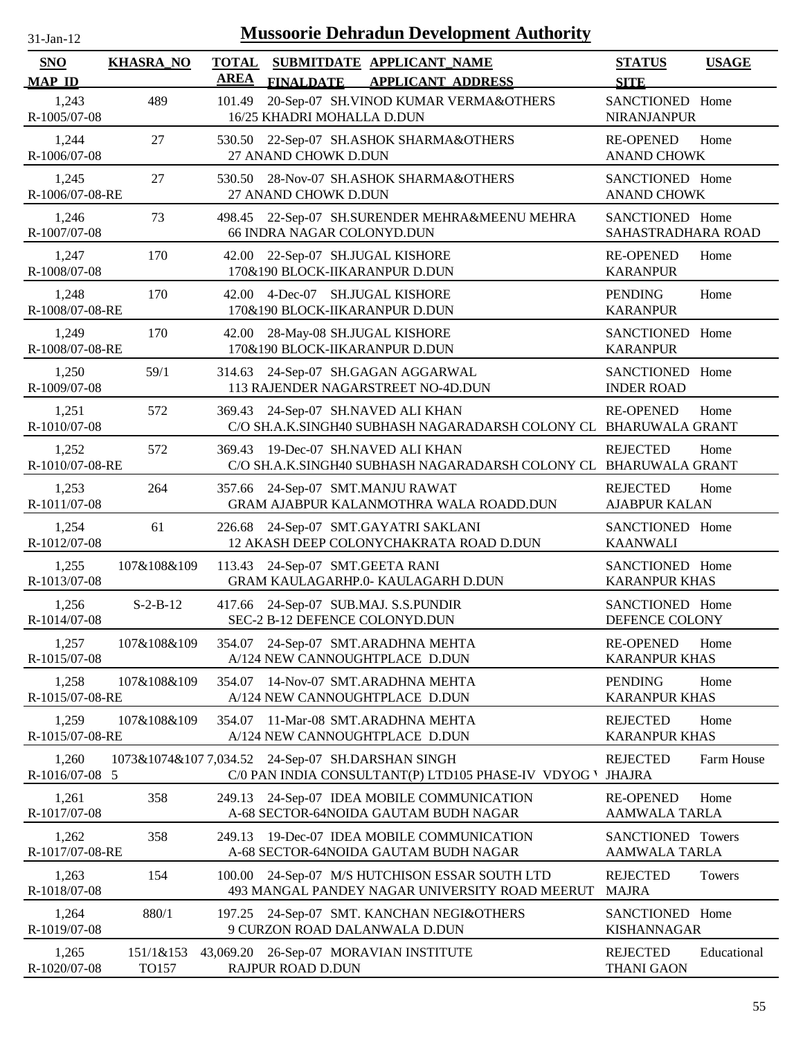| $31$ -Jan-12                |                    |                             | <b>Mussoorie Dehradun Development Authority</b>                                                          |                                           |              |
|-----------------------------|--------------------|-----------------------------|----------------------------------------------------------------------------------------------------------|-------------------------------------------|--------------|
| <b>SNO</b><br><b>MAP ID</b> | <b>KHASRA_NO</b>   | <b>TOTAL</b><br><b>AREA</b> | SUBMITDATE APPLICANT NAME<br><b>FINALDATE</b><br><b>APPLICANT ADDRESS</b>                                | <b>STATUS</b><br><b>SITE</b>              | <b>USAGE</b> |
| 1,243<br>R-1005/07-08       | 489                | 101.49                      | 20-Sep-07 SH.VINOD KUMAR VERMA&OTHERS<br>16/25 KHADRI MOHALLA D.DUN                                      | SANCTIONED Home<br><b>NIRANJANPUR</b>     |              |
| 1,244<br>R-1006/07-08       | 27                 | 530.50                      | 22-Sep-07 SH.ASHOK SHARMA&OTHERS<br>27 ANAND CHOWK D.DUN                                                 | <b>RE-OPENED</b><br><b>ANAND CHOWK</b>    | Home         |
| 1,245<br>R-1006/07-08-RE    | 27                 |                             | 530.50 28-Nov-07 SH.ASHOK SHARMA&OTHERS<br>27 ANAND CHOWK D.DUN                                          | SANCTIONED Home<br><b>ANAND CHOWK</b>     |              |
| 1,246<br>R-1007/07-08       | 73                 | 498.45                      | 22-Sep-07 SH.SURENDER MEHRA&MEENU MEHRA<br>66 INDRA NAGAR COLONYD.DUN                                    | SANCTIONED Home<br>SAHASTRADHARA ROAD     |              |
| 1,247<br>R-1008/07-08       | 170                | 42.00                       | 22-Sep-07 SH.JUGAL KISHORE<br>170&190 BLOCK-IIKARANPUR D.DUN                                             | <b>RE-OPENED</b><br><b>KARANPUR</b>       | Home         |
| 1,248<br>R-1008/07-08-RE    | 170                | 42.00                       | 4-Dec-07 SH.JUGAL KISHORE<br>170&190 BLOCK-IIKARANPUR D.DUN                                              | <b>PENDING</b><br><b>KARANPUR</b>         | Home         |
| 1,249<br>R-1008/07-08-RE    | 170                | 42.00                       | 28-May-08 SH.JUGAL KISHORE<br>170&190 BLOCK-IIKARANPUR D.DUN                                             | SANCTIONED Home<br><b>KARANPUR</b>        |              |
| 1,250<br>R-1009/07-08       | 59/1               |                             | 314.63 24-Sep-07 SH.GAGAN AGGARWAL<br>113 RAJENDER NAGARSTREET NO-4D.DUN                                 | SANCTIONED Home<br><b>INDER ROAD</b>      |              |
| 1,251<br>R-1010/07-08       | 572                |                             | 369.43 24-Sep-07 SH.NAVED ALI KHAN<br>C/O SH.A.K.SINGH40 SUBHASH NAGARADARSH COLONY CL BHARUWALA GRANT   | <b>RE-OPENED</b>                          | Home         |
| 1,252<br>R-1010/07-08-RE    | 572                | 369.43                      | 19-Dec-07 SH.NAVED ALI KHAN<br>C/O SH.A.K.SINGH40 SUBHASH NAGARADARSH COLONY CL BHARUWALA GRANT          | <b>REJECTED</b>                           | Home         |
| 1,253<br>R-1011/07-08       | 264                |                             | 357.66 24-Sep-07 SMT.MANJU RAWAT<br>GRAM AJABPUR KALANMOTHRA WALA ROADD.DUN                              | <b>REJECTED</b><br><b>AJABPUR KALAN</b>   | Home         |
| 1,254<br>R-1012/07-08       | 61                 |                             | 226.68 24-Sep-07 SMT.GAYATRI SAKLANI<br>12 AKASH DEEP COLONYCHAKRATA ROAD D.DUN                          | SANCTIONED Home<br><b>KAANWALI</b>        |              |
| 1,255<br>R-1013/07-08       | 107&108&109        | 113.43                      | 24-Sep-07 SMT.GEETA RANI<br>GRAM KAULAGARHP.0- KAULAGARH D.DUN                                           | SANCTIONED Home<br><b>KARANPUR KHAS</b>   |              |
| 1,256<br>R-1014/07-08       | $S-2-B-12$         |                             | 417.66 24-Sep-07 SUB.MAJ. S.S.PUNDIR<br>SEC-2 B-12 DEFENCE COLONYD.DUN                                   | SANCTIONED Home<br>DEFENCE COLONY         |              |
| 1,257<br>R-1015/07-08       | 107&108&109        | 354.07                      | 24-Sep-07 SMT.ARADHNA MEHTA<br>A/124 NEW CANNOUGHTPLACE D.DUN                                            | <b>RE-OPENED</b><br><b>KARANPUR KHAS</b>  | Home         |
| 1,258<br>R-1015/07-08-RE    | 107&108&109        | 354.07                      | 14-Nov-07 SMT.ARADHNA MEHTA<br>A/124 NEW CANNOUGHTPLACE D.DUN                                            | <b>PENDING</b><br><b>KARANPUR KHAS</b>    | Home         |
| 1,259<br>R-1015/07-08-RE    | 107&108&109        | 354.07                      | 11-Mar-08 SMT.ARADHNA MEHTA<br>A/124 NEW CANNOUGHTPLACE D.DUN                                            | <b>REJECTED</b><br><b>KARANPUR KHAS</b>   | Home         |
| 1,260<br>R-1016/07-08 5     |                    |                             | 1073&1074&107 7,034.52 24-Sep-07 SH.DARSHAN SINGH<br>C/0 PAN INDIA CONSULTANT(P) LTD105 PHASE-IV VDYOG V | <b>REJECTED</b><br><b>JHAJRA</b>          | Farm House   |
| 1,261<br>R-1017/07-08       | 358                | 249.13                      | 24-Sep-07 IDEA MOBILE COMMUNICATION<br>A-68 SECTOR-64NOIDA GAUTAM BUDH NAGAR                             | <b>RE-OPENED</b><br><b>AAMWALA TARLA</b>  | Home         |
| 1,262<br>R-1017/07-08-RE    | 358                | 249.13                      | 19-Dec-07 IDEA MOBILE COMMUNICATION<br>A-68 SECTOR-64NOIDA GAUTAM BUDH NAGAR                             | SANCTIONED Towers<br><b>AAMWALA TARLA</b> |              |
| 1,263<br>R-1018/07-08       | 154                |                             | 100.00 24-Sep-07 M/S HUTCHISON ESSAR SOUTH LTD<br>493 MANGAL PANDEY NAGAR UNIVERSITY ROAD MEERUT         | <b>REJECTED</b><br><b>MAJRA</b>           | Towers       |
| 1,264<br>R-1019/07-08       | 880/1              |                             | 197.25 24-Sep-07 SMT. KANCHAN NEGI&OTHERS<br>9 CURZON ROAD DALANWALA D.DUN                               | SANCTIONED Home<br><b>KISHANNAGAR</b>     |              |
| 1,265<br>R-1020/07-08       | 151/1&153<br>TO157 |                             | 43,069.20 26-Sep-07 MORAVIAN INSTITUTE<br>RAJPUR ROAD D.DUN                                              | <b>REJECTED</b><br><b>THANI GAON</b>      | Educational  |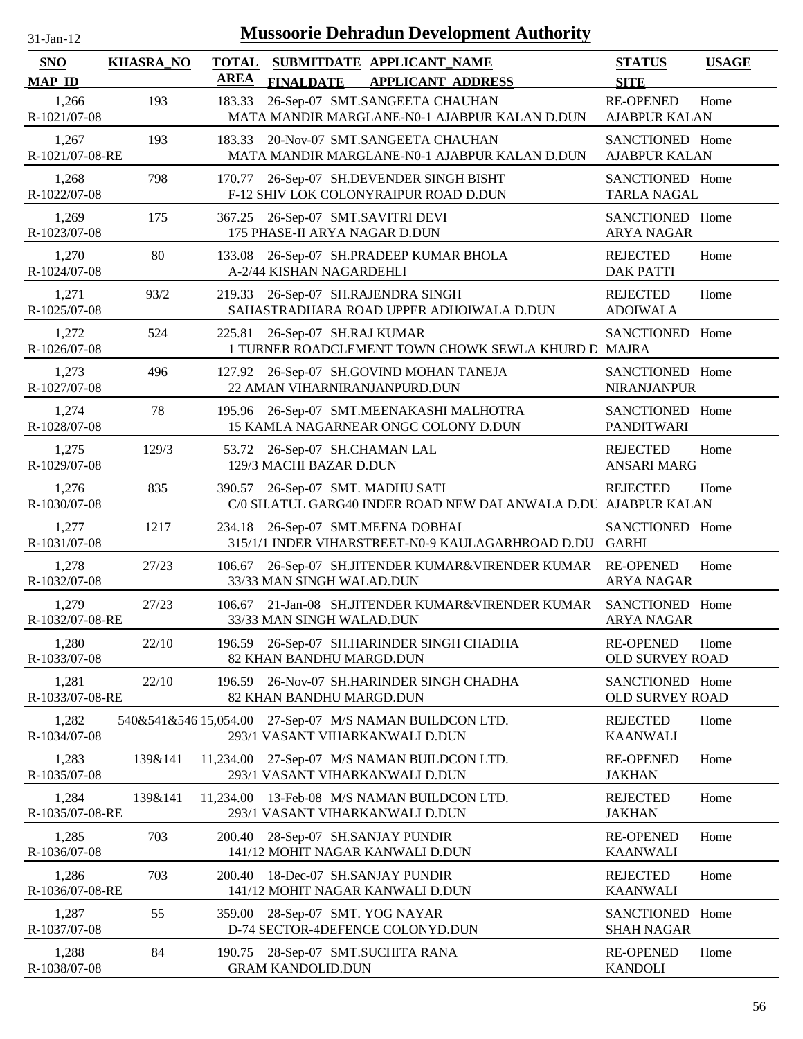| <b>Mussoorie Dehradun Development Authority</b><br>31-Jan-12 |                  |                             |                                                                       |                                                                                  |                                          |              |
|--------------------------------------------------------------|------------------|-----------------------------|-----------------------------------------------------------------------|----------------------------------------------------------------------------------|------------------------------------------|--------------|
| <b>SNO</b><br><b>MAP ID</b>                                  | <b>KHASRA_NO</b> | <b>TOTAL</b><br><b>AREA</b> | <b>FINALDATE</b>                                                      | SUBMITDATE APPLICANT NAME<br><b>APPLICANT ADDRESS</b>                            | <b>STATUS</b><br><b>SITE</b>             | <b>USAGE</b> |
| 1,266<br>R-1021/07-08                                        | 193              | 183.33                      |                                                                       | 26-Sep-07 SMT.SANGEETA CHAUHAN<br>MATA MANDIR MARGLANE-N0-1 AJABPUR KALAN D.DUN  | <b>RE-OPENED</b><br><b>AJABPUR KALAN</b> | Home         |
| 1,267<br>R-1021/07-08-RE                                     | 193              | 183.33                      |                                                                       | 20-Nov-07 SMT.SANGEETA CHAUHAN<br>MATA MANDIR MARGLANE-N0-1 AJABPUR KALAN D.DUN  | SANCTIONED Home<br><b>AJABPUR KALAN</b>  |              |
| 1,268<br>R-1022/07-08                                        | 798              | 170.77                      |                                                                       | 26-Sep-07 SH.DEVENDER SINGH BISHT<br>F-12 SHIV LOK COLONYRAIPUR ROAD D.DUN       | SANCTIONED Home<br><b>TARLA NAGAL</b>    |              |
| 1,269<br>R-1023/07-08                                        | 175              | 367.25                      | 26-Sep-07 SMT.SAVITRI DEVI<br>175 PHASE-II ARYA NAGAR D.DUN           |                                                                                  | SANCTIONED Home<br><b>ARYA NAGAR</b>     |              |
| 1,270<br>R-1024/07-08                                        | 80               | 133.08                      | A-2/44 KISHAN NAGARDEHLI                                              | 26-Sep-07 SH.PRADEEP KUMAR BHOLA                                                 | <b>REJECTED</b><br><b>DAK PATTI</b>      | Home         |
| 1,271<br>R-1025/07-08                                        | 93/2             | 219.33                      | 26-Sep-07 SH.RAJENDRA SINGH                                           | SAHASTRADHARA ROAD UPPER ADHOIWALA D.DUN                                         | <b>REJECTED</b><br><b>ADOIWALA</b>       | Home         |
| 1,272<br>R-1026/07-08                                        | 524              | 225.81                      | 26-Sep-07 SH.RAJ KUMAR                                                | 1 TURNER ROADCLEMENT TOWN CHOWK SEWLA KHURD C MAJRA                              | SANCTIONED Home                          |              |
| 1,273<br>R-1027/07-08                                        | 496              |                             | 22 AMAN VIHARNIRANJANPURD.DUN                                         | 127.92 26-Sep-07 SH.GOVIND MOHAN TANEJA                                          | SANCTIONED Home<br><b>NIRANJANPUR</b>    |              |
| 1,274<br>R-1028/07-08                                        | 78               |                             |                                                                       | 195.96 26-Sep-07 SMT.MEENAKASHI MALHOTRA<br>15 KAMLA NAGARNEAR ONGC COLONY D.DUN | SANCTIONED Home<br><b>PANDITWARI</b>     |              |
| 1,275<br>R-1029/07-08                                        | 129/3            |                             | 53.72 26-Sep-07 SH.CHAMAN LAL<br>129/3 MACHI BAZAR D.DUN              |                                                                                  | <b>REJECTED</b><br><b>ANSARI MARG</b>    | Home         |
| 1,276<br>R-1030/07-08                                        | 835              | 390.57                      | 26-Sep-07 SMT. MADHU SATI                                             | C/0 SH.ATUL GARG40 INDER ROAD NEW DALANWALA D.DU AJABPUR KALAN                   | <b>REJECTED</b>                          | Home         |
| 1,277<br>R-1031/07-08                                        | 1217             | 234.18                      | 26-Sep-07 SMT.MEENA DOBHAL                                            | 315/1/1 INDER VIHARSTREET-N0-9 KAULAGARHROAD D.DU                                | SANCTIONED Home<br><b>GARHI</b>          |              |
| 1,278<br>R-1032/07-08                                        | 27/23            | 106.67                      | 33/33 MAN SINGH WALAD.DUN                                             | 26-Sep-07 SH.JITENDER KUMAR&VIRENDER KUMAR                                       | <b>RE-OPENED</b><br><b>ARYA NAGAR</b>    | Home         |
| 1,279<br>R-1032/07-08-RE                                     | 27/23            |                             | 33/33 MAN SINGH WALAD.DUN                                             | 106.67 21-Jan-08 SH.JITENDER KUMAR&VIRENDER KUMAR                                | SANCTIONED Home<br><b>ARYA NAGAR</b>     |              |
| 1,280<br>R-1033/07-08                                        | 22/10            |                             | 82 KHAN BANDHU MARGD.DUN                                              | 196.59 26-Sep-07 SH.HARINDER SINGH CHADHA                                        | <b>RE-OPENED</b><br>OLD SURVEY ROAD      | Home         |
| 1,281<br>R-1033/07-08-RE                                     | 22/10            |                             | 82 KHAN BANDHU MARGD.DUN                                              | 196.59 26-Nov-07 SH.HARINDER SINGH CHADHA                                        | SANCTIONED Home<br>OLD SURVEY ROAD       |              |
| 1,282<br>R-1034/07-08                                        |                  |                             | 293/1 VASANT VIHARKANWALI D.DUN                                       | 540&541&546 15,054.00 27-Sep-07 M/S NAMAN BUILDCON LTD.                          | <b>REJECTED</b><br><b>KAANWALI</b>       | Home         |
| 1,283<br>R-1035/07-08                                        | 139&141          |                             | 293/1 VASANT VIHARKANWALI D.DUN                                       | 11,234.00 27-Sep-07 M/S NAMAN BUILDCON LTD.                                      | <b>RE-OPENED</b><br><b>JAKHAN</b>        | Home         |
| 1,284<br>R-1035/07-08-RE                                     | 139&141          | 11,234.00                   | 293/1 VASANT VIHARKANWALI D.DUN                                       | 13-Feb-08 M/S NAMAN BUILDCON LTD.                                                | <b>REJECTED</b><br><b>JAKHAN</b>         | Home         |
| 1,285<br>R-1036/07-08                                        | 703              |                             | 200.40 28-Sep-07 SH.SANJAY PUNDIR<br>141/12 MOHIT NAGAR KANWALI D.DUN |                                                                                  | <b>RE-OPENED</b><br><b>KAANWALI</b>      | Home         |
| 1,286<br>R-1036/07-08-RE                                     | 703              | 200.40                      | 18-Dec-07 SH.SANJAY PUNDIR<br>141/12 MOHIT NAGAR KANWALI D.DUN        |                                                                                  | <b>REJECTED</b><br><b>KAANWALI</b>       | Home         |
| 1,287<br>R-1037/07-08                                        | 55               |                             | 359.00 28-Sep-07 SMT. YOG NAYAR                                       | D-74 SECTOR-4DEFENCE COLONYD.DUN                                                 | SANCTIONED Home<br><b>SHAH NAGAR</b>     |              |
| 1,288<br>R-1038/07-08                                        | 84               |                             | 190.75 28-Sep-07 SMT.SUCHITA RANA<br><b>GRAM KANDOLID.DUN</b>         |                                                                                  | <b>RE-OPENED</b><br><b>KANDOLI</b>       | Home         |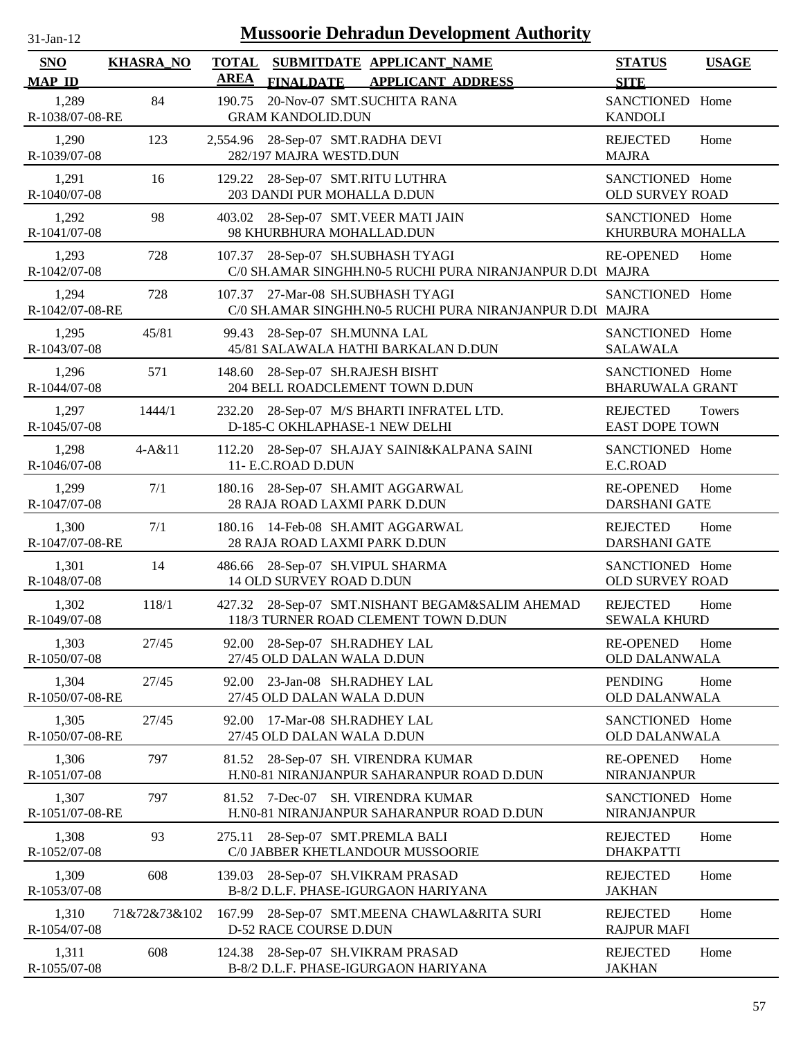| -jan |  |
|------|--|
|      |  |

| <b>SNO</b><br><b>MAP ID</b> | <b>KHASRA_NO</b> | <b>TOTAL</b><br><b>AREA</b> | <b>FINALDATE</b>                                                   | SUBMITDATE APPLICANT_NAME<br><b>APPLICANT ADDRESS</b>                            | <b>STATUS</b><br><b>SITE</b>              | <b>USAGE</b> |
|-----------------------------|------------------|-----------------------------|--------------------------------------------------------------------|----------------------------------------------------------------------------------|-------------------------------------------|--------------|
| 1,289<br>R-1038/07-08-RE    | 84               | 190.75                      | 20-Nov-07 SMT.SUCHITA RANA<br><b>GRAM KANDOLID.DUN</b>             |                                                                                  | <b>SANCTIONED</b><br><b>KANDOLI</b>       | Home         |
| 1,290<br>R-1039/07-08       | 123              |                             | 2,554.96 28-Sep-07 SMT.RADHA DEVI<br>282/197 MAJRA WESTD.DUN       |                                                                                  | <b>REJECTED</b><br><b>MAJRA</b>           | Home         |
| 1,291<br>R-1040/07-08       | 16               |                             | 129.22 28-Sep-07 SMT.RITU LUTHRA<br>203 DANDI PUR MOHALLA D.DUN    |                                                                                  | SANCTIONED Home<br><b>OLD SURVEY ROAD</b> |              |
| 1,292<br>R-1041/07-08       | 98               |                             | 403.02 28-Sep-07 SMT.VEER MATI JAIN<br>98 KHURBHURA MOHALLAD.DUN   |                                                                                  | SANCTIONED Home<br>KHURBURA MOHALLA       |              |
| 1,293<br>R-1042/07-08       | 728              |                             | 107.37 28-Sep-07 SH.SUBHASH TYAGI                                  | C/0 SH.AMAR SINGHH.N0-5 RUCHI PURA NIRANJANPUR D.DI MAJRA                        | <b>RE-OPENED</b>                          | Home         |
| 1,294<br>R-1042/07-08-RE    | 728              |                             | 107.37 27-Mar-08 SH.SUBHASH TYAGI                                  | C/0 SH.AMAR SINGHH.N0-5 RUCHI PURA NIRANJANPUR D.DI MAJRA                        | SANCTIONED Home                           |              |
| 1,295<br>R-1043/07-08       | 45/81            |                             | 99.43 28-Sep-07 SH.MUNNA LAL                                       | 45/81 SALAWALA HATHI BARKALAN D.DUN                                              | SANCTIONED Home<br><b>SALAWALA</b>        |              |
| 1,296<br>R-1044/07-08       | 571              |                             | 148.60 28-Sep-07 SH.RAJESH BISHT                                   | 204 BELL ROADCLEMENT TOWN D.DUN                                                  | SANCTIONED Home<br><b>BHARUWALA GRANT</b> |              |
| 1,297<br>R-1045/07-08       | 1444/1           |                             | D-185-C OKHLAPHASE-1 NEW DELHI                                     | 232.20 28-Sep-07 M/S BHARTI INFRATEL LTD.                                        | <b>REJECTED</b><br><b>EAST DOPE TOWN</b>  | Towers       |
| 1,298<br>R-1046/07-08       | 4-A&11           |                             | 11- E.C.ROAD D.DUN                                                 | 112.20 28-Sep-07 SH.AJAY SAINI&KALPANA SAINI                                     | SANCTIONED Home<br>E.C.ROAD               |              |
| 1,299<br>R-1047/07-08       | 7/1              |                             | 180.16 28-Sep-07 SH.AMIT AGGARWAL<br>28 RAJA ROAD LAXMI PARK D.DUN |                                                                                  | <b>RE-OPENED</b><br><b>DARSHANI GATE</b>  | Home         |
| 1,300<br>R-1047/07-08-RE    | 7/1              |                             | 180.16 14-Feb-08 SH.AMIT AGGARWAL<br>28 RAJA ROAD LAXMI PARK D.DUN |                                                                                  | <b>REJECTED</b><br><b>DARSHANI GATE</b>   | Home         |
| 1,301<br>R-1048/07-08       | 14               |                             | 486.66 28-Sep-07 SH.VIPUL SHARMA<br>14 OLD SURVEY ROAD D.DUN       |                                                                                  | SANCTIONED Home<br>OLD SURVEY ROAD        |              |
| 1,302<br>R-1049/07-08       | 118/1            | 427.32                      |                                                                    | 28-Sep-07 SMT.NISHANT BEGAM&SALIM AHEMAD<br>118/3 TURNER ROAD CLEMENT TOWN D.DUN | <b>REJECTED</b><br><b>SEWALA KHURD</b>    | Home         |
| 1,303<br>R-1050/07-08       | 27/45            |                             | 92.00 28-Sep-07 SH.RADHEY LAL<br>27/45 OLD DALAN WALA D.DUN        |                                                                                  | <b>RE-OPENED</b><br><b>OLD DALANWALA</b>  | Home         |
| 1,304<br>R-1050/07-08-RE    | 27/45            | 92.00                       | 23-Jan-08 SH.RADHEY LAL<br>27/45 OLD DALAN WALA D.DUN              |                                                                                  | <b>PENDING</b><br><b>OLD DALANWALA</b>    | Home         |
| 1,305<br>R-1050/07-08-RE    | 27/45            | 92.00                       | 17-Mar-08 SH.RADHEY LAL<br>27/45 OLD DALAN WALA D.DUN              |                                                                                  | SANCTIONED Home<br><b>OLD DALANWALA</b>   |              |
| 1,306<br>R-1051/07-08       | 797              | 81.52                       |                                                                    | 28-Sep-07 SH. VIRENDRA KUMAR<br>H.N0-81 NIRANJANPUR SAHARANPUR ROAD D.DUN        | <b>RE-OPENED</b><br>NIRANJANPUR           | Home         |
| 1,307<br>R-1051/07-08-RE    | 797              |                             |                                                                    | 81.52 7-Dec-07 SH. VIRENDRA KUMAR<br>H.N0-81 NIRANJANPUR SAHARANPUR ROAD D.DUN   | SANCTIONED Home<br>NIRANJANPUR            |              |
| 1,308<br>R-1052/07-08       | 93               | 275.11                      | 28-Sep-07 SMT.PREMLA BALI                                          | C/0 JABBER KHETLANDOUR MUSSOORIE                                                 | <b>REJECTED</b><br><b>DHAKPATTI</b>       | Home         |
| 1,309<br>R-1053/07-08       | 608              |                             | 139.03 28-Sep-07 SH.VIKRAM PRASAD                                  | B-8/2 D.L.F. PHASE-IGURGAON HARIYANA                                             | <b>REJECTED</b><br><b>JAKHAN</b>          | Home         |
| 1,310<br>R-1054/07-08       | 71&72&73&102     |                             | D-52 RACE COURSE D.DUN                                             | 167.99 28-Sep-07 SMT.MEENA CHAWLA&RITA SURI                                      | <b>REJECTED</b><br><b>RAJPUR MAFI</b>     | Home         |
| 1,311<br>R-1055/07-08       | 608              |                             | 124.38 28-Sep-07 SH.VIKRAM PRASAD                                  | B-8/2 D.L.F. PHASE-IGURGAON HARIYANA                                             | <b>REJECTED</b><br><b>JAKHAN</b>          | Home         |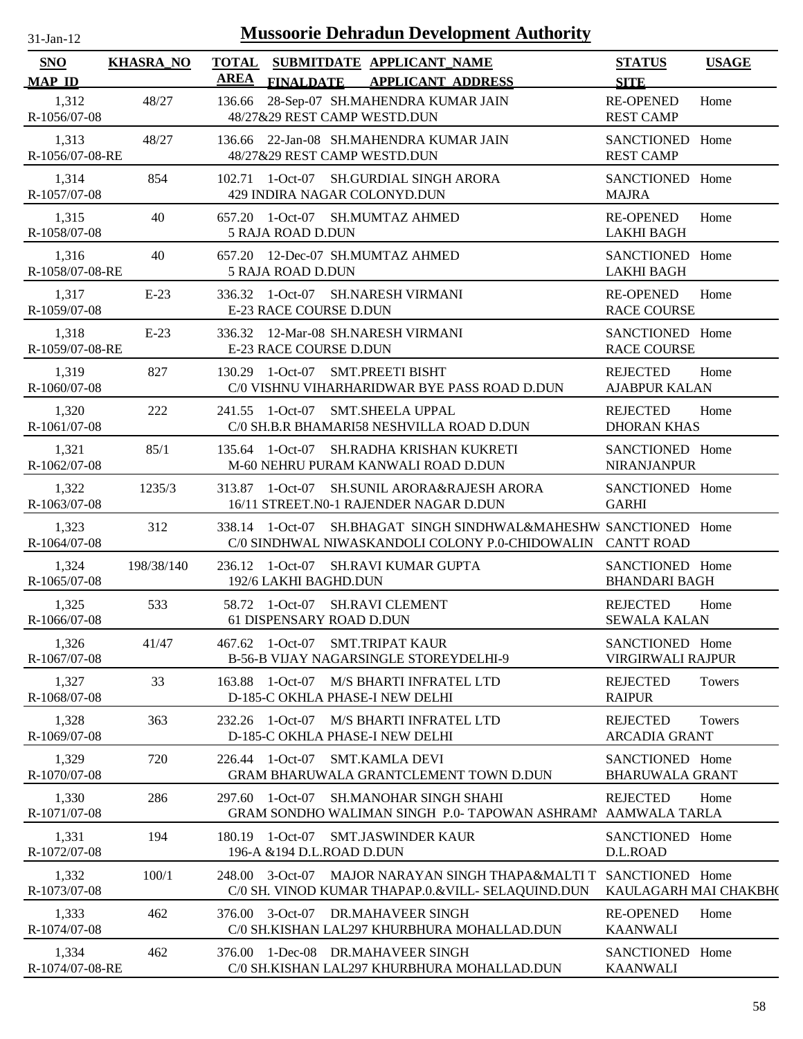| 31-Jan-12 |  |
|-----------|--|

| SNO                                    | <b>KHASRA_NO</b> | <b>TOTAL</b><br>AREA |                                               | SUBMITDATE APPLICANT_NAME                                                                           |                                                                                                                | <b>STATUS</b>                                       | <b>USAGE</b>  |
|----------------------------------------|------------------|----------------------|-----------------------------------------------|-----------------------------------------------------------------------------------------------------|----------------------------------------------------------------------------------------------------------------|-----------------------------------------------------|---------------|
| <b>MAP ID</b><br>1,312<br>R-1056/07-08 | 48/27            |                      | <b>FINALDATE</b>                              | <b>APPLICANT ADDRESS</b><br>136.66 28-Sep-07 SH.MAHENDRA KUMAR JAIN<br>48/27&29 REST CAMP WESTD.DUN |                                                                                                                | <b>SITE</b><br><b>RE-OPENED</b><br><b>REST CAMP</b> | Home          |
| 1,313<br>R-1056/07-08-RE               | 48/27            |                      |                                               | 136.66 22-Jan-08 SH.MAHENDRA KUMAR JAIN<br>48/27&29 REST CAMP WESTD.DUN                             |                                                                                                                | SANCTIONED Home<br><b>REST CAMP</b>                 |               |
| 1,314<br>R-1057/07-08                  | 854              |                      |                                               | 102.71 1-Oct-07 SH.GURDIAL SINGH ARORA<br>429 INDIRA NAGAR COLONYD.DUN                              |                                                                                                                | SANCTIONED Home<br><b>MAJRA</b>                     |               |
| 1,315<br>R-1058/07-08                  | 40               |                      | 5 RAJA ROAD D.DUN                             | 657.20 1-Oct-07 SH.MUMTAZ AHMED                                                                     |                                                                                                                | <b>RE-OPENED</b><br><b>LAKHI BAGH</b>               | Home          |
| 1,316<br>R-1058/07-08-RE               | 40               |                      | 5 RAJA ROAD D.DUN                             | 657.20 12-Dec-07 SH.MUMTAZ AHMED                                                                    |                                                                                                                | SANCTIONED Home<br><b>LAKHI BAGH</b>                |               |
| 1,317<br>R-1059/07-08                  | $E-23$           |                      | E-23 RACE COURSE D.DUN                        | 336.32 1-Oct-07 SH.NARESH VIRMANI                                                                   |                                                                                                                | <b>RE-OPENED</b><br><b>RACE COURSE</b>              | Home          |
| 1,318<br>R-1059/07-08-RE               | $E-23$           |                      | E-23 RACE COURSE D.DUN                        | 336.32 12-Mar-08 SH.NARESH VIRMANI                                                                  |                                                                                                                | SANCTIONED Home<br><b>RACE COURSE</b>               |               |
| 1,319<br>R-1060/07-08                  | 827              |                      |                                               | 130.29 1-Oct-07 SMT.PREETI BISHT                                                                    | C/0 VISHNU VIHARHARIDWAR BYE PASS ROAD D.DUN                                                                   | <b>REJECTED</b><br><b>AJABPUR KALAN</b>             | Home          |
| 1,320<br>R-1061/07-08                  | 222              |                      |                                               | 241.55 1-Oct-07 SMT.SHEELA UPPAL<br>C/0 SH.B.R BHAMARI58 NESHVILLA ROAD D.DUN                       |                                                                                                                | <b>REJECTED</b><br><b>DHORAN KHAS</b>               | Home          |
| 1,321<br>R-1062/07-08                  | 85/1             |                      |                                               | 135.64 1-Oct-07 SH.RADHA KRISHAN KUKRETI<br>M-60 NEHRU PURAM KANWALI ROAD D.DUN                     |                                                                                                                | SANCTIONED Home<br><b>NIRANJANPUR</b>               |               |
| 1,322<br>R-1063/07-08                  | 1235/3           |                      | 313.87 1-Oct-07                               | 16/11 STREET.N0-1 RAJENDER NAGAR D.DUN                                                              | SH.SUNIL ARORA&RAJESH ARORA                                                                                    | SANCTIONED Home<br><b>GARHI</b>                     |               |
| 1,323<br>R-1064/07-08                  | 312              |                      | 338.14 1-Oct-07                               |                                                                                                     | SH.BHAGAT SINGH SINDHWAL&MAHESHW SANCTIONED Home<br>C/0 SINDHWAL NIWASKANDOLI COLONY P.0-CHIDOWALIN CANTT ROAD |                                                     |               |
| 1,324<br>R-1065/07-08                  | 198/38/140       |                      | 192/6 LAKHI BAGHD.DUN                         | 236.12 1-Oct-07 SH.RAVI KUMAR GUPTA                                                                 |                                                                                                                | SANCTIONED Home<br><b>BHANDARI BAGH</b>             |               |
| 1,325<br>R-1066/07-08                  | 533              |                      | 58.72 1-Oct-07<br>61 DISPENSARY ROAD D.DUN    | <b>SH.RAVI CLEMENT</b>                                                                              |                                                                                                                | <b>REJECTED</b><br><b>SEWALA KALAN</b>              | Home          |
| 1,326<br>R-1067/07-08                  | 41/47            |                      |                                               | 467.62 1-Oct-07 SMT.TRIPAT KAUR<br><b>B-56-B VIJAY NAGARSINGLE STOREYDELHI-9</b>                    |                                                                                                                | SANCTIONED Home<br>VIRGIRWALI RAJPUR                |               |
| 1,327<br>R-1068/07-08                  | 33               |                      |                                               | 163.88 1-Oct-07 M/S BHARTI INFRATEL LTD<br>D-185-C OKHLA PHASE-I NEW DELHI                          |                                                                                                                | <b>REJECTED</b><br><b>RAIPUR</b>                    | <b>Towers</b> |
| 1,328<br>R-1069/07-08                  | 363              |                      |                                               | 232.26 1-Oct-07 M/S BHARTI INFRATEL LTD<br>D-185-C OKHLA PHASE-I NEW DELHI                          |                                                                                                                | <b>REJECTED</b><br><b>ARCADIA GRANT</b>             | Towers        |
| 1,329<br>R-1070/07-08                  | 720              |                      | 226.44 1-Oct-07                               | <b>SMT.KAMLA DEVI</b>                                                                               | GRAM BHARUWALA GRANTCLEMENT TOWN D.DUN                                                                         | SANCTIONED Home<br><b>BHARUWALA GRANT</b>           |               |
| 1,330<br>R-1071/07-08                  | 286              |                      | 297.60 1-Oct-07                               | <b>SH.MANOHAR SINGH SHAHI</b>                                                                       | GRAM SONDHO WALIMAN SINGH P.0-TAPOWAN ASHRAMI AAMWALA TARLA                                                    | <b>REJECTED</b>                                     | Home          |
| 1,331<br>R-1072/07-08                  | 194              |                      | 180.19 1-Oct-07<br>196-A & 194 D.L.ROAD D.DUN | <b>SMT.JASWINDER KAUR</b>                                                                           |                                                                                                                | SANCTIONED Home<br>D.L.ROAD                         |               |
| 1,332<br>R-1073/07-08                  | 100/1            |                      |                                               |                                                                                                     | 248.00 3-Oct-07 MAJOR NARAYAN SINGH THAPA&MALTI T<br>C/0 SH. VINOD KUMAR THAPAP.0.&VILL- SELAQUIND.DUN         | SANCTIONED Home<br>KAULAGARH MAI CHAKBH(            |               |
| 1,333<br>R-1074/07-08                  | 462              |                      |                                               | 376.00 3-Oct-07 DR.MAHAVEER SINGH                                                                   | C/0 SH.KISHAN LAL297 KHURBHURA MOHALLAD.DUN                                                                    | <b>RE-OPENED</b><br><b>KAANWALI</b>                 | Home          |
| 1,334<br>R-1074/07-08-RE               | 462              |                      |                                               | 376.00 1-Dec-08 DR.MAHAVEER SINGH                                                                   | C/0 SH.KISHAN LAL297 KHURBHURA MOHALLAD.DUN                                                                    | SANCTIONED Home<br><b>KAANWALI</b>                  |               |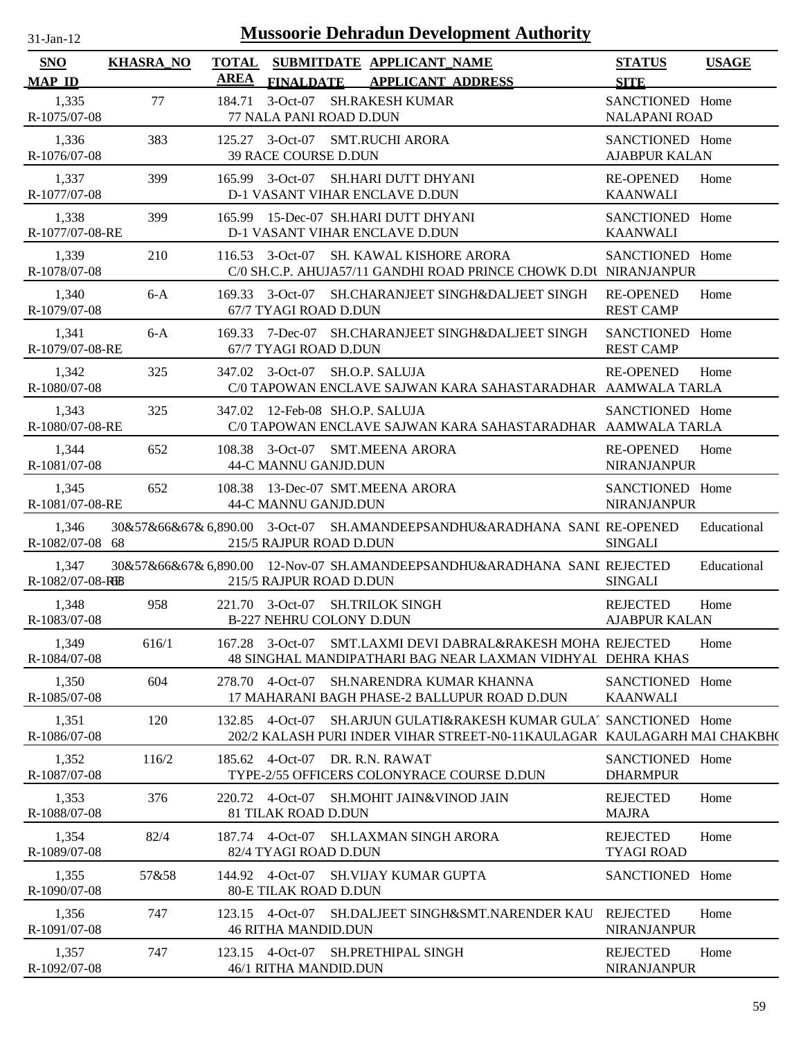| <b>Mussoorie Dehradun Development Authority</b><br>$31$ -Jan-12 |                  |             |                                        |  |                                                                                                                                   |                                         |              |
|-----------------------------------------------------------------|------------------|-------------|----------------------------------------|--|-----------------------------------------------------------------------------------------------------------------------------------|-----------------------------------------|--------------|
| <b>SNO</b><br><b>MAP ID</b>                                     | <b>KHASRA_NO</b> | <b>AREA</b> | <b>FINALDATE</b>                       |  | TOTAL SUBMITDATE APPLICANT_NAME<br><b>APPLICANT ADDRESS</b>                                                                       | <b>STATUS</b><br><b>SITE</b>            | <b>USAGE</b> |
| 1,335<br>R-1075/07-08                                           | 77               | 184.71      | 77 NALA PANI ROAD D.DUN                |  | 3-Oct-07 SH.RAKESH KUMAR                                                                                                          | SANCTIONED Home<br><b>NALAPANI ROAD</b> |              |
| 1,336<br>R-1076/07-08                                           | 383              |             | 39 RACE COURSE D.DUN                   |  | 125.27 3-Oct-07 SMT.RUCHI ARORA                                                                                                   | SANCTIONED Home<br><b>AJABPUR KALAN</b> |              |
| 1,337<br>R-1077/07-08                                           | 399              |             |                                        |  | 165.99 3-Oct-07 SH.HARI DUTT DHYANI<br>D-1 VASANT VIHAR ENCLAVE D.DUN                                                             | <b>RE-OPENED</b><br><b>KAANWALI</b>     | Home         |
| 1,338<br>R-1077/07-08-RE                                        | 399              |             |                                        |  | 165.99 15-Dec-07 SH.HARI DUTT DHYANI<br>D-1 VASANT VIHAR ENCLAVE D.DUN                                                            | SANCTIONED Home<br><b>KAANWALI</b>      |              |
| 1,339<br>R-1078/07-08                                           | 210              |             | $116.53$ 3-Oct-07                      |  | SH. KAWAL KISHORE ARORA<br>C/0 SH.C.P. AHUJA57/11 GANDHI ROAD PRINCE CHOWK D.DU NIRANJANPUR                                       | SANCTIONED Home                         |              |
| 1,340<br>R-1079/07-08                                           | $6-A$            |             | 67/7 TYAGI ROAD D.DUN                  |  | 169.33 3-Oct-07 SH.CHARANJEET SINGH&DALJEET SINGH                                                                                 | <b>RE-OPENED</b><br><b>REST CAMP</b>    | Home         |
| 1,341<br>R-1079/07-08-RE                                        | $6-A$            |             | 67/7 TYAGI ROAD D.DUN                  |  | 169.33 7-Dec-07 SH.CHARANJEET SINGH&DALJEET SINGH                                                                                 | SANCTIONED Home<br><b>REST CAMP</b>     |              |
| 1,342<br>R-1080/07-08                                           | 325              |             |                                        |  | 347.02 3-Oct-07 SH.O.P. SALUJA<br>C/0 TAPOWAN ENCLAVE SAJWAN KARA SAHASTARADHAR AAMWALA TARLA                                     | <b>RE-OPENED</b>                        | Home         |
| 1,343<br>R-1080/07-08-RE                                        | 325              |             |                                        |  | 347.02 12-Feb-08 SH.O.P. SALUJA<br>C/0 TAPOWAN ENCLAVE SAJWAN KARA SAHASTARADHAR AAMWALA TARLA                                    | SANCTIONED Home                         |              |
| 1,344<br>R-1081/07-08                                           | 652              |             | 44-C MANNU GANJD.DUN                   |  | 108.38 3-Oct-07 SMT.MEENA ARORA                                                                                                   | <b>RE-OPENED</b><br><b>NIRANJANPUR</b>  | Home         |
| 1,345<br>R-1081/07-08-RE                                        | 652              |             | 44-C MANNU GANJD.DUN                   |  | 108.38 13-Dec-07 SMT.MEENA ARORA                                                                                                  | SANCTIONED Home<br><b>NIRANJANPUR</b>   |              |
| 1,346<br>R-1082/07-08 68                                        |                  |             | 215/5 RAJPUR ROAD D.DUN                |  | 30&57&66&67&6,890.00 3-Oct-07 SH.AMANDEEPSANDHU&ARADHANA SANI RE-OPENED                                                           | <b>SINGALI</b>                          | Educational  |
| 1,347<br>R-1082/07-08-RB                                        |                  |             | 215/5 RAJPUR ROAD D.DUN                |  | 30&57&66&67&6,890.00 12-Nov-07 SH.AMANDEEPSANDHU&ARADHANA SANI REJECTED                                                           | <b>SINGALI</b>                          | Educational  |
| 1,348<br>R-1083/07-08                                           | 958              |             | <b>B-227 NEHRU COLONY D.DUN</b>        |  | 221.70 3-Oct-07 SH.TRILOK SINGH                                                                                                   | <b>REJECTED</b><br><b>AJABPUR KALAN</b> | Home         |
| 1,349<br>R-1084/07-08                                           | 616/1            |             | 167.28 3-Oct-07                        |  | SMT.LAXMI DEVI DABRAL&RAKESH MOHA REJECTED<br>48 SINGHAL MANDIPATHARI BAG NEAR LAXMAN VIDHYAL DEHRA KHAS                          |                                         | Home         |
| 1,350<br>R-1085/07-08                                           | 604              |             | 278.70 4-Oct-07                        |  | SH.NARENDRA KUMAR KHANNA<br>17 MAHARANI BAGH PHASE-2 BALLUPUR ROAD D.DUN                                                          | SANCTIONED Home<br><b>KAANWALI</b>      |              |
| 1,351<br>R-1086/07-08                                           | 120              |             | 132.85 4-Oct-07                        |  | SH. ARJUN GULATI&RAKESH KUMAR GULAT SANCTIONED Home<br>202/2 KALASH PURI INDER VIHAR STREET-N0-11KAULAGAR   KAULAGARH MAI CHAKBH( |                                         |              |
| 1,352<br>R-1087/07-08                                           | 116/2            |             |                                        |  | 185.62 4-Oct-07 DR. R.N. RAWAT<br>TYPE-2/55 OFFICERS COLONYRACE COURSE D.DUN                                                      | SANCTIONED Home<br><b>DHARMPUR</b>      |              |
| 1,353<br>R-1088/07-08                                           | 376              |             | 220.72 4-Oct-07<br>81 TILAK ROAD D.DUN |  | SH.MOHIT JAIN&VINOD JAIN                                                                                                          | <b>REJECTED</b><br><b>MAJRA</b>         | Home         |
| 1,354<br>R-1089/07-08                                           | 82/4             |             | 82/4 TYAGI ROAD D.DUN                  |  | 187.74 4-Oct-07 SH.LAXMAN SINGH ARORA                                                                                             | <b>REJECTED</b><br><b>TYAGI ROAD</b>    | Home         |
| 1,355<br>R-1090/07-08                                           | 57&58            |             | <b>80-E TILAK ROAD D.DUN</b>           |  | 144.92 4-Oct-07 SH.VIJAY KUMAR GUPTA                                                                                              | SANCTIONED Home                         |              |
| 1,356<br>R-1091/07-08                                           | 747              |             | <b>46 RITHA MANDID.DUN</b>             |  | 123.15 4-Oct-07 SH.DALJEET SINGH&SMT.NARENDER KAU                                                                                 | <b>REJECTED</b><br><b>NIRANJANPUR</b>   | Home         |
| 1,357<br>R-1092/07-08                                           | 747              |             | 46/1 RITHA MANDID.DUN                  |  | 123.15 4-Oct-07 SH.PRETHIPAL SINGH                                                                                                | <b>REJECTED</b><br><b>NIRANJANPUR</b>   | Home         |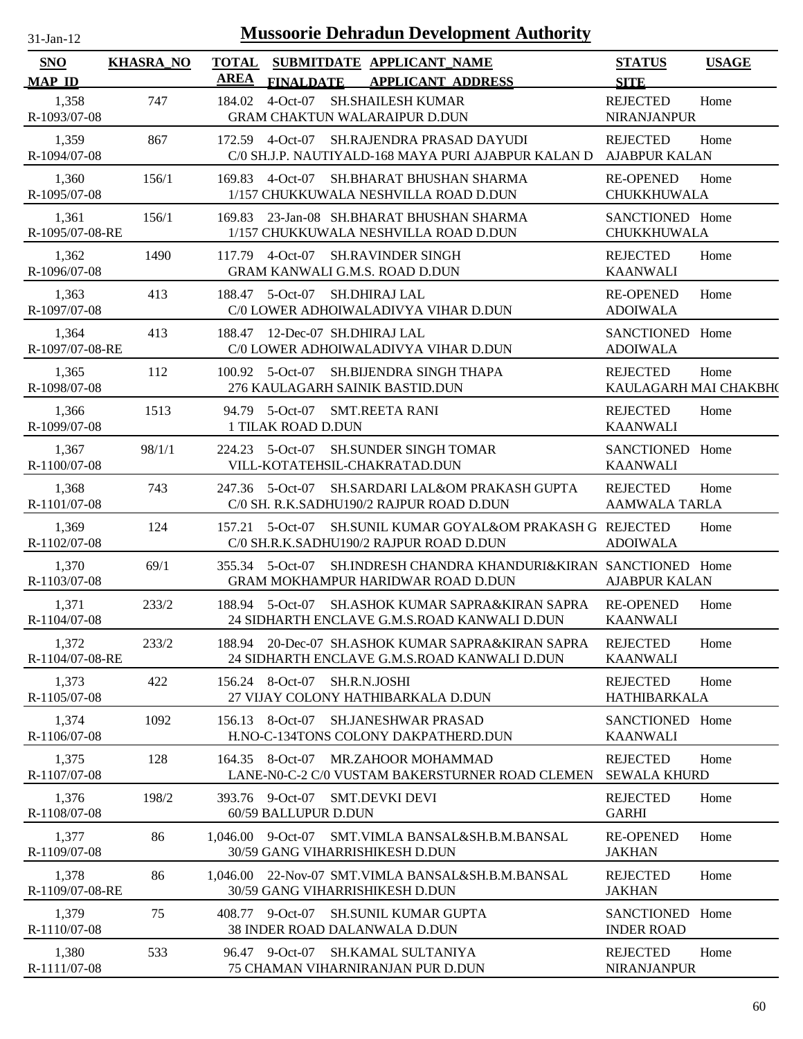| 1-Jan-12 |  |
|----------|--|

| <b>SNO</b>               | <b>KHASRA_NO</b> | <b>TOTAL</b> |                                                        | SUBMITDATE APPLICANT NAME                                                                         | <b>STATUS</b>                            | <b>USAGE</b> |
|--------------------------|------------------|--------------|--------------------------------------------------------|---------------------------------------------------------------------------------------------------|------------------------------------------|--------------|
| <b>MAP ID</b>            |                  | <b>AREA</b>  | <b>FINALDATE</b>                                       | <b>APPLICANT ADDRESS</b>                                                                          | <b>SITE</b>                              |              |
| 1,358<br>R-1093/07-08    | 747              | 184.02       | $4-Oct-07$                                             | <b>SH.SHAILESH KUMAR</b><br><b>GRAM CHAKTUN WALARAIPUR D.DUN</b>                                  | <b>REJECTED</b><br><b>NIRANJANPUR</b>    | Home         |
| 1,359<br>R-1094/07-08    | 867              |              | 172.59 4-Oct-07                                        | SH.RAJENDRA PRASAD DAYUDI<br>C/0 SH.J.P. NAUTIYALD-168 MAYA PURI AJABPUR KALAN D                  | <b>REJECTED</b><br><b>AJABPUR KALAN</b>  | Home         |
| 1,360<br>R-1095/07-08    | 156/1            | 169.83       | $4-Oct-07$                                             | SH.BHARAT BHUSHAN SHARMA<br>1/157 CHUKKUWALA NESHVILLA ROAD D.DUN                                 | <b>RE-OPENED</b><br>CHUKKHUWALA          | Home         |
| 1,361<br>R-1095/07-08-RE | 156/1            | 169.83       |                                                        | 23-Jan-08 SH.BHARAT BHUSHAN SHARMA<br>1/157 CHUKKUWALA NESHVILLA ROAD D.DUN                       | SANCTIONED Home<br>CHUKKHUWALA           |              |
| 1,362<br>R-1096/07-08    | 1490             | 117.79       | $4-Oct-07$                                             | <b>SH.RAVINDER SINGH</b><br>GRAM KANWALI G.M.S. ROAD D.DUN                                        | <b>REJECTED</b><br><b>KAANWALI</b>       | Home         |
| 1,363<br>R-1097/07-08    | 413              |              | 188.47 5-Oct-07                                        | <b>SH.DHIRAJ LAL</b><br>C/0 LOWER ADHOIWALADIVYA VIHAR D.DUN                                      | <b>RE-OPENED</b><br><b>ADOIWALA</b>      | Home         |
| 1,364<br>R-1097/07-08-RE | 413              | 188.47       | 12-Dec-07 SH.DHIRAJ LAL                                | C/0 LOWER ADHOIWALADIVYA VIHAR D.DUN                                                              | SANCTIONED Home<br><b>ADOIWALA</b>       |              |
| 1,365<br>R-1098/07-08    | 112              |              | $100.92 \quad 5\text{-}Oct\text{-}07$                  | SH.BIJENDRA SINGH THAPA<br>276 KAULAGARH SAINIK BASTID.DUN                                        | <b>REJECTED</b><br>KAULAGARH MAI CHAKBH( | Home         |
| 1,366<br>R-1099/07-08    | 1513             |              | 94.79 5-Oct-07<br><b>1 TILAK ROAD D.DUN</b>            | <b>SMT.REETA RANI</b>                                                                             | <b>REJECTED</b><br><b>KAANWALI</b>       | Home         |
| 1,367<br>R-1100/07-08    | 98/1/1           | 224.23       | 5-Oct-07                                               | <b>SH.SUNDER SINGH TOMAR</b><br>VILL-KOTATEHSIL-CHAKRATAD.DUN                                     | SANCTIONED Home<br><b>KAANWALI</b>       |              |
| 1,368<br>R-1101/07-08    | 743              |              | 247.36 5-Oct-07                                        | SH.SARDARI LAL&OM PRAKASH GUPTA<br>C/0 SH. R.K.SADHU190/2 RAJPUR ROAD D.DUN                       | <b>REJECTED</b><br><b>AAMWALA TARLA</b>  | Home         |
| 1,369<br>R-1102/07-08    | 124              |              | $157.21 \quad 5-Oct-07$                                | SH.SUNIL KUMAR GOYAL&OM PRAKASH G REJECTED<br>C/0 SH.R.K.SADHU190/2 RAJPUR ROAD D.DUN             | <b>ADOIWALA</b>                          | Home         |
| 1,370<br>R-1103/07-08    | 69/1             |              | 355.34 5-Oct-07                                        | SH.INDRESH CHANDRA KHANDURI&KIRAN SANCTIONED Home<br>GRAM MOKHAMPUR HARIDWAR ROAD D.DUN           | <b>AJABPUR KALAN</b>                     |              |
| 1,371<br>R-1104/07-08    | 233/2            |              | 188.94 5-Oct-07                                        | SH.ASHOK KUMAR SAPRA&KIRAN SAPRA<br>24 SIDHARTH ENCLAVE G.M.S.ROAD KANWALI D.DUN                  | <b>RE-OPENED</b><br><b>KAANWALI</b>      | Home         |
| 1,372<br>R-1104/07-08-RE | 233/2            |              |                                                        | 188.94 20-Dec-07 SH.ASHOK KUMAR SAPRA&KIRAN SAPRA<br>24 SIDHARTH ENCLAVE G.M.S.ROAD KANWALI D.DUN | <b>REJECTED</b><br><b>KAANWALI</b>       | Home         |
| 1,373<br>R-1105/07-08    | 422              |              | 156.24 8-Oct-07                                        | SH.R.N.JOSHI<br>27 VIJAY COLONY HATHIBARKALA D.DUN                                                | <b>REJECTED</b><br>HATHIBARKALA          | Home         |
| 1,374<br>R-1106/07-08    | 1092             |              | 156.13 8-Oct-07                                        | <b>SH.JANESHWAR PRASAD</b><br>H.NO-C-134TONS COLONY DAKPATHERD.DUN                                | SANCTIONED Home<br><b>KAANWALI</b>       |              |
| 1,375<br>R-1107/07-08    | 128              |              |                                                        | 164.35 8-Oct-07 MR.ZAHOOR MOHAMMAD<br>LANE-N0-C-2 C/0 VUSTAM BAKERSTURNER ROAD CLEMEN             | <b>REJECTED</b><br><b>SEWALA KHURD</b>   | Home         |
| 1,376<br>R-1108/07-08    | 198/2            |              | 393.76 9-Oct-07 SMT.DEVKI DEVI<br>60/59 BALLUPUR D.DUN |                                                                                                   | <b>REJECTED</b><br><b>GARHI</b>          | Home         |
| 1,377<br>R-1109/07-08    | 86               |              | $1.046.00$ 9-Oct-07                                    | SMT.VIMLA BANSAL&SH.B.M.BANSAL<br>30/59 GANG VIHARRISHIKESH D.DUN                                 | <b>RE-OPENED</b><br><b>JAKHAN</b>        | Home         |
| 1,378<br>R-1109/07-08-RE | 86               |              |                                                        | 1,046.00 22-Nov-07 SMT.VIMLA BANSAL&SH.B.M.BANSAL<br>30/59 GANG VIHARRISHIKESH D.DUN              | <b>REJECTED</b><br><b>JAKHAN</b>         | Home         |
| 1,379<br>R-1110/07-08    | 75               |              | 408.77 9-Oct-07                                        | <b>SH.SUNIL KUMAR GUPTA</b><br>38 INDER ROAD DALANWALA D.DUN                                      | SANCTIONED<br><b>INDER ROAD</b>          | Home         |
| 1,380<br>R-1111/07-08    | 533              |              | 96.47 9-Oct-07                                         | SH.KAMAL SULTANIYA<br>75 CHAMAN VIHARNIRANJAN PUR D.DUN                                           | <b>REJECTED</b><br><b>NIRANJANPUR</b>    | Home         |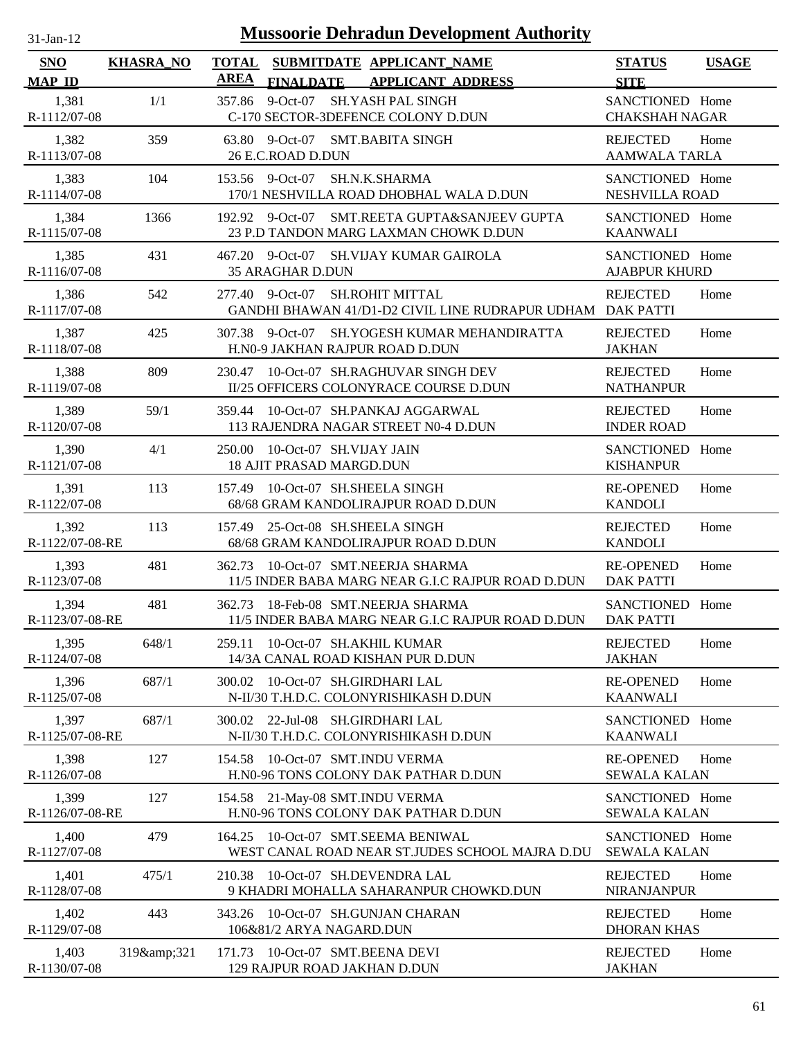| $31-Jan-12$                 |                  |                             | <b>Mussoorie Dehradun Development Authority</b>                                           |                                          |              |
|-----------------------------|------------------|-----------------------------|-------------------------------------------------------------------------------------------|------------------------------------------|--------------|
| <b>SNO</b><br><b>MAP ID</b> | <b>KHASRA_NO</b> | <b>TOTAL</b><br><b>AREA</b> | SUBMITDATE APPLICANT NAME<br><b>FINALDATE</b><br><b>APPLICANT ADDRESS</b>                 | <b>STATUS</b><br><b>SITE</b>             | <b>USAGE</b> |
| 1,381<br>R-1112/07-08       | 1/1              | 357.86                      | 9-Oct-07 SH.YASH PAL SINGH<br>C-170 SECTOR-3DEFENCE COLONY D.DUN                          | SANCTIONED Home<br><b>CHAKSHAH NAGAR</b> |              |
| 1,382<br>R-1113/07-08       | 359              | 63.80                       | $9$ -Oct-07<br><b>SMT.BABITA SINGH</b><br>26 E.C.ROAD D.DUN                               | <b>REJECTED</b><br><b>AAMWALA TARLA</b>  | Home         |
| 1,383<br>R-1114/07-08       | 104              |                             | 153.56 9-Oct-07<br><b>SH.N.K.SHARMA</b><br>170/1 NESHVILLA ROAD DHOBHAL WALA D.DUN        | SANCTIONED Home<br><b>NESHVILLA ROAD</b> |              |
| 1,384<br>R-1115/07-08       | 1366             |                             | 192.92 9-Oct-07<br>SMT.REETA GUPTA&SANJEEV GUPTA<br>23 P.D TANDON MARG LAXMAN CHOWK D.DUN | SANCTIONED Home<br><b>KAANWALI</b>       |              |
| 1,385<br>R-1116/07-08       | 431              | 467.20                      | 9-Oct-07 SH.VIJAY KUMAR GAIROLA<br><b>35 ARAGHAR D.DUN</b>                                | SANCTIONED Home<br><b>AJABPUR KHURD</b>  |              |
| 1,386<br>R-1117/07-08       | 542              | 277.40                      | $9$ -Oct-07<br><b>SH.ROHIT MITTAL</b><br>GANDHI BHAWAN 41/D1-D2 CIVIL LINE RUDRAPUR UDHAM | <b>REJECTED</b><br><b>DAK PATTI</b>      | Home         |
| 1,387<br>R-1118/07-08       | 425              | 307.38                      | $9$ -Oct-07<br><b>SH.YOGESH KUMAR MEHANDIRATTA</b><br>H.N0-9 JAKHAN RAJPUR ROAD D.DUN     | <b>REJECTED</b><br><b>JAKHAN</b>         | Home         |
| 1,388<br>R-1119/07-08       | 809              | 230.47                      | 10-Oct-07 SH.RAGHUVAR SINGH DEV<br>II/25 OFFICERS COLONYRACE COURSE D.DUN                 | <b>REJECTED</b><br><b>NATHANPUR</b>      | Home         |
| 1,389<br>R-1120/07-08       | 59/1             | 359.44                      | 10-Oct-07 SH.PANKAJ AGGARWAL<br>113 RAJENDRA NAGAR STREET N0-4 D.DUN                      | <b>REJECTED</b><br><b>INDER ROAD</b>     | Home         |
| 1,390<br>R-1121/07-08       | 4/1              | 250.00                      | 10-Oct-07 SH.VIJAY JAIN<br>18 AJIT PRASAD MARGD.DUN                                       | SANCTIONED Home<br><b>KISHANPUR</b>      |              |
| 1,391<br>R-1122/07-08       | 113              | 157.49                      | 10-Oct-07 SH.SHEELA SINGH<br>68/68 GRAM KANDOLIRAJPUR ROAD D.DUN                          | <b>RE-OPENED</b><br><b>KANDOLI</b>       | Home         |
| 1,392<br>R-1122/07-08-RE    | 113              | 157.49                      | 25-Oct-08 SH.SHEELA SINGH<br>68/68 GRAM KANDOLIRAJPUR ROAD D.DUN                          | <b>REJECTED</b><br><b>KANDOLI</b>        | Home         |
| 1,393<br>R-1123/07-08       | 481              | 362.73                      | 10-Oct-07 SMT.NEERJA SHARMA<br>11/5 INDER BABA MARG NEAR G.I.C RAJPUR ROAD D.DUN          | <b>RE-OPENED</b><br><b>DAK PATTI</b>     | Home         |
| 1,394<br>R-1123/07-08-RE    | 481              |                             | 362.73 18-Feb-08 SMT.NEERJA SHARMA<br>11/5 INDER BABA MARG NEAR G.I.C RAJPUR ROAD D.DUN   | SANCTIONED Home<br><b>DAK PATTI</b>      |              |
| 1,395<br>R-1124/07-08       | 648/1            | 259.11                      | 10-Oct-07 SH.AKHIL KUMAR<br>14/3A CANAL ROAD KISHAN PUR D.DUN                             | <b>REJECTED</b><br><b>JAKHAN</b>         | Home         |
| 1,396<br>R-1125/07-08       | 687/1            | 300.02                      | 10-Oct-07 SH.GIRDHARI LAL<br>N-II/30 T.H.D.C. COLONYRISHIKASH D.DUN                       | <b>RE-OPENED</b><br><b>KAANWALI</b>      | Home         |
| 1,397<br>R-1125/07-08-RE    | 687/1            |                             | 300.02 22-Jul-08 SH.GIRDHARI LAL<br>N-II/30 T.H.D.C. COLONYRISHIKASH D.DUN                | SANCTIONED Home<br><b>KAANWALI</b>       |              |
| 1,398<br>R-1126/07-08       | 127              | 154.58                      | 10-Oct-07 SMT.INDU VERMA<br>H.N0-96 TONS COLONY DAK PATHAR D.DUN                          | <b>RE-OPENED</b><br><b>SEWALA KALAN</b>  | Home         |
| 1,399<br>R-1126/07-08-RE    | 127              | 154.58                      | 21-May-08 SMT.INDU VERMA<br>H.N0-96 TONS COLONY DAK PATHAR D.DUN                          | SANCTIONED Home<br><b>SEWALA KALAN</b>   |              |
| 1,400<br>R-1127/07-08       | 479              |                             | 164.25 10-Oct-07 SMT.SEEMA BENIWAL<br>WEST CANAL ROAD NEAR ST.JUDES SCHOOL MAJRA D.DU     | SANCTIONED Home<br><b>SEWALA KALAN</b>   |              |
| 1,401<br>R-1128/07-08       | 475/1            | 210.38                      | 10-Oct-07 SH.DEVENDRA LAL<br>9 KHADRI MOHALLA SAHARANPUR CHOWKD.DUN                       | <b>REJECTED</b><br><b>NIRANJANPUR</b>    | Home         |
| 1,402<br>R-1129/07-08       | 443              |                             | 343.26 10-Oct-07 SH.GUNJAN CHARAN<br>106&81/2 ARYA NAGARD.DUN                             | <b>REJECTED</b><br><b>DHORAN KHAS</b>    | Home         |
| 1,403<br>R-1130/07-08       | 319&321          | 171.73                      | 10-Oct-07 SMT.BEENA DEVI<br>129 RAJPUR ROAD JAKHAN D.DUN                                  | <b>REJECTED</b><br><b>JAKHAN</b>         | Home         |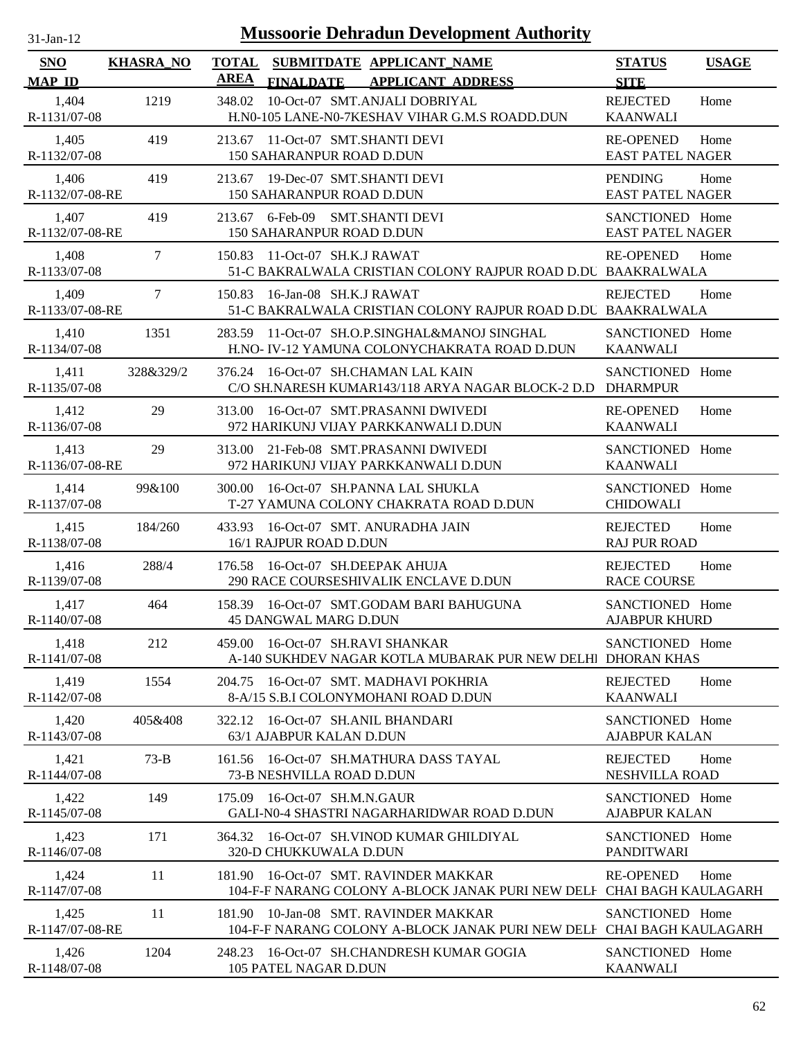| 31-Jan-12 |  |
|-----------|--|

| SNO<br><b>MAP ID</b>     | <b>KHASRA_NO</b> | <b>TOTAL</b><br>AREA | <b>FINALDATE</b>                                              | SUBMITDATE APPLICANT NAME<br><b>APPLICANT ADDRESS</b>                                                   | <b>STATUS</b><br><b>SITE</b>                | <b>USAGE</b> |
|--------------------------|------------------|----------------------|---------------------------------------------------------------|---------------------------------------------------------------------------------------------------------|---------------------------------------------|--------------|
| 1,404<br>R-1131/07-08    | 1219             | 348.02               |                                                               | 10-Oct-07 SMT.ANJALI DOBRIYAL<br>H.N0-105 LANE-N0-7KESHAV VIHAR G.M.S ROADD.DUN                         | <b>REJECTED</b><br><b>KAANWALI</b>          | Home         |
| 1,405<br>R-1132/07-08    | 419              |                      | 213.67 11-Oct-07 SMT.SHANTI DEVI<br>150 SAHARANPUR ROAD D.DUN |                                                                                                         | <b>RE-OPENED</b><br><b>EAST PATEL NAGER</b> | Home         |
| 1,406<br>R-1132/07-08-RE | 419              |                      | 213.67 19-Dec-07 SMT.SHANTI DEVI<br>150 SAHARANPUR ROAD D.DUN |                                                                                                         | <b>PENDING</b><br><b>EAST PATEL NAGER</b>   | Home         |
| 1,407<br>R-1132/07-08-RE | 419              |                      | 213.67 6-Feb-09 SMT.SHANTI DEVI<br>150 SAHARANPUR ROAD D.DUN  |                                                                                                         | SANCTIONED Home<br><b>EAST PATEL NAGER</b>  |              |
| 1,408<br>R-1133/07-08    | $\overline{7}$   | 150.83               | 11-Oct-07 SH.K.J RAWAT                                        | 51-C BAKRALWALA CRISTIAN COLONY RAJPUR ROAD D.DU BAAKRALWALA                                            | <b>RE-OPENED</b>                            | Home         |
| 1,409<br>R-1133/07-08-RE | 7                | 150.83               | 16-Jan-08 SH.K.J RAWAT                                        | 51-C BAKRALWALA CRISTIAN COLONY RAJPUR ROAD D.DU BAAKRALWALA                                            | <b>REJECTED</b>                             | Home         |
| 1,410<br>R-1134/07-08    | 1351             | 283.59               |                                                               | 11-Oct-07 SH.O.P.SINGHAL&MANOJ SINGHAL<br>H.NO- IV-12 YAMUNA COLONYCHAKRATA ROAD D.DUN                  | SANCTIONED Home<br><b>KAANWALI</b>          |              |
| 1,411<br>R-1135/07-08    | 328&329/2        |                      |                                                               | 376.24 16-Oct-07 SH.CHAMAN LAL KAIN<br>C/O SH.NARESH KUMAR143/118 ARYA NAGAR BLOCK-2 D.D                | SANCTIONED Home<br><b>DHARMPUR</b>          |              |
| 1,412<br>R-1136/07-08    | 29               | 313.00               |                                                               | 16-Oct-07 SMT.PRASANNI DWIVEDI<br>972 HARIKUNJ VIJAY PARKKANWALI D.DUN                                  | <b>RE-OPENED</b><br><b>KAANWALI</b>         | Home         |
| 1,413<br>R-1136/07-08-RE | 29               | 313.00               |                                                               | 21-Feb-08 SMT.PRASANNI DWIVEDI<br>972 HARIKUNJ VIJAY PARKKANWALI D.DUN                                  | SANCTIONED Home<br><b>KAANWALI</b>          |              |
| 1,414<br>R-1137/07-08    | 99&100           | 300.00               |                                                               | 16-Oct-07 SH.PANNA LAL SHUKLA<br>T-27 YAMUNA COLONY CHAKRATA ROAD D.DUN                                 | SANCTIONED Home<br><b>CHIDOWALI</b>         |              |
| 1,415<br>R-1138/07-08    | 184/260          |                      | 16/1 RAJPUR ROAD D.DUN                                        | 433.93 16-Oct-07 SMT. ANURADHA JAIN                                                                     | <b>REJECTED</b><br><b>RAJ PUR ROAD</b>      | Home         |
| 1,416<br>R-1139/07-08    | 288/4            |                      | 176.58 16-Oct-07 SH.DEEPAK AHUJA                              | 290 RACE COURSESHIVALIK ENCLAVE D.DUN                                                                   | <b>REJECTED</b><br><b>RACE COURSE</b>       | Home         |
| 1,417<br>R-1140/07-08    | 464              |                      | <b>45 DANGWAL MARG D.DUN</b>                                  | 158.39 16-Oct-07 SMT.GODAM BARI BAHUGUNA                                                                | SANCTIONED Home<br><b>AJABPUR KHURD</b>     |              |
| 1,418<br>R-1141/07-08    | 212              | 459.00               | 16-Oct-07 SH.RAVI SHANKAR                                     | A-140 SUKHDEV NAGAR KOTLA MUBARAK PUR NEW DELHI DHORAN KHAS                                             | SANCTIONED Home                             |              |
| 1,419<br>R-1142/07-08    | 1554             |                      |                                                               | 204.75 16-Oct-07 SMT, MADHAVI POKHRIA<br>8-A/15 S.B.I COLONYMOHANI ROAD D.DUN                           | <b>REJECTED</b><br><b>KAANWALI</b>          | Home         |
| 1,420<br>R-1143/07-08    | 405&408          | 322.12               | 16-Oct-07 SH.ANIL BHANDARI<br>63/1 AJABPUR KALAN D.DUN        |                                                                                                         | SANCTIONED Home<br><b>AJABPUR KALAN</b>     |              |
| 1,421<br>R-1144/07-08    | $73-B$           | 161.56               | 73-B NESHVILLA ROAD D.DUN                                     | 16-Oct-07 SH.MATHURA DASS TAYAL                                                                         | <b>REJECTED</b><br>NESHVILLA ROAD           | Home         |
| 1,422<br>R-1145/07-08    | 149              | 175.09               | 16-Oct-07 SH.M.N.GAUR                                         | <b>GALI-N0-4 SHASTRI NAGARHARIDWAR ROAD D.DUN</b>                                                       | SANCTIONED Home<br><b>AJABPUR KALAN</b>     |              |
| 1,423<br>R-1146/07-08    | 171              | 364.32               | 320-D CHUKKUWALA D.DUN                                        | 16-Oct-07 SH.VINOD KUMAR GHILDIYAL                                                                      | SANCTIONED Home<br><b>PANDITWARI</b>        |              |
| 1,424<br>R-1147/07-08    | 11               | 181.90               |                                                               | 16-Oct-07 SMT. RAVINDER MAKKAR<br>104-F-F NARANG COLONY A-BLOCK JANAK PURI NEW DELI                     | <b>RE-OPENED</b><br>CHAI BAGH KAULAGARH     | Home         |
| 1,425<br>R-1147/07-08-RE | 11               | 181.90               |                                                               | 10-Jan-08 SMT. RAVINDER MAKKAR<br>104-F-F NARANG COLONY A-BLOCK JANAK PURI NEW DELI CHAI BAGH KAULAGARH | SANCTIONED Home                             |              |
| 1,426<br>R-1148/07-08    | 1204             |                      | 105 PATEL NAGAR D.DUN                                         | 248.23 16-Oct-07 SH.CHANDRESH KUMAR GOGIA                                                               | SANCTIONED Home<br><b>KAANWALI</b>          |              |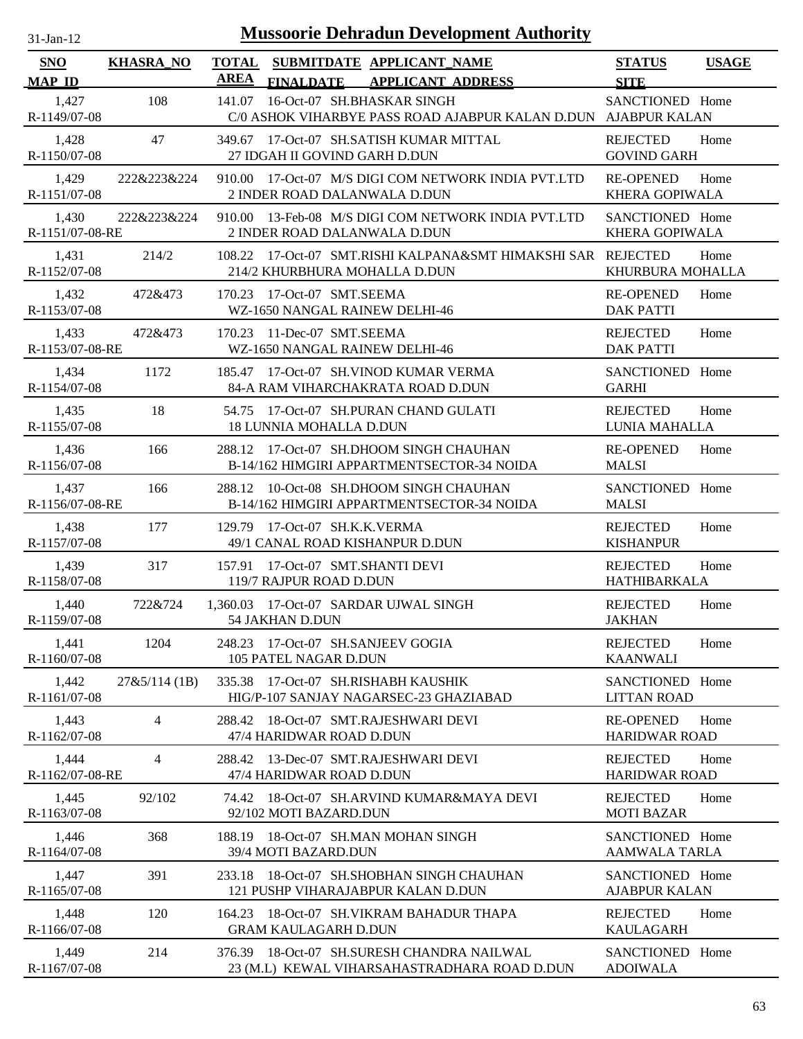| $31$ -Jan-12             |                  | <b>Mussoorie Dehradun Development Authority</b>                                                          |                                          |              |
|--------------------------|------------------|----------------------------------------------------------------------------------------------------------|------------------------------------------|--------------|
| SNO<br><b>MAP ID</b>     | <b>KHASRA_NO</b> | <b>TOTAL</b><br>SUBMITDATE APPLICANT_NAME<br><b>AREA</b><br><b>FINALDATE</b><br><b>APPLICANT ADDRESS</b> | <b>STATUS</b><br><b>SITE</b>             | <b>USAGE</b> |
| 1,427<br>R-1149/07-08    | 108              | 16-Oct-07 SH.BHASKAR SINGH<br>141.07<br>C/0 ASHOK VIHARBYE PASS ROAD AJABPUR KALAN D.DUN AJABPUR KALAN   | SANCTIONED Home                          |              |
| 1,428<br>R-1150/07-08    | 47               | 349.67 17-Oct-07 SH.SATISH KUMAR MITTAL<br>27 IDGAH II GOVIND GARH D.DUN                                 | <b>REJECTED</b><br><b>GOVIND GARH</b>    | Home         |
| 1,429<br>R-1151/07-08    | 222&223&224      | 910.00 17-Oct-07 M/S DIGI COM NETWORK INDIA PVT.LTD<br>2 INDER ROAD DALANWALA D.DUN                      | <b>RE-OPENED</b><br>KHERA GOPIWALA       | Home         |
| 1,430<br>R-1151/07-08-RE | 222&223&224      | 13-Feb-08 M/S DIGI COM NETWORK INDIA PVT.LTD<br>910.00<br>2 INDER ROAD DALANWALA D.DUN                   | SANCTIONED Home<br><b>KHERA GOPIWALA</b> |              |
| 1,431<br>R-1152/07-08    | 214/2            | 17-Oct-07 SMT.RISHI KALPANA&SMT HIMAKSHI SAR REJECTED<br>108.22<br>214/2 KHURBHURA MOHALLA D.DUN         | KHURBURA MOHALLA                         | Home         |
| 1,432<br>R-1153/07-08    | 472&473          | 17-Oct-07 SMT.SEEMA<br>170.23<br>WZ-1650 NANGAL RAINEW DELHI-46                                          | <b>RE-OPENED</b><br><b>DAK PATTI</b>     | Home         |
| 1,433<br>R-1153/07-08-RE | 472&473          | 11-Dec-07 SMT.SEEMA<br>170.23<br>WZ-1650 NANGAL RAINEW DELHI-46                                          | <b>REJECTED</b><br><b>DAK PATTI</b>      | Home         |
| 1,434<br>R-1154/07-08    | 1172             | 17-Oct-07 SH.VINOD KUMAR VERMA<br>185.47<br>84-A RAM VIHARCHAKRATA ROAD D.DUN                            | SANCTIONED Home<br><b>GARHI</b>          |              |
| 1,435<br>R-1155/07-08    | 18               | 54.75 17-Oct-07 SH.PURAN CHAND GULATI<br><b>18 LUNNIA MOHALLA D.DUN</b>                                  | <b>REJECTED</b><br>LUNIA MAHALLA         | Home         |
| 1,436<br>R-1156/07-08    | 166              | 288.12 17-Oct-07 SH.DHOOM SINGH CHAUHAN<br>B-14/162 HIMGIRI APPARTMENTSECTOR-34 NOIDA                    | <b>RE-OPENED</b><br><b>MALSI</b>         | Home         |
| 1,437<br>R-1156/07-08-RE | 166              | 10-Oct-08 SH.DHOOM SINGH CHAUHAN<br>288.12<br>B-14/162 HIMGIRI APPARTMENTSECTOR-34 NOIDA                 | SANCTIONED Home<br><b>MALSI</b>          |              |
| 1,438<br>R-1157/07-08    | 177              | 129.79 17-Oct-07 SH.K.K.VERMA<br>49/1 CANAL ROAD KISHANPUR D.DUN                                         | <b>REJECTED</b><br><b>KISHANPUR</b>      | Home         |
| 1,439<br>R-1158/07-08    | 317              | 17-Oct-07 SMT.SHANTI DEVI<br>157.91<br>119/7 RAJPUR ROAD D.DUN                                           | <b>REJECTED</b><br>HATHIBARKALA          | Home         |
| 1,440<br>R-1159/07-08    | 722&724          | 1.360.03 17-Oct-07 SARDAR UJWAL SINGH<br>54 JAKHAN D.DUN                                                 | <b>REJECTED</b><br><b>JAKHAN</b>         | Home         |
| 1,441<br>R-1160/07-08    | 1204             | 248.23 17-Oct-07 SH.SANJEEV GOGIA<br>105 PATEL NAGAR D.DUN                                               | <b>REJECTED</b><br><b>KAANWALI</b>       | Home         |
| 1,442<br>R-1161/07-08    | 27&5/114(1B)     | 17-Oct-07 SH.RISHABH KAUSHIK<br>335.38<br>HIG/P-107 SANJAY NAGARSEC-23 GHAZIABAD                         | SANCTIONED Home<br><b>LITTAN ROAD</b>    |              |
| 1,443<br>R-1162/07-08    | 4                | 18-Oct-07 SMT.RAJESHWARI DEVI<br>288.42<br>47/4 HARIDWAR ROAD D.DUN                                      | <b>RE-OPENED</b><br><b>HARIDWAR ROAD</b> | Home         |
| 1,444<br>R-1162/07-08-RE | 4                | 13-Dec-07 SMT.RAJESHWARI DEVI<br>288.42<br>47/4 HARIDWAR ROAD D.DUN                                      | <b>REJECTED</b><br><b>HARIDWAR ROAD</b>  | Home         |
| 1,445<br>R-1163/07-08    | 92/102           | 74.42 18-Oct-07 SH.ARVIND KUMAR&MAYA DEVI<br>92/102 MOTI BAZARD.DUN                                      | <b>REJECTED</b><br><b>MOTI BAZAR</b>     | Home         |
| 1,446<br>R-1164/07-08    | 368              | 18-Oct-07 SH.MAN MOHAN SINGH<br>188.19<br>39/4 MOTI BAZARD.DUN                                           | SANCTIONED Home<br>AAMWALA TARLA         |              |
| 1,447<br>$R-1165/07-08$  | 391              | 18-Oct-07 SH.SHOBHAN SINGH CHAUHAN<br>233.18<br>121 PUSHP VIHARAJABPUR KALAN D.DUN                       | SANCTIONED Home<br><b>AJABPUR KALAN</b>  |              |
| 1,448<br>R-1166/07-08    | 120              | 18-Oct-07 SH.VIKRAM BAHADUR THAPA<br>164.23<br><b>GRAM KAULAGARH D.DUN</b>                               | <b>REJECTED</b><br><b>KAULAGARH</b>      | Home         |
| 1,449<br>R-1167/07-08    | 214              | 376.39 18-Oct-07 SH.SURESH CHANDRA NAILWAL<br>23 (M.L) KEWAL VIHARSAHASTRADHARA ROAD D.DUN               | SANCTIONED Home<br><b>ADOIWALA</b>       |              |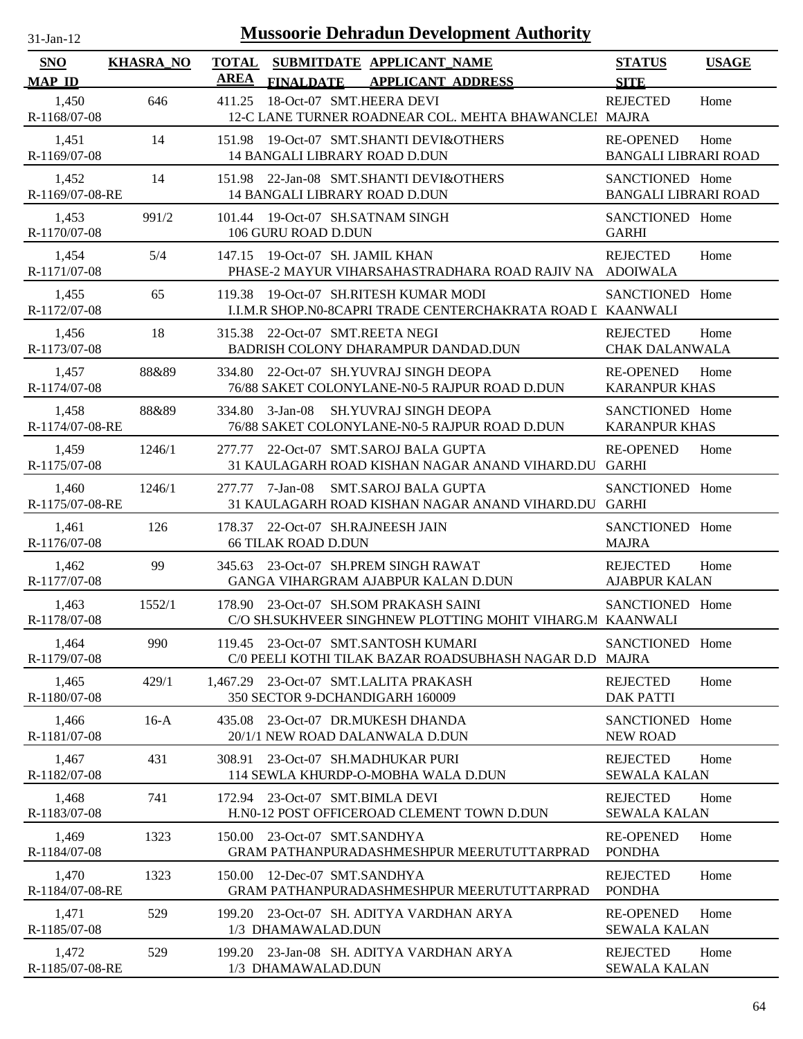| $31-Jan-12$                 |                  |             | <b>Mussoorie Dehradun Development Authority</b>                                                        |                                                 |              |
|-----------------------------|------------------|-------------|--------------------------------------------------------------------------------------------------------|-------------------------------------------------|--------------|
| <b>SNO</b><br><b>MAP ID</b> | <b>KHASRA_NO</b> | <b>AREA</b> | TOTAL SUBMITDATE APPLICANT_NAME<br><b>FINALDATE</b><br><b>APPLICANT ADDRESS</b>                        | <b>STATUS</b><br><b>SITE</b>                    | <b>USAGE</b> |
| 1,450<br>R-1168/07-08       | 646              | 411.25      | 18-Oct-07 SMT.HEERA DEVI<br>12-C LANE TURNER ROADNEAR COL. MEHTA BHAWANCLEI MAJRA                      | <b>REJECTED</b>                                 | Home         |
| 1,451<br>R-1169/07-08       | 14               | 151.98      | 19-Oct-07 SMT.SHANTI DEVI&OTHERS<br><b>14 BANGALI LIBRARY ROAD D.DUN</b>                               | <b>RE-OPENED</b><br><b>BANGALI LIBRARI ROAD</b> | Home         |
| 1,452<br>R-1169/07-08-RE    | 14               |             | 151.98 22-Jan-08 SMT.SHANTI DEVI&OTHERS<br><b>14 BANGALI LIBRARY ROAD D.DUN</b>                        | SANCTIONED Home<br><b>BANGALI LIBRARI ROAD</b>  |              |
| 1,453<br>R-1170/07-08       | 991/2            | 101.44      | 19-Oct-07 SH.SATNAM SINGH<br>106 GURU ROAD D.DUN                                                       | SANCTIONED Home<br><b>GARHI</b>                 |              |
| 1,454<br>R-1171/07-08       | 5/4              |             | 147.15 19-Oct-07 SH. JAMIL KHAN<br>PHASE-2 MAYUR VIHARSAHASTRADHARA ROAD RAJIV NA ADOIWALA             | <b>REJECTED</b>                                 | Home         |
| 1,455<br>R-1172/07-08       | 65               | 119.38      | 19-Oct-07 SH.RITESH KUMAR MODI<br>I.I.M.R SHOP.NO-8CAPRI TRADE CENTERCHAKRATA ROAD I KAANWALI          | SANCTIONED Home                                 |              |
| 1,456<br>R-1173/07-08       | 18               |             | 315.38 22-Oct-07 SMT.REETA NEGI<br>BADRISH COLONY DHARAMPUR DANDAD.DUN                                 | <b>REJECTED</b><br><b>CHAK DALANWALA</b>        | Home         |
| 1,457<br>R-1174/07-08       | 88&89            | 334.80      | 22-Oct-07 SH.YUVRAJ SINGH DEOPA<br>76/88 SAKET COLONYLANE-N0-5 RAJPUR ROAD D.DUN                       | <b>RE-OPENED</b><br><b>KARANPUR KHAS</b>        | Home         |
| 1,458<br>R-1174/07-08-RE    | 88&89            | 334.80      | 3-Jan-08 SH.YUVRAJ SINGH DEOPA<br>76/88 SAKET COLONYLANE-N0-5 RAJPUR ROAD D.DUN                        | SANCTIONED Home<br><b>KARANPUR KHAS</b>         |              |
| 1,459<br>R-1175/07-08       | 1246/1           | 277.77      | 22-Oct-07 SMT.SAROJ BALA GUPTA<br>31 KAULAGARH ROAD KISHAN NAGAR ANAND VIHARD.DU GARHI                 | <b>RE-OPENED</b>                                | Home         |
| 1,460<br>R-1175/07-08-RE    | 1246/1           |             | 277.77 7-Jan-08<br><b>SMT.SAROJ BALA GUPTA</b><br>31 KAULAGARH ROAD KISHAN NAGAR ANAND VIHARD.DU GARHI | SANCTIONED Home                                 |              |
| 1,461<br>R-1176/07-08       | 126              | 178.37      | 22-Oct-07 SH.RAJNEESH JAIN<br><b>66 TILAK ROAD D.DUN</b>                                               | SANCTIONED Home<br><b>MAJRA</b>                 |              |
| 1,462<br>R-1177/07-08       | 99               | 345.63      | 23-Oct-07 SH.PREM SINGH RAWAT<br>GANGA VIHARGRAM AJABPUR KALAN D.DUN                                   | <b>REJECTED</b><br><b>AJABPUR KALAN</b>         | Home         |
| 1,463<br>R-1178/07-08       | 1552/1           |             | 178.90 23-Oct-07 SH.SOM PRAKASH SAINI<br>C/O SH.SUKHVEER SINGHNEW PLOTTING MOHIT VIHARG.M KAANWALI     | SANCTIONED Home                                 |              |
| 1,464<br>R-1179/07-08       | 990              |             | 119.45 23-Oct-07 SMT.SANTOSH KUMARI<br>C/0 PEELI KOTHI TILAK BAZAR ROADSUBHASH NAGAR D.D MAJRA         | SANCTIONED Home                                 |              |
| 1,465<br>R-1180/07-08       | 429/1            |             | 1,467.29 23-Oct-07 SMT.LALITA PRAKASH<br>350 SECTOR 9-DCHANDIGARH 160009                               | <b>REJECTED</b><br><b>DAK PATTI</b>             | Home         |
| 1,466<br>R-1181/07-08       | $16-A$           | 435.08      | 23-Oct-07 DR.MUKESH DHANDA<br>20/1/1 NEW ROAD DALANWALA D.DUN                                          | SANCTIONED Home<br><b>NEW ROAD</b>              |              |
| 1,467<br>R-1182/07-08       | 431              | 308.91      | 23-Oct-07 SH.MADHUKAR PURI<br>114 SEWLA KHURDP-O-MOBHA WALA D.DUN                                      | <b>REJECTED</b><br><b>SEWALA KALAN</b>          | Home         |
| 1,468<br>R-1183/07-08       | 741              | 172.94      | 23-Oct-07 SMT.BIMLA DEVI<br>H.N0-12 POST OFFICEROAD CLEMENT TOWN D.DUN                                 | <b>REJECTED</b><br><b>SEWALA KALAN</b>          | Home         |
| 1,469<br>R-1184/07-08       | 1323             | 150.00      | 23-Oct-07 SMT.SANDHYA<br>GRAM PATHANPURADASHMESHPUR MEERUTUTTARPRAD                                    | <b>RE-OPENED</b><br><b>PONDHA</b>               | Home         |
| 1,470<br>R-1184/07-08-RE    | 1323             | 150.00      | 12-Dec-07 SMT.SANDHYA<br>GRAM PATHANPURADASHMESHPUR MEERUTUTTARPRAD                                    | <b>REJECTED</b><br><b>PONDHA</b>                | Home         |
| 1,471<br>R-1185/07-08       | 529              | 199.20      | 23-Oct-07 SH. ADITYA VARDHAN ARYA<br>1/3 DHAMAWALAD.DUN                                                | <b>RE-OPENED</b><br><b>SEWALA KALAN</b>         | Home         |
| 1,472<br>R-1185/07-08-RE    | 529              |             | 199.20 23-Jan-08 SH. ADITYA VARDHAN ARYA<br>1/3 DHAMAWALAD.DUN                                         | <b>REJECTED</b><br><b>SEWALA KALAN</b>          | Home         |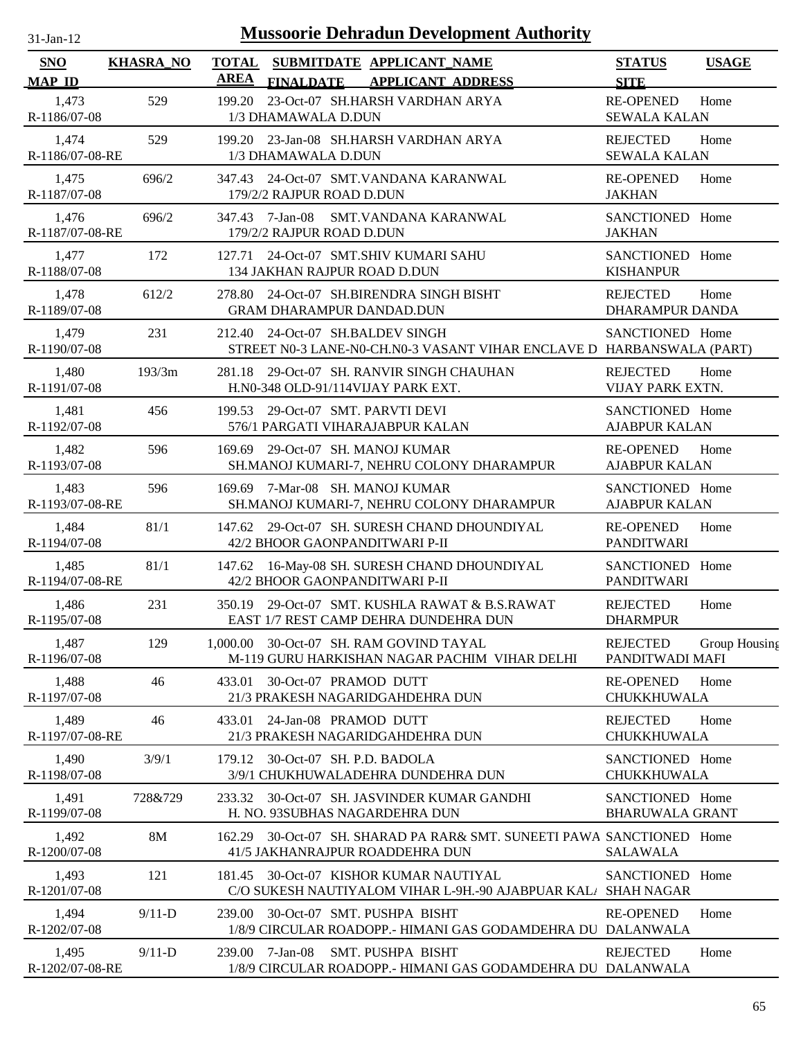| $31-Jan-12$                 |                  |                             |                                              | <b>Mussoorie Dehradun Development Authority</b>                                                           |                                            |               |
|-----------------------------|------------------|-----------------------------|----------------------------------------------|-----------------------------------------------------------------------------------------------------------|--------------------------------------------|---------------|
| <b>SNO</b><br><b>MAP ID</b> | <b>KHASRA_NO</b> | <b>TOTAL</b><br><b>AREA</b> | <b>FINALDATE</b>                             | SUBMITDATE APPLICANT_NAME<br><b>APPLICANT ADDRESS</b>                                                     | <b>STATUS</b><br><b>SITE</b>               | <b>USAGE</b>  |
| 1,473<br>R-1186/07-08       | 529              | 199.20                      | 1/3 DHAMAWALA D.DUN                          | 23-Oct-07 SH.HARSH VARDHAN ARYA                                                                           | <b>RE-OPENED</b><br><b>SEWALA KALAN</b>    | Home          |
| 1,474<br>R-1186/07-08-RE    | 529              |                             | 1/3 DHAMAWALA D.DUN                          | 199.20 23-Jan-08 SH.HARSH VARDHAN ARYA                                                                    | <b>REJECTED</b><br><b>SEWALA KALAN</b>     | Home          |
| 1,475<br>R-1187/07-08       | 696/2            |                             | 179/2/2 RAJPUR ROAD D.DUN                    | 347.43 24-Oct-07 SMT.VANDANA KARANWAL                                                                     | <b>RE-OPENED</b><br><b>JAKHAN</b>          | Home          |
| 1,476<br>R-1187/07-08-RE    | 696/2            |                             | 347.43 7-Jan-08<br>179/2/2 RAJPUR ROAD D.DUN | SMT.VANDANA KARANWAL                                                                                      | SANCTIONED Home<br><b>JAKHAN</b>           |               |
| 1,477<br>R-1188/07-08       | 172              | 127.71                      |                                              | 24-Oct-07 SMT.SHIV KUMARI SAHU<br>134 JAKHAN RAJPUR ROAD D.DUN                                            | SANCTIONED Home<br><b>KISHANPUR</b>        |               |
| 1,478<br>R-1189/07-08       | 612/2            | 278.80                      |                                              | 24-Oct-07 SH.BIRENDRA SINGH BISHT<br><b>GRAM DHARAMPUR DANDAD.DUN</b>                                     | <b>REJECTED</b><br><b>DHARAMPUR DANDA</b>  | Home          |
| 1,479<br>R-1190/07-08       | 231              |                             |                                              | 212.40 24-Oct-07 SH.BALDEV SINGH<br>STREET N0-3 LANE-N0-CH.N0-3 VASANT VIHAR ENCLAVE D HARBANSWALA (PART) | SANCTIONED Home                            |               |
| 1,480<br>R-1191/07-08       | 193/3m           | 281.18                      |                                              | 29-Oct-07 SH. RANVIR SINGH CHAUHAN<br>H.N0-348 OLD-91/114VIJAY PARK EXT.                                  | <b>REJECTED</b><br><b>VIJAY PARK EXTN.</b> | Home          |
| 1,481<br>R-1192/07-08       | 456              | 199.53                      |                                              | 29-Oct-07 SMT. PARVTI DEVI<br>576/1 PARGATI VIHARAJABPUR KALAN                                            | SANCTIONED Home<br><b>AJABPUR KALAN</b>    |               |
| 1,482<br>R-1193/07-08       | 596              | 169.69                      |                                              | 29-Oct-07 SH. MANOJ KUMAR<br>SH.MANOJ KUMARI-7, NEHRU COLONY DHARAMPUR                                    | <b>RE-OPENED</b><br><b>AJABPUR KALAN</b>   | Home          |
| 1,483<br>R-1193/07-08-RE    | 596              | 169.69                      |                                              | 7-Mar-08 SH. MANOJ KUMAR<br>SH.MANOJ KUMARI-7, NEHRU COLONY DHARAMPUR                                     | SANCTIONED Home<br><b>AJABPUR KALAN</b>    |               |
| 1,484<br>R-1194/07-08       | 81/1             |                             |                                              | 147.62 29-Oct-07 SH. SURESH CHAND DHOUNDIYAL<br>42/2 BHOOR GAONPANDITWARI P-II                            | <b>RE-OPENED</b><br><b>PANDITWARI</b>      | Home          |
| 1,485<br>R-1194/07-08-RE    | 81/1             |                             |                                              | 147.62 16-May-08 SH. SURESH CHAND DHOUNDIYAL<br>42/2 BHOOR GAONPANDITWARI P-II                            | SANCTIONED Home<br><b>PANDITWARI</b>       |               |
| 1,486<br>R-1195/07-08       | 231              |                             |                                              | 350.19 29-Oct-07 SMT. KUSHLA RAWAT & B.S.RAWAT<br>EAST 1/7 REST CAMP DEHRA DUNDEHRA DUN                   | <b>REJECTED</b><br><b>DHARMPUR</b>         | Home          |
| 1,487<br>R-1196/07-08       | 129              | 1.000.00                    |                                              | 30-Oct-07 SH. RAM GOVIND TAYAL<br>M-119 GURU HARKISHAN NAGAR PACHIM VIHAR DELHI                           | <b>REJECTED</b><br>PANDITWADI MAFI         | Group Housing |
| 1,488<br>R-1197/07-08       | 46               | 433.01                      | 30-Oct-07 PRAMOD DUTT                        | 21/3 PRAKESH NAGARIDGAHDEHRA DUN                                                                          | <b>RE-OPENED</b><br>CHUKKHUWALA            | Home          |
| 1,489<br>R-1197/07-08-RE    | 46               | 433.01                      | 24-Jan-08 PRAMOD DUTT                        | 21/3 PRAKESH NAGARIDGAHDEHRA DUN                                                                          | <b>REJECTED</b><br>CHUKKHUWALA             | Home          |
| 1,490<br>R-1198/07-08       | 3/9/1            | 179.12                      |                                              | 30-Oct-07 SH. P.D. BADOLA<br>3/9/1 CHUKHUWALADEHRA DUNDEHRA DUN                                           | SANCTIONED Home<br>CHUKKHUWALA             |               |
| 1,491<br>R-1199/07-08       | 728&729          | 233.32                      |                                              | 30-Oct-07 SH. JASVINDER KUMAR GANDHI<br>H. NO. 93SUBHAS NAGARDEHRA DUN                                    | SANCTIONED Home<br><b>BHARUWALA GRANT</b>  |               |
| 1,492<br>R-1200/07-08       | <b>8M</b>        | 162.29                      |                                              | 30-Oct-07 SH. SHARAD PA RAR& SMT. SUNEETI PAWA SANCTIONED Home<br>41/5 JAKHANRAJPUR ROADDEHRA DUN         | <b>SALAWALA</b>                            |               |
| 1,493<br>R-1201/07-08       | 121              | 181.45                      |                                              | 30-Oct-07 KISHOR KUMAR NAUTIYAL<br>C/O SUKESH NAUTIYALOM VIHAR L-9H.-90 AJABPUAR KAL SHAH NAGAR           | SANCTIONED Home                            |               |
| 1,494<br>R-1202/07-08       | $9/11-D$         | 239.00                      |                                              | 30-Oct-07 SMT. PUSHPA BISHT<br>1/8/9 CIRCULAR ROADOPP.- HIMANI GAS GODAMDEHRA DU DALANWALA                | <b>RE-OPENED</b>                           | Home          |
| 1,495<br>R-1202/07-08-RE    | $9/11-D$         | 239.00                      | 7-Jan-08                                     | <b>SMT. PUSHPA BISHT</b><br>1/8/9 CIRCULAR ROADOPP.- HIMANI GAS GODAMDEHRA DU DALANWALA                   | <b>REJECTED</b>                            | Home          |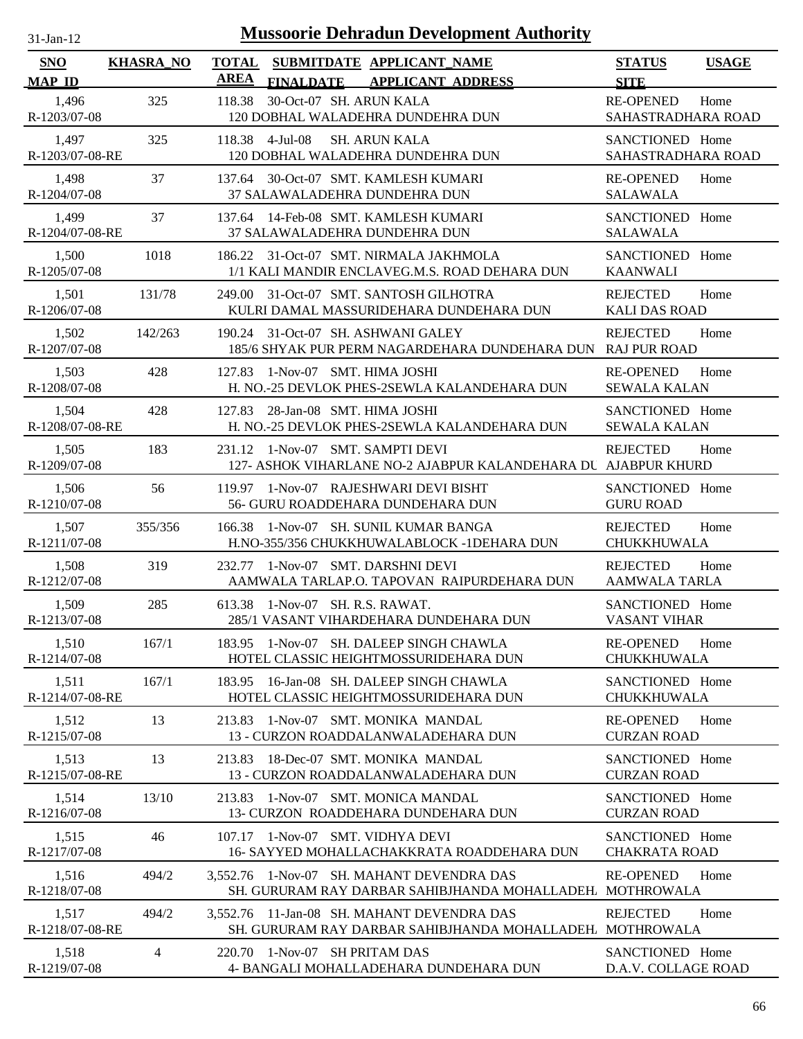| $31$ -Jan-12                |                  | <b>Mussoorie Dehradun Development Authority</b>                                                          |                                         |              |
|-----------------------------|------------------|----------------------------------------------------------------------------------------------------------|-----------------------------------------|--------------|
| <b>SNO</b><br><b>MAP ID</b> | <b>KHASRA_NO</b> | <b>TOTAL</b><br>SUBMITDATE APPLICANT NAME<br><b>AREA</b><br><b>APPLICANT ADDRESS</b><br><b>FINALDATE</b> | <b>STATUS</b><br><b>SITE</b>            | <b>USAGE</b> |
| 1,496<br>R-1203/07-08       | 325              | 30-Oct-07 SH. ARUN KALA<br>118.38<br>120 DOBHAL WALADEHRA DUNDEHRA DUN                                   | <b>RE-OPENED</b><br>SAHASTRADHARA ROAD  | Home         |
| 1,497<br>R-1203/07-08-RE    | 325              | 118.38 4-Jul-08<br><b>SH. ARUN KALA</b><br>120 DOBHAL WALADEHRA DUNDEHRA DUN                             | SANCTIONED Home<br>SAHASTRADHARA ROAD   |              |
| 1,498<br>R-1204/07-08       | 37               | 30-Oct-07 SMT. KAMLESH KUMARI<br>137.64<br>37 SALAWALADEHRA DUNDEHRA DUN                                 | <b>RE-OPENED</b><br><b>SALAWALA</b>     | Home         |
| 1,499<br>R-1204/07-08-RE    | 37               | 14-Feb-08 SMT. KAMLESH KUMARI<br>137.64<br>37 SALAWALADEHRA DUNDEHRA DUN                                 | SANCTIONED Home<br><b>SALAWALA</b>      |              |
| 1,500<br>R-1205/07-08       | 1018             | 186.22 31-Oct-07 SMT. NIRMALA JAKHMOLA<br>1/1 KALI MANDIR ENCLAVEG.M.S. ROAD DEHARA DUN                  | SANCTIONED Home<br><b>KAANWALI</b>      |              |
| 1,501<br>R-1206/07-08       | 131/78           | 31-Oct-07 SMT, SANTOSH GILHOTRA<br>249.00<br>KULRI DAMAL MASSURIDEHARA DUNDEHARA DUN                     | <b>REJECTED</b><br><b>KALI DAS ROAD</b> | Home         |
| 1,502<br>R-1207/07-08       | 142/263          | 31-Oct-07 SH, ASHWANI GALEY<br>190.24<br>185/6 SHYAK PUR PERM NAGARDEHARA DUNDEHARA DUN                  | <b>REJECTED</b><br><b>RAJ PUR ROAD</b>  | Home         |
| 1,503<br>R-1208/07-08       | 428              | 1-Nov-07 SMT. HIMA JOSHI<br>127.83<br>H. NO.-25 DEVLOK PHES-2SEWLA KALANDEHARA DUN                       | <b>RE-OPENED</b><br><b>SEWALA KALAN</b> | Home         |
| 1,504<br>R-1208/07-08-RE    | 428              | 28-Jan-08 SMT. HIMA JOSHI<br>127.83<br>H. NO.-25 DEVLOK PHES-2SEWLA KALANDEHARA DUN                      | SANCTIONED Home<br><b>SEWALA KALAN</b>  |              |
| 1,505<br>R-1209/07-08       | 183              | 1-Nov-07 SMT. SAMPTI DEVI<br>231.12<br>127- ASHOK VIHARLANE NO-2 AJABPUR KALANDEHARA DU AJABPUR KHURD    | <b>REJECTED</b>                         | Home         |
| 1,506<br>R-1210/07-08       | 56               | 119.97 1-Nov-07 RAJESHWARI DEVI BISHT<br>56- GURU ROADDEHARA DUNDEHARA DUN                               | SANCTIONED Home<br><b>GURU ROAD</b>     |              |
| 1,507<br>R-1211/07-08       | 355/356          | 1-Nov-07 SH. SUNIL KUMAR BANGA<br>166.38<br>H.NO-355/356 CHUKKHUWALABLOCK -1DEHARA DUN                   | <b>REJECTED</b><br>CHUKKHUWALA          | Home         |
| 1,508<br>R-1212/07-08       | 319              | 1-Nov-07 SMT. DARSHNI DEVI<br>232.77<br>AAMWALA TARLAP.O. TAPOVAN RAIPURDEHARA DUN                       | <b>REJECTED</b><br><b>AAMWALA TARLA</b> | Home         |
| 1,509<br>R-1213/07-08       | 285              | 613.38 1-Nov-07 SH. R.S. RAWAT.<br>285/1 VASANT VIHARDEHARA DUNDEHARA DUN                                | SANCTIONED Home<br><b>VASANT VIHAR</b>  |              |
| 1,510<br>R-1214/07-08       | 167/1            | 1-Nov-07 SH. DALEEP SINGH CHAWLA<br>183.95<br>HOTEL CLASSIC HEIGHTMOSSURIDEHARA DUN                      | <b>RE-OPENED</b><br>CHUKKHUWALA         | Home         |
| 1,511<br>R-1214/07-08-RE    | 167/1            | 16-Jan-08 SH. DALEEP SINGH CHAWLA<br>183.95<br>HOTEL CLASSIC HEIGHTMOSSURIDEHARA DUN                     | SANCTIONED Home<br>CHUKKHUWALA          |              |
| 1,512<br>R-1215/07-08       | 13               | 1-Nov-07 SMT. MONIKA MANDAL<br>213.83<br>13 - CURZON ROADDALANWALADEHARA DUN                             | <b>RE-OPENED</b><br><b>CURZAN ROAD</b>  | Home         |
| 1,513<br>R-1215/07-08-RE    | 13               | 18-Dec-07 SMT. MONIKA MANDAL<br>213.83<br>13 - CURZON ROADDALANWALADEHARA DUN                            | SANCTIONED Home<br><b>CURZAN ROAD</b>   |              |
| 1,514<br>R-1216/07-08       | 13/10            | 1-Nov-07 SMT, MONICA MANDAL<br>213.83<br>13- CURZON ROADDEHARA DUNDEHARA DUN                             | SANCTIONED Home<br><b>CURZAN ROAD</b>   |              |
| 1,515<br>R-1217/07-08       | 46               | 107.17 1-Nov-07 SMT. VIDHYA DEVI<br>16- SAYYED MOHALLACHAKKRATA ROADDEHARA DUN                           | SANCTIONED Home<br><b>CHAKRATA ROAD</b> |              |
| 1,516<br>R-1218/07-08       | 494/2            | 3,552.76 1-Nov-07 SH. MAHANT DEVENDRA DAS<br>SH. GURURAM RAY DARBAR SAHIBJHANDA MOHALLADEH. MOTHROWALA   | <b>RE-OPENED</b>                        | Home         |
| 1,517<br>R-1218/07-08-RE    | 494/2            | 3,552.76 11-Jan-08 SH. MAHANT DEVENDRA DAS<br>SH. GURURAM RAY DARBAR SAHIBJHANDA MOHALLADEH.             | <b>REJECTED</b><br><b>MOTHROWALA</b>    | Home         |
| 1,518<br>R-1219/07-08       | $\overline{4}$   | 220.70 1-Nov-07 SH PRITAM DAS<br>4- BANGALI MOHALLADEHARA DUNDEHARA DUN                                  | SANCTIONED Home<br>D.A.V. COLLAGE ROAD  |              |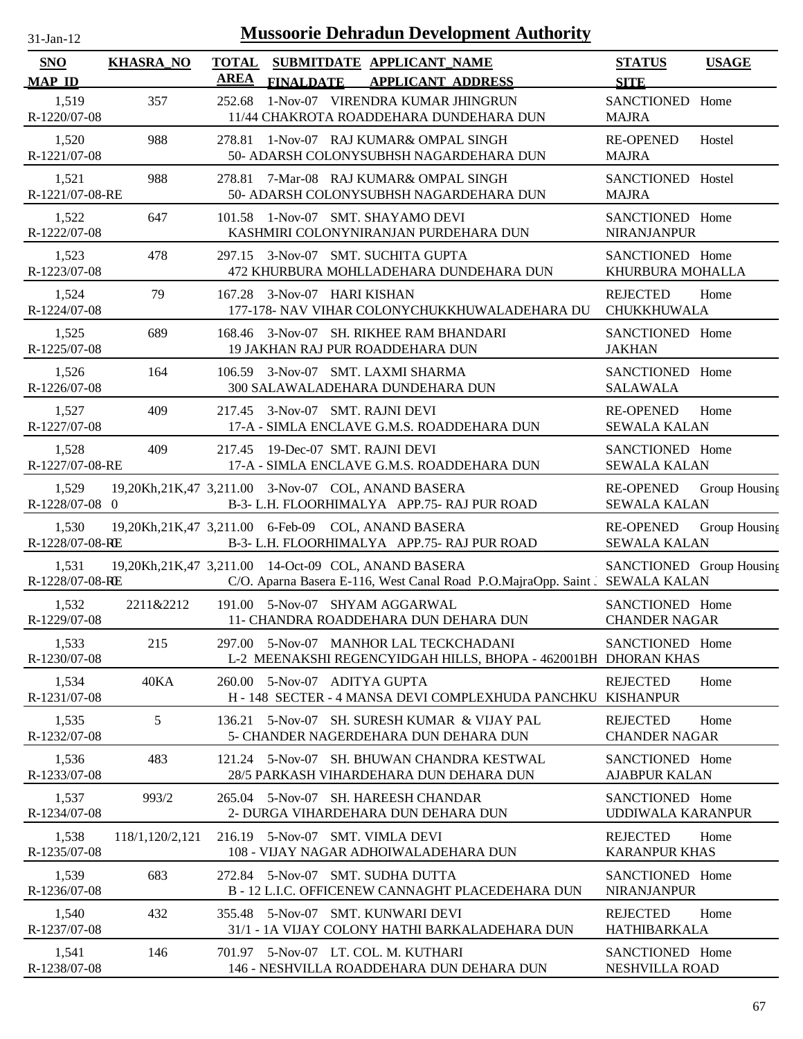| $31$ -Jan-12 |  |
|--------------|--|

| <b>SNO</b><br><b>MAP ID</b> | <b>KHASRA_NO</b> | <b>TOTAL</b><br><b>AREA</b> | <b>FINALDATE</b>                                    | SUBMITDATE APPLICANT_NAME<br><b>APPLICANT ADDRESS</b>                                                    | <b>STATUS</b><br><b>SITE</b>            | <b>USAGE</b>  |
|-----------------------------|------------------|-----------------------------|-----------------------------------------------------|----------------------------------------------------------------------------------------------------------|-----------------------------------------|---------------|
| 1,519<br>R-1220/07-08       | 357              | 252.68                      |                                                     | 1-Nov-07 VIRENDRA KUMAR JHINGRUN<br>11/44 CHAKROTA ROADDEHARA DUNDEHARA DUN                              | SANCTIONED Home<br><b>MAJRA</b>         |               |
| 1,520<br>R-1221/07-08       | 988              | 278.81                      |                                                     | 1-Nov-07 RAJ KUMAR& OMPAL SINGH<br>50- ADARSH COLONYSUBHSH NAGARDEHARA DUN                               | <b>RE-OPENED</b><br><b>MAJRA</b>        | Hostel        |
| 1,521<br>R-1221/07-08-RE    | 988              |                             |                                                     | 278.81 7-Mar-08 RAJ KUMAR& OMPAL SINGH<br>50- ADARSH COLONYSUBHSH NAGARDEHARA DUN                        | SANCTIONED Hostel<br><b>MAJRA</b>       |               |
| 1,522<br>R-1222/07-08       | 647              |                             | 101.58 1-Nov-07 SMT. SHAYAMO DEVI                   | KASHMIRI COLONYNIRANJAN PURDEHARA DUN                                                                    | SANCTIONED Home<br>NIRANJANPUR          |               |
| 1,523<br>R-1223/07-08       | 478              |                             | 297.15 3-Nov-07 SMT. SUCHITA GUPTA                  | 472 KHURBURA MOHLLADEHARA DUNDEHARA DUN                                                                  | SANCTIONED Home<br>KHURBURA MOHALLA     |               |
| 1,524<br>R-1224/07-08       | 79               |                             | 167.28 3-Nov-07 HARI KISHAN                         | 177-178- NAV VIHAR COLONYCHUKKHUWALADEHARA DU                                                            | <b>REJECTED</b><br>CHUKKHUWALA          | Home          |
| 1,525<br>R-1225/07-08       | 689              | 168.46                      | 19 JAKHAN RAJ PUR ROADDEHARA DUN                    | 3-Nov-07 SH. RIKHEE RAM BHANDARI                                                                         | SANCTIONED Home<br><b>JAKHAN</b>        |               |
| 1,526<br>R-1226/07-08       | 164              |                             | 106.59 3-Nov-07 SMT. LAXMI SHARMA                   | 300 SALAWALADEHARA DUNDEHARA DUN                                                                         | SANCTIONED Home<br><b>SALAWALA</b>      |               |
| 1,527<br>R-1227/07-08       | 409              |                             | 217.45 3-Nov-07 SMT. RAJNI DEVI                     | 17-A - SIMLA ENCLAVE G.M.S. ROADDEHARA DUN                                                               | <b>RE-OPENED</b><br><b>SEWALA KALAN</b> | Home          |
| 1,528<br>R-1227/07-08-RE    | 409              | 217.45                      | 19-Dec-07 SMT. RAJNI DEVI                           | 17-A - SIMLA ENCLAVE G.M.S. ROADDEHARA DUN                                                               | SANCTIONED Home<br><b>SEWALA KALAN</b>  |               |
| 1,529<br>R-1228/07-08 0     |                  |                             | 19,20Kh,21K,47 3,211.00 3-Nov-07 COL, ANAND BASERA  | B-3-L.H. FLOORHIMALYA APP.75-RAJ PUR ROAD                                                                | <b>RE-OPENED</b><br><b>SEWALA KALAN</b> | Group Housing |
| 1,530<br>R-1228/07-08-RE    |                  |                             | 19,20Kh,21K,47 3,211.00 6-Feb-09 COL, ANAND BASERA  | B-3-L.H. FLOORHIMALYA APP.75-RAJ PUR ROAD                                                                | <b>RE-OPENED</b><br><b>SEWALA KALAN</b> | Group Housing |
| 1,531<br>R-1228/07-08-RE    |                  |                             | 19,20Kh,21K,47 3,211.00 14-Oct-09 COL, ANAND BASERA | C/O. Aparna Basera E-116, West Canal Road P.O.MajraOpp. Saint J SEWALA KALAN                             | SANCTIONED Group Housing                |               |
| 1,532<br>R-1229/07-08       | 2211&2212        |                             | 191.00 5-Nov-07 SHYAM AGGARWAL                      | 11- CHANDRA ROADDEHARA DUN DEHARA DUN                                                                    | SANCTIONED Home<br><b>CHANDER NAGAR</b> |               |
| 1,533<br>R-1230/07-08       | 215              |                             |                                                     | 297.00 5-Nov-07 MANHOR LAL TECKCHADANI<br>L-2 MEENAKSHI REGENCYIDGAH HILLS, BHOPA - 462001BH DHORAN KHAS | SANCTIONED Home                         |               |
| 1,534<br>R-1231/07-08       | 40KA             |                             | 260.00 5-Nov-07 ADITYA GUPTA                        | H - 148 SECTER - 4 MANSA DEVI COMPLEXHUDA PANCHKU                                                        | <b>REJECTED</b><br><b>KISHANPUR</b>     | Home          |
| 1,535<br>R-1232/07-08       | 5                | 136.21                      |                                                     | 5-Nov-07 SH. SURESH KUMAR & VIJAY PAL<br>5- CHANDER NAGERDEHARA DUN DEHARA DUN                           | <b>REJECTED</b><br><b>CHANDER NAGAR</b> | Home          |
| 1,536<br>R-1233/07-08       | 483              |                             |                                                     | 121.24 5-Nov-07 SH. BHUWAN CHANDRA KESTWAL<br>28/5 PARKASH VIHARDEHARA DUN DEHARA DUN                    | SANCTIONED Home<br><b>AJABPUR KALAN</b> |               |
| 1,537<br>R-1234/07-08       | 993/2            | 265.04                      | 5-Nov-07 SH. HAREESH CHANDAR                        | 2- DURGA VIHARDEHARA DUN DEHARA DUN                                                                      | SANCTIONED Home<br>UDDIWALA KARANPUR    |               |
| 1,538<br>R-1235/07-08       | 118/1,120/2,121  |                             | 216.19 5-Nov-07 SMT. VIMLA DEVI                     | 108 - VIJAY NAGAR ADHOIWALADEHARA DUN                                                                    | <b>REJECTED</b><br><b>KARANPUR KHAS</b> | Home          |
| 1,539<br>R-1236/07-08       | 683              |                             | 272.84 5-Nov-07 SMT. SUDHA DUTTA                    | B - 12 L.I.C. OFFICENEW CANNAGHT PLACEDEHARA DUN                                                         | SANCTIONED Home<br><b>NIRANJANPUR</b>   |               |
| 1,540<br>R-1237/07-08       | 432              |                             | 355.48 5-Nov-07 SMT. KUNWARI DEVI                   | 31/1 - 1A VIJAY COLONY HATHI BARKALADEHARA DUN                                                           | <b>REJECTED</b><br>HATHIBARKALA         | Home          |
| 1,541<br>R-1238/07-08       | 146              |                             | 701.97 5-Nov-07 LT. COL. M. KUTHARI                 | 146 - NESHVILLA ROADDEHARA DUN DEHARA DUN                                                                | SANCTIONED Home<br>NESHVILLA ROAD       |               |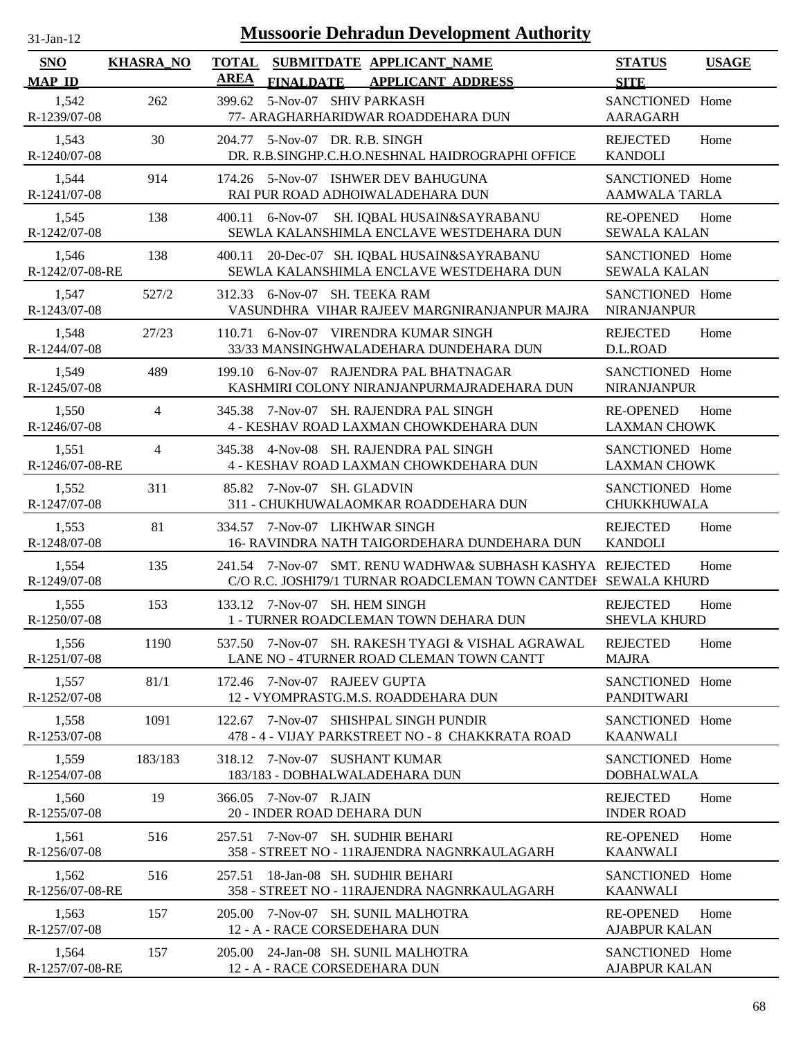| $31-Jan-12$                 |                  |                             | <b>Mussoorie Dehradun Development Authority</b>                                                                             |                                          |              |
|-----------------------------|------------------|-----------------------------|-----------------------------------------------------------------------------------------------------------------------------|------------------------------------------|--------------|
| <b>SNO</b><br><b>MAP ID</b> | <b>KHASRA_NO</b> | <b>TOTAL</b><br><b>AREA</b> | SUBMITDATE APPLICANT NAME<br><b>FINALDATE</b><br><b>APPLICANT ADDRESS</b>                                                   | <b>STATUS</b><br><b>SITE</b>             | <b>USAGE</b> |
| 1.542<br>R-1239/07-08       | 262              | 399.62                      | 5-Nov-07 SHIV PARKASH<br>77- ARAGHARHARIDWAR ROADDEHARA DUN                                                                 | SANCTIONED Home<br><b>AARAGARH</b>       |              |
| 1,543<br>R-1240/07-08       | 30               | 204.77                      | 5-Nov-07 DR. R.B. SINGH<br>DR. R.B.SINGHP.C.H.O.NESHNAL HAIDROGRAPHI OFFICE                                                 | <b>REJECTED</b><br><b>KANDOLI</b>        | Home         |
| 1,544<br>R-1241/07-08       | 914              |                             | 174.26 5-Nov-07 ISHWER DEV BAHUGUNA<br>RAI PUR ROAD ADHOIWALADEHARA DUN                                                     | SANCTIONED Home<br><b>AAMWALA TARLA</b>  |              |
| 1,545<br>R-1242/07-08       | 138              | 400.11                      | $6-Nov-07$<br>SH. IQBAL HUSAIN&SAYRABANU<br>SEWLA KALANSHIMLA ENCLAVE WESTDEHARA DUN                                        | <b>RE-OPENED</b><br><b>SEWALA KALAN</b>  | Home         |
| 1,546<br>R-1242/07-08-RE    | 138              | 400.11                      | 20-Dec-07 SH. IQBAL HUSAIN&SAYRABANU<br>SEWLA KALANSHIMLA ENCLAVE WESTDEHARA DUN                                            | SANCTIONED Home<br><b>SEWALA KALAN</b>   |              |
| 1,547<br>R-1243/07-08       | 527/2            | 312.33                      | 6-Nov-07 SH. TEEKA RAM<br>VASUNDHRA VIHAR RAJEEV MARGNIRANJANPUR MAJRA                                                      | SANCTIONED Home<br><b>NIRANJANPUR</b>    |              |
| 1,548<br>R-1244/07-08       | 27/23            | 110.71                      | 6-Nov-07 VIRENDRA KUMAR SINGH<br>33/33 MANSINGHWALADEHARA DUNDEHARA DUN                                                     | <b>REJECTED</b><br>D.L.ROAD              | Home         |
| 1,549<br>R-1245/07-08       | 489              | 199.10                      | 6-Nov-07 RAJENDRA PAL BHATNAGAR<br>KASHMIRI COLONY NIRANJANPURMAJRADEHARA DUN                                               | SANCTIONED Home<br><b>NIRANJANPUR</b>    |              |
| 1,550<br>R-1246/07-08       | 4                | 345.38                      | 7-Nov-07 SH. RAJENDRA PAL SINGH<br>4 - KESHAV ROAD LAXMAN CHOWKDEHARA DUN                                                   | <b>RE-OPENED</b><br><b>LAXMAN CHOWK</b>  | Home         |
| 1,551<br>R-1246/07-08-RE    | 4                | 345.38                      | 4-Nov-08 SH. RAJENDRA PAL SINGH<br>4 - KESHAV ROAD LAXMAN CHOWKDEHARA DUN                                                   | SANCTIONED Home<br><b>LAXMAN CHOWK</b>   |              |
| 1,552<br>R-1247/07-08       | 311              | 85.82                       | 7-Nov-07 SH. GLADVIN<br>311 - CHUKHUWALAOMKAR ROADDEHARA DUN                                                                | SANCTIONED Home<br>CHUKKHUWALA           |              |
| 1,553<br>R-1248/07-08       | 81               | 334.57                      | 7-Nov-07 LIKHWAR SINGH<br>16- RAVINDRA NATH TAIGORDEHARA DUNDEHARA DUN                                                      | <b>REJECTED</b><br><b>KANDOLI</b>        | Home         |
| 1,554<br>R-1249/07-08       | 135              |                             | 241.54 7-Nov-07 SMT. RENU WADHWA& SUBHASH KASHYA REJECTED<br>C/O R.C. JOSHI79/1 TURNAR ROADCLEMAN TOWN CANTDEI SEWALA KHURD |                                          | Home         |
| 1,555<br>R-1250/07-08       | 153              |                             | 133.12 7-Nov-07 SH. HEM SINGH<br>1 - TURNER ROADCLEMAN TOWN DEHARA DUN                                                      | <b>REJECTED</b><br><b>SHEVLA KHURD</b>   | Home         |
| 1,556<br>R-1251/07-08       | 1190             |                             | 537.50 7-Nov-07 SH. RAKESH TYAGI & VISHAL AGRAWAL<br>LANE NO - 4TURNER ROAD CLEMAN TOWN CANTT                               | <b>REJECTED</b><br><b>MAJRA</b>          | Home         |
| 1,557<br>R-1252/07-08       | 81/1             |                             | 172.46 7-Nov-07 RAJEEV GUPTA<br>12 - VYOMPRASTG.M.S. ROADDEHARA DUN                                                         | SANCTIONED Home<br><b>PANDITWARI</b>     |              |
| 1,558<br>R-1253/07-08       | 1091             | 122.67                      | 7-Nov-07 SHISHPAL SINGH PUNDIR<br>478 - 4 - VIJAY PARKSTREET NO - 8 CHAKKRATA ROAD                                          | SANCTIONED Home<br><b>KAANWALI</b>       |              |
| 1,559<br>R-1254/07-08       | 183/183          |                             | 318.12 7-Nov-07 SUSHANT KUMAR<br>183/183 - DOBHALWALADEHARA DUN                                                             | SANCTIONED Home<br><b>DOBHALWALA</b>     |              |
| 1,560<br>R-1255/07-08       | 19               |                             | 366.05 7-Nov-07 R.JAIN<br>20 - INDER ROAD DEHARA DUN                                                                        | <b>REJECTED</b><br><b>INDER ROAD</b>     | Home         |
| 1,561<br>R-1256/07-08       | 516              |                             | 257.51 7-Nov-07 SH. SUDHIR BEHARI<br>358 - STREET NO - 11RAJENDRA NAGNRKAULAGARH                                            | <b>RE-OPENED</b><br><b>KAANWALI</b>      | Home         |
| 1,562<br>R-1256/07-08-RE    | 516              | 257.51                      | 18-Jan-08 SH. SUDHIR BEHARI<br>358 - STREET NO - 11RAJENDRA NAGNRKAULAGARH                                                  | SANCTIONED Home<br><b>KAANWALI</b>       |              |
| 1,563<br>R-1257/07-08       | 157              | 205.00                      | 7-Nov-07 SH. SUNIL MALHOTRA<br>12 - A - RACE CORSEDEHARA DUN                                                                | <b>RE-OPENED</b><br><b>AJABPUR KALAN</b> | Home         |
| 1,564<br>R-1257/07-08-RE    | 157              | 205.00                      | 24-Jan-08 SH. SUNIL MALHOTRA<br>12 - A - RACE CORSEDEHARA DUN                                                               | SANCTIONED Home<br><b>AJABPUR KALAN</b>  |              |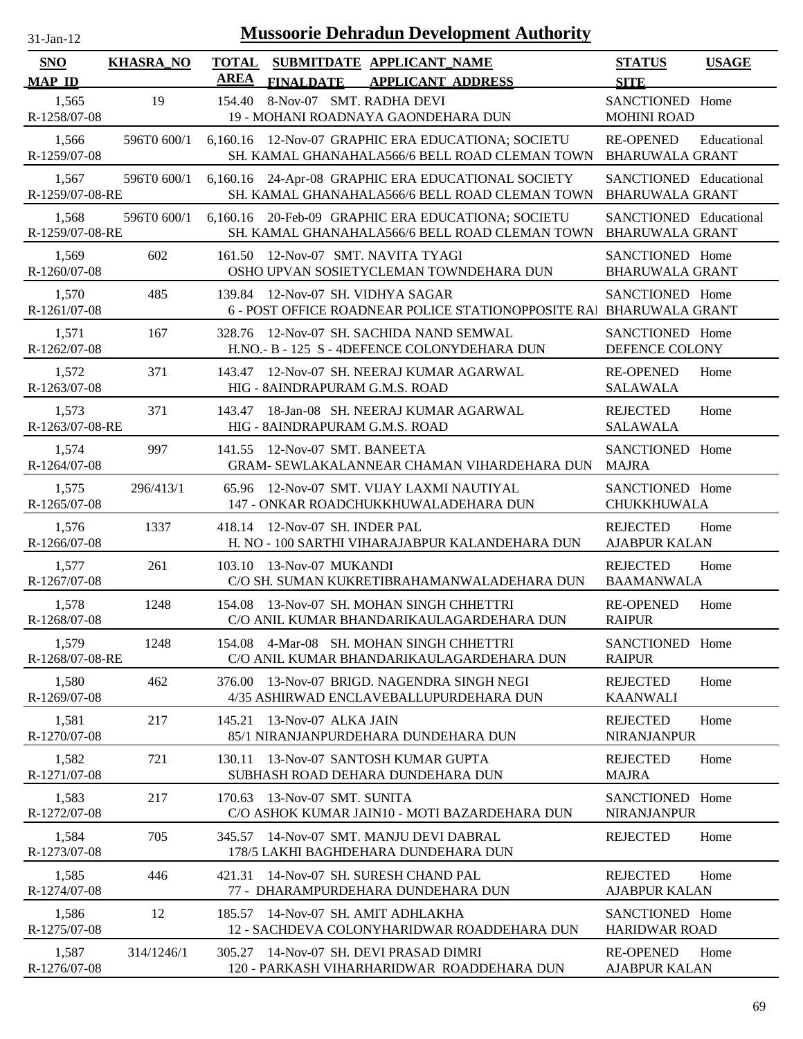| $31$ -Jan-12 |  |
|--------------|--|
|              |  |

| <b>SNO</b>               | <b>KHASRA NO</b> | <b>TOTAL</b><br><b>AREA</b> |                                    | SUBMITDATE APPLICANT_NAME                                                                            | <b>STATUS</b>                                    | <b>USAGE</b> |
|--------------------------|------------------|-----------------------------|------------------------------------|------------------------------------------------------------------------------------------------------|--------------------------------------------------|--------------|
| <b>MAP ID</b>            |                  |                             | <b>FINALDATE</b>                   | <b>APPLICANT ADDRESS</b>                                                                             | <b>SITE</b>                                      |              |
| 1,565<br>R-1258/07-08    | 19               | 154.40                      | 8-Nov-07 SMT. RADHA DEVI           | 19 - MOHANI ROADNAYA GAONDEHARA DUN                                                                  | SANCTIONED Home<br><b>MOHINI ROAD</b>            |              |
| 1,566<br>R-1259/07-08    | 596T0 600/1      |                             |                                    | 6,160.16 12-Nov-07 GRAPHIC ERA EDUCATIONA; SOCIETU<br>SH. KAMAL GHANAHALA566/6 BELL ROAD CLEMAN TOWN | <b>RE-OPENED</b><br><b>BHARUWALA GRANT</b>       | Educational  |
| 1,567<br>R-1259/07-08-RE | 596T0 600/1      |                             |                                    | 6,160.16 24-Apr-08 GRAPHIC ERA EDUCATIONAL SOCIETY<br>SH. KAMAL GHANAHALA566/6 BELL ROAD CLEMAN TOWN | SANCTIONED Educational<br><b>BHARUWALA GRANT</b> |              |
| 1,568<br>R-1259/07-08-RE | 596T0 600/1      | 6,160.16                    |                                    | 20-Feb-09 GRAPHIC ERA EDUCATIONA; SOCIETU<br>SH. KAMAL GHANAHALA566/6 BELL ROAD CLEMAN TOWN          | SANCTIONED Educational<br><b>BHARUWALA GRANT</b> |              |
| 1,569<br>R-1260/07-08    | 602              | 161.50                      | 12-Nov-07 SMT. NAVITA TYAGI        | OSHO UPVAN SOSIETYCLEMAN TOWNDEHARA DUN                                                              | SANCTIONED Home<br><b>BHARUWALA GRANT</b>        |              |
| 1,570<br>R-1261/07-08    | 485              | 139.84                      | 12-Nov-07 SH. VIDHYA SAGAR         | 6 - POST OFFICE ROADNEAR POLICE STATIONOPPOSITE RAJ BHARUWALA GRANT                                  | SANCTIONED Home                                  |              |
| 1,571<br>R-1262/07-08    | 167              | 328.76                      |                                    | 12-Nov-07 SH. SACHIDA NAND SEMWAL<br>H.NO.- B - 125 S - 4DEFENCE COLONYDEHARA DUN                    | SANCTIONED Home<br>DEFENCE COLONY                |              |
| 1,572<br>R-1263/07-08    | 371              | 143.47                      | HIG - 8AINDRAPURAM G.M.S. ROAD     | 12-Nov-07 SH, NEERAJ KUMAR AGARWAL                                                                   | <b>RE-OPENED</b><br><b>SALAWALA</b>              | Home         |
| 1,573<br>R-1263/07-08-RE | 371              | 143.47                      | HIG - 8AINDRAPURAM G.M.S. ROAD     | 18-Jan-08 SH. NEERAJ KUMAR AGARWAL                                                                   | <b>REJECTED</b><br><b>SALAWALA</b>               | Home         |
| 1,574<br>R-1264/07-08    | 997              | 141.55                      | 12-Nov-07 SMT, BANEETA             | GRAM- SEWLAKALANNEAR CHAMAN VIHARDEHARA DUN                                                          | SANCTIONED Home<br><b>MAJRA</b>                  |              |
| 1,575<br>R-1265/07-08    | 296/413/1        | 65.96                       |                                    | 12-Nov-07 SMT. VIJAY LAXMI NAUTIYAL<br>147 - ONKAR ROADCHUKKHUWALADEHARA DUN                         | SANCTIONED Home<br>CHUKKHUWALA                   |              |
| 1,576<br>R-1266/07-08    | 1337             |                             | 418.14 12-Nov-07 SH. INDER PAL     | H. NO - 100 SARTHI VIHARAJABPUR KALANDEHARA DUN                                                      | <b>REJECTED</b><br><b>AJABPUR KALAN</b>          | Home         |
| 1,577<br>R-1267/07-08    | 261              | 103.10                      | 13-Nov-07 MUKANDI                  | C/O SH. SUMAN KUKRETIBRAHAMANWALADEHARA DUN                                                          | <b>REJECTED</b><br><b>BAAMANWALA</b>             | Home         |
| 1,578<br>R-1268/07-08    | 1248             |                             |                                    | 154.08 13-Nov-07 SH. MOHAN SINGH CHHETTRI<br>C/O ANIL KUMAR BHANDARIKAULAGARDEHARA DUN               | <b>RE-OPENED</b><br><b>RAIPUR</b>                | Home         |
| 1,579<br>R-1268/07-08-RE | 1248             |                             |                                    | 154.08 4-Mar-08 SH. MOHAN SINGH CHHETTRI<br>C/O ANIL KUMAR BHANDARIKAULAGARDEHARA DUN                | SANCTIONED Home<br><b>RAIPUR</b>                 |              |
| 1,580<br>R-1269/07-08    | 462              | 376.00                      |                                    | 13-Nov-07 BRIGD. NAGENDRA SINGH NEGI<br>4/35 ASHIRWAD ENCLAVEBALLUPURDEHARA DUN                      | <b>REJECTED</b><br><b>KAANWALI</b>               | Home         |
| 1,581<br>R-1270/07-08    | 217              | 145.21                      | 13-Nov-07 ALKA JAIN                | 85/1 NIRANJANPURDEHARA DUNDEHARA DUN                                                                 | <b>REJECTED</b><br>NIRANJANPUR                   | Home         |
| 1,582<br>R-1271/07-08    | 721              | 130.11                      |                                    | 13-Nov-07 SANTOSH KUMAR GUPTA<br>SUBHASH ROAD DEHARA DUNDEHARA DUN                                   | <b>REJECTED</b><br><b>MAJRA</b>                  | Home         |
| 1,583<br>R-1272/07-08    | 217              | 170.63                      | 13-Nov-07 SMT, SUNITA              | C/O ASHOK KUMAR JAIN10 - MOTI BAZARDEHARA DUN                                                        | SANCTIONED Home<br><b>NIRANJANPUR</b>            |              |
| 1,584<br>R-1273/07-08    | 705              | 345.57                      |                                    | 14-Nov-07 SMT. MANJU DEVI DABRAL<br>178/5 LAKHI BAGHDEHARA DUNDEHARA DUN                             | <b>REJECTED</b>                                  | Home         |
| 1,585<br>R-1274/07-08    | 446              |                             |                                    | 421.31 14-Nov-07 SH. SURESH CHAND PAL<br>77 - DHARAMPURDEHARA DUNDEHARA DUN                          | <b>REJECTED</b><br><b>AJABPUR KALAN</b>          | Home         |
| 1,586<br>R-1275/07-08    | 12               |                             | 185.57 14-Nov-07 SH. AMIT ADHLAKHA | 12 - SACHDEVA COLONYHARIDWAR ROADDEHARA DUN                                                          | SANCTIONED Home<br><b>HARIDWAR ROAD</b>          |              |
| 1,587<br>R-1276/07-08    | 314/1246/1       |                             |                                    | 305.27 14-Nov-07 SH. DEVI PRASAD DIMRI<br>120 - PARKASH VIHARHARIDWAR ROADDEHARA DUN                 | <b>RE-OPENED</b><br><b>AJABPUR KALAN</b>         | Home         |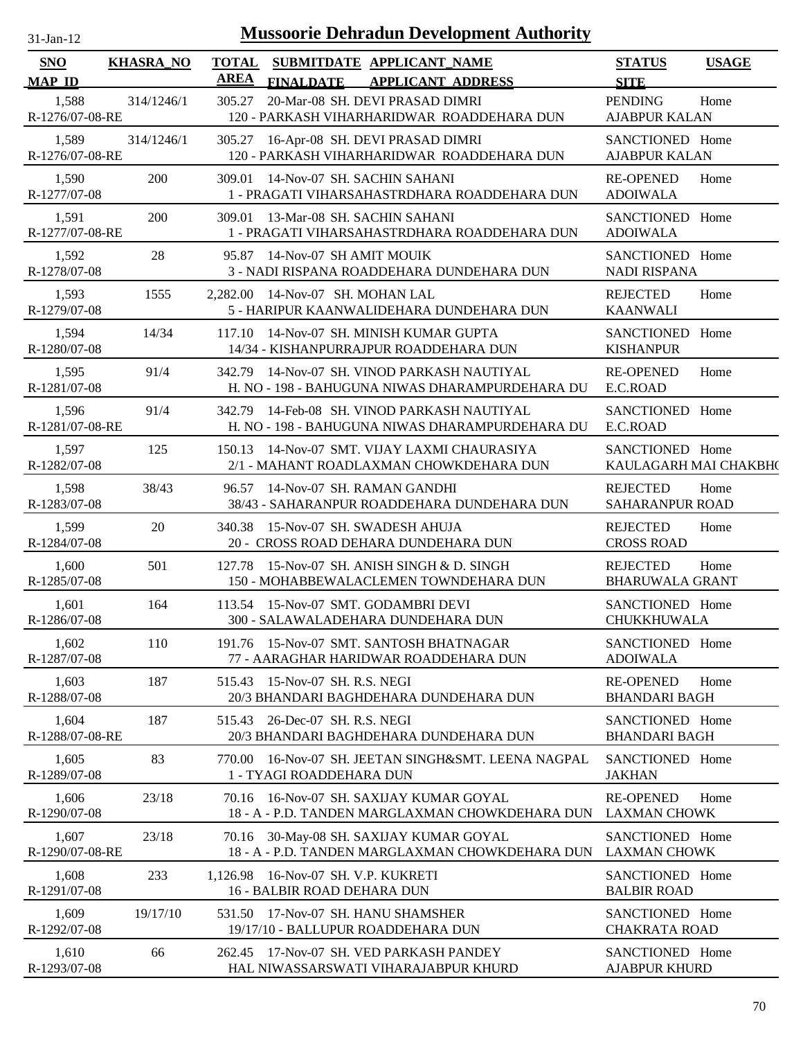| 31-Jan-12 |  |
|-----------|--|
|           |  |

| <b>SNO</b><br><b>MAP ID</b> | <b>KHASRA_NO</b> | <b>TOTAL</b><br><b>AREA</b> | <b>FINALDATE</b>                                                   | SUBMITDATE APPLICANT NAME<br><b>APPLICANT ADDRESS</b>                                          | <b>STATUS</b><br><b>SITE</b>              | <b>USAGE</b> |
|-----------------------------|------------------|-----------------------------|--------------------------------------------------------------------|------------------------------------------------------------------------------------------------|-------------------------------------------|--------------|
| 1,588<br>R-1276/07-08-RE    | 314/1246/1       | 305.27                      |                                                                    | 20-Mar-08 SH. DEVI PRASAD DIMRI<br>120 - PARKASH VIHARHARIDWAR ROADDEHARA DUN                  | <b>PENDING</b><br><b>AJABPUR KALAN</b>    | Home         |
| 1,589<br>R-1276/07-08-RE    | 314/1246/1       | 305.27                      |                                                                    | 16-Apr-08 SH. DEVI PRASAD DIMRI<br>120 - PARKASH VIHARHARIDWAR ROADDEHARA DUN                  | SANCTIONED Home<br><b>AJABPUR KALAN</b>   |              |
| 1,590<br>R-1277/07-08       | 200              | 309.01                      | 14-Nov-07 SH. SACHIN SAHANI                                        | 1 - PRAGATI VIHARSAHASTRDHARA ROADDEHARA DUN                                                   | <b>RE-OPENED</b><br><b>ADOIWALA</b>       | Home         |
| 1,591<br>R-1277/07-08-RE    | 200              |                             | 309.01 13-Mar-08 SH. SACHIN SAHANI                                 | 1 - PRAGATI VIHARSAHASTRDHARA ROADDEHARA DUN                                                   | SANCTIONED Home<br><b>ADOIWALA</b>        |              |
| 1,592<br>R-1278/07-08       | 28               |                             | 95.87 14-Nov-07 SH AMIT MOUIK                                      | 3 - NADI RISPANA ROADDEHARA DUNDEHARA DUN                                                      | SANCTIONED Home<br><b>NADI RISPANA</b>    |              |
| 1,593<br>R-1279/07-08       | 1555             |                             | 2,282.00 14-Nov-07 SH. MOHAN LAL                                   | 5 - HARIPUR KAANWALIDEHARA DUNDEHARA DUN                                                       | <b>REJECTED</b><br><b>KAANWALI</b>        | Home         |
| 1,594<br>R-1280/07-08       | 14/34            | 117.10                      |                                                                    | 14-Nov-07 SH. MINISH KUMAR GUPTA<br>14/34 - KISHANPURRAJPUR ROADDEHARA DUN                     | SANCTIONED Home<br><b>KISHANPUR</b>       |              |
| 1,595<br>R-1281/07-08       | 91/4             |                             |                                                                    | 342.79 14-Nov-07 SH. VINOD PARKASH NAUTIYAL<br>H. NO - 198 - BAHUGUNA NIWAS DHARAMPURDEHARA DU | <b>RE-OPENED</b><br>E.C.ROAD              | Home         |
| 1,596<br>R-1281/07-08-RE    | 91/4             |                             |                                                                    | 342.79 14-Feb-08 SH. VINOD PARKASH NAUTIYAL<br>H. NO - 198 - BAHUGUNA NIWAS DHARAMPURDEHARA DU | SANCTIONED Home<br>E.C.ROAD               |              |
| 1,597<br>R-1282/07-08       | 125              |                             |                                                                    | 150.13 14-Nov-07 SMT. VIJAY LAXMI CHAURASIYA<br>2/1 - MAHANT ROADLAXMAN CHOWKDEHARA DUN        | SANCTIONED Home<br>KAULAGARH MAI CHAKBH(  |              |
| 1,598<br>R-1283/07-08       | 38/43            |                             | 96.57 14-Nov-07 SH, RAMAN GANDHI                                   | 38/43 - SAHARANPUR ROADDEHARA DUNDEHARA DUN                                                    | <b>REJECTED</b><br><b>SAHARANPUR ROAD</b> | Home         |
| 1,599<br>R-1284/07-08       | 20               | 340.38                      |                                                                    | 15-Nov-07 SH. SWADESH AHUJA<br>20 - CROSS ROAD DEHARA DUNDEHARA DUN                            | <b>REJECTED</b><br><b>CROSS ROAD</b>      | Home         |
| 1,600<br>R-1285/07-08       | 501              | 127.78                      |                                                                    | 15-Nov-07 SH, ANISH SINGH & D. SINGH<br>150 - MOHABBEWALACLEMEN TOWNDEHARA DUN                 | <b>REJECTED</b><br><b>BHARUWALA GRANT</b> | Home         |
| 1,601<br>R-1286/07-08       | 164              |                             |                                                                    | 113.54 15-Nov-07 SMT. GODAMBRI DEVI<br>300 - SALAWALADEHARA DUNDEHARA DUN                      | SANCTIONED Home<br><b>CHUKKHUWALA</b>     |              |
| 1,602<br>R-1287/07-08       | 110              |                             |                                                                    | 191.76 15-Nov-07 SMT. SANTOSH BHATNAGAR<br>77 - AARAGHAR HARIDWAR ROADDEHARA DUN               | SANCTIONED Home<br><b>ADOIWALA</b>        |              |
| 1,603<br>R-1288/07-08       | 187              |                             | 515.43 15-Nov-07 SH, R.S. NEGI                                     | 20/3 BHANDARI BAGHDEHARA DUNDEHARA DUN                                                         | <b>RE-OPENED</b><br><b>BHANDARI BAGH</b>  | Home         |
| 1,604<br>R-1288/07-08-RE    | 187              |                             | 515.43 26-Dec-07 SH. R.S. NEGI                                     | 20/3 BHANDARI BAGHDEHARA DUNDEHARA DUN                                                         | SANCTIONED Home<br><b>BHANDARI BAGH</b>   |              |
| 1,605<br>R-1289/07-08       | 83               |                             | 1 - TYAGI ROADDEHARA DUN                                           | 770.00 16-Nov-07 SH. JEETAN SINGH&SMT. LEENA NAGPAL                                            | SANCTIONED Home<br><b>JAKHAN</b>          |              |
| 1,606<br>R-1290/07-08       | 23/18            |                             |                                                                    | 70.16 16-Nov-07 SH. SAXIJAY KUMAR GOYAL<br>18 - A - P.D. TANDEN MARGLAXMAN CHOWKDEHARA DUN     | <b>RE-OPENED</b><br><b>LAXMAN CHOWK</b>   | Home         |
| 1,607<br>R-1290/07-08-RE    | 23/18            |                             |                                                                    | 70.16 30-May-08 SH. SAXIJAY KUMAR GOYAL<br>18 - A - P.D. TANDEN MARGLAXMAN CHOWKDEHARA DUN     | SANCTIONED Home<br><b>LAXMAN CHOWK</b>    |              |
| 1,608<br>R-1291/07-08       | 233              |                             | 1,126.98 16-Nov-07 SH. V.P. KUKRETI<br>16 - BALBIR ROAD DEHARA DUN |                                                                                                | SANCTIONED Home<br><b>BALBIR ROAD</b>     |              |
| 1,609<br>R-1292/07-08       | 19/17/10         |                             |                                                                    | 531.50 17-Nov-07 SH, HANU SHAMSHER<br>19/17/10 - BALLUPUR ROADDEHARA DUN                       | SANCTIONED Home<br><b>CHAKRATA ROAD</b>   |              |
| 1,610<br>R-1293/07-08       | 66               |                             |                                                                    | 262.45 17-Nov-07 SH. VED PARKASH PANDEY<br>HAL NIWASSARSWATI VIHARAJABPUR KHURD                | SANCTIONED Home<br><b>AJABPUR KHURD</b>   |              |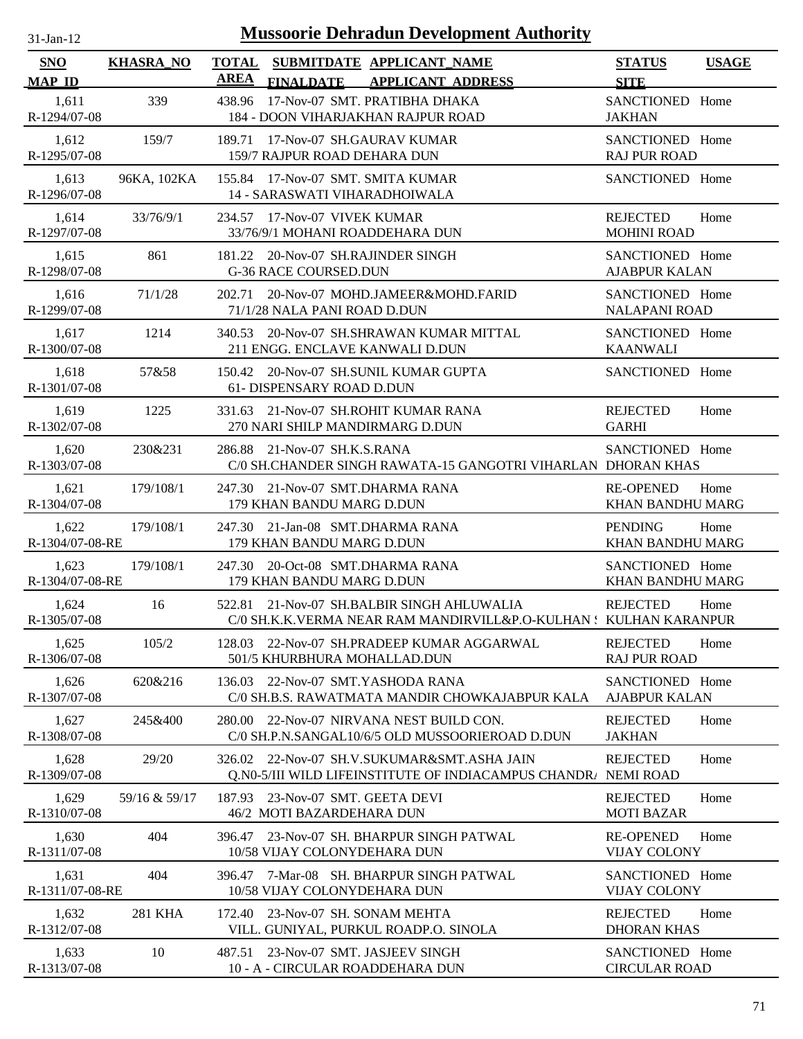| $31$ -Jan-12 |  |
|--------------|--|

| SNO                      | <b>KHASRA_NO</b> | <b>TOTAL</b> |                                                                           | SUBMITDATE APPLICANT_NAME                                                                                       | <b>STATUS</b>                           | <b>USAGE</b> |
|--------------------------|------------------|--------------|---------------------------------------------------------------------------|-----------------------------------------------------------------------------------------------------------------|-----------------------------------------|--------------|
| <b>MAP ID</b>            |                  | AREA         | <b>FINALDATE</b>                                                          | <b>APPLICANT ADDRESS</b>                                                                                        | <b>SITE</b>                             |              |
| 1,611<br>R-1294/07-08    | 339              | 438.96       |                                                                           | 17-Nov-07 SMT. PRATIBHA DHAKA<br>184 - DOON VIHARJAKHAN RAJPUR ROAD                                             | SANCTIONED Home<br><b>JAKHAN</b>        |              |
| 1,612<br>R-1295/07-08    | 159/7            |              | 189.71 17-Nov-07 SH.GAURAV KUMAR<br>159/7 RAJPUR ROAD DEHARA DUN          |                                                                                                                 | SANCTIONED Home<br><b>RAJ PUR ROAD</b>  |              |
| 1,613<br>R-1296/07-08    | 96KA, 102KA      |              | 155.84 17-Nov-07 SMT. SMITA KUMAR<br><b>14 - SARASWATI VIHARADHOIWALA</b> |                                                                                                                 | SANCTIONED Home                         |              |
| 1,614<br>R-1297/07-08    | 33/76/9/1        | 234.57       | 17-Nov-07 VIVEK KUMAR<br>33/76/9/1 MOHANI ROADDEHARA DUN                  |                                                                                                                 | <b>REJECTED</b><br><b>MOHINI ROAD</b>   | Home         |
| 1,615<br>R-1298/07-08    | 861              | 181.22       | 20-Nov-07 SH.RAJINDER SINGH<br><b>G-36 RACE COURSED.DUN</b>               |                                                                                                                 | SANCTIONED Home<br><b>AJABPUR KALAN</b> |              |
| 1,616<br>R-1299/07-08    | 71/1/28          | 202.71       | 71/1/28 NALA PANI ROAD D.DUN                                              | 20-Nov-07 MOHD.JAMEER&MOHD.FARID                                                                                | SANCTIONED Home<br><b>NALAPANI ROAD</b> |              |
| 1,617<br>R-1300/07-08    | 1214             | 340.53       | 211 ENGG. ENCLAVE KANWALI D.DUN                                           | 20-Nov-07 SH.SHRAWAN KUMAR MITTAL                                                                               | SANCTIONED Home<br><b>KAANWALI</b>      |              |
| 1,618<br>R-1301/07-08    | 57&58            |              | 61- DISPENSARY ROAD D.DUN                                                 | 150.42 20-Nov-07 SH.SUNIL KUMAR GUPTA                                                                           | SANCTIONED Home                         |              |
| 1,619<br>R-1302/07-08    | 1225             |              | 270 NARI SHILP MANDIRMARG D.DUN                                           | 331.63 21-Nov-07 SH.ROHIT KUMAR RANA                                                                            | <b>REJECTED</b><br><b>GARHI</b>         | Home         |
| 1,620<br>R-1303/07-08    | 230&231          |              | 286.88 21-Nov-07 SH.K.S.RANA                                              | C/0 SH.CHANDER SINGH RAWATA-15 GANGOTRI VIHARLAN DHORAN KHAS                                                    | SANCTIONED Home                         |              |
| 1,621<br>R-1304/07-08    | 179/108/1        |              | 247.30 21-Nov-07 SMT.DHARMA RANA<br>179 KHAN BANDU MARG D.DUN             |                                                                                                                 | <b>RE-OPENED</b><br>KHAN BANDHU MARG    | Home         |
| 1,622<br>R-1304/07-08-RE | 179/108/1        |              | 247.30 21-Jan-08 SMT.DHARMA RANA<br>179 KHAN BANDU MARG D.DUN             |                                                                                                                 | <b>PENDING</b><br>KHAN BANDHU MARG      | Home         |
| 1,623<br>R-1304/07-08-RE | 179/108/1        |              | 247.30 20-Oct-08 SMT.DHARMA RANA<br>179 KHAN BANDU MARG D.DUN             |                                                                                                                 | SANCTIONED Home<br>KHAN BANDHU MARG     |              |
| 1,624<br>R-1305/07-08    | 16               |              |                                                                           | 522.81 21-Nov-07 SH.BALBIR SINGH AHLUWALIA<br>C/0 SH.K.K.VERMA NEAR RAM MANDIRVILL&P.O-KULHAN : KULHAN KARANPUR | <b>REJECTED</b>                         | Home         |
| 1,625<br>R-1306/07-08    | 105/2            |              | 501/5 KHURBHURA MOHALLAD.DUN                                              | 128.03 22-Nov-07 SH.PRADEEP KUMAR AGGARWAL                                                                      | <b>REJECTED</b><br><b>RAJ PUR ROAD</b>  | Home         |
| 1,626<br>R-1307/07-08    | 620&216          | 136.03       | 22-Nov-07 SMT.YASHODA RANA                                                | C/0 SH.B.S. RAWATMATA MANDIR CHOWKAJABPUR KALA                                                                  | SANCTIONED Home<br><b>AJABPUR KALAN</b> |              |
| 1,627<br>R-1308/07-08    | 245&400          | 280.00       |                                                                           | 22-Nov-07 NIRVANA NEST BUILD CON.<br>C/0 SH.P.N.SANGAL10/6/5 OLD MUSSOORIEROAD D.DUN                            | <b>REJECTED</b><br><b>JAKHAN</b>        | Home         |
| 1,628<br>R-1309/07-08    | 29/20            | 326.02       |                                                                           | 22-Nov-07 SH.V.SUKUMAR&SMT.ASHA JAIN<br>O.N0-5/III WILD LIFEINSTITUTE OF INDIACAMPUS CHANDR. NEMI ROAD          | <b>REJECTED</b>                         | Home         |
| 1,629<br>R-1310/07-08    | 59/16 & 59/17    | 187.93       | 23-Nov-07 SMT, GEETA DEVI<br>46/2 MOTI BAZARDEHARA DUN                    |                                                                                                                 | <b>REJECTED</b><br><b>MOTI BAZAR</b>    | Home         |
| 1,630<br>R-1311/07-08    | 404              | 396.47       | 10/58 VIJAY COLONYDEHARA DUN                                              | 23-Nov-07 SH. BHARPUR SINGH PATWAL                                                                              | <b>RE-OPENED</b><br><b>VIJAY COLONY</b> | Home         |
| 1,631<br>R-1311/07-08-RE | 404              | 396.47       | 10/58 VIJAY COLONYDEHARA DUN                                              | 7-Mar-08 SH. BHARPUR SINGH PATWAL                                                                               | SANCTIONED Home<br><b>VIJAY COLONY</b>  |              |
| 1,632<br>R-1312/07-08    | 281 KHA          | 172.40       | 23-Nov-07 SH. SONAM MEHTA                                                 | VILL. GUNIYAL, PURKUL ROADP.O. SINOLA                                                                           | <b>REJECTED</b><br><b>DHORAN KHAS</b>   | Home         |
| 1,633<br>R-1313/07-08    | 10               | 487.51       | 23-Nov-07 SMT. JASJEEV SINGH<br>10 - A - CIRCULAR ROADDEHARA DUN          |                                                                                                                 | SANCTIONED Home<br><b>CIRCULAR ROAD</b> |              |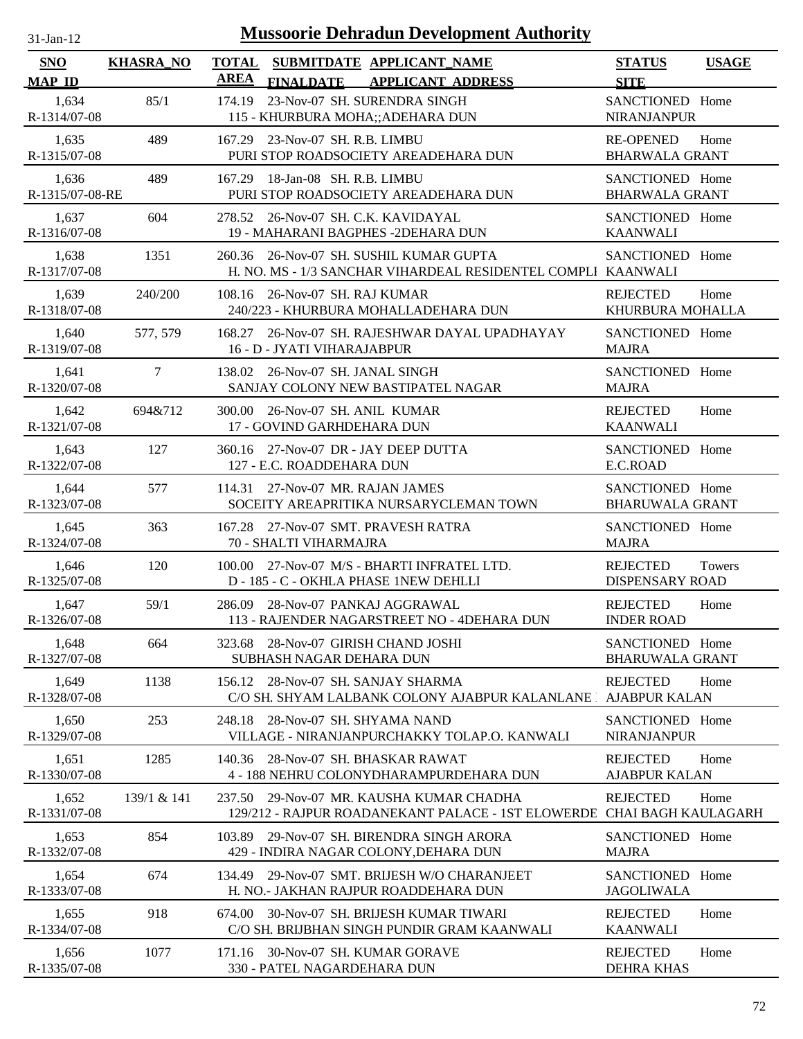| <b>Mussoorie Dehradun Development Authority</b><br>$31$ -Jan-12 |                  |                                                                                                                       |                                           |              |  |  |
|-----------------------------------------------------------------|------------------|-----------------------------------------------------------------------------------------------------------------------|-------------------------------------------|--------------|--|--|
| <b>SNO</b><br><b>MAP ID</b>                                     | <b>KHASRA_NO</b> | <b>TOTAL</b><br>SUBMITDATE APPLICANT_NAME<br><b>AREA</b><br><b>FINALDATE</b><br><b>APPLICANT ADDRESS</b>              | <b>STATUS</b><br><b>SITE</b>              | <b>USAGE</b> |  |  |
| 1.634<br>R-1314/07-08                                           | 85/1             | 23-Nov-07 SH. SURENDRA SINGH<br>174.19<br>115 - KHURBURA MOHA;; ADEHARA DUN                                           | SANCTIONED Home<br>NIRANJANPUR            |              |  |  |
| 1,635<br>R-1315/07-08                                           | 489              | 167.29 23-Nov-07 SH. R.B. LIMBU<br>PURI STOP ROADSOCIETY AREADEHARA DUN                                               | <b>RE-OPENED</b><br><b>BHARWALA GRANT</b> | Home         |  |  |
| 1,636<br>R-1315/07-08-RE                                        | 489              | 18-Jan-08 SH, R.B. LIMBU<br>167.29<br>PURI STOP ROADSOCIETY AREADEHARA DUN                                            | SANCTIONED Home<br><b>BHARWALA GRANT</b>  |              |  |  |
| 1,637<br>R-1316/07-08                                           | 604              | 278.52 26-Nov-07 SH. C.K. KAVIDAYAL<br>19 - MAHARANI BAGPHES -2DEHARA DUN                                             | SANCTIONED Home<br><b>KAANWALI</b>        |              |  |  |
| 1,638<br>R-1317/07-08                                           | 1351             | 26-Nov-07 SH. SUSHIL KUMAR GUPTA<br>260.36<br>H. NO. MS - 1/3 SANCHAR VIHARDEAL RESIDENTEL COMPLI KAANWALI            | SANCTIONED Home                           |              |  |  |
| 1,639<br>R-1318/07-08                                           | 240/200          | 108.16<br>26-Nov-07 SH, RAJ KUMAR<br>240/223 - KHURBURA MOHALLADEHARA DUN                                             | <b>REJECTED</b><br>KHURBURA MOHALLA       | Home         |  |  |
| 1.640<br>R-1319/07-08                                           | 577, 579         | 26-Nov-07 SH. RAJESHWAR DAYAL UPADHAYAY<br>168.27<br>16 - D - JYATI VIHARAJABPUR                                      | SANCTIONED Home<br><b>MAJRA</b>           |              |  |  |
| 1,641<br>R-1320/07-08                                           | $\tau$           | 138.02 26-Nov-07 SH. JANAL SINGH<br>SANJAY COLONY NEW BASTIPATEL NAGAR                                                | SANCTIONED Home<br><b>MAJRA</b>           |              |  |  |
| 1,642<br>R-1321/07-08                                           | 694&712          | 300.00 26-Nov-07 SH. ANIL KUMAR<br>17 - GOVIND GARHDEHARA DUN                                                         | <b>REJECTED</b><br><b>KAANWALI</b>        | Home         |  |  |
| 1,643<br>R-1322/07-08                                           | 127              | 360.16 27-Nov-07 DR - JAY DEEP DUTTA<br>127 - E.C. ROADDEHARA DUN                                                     | SANCTIONED Home<br>E.C.ROAD               |              |  |  |
| 1,644<br>R-1323/07-08                                           | 577              | 114.31 27-Nov-07 MR. RAJAN JAMES<br>SOCEITY AREAPRITIKA NURSARYCLEMAN TOWN                                            | SANCTIONED Home<br><b>BHARUWALA GRANT</b> |              |  |  |
| 1,645<br>R-1324/07-08                                           | 363              | 167.28 27-Nov-07 SMT. PRAVESH RATRA<br>70 - SHALTI VIHARMAJRA                                                         | SANCTIONED Home<br><b>MAJRA</b>           |              |  |  |
| 1,646<br>R-1325/07-08                                           | 120              | 100.00 27-Nov-07 M/S - BHARTI INFRATEL LTD.<br>D - 185 - C - OKHLA PHASE 1NEW DEHLLI                                  | <b>REJECTED</b><br><b>DISPENSARY ROAD</b> | Towers       |  |  |
| 1,647<br>R-1326/07-08                                           | 59/1             | 286.09 28-Nov-07 PANKAJ AGGRAWAL<br>113 - RAJENDER NAGARSTREET NO - 4DEHARA DUN                                       | <b>REJECTED</b><br><b>INDER ROAD</b>      | Home         |  |  |
| 1,648<br>R-1327/07-08                                           | 664              | 28-Nov-07 GIRISH CHAND JOSHI<br>323.68<br>SUBHASH NAGAR DEHARA DUN                                                    | SANCTIONED Home<br><b>BHARUWALA GRANT</b> |              |  |  |
| 1,649<br>R-1328/07-08                                           | 1138             | 28-Nov-07 SH. SANJAY SHARMA<br>156.12<br>C/O SH. SHYAM LALBANK COLONY AJABPUR KALANLANE                               | <b>REJECTED</b><br><b>AJABPUR KALAN</b>   | Home         |  |  |
| 1,650<br>R-1329/07-08                                           | 253              | 28-Nov-07 SH. SHYAMA NAND<br>248.18<br>VILLAGE - NIRANJANPURCHAKKY TOLAP.O. KANWALI                                   | SANCTIONED Home<br><b>NIRANJANPUR</b>     |              |  |  |
| 1,651<br>R-1330/07-08                                           | 1285             | 28-Nov-07 SH. BHASKAR RAWAT<br>140.36<br>4 - 188 NEHRU COLONYDHARAMPURDEHARA DUN                                      | <b>REJECTED</b><br><b>AJABPUR KALAN</b>   | Home         |  |  |
| 1,652<br>R-1331/07-08                                           | 139/1 & 141      | 29-Nov-07 MR. KAUSHA KUMAR CHADHA<br>237.50<br>129/212 - RAJPUR ROADANEKANT PALACE - 1ST ELOWERDE CHAI BAGH KAULAGARH | <b>REJECTED</b>                           | Home         |  |  |
| 1,653<br>R-1332/07-08                                           | 854              | 29-Nov-07 SH. BIRENDRA SINGH ARORA<br>103.89<br>429 - INDIRA NAGAR COLONY, DEHARA DUN                                 | SANCTIONED Home<br><b>MAJRA</b>           |              |  |  |
| 1,654<br>R-1333/07-08                                           | 674              | 29-Nov-07 SMT, BRIJESH W/O CHARANJEET<br>134.49<br>H. NO.- JAKHAN RAJPUR ROADDEHARA DUN                               | SANCTIONED Home<br><b>JAGOLIWALA</b>      |              |  |  |
| 1,655<br>R-1334/07-08                                           | 918              | 30-Nov-07 SH. BRIJESH KUMAR TIWARI<br>674.00<br>C/O SH. BRIJBHAN SINGH PUNDIR GRAM KAANWALI                           | <b>REJECTED</b><br><b>KAANWALI</b>        | Home         |  |  |
| 1,656<br>R-1335/07-08                                           | 1077             | 171.16 30-Nov-07 SH. KUMAR GORAVE<br>330 - PATEL NAGARDEHARA DUN                                                      | <b>REJECTED</b><br><b>DEHRA KHAS</b>      | Home         |  |  |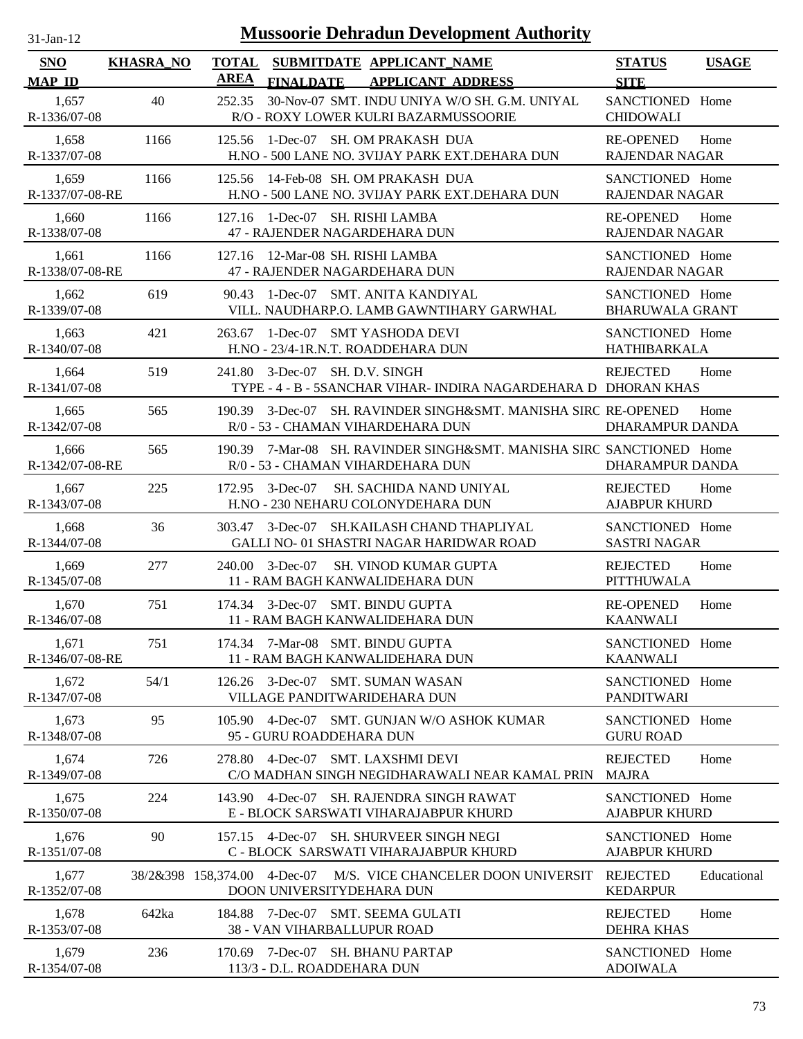| <b>Mussoorie Dehradun Development Authority</b><br>$31-Jan-12$ |                  |                                                                                                           |                                           |              |  |  |
|----------------------------------------------------------------|------------------|-----------------------------------------------------------------------------------------------------------|-------------------------------------------|--------------|--|--|
| <b>SNO</b><br><b>MAP ID</b>                                    | <b>KHASRA_NO</b> | <b>TOTAL</b><br>SUBMITDATE APPLICANT_NAME<br><b>AREA</b><br><b>FINALDATE</b><br><b>APPLICANT ADDRESS</b>  | <b>STATUS</b><br><b>SITE</b>              | <b>USAGE</b> |  |  |
| 1,657<br>R-1336/07-08                                          | 40               | 252.35<br>30-Nov-07 SMT. INDU UNIYA W/O SH. G.M. UNIYAL<br>R/O - ROXY LOWER KULRI BAZARMUSSOORIE          | SANCTIONED Home<br><b>CHIDOWALI</b>       |              |  |  |
| 1,658<br>R-1337/07-08                                          | 1166             | 1-Dec-07 SH. OM PRAKASH DUA<br>125.56<br>H.NO - 500 LANE NO. 3VIJAY PARK EXT.DEHARA DUN                   | <b>RE-OPENED</b><br><b>RAJENDAR NAGAR</b> | Home         |  |  |
| 1,659<br>R-1337/07-08-RE                                       | 1166             | 14-Feb-08 SH. OM PRAKASH DUA<br>125.56<br>H.NO - 500 LANE NO. 3VIJAY PARK EXT.DEHARA DUN                  | SANCTIONED Home<br><b>RAJENDAR NAGAR</b>  |              |  |  |
| 1,660<br>R-1338/07-08                                          | 1166             | 127.16 1-Dec-07 SH. RISHI LAMBA<br>47 - RAJENDER NAGARDEHARA DUN                                          | <b>RE-OPENED</b><br><b>RAJENDAR NAGAR</b> | Home         |  |  |
| 1,661<br>R-1338/07-08-RE                                       | 1166             | 127.16 12-Mar-08 SH. RISHI LAMBA<br>47 - RAJENDER NAGARDEHARA DUN                                         | SANCTIONED Home<br><b>RAJENDAR NAGAR</b>  |              |  |  |
| 1,662<br>R-1339/07-08                                          | 619              | 1-Dec-07 SMT, ANITA KANDIYAL<br>90.43<br>VILL. NAUDHARP.O. LAMB GAWNTIHARY GARWHAL                        | SANCTIONED Home<br><b>BHARUWALA GRANT</b> |              |  |  |
| 1,663<br>R-1340/07-08                                          | 421              | 1-Dec-07 SMT YASHODA DEVI<br>263.67<br>H.NO - 23/4-1R.N.T. ROADDEHARA DUN                                 | SANCTIONED Home<br><b>HATHIBARKALA</b>    |              |  |  |
| 1,664<br>R-1341/07-08                                          | 519              | 241.80<br>3-Dec-07 SH. D.V. SINGH<br>TYPE - 4 - B - 5SANCHAR VIHAR- INDIRA NAGARDEHARA D DHORAN KHAS      | <b>REJECTED</b>                           | Home         |  |  |
| 1,665<br>R-1342/07-08                                          | 565              | 3-Dec-07 SH. RAVINDER SINGH&SMT. MANISHA SIRC RE-OPENED<br>190.39<br>R/0 - 53 - CHAMAN VIHARDEHARA DUN    | DHARAMPUR DANDA                           | Home         |  |  |
| 1,666<br>R-1342/07-08-RE                                       | 565              | 190.39 7-Mar-08 SH. RAVINDER SINGH&SMT. MANISHA SIRC SANCTIONED Home<br>R/0 - 53 - CHAMAN VIHARDEHARA DUN | DHARAMPUR DANDA                           |              |  |  |
| 1,667<br>R-1343/07-08                                          | 225              | $3$ -Dec-07<br><b>SH. SACHIDA NAND UNIYAL</b><br>172.95<br>H.NO - 230 NEHARU COLONYDEHARA DUN             | <b>REJECTED</b><br><b>AJABPUR KHURD</b>   | Home         |  |  |
| 1,668<br>R-1344/07-08                                          | 36               | 3-Dec-07 SH.KAILASH CHAND THAPLIYAL<br>303.47<br>GALLI NO-01 SHASTRI NAGAR HARIDWAR ROAD                  | SANCTIONED Home<br><b>SASTRI NAGAR</b>    |              |  |  |
| 1,669<br>R-1345/07-08                                          | 277              | 240.00 3-Dec-07<br><b>SH. VINOD KUMAR GUPTA</b><br>11 - RAM BAGH KANWALIDEHARA DUN                        | <b>REJECTED</b><br><b>PITTHUWALA</b>      | Home         |  |  |
| 1,670<br>R-1346/07-08                                          | 751              | 174.34 3-Dec-07 SMT. BINDU GUPTA<br>11 - RAM BAGH KANWALIDEHARA DUN                                       | <b>RE-OPENED</b><br><b>KAANWALI</b>       | Home         |  |  |
| 1,671<br>R-1346/07-08-RE                                       | 751              | 174.34 7-Mar-08 SMT. BINDU GUPTA<br>11 - RAM BAGH KANWALIDEHARA DUN                                       | SANCTIONED Home<br><b>KAANWALI</b>        |              |  |  |
| 1,672<br>R-1347/07-08                                          | 54/1             | 126.26 3-Dec-07 SMT. SUMAN WASAN<br>VILLAGE PANDITWARIDEHARA DUN                                          | SANCTIONED Home<br><b>PANDITWARI</b>      |              |  |  |
| 1,673<br>R-1348/07-08                                          | 95               | 105.90 4-Dec-07 SMT. GUNJAN W/O ASHOK KUMAR<br>95 - GURU ROADDEHARA DUN                                   | SANCTIONED Home<br><b>GURU ROAD</b>       |              |  |  |
| 1,674<br>R-1349/07-08                                          | 726              | 278.80<br>4-Dec-07 SMT. LAXSHMI DEVI<br>C/O MADHAN SINGH NEGIDHARAWALI NEAR KAMAL PRIN                    | <b>REJECTED</b><br><b>MAJRA</b>           | Home         |  |  |
| 1,675<br>R-1350/07-08                                          | 224              | 143.90 4-Dec-07 SH. RAJENDRA SINGH RAWAT<br>E - BLOCK SARSWATI VIHARAJABPUR KHURD                         | SANCTIONED Home<br><b>AJABPUR KHURD</b>   |              |  |  |
| 1,676<br>R-1351/07-08                                          | 90               | 4-Dec-07 SH. SHURVEER SINGH NEGI<br>157.15<br>C - BLOCK SARSWATI VIHARAJABPUR KHURD                       | SANCTIONED Home<br><b>AJABPUR KHURD</b>   |              |  |  |
| 1,677<br>R-1352/07-08                                          |                  | 38/2&398 158,374.00<br>4-Dec-07<br>M/S. VICE CHANCELER DOON UNIVERSIT<br>DOON UNIVERSITYDEHARA DUN        | <b>REJECTED</b><br><b>KEDARPUR</b>        | Educational  |  |  |
| 1,678<br>R-1353/07-08                                          | 642ka            | 7-Dec-07 SMT. SEEMA GULATI<br>184.88<br><b>38 - VAN VIHARBALLUPUR ROAD</b>                                | <b>REJECTED</b><br><b>DEHRA KHAS</b>      | Home         |  |  |
| 1,679<br>R-1354/07-08                                          | 236              | 170.69 7-Dec-07 SH. BHANU PARTAP<br>113/3 - D.L. ROADDEHARA DUN                                           | SANCTIONED Home<br><b>ADOIWALA</b>        |              |  |  |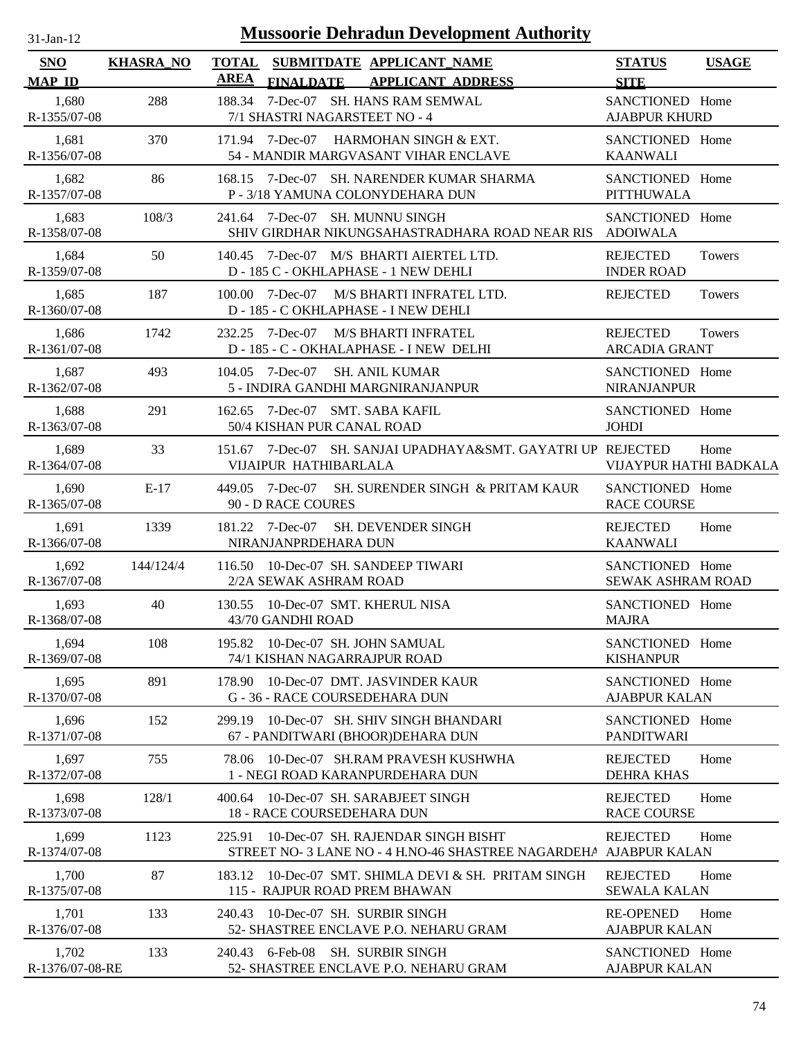| -Jan- |  |
|-------|--|

| SNO                      | <b>KHASRA_NO</b> | <b>TOTAL</b><br><b>AREA</b> |                                                                  | SUBMITDATE APPLICANT_NAME                                                                             | <b>STATUS</b>                            | <b>USAGE</b> |
|--------------------------|------------------|-----------------------------|------------------------------------------------------------------|-------------------------------------------------------------------------------------------------------|------------------------------------------|--------------|
| <b>MAP ID</b>            |                  |                             | <b>FINALDATE</b>                                                 | <b>APPLICANT ADDRESS</b>                                                                              | <b>SITE</b>                              |              |
| 1,680<br>R-1355/07-08    | 288              |                             | 7/1 SHASTRI NAGARSTEET NO - 4                                    | 188.34 7-Dec-07 SH. HANS RAM SEMWAL                                                                   | SANCTIONED Home<br><b>AJABPUR KHURD</b>  |              |
| 1,681<br>R-1356/07-08    | 370              |                             |                                                                  | 171.94 7-Dec-07 HARMOHAN SINGH & EXT.<br>54 - MANDIR MARGVASANT VIHAR ENCLAVE                         | SANCTIONED Home<br><b>KAANWALI</b>       |              |
| 1,682<br>R-1357/07-08    | 86               |                             |                                                                  | 168.15 7-Dec-07 SH. NARENDER KUMAR SHARMA<br>P - 3/18 YAMUNA COLONYDEHARA DUN                         | SANCTIONED Home<br><b>PITTHUWALA</b>     |              |
| 1,683<br>R-1358/07-08    | 108/3            |                             | 241.64 7-Dec-07 SH. MUNNU SINGH                                  | SHIV GIRDHAR NIKUNGSAHASTRADHARA ROAD NEAR RIS ADOIWALA                                               | SANCTIONED Home                          |              |
| 1,684<br>R-1359/07-08    | 50               |                             |                                                                  | 140.45 7-Dec-07 M/S BHARTI AIERTEL LTD.<br>D - 185 C - OKHLAPHASE - 1 NEW DEHLI                       | <b>REJECTED</b><br><b>INDER ROAD</b>     | Towers       |
| 1,685<br>R-1360/07-08    | 187              |                             | 100.00 7-Dec-07                                                  | M/S BHARTI INFRATEL LTD.<br>D - 185 - C OKHLAPHASE - I NEW DEHLI                                      | <b>REJECTED</b>                          | Towers       |
| 1,686<br>R-1361/07-08    | 1742             |                             |                                                                  | 232.25 7-Dec-07 M/S BHARTI INFRATEL<br>D - 185 - C - OKHALAPHASE - I NEW DELHI                        | <b>REJECTED</b><br><b>ARCADIA GRANT</b>  | Towers       |
| 1,687<br>R-1362/07-08    | 493              |                             | 104.05 7-Dec-07                                                  | <b>SH. ANIL KUMAR</b><br>5 - INDIRA GANDHI MARGNIRANJANPUR                                            | SANCTIONED Home<br><b>NIRANJANPUR</b>    |              |
| 1,688<br>R-1363/07-08    | 291              |                             | 162.65 7-Dec-07 SMT. SABA KAFIL<br>50/4 KISHAN PUR CANAL ROAD    |                                                                                                       | SANCTIONED Home<br><b>JOHDI</b>          |              |
| 1,689<br>R-1364/07-08    | 33               |                             | VIJAIPUR HATHIBARLALA                                            | 151.67 7-Dec-07 SH. SANJAI UPADHAYA&SMT. GAYATRI UP REJECTED                                          | VIJAYPUR HATHI BADKALA                   | Home         |
| 1,690<br>R-1365/07-08    | $E-17$           |                             | 90 - D RACE COURES                                               | 449.05 7-Dec-07 SH. SURENDER SINGH & PRITAM KAUR                                                      | SANCTIONED Home<br><b>RACE COURSE</b>    |              |
| 1,691<br>R-1366/07-08    | 1339             |                             | NIRANJANPRDEHARA DUN                                             | 181.22 7-Dec-07 SH. DEVENDER SINGH                                                                    | <b>REJECTED</b><br><b>KAANWALI</b>       | Home         |
| 1,692<br>R-1367/07-08    | 144/124/4        |                             | 116.50 10-Dec-07 SH, SANDEEP TIWARI<br>2/2A SEWAK ASHRAM ROAD    |                                                                                                       | SANCTIONED Home<br>SEWAK ASHRAM ROAD     |              |
| 1,693<br>R-1368/07-08    | 40               |                             | 130.55 10-Dec-07 SMT. KHERUL NISA<br>43/70 GANDHI ROAD           |                                                                                                       | SANCTIONED Home<br><b>MAJRA</b>          |              |
| 1,694<br>R-1369/07-08    | 108              |                             | 195.82 10-Dec-07 SH. JOHN SAMUAL<br>74/1 KISHAN NAGARRAJPUR ROAD |                                                                                                       | SANCTIONED Home<br><b>KISHANPUR</b>      |              |
| 1,695<br>R-1370/07-08    | 891              |                             | G - 36 - RACE COURSEDEHARA DUN                                   | 178.90 10-Dec-07 DMT. JASVINDER KAUR                                                                  | SANCTIONED Home<br><b>AJABPUR KALAN</b>  |              |
| 1,696<br>R-1371/07-08    | 152              | 299.19                      |                                                                  | 10-Dec-07 SH. SHIV SINGH BHANDARI<br>67 - PANDITWARI (BHOOR)DEHARA DUN                                | SANCTIONED Home<br><b>PANDITWARI</b>     |              |
| 1,697<br>R-1372/07-08    | 755              |                             |                                                                  | 78.06 10-Dec-07 SH.RAM PRAVESH KUSHWHA<br>1 - NEGI ROAD KARANPURDEHARA DUN                            | <b>REJECTED</b><br><b>DEHRA KHAS</b>     | Home         |
| 1,698<br>R-1373/07-08    | 128/1            |                             | 18 - RACE COURSEDEHARA DUN                                       | 400.64 10-Dec-07 SH. SARABJEET SINGH                                                                  | <b>REJECTED</b><br><b>RACE COURSE</b>    | Home         |
| 1,699<br>R-1374/07-08    | 1123             | 225.91                      |                                                                  | 10-Dec-07 SH. RAJENDAR SINGH BISHT<br>STREET NO- 3 LANE NO-4 H.NO-46 SHASTREE NAGARDEHA AJABPUR KALAN | <b>REJECTED</b>                          | Home         |
| 1,700<br>R-1375/07-08    | 87               | 183.12                      | 115 - RAJPUR ROAD PREM BHAWAN                                    | 10-Dec-07 SMT. SHIMLA DEVI & SH. PRITAM SINGH                                                         | <b>REJECTED</b><br><b>SEWALA KALAN</b>   | Home         |
| 1,701<br>R-1376/07-08    | 133              | 240.43                      | 10-Dec-07 SH. SURBIR SINGH                                       | 52- SHASTREE ENCLAVE P.O. NEHARU GRAM                                                                 | <b>RE-OPENED</b><br><b>AJABPUR KALAN</b> | Home         |
| 1,702<br>R-1376/07-08-RE | 133              |                             | 240.43 6-Feb-08 SH. SURBIR SINGH                                 | 52- SHASTREE ENCLAVE P.O. NEHARU GRAM                                                                 | SANCTIONED Home<br><b>AJABPUR KALAN</b>  |              |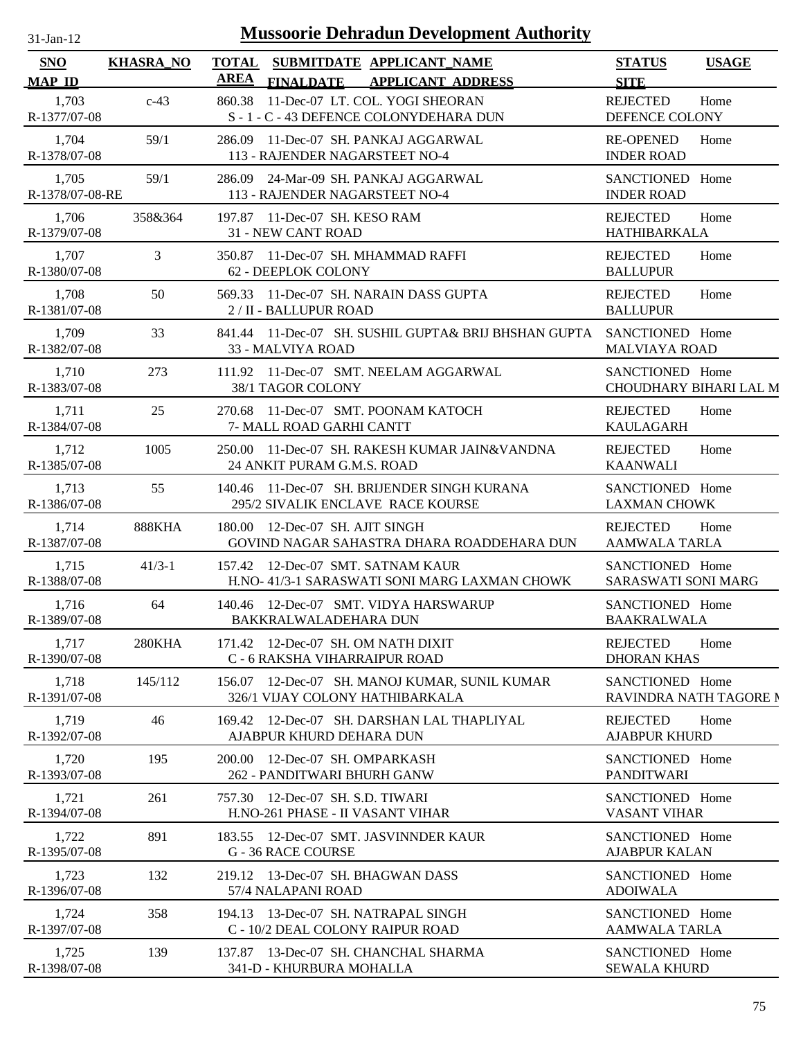| $31$ -Jan-12 |  |
|--------------|--|

| SNO                      | <b>KHASRA_NO</b> | <b>TOTAL</b><br>SUBMITDATE APPLICANT_NAME<br><b>AREA</b>                                  | <b>STATUS</b><br><b>USAGE</b>                   |
|--------------------------|------------------|-------------------------------------------------------------------------------------------|-------------------------------------------------|
| <b>MAP ID</b>            |                  | <b>FINALDATE</b><br><b>APPLICANT ADDRESS</b>                                              | <b>SITE</b>                                     |
| 1,703<br>R-1377/07-08    | $c-43$           | 11-Dec-07 LT. COL. YOGI SHEORAN<br>860.38<br>S - 1 - C - 43 DEFENCE COLONYDEHARA DUN      | <b>REJECTED</b><br>Home<br>DEFENCE COLONY       |
| 1,704<br>R-1378/07-08    | 59/1             | 286.09 11-Dec-07 SH. PANKAJ AGGARWAL<br>113 - RAJENDER NAGARSTEET NO-4                    | <b>RE-OPENED</b><br>Home<br><b>INDER ROAD</b>   |
| 1,705<br>R-1378/07-08-RE | 59/1             | 286.09 24-Mar-09 SH. PANKAJ AGGARWAL<br>113 - RAJENDER NAGARSTEET NO-4                    | SANCTIONED Home<br><b>INDER ROAD</b>            |
| 1,706<br>R-1379/07-08    | 358&364          | 197.87 11-Dec-07 SH. KESO RAM<br><b>31 - NEW CANT ROAD</b>                                | <b>REJECTED</b><br>Home<br><b>HATHIBARKALA</b>  |
| 1,707<br>R-1380/07-08    | 3                | 350.87 11-Dec-07 SH. MHAMMAD RAFFI<br>62 - DEEPLOK COLONY                                 | <b>REJECTED</b><br>Home<br><b>BALLUPUR</b>      |
| 1,708<br>R-1381/07-08    | 50               | 569.33 11-Dec-07 SH. NARAIN DASS GUPTA<br>2 / II - BALLUPUR ROAD                          | <b>REJECTED</b><br>Home<br><b>BALLUPUR</b>      |
| 1,709<br>R-1382/07-08    | 33               | 841.44 11-Dec-07 SH. SUSHIL GUPTA& BRIJ BHSHAN GUPTA SANCTIONED Home<br>33 - MALVIYA ROAD | <b>MALVIAYA ROAD</b>                            |
| 1,710<br>R-1383/07-08    | 273              | 111.92 11-Dec-07 SMT. NEELAM AGGARWAL<br>38/1 TAGOR COLONY                                | SANCTIONED Home<br>CHOUDHARY BIHARI LAL M       |
| 1,711<br>R-1384/07-08    | 25               | 270.68 11-Dec-07 SMT. POONAM KATOCH<br>7- MALL ROAD GARHI CANTT                           | <b>REJECTED</b><br>Home<br><b>KAULAGARH</b>     |
| 1,712<br>R-1385/07-08    | 1005             | 250.00 11-Dec-07 SH. RAKESH KUMAR JAIN&VANDNA<br>24 ANKIT PURAM G.M.S. ROAD               | <b>REJECTED</b><br>Home<br><b>KAANWALI</b>      |
| 1,713<br>R-1386/07-08    | 55               | 140.46 11-Dec-07 SH. BRIJENDER SINGH KURANA<br>295/2 SIVALIK ENCLAVE RACE KOURSE          | SANCTIONED Home<br><b>LAXMAN CHOWK</b>          |
| 1,714<br>R-1387/07-08    | <b>888KHA</b>    | 180.00 12-Dec-07 SH. AJIT SINGH<br>GOVIND NAGAR SAHASTRA DHARA ROADDEHARA DUN             | <b>REJECTED</b><br>Home<br><b>AAMWALA TARLA</b> |
| 1,715<br>R-1388/07-08    | $41/3-1$         | 157.42 12-Dec-07 SMT. SATNAM KAUR<br>H.NO- 41/3-1 SARASWATI SONI MARG LAXMAN CHOWK        | SANCTIONED Home<br><b>SARASWATI SONI MARG</b>   |
| 1,716<br>R-1389/07-08    | 64               | 140.46 12-Dec-07 SMT. VIDYA HARSWARUP<br>BAKKRALWALADEHARA DUN                            | SANCTIONED Home<br><b>BAAKRALWALA</b>           |
| 1,717<br>R-1390/07-08    | 280KHA           | 171.42 12-Dec-07 SH. OM NATH DIXIT<br>C - 6 RAKSHA VIHARRAIPUR ROAD                       | <b>REJECTED</b><br>Home<br><b>DHORAN KHAS</b>   |
| 1,718<br>R-1391/07-08    | 145/112          | 156.07 12-Dec-07 SH. MANOJ KUMAR, SUNIL KUMAR<br>326/1 VIJAY COLONY HATHIBARKALA          | SANCTIONED Home<br>RAVINDRA NATH TAGORE N       |
| 1,719<br>R-1392/07-08    | 46               | 12-Dec-07 SH. DARSHAN LAL THAPLIYAL<br>169.42<br>AJABPUR KHURD DEHARA DUN                 | <b>REJECTED</b><br>Home<br><b>AJABPUR KHURD</b> |
| 1,720<br>R-1393/07-08    | 195              | 200.00 12-Dec-07 SH. OMPARKASH<br>262 - PANDITWARI BHURH GANW                             | SANCTIONED Home<br><b>PANDITWARI</b>            |
| 1,721<br>R-1394/07-08    | 261              | 757.30 12-Dec-07 SH. S.D. TIWARI<br>H.NO-261 PHASE - II VASANT VIHAR                      | SANCTIONED Home<br><b>VASANT VIHAR</b>          |
| 1,722<br>R-1395/07-08    | 891              | 183.55 12-Dec-07 SMT. JASVINNDER KAUR<br>G - 36 RACE COURSE                               | SANCTIONED Home<br><b>AJABPUR KALAN</b>         |
| 1,723<br>R-1396/07-08    | 132              | 219.12 13-Dec-07 SH, BHAGWAN DASS<br>57/4 NALAPANI ROAD                                   | SANCTIONED Home<br><b>ADOIWALA</b>              |
| 1,724<br>R-1397/07-08    | 358              | 194.13 13-Dec-07 SH. NATRAPAL SINGH<br>C - 10/2 DEAL COLONY RAIPUR ROAD                   | SANCTIONED Home<br><b>AAMWALA TARLA</b>         |
| 1,725<br>R-1398/07-08    | 139              | 137.87 13-Dec-07 SH. CHANCHAL SHARMA<br>341-D - KHURBURA MOHALLA                          | SANCTIONED Home<br><b>SEWALA KHURD</b>          |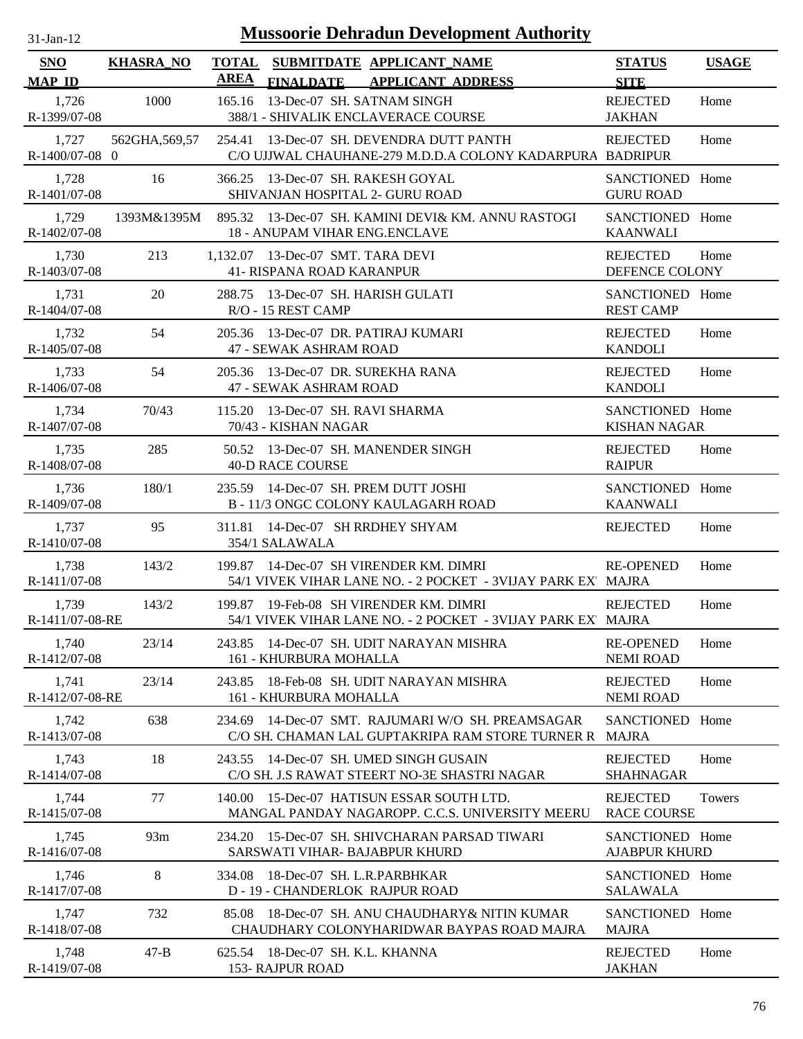| $31$ -Jan-12                |                  |                             |                                                                      | <b>Mussoorie Dehradun Development Authority</b>                                                        |                                         |              |
|-----------------------------|------------------|-----------------------------|----------------------------------------------------------------------|--------------------------------------------------------------------------------------------------------|-----------------------------------------|--------------|
| <b>SNO</b><br><b>MAP ID</b> | <b>KHASRA_NO</b> | <b>TOTAL</b><br><b>AREA</b> | <b>FINALDATE</b>                                                     | SUBMITDATE APPLICANT_NAME<br><b>APPLICANT ADDRESS</b>                                                  | <b>STATUS</b><br><b>SITE</b>            | <b>USAGE</b> |
| 1,726<br>R-1399/07-08       | 1000             | 165.16                      | 13-Dec-07 SH. SATNAM SINGH                                           | 388/1 - SHIVALIK ENCLAVERACE COURSE                                                                    | <b>REJECTED</b><br><b>JAKHAN</b>        | Home         |
| 1,727<br>R-1400/07-08 0     | 562GHA, 569, 57  | 254.41                      |                                                                      | 13-Dec-07 SH. DEVENDRA DUTT PANTH<br>C/O UJJWAL CHAUHANE-279 M.D.D.A COLONY KADARPURA BADRIPUR         | <b>REJECTED</b>                         | Home         |
| 1,728<br>R-1401/07-08       | 16               |                             | 366.25 13-Dec-07 SH. RAKESH GOYAL<br>SHIVANJAN HOSPITAL 2- GURU ROAD |                                                                                                        | SANCTIONED Home<br><b>GURU ROAD</b>     |              |
| 1,729<br>R-1402/07-08       | 1393M&1395M      |                             | <b>18 - ANUPAM VIHAR ENG.ENCLAVE</b>                                 | 895.32 13-Dec-07 SH. KAMINI DEVI& KM. ANNU RASTOGI                                                     | SANCTIONED Home<br><b>KAANWALI</b>      |              |
| 1,730<br>R-1403/07-08       | 213              |                             | 1,132.07 13-Dec-07 SMT. TARA DEVI<br>41- RISPANA ROAD KARANPUR       |                                                                                                        | <b>REJECTED</b><br>DEFENCE COLONY       | Home         |
| 1,731<br>R-1404/07-08       | 20               |                             | 288.75 13-Dec-07 SH. HARISH GULATI<br>R/O - 15 REST CAMP             |                                                                                                        | SANCTIONED Home<br><b>REST CAMP</b>     |              |
| 1,732<br>R-1405/07-08       | 54               |                             | 205.36 13-Dec-07 DR. PATIRAJ KUMARI<br>47 - SEWAK ASHRAM ROAD        |                                                                                                        | <b>REJECTED</b><br><b>KANDOLI</b>       | Home         |
| 1,733<br>R-1406/07-08       | 54               |                             | 205.36 13-Dec-07 DR. SUREKHA RANA<br><b>47 - SEWAK ASHRAM ROAD</b>   |                                                                                                        | <b>REJECTED</b><br><b>KANDOLI</b>       | Home         |
| 1,734<br>R-1407/07-08       | 70/43            | 115.20                      | 13-Dec-07 SH. RAVI SHARMA<br>70/43 - KISHAN NAGAR                    |                                                                                                        | SANCTIONED Home<br><b>KISHAN NAGAR</b>  |              |
| 1.735<br>R-1408/07-08       | 285              |                             | <b>40-D RACE COURSE</b>                                              | 50.52 13-Dec-07 SH. MANENDER SINGH                                                                     | <b>REJECTED</b><br><b>RAIPUR</b>        | Home         |
| 1,736<br>R-1409/07-08       | 180/1            |                             | 235.59 14-Dec-07 SH. PREM DUTT JOSHI                                 | B - 11/3 ONGC COLONY KAULAGARH ROAD                                                                    | SANCTIONED Home<br><b>KAANWALI</b>      |              |
| 1,737<br>R-1410/07-08       | 95               | 311.81                      | 14-Dec-07 SH RRDHEY SHYAM<br>354/1 SALAWALA                          |                                                                                                        | <b>REJECTED</b>                         | Home         |
| 1,738<br>R-1411/07-08       | 143/2            | 199.87                      |                                                                      | 14-Dec-07 SH VIRENDER KM. DIMRI<br>54/1 VIVEK VIHAR LANE NO. - 2 POCKET - 3VIJAY PARK EX' MAJRA        | <b>RE-OPENED</b>                        | Home         |
| 1,739<br>R-1411/07-08-RE    | 143/2            |                             |                                                                      | 199.87 19-Feb-08 SH VIRENDER KM. DIMRI<br>54/1 VIVEK VIHAR LANE NO. - 2 POCKET - 3VIJAY PARK EX' MAJRA | <b>REJECTED</b>                         | Home         |
| 1,740<br>R-1412/07-08       | 23/14            | 243.85                      | 161 - KHURBURA MOHALLA                                               | 14-Dec-07 SH. UDIT NARAYAN MISHRA                                                                      | <b>RE-OPENED</b><br><b>NEMI ROAD</b>    | Home         |
| 1,741<br>R-1412/07-08-RE    | 23/14            | 243.85                      | 161 - KHURBURA MOHALLA                                               | 18-Feb-08 SH. UDIT NARAYAN MISHRA                                                                      | <b>REJECTED</b><br><b>NEMI ROAD</b>     | Home         |
| 1,742<br>R-1413/07-08       | 638              |                             |                                                                      | 234.69 14-Dec-07 SMT. RAJUMARI W/O SH. PREAMSAGAR<br>C/O SH. CHAMAN LAL GUPTAKRIPA RAM STORE TURNER R  | SANCTIONED Home<br><b>MAJRA</b>         |              |
| 1,743<br>R-1414/07-08       | 18               |                             |                                                                      | 243.55 14-Dec-07 SH. UMED SINGH GUSAIN<br>C/O SH. J.S RAWAT STEERT NO-3E SHASTRI NAGAR                 | <b>REJECTED</b><br><b>SHAHNAGAR</b>     | Home         |
| 1,744<br>R-1415/07-08       | 77               | 140.00                      |                                                                      | 15-Dec-07 HATISUN ESSAR SOUTH LTD.<br>MANGAL PANDAY NAGAROPP. C.C.S. UNIVERSITY MEERU                  | <b>REJECTED</b><br><b>RACE COURSE</b>   | Towers       |
| 1,745<br>R-1416/07-08       | 93m              | 234.20                      | SARSWATI VIHAR- BAJABPUR KHURD                                       | 15-Dec-07 SH, SHIVCHARAN PARSAD TIWARI                                                                 | SANCTIONED Home<br><b>AJABPUR KHURD</b> |              |
| 1,746<br>R-1417/07-08       | 8                | 334.08                      | 18-Dec-07 SH. L.R.PARBHKAR<br>D - 19 - CHANDERLOK RAJPUR ROAD        |                                                                                                        | SANCTIONED Home<br><b>SALAWALA</b>      |              |
| 1,747<br>R-1418/07-08       | 732              | 85.08                       |                                                                      | 18-Dec-07 SH. ANU CHAUDHARY & NITIN KUMAR<br>CHAUDHARY COLONYHARIDWAR BAYPAS ROAD MAJRA                | SANCTIONED Home<br><b>MAJRA</b>         |              |
| 1,748<br>R-1419/07-08       | $47 - B$         |                             | 625.54 18-Dec-07 SH. K.L. KHANNA<br>153- RAJPUR ROAD                 |                                                                                                        | <b>REJECTED</b><br><b>JAKHAN</b>        | Home         |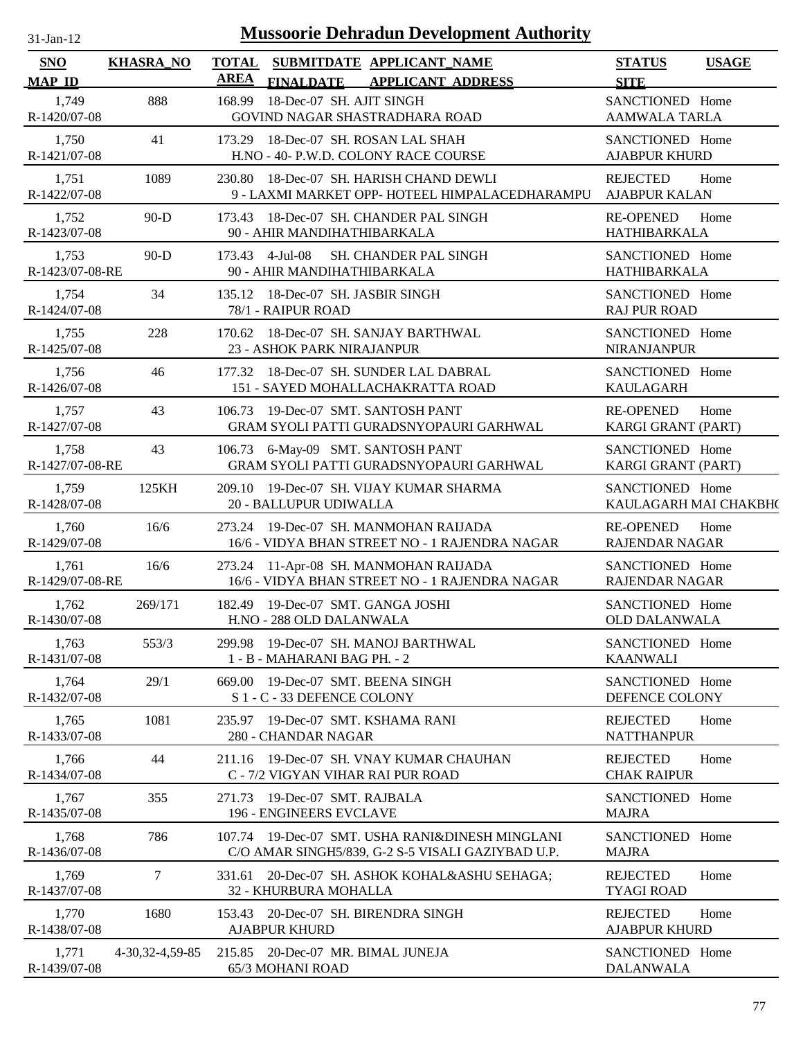| <b>Mussoorie Dehradun Development Authority</b><br>$31$ -Jan-12 |                   |                      |                                                                                                      |                                              |              |  |  |
|-----------------------------------------------------------------|-------------------|----------------------|------------------------------------------------------------------------------------------------------|----------------------------------------------|--------------|--|--|
| <b>SNO</b><br><b>MAP ID</b>                                     | <b>KHASRA_NO</b>  | <b>TOTAL</b><br>AREA | SUBMITDATE APPLICANT_NAME<br><b>FINALDATE</b><br><b>APPLICANT ADDRESS</b>                            | <b>STATUS</b><br><b>SITE</b>                 | <b>USAGE</b> |  |  |
| 1,749<br>R-1420/07-08                                           | 888               | 168.99               | 18-Dec-07 SH. AJIT SINGH<br>GOVIND NAGAR SHASTRADHARA ROAD                                           | SANCTIONED Home<br><b>AAMWALA TARLA</b>      |              |  |  |
| 1,750<br>R-1421/07-08                                           | 41                |                      | 173.29 18-Dec-07 SH. ROSAN LAL SHAH<br>H.NO - 40- P.W.D. COLONY RACE COURSE                          | SANCTIONED Home<br><b>AJABPUR KHURD</b>      |              |  |  |
| 1,751<br>R-1422/07-08                                           | 1089              |                      | 230.80 18-Dec-07 SH. HARISH CHAND DEWLI<br>9 - LAXMI MARKET OPP- HOTEEL HIMPALACEDHARAMPU            | <b>REJECTED</b><br><b>AJABPUR KALAN</b>      | Home         |  |  |
| 1,752<br>R-1423/07-08                                           | $90-D$            |                      | 173.43 18-Dec-07 SH. CHANDER PAL SINGH<br>90 - AHIR MANDIHATHIBARKALA                                | <b>RE-OPENED</b><br>HATHIBARKALA             | Home         |  |  |
| 1,753<br>R-1423/07-08-RE                                        | $90-D$            |                      | SH. CHANDER PAL SINGH<br>173.43 4-Jul-08<br>90 - AHIR MANDIHATHIBARKALA                              | SANCTIONED Home<br>HATHIBARKALA              |              |  |  |
| 1,754<br>R-1424/07-08                                           | 34                |                      | 135.12 18-Dec-07 SH. JASBIR SINGH<br>78/1 - RAIPUR ROAD                                              | SANCTIONED Home<br><b>RAJ PUR ROAD</b>       |              |  |  |
| 1,755<br>R-1425/07-08                                           | 228               |                      | 170.62 18-Dec-07 SH, SANJAY BARTHWAL<br>23 - ASHOK PARK NIRAJANPUR                                   | SANCTIONED Home<br><b>NIRANJANPUR</b>        |              |  |  |
| 1,756<br>R-1426/07-08                                           | 46                |                      | 177.32 18-Dec-07 SH, SUNDER LAL DABRAL<br>151 - SAYED MOHALLACHAKRATTA ROAD                          | SANCTIONED Home<br><b>KAULAGARH</b>          |              |  |  |
| 1,757<br>R-1427/07-08                                           | 43                |                      | 106.73 19-Dec-07 SMT. SANTOSH PANT<br>GRAM SYOLI PATTI GURADSNYOPAURI GARHWAL                        | <b>RE-OPENED</b><br>KARGI GRANT (PART)       | Home         |  |  |
| 1,758<br>R-1427/07-08-RE                                        | 43                |                      | 106.73 6-May-09 SMT. SANTOSH PANT<br>GRAM SYOLI PATTI GURADSNYOPAURI GARHWAL                         | SANCTIONED Home<br><b>KARGI GRANT (PART)</b> |              |  |  |
| 1,759<br>R-1428/07-08                                           | 125KH             |                      | 209.10 19-Dec-07 SH. VIJAY KUMAR SHARMA<br>20 - BALLUPUR UDIWALLA                                    | SANCTIONED Home<br>KAULAGARH MAI CHAKBH(     |              |  |  |
| 1,760<br>R-1429/07-08                                           | 16/6              |                      | 273.24 19-Dec-07 SH. MANMOHAN RAIJADA<br>16/6 - VIDYA BHAN STREET NO - 1 RAJENDRA NAGAR              | <b>RE-OPENED</b><br><b>RAJENDAR NAGAR</b>    | Home         |  |  |
| 1,761<br>R-1429/07-08-RE                                        | 16/6              |                      | 273.24 11-Apr-08 SH. MANMOHAN RAIJADA<br>16/6 - VIDYA BHAN STREET NO - 1 RAJENDRA NAGAR              | SANCTIONED Home<br><b>RAJENDAR NAGAR</b>     |              |  |  |
| 1,762<br>R-1430/07-08                                           | 269/171           |                      | 182.49 19-Dec-07 SMT. GANGA JOSHI<br>H.NO - 288 OLD DALANWALA                                        | SANCTIONED Home<br><b>OLD DALANWALA</b>      |              |  |  |
| 1,763<br>R-1431/07-08                                           | 553/3             |                      | 299.98 19-Dec-07 SH. MANOJ BARTHWAL<br>1 - B - MAHARANI BAG PH. - 2                                  | SANCTIONED Home<br><b>KAANWALI</b>           |              |  |  |
| 1,764<br>R-1432/07-08                                           | 29/1              | 669.00               | 19-Dec-07 SMT. BEENA SINGH<br>S 1 - C - 33 DEFENCE COLONY                                            | SANCTIONED Home<br>DEFENCE COLONY            |              |  |  |
| 1,765<br>R-1433/07-08                                           | 1081              |                      | 235.97 19-Dec-07 SMT. KSHAMA RANI<br>280 - CHANDAR NAGAR                                             | <b>REJECTED</b><br><b>NATTHANPUR</b>         | Home         |  |  |
| 1,766<br>R-1434/07-08                                           | 44                | 211.16               | 19-Dec-07 SH. VNAY KUMAR CHAUHAN<br>C - 7/2 VIGYAN VIHAR RAI PUR ROAD                                | <b>REJECTED</b><br><b>CHAK RAIPUR</b>        | Home         |  |  |
| 1,767<br>R-1435/07-08                                           | 355               |                      | 271.73 19-Dec-07 SMT. RAJBALA<br>196 - ENGINEERS EVCLAVE                                             | SANCTIONED Home<br><b>MAJRA</b>              |              |  |  |
| 1,768<br>R-1436/07-08                                           | 786               |                      | 107.74 19-Dec-07 SMT. USHA RANI&DINESH MINGLANI<br>C/O AMAR SINGH5/839, G-2 S-5 VISALI GAZIYBAD U.P. | SANCTIONED Home<br><b>MAJRA</b>              |              |  |  |
| 1,769<br>R-1437/07-08                                           | 7                 |                      | 331.61 20-Dec-07 SH. ASHOK KOHAL&ASHU SEHAGA;<br>32 - KHURBURA MOHALLA                               | <b>REJECTED</b><br><b>TYAGI ROAD</b>         | Home         |  |  |
| 1,770<br>R-1438/07-08                                           | 1680              |                      | 153.43 20-Dec-07 SH. BIRENDRA SINGH<br><b>AJABPUR KHURD</b>                                          | <b>REJECTED</b><br><b>AJABPUR KHURD</b>      | Home         |  |  |
| 1,771<br>R-1439/07-08                                           | 4-30, 32-4, 59-85 |                      | 215.85 20-Dec-07 MR. BIMAL JUNEJA<br>65/3 MOHANI ROAD                                                | SANCTIONED Home<br><b>DALANWALA</b>          |              |  |  |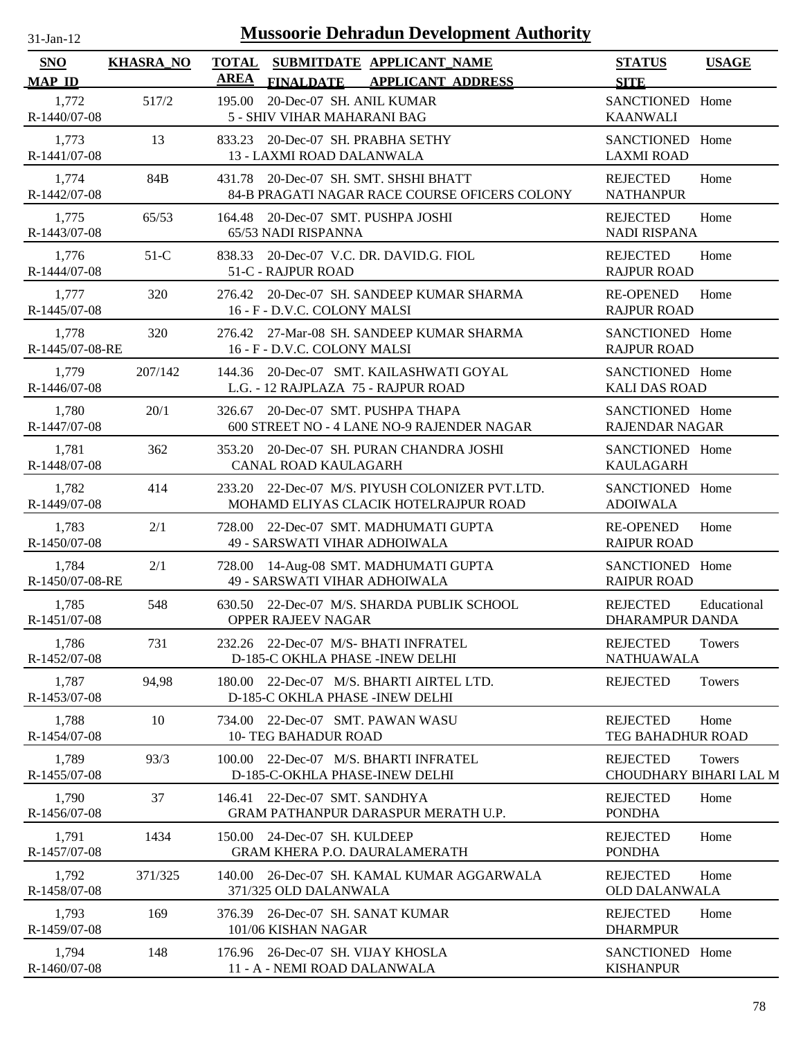| $31$ -Jan-12                | <b>Mussoorie Dehradun Development Authority</b> |                                                                                                |                                                          |  |  |  |  |  |
|-----------------------------|-------------------------------------------------|------------------------------------------------------------------------------------------------|----------------------------------------------------------|--|--|--|--|--|
| <b>SNO</b><br><b>MAP ID</b> | <b>KHASRA_NO</b>                                | TOTAL SUBMITDATE APPLICANT NAME<br><b>AREA</b><br><b>APPLICANT ADDRESS</b><br><b>FINALDATE</b> | <b>STATUS</b><br><b>USAGE</b><br><b>SITE</b>             |  |  |  |  |  |
| 1,772<br>R-1440/07-08       | 517/2                                           | 20-Dec-07 SH. ANIL KUMAR<br>195.00<br>5 - SHIV VIHAR MAHARANI BAG                              | SANCTIONED Home<br><b>KAANWALI</b>                       |  |  |  |  |  |
| 1,773<br>R-1441/07-08       | 13                                              | 833.23 20-Dec-07 SH. PRABHA SETHY<br>13 - LAXMI ROAD DALANWALA                                 | SANCTIONED Home<br><b>LAXMI ROAD</b>                     |  |  |  |  |  |
| 1,774<br>R-1442/07-08       | 84B                                             | 431.78 20-Dec-07 SH. SMT. SHSHI BHATT<br>84-B PRAGATI NAGAR RACE COURSE OFICERS COLONY         | <b>REJECTED</b><br>Home<br><b>NATHANPUR</b>              |  |  |  |  |  |
| 1,775<br>R-1443/07-08       | 65/53                                           | 164.48 20-Dec-07 SMT. PUSHPA JOSHI<br>65/53 NADI RISPANNA                                      | <b>REJECTED</b><br>Home<br><b>NADI RISPANA</b>           |  |  |  |  |  |
| 1,776<br>R-1444/07-08       | $51-C$                                          | 20-Dec-07 V.C. DR. DAVID.G. FIOL<br>838.33<br>51-C - RAJPUR ROAD                               | <b>REJECTED</b><br>Home<br><b>RAJPUR ROAD</b>            |  |  |  |  |  |
| 1,777<br>R-1445/07-08       | 320                                             | 276.42 20-Dec-07 SH. SANDEEP KUMAR SHARMA<br>16 - F - D.V.C. COLONY MALSI                      | <b>RE-OPENED</b><br>Home<br><b>RAJPUR ROAD</b>           |  |  |  |  |  |
| 1,778<br>R-1445/07-08-RE    | 320                                             | 276.42 27-Mar-08 SH. SANDEEP KUMAR SHARMA<br>16 - F - D.V.C. COLONY MALSI                      | SANCTIONED Home<br><b>RAJPUR ROAD</b>                    |  |  |  |  |  |
| 1,779<br>R-1446/07-08       | 207/142                                         | 144.36 20-Dec-07 SMT. KAILASHWATI GOYAL<br>L.G. - 12 RAJPLAZA 75 - RAJPUR ROAD                 | SANCTIONED Home<br><b>KALI DAS ROAD</b>                  |  |  |  |  |  |
| 1,780<br>R-1447/07-08       | 20/1                                            | 326.67 20-Dec-07 SMT. PUSHPA THAPA<br>600 STREET NO - 4 LANE NO-9 RAJENDER NAGAR               | SANCTIONED Home<br><b>RAJENDAR NAGAR</b>                 |  |  |  |  |  |
| 1,781<br>R-1448/07-08       | 362                                             | 353.20 20-Dec-07 SH. PURAN CHANDRA JOSHI<br>CANAL ROAD KAULAGARH                               | SANCTIONED Home<br><b>KAULAGARH</b>                      |  |  |  |  |  |
| 1,782<br>R-1449/07-08       | 414                                             | 233.20 22-Dec-07 M/S. PIYUSH COLONIZER PVT.LTD.<br>MOHAMD ELIYAS CLACIK HOTELRAJPUR ROAD       | SANCTIONED Home<br><b>ADOIWALA</b>                       |  |  |  |  |  |
| 1,783<br>R-1450/07-08       | 2/1                                             | 728.00 22-Dec-07 SMT. MADHUMATI GUPTA<br>49 - SARSWATI VIHAR ADHOIWALA                         | <b>RE-OPENED</b><br>Home<br><b>RAIPUR ROAD</b>           |  |  |  |  |  |
| 1,784<br>R-1450/07-08-RE    | 2/1                                             | 728.00 14-Aug-08 SMT. MADHUMATI GUPTA<br>49 - SARSWATI VIHAR ADHOIWALA                         | SANCTIONED Home<br><b>RAIPUR ROAD</b>                    |  |  |  |  |  |
| 1,785<br>R-1451/07-08       | 548                                             | 630.50 22-Dec-07 M/S. SHARDA PUBLIK SCHOOL<br><b>OPPER RAJEEV NAGAR</b>                        | <b>REJECTED</b><br>Educational<br><b>DHARAMPUR DANDA</b> |  |  |  |  |  |
| 1,786<br>R-1452/07-08       | 731                                             | 232.26 22-Dec-07 M/S- BHATI INFRATEL<br>D-185-C OKHLA PHASE - INEW DELHI                       | <b>REJECTED</b><br><b>Towers</b><br><b>NATHUAWALA</b>    |  |  |  |  |  |
| 1,787<br>R-1453/07-08       | 94,98                                           | 180.00 22-Dec-07 M/S. BHARTI AIRTEL LTD.<br>D-185-C OKHLA PHASE -INEW DELHI                    | <b>REJECTED</b><br>Towers                                |  |  |  |  |  |
| 1,788<br>R-1454/07-08       | 10                                              | 734.00 22-Dec-07 SMT. PAWAN WASU<br><b>10- TEG BAHADUR ROAD</b>                                | <b>REJECTED</b><br>Home<br>TEG BAHADHUR ROAD             |  |  |  |  |  |
| 1,789<br>R-1455/07-08       | 93/3                                            | 100.00 22-Dec-07 M/S. BHARTI INFRATEL<br>D-185-C-OKHLA PHASE-INEW DELHI                        | <b>REJECTED</b><br>Towers<br>CHOUDHARY BIHARI LAL M      |  |  |  |  |  |
| 1,790<br>R-1456/07-08       | 37                                              | 146.41 22-Dec-07 SMT. SANDHYA<br><b>GRAM PATHANPUR DARASPUR MERATH U.P.</b>                    | <b>REJECTED</b><br>Home<br><b>PONDHA</b>                 |  |  |  |  |  |
| 1,791<br>R-1457/07-08       | 1434                                            | 150.00 24-Dec-07 SH. KULDEEP<br><b>GRAM KHERA P.O. DAURALAMERATH</b>                           | Home<br><b>REJECTED</b><br><b>PONDHA</b>                 |  |  |  |  |  |
| 1,792<br>R-1458/07-08       | 371/325                                         | 140.00 26-Dec-07 SH. KAMAL KUMAR AGGARWALA<br>371/325 OLD DALANWALA                            | <b>REJECTED</b><br>Home<br><b>OLD DALANWALA</b>          |  |  |  |  |  |
| 1,793<br>R-1459/07-08       | 169                                             | 376.39 26-Dec-07 SH. SANAT KUMAR<br>101/06 KISHAN NAGAR                                        | <b>REJECTED</b><br>Home<br><b>DHARMPUR</b>               |  |  |  |  |  |
| 1,794<br>R-1460/07-08       | 148                                             | 176.96 26-Dec-07 SH. VIJAY KHOSLA<br>11 - A - NEMI ROAD DALANWALA                              | SANCTIONED Home<br><b>KISHANPUR</b>                      |  |  |  |  |  |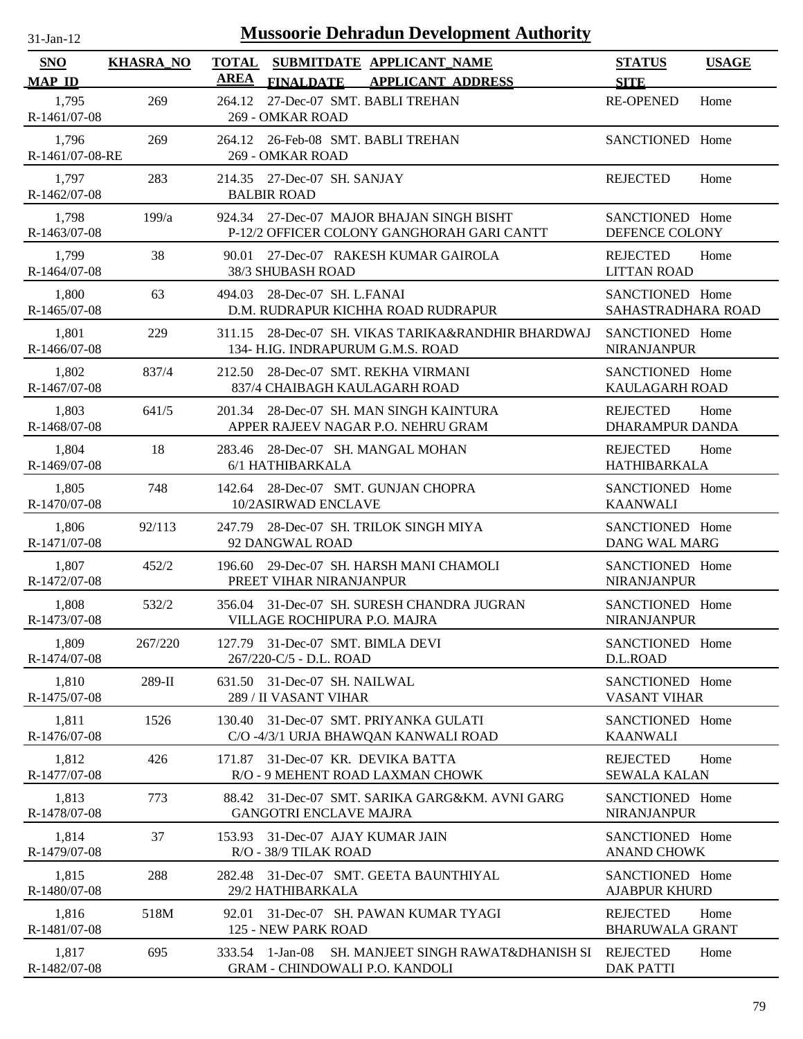| $31$ -Jan-12                |                  | <b>Mussoorie Dehradun Development Authority</b>                                                          |                                           |              |
|-----------------------------|------------------|----------------------------------------------------------------------------------------------------------|-------------------------------------------|--------------|
| <b>SNO</b><br><b>MAP ID</b> | <b>KHASRA_NO</b> | <b>TOTAL</b><br>SUBMITDATE APPLICANT NAME<br><b>AREA</b><br><b>APPLICANT ADDRESS</b><br><b>FINALDATE</b> | <b>STATUS</b><br><b>SITE</b>              | <b>USAGE</b> |
| 1,795<br>R-1461/07-08       | 269              | 27-Dec-07 SMT. BABLI TREHAN<br>264.12<br>269 - OMKAR ROAD                                                | <b>RE-OPENED</b>                          | Home         |
| 1,796<br>R-1461/07-08-RE    | 269              | 264.12<br>26-Feb-08 SMT. BABLI TREHAN<br>269 - OMKAR ROAD                                                | SANCTIONED Home                           |              |
| 1,797<br>R-1462/07-08       | 283              | 214.35 27-Dec-07 SH. SANJAY<br><b>BALBIR ROAD</b>                                                        | <b>REJECTED</b>                           | Home         |
| 1,798<br>R-1463/07-08       | 199/a            | 924.34 27-Dec-07 MAJOR BHAJAN SINGH BISHT<br>P-12/2 OFFICER COLONY GANGHORAH GARI CANTT                  | SANCTIONED Home<br>DEFENCE COLONY         |              |
| 1,799<br>R-1464/07-08       | 38               | 27-Dec-07 RAKESH KUMAR GAIROLA<br>90.01<br>38/3 SHUBASH ROAD                                             | <b>REJECTED</b><br><b>LITTAN ROAD</b>     | Home         |
| 1,800<br>R-1465/07-08       | 63               | 28-Dec-07 SH. L.FANAI<br>494.03<br>D.M. RUDRAPUR KICHHA ROAD RUDRAPUR                                    | SANCTIONED Home<br>SAHASTRADHARA ROAD     |              |
| 1,801<br>R-1466/07-08       | 229              | 28-Dec-07 SH. VIKAS TARIKA&RANDHIR BHARDWAJ<br>311.15<br>134- H.IG. INDRAPURUM G.M.S. ROAD               | SANCTIONED Home<br><b>NIRANJANPUR</b>     |              |
| 1,802<br>R-1467/07-08       | 837/4            | 28-Dec-07 SMT. REKHA VIRMANI<br>212.50<br>837/4 CHAIBAGH KAULAGARH ROAD                                  | SANCTIONED Home<br>KAULAGARH ROAD         |              |
| 1,803<br>R-1468/07-08       | 641/5            | 28-Dec-07 SH. MAN SINGH KAINTURA<br>201.34<br>APPER RAJEEV NAGAR P.O. NEHRU GRAM                         | <b>REJECTED</b><br><b>DHARAMPUR DANDA</b> | Home         |
| 1,804<br>R-1469/07-08       | 18               | 28-Dec-07 SH. MANGAL MOHAN<br>283.46<br>6/1 HATHIBARKALA                                                 | <b>REJECTED</b><br><b>HATHIBARKALA</b>    | Home         |
| 1,805<br>R-1470/07-08       | 748              | 28-Dec-07 SMT. GUNJAN CHOPRA<br>142.64<br>10/2ASIRWAD ENCLAVE                                            | SANCTIONED Home<br><b>KAANWALI</b>        |              |
| 1,806<br>R-1471/07-08       | 92/113           | 28-Dec-07 SH. TRILOK SINGH MIYA<br>247.79<br>92 DANGWAL ROAD                                             | SANCTIONED Home<br>DANG WAL MARG          |              |
| 1,807<br>R-1472/07-08       | 452/2            | 29-Dec-07 SH. HARSH MANI CHAMOLI<br>196.60<br>PREET VIHAR NIRANJANPUR                                    | SANCTIONED Home<br><b>NIRANJANPUR</b>     |              |
| 1,808<br>R-1473/07-08       | 532/2            | 356.04 31-Dec-07 SH. SURESH CHANDRA JUGRAN<br>VILLAGE ROCHIPURA P.O. MAJRA                               | SANCTIONED Home<br><b>NIRANJANPUR</b>     |              |
| 1,809<br>R-1474/07-08       | 267/220          | 127.79 31-Dec-07 SMT. BIMLA DEVI<br>267/220-C/5 - D.L. ROAD                                              | SANCTIONED Home<br>D.L.ROAD               |              |
| 1,810<br>R-1475/07-08       | $289-II$         | 31-Dec-07 SH. NAILWAL<br>631.50<br>289 / II VASANT VIHAR                                                 | SANCTIONED Home<br><b>VASANT VIHAR</b>    |              |
| 1,811<br>R-1476/07-08       | 1526             | 31-Dec-07 SMT. PRIYANKA GULATI<br>130.40<br>C/O -4/3/1 URJA BHAWQAN KANWALI ROAD                         | SANCTIONED Home<br><b>KAANWALI</b>        |              |
| 1,812<br>R-1477/07-08       | 426              | 31-Dec-07 KR. DEVIKA BATTA<br>171.87<br>R/O - 9 MEHENT ROAD LAXMAN CHOWK                                 | <b>REJECTED</b><br><b>SEWALA KALAN</b>    | Home         |
| 1,813<br>R-1478/07-08       | 773              | 31-Dec-07 SMT. SARIKA GARG&KM. AVNI GARG<br>88.42<br><b>GANGOTRI ENCLAVE MAJRA</b>                       | SANCTIONED Home<br><b>NIRANJANPUR</b>     |              |
| 1,814<br>R-1479/07-08       | 37               | 31-Dec-07 AJAY KUMAR JAIN<br>153.93<br>R/O - 38/9 TILAK ROAD                                             | SANCTIONED Home<br><b>ANAND CHOWK</b>     |              |
| 1,815<br>R-1480/07-08       | 288              | 31-Dec-07 SMT. GEETA BAUNTHIYAL<br>282.48<br>29/2 HATHIBARKALA                                           | SANCTIONED Home<br><b>AJABPUR KHURD</b>   |              |
| 1,816<br>R-1481/07-08       | 518M             | 31-Dec-07 SH. PAWAN KUMAR TYAGI<br>92.01<br>125 - NEW PARK ROAD                                          | <b>REJECTED</b><br><b>BHARUWALA GRANT</b> | Home         |
| 1,817<br>R-1482/07-08       | 695              | 333.54 1-Jan-08<br>SH. MANJEET SINGH RAWAT&DHANISH SI<br><b>GRAM - CHINDOWALI P.O. KANDOLI</b>           | <b>REJECTED</b><br><b>DAK PATTI</b>       | Home         |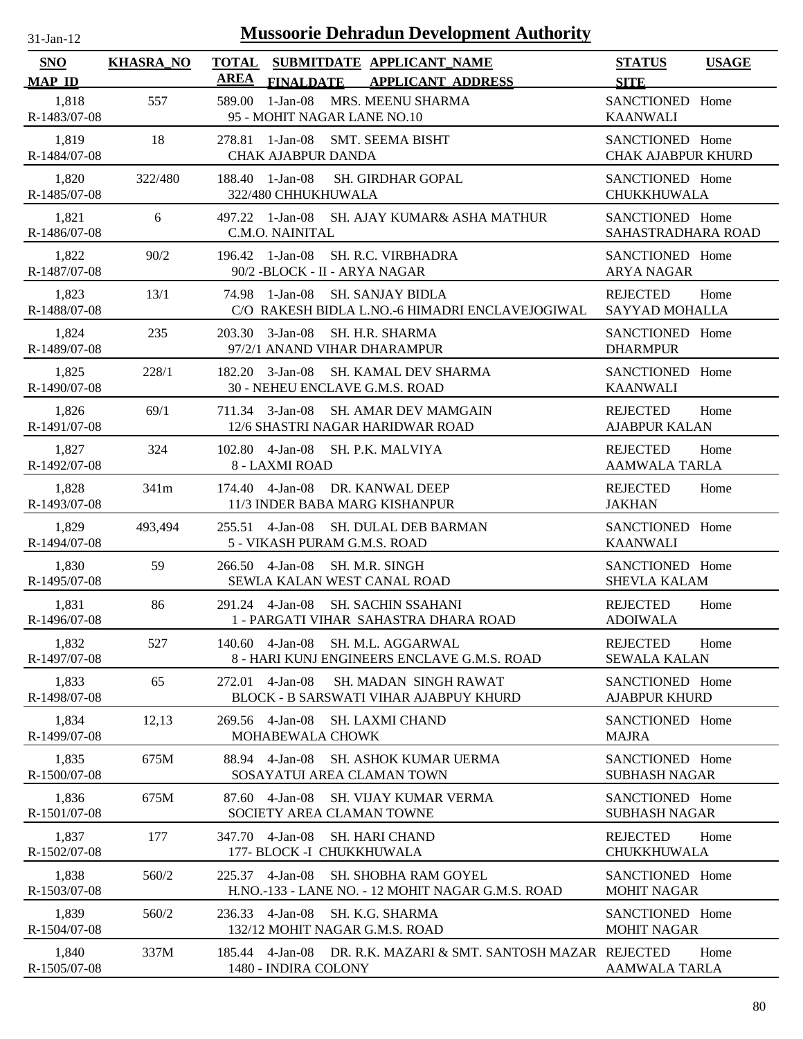| <b>Mussoorie Dehradun Development Authority</b><br>$31-Jan-12$ |                  |                                                                                                     |                                                 |  |  |
|----------------------------------------------------------------|------------------|-----------------------------------------------------------------------------------------------------|-------------------------------------------------|--|--|
| <b>SNO</b><br><b>MAP ID</b>                                    | <b>KHASRA_NO</b> | TOTAL SUBMITDATE APPLICANT NAME<br><b>AREA</b><br><b>FINALDATE</b><br><b>APPLICANT ADDRESS</b>      | <b>STATUS</b><br><b>USAGE</b><br><b>SITE</b>    |  |  |
| 1,818<br>R-1483/07-08                                          | 557              | 1-Jan-08 MRS. MEENU SHARMA<br>589.00<br>95 - MOHIT NAGAR LANE NO.10                                 | SANCTIONED Home<br><b>KAANWALI</b>              |  |  |
| 1,819<br>R-1484/07-08                                          | 18               | 1-Jan-08<br><b>SMT. SEEMA BISHT</b><br>278.81<br><b>CHAK AJABPUR DANDA</b>                          | SANCTIONED Home<br><b>CHAK AJABPUR KHURD</b>    |  |  |
| 1,820<br>R-1485/07-08                                          | 322/480          | 188.40 1-Jan-08<br><b>SH. GIRDHAR GOPAL</b><br>322/480 CHHUKHUWALA                                  | SANCTIONED Home<br><b>CHUKKHUWALA</b>           |  |  |
| 1,821<br>R-1486/07-08                                          | 6                | 1-Jan-08<br>SH. AJAY KUMAR& ASHA MATHUR<br>497.22<br>C.M.O. NAINITAL                                | SANCTIONED Home<br>SAHASTRADHARA ROAD           |  |  |
| 1,822<br>R-1487/07-08                                          | 90/2             | 196.42 1-Jan-08<br><b>SH. R.C. VIRBHADRA</b><br>90/2 - BLOCK - II - ARYA NAGAR                      | SANCTIONED Home<br><b>ARYA NAGAR</b>            |  |  |
| 1,823<br>R-1488/07-08                                          | 13/1             | 1-Jan-08<br><b>SH. SANJAY BIDLA</b><br>74.98<br>C/O RAKESH BIDLA L.NO.-6 HIMADRI ENCLAVEJOGIWAL     | <b>REJECTED</b><br>Home<br>SAYYAD MOHALLA       |  |  |
| 1,824<br>R-1489/07-08                                          | 235              | 203.30 3-Jan-08<br><b>SH. H.R. SHARMA</b><br>97/2/1 ANAND VIHAR DHARAMPUR                           | SANCTIONED Home<br><b>DHARMPUR</b>              |  |  |
| 1,825<br>R-1490/07-08                                          | 228/1            | 182.20 3-Jan-08<br><b>SH. KAMAL DEV SHARMA</b><br>30 - NEHEU ENCLAVE G.M.S. ROAD                    | SANCTIONED Home<br><b>KAANWALI</b>              |  |  |
| 1,826<br>R-1491/07-08                                          | 69/1             | 711.34 3-Jan-08 SH. AMAR DEV MAMGAIN<br>12/6 SHASTRI NAGAR HARIDWAR ROAD                            | <b>REJECTED</b><br>Home<br><b>AJABPUR KALAN</b> |  |  |
| 1,827<br>R-1492/07-08                                          | 324              | 102.80  4-Jan-08  SH. P.K. MALVIYA<br>8 - LAXMI ROAD                                                | <b>REJECTED</b><br>Home<br><b>AAMWALA TARLA</b> |  |  |
| 1,828<br>R-1493/07-08                                          | 341m             | 174.40 4-Jan-08 DR. KANWAL DEEP<br>11/3 INDER BABA MARG KISHANPUR                                   | <b>REJECTED</b><br>Home<br><b>JAKHAN</b>        |  |  |
| 1,829<br>R-1494/07-08                                          | 493,494          | 255.51 4-Jan-08<br><b>SH. DULAL DEB BARMAN</b><br>5 - VIKASH PURAM G.M.S. ROAD                      | SANCTIONED Home<br><b>KAANWALI</b>              |  |  |
| 1,830<br>R-1495/07-08                                          | 59               | $4-Jan-08$<br>266.50<br><b>SH. M.R. SINGH</b><br>SEWLA KALAN WEST CANAL ROAD                        | SANCTIONED Home<br><b>SHEVLA KALAM</b>          |  |  |
| 1,831<br>R-1496/07-08                                          | 86               | 291.24 4-Jan-08 SH. SACHIN SSAHANI<br>1 - PARGATI VIHAR SAHASTRA DHARA ROAD                         | <b>REJECTED</b><br>Home<br><b>ADOIWALA</b>      |  |  |
| 1,832<br>R-1497/07-08                                          | 527              | 140.60 4-Jan-08<br><b>SH. M.L. AGGARWAL</b><br>8 - HARI KUNJ ENGINEERS ENCLAVE G.M.S. ROAD          | <b>REJECTED</b><br>Home<br><b>SEWALA KALAN</b>  |  |  |
| 1,833<br>R-1498/07-08                                          | 65               | 4-Jan-08<br>SH. MADAN SINGH RAWAT<br>272.01<br><b>BLOCK - B SARSWATI VIHAR AJABPUY KHURD</b>        | SANCTIONED Home<br><b>AJABPUR KHURD</b>         |  |  |
| 1,834<br>R-1499/07-08                                          | 12,13            | 269.56 4-Jan-08<br>SH. LAXMI CHAND<br>MOHABEWALA CHOWK                                              | SANCTIONED Home<br><b>MAJRA</b>                 |  |  |
| 1,835<br>R-1500/07-08                                          | 675M             | 88.94 4-Jan-08<br><b>SH. ASHOK KUMAR UERMA</b><br>SOSAYATUI AREA CLAMAN TOWN                        | SANCTIONED Home<br><b>SUBHASH NAGAR</b>         |  |  |
| 1,836<br>R-1501/07-08                                          | 675M             | $4-Jan-08$<br>87.60<br>SH. VIJAY KUMAR VERMA<br>SOCIETY AREA CLAMAN TOWNE                           | SANCTIONED Home<br><b>SUBHASH NAGAR</b>         |  |  |
| 1,837<br>R-1502/07-08                                          | 177              | 347.70 4-Jan-08<br><b>SH. HARI CHAND</b><br>177- BLOCK -I CHUKKHUWALA                               | <b>REJECTED</b><br>Home<br>CHUKKHUWALA          |  |  |
| 1,838<br>R-1503/07-08                                          | 560/2            | 225.37 4-Jan-08<br><b>SH. SHOBHA RAM GOYEL</b><br>H.NO.-133 - LANE NO. - 12 MOHIT NAGAR G.M.S. ROAD | SANCTIONED Home<br><b>MOHIT NAGAR</b>           |  |  |
| 1,839<br>R-1504/07-08                                          | 560/2            | 236.33 4-Jan-08<br>SH. K.G. SHARMA<br>132/12 MOHIT NAGAR G.M.S. ROAD                                | SANCTIONED Home<br><b>MOHIT NAGAR</b>           |  |  |
| 1,840<br>R-1505/07-08                                          | 337M             | 185.44 4-Jan-08 DR. R.K. MAZARI & SMT. SANTOSH MAZAR REJECTED<br>1480 - INDIRA COLONY               | Home<br><b>AAMWALA TARLA</b>                    |  |  |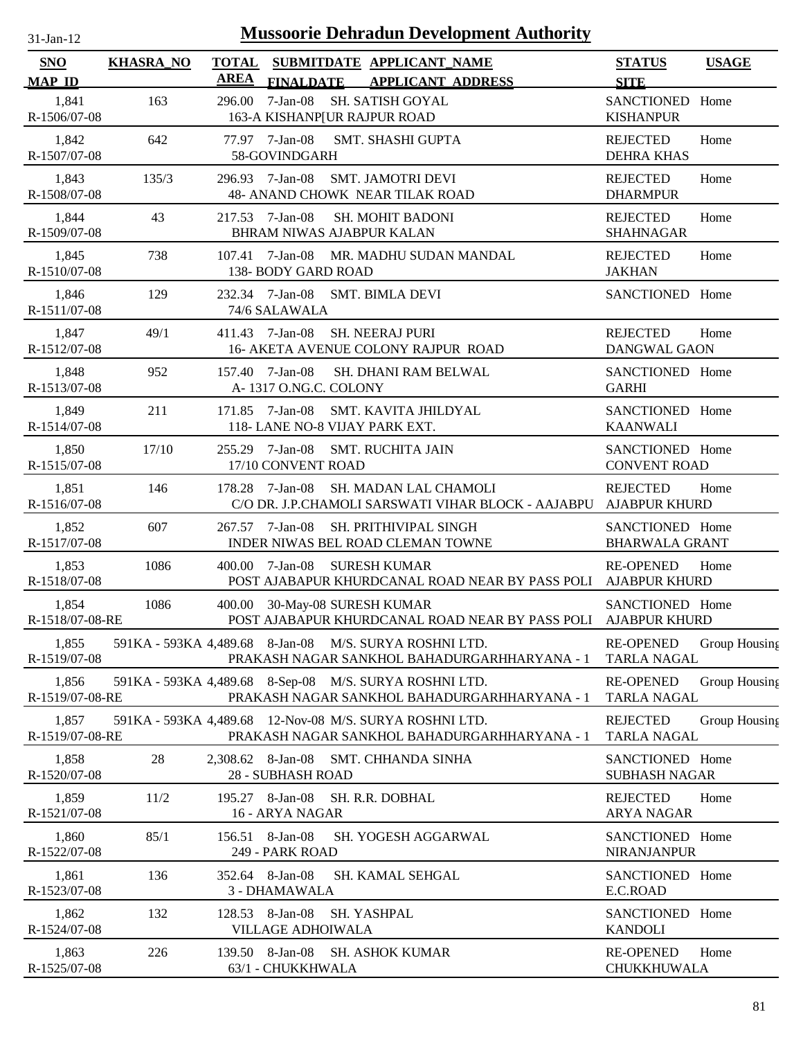| -Jan- |  |
|-------|--|

| <b>SNO</b><br><b>MAP ID</b> | <b>KHASRA_NO</b> | <b>TOTAL</b><br><b>AREA</b> | SUBMITDATE APPLICANT_NAME<br>FINALDATE APPLICANT ADDRESS                                                | <b>STATUS</b><br><b>SITE</b>             | <b>USAGE</b>  |
|-----------------------------|------------------|-----------------------------|---------------------------------------------------------------------------------------------------------|------------------------------------------|---------------|
| 1,841<br>R-1506/07-08       | 163              | 296.00                      | $7-Jan-08$<br>SH. SATISH GOYAL<br>163-A KISHANP[UR RAJPUR ROAD                                          | SANCTIONED Home<br><b>KISHANPUR</b>      |               |
| 1,842<br>R-1507/07-08       | 642              |                             | 77.97 7-Jan-08<br><b>SMT. SHASHI GUPTA</b><br>58-GOVINDGARH                                             | <b>REJECTED</b><br>DEHRA KHAS            | Home          |
| 1,843<br>R-1508/07-08       | 135/3            | 296.93 7-Jan-08             | <b>SMT. JAMOTRI DEVI</b><br><b>48- ANAND CHOWK NEAR TILAK ROAD</b>                                      | <b>REJECTED</b><br><b>DHARMPUR</b>       | Home          |
| 1,844<br>R-1509/07-08       | 43               | 217.53 7-Jan-08             | <b>SH. MOHIT BADONI</b><br><b>BHRAM NIWAS AJABPUR KALAN</b>                                             | <b>REJECTED</b><br><b>SHAHNAGAR</b>      | Home          |
| 1,845<br>R-1510/07-08       | 738              |                             | 107.41 7-Jan-08 MR. MADHU SUDAN MANDAL<br>138- BODY GARD ROAD                                           | <b>REJECTED</b><br><b>JAKHAN</b>         | Home          |
| 1,846<br>R-1511/07-08       | 129              |                             | 232.34 7-Jan-08 SMT. BIMLA DEVI<br>74/6 SALAWALA                                                        | SANCTIONED Home                          |               |
| 1,847<br>R-1512/07-08       | 49/1             | 411.43 7-Jan-08             | <b>SH. NEERAJ PURI</b><br>16- AKETA AVENUE COLONY RAJPUR ROAD                                           | <b>REJECTED</b><br><b>DANGWAL GAON</b>   | Home          |
| 1,848<br>R-1513/07-08       | 952              | 157.40                      | $7-Ian-08$<br>SH. DHANI RAM BELWAL<br>A-1317 O.NG.C. COLONY                                             | SANCTIONED Home<br><b>GARHI</b>          |               |
| 1,849<br>R-1514/07-08       | 211              |                             | 171.85 7-Jan-08<br>SMT. KAVITA JHILDYAL<br>118-LANE NO-8 VIJAY PARK EXT.                                | SANCTIONED Home<br><b>KAANWALI</b>       |               |
| 1,850<br>R-1515/07-08       | 17/10            | 255.29                      | 7-Jan-08<br><b>SMT. RUCHITA JAIN</b><br>17/10 CONVENT ROAD                                              | SANCTIONED Home<br><b>CONVENT ROAD</b>   |               |
| 1,851<br>R-1516/07-08       | 146              | 178.28                      | 7-Jan-08<br>SH. MADAN LAL CHAMOLI<br>C/O DR. J.P.CHAMOLI SARSWATI VIHAR BLOCK - AAJABPU                 | <b>REJECTED</b><br><b>AJABPUR KHURD</b>  | Home          |
| 1,852<br>R-1517/07-08       | 607              | 267.57 7-Jan-08             | <b>SH. PRITHIVIPAL SINGH</b><br>INDER NIWAS BEL ROAD CLEMAN TOWNE                                       | SANCTIONED Home<br><b>BHARWALA GRANT</b> |               |
| 1,853<br>R-1518/07-08       | 1086             | 400.00                      | 7-Jan-08<br><b>SURESH KUMAR</b><br>POST AJABAPUR KHURDCANAL ROAD NEAR BY PASS POLI AJABPUR KHURD        | <b>RE-OPENED</b>                         | Home          |
| 1,854<br>R-1518/07-08-RE    | 1086             | 400.00                      | 30-May-08 SURESH KUMAR<br>POST AJABAPUR KHURDCANAL ROAD NEAR BY PASS POLI AJABPUR KHURD                 | SANCTIONED Home                          |               |
| 1,855<br>R-1519/07-08       |                  |                             | 591KA - 593KA 4,489.68 8-Jan-08 M/S. SURYA ROSHNI LTD.<br>PRAKASH NAGAR SANKHOL BAHADURGARHHARYANA - 1  | <b>RE-OPENED</b><br><b>TARLA NAGAL</b>   | Group Housing |
| 1,856<br>R-1519/07-08-RE    |                  |                             | 591KA - 593KA 4,489.68 8-Sep-08 M/S. SURYA ROSHNI LTD.<br>PRAKASH NAGAR SANKHOL BAHADURGARHHARYANA - 1  | <b>RE-OPENED</b><br><b>TARLA NAGAL</b>   | Group Housing |
| 1,857<br>R-1519/07-08-RE    |                  |                             | 591KA - 593KA 4,489.68 12-Nov-08 M/S. SURYA ROSHNI LTD.<br>PRAKASH NAGAR SANKHOL BAHADURGARHHARYANA - 1 | <b>REJECTED</b><br><b>TARLA NAGAL</b>    | Group Housing |
| 1,858<br>R-1520/07-08       | 28               |                             | 2,308.62 8-Jan-08 SMT. CHHANDA SINHA<br>28 - SUBHASH ROAD                                               | SANCTIONED Home<br><b>SUBHASH NAGAR</b>  |               |
| 1,859<br>R-1521/07-08       | 11/2             |                             | 195.27 8-Jan-08<br>SH. R.R. DOBHAL<br>16 - ARYA NAGAR                                                   | <b>REJECTED</b><br><b>ARYA NAGAR</b>     | Home          |
| 1,860<br>R-1522/07-08       | 85/1             | 156.51                      | 8-Jan-08<br>SH. YOGESH AGGARWAL<br>249 - PARK ROAD                                                      | SANCTIONED Home<br><b>NIRANJANPUR</b>    |               |
| 1,861<br>R-1523/07-08       | 136              | 352.64 8-Jan-08             | SH. KAMAL SEHGAL<br>3 - DHAMAWALA                                                                       | SANCTIONED Home<br>E.C.ROAD              |               |
| 1,862<br>R-1524/07-08       | 132              |                             | 128.53 8-Jan-08<br>SH. YASHPAL<br>VILLAGE ADHOIWALA                                                     | SANCTIONED Home<br><b>KANDOLI</b>        |               |
| 1,863<br>R-1525/07-08       | 226              |                             | 139.50 8-Jan-08 SH. ASHOK KUMAR<br>63/1 - CHUKKHWALA                                                    | <b>RE-OPENED</b><br>CHUKKHUWALA          | Home          |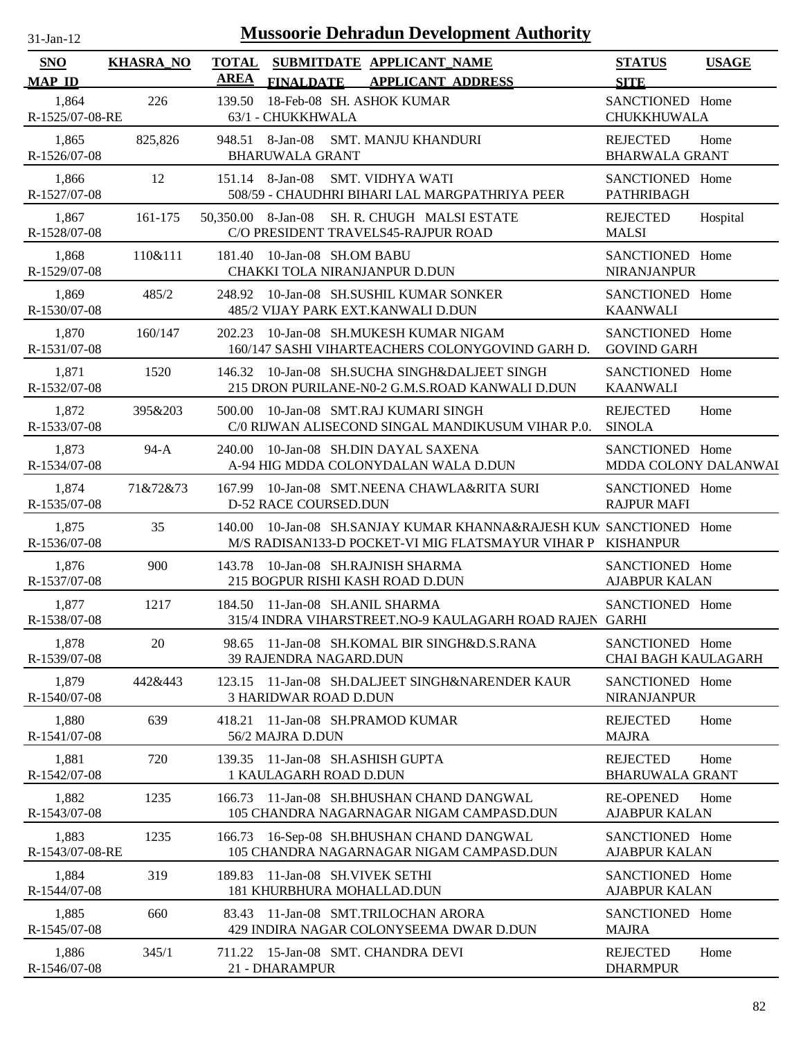| $31$ -Jan- $12$             |                  |                             | <b>Mussoorie Dehradun Development Authority</b>                                                                            |                                               |              |
|-----------------------------|------------------|-----------------------------|----------------------------------------------------------------------------------------------------------------------------|-----------------------------------------------|--------------|
| <b>SNO</b><br><b>MAP ID</b> | <b>KHASRA_NO</b> | <b>TOTAL</b><br><b>AREA</b> | SUBMITDATE APPLICANT_NAME<br><b>FINALDATE</b><br><b>APPLICANT ADDRESS</b>                                                  | <b>STATUS</b><br><b>SITE</b>                  | <b>USAGE</b> |
| 1,864<br>R-1525/07-08-RE    | 226              | 139.50                      | 18-Feb-08 SH. ASHOK KUMAR<br>63/1 - CHUKKHWALA                                                                             | SANCTIONED Home<br>CHUKKHUWALA                |              |
| 1,865<br>R-1526/07-08       | 825,826          | 948.51                      | 8-Jan-08<br>SMT. MANJU KHANDURI<br><b>BHARUWALA GRANT</b>                                                                  | <b>REJECTED</b><br><b>BHARWALA GRANT</b>      | Home         |
| 1,866<br>R-1527/07-08       | 12               | 151.14 8-Jan-08             | <b>SMT. VIDHYA WATI</b><br>508/59 - CHAUDHRI BIHARI LAL MARGPATHRIYA PEER                                                  | SANCTIONED Home<br><b>PATHRIBAGH</b>          |              |
| 1,867<br>R-1528/07-08       | 161-175          | 50,350.00 8-Jan-08          | SH. R. CHUGH MALSI ESTATE<br>C/O PRESIDENT TRAVELS45-RAJPUR ROAD                                                           | <b>REJECTED</b><br><b>MALSI</b>               | Hospital     |
| 1,868<br>R-1529/07-08       | 110&111          | 181.40                      | 10-Jan-08 SH.OM BABU<br>CHAKKI TOLA NIRANJANPUR D.DUN                                                                      | SANCTIONED Home<br><b>NIRANJANPUR</b>         |              |
| 1,869<br>R-1530/07-08       | 485/2            | 248.92                      | 10-Jan-08 SH.SUSHIL KUMAR SONKER<br>485/2 VIJAY PARK EXT.KANWALI D.DUN                                                     | SANCTIONED Home<br><b>KAANWALI</b>            |              |
| 1,870<br>R-1531/07-08       | 160/147          | 202.23                      | 10-Jan-08 SH.MUKESH KUMAR NIGAM<br>160/147 SASHI VIHARTEACHERS COLONYGOVIND GARH D.                                        | SANCTIONED Home<br><b>GOVIND GARH</b>         |              |
| 1,871<br>R-1532/07-08       | 1520             |                             | 146.32 10-Jan-08 SH.SUCHA SINGH&DALJEET SINGH<br>215 DRON PURILANE-N0-2 G.M.S.ROAD KANWALI D.DUN                           | SANCTIONED Home<br><b>KAANWALI</b>            |              |
| 1,872<br>R-1533/07-08       | 395&203          |                             | 500.00 10-Jan-08 SMT.RAJ KUMARI SINGH<br>C/0 RIJWAN ALISECOND SINGAL MANDIKUSUM VIHAR P.0.                                 | <b>REJECTED</b><br><b>SINOLA</b>              | Home         |
| 1,873<br>R-1534/07-08       | $94-A$           | 240.00                      | 10-Jan-08 SH.DIN DAYAL SAXENA<br>A-94 HIG MDDA COLONYDALAN WALA D.DUN                                                      | SANCTIONED Home<br>MDDA COLONY DALANWAI       |              |
| 1,874<br>R-1535/07-08       | 71&72&73         |                             | 167.99 10-Jan-08 SMT.NEENA CHAWLA&RITA SURI<br><b>D-52 RACE COURSED.DUN</b>                                                | SANCTIONED Home<br><b>RAJPUR MAFI</b>         |              |
| 1,875<br>R-1536/07-08       | 35               | 140.00                      | 10-Jan-08 SH.SANJAY KUMAR KHANNA&RAJESH KUN SANCTIONED Home<br>M/S RADISAN133-D POCKET-VI MIG FLATSMAYUR VIHAR P KISHANPUR |                                               |              |
| 1,876<br>R-1537/07-08       | 900              | 143.78                      | 10-Jan-08 SH.RAJNISH SHARMA<br>215 BOGPUR RISHI KASH ROAD D.DUN                                                            | SANCTIONED Home<br><b>AJABPUR KALAN</b>       |              |
| 1,877<br>R-1538/07-08       | 1217             |                             | 184.50 11-Jan-08 SH.ANIL SHARMA<br>315/4 INDRA VIHARSTREET.NO-9 KAULAGARH ROAD RAJEN GARHI                                 | SANCTIONED Home                               |              |
| 1,878<br>R-1539/07-08       | 20               | 98.65                       | 11-Jan-08 SH.KOMAL BIR SINGH&D.S.RANA<br><b>39 RAJENDRA NAGARD.DUN</b>                                                     | SANCTIONED Home<br><b>CHAI BAGH KAULAGARH</b> |              |
| 1,879<br>R-1540/07-08       | 442&443          |                             | 123.15 11-Jan-08 SH.DALJEET SINGH&NARENDER KAUR<br><b>3 HARIDWAR ROAD D.DUN</b>                                            | SANCTIONED Home<br><b>NIRANJANPUR</b>         |              |
| 1,880<br>R-1541/07-08       | 639              | 418.21                      | 11-Jan-08 SH.PRAMOD KUMAR<br>56/2 MAJRA D.DUN                                                                              | <b>REJECTED</b><br><b>MAJRA</b>               | Home         |
| 1,881<br>R-1542/07-08       | 720              |                             | 139.35 11-Jan-08 SH.ASHISH GUPTA<br>1 KAULAGARH ROAD D.DUN                                                                 | <b>REJECTED</b><br><b>BHARUWALA GRANT</b>     | Home         |
| 1,882<br>R-1543/07-08       | 1235             | 166.73                      | 11-Jan-08 SH.BHUSHAN CHAND DANGWAL<br>105 CHANDRA NAGARNAGAR NIGAM CAMPASD.DUN                                             | <b>RE-OPENED</b><br><b>AJABPUR KALAN</b>      | Home         |
| 1,883<br>R-1543/07-08-RE    | 1235             | 166.73                      | 16-Sep-08 SH.BHUSHAN CHAND DANGWAL<br>105 CHANDRA NAGARNAGAR NIGAM CAMPASD.DUN                                             | SANCTIONED Home<br><b>AJABPUR KALAN</b>       |              |
| 1,884<br>R-1544/07-08       | 319              | 189.83                      | 11-Jan-08 SH. VIVEK SETHI<br>181 KHURBHURA MOHALLAD.DUN                                                                    | SANCTIONED Home<br><b>AJABPUR KALAN</b>       |              |
| 1,885<br>R-1545/07-08       | 660              |                             | 83.43 11-Jan-08 SMT.TRILOCHAN ARORA<br>429 INDIRA NAGAR COLONYSEEMA DWAR D.DUN                                             | SANCTIONED Home<br><b>MAJRA</b>               |              |

345/1 15-Jan-08 REJECTED SMT. CHANDRA DEVI Home 1,886 711.22

21 - DHARAMPUR

R-1546/07-08

DHARMPUR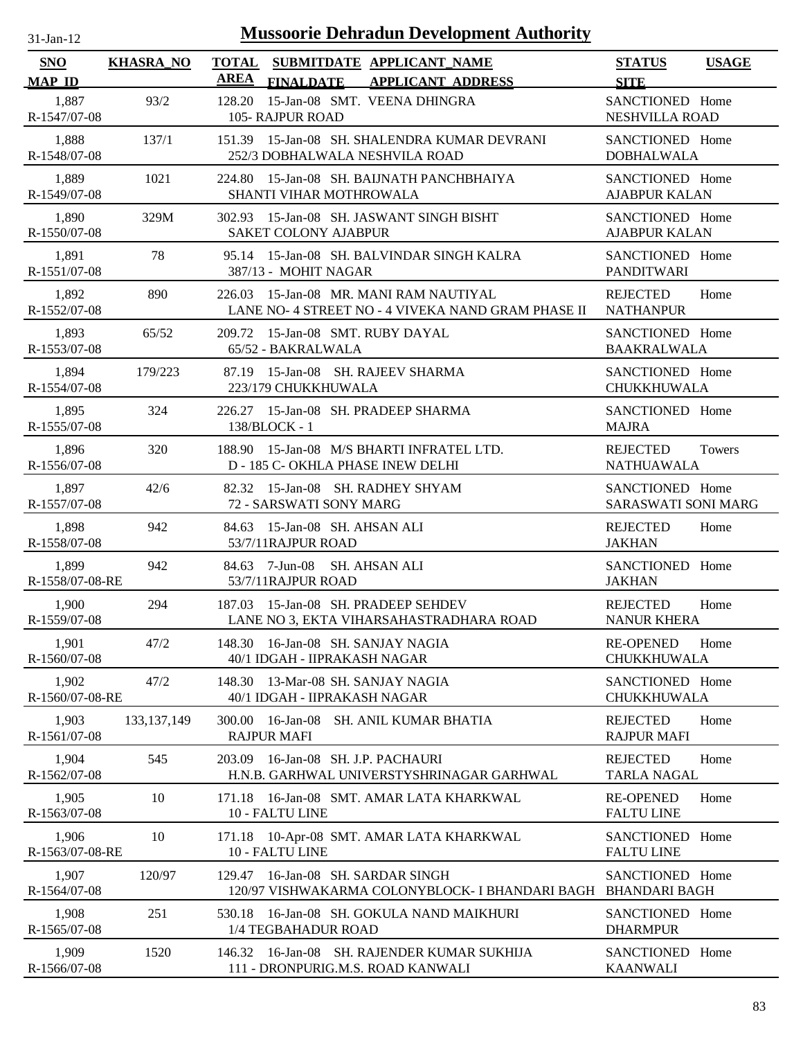| -Jan- |  |
|-------|--|
|       |  |

| <b>SNO</b>               | <b>KHASRA_NO</b> | TOTAL SUBMITDATE APPLICANT_NAME                                                              | <b>STATUS</b><br><b>USAGE</b>                         |
|--------------------------|------------------|----------------------------------------------------------------------------------------------|-------------------------------------------------------|
| <b>MAP ID</b>            |                  | <b>AREA</b><br><b>FINALDATE</b><br><b>APPLICANT ADDRESS</b>                                  | <b>SITE</b>                                           |
| 1,887<br>R-1547/07-08    | 93/2             | 15-Jan-08 SMT. VEENA DHINGRA<br>128.20<br>105- RAJPUR ROAD                                   | SANCTIONED Home<br>NESHVILLA ROAD                     |
| 1,888<br>R-1548/07-08    | 137/1            | 151.39 15-Jan-08 SH. SHALENDRA KUMAR DEVRANI<br>252/3 DOBHALWALA NESHVILA ROAD               | SANCTIONED Home<br><b>DOBHALWALA</b>                  |
| 1,889<br>R-1549/07-08    | 1021             | 224.80 15-Jan-08 SH. BAIJNATH PANCHBHAIYA<br>SHANTI VIHAR MOTHROWALA                         | SANCTIONED Home<br><b>AJABPUR KALAN</b>               |
| 1,890<br>R-1550/07-08    | 329M             | 302.93 15-Jan-08 SH. JASWANT SINGH BISHT<br>SAKET COLONY AJABPUR                             | SANCTIONED Home<br><b>AJABPUR KALAN</b>               |
| 1,891<br>R-1551/07-08    | 78               | 95.14 15-Jan-08 SH. BALVINDAR SINGH KALRA<br>387/13 - MOHIT NAGAR                            | SANCTIONED Home<br><b>PANDITWARI</b>                  |
| 1,892<br>R-1552/07-08    | 890              | 226.03 15-Jan-08 MR. MANI RAM NAUTIYAL<br>LANE NO- 4 STREET NO - 4 VIVEKA NAND GRAM PHASE II | <b>REJECTED</b><br>Home<br><b>NATHANPUR</b>           |
| 1,893<br>R-1553/07-08    | 65/52            | 209.72 15-Jan-08 SMT. RUBY DAYAL<br>65/52 - BAKRALWALA                                       | SANCTIONED Home<br><b>BAAKRALWALA</b>                 |
| 1,894<br>R-1554/07-08    | 179/223          | 87.19 15-Jan-08 SH. RAJEEV SHARMA<br>223/179 CHUKKHUWALA                                     | SANCTIONED Home<br><b>CHUKKHUWALA</b>                 |
| 1,895<br>R-1555/07-08    | 324              | 226.27 15-Jan-08 SH, PRADEEP SHARMA<br>138/BLOCK - 1                                         | SANCTIONED Home<br><b>MAJRA</b>                       |
| 1,896<br>R-1556/07-08    | 320              | 188.90 15-Jan-08 M/S BHARTI INFRATEL LTD.<br>D - 185 C- OKHLA PHASE INEW DELHI               | <b>REJECTED</b><br><b>Towers</b><br><b>NATHUAWALA</b> |
| 1,897<br>R-1557/07-08    | 42/6             | 82.32 15-Jan-08 SH. RADHEY SHYAM<br>72 - SARSWATI SONY MARG                                  | SANCTIONED Home<br><b>SARASWATI SONI MARG</b>         |
| 1,898<br>R-1558/07-08    | 942              | 84.63 15-Jan-08 SH, AHSAN ALI<br>53/7/11RAJPUR ROAD                                          | <b>REJECTED</b><br>Home<br><b>JAKHAN</b>              |
| 1,899<br>R-1558/07-08-RE | 942              | 84.63 7-Jun-08 SH. AHSAN ALI<br>53/7/11RAJPUR ROAD                                           | SANCTIONED Home<br><b>JAKHAN</b>                      |
| 1,900<br>R-1559/07-08    | 294              | 187.03 15-Jan-08 SH. PRADEEP SEHDEV<br>LANE NO 3, EKTA VIHARSAHASTRADHARA ROAD               | <b>REJECTED</b><br>Home<br><b>NANUR KHERA</b>         |
| 1,901<br>R-1560/07-08    | 47/2             | 148.30 16-Jan-08 SH. SANJAY NAGIA<br>40/1 IDGAH - IIPRAKASH NAGAR                            | <b>RE-OPENED</b><br>Home<br>CHUKKHUWALA               |
| 1,902<br>R-1560/07-08-RE | 47/2             | 13-Mar-08 SH. SANJAY NAGIA<br>148.30<br>40/1 IDGAH - IIPRAKASH NAGAR                         | SANCTIONED Home<br>CHUKKHUWALA                        |
| 1,903<br>R-1561/07-08    | 133, 137, 149    | 300.00<br>16-Jan-08 SH. ANIL KUMAR BHATIA<br><b>RAJPUR MAFI</b>                              | <b>REJECTED</b><br>Home<br><b>RAJPUR MAFI</b>         |
| 1,904<br>R-1562/07-08    | 545              | 16-Jan-08 SH. J.P. PACHAURI<br>203.09<br>H.N.B. GARHWAL UNIVERSTYSHRINAGAR GARHWAL           | Home<br><b>REJECTED</b><br><b>TARLA NAGAL</b>         |
| 1,905<br>R-1563/07-08    | 10               | 171.18 16-Jan-08 SMT. AMAR LATA KHARKWAL<br>10 - FALTU LINE                                  | <b>RE-OPENED</b><br>Home<br><b>FALTU LINE</b>         |
| 1,906<br>R-1563/07-08-RE | 10               | 171.18 10-Apr-08 SMT. AMAR LATA KHARKWAL<br>10 - FALTU LINE                                  | SANCTIONED Home<br><b>FALTU LINE</b>                  |
| 1,907<br>R-1564/07-08    | 120/97           | 16-Jan-08 SH. SARDAR SINGH<br>129.47<br>120/97 VISHWAKARMA COLONYBLOCK- I BHANDARI BAGH      | SANCTIONED Home<br><b>BHANDARI BAGH</b>               |
| 1,908<br>R-1565/07-08    | 251              | 16-Jan-08 SH. GOKULA NAND MAIKHURI<br>530.18<br>1/4 TEGBAHADUR ROAD                          | SANCTIONED Home<br><b>DHARMPUR</b>                    |
| 1,909<br>R-1566/07-08    | 1520             | 146.32 16-Jan-08 SH. RAJENDER KUMAR SUKHIJA<br>111 - DRONPURIG.M.S. ROAD KANWALI             | SANCTIONED Home<br><b>KAANWALI</b>                    |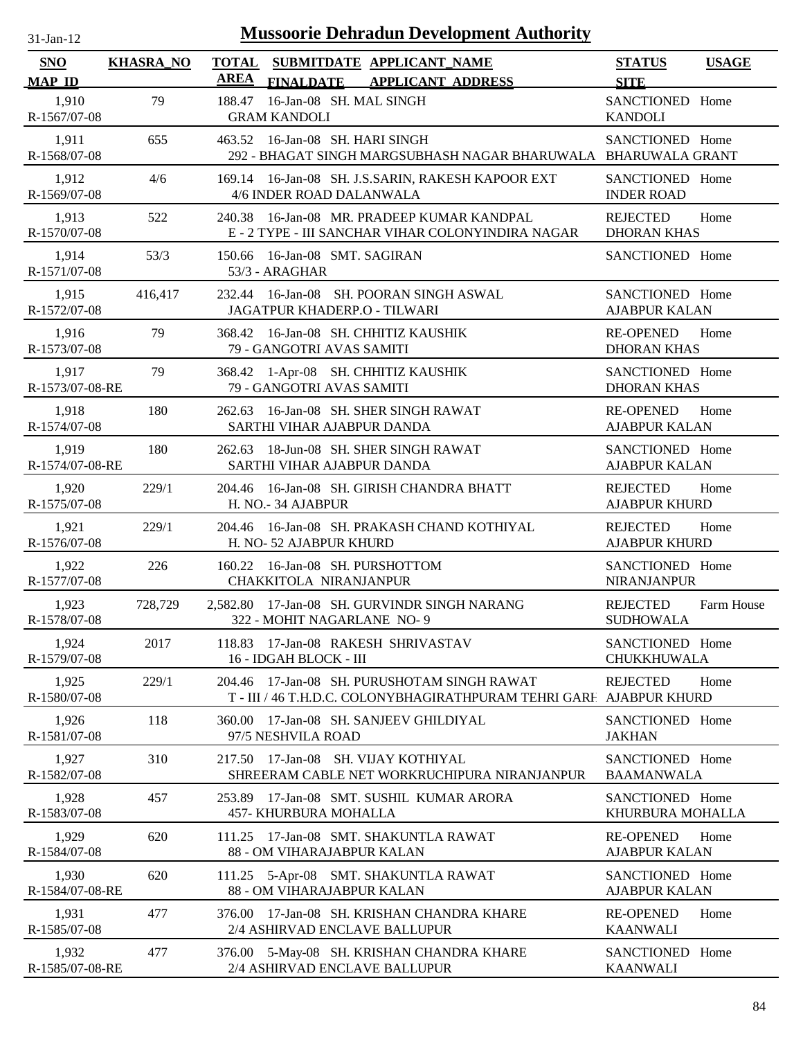| $31-Jan-12$                 |                  |                             | <b>Mussoorie Dehradun Development Authority</b>                                                                    |                                          |              |
|-----------------------------|------------------|-----------------------------|--------------------------------------------------------------------------------------------------------------------|------------------------------------------|--------------|
| <b>SNO</b><br><b>MAP ID</b> | <b>KHASRA_NO</b> | <b>TOTAL</b><br><b>AREA</b> | SUBMITDATE APPLICANT NAME<br><b>FINALDATE</b><br><b>APPLICANT ADDRESS</b>                                          | <b>STATUS</b><br><b>SITE</b>             | <b>USAGE</b> |
| 1,910<br>R-1567/07-08       | 79               | 188.47                      | 16-Jan-08 SH. MAL SINGH<br><b>GRAM KANDOLI</b>                                                                     | SANCTIONED Home<br><b>KANDOLI</b>        |              |
| 1,911<br>R-1568/07-08       | 655              |                             | 463.52 16-Jan-08 SH. HARI SINGH<br>292 - BHAGAT SINGH MARGSUBHASH NAGAR BHARUWALA BHARUWALA GRANT                  | SANCTIONED Home                          |              |
| 1,912<br>R-1569/07-08       | 4/6              |                             | 169.14 16-Jan-08 SH. J.S.SARIN, RAKESH KAPOOR EXT<br>4/6 INDER ROAD DALANWALA                                      | SANCTIONED Home<br><b>INDER ROAD</b>     |              |
| 1,913<br>R-1570/07-08       | 522              | 240.38                      | 16-Jan-08 MR. PRADEEP KUMAR KANDPAL<br>E - 2 TYPE - III SANCHAR VIHAR COLONYINDIRA NAGAR                           | <b>REJECTED</b><br><b>DHORAN KHAS</b>    | Home         |
| 1,914<br>R-1571/07-08       | 53/3             | 150.66                      | 16-Jan-08 SMT. SAGIRAN<br>53/3 - ARAGHAR                                                                           | SANCTIONED Home                          |              |
| 1,915<br>R-1572/07-08       | 416,417          |                             | 232.44 16-Jan-08 SH. POORAN SINGH ASWAL<br>JAGATPUR KHADERP.O - TILWARI                                            | SANCTIONED Home<br><b>AJABPUR KALAN</b>  |              |
| 1,916<br>R-1573/07-08       | 79               |                             | 368.42 16-Jan-08 SH. CHHITIZ KAUSHIK<br>79 - GANGOTRI AVAS SAMITI                                                  | <b>RE-OPENED</b><br><b>DHORAN KHAS</b>   | Home         |
| 1,917<br>R-1573/07-08-RE    | 79               |                             | 368.42 1-Apr-08 SH. CHHITIZ KAUSHIK<br>79 - GANGOTRI AVAS SAMITI                                                   | SANCTIONED Home<br><b>DHORAN KHAS</b>    |              |
| 1,918<br>R-1574/07-08       | 180              |                             | 262.63 16-Jan-08 SH. SHER SINGH RAWAT<br>SARTHI VIHAR AJABPUR DANDA                                                | <b>RE-OPENED</b><br><b>AJABPUR KALAN</b> | Home         |
| 1,919<br>R-1574/07-08-RE    | 180              | 262.63                      | 18-Jun-08 SH. SHER SINGH RAWAT<br>SARTHI VIHAR AJABPUR DANDA                                                       | SANCTIONED Home<br><b>AJABPUR KALAN</b>  |              |
| 1,920<br>R-1575/07-08       | 229/1            | 204.46                      | 16-Jan-08 SH. GIRISH CHANDRA BHATT<br>H. NO.- 34 AJABPUR                                                           | <b>REJECTED</b><br><b>AJABPUR KHURD</b>  | Home         |
| 1,921<br>R-1576/07-08       | 229/1            |                             | 204.46 16-Jan-08 SH. PRAKASH CHAND KOTHIYAL<br>H. NO-52 AJABPUR KHURD                                              | <b>REJECTED</b><br><b>AJABPUR KHURD</b>  | Home         |
| 1,922<br>R-1577/07-08       | 226              | 160.22                      | 16-Jan-08 SH. PURSHOTTOM<br>CHAKKITOLA NIRANJANPUR                                                                 | SANCTIONED Home<br><b>NIRANJANPUR</b>    |              |
| 1,923<br>R-1578/07-08       | 728,729          |                             | 2,582.80 17-Jan-08 SH. GURVINDR SINGH NARANG<br>322 - MOHIT NAGARLANE NO- 9                                        | <b>REJECTED</b><br><b>SUDHOWALA</b>      | Farm House   |
| 1,924<br>R-1579/07-08       | 2017             |                             | 118.83 17-Jan-08 RAKESH SHRIVASTAV<br>16 - IDGAH BLOCK - III                                                       | SANCTIONED Home<br><b>CHUKKHUWALA</b>    |              |
| 1,925<br>R-1580/07-08       | 229/1            |                             | 204.46 17-Jan-08 SH. PURUSHOTAM SINGH RAWAT<br>T - III / 46 T.H.D.C. COLONYBHAGIRATHPURAM TEHRI GARF AJABPUR KHURD | <b>REJECTED</b>                          | Home         |
| 1,926<br>R-1581/07-08       | 118              | 360.00                      | 17-Jan-08 SH. SANJEEV GHILDIYAL<br>97/5 NESHVILA ROAD                                                              | SANCTIONED Home<br><b>JAKHAN</b>         |              |
| 1,927<br>R-1582/07-08       | 310              |                             | 217.50 17-Jan-08 SH. VIJAY KOTHIYAL<br>SHREERAM CABLE NET WORKRUCHIPURA NIRANJANPUR                                | SANCTIONED Home<br><b>BAAMANWALA</b>     |              |
| 1,928<br>R-1583/07-08       | 457              | 253.89                      | 17-Jan-08 SMT. SUSHIL KUMAR ARORA<br>457- KHURBURA MOHALLA                                                         | SANCTIONED Home<br>KHURBURA MOHALLA      |              |
| 1,929<br>R-1584/07-08       | 620              |                             | 111.25 17-Jan-08 SMT. SHAKUNTLA RAWAT<br>88 - OM VIHARAJABPUR KALAN                                                | <b>RE-OPENED</b><br><b>AJABPUR KALAN</b> | Home         |
| 1,930<br>R-1584/07-08-RE    | 620              |                             | 111.25 5-Apr-08 SMT. SHAKUNTLA RAWAT<br>88 - OM VIHARAJABPUR KALAN                                                 | SANCTIONED Home<br><b>AJABPUR KALAN</b>  |              |
| 1,931<br>R-1585/07-08       | 477              |                             | 376.00 17-Jan-08 SH. KRISHAN CHANDRA KHARE<br>2/4 ASHIRVAD ENCLAVE BALLUPUR                                        | <b>RE-OPENED</b><br><b>KAANWALI</b>      | Home         |
| 1,932<br>R-1585/07-08-RE    | 477              |                             | 376.00 5-May-08 SH. KRISHAN CHANDRA KHARE<br>2/4 ASHIRVAD ENCLAVE BALLUPUR                                         | SANCTIONED Home<br><b>KAANWALI</b>       |              |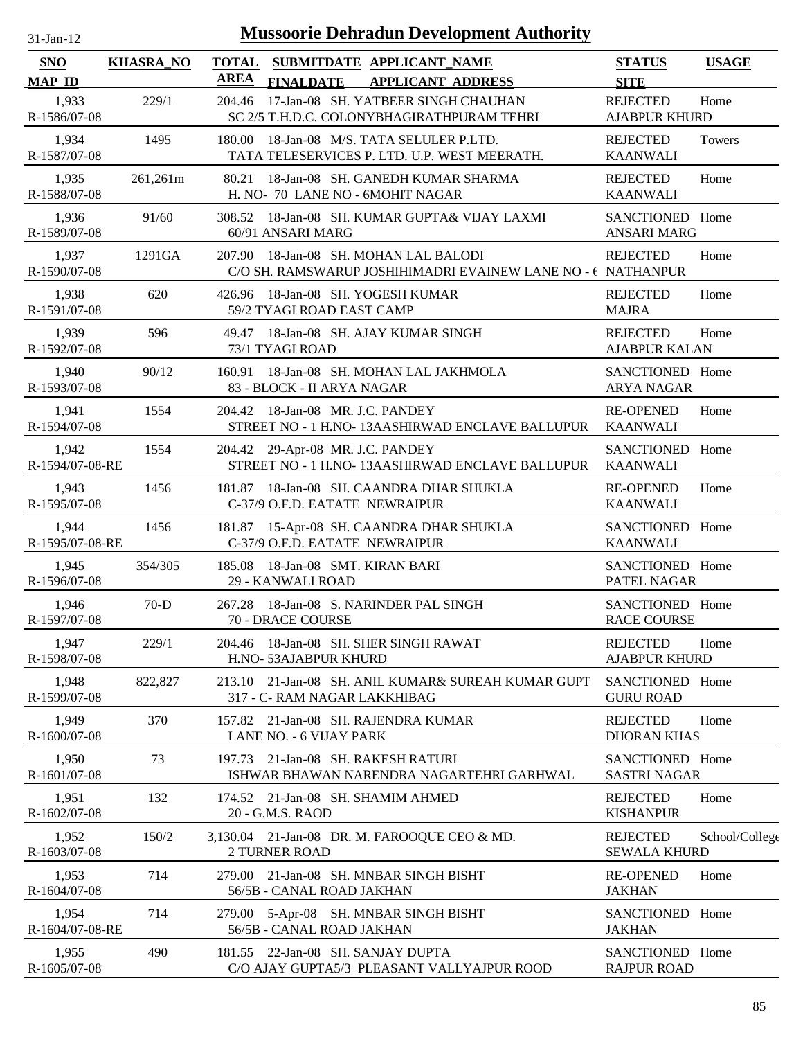| 31-Jan-12 |  |
|-----------|--|

| SNO                      | <b>KHASRA_NO</b> | <b>TOTAL</b><br>SUBMITDATE APPLICANT NAME<br><b>AREA</b>                                                 | <b>STATUS</b>                           | <b>USAGE</b>   |
|--------------------------|------------------|----------------------------------------------------------------------------------------------------------|-----------------------------------------|----------------|
| <b>MAP ID</b>            |                  | <b>APPLICANT ADDRESS</b><br><b>FINALDATE</b>                                                             | <b>SITE</b>                             |                |
| 1,933<br>R-1586/07-08    | 229/1            | 204.46<br>17-Jan-08 SH. YATBEER SINGH CHAUHAN<br>SC 2/5 T.H.D.C. COLONYBHAGIRATHPURAM TEHRI              | <b>REJECTED</b><br><b>AJABPUR KHURD</b> | Home           |
| 1,934<br>R-1587/07-08    | 1495             | 180.00 18-Jan-08 M/S. TATA SELULER P.LTD.<br>TATA TELESERVICES P. LTD. U.P. WEST MEERATH.                | <b>REJECTED</b><br><b>KAANWALI</b>      | Towers         |
| 1,935<br>R-1588/07-08    | 261,261m         | 80.21<br>18-Jan-08 SH. GANEDH KUMAR SHARMA<br>H. NO- 70 LANE NO - 6MOHIT NAGAR                           | <b>REJECTED</b><br><b>KAANWALI</b>      | Home           |
| 1,936<br>R-1589/07-08    | 91/60            | 308.52 18-Jan-08 SH. KUMAR GUPTA& VIJAY LAXMI<br>60/91 ANSARI MARG                                       | SANCTIONED Home<br><b>ANSARI MARG</b>   |                |
| 1,937<br>R-1590/07-08    | 1291GA           | 18-Jan-08 SH. MOHAN LAL BALODI<br>207.90<br>C/O SH. RAMSWARUP JOSHIHIMADRI EVAINEW LANE NO - ( NATHANPUR | <b>REJECTED</b>                         | Home           |
| 1,938<br>R-1591/07-08    | 620              | 426.96 18-Jan-08 SH. YOGESH KUMAR<br>59/2 TYAGI ROAD EAST CAMP                                           | <b>REJECTED</b><br><b>MAJRA</b>         | Home           |
| 1,939<br>R-1592/07-08    | 596              | 18-Jan-08 SH. AJAY KUMAR SINGH<br>49.47<br>73/1 TYAGI ROAD                                               | <b>REJECTED</b><br><b>AJABPUR KALAN</b> | Home           |
| 1,940<br>R-1593/07-08    | 90/12            | 18-Jan-08 SH. MOHAN LAL JAKHMOLA<br>160.91<br>83 - BLOCK - II ARYA NAGAR                                 | SANCTIONED Home<br><b>ARYA NAGAR</b>    |                |
| 1,941<br>R-1594/07-08    | 1554             | 18-Jan-08 MR. J.C. PANDEY<br>204.42<br>STREET NO - 1 H.NO- 13AASHIRWAD ENCLAVE BALLUPUR                  | <b>RE-OPENED</b><br><b>KAANWALI</b>     | Home           |
| 1,942<br>R-1594/07-08-RE | 1554             | 204.42 29-Apr-08 MR. J.C. PANDEY<br>STREET NO - 1 H.NO- 13AASHIRWAD ENCLAVE BALLUPUR                     | SANCTIONED Home<br>KAANWALI             |                |
| 1,943<br>R-1595/07-08    | 1456             | 181.87<br>18-Jan-08 SH. CAANDRA DHAR SHUKLA<br>C-37/9 O.F.D. EATATE NEWRAIPUR                            | <b>RE-OPENED</b><br><b>KAANWALI</b>     | Home           |
| 1,944<br>R-1595/07-08-RE | 1456             | 181.87 15-Apr-08 SH. CAANDRA DHAR SHUKLA<br>C-37/9 O.F.D. EATATE NEWRAIPUR                               | SANCTIONED Home<br><b>KAANWALI</b>      |                |
| 1,945<br>R-1596/07-08    | 354/305          | 185.08 18-Jan-08 SMT. KIRAN BARI<br>29 - KANWALI ROAD                                                    | SANCTIONED Home<br>PATEL NAGAR          |                |
| 1,946<br>R-1597/07-08    | $70-D$           | 267.28 18-Jan-08 S. NARINDER PAL SINGH<br>70 - DRACE COURSE                                              | SANCTIONED Home<br><b>RACE COURSE</b>   |                |
| 1,947<br>R-1598/07-08    | 229/1            | 204.46 18-Jan-08 SH. SHER SINGH RAWAT<br>H.NO-53AJABPUR KHURD                                            | <b>REJECTED</b><br><b>AJABPUR KHURD</b> | Home           |
| 1,948<br>R-1599/07-08    | 822,827          | 213.10 21-Jan-08 SH. ANIL KUMAR& SUREAH KUMAR GUPT<br>317 - C- RAM NAGAR LAKKHIBAG                       | SANCTIONED Home<br><b>GURU ROAD</b>     |                |
| 1,949<br>R-1600/07-08    | 370              | 21-Jan-08 SH. RAJENDRA KUMAR<br>157.82<br>LANE NO. - 6 VIJAY PARK                                        | <b>REJECTED</b><br><b>DHORAN KHAS</b>   | Home           |
| 1,950<br>R-1601/07-08    | 73               | 21-Jan-08 SH. RAKESH RATURI<br>197.73<br>ISHWAR BHAWAN NARENDRA NAGARTEHRI GARHWAL                       | SANCTIONED Home<br><b>SASTRI NAGAR</b>  |                |
| 1,951<br>R-1602/07-08    | 132              | 174.52 21-Jan-08 SH. SHAMIM AHMED<br>20 - G.M.S. RAOD                                                    | <b>REJECTED</b><br><b>KISHANPUR</b>     | Home           |
| 1,952<br>R-1603/07-08    | 150/2            | 3,130.04 21-Jan-08 DR. M. FAROOQUE CEO & MD.<br><b>2 TURNER ROAD</b>                                     | <b>REJECTED</b><br><b>SEWALA KHURD</b>  | School/College |
| 1,953<br>R-1604/07-08    | 714              | 21-Jan-08 SH. MNBAR SINGH BISHT<br>279.00<br>56/5B - CANAL ROAD JAKHAN                                   | <b>RE-OPENED</b><br><b>JAKHAN</b>       | Home           |
| 1,954<br>R-1604/07-08-RE | 714              | 5-Apr-08 SH. MNBAR SINGH BISHT<br>279.00<br>56/5B - CANAL ROAD JAKHAN                                    | SANCTIONED Home<br><b>JAKHAN</b>        |                |
| 1,955<br>R-1605/07-08    | 490              | 181.55 22-Jan-08 SH. SANJAY DUPTA<br>C/O AJAY GUPTA5/3 PLEASANT VALLYAJPUR ROOD                          | SANCTIONED Home<br><b>RAJPUR ROAD</b>   |                |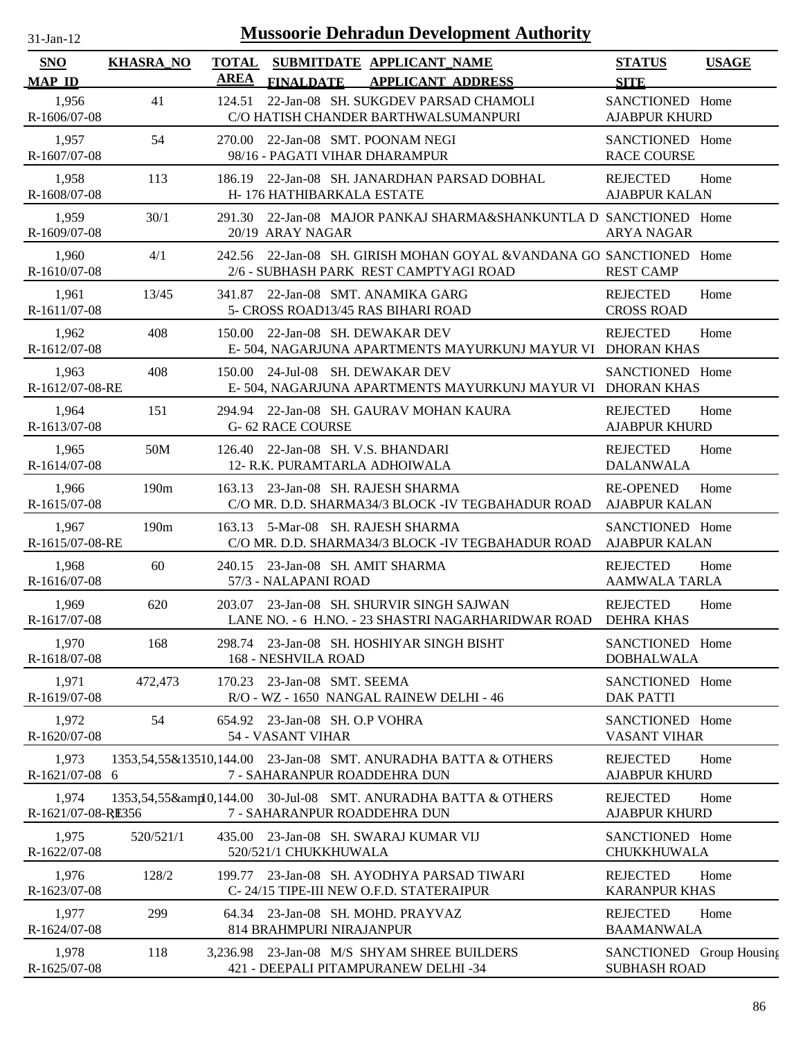| $31$ -Jan-12                |                  |                                                 | <b>Mussoorie Dehradun Development Authority</b>                                                         |                                                 |              |
|-----------------------------|------------------|-------------------------------------------------|---------------------------------------------------------------------------------------------------------|-------------------------------------------------|--------------|
| <b>SNO</b><br><b>MAP ID</b> | <b>KHASRA_NO</b> | <b>TOTAL</b><br><b>AREA</b><br><b>FINALDATE</b> | SUBMITDATE APPLICANT_NAME<br><b>APPLICANT ADDRESS</b>                                                   | <b>STATUS</b><br><b>SITE</b>                    | <b>USAGE</b> |
| 1,956<br>R-1606/07-08       | 41               | 124.51                                          | 22-Jan-08 SH. SUKGDEV PARSAD CHAMOLI<br>C/O HATISH CHANDER BARTHWALSUMANPURI                            | SANCTIONED Home<br><b>AJABPUR KHURD</b>         |              |
| 1,957<br>R-1607/07-08       | 54               | 270.00                                          | 22-Jan-08 SMT. POONAM NEGI<br>98/16 - PAGATI VIHAR DHARAMPUR                                            | SANCTIONED Home<br><b>RACE COURSE</b>           |              |
| 1,958<br>R-1608/07-08       | 113              | 186.19                                          | 22-Jan-08 SH. JANARDHAN PARSAD DOBHAL<br>H-176 HATHIBARKALA ESTATE                                      | <b>REJECTED</b><br><b>AJABPUR KALAN</b>         | Home         |
| 1,959<br>R-1609/07-08       | 30/1             | 291.30<br>20/19 ARAY NAGAR                      | 22-Jan-08 MAJOR PANKAJ SHARMA&SHANKUNTLA D SANCTIONED Home                                              | <b>ARYA NAGAR</b>                               |              |
| 1,960<br>R-1610/07-08       | 4/1              | 242.56                                          | 22-Jan-08 SH. GIRISH MOHAN GOYAL & VANDANA GO SANCTIONED Home<br>2/6 - SUBHASH PARK REST CAMPTYAGI ROAD | <b>REST CAMP</b>                                |              |
| 1,961<br>R-1611/07-08       | 13/45            | 341.87                                          | 22-Jan-08 SMT. ANAMIKA GARG<br>5- CROSS ROAD13/45 RAS BIHARI ROAD                                       | <b>REJECTED</b><br><b>CROSS ROAD</b>            | Home         |
| 1,962<br>R-1612/07-08       | 408              | 150.00                                          | 22-Jan-08 SH. DEWAKAR DEV<br>E-504, NAGARJUNA APARTMENTS MAYURKUNJ MAYUR VI DHORAN KHAS                 | <b>REJECTED</b>                                 | Home         |
| 1,963<br>R-1612/07-08-RE    | 408              | 150.00                                          | 24-Jul-08 SH, DEWAKAR DEV<br>E-504, NAGARJUNA APARTMENTS MAYURKUNJ MAYUR VI DHORAN KHAS                 | SANCTIONED Home                                 |              |
| 1,964<br>R-1613/07-08       | 151              | <b>G-62 RACE COURSE</b>                         | 294.94 22-Jan-08 SH. GAURAV MOHAN KAURA                                                                 | <b>REJECTED</b><br><b>AJABPUR KHURD</b>         | Home         |
| 1,965<br>R-1614/07-08       | 50M              |                                                 | 126.40 22-Jan-08 SH. V.S. BHANDARI<br>12- R.K. PURAMTARLA ADHOIWALA                                     | <b>REJECTED</b><br><b>DALANWALA</b>             | Home         |
| 1,966<br>R-1615/07-08       | 190m             |                                                 | 163.13 23-Jan-08 SH. RAJESH SHARMA<br>C/O MR. D.D. SHARMA34/3 BLOCK -IV TEGBAHADUR ROAD                 | <b>RE-OPENED</b><br><b>AJABPUR KALAN</b>        | Home         |
| 1,967<br>R-1615/07-08-RE    | 190m             | 163.13                                          | 5-Mar-08 SH. RAJESH SHARMA<br>C/O MR. D.D. SHARMA34/3 BLOCK -IV TEGBAHADUR ROAD                         | SANCTIONED Home<br><b>AJABPUR KALAN</b>         |              |
| 1,968<br>R-1616/07-08       | 60               | 240.15<br>57/3 - NALAPANI ROAD                  | 23-Jan-08 SH. AMIT SHARMA                                                                               | <b>REJECTED</b><br><b>AAMWALA TARLA</b>         | Home         |
| 1,969<br>R-1617/07-08       | 620              |                                                 | 203.07 23-Jan-08 SH, SHURVIR SINGH SAJWAN<br>LANE NO. - 6 H.NO. - 23 SHASTRI NAGARHARIDWAR ROAD         | <b>REJECTED</b><br>DEHRA KHAS                   | Home         |
| 1,970<br>R-1618/07-08       | 168              | 168 - NESHVILA ROAD                             | 298.74 23-Jan-08 SH. HOSHIYAR SINGH BISHT                                                               | SANCTIONED Home<br><b>DOBHALWALA</b>            |              |
| 1,971<br>R-1619/07-08       | 472,473          | 170.23                                          | 23-Jan-08 SMT. SEEMA<br>R/O - WZ - 1650 NANGAL RAINEW DELHI - 46                                        | SANCTIONED Home<br><b>DAK PATTI</b>             |              |
| 1,972<br>R-1620/07-08       | 54               | 54 - VASANT VIHAR                               | 654.92 23-Jan-08 SH. O.P VOHRA                                                                          | SANCTIONED Home<br><b>VASANT VIHAR</b>          |              |
| 1,973<br>R-1621/07-08 6     |                  |                                                 | 1353,54,55&13510,144.00 23-Jan-08 SMT. ANURADHA BATTA & OTHERS<br>7 - SAHARANPUR ROADDEHRA DUN          | <b>REJECTED</b><br><b>AJABPUR KHURD</b>         | Home         |
| 1,974<br>R-1621/07-08-RE356 |                  |                                                 | 1353,54,55&amp10,144.00 30-Jul-08 SMT. ANURADHA BATTA & OTHERS<br>7 - SAHARANPUR ROADDEHRA DUN          | <b>REJECTED</b><br><b>AJABPUR KHURD</b>         | Home         |
| 1,975<br>R-1622/07-08       | 520/521/1        | 520/521/1 CHUKKHUWALA                           | 435.00 23-Jan-08 SH. SWARAJ KUMAR VIJ                                                                   | SANCTIONED Home<br><b>CHUKKHUWALA</b>           |              |
| 1,976<br>R-1623/07-08       | 128/2            |                                                 | 199.77 23-Jan-08 SH. AYODHYA PARSAD TIWARI<br>C-24/15 TIPE-III NEW O.F.D. STATERAIPUR                   | <b>REJECTED</b><br><b>KARANPUR KHAS</b>         | Home         |
| 1,977<br>R-1624/07-08       | 299              |                                                 | 64.34 23-Jan-08 SH. MOHD. PRAYVAZ<br>814 BRAHMPURI NIRAJANPUR                                           | <b>REJECTED</b><br><b>BAAMANWALA</b>            | Home         |
| 1,978<br>R-1625/07-08       | 118              |                                                 | 3,236.98 23-Jan-08 M/S SHYAM SHREE BUILDERS<br>421 - DEEPALI PITAMPURANEW DELHI -34                     | SANCTIONED Group Housing<br><b>SUBHASH ROAD</b> |              |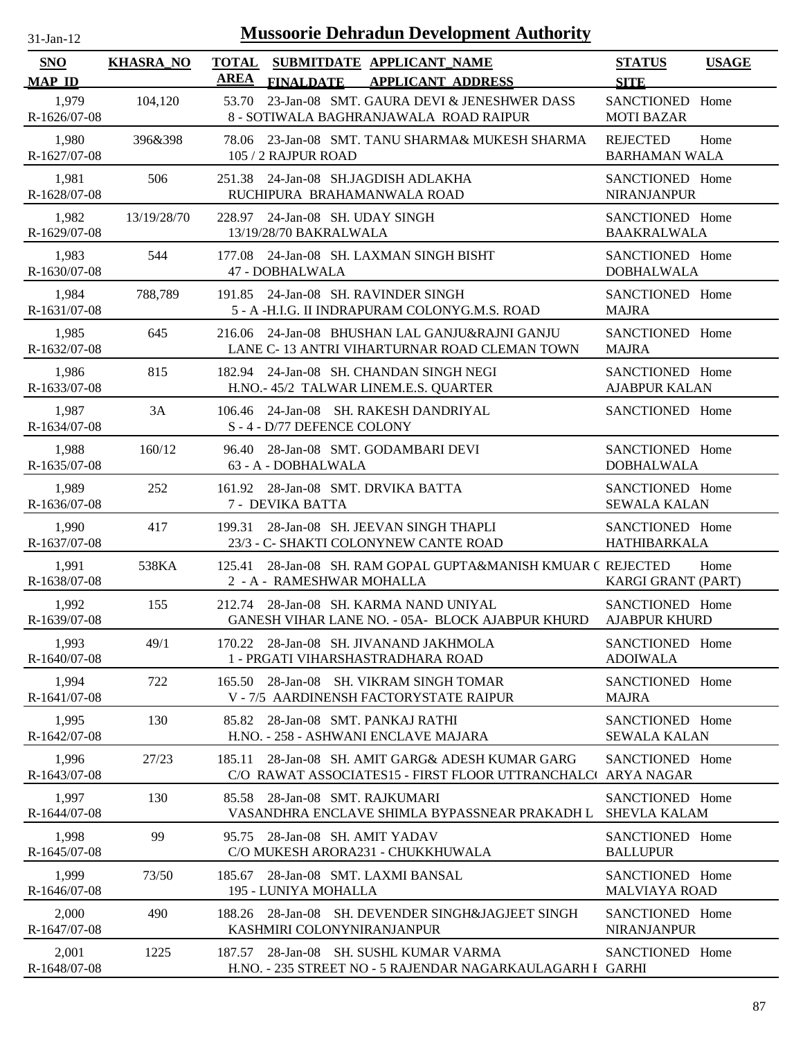| $31$ -Jan-12 |  |
|--------------|--|
|              |  |

| <b>SNO</b><br><b>MAP ID</b> | <b>KHASRA NO</b> | SUBMITDATE APPLICANT NAME<br><b>TOTAL</b><br><b>AREA</b><br><b>FINALDATE</b>         | <b>APPLICANT ADDRESS</b>                                                                                 | <b>STATUS</b><br><b>SITE</b>            | <b>USAGE</b> |
|-----------------------------|------------------|--------------------------------------------------------------------------------------|----------------------------------------------------------------------------------------------------------|-----------------------------------------|--------------|
| 1,979<br>R-1626/07-08       | 104,120          | 53.70<br>8 - SOTIWALA BAGHRANJAWALA ROAD RAIPUR                                      | 23-Jan-08 SMT. GAURA DEVI & JENESHWER DASS                                                               | <b>SANCTIONED</b><br><b>MOTI BAZAR</b>  | Home         |
| 1,980<br>R-1627/07-08       | 396&398          | 78.06<br>105 / 2 RAJPUR ROAD                                                         | 23-Jan-08 SMT. TANU SHARMA& MUKESH SHARMA                                                                | <b>REJECTED</b><br><b>BARHAMAN WALA</b> | Home         |
| 1,981<br>R-1628/07-08       | 506              | 24-Jan-08 SH.JAGDISH ADLAKHA<br>251.38<br>RUCHIPURA BRAHAMANWALA ROAD                |                                                                                                          | SANCTIONED Home<br>NIRANJANPUR          |              |
| 1,982<br>R-1629/07-08       | 13/19/28/70      | 228.97 24-Jan-08 SH. UDAY SINGH<br>13/19/28/70 BAKRALWALA                            |                                                                                                          | SANCTIONED Home<br><b>BAAKRALWALA</b>   |              |
| 1,983<br>R-1630/07-08       | 544              | 177.08 24-Jan-08 SH. LAXMAN SINGH BISHT<br>47 - DOBHALWALA                           |                                                                                                          | SANCTIONED Home<br><b>DOBHALWALA</b>    |              |
| 1,984<br>R-1631/07-08       | 788,789          | 191.85 24-Jan-08 SH. RAVINDER SINGH<br>5 - A -H.I.G. II INDRAPURAM COLONYG.M.S. ROAD |                                                                                                          | SANCTIONED Home<br><b>MAJRA</b>         |              |
| 1,985<br>R-1632/07-08       | 645              | 216.06                                                                               | 24-Jan-08 BHUSHAN LAL GANJU&RAJNI GANJU<br>LANE C-13 ANTRI VIHARTURNAR ROAD CLEMAN TOWN                  | SANCTIONED Home<br><b>MAJRA</b>         |              |
| 1,986<br>R-1633/07-08       | 815              | 182.94 24-Jan-08 SH. CHANDAN SINGH NEGI<br>H.NO.- 45/2 TALWAR LINEM.E.S. QUARTER     |                                                                                                          | SANCTIONED Home<br><b>AJABPUR KALAN</b> |              |
| 1,987<br>R-1634/07-08       | 3A               | 24-Jan-08 SH. RAKESH DANDRIYAL<br>106.46<br>S-4-D/77 DEFENCE COLONY                  |                                                                                                          | SANCTIONED Home                         |              |
| 1,988<br>R-1635/07-08       | 160/12           | 96.40 28-Jan-08 SMT. GODAMBARI DEVI<br>63 - A - DOBHALWALA                           |                                                                                                          | SANCTIONED Home<br><b>DOBHALWALA</b>    |              |
| 1,989<br>R-1636/07-08       | 252              | 161.92 28-Jan-08 SMT. DRVIKA BATTA<br>7 - DEVIKA BATTA                               |                                                                                                          | SANCTIONED Home<br><b>SEWALA KALAN</b>  |              |
| 1,990<br>R-1637/07-08       | 417              | 28-Jan-08 SH. JEEVAN SINGH THAPLI<br>199.31<br>23/3 - C- SHAKTI COLONYNEW CANTE ROAD |                                                                                                          | SANCTIONED Home<br><b>HATHIBARKALA</b>  |              |
| 1,991<br>R-1638/07-08       | 538KA            | 125.41<br>2 - A - RAMESHWAR MOHALLA                                                  | 28-Jan-08 SH. RAM GOPAL GUPTA&MANISH KMUAR C REJECTED                                                    | KARGI GRANT (PART)                      | Home         |
| 1,992<br>R-1639/07-08       | 155              | 212.74 28-Jan-08 SH. KARMA NAND UNIYAL                                               | GANESH VIHAR LANE NO. - 05A- BLOCK AJABPUR KHURD                                                         | SANCTIONED Home<br><b>AJABPUR KHURD</b> |              |
| 1,993<br>R-1640/07-08       | 49/1             | 170.22 28-Jan-08 SH. JIVANAND JAKHMOLA<br>1 - PRGATI VIHARSHASTRADHARA ROAD          |                                                                                                          | SANCTIONED Home<br><b>ADOIWALA</b>      |              |
| 1,994<br>R-1641/07-08       | 722              | 28-Jan-08 SH. VIKRAM SINGH TOMAR<br>165.50<br>V - 7/5 AARDINENSH FACTORYSTATE RAIPUR |                                                                                                          | SANCTIONED Home<br><b>MAJRA</b>         |              |
| 1,995<br>$R - 1642/07 - 08$ | 130              | 85.82 28-Jan-08 SMT. PANKAJ RATHI<br>H.NO. - 258 - ASHWANI ENCLAVE MAJARA            |                                                                                                          | SANCTIONED Home<br><b>SEWALA KALAN</b>  |              |
| 1,996<br>R-1643/07-08       | 27/23            | 185.11                                                                               | 28-Jan-08 SH. AMIT GARG& ADESH KUMAR GARG<br>C/O RAWAT ASSOCIATES15 - FIRST FLOOR UTTRANCHALC ARYA NAGAR | SANCTIONED Home                         |              |
| 1,997<br>R-1644/07-08       | 130              | 85.58 28-Jan-08 SMT. RAJKUMARI                                                       | VASANDHRA ENCLAVE SHIMLA BYPASSNEAR PRAKADH L                                                            | SANCTIONED Home<br><b>SHEVLA KALAM</b>  |              |
| 1,998<br>R-1645/07-08       | 99               | 95.75 28-Jan-08 SH. AMIT YADAV<br>C/O MUKESH ARORA231 - CHUKKHUWALA                  |                                                                                                          | SANCTIONED Home<br><b>BALLUPUR</b>      |              |
| 1,999<br>R-1646/07-08       | 73/50            | 185.67 28-Jan-08 SMT. LAXMI BANSAL<br>195 - LUNIYA MOHALLA                           |                                                                                                          | SANCTIONED Home<br><b>MALVIAYA ROAD</b> |              |
| 2,000<br>R-1647/07-08       | 490              | KASHMIRI COLONYNIRANJANPUR                                                           | 188.26 28-Jan-08 SH. DEVENDER SINGH&JAGJEET SINGH                                                        | SANCTIONED Home<br><b>NIRANJANPUR</b>   |              |
| 2,001<br>R-1648/07-08       | 1225             | 187.57 28-Jan-08 SH. SUSHL KUMAR VARMA                                               | H.NO. - 235 STREET NO - 5 RAJENDAR NAGARKAULAGARH I GARHI                                                | SANCTIONED Home                         |              |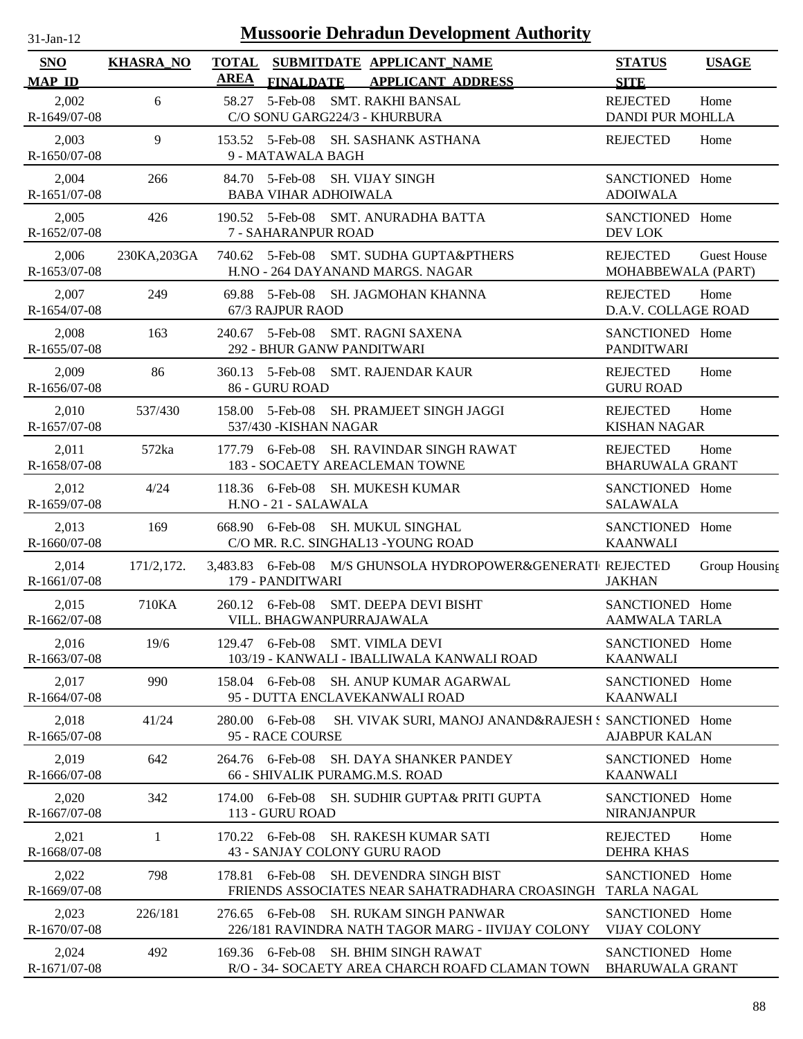| $31-Jan-12$                 |                  |                             |                                           | <b>Mussoorie Dehradun Development Authority</b>                                    |                                            |                    |
|-----------------------------|------------------|-----------------------------|-------------------------------------------|------------------------------------------------------------------------------------|--------------------------------------------|--------------------|
| <b>SNO</b><br><b>MAP ID</b> | <b>KHASRA_NO</b> | <b>TOTAL</b><br><b>AREA</b> | <b>FINALDATE</b>                          | SUBMITDATE APPLICANT NAME<br><b>APPLICANT ADDRESS</b>                              | <b>STATUS</b><br><b>SITE</b>               | <b>USAGE</b>       |
| 2,002<br>R-1649/07-08       | 6                | 58.27                       | $5$ -Feb-08                               | <b>SMT. RAKHI BANSAL</b><br>C/O SONU GARG224/3 - KHURBURA                          | <b>REJECTED</b><br><b>DANDI PUR MOHLLA</b> | Home               |
| 2,003<br>R-1650/07-08       | 9                |                             | 9 - MATAWALA BAGH                         | 153.52 5-Feb-08 SH. SASHANK ASTHANA                                                | <b>REJECTED</b>                            | Home               |
| 2,004<br>R-1651/07-08       | 266              | 84.70                       | 5-Feb-08<br><b>BABA VIHAR ADHOIWALA</b>   | <b>SH. VIJAY SINGH</b>                                                             | SANCTIONED Home<br><b>ADOIWALA</b>         |                    |
| 2,005<br>R-1652/07-08       | 426              |                             | 7 - SAHARANPUR ROAD                       | 190.52 5-Feb-08 SMT. ANURADHA BATTA                                                | SANCTIONED Home<br><b>DEV LOK</b>          |                    |
| 2,006<br>R-1653/07-08       | 230KA, 203GA     |                             | 740.62 5-Feb-08                           | SMT. SUDHA GUPTA&PTHERS<br>H.NO - 264 DAYANAND MARGS. NAGAR                        | <b>REJECTED</b><br>MOHABBEWALA (PART)      | <b>Guest House</b> |
| 2,007<br>R-1654/07-08       | 249              | 69.88                       | 5-Feb-08<br>67/3 RAJPUR RAOD              | SH. JAGMOHAN KHANNA                                                                | <b>REJECTED</b><br>D.A.V. COLLAGE ROAD     | Home               |
| 2,008<br>R-1655/07-08       | 163              | 240.67                      | 5-Feb-08                                  | <b>SMT. RAGNI SAXENA</b><br>292 - BHUR GANW PANDITWARI                             | SANCTIONED Home<br><b>PANDITWARI</b>       |                    |
| 2,009<br>R-1656/07-08       | 86               |                             | 360.13 5-Feb-08<br>86 - GURU ROAD         | SMT. RAJENDAR KAUR                                                                 | <b>REJECTED</b><br><b>GURU ROAD</b>        | Home               |
| 2,010<br>R-1657/07-08       | 537/430          |                             | 158.00 5-Feb-08<br>537/430 - KISHAN NAGAR | SH. PRAMJEET SINGH JAGGI                                                           | <b>REJECTED</b><br><b>KISHAN NAGAR</b>     | Home               |
| 2,011<br>R-1658/07-08       | 572ka            |                             | 177.79 6-Feb-08                           | <b>SH. RAVINDAR SINGH RAWAT</b><br>183 - SOCAETY AREACLEMAN TOWNE                  | <b>REJECTED</b><br><b>BHARUWALA GRANT</b>  | Home               |
| 2,012<br>R-1659/07-08       | 4/24             |                             | 118.36 6-Feb-08<br>H.NO - 21 - SALAWALA   | SH. MUKESH KUMAR                                                                   | SANCTIONED Home<br><b>SALAWALA</b>         |                    |
| 2,013<br>R-1660/07-08       | 169              |                             | 668.90 6-Feb-08                           | SH. MUKUL SINGHAL<br>C/O MR. R.C. SINGHAL13 - YOUNG ROAD                           | SANCTIONED Home<br><b>KAANWALI</b>         |                    |
| 2,014<br>R-1661/07-08       | 171/2, 172.      |                             | 179 - PANDITWARI                          | 3,483.83 6-Feb-08 M/S GHUNSOLA HYDROPOWER&GENERATI REJECTED                        | <b>JAKHAN</b>                              | Group Housing      |
| 2,015<br>R-1662/07-08       | 710KA            |                             | 260.12 6-Feb-08                           | SMT. DEEPA DEVI BISHT<br>VILL. BHAGWANPURRAJAWALA                                  | SANCTIONED Home<br><b>AAMWALA TARLA</b>    |                    |
| 2,016<br>R-1663/07-08       | 19/6             | 129.47                      | $6$ -Feb-08                               | <b>SMT. VIMLA DEVI</b><br>103/19 - KANWALI - IBALLIWALA KANWALI ROAD               | SANCTIONED Home<br><b>KAANWALI</b>         |                    |
| 2,017<br>R-1664/07-08       | 990              | 158.04                      | $6$ -Feb-08                               | SH. ANUP KUMAR AGARWAL<br>95 - DUTTA ENCLAVEKANWALI ROAD                           | SANCTIONED Home<br><b>KAANWALI</b>         |                    |
| 2,018<br>R-1665/07-08       | 41/24            |                             | 280.00 6-Feb-08<br>95 - RACE COURSE       | SH. VIVAK SURI, MANOJ ANAND&RAJESH S SANCTIONED Home                               | <b>AJABPUR KALAN</b>                       |                    |
| 2,019<br>R-1666/07-08       | 642              |                             | 264.76 6-Feb-08                           | SH. DAYA SHANKER PANDEY<br>66 - SHIVALIK PURAMG.M.S. ROAD                          | SANCTIONED Home<br><b>KAANWALI</b>         |                    |
| 2,020<br>R-1667/07-08       | 342              | 174.00                      | 6-Feb-08<br>113 - GURU ROAD               | <b>SH. SUDHIR GUPTA&amp; PRITI GUPTA</b>                                           | SANCTIONED Home<br><b>NIRANJANPUR</b>      |                    |
| 2,021<br>R-1668/07-08       | 1                |                             | 170.22 6-Feb-08                           | <b>SH. RAKESH KUMAR SATI</b><br>43 - SANJAY COLONY GURU RAOD                       | <b>REJECTED</b><br><b>DEHRA KHAS</b>       | Home               |
| 2,022<br>R-1669/07-08       | 798              | 178.81                      | $6$ -Feb-08                               | SH. DEVENDRA SINGH BIST<br>FRIENDS ASSOCIATES NEAR SAHATRADHARA CROASINGH          | SANCTIONED Home<br><b>TARLA NAGAL</b>      |                    |
| 2,023<br>R-1670/07-08       | 226/181          | 276.65                      | $6$ -Feb-08                               | <b>SH. RUKAM SINGH PANWAR</b><br>226/181 RAVINDRA NATH TAGOR MARG - IIVIJAY COLONY | SANCTIONED Home<br><b>VIJAY COLONY</b>     |                    |
| 2,024<br>R-1671/07-08       | 492              |                             | 169.36 6-Feb-08                           | <b>SH. BHIM SINGH RAWAT</b><br>R/O - 34- SOCAETY AREA CHARCH ROAFD CLAMAN TOWN     | SANCTIONED Home<br><b>BHARUWALA GRANT</b>  |                    |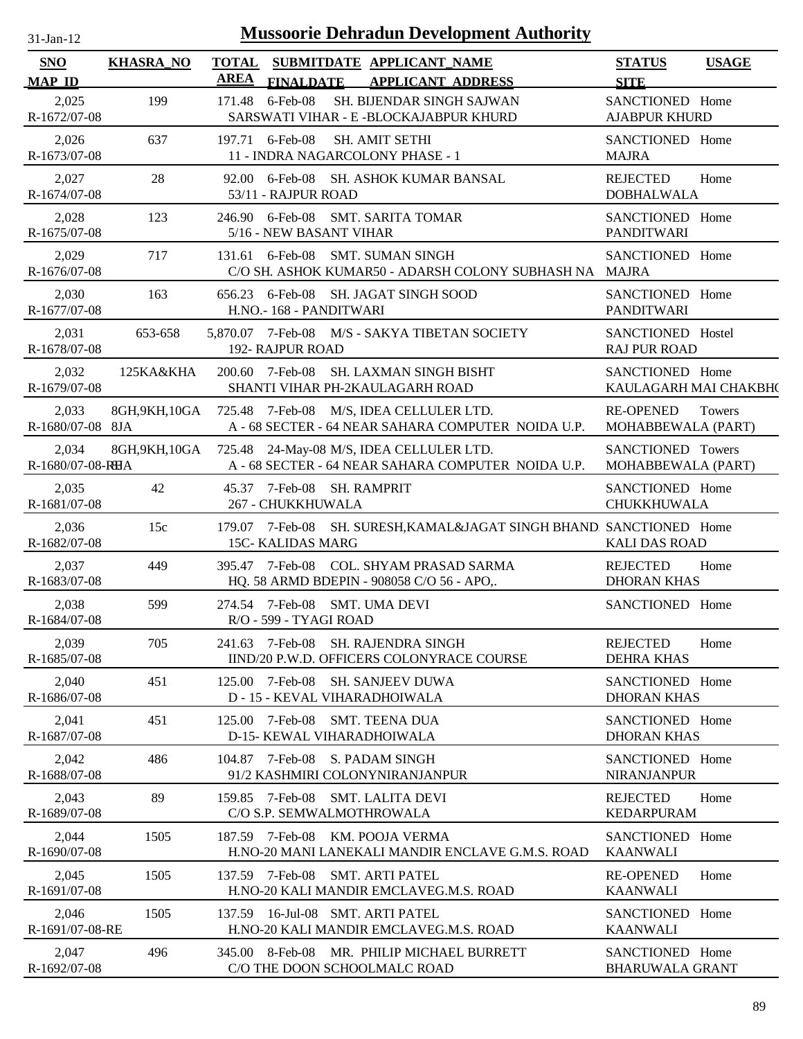| $31$ -Jan-12                |                  |             | <b>Mussoorie Dehradun Development Authority</b>                                                  |                                           |              |
|-----------------------------|------------------|-------------|--------------------------------------------------------------------------------------------------|-------------------------------------------|--------------|
| <b>SNO</b><br><b>MAP ID</b> | <b>KHASRA_NO</b> | <b>AREA</b> | TOTAL SUBMITDATE APPLICANT NAME<br><b>FINALDATE</b><br><b>APPLICANT ADDRESS</b>                  | <b>STATUS</b><br><b>SITE</b>              | <b>USAGE</b> |
| 2,025<br>R-1672/07-08       | 199              | 171.48      | $6$ -Feb-08<br>SH. BIJENDAR SINGH SAJWAN<br>SARSWATI VIHAR - E -BLOCKAJABPUR KHURD               | SANCTIONED Home<br><b>AJABPUR KHURD</b>   |              |
| 2,026<br>R-1673/07-08       | 637              |             | 197.71 6-Feb-08<br><b>SH. AMIT SETHI</b><br>11 - INDRA NAGARCOLONY PHASE - 1                     | SANCTIONED Home<br><b>MAJRA</b>           |              |
| 2,027<br>R-1674/07-08       | 28               |             | 92.00 6-Feb-08 SH. ASHOK KUMAR BANSAL<br>53/11 - RAJPUR ROAD                                     | <b>REJECTED</b><br><b>DOBHALWALA</b>      | Home         |
| 2,028<br>R-1675/07-08       | 123              |             | 246.90 6-Feb-08 SMT. SARITA TOMAR<br>5/16 - NEW BASANT VIHAR                                     | SANCTIONED Home<br><b>PANDITWARI</b>      |              |
| 2,029<br>R-1676/07-08       | 717              |             | 131.61 6-Feb-08 SMT. SUMAN SINGH<br>C/O SH. ASHOK KUMAR50 - ADARSH COLONY SUBHASH NA MAJRA       | SANCTIONED Home                           |              |
| 2,030<br>R-1677/07-08       | 163              |             | 656.23 6-Feb-08 SH. JAGAT SINGH SOOD<br>H.NO.- 168 - PANDITWARI                                  | SANCTIONED Home<br><b>PANDITWARI</b>      |              |
| 2,031<br>R-1678/07-08       | 653-658          |             | 5,870.07 7-Feb-08 M/S - SAKYA TIBETAN SOCIETY<br><b>192- RAJPUR ROAD</b>                         | SANCTIONED Hostel<br><b>RAJ PUR ROAD</b>  |              |
| 2,032<br>R-1679/07-08       | 125KA&KHA        |             | SH. LAXMAN SINGH BISHT<br>200.60 7-Feb-08<br>SHANTI VIHAR PH-2KAULAGARH ROAD                     | SANCTIONED Home<br>KAULAGARH MAI CHAKBH(  |              |
| 2,033<br>R-1680/07-08 8JA   | 8GH,9KH,10GA     |             | 725.48 7-Feb-08 M/S, IDEA CELLULER LTD.<br>A - 68 SECTER - 64 NEAR SAHARA COMPUTER NOIDA U.P.    | <b>RE-OPENED</b><br>MOHABBEWALA (PART)    | Towers       |
| 2,034<br>R-1680/07-08-RHA   | 8GH, 9KH, 10GA   |             | 725.48 24-May-08 M/S, IDEA CELLULER LTD.<br>A - 68 SECTER - 64 NEAR SAHARA COMPUTER NOIDA U.P.   | SANCTIONED Towers<br>MOHABBEWALA (PART)   |              |
| 2,035<br>R-1681/07-08       | 42               |             | 45.37 7-Feb-08 SH. RAMPRIT<br>267 - CHUKKHUWALA                                                  | SANCTIONED Home<br><b>CHUKKHUWALA</b>     |              |
| 2,036<br>R-1682/07-08       | 15c              |             | 179.07 7-Feb-08 SH. SURESH, KAMAL&JAGAT SINGH BHAND. SANCTIONED Home<br><b>15C- KALIDAS MARG</b> | <b>KALI DAS ROAD</b>                      |              |
| 2,037<br>R-1683/07-08       | 449              |             | 395.47 7-Feb-08 COL. SHYAM PRASAD SARMA<br>HQ. 58 ARMD BDEPIN - 908058 C/O 56 - APO,.            | <b>REJECTED</b><br><b>DHORAN KHAS</b>     | Home         |
| 2,038<br>R-1684/07-08       | 599              |             | 274.54 7-Feb-08 SMT. UMA DEVI<br>R/O - 599 - TYAGI ROAD                                          | SANCTIONED Home                           |              |
| 2,039<br>R-1685/07-08       | 705              |             | 241.63 7-Feb-08 SH. RAJENDRA SINGH<br>IIND/20 P.W.D. OFFICERS COLONYRACE COURSE                  | <b>REJECTED</b><br><b>DEHRA KHAS</b>      | Home         |
| 2,040<br>R-1686/07-08       | 451              | 125.00      | 7-Feb-08 SH. SANJEEV DUWA<br>D - 15 - KEVAL VIHARADHOIWALA                                       | SANCTIONED Home<br><b>DHORAN KHAS</b>     |              |
| 2,041<br>R-1687/07-08       | 451              | 125.00      | <b>SMT. TEENA DUA</b><br>7-Feb-08<br>D-15- KEWAL VIHARADHOIWALA                                  | SANCTIONED Home<br><b>DHORAN KHAS</b>     |              |
| 2,042<br>R-1688/07-08       | 486              |             | 104.87 7-Feb-08 S. PADAM SINGH<br>91/2 KASHMIRI COLONYNIRANJANPUR                                | SANCTIONED Home<br><b>NIRANJANPUR</b>     |              |
| 2,043<br>R-1689/07-08       | 89               |             | <b>SMT. LALITA DEVI</b><br>159.85 7-Feb-08<br>C/O S.P. SEMWALMOTHROWALA                          | <b>REJECTED</b><br><b>KEDARPURAM</b>      | Home         |
| 2,044<br>R-1690/07-08       | 1505             |             | 187.59 7-Feb-08<br>KM. POOJA VERMA<br>H.NO-20 MANI LANEKALI MANDIR ENCLAVE G.M.S. ROAD           | SANCTIONED Home<br><b>KAANWALI</b>        |              |
| 2,045<br>R-1691/07-08       | 1505             |             | 137.59 7-Feb-08 SMT. ARTI PATEL<br>H.NO-20 KALI MANDIR EMCLAVEG.M.S. ROAD                        | <b>RE-OPENED</b><br><b>KAANWALI</b>       | Home         |
| 2,046<br>R-1691/07-08-RE    | 1505             | 137.59      | 16-Jul-08 SMT. ARTI PATEL<br>H.NO-20 KALI MANDIR EMCLAVEG.M.S. ROAD                              | SANCTIONED Home<br><b>KAANWALI</b>        |              |
| 2,047<br>R-1692/07-08       | 496              |             | 345.00 8-Feb-08 MR. PHILIP MICHAEL BURRETT<br>C/O THE DOON SCHOOLMALC ROAD                       | SANCTIONED Home<br><b>BHARUWALA GRANT</b> |              |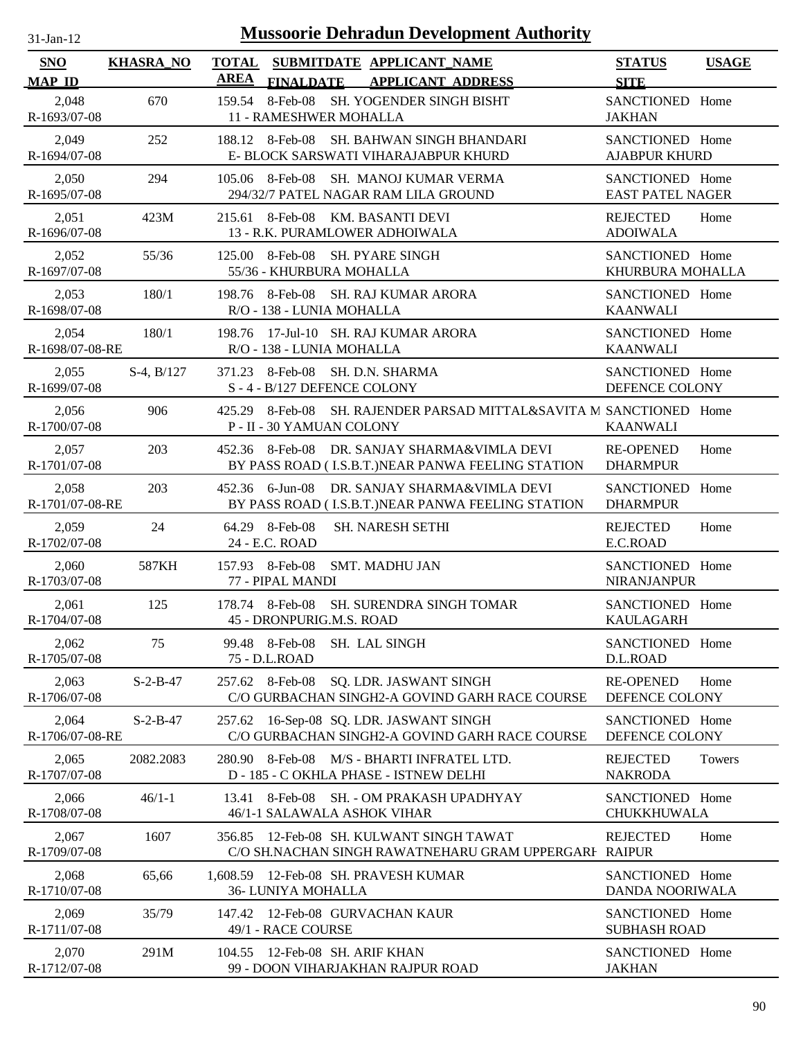| $31$ -Jan-12 |  |
|--------------|--|

| <b>SNO</b>                  | <b>KHASRA_NO</b> | <b>TOTAL</b> |                                             | SUBMITDATE APPLICANT_NAME                                                                  | <b>STATUS</b>                              | <b>USAGE</b> |
|-----------------------------|------------------|--------------|---------------------------------------------|--------------------------------------------------------------------------------------------|--------------------------------------------|--------------|
| <b>MAP ID</b>               |                  | <b>AREA</b>  | <b>FINALDATE</b>                            | <b>APPLICANT ADDRESS</b>                                                                   | <b>SITE</b>                                |              |
| 2,048<br>R-1693/07-08       | 670              | 159.54       | 8-Feb-08<br>11 - RAMESHWER MOHALLA          | <b>SH. YOGENDER SINGH BISHT</b>                                                            | SANCTIONED Home<br><b>JAKHAN</b>           |              |
| 2,049<br>R-1694/07-08       | 252              |              | 188.12 8-Feb-08                             | SH. BAHWAN SINGH BHANDARI<br>E- BLOCK SARSWATI VIHARAJABPUR KHURD                          | SANCTIONED Home<br><b>AJABPUR KHURD</b>    |              |
| 2,050<br>R-1695/07-08       | 294              |              | 105.06 8-Feb-08                             | SH. MANOJ KUMAR VERMA<br>294/32/7 PATEL NAGAR RAM LILA GROUND                              | SANCTIONED Home<br><b>EAST PATEL NAGER</b> |              |
| 2,051<br>R-1696/07-08       | 423M             |              | 215.61 8-Feb-08                             | KM. BASANTI DEVI<br>13 - R.K. PURAMLOWER ADHOIWALA                                         | <b>REJECTED</b><br><b>ADOIWALA</b>         | Home         |
| 2,052<br>R-1697/07-08       | 55/36            | 125.00       | 8-Feb-08<br>55/36 - KHURBURA MOHALLA        | SH. PYARE SINGH                                                                            | SANCTIONED Home<br>KHURBURA MOHALLA        |              |
| 2,053<br>R-1698/07-08       | 180/1            | 198.76       | 8-Feb-08<br>R/O - 138 - LUNIA MOHALLA       | SH. RAJ KUMAR ARORA                                                                        | SANCTIONED Home<br><b>KAANWALI</b>         |              |
| 2,054<br>R-1698/07-08-RE    | 180/1            | 198.76       | R/O - 138 - LUNIA MOHALLA                   | 17-Jul-10 SH. RAJ KUMAR ARORA                                                              | SANCTIONED Home<br><b>KAANWALI</b>         |              |
| 2,055<br>R-1699/07-08       | $S-4$ , $B/127$  |              | 371.23 8-Feb-08<br>S-4-B/127 DEFENCE COLONY | SH. D.N. SHARMA                                                                            | SANCTIONED Home<br>DEFENCE COLONY          |              |
| 2,056<br>$R - 1700/07 - 08$ | 906              | 425.29       | 8-Feb-08<br>P - II - 30 YAMUAN COLONY       | SH. RAJENDER PARSAD MITTAL&SAVITA M SANCTIONED Home                                        | <b>KAANWALI</b>                            |              |
| 2,057<br>R-1701/07-08       | 203              |              | 452.36 8-Feb-08                             | DR. SANJAY SHARMA&VIMLA DEVI<br>BY PASS ROAD (I.S.B.T.) NEAR PANWA FEELING STATION         | <b>RE-OPENED</b><br><b>DHARMPUR</b>        | Home         |
| 2,058<br>R-1701/07-08-RE    | 203              |              | 452.36 6-Jun-08                             | DR. SANJAY SHARMA&VIMLA DEVI<br>BY PASS ROAD (I.S.B.T.) NEAR PANWA FEELING STATION         | SANCTIONED Home<br><b>DHARMPUR</b>         |              |
| 2,059<br>R-1702/07-08       | 24               |              | 64.29 8-Feb-08<br>24 - E.C. ROAD            | <b>SH. NARESH SETHI</b>                                                                    | <b>REJECTED</b><br>E.C.ROAD                | Home         |
| 2,060<br>R-1703/07-08       | 587KH            |              | 157.93 8-Feb-08<br>77 - PIPAL MANDI         | <b>SMT. MADHU JAN</b>                                                                      | SANCTIONED Home<br><b>NIRANJANPUR</b>      |              |
| 2,061<br>R-1704/07-08       | 125              |              | 178.74 8-Feb-08<br>45 - DRONPURIG.M.S. ROAD | <b>SH. SURENDRA SINGH TOMAR</b>                                                            | SANCTIONED Home<br><b>KAULAGARH</b>        |              |
| 2,062<br>R-1705/07-08       | 75               |              | 99.48 8-Feb-08<br>75 - D.L.ROAD             | SH. LAL SINGH                                                                              | SANCTIONED Home<br>D.L.ROAD                |              |
| 2,063<br>R-1706/07-08       | $S-2-B-47$       |              | 257.62 8-Feb-08                             | <b>SQ. LDR. JASWANT SINGH</b><br>C/O GURBACHAN SINGH2-A GOVIND GARH RACE COURSE            | <b>RE-OPENED</b><br>DEFENCE COLONY         | Home         |
| 2,064<br>R-1706/07-08-RE    | $S-2-B-47$       | 257.62       |                                             | 16-Sep-08 SQ. LDR. JASWANT SINGH<br>C/O GURBACHAN SINGH2-A GOVIND GARH RACE COURSE         | SANCTIONED Home<br>DEFENCE COLONY          |              |
| 2,065<br>R-1707/07-08       | 2082.2083        |              | 280.90 8-Feb-08                             | M/S - BHARTI INFRATEL LTD.<br>D - 185 - C OKHLA PHASE - ISTNEW DELHI                       | <b>REJECTED</b><br><b>NAKRODA</b>          | Towers       |
| 2,066<br>R-1708/07-08       | $46/1 - 1$       | 13.41        | 8-Feb-08<br>46/1-1 SALAWALA ASHOK VIHAR     | SH. - OM PRAKASH UPADHYAY                                                                  | SANCTIONED Home<br>CHUKKHUWALA             |              |
| 2,067<br>R-1709/07-08       | 1607             | 356.85       |                                             | 12-Feb-08 SH. KULWANT SINGH TAWAT<br>C/O SH.NACHAN SINGH RAWATNEHARU GRAM UPPERGARI RAIPUR | <b>REJECTED</b>                            | Home         |
| 2,068<br>R-1710/07-08       | 65,66            |              | 36- LUNIYA MOHALLA                          | 1,608.59 12-Feb-08 SH. PRAVESH KUMAR                                                       | SANCTIONED Home<br>DANDA NOORIWALA         |              |
| 2,069<br>R-1711/07-08       | 35/79            |              | 49/1 - RACE COURSE                          | 147.42 12-Feb-08 GURVACHAN KAUR                                                            | SANCTIONED Home<br><b>SUBHASH ROAD</b>     |              |
| 2,070<br>R-1712/07-08       | 291M             |              | 104.55 12-Feb-08 SH. ARIF KHAN              | 99 - DOON VIHARJAKHAN RAJPUR ROAD                                                          | SANCTIONED Home<br><b>JAKHAN</b>           |              |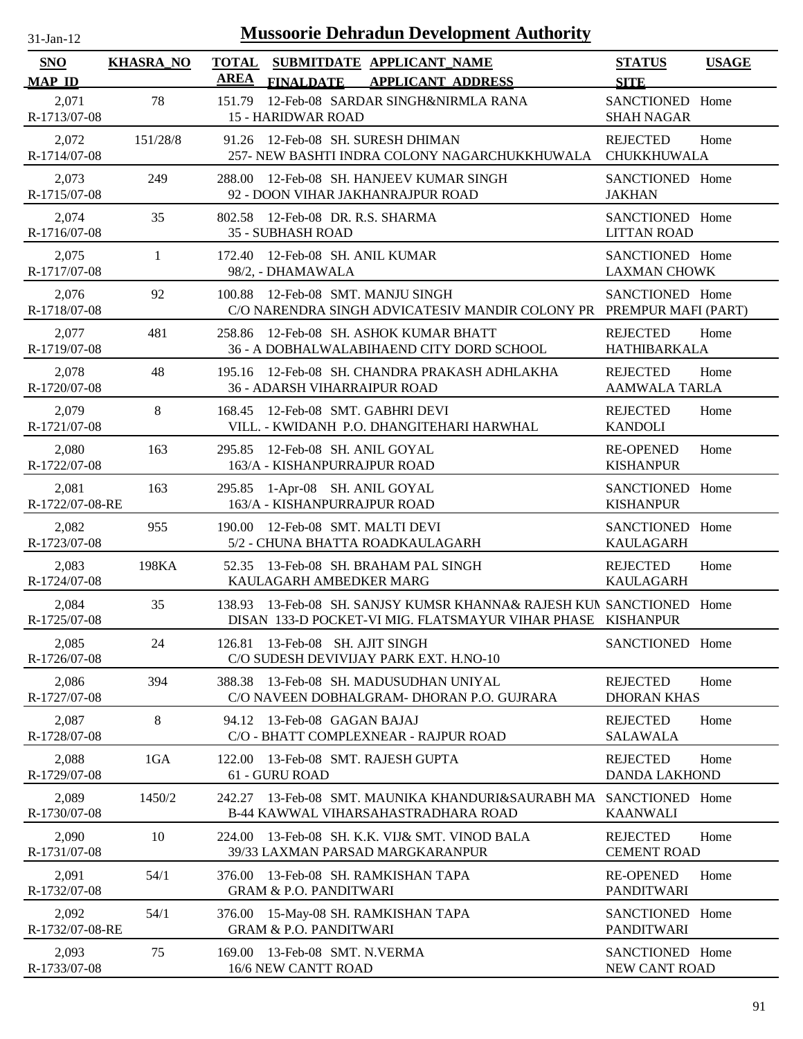| $31$ -Jan-12                |                  | <b>Mussoorie Dehradun Development Authority</b>                                                                                     |                                         |              |
|-----------------------------|------------------|-------------------------------------------------------------------------------------------------------------------------------------|-----------------------------------------|--------------|
| <b>SNO</b><br><b>MAP ID</b> | <b>KHASRA_NO</b> | <b>TOTAL</b><br>SUBMITDATE APPLICANT NAME<br><b>AREA</b><br><b>FINALDATE</b><br><b>APPLICANT ADDRESS</b>                            | <b>STATUS</b><br><b>SITE</b>            | <b>USAGE</b> |
| 2,071<br>R-1713/07-08       | 78               | 12-Feb-08 SARDAR SINGH&NIRMLA RANA<br>151.79<br><b>15 - HARIDWAR ROAD</b>                                                           | SANCTIONED Home<br><b>SHAH NAGAR</b>    |              |
| 2,072<br>R-1714/07-08       | 151/28/8         | 91.26 12-Feb-08 SH. SURESH DHIMAN<br>257- NEW BASHTI INDRA COLONY NAGARCHUKKHUWALA                                                  | <b>REJECTED</b><br>CHUKKHUWALA          | Home         |
| 2,073<br>R-1715/07-08       | 249              | 288.00 12-Feb-08 SH. HANJEEV KUMAR SINGH<br>92 - DOON VIHAR JAKHANRAJPUR ROAD                                                       | SANCTIONED Home<br><b>JAKHAN</b>        |              |
| 2,074<br>R-1716/07-08       | 35               | 802.58 12-Feb-08 DR. R.S. SHARMA<br>35 - SUBHASH ROAD                                                                               | SANCTIONED Home<br><b>LITTAN ROAD</b>   |              |
| 2,075<br>R-1717/07-08       | $\mathbf{1}$     | 12-Feb-08 SH. ANIL KUMAR<br>172.40<br>98/2, - DHAMAWALA                                                                             | SANCTIONED Home<br><b>LAXMAN CHOWK</b>  |              |
| 2,076<br>R-1718/07-08       | 92               | 12-Feb-08 SMT. MANJU SINGH<br>100.88<br>C/O NARENDRA SINGH ADVICATESIV MANDIR COLONY PR                                             | SANCTIONED Home<br>PREMPUR MAFI (PART)  |              |
| 2,077<br>R-1719/07-08       | 481              | 12-Feb-08 SH. ASHOK KUMAR BHATT<br>258.86<br>36 - A DOBHALWALABIHAEND CITY DORD SCHOOL                                              | <b>REJECTED</b><br>HATHIBARKALA         | Home         |
| 2,078<br>R-1720/07-08       | 48               | 195.16 12-Feb-08 SH. CHANDRA PRAKASH ADHLAKHA<br>36 - ADARSH VIHARRAIPUR ROAD                                                       | <b>REJECTED</b><br><b>AAMWALA TARLA</b> | Home         |
| 2,079<br>R-1721/07-08       | $8\,$            | 12-Feb-08 SMT. GABHRI DEVI<br>168.45<br>VILL. - KWIDANH P.O. DHANGITEHARI HARWHAL                                                   | <b>REJECTED</b><br><b>KANDOLI</b>       | Home         |
| 2,080<br>R-1722/07-08       | 163              | 12-Feb-08 SH. ANIL GOYAL<br>295.85<br>163/A - KISHANPURRAJPUR ROAD                                                                  | <b>RE-OPENED</b><br><b>KISHANPUR</b>    | Home         |
| 2,081<br>R-1722/07-08-RE    | 163              | 1-Apr-08 SH. ANIL GOYAL<br>295.85<br>163/A - KISHANPURRAJPUR ROAD                                                                   | SANCTIONED Home<br><b>KISHANPUR</b>     |              |
| 2,082<br>R-1723/07-08       | 955              | 190.00 12-Feb-08 SMT. MALTI DEVI<br>5/2 - CHUNA BHATTA ROADKAULAGARH                                                                | SANCTIONED Home<br><b>KAULAGARH</b>     |              |
| 2,083<br>R-1724/07-08       | 198KA            | 13-Feb-08 SH. BRAHAM PAL SINGH<br>52.35<br>KAULAGARH AMBEDKER MARG                                                                  | <b>REJECTED</b><br><b>KAULAGARH</b>     | Home         |
| 2,084<br>R-1725/07-08       | 35               | 138.93 13-Feb-08 SH. SANJSY KUMSR KHANNA& RAJESH KUN SANCTIONED Home<br>DISAN 133-D POCKET-VI MIG. FLATSMAYUR VIHAR PHASE KISHANPUR |                                         |              |
| 2,085<br>R-1726/07-08       | 24               | 126.81 13-Feb-08 SH. AJIT SINGH<br>C/O SUDESH DEVIVIJAY PARK EXT. H.NO-10                                                           | SANCTIONED Home                         |              |
| 2,086<br>R-1727/07-08       | 394              | 13-Feb-08 SH. MADUSUDHAN UNIYAL<br>388.38<br>C/O NAVEEN DOBHALGRAM- DHORAN P.O. GUJRARA                                             | <b>REJECTED</b><br><b>DHORAN KHAS</b>   | Home         |
| 2,087<br>R-1728/07-08       | 8                | 13-Feb-08 GAGAN BAJAJ<br>94.12<br>C/O - BHATT COMPLEXNEAR - RAJPUR ROAD                                                             | <b>REJECTED</b><br><b>SALAWALA</b>      | Home         |
| 2,088<br>R-1729/07-08       | 1GA              | 13-Feb-08 SMT. RAJESH GUPTA<br>122.00<br>61 - GURU ROAD                                                                             | <b>REJECTED</b><br><b>DANDA LAKHOND</b> | Home         |
| 2,089<br>R-1730/07-08       | 1450/2           | 13-Feb-08 SMT. MAUNIKA KHANDURI&SAURABH MA SANCTIONED Home<br>242.27<br>B-44 KAWWAL VIHARSAHASTRADHARA ROAD                         | <b>KAANWALI</b>                         |              |
| 2,090<br>R-1731/07-08       | 10               | 13-Feb-08 SH. K.K. VIJ& SMT. VINOD BALA<br>224.00<br>39/33 LAXMAN PARSAD MARGKARANPUR                                               | <b>REJECTED</b><br><b>CEMENT ROAD</b>   | Home         |
| 2,091<br>R-1732/07-08       | 54/1             | 13-Feb-08 SH. RAMKISHAN TAPA<br>376.00<br><b>GRAM &amp; P.O. PANDITWARI</b>                                                         | <b>RE-OPENED</b><br>PANDITWARI          | Home         |
| 2,092<br>R-1732/07-08-RE    | 54/1             | 15-May-08 SH. RAMKISHAN TAPA<br>376.00<br><b>GRAM &amp; P.O. PANDITWARI</b>                                                         | SANCTIONED Home<br><b>PANDITWARI</b>    |              |
| 2,093<br>R-1733/07-08       | 75               | 13-Feb-08 SMT. N.VERMA<br>169.00<br>16/6 NEW CANTT ROAD                                                                             | SANCTIONED Home<br>NEW CANT ROAD        |              |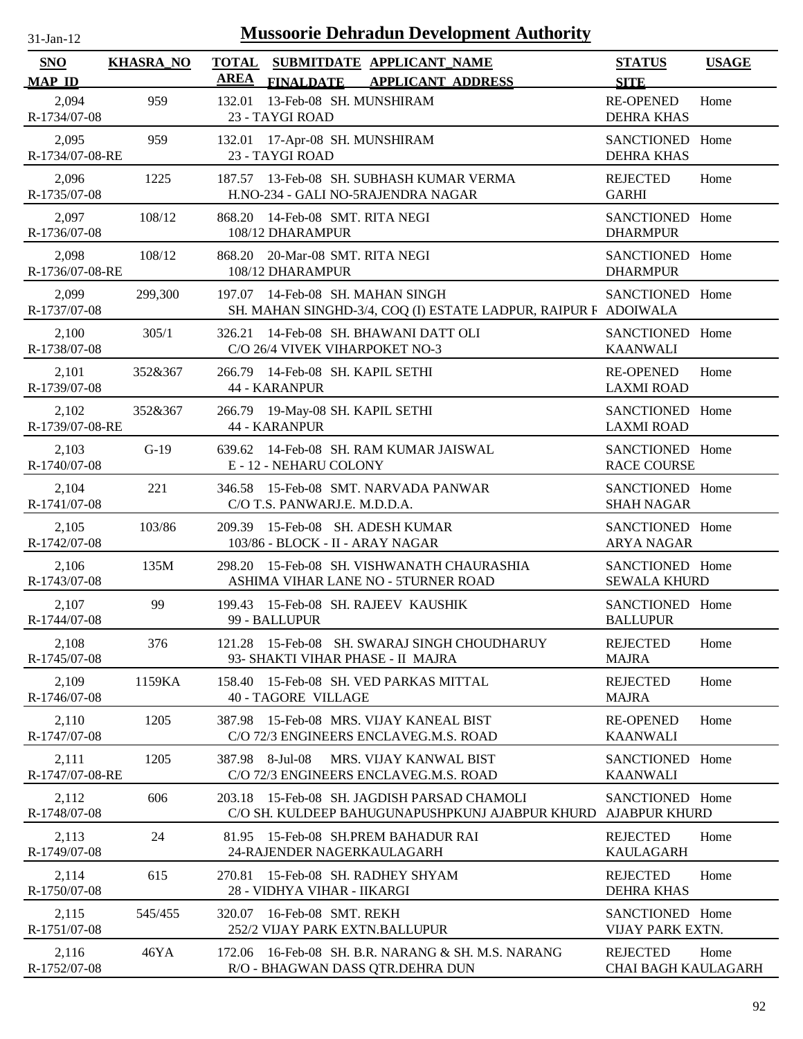| -Jan- |  |
|-------|--|
|       |  |

| <b>SNO</b><br><b>MAP ID</b> | <b>KHASRA_NO</b> | <b>TOTAL SUBMITDATE APPLICANT NAME</b><br><b>AREA</b><br>FINALDATE APPLICANT ADDRESS               | <b>STATUS</b><br><b>SITE</b>                  | <b>USAGE</b> |
|-----------------------------|------------------|----------------------------------------------------------------------------------------------------|-----------------------------------------------|--------------|
| 2,094<br>R-1734/07-08       | 959              | 13-Feb-08 SH. MUNSHIRAM<br>132.01<br>23 - TAYGI ROAD                                               | <b>RE-OPENED</b><br><b>DEHRA KHAS</b>         | Home         |
| 2,095<br>R-1734/07-08-RE    | 959              | 132.01 17-Apr-08 SH. MUNSHIRAM<br>23 - TAYGI ROAD                                                  | SANCTIONED Home<br><b>DEHRA KHAS</b>          |              |
| 2,096<br>R-1735/07-08       | 1225             | 187.57 13-Feb-08 SH. SUBHASH KUMAR VERMA<br>H.NO-234 - GALI NO-5RAJENDRA NAGAR                     | <b>REJECTED</b><br><b>GARHI</b>               | Home         |
| 2,097<br>R-1736/07-08       | 108/12           | 14-Feb-08 SMT. RITA NEGI<br>868.20<br>108/12 DHARAMPUR                                             | SANCTIONED Home<br><b>DHARMPUR</b>            |              |
| 2,098<br>R-1736/07-08-RE    | 108/12           | 868.20 20-Mar-08 SMT. RITA NEGI<br>108/12 DHARAMPUR                                                | SANCTIONED Home<br><b>DHARMPUR</b>            |              |
| 2,099<br>R-1737/07-08       | 299,300          | 197.07 14-Feb-08 SH. MAHAN SINGH<br>SH. MAHAN SINGHD-3/4, COQ (I) ESTATE LADPUR, RAIPUR F ADOIWALA | SANCTIONED Home                               |              |
| 2,100<br>R-1738/07-08       | 305/1            | 326.21 14-Feb-08 SH. BHAWANI DATT OLI<br>C/O 26/4 VIVEK VIHARPOKET NO-3                            | SANCTIONED Home<br><b>KAANWALI</b>            |              |
| 2,101<br>R-1739/07-08       | 352&367          | 266.79 14-Feb-08 SH. KAPIL SETHI<br><b>44 - KARANPUR</b>                                           | <b>RE-OPENED</b><br><b>LAXMI ROAD</b>         | Home         |
| 2,102<br>R-1739/07-08-RE    | 352&367          | 266.79 19-May-08 SH. KAPIL SETHI<br><b>44 - KARANPUR</b>                                           | SANCTIONED Home<br><b>LAXMI ROAD</b>          |              |
| 2,103<br>R-1740/07-08       | $G-19$           | 639.62 14-Feb-08 SH. RAM KUMAR JAISWAL<br>E - 12 - NEHARU COLONY                                   | SANCTIONED Home<br><b>RACE COURSE</b>         |              |
| 2,104<br>R-1741/07-08       | 221              | 346.58 15-Feb-08 SMT. NARVADA PANWAR<br>C/O T.S. PANWARJ.E. M.D.D.A.                               | SANCTIONED Home<br><b>SHAH NAGAR</b>          |              |
| 2,105<br>R-1742/07-08       | 103/86           | 209.39 15-Feb-08 SH. ADESH KUMAR<br>103/86 - BLOCK - II - ARAY NAGAR                               | SANCTIONED Home<br><b>ARYA NAGAR</b>          |              |
| 2,106<br>R-1743/07-08       | 135M             | 15-Feb-08 SH. VISHWANATH CHAURASHIA<br>298.20<br>ASHIMA VIHAR LANE NO - 5TURNER ROAD               | SANCTIONED Home<br><b>SEWALA KHURD</b>        |              |
| 2,107<br>R-1744/07-08       | 99               | 199.43 15-Feb-08 SH. RAJEEV KAUSHIK<br>99 - BALLUPUR                                               | SANCTIONED Home<br><b>BALLUPUR</b>            |              |
| 2,108<br>R-1745/07-08       | 376              | 15-Feb-08 SH. SWARAJ SINGH CHOUDHARUY<br>121.28<br>93- SHAKTI VIHAR PHASE - II MAJRA               | <b>REJECTED</b><br><b>MAJRA</b>               | Home         |
| 2,109<br>R-1746/07-08       | 1159KA           | 15-Feb-08 SH. VED PARKAS MITTAL<br>158.40<br><b>40 - TAGORE VILLAGE</b>                            | <b>REJECTED</b><br><b>MAJRA</b>               | Home         |
| 2,110<br>R-1747/07-08       | 1205             | 15-Feb-08 MRS. VIJAY KANEAL BIST<br>387.98<br>C/O 72/3 ENGINEERS ENCLAVEG.M.S. ROAD                | <b>RE-OPENED</b><br><b>KAANWALI</b>           | Home         |
| 2,111<br>R-1747/07-08-RE    | 1205             | 387.98 8-Jul-08<br>MRS. VIJAY KANWAL BIST<br>C/O 72/3 ENGINEERS ENCLAVEG.M.S. ROAD                 | SANCTIONED Home<br><b>KAANWALI</b>            |              |
| 2,112<br>R-1748/07-08       | 606              | 15-Feb-08 SH. JAGDISH PARSAD CHAMOLI<br>203.18<br>C/O SH. KULDEEP BAHUGUNAPUSHPKUNJ AJABPUR KHURD  | SANCTIONED Home<br><b>AJABPUR KHURD</b>       |              |
| 2,113<br>R-1749/07-08       | 24               | 15-Feb-08 SH.PREM BAHADUR RAI<br>81.95<br>24-RAJENDER NAGERKAULAGARH                               | <b>REJECTED</b><br><b>KAULAGARH</b>           | Home         |
| 2,114<br>R-1750/07-08       | 615              | 15-Feb-08 SH. RADHEY SHYAM<br>270.81<br>28 - VIDHYA VIHAR - IIKARGI                                | <b>REJECTED</b><br><b>DEHRA KHAS</b>          | Home         |
| 2,115<br>R-1751/07-08       | 545/455          | 16-Feb-08 SMT. REKH<br>320.07<br>252/2 VIJAY PARK EXTN.BALLUPUR                                    | SANCTIONED Home<br>VIJAY PARK EXTN.           |              |
| 2,116<br>R-1752/07-08       | 46YA             | 16-Feb-08 SH, B.R. NARANG & SH, M.S. NARANG<br>172.06<br>R/O - BHAGWAN DASS QTR.DEHRA DUN          | <b>REJECTED</b><br><b>CHAI BAGH KAULAGARH</b> | Home         |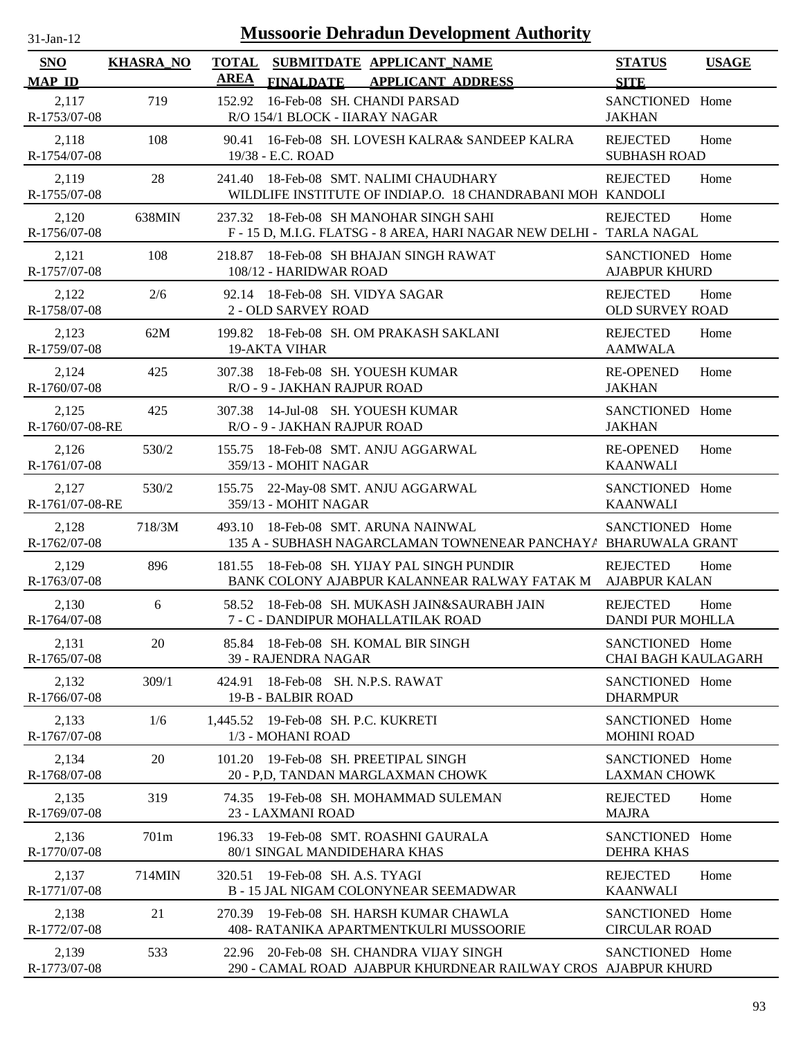| <b>Mussoorie Dehradun Development Authority</b><br>$31-Jan-12$ |                  |             |                                                                                                                |                                               |              |
|----------------------------------------------------------------|------------------|-------------|----------------------------------------------------------------------------------------------------------------|-----------------------------------------------|--------------|
| <b>SNO</b><br><b>MAP ID</b>                                    | <b>KHASRA_NO</b> | <b>AREA</b> | TOTAL SUBMITDATE APPLICANT NAME<br><b>FINALDATE</b><br><b>APPLICANT ADDRESS</b>                                | <b>STATUS</b><br><b>SITE</b>                  | <b>USAGE</b> |
| 2,117<br>R-1753/07-08                                          | 719              | 152.92      | 16-Feb-08 SH. CHANDI PARSAD<br>R/O 154/1 BLOCK - IIARAY NAGAR                                                  | SANCTIONED Home<br><b>JAKHAN</b>              |              |
| 2,118<br>R-1754/07-08                                          | 108              | 90.41       | 16-Feb-08 SH. LOVESH KALRA& SANDEEP KALRA<br>19/38 - E.C. ROAD                                                 | <b>REJECTED</b><br><b>SUBHASH ROAD</b>        | Home         |
| 2,119<br>R-1755/07-08                                          | 28               | 241.40      | 18-Feb-08 SMT. NALIMI CHAUDHARY<br>WILDLIFE INSTITUTE OF INDIAP.O. 18 CHANDRABANI MOH KANDOLI                  | <b>REJECTED</b>                               | Home         |
| 2,120<br>R-1756/07-08                                          | 638MIN           |             | 237.32 18-Feb-08 SH MANOHAR SINGH SAHI<br>F - 15 D, M.I.G. FLATSG - 8 AREA, HARI NAGAR NEW DELHI - TARLA NAGAL | <b>REJECTED</b>                               | Home         |
| 2,121<br>R-1757/07-08                                          | 108              | 218.87      | 18-Feb-08 SH BHAJAN SINGH RAWAT<br>108/12 - HARIDWAR ROAD                                                      | SANCTIONED Home<br><b>AJABPUR KHURD</b>       |              |
| 2,122<br>R-1758/07-08                                          | 2/6              |             | 92.14 18-Feb-08 SH. VIDYA SAGAR<br>2 - OLD SARVEY ROAD                                                         | <b>REJECTED</b><br><b>OLD SURVEY ROAD</b>     | Home         |
| 2,123<br>R-1759/07-08                                          | 62M              |             | 199.82 18-Feb-08 SH, OM PRAKASH SAKLANI<br><b>19-AKTA VIHAR</b>                                                | <b>REJECTED</b><br><b>AAMWALA</b>             | Home         |
| 2,124<br>R-1760/07-08                                          | 425              | 307.38      | 18-Feb-08 SH. YOUESH KUMAR<br>R/O - 9 - JAKHAN RAJPUR ROAD                                                     | <b>RE-OPENED</b><br><b>JAKHAN</b>             | Home         |
| 2,125<br>R-1760/07-08-RE                                       | 425              |             | 307.38 14-Jul-08 SH. YOUESH KUMAR<br>R/O - 9 - JAKHAN RAJPUR ROAD                                              | SANCTIONED Home<br><b>JAKHAN</b>              |              |
| 2,126<br>R-1761/07-08                                          | 530/2            | 155.75      | 18-Feb-08 SMT. ANJU AGGARWAL<br>359/13 - MOHIT NAGAR                                                           | <b>RE-OPENED</b><br><b>KAANWALI</b>           | Home         |
| 2,127<br>R-1761/07-08-RE                                       | 530/2            | 155.75      | 22-May-08 SMT. ANJU AGGARWAL<br>359/13 - MOHIT NAGAR                                                           | SANCTIONED Home<br><b>KAANWALI</b>            |              |
| 2,128<br>R-1762/07-08                                          | 718/3M           | 493.10      | 18-Feb-08 SMT. ARUNA NAINWAL<br>135 A - SUBHASH NAGARCLAMAN TOWNENEAR PANCHAY / BHARUWALA GRANT                | SANCTIONED Home                               |              |
| 2,129<br>R-1763/07-08                                          | 896              | 181.55      | 18-Feb-08 SH. YIJAY PAL SINGH PUNDIR<br>BANK COLONY AJABPUR KALANNEAR RALWAY FATAK M                           | <b>REJECTED</b><br><b>AJABPUR KALAN</b>       | Home         |
| 2,130<br>R-1764/07-08                                          | 6                |             | 58.52 18-Feb-08 SH. MUKASH JAIN&SAURABH JAIN<br>7 - C - DANDIPUR MOHALLATILAK ROAD                             | <b>REJECTED</b><br><b>DANDI PUR MOHLLA</b>    | Home         |
| 2,131<br>R-1765/07-08                                          | 20               |             | 85.84 18-Feb-08 SH. KOMAL BIR SINGH<br>39 - RAJENDRA NAGAR                                                     | SANCTIONED Home<br><b>CHAI BAGH KAULAGARH</b> |              |
| 2,132<br>R-1766/07-08                                          | 309/1            | 424.91      | 18-Feb-08 SH. N.P.S. RAWAT<br>19-B - BALBIR ROAD                                                               | SANCTIONED Home<br><b>DHARMPUR</b>            |              |
| 2,133<br>R-1767/07-08                                          | 1/6              |             | 1,445.52 19-Feb-08 SH. P.C. KUKRETI<br>1/3 - MOHANI ROAD                                                       | SANCTIONED Home<br><b>MOHINI ROAD</b>         |              |
| 2,134<br>R-1768/07-08                                          | 20               |             | 101.20 19-Feb-08 SH. PREETIPAL SINGH<br>20 - P,D, TANDAN MARGLAXMAN CHOWK                                      | SANCTIONED Home<br><b>LAXMAN CHOWK</b>        |              |
| 2,135<br>R-1769/07-08                                          | 319              |             | 74.35 19-Feb-08 SH. MOHAMMAD SULEMAN<br>23 - LAXMANI ROAD                                                      | <b>REJECTED</b><br><b>MAJRA</b>               | Home         |
| 2,136<br>R-1770/07-08                                          | 701m             |             | 196.33 19-Feb-08 SMT. ROASHNI GAURALA<br>80/1 SINGAL MANDIDEHARA KHAS                                          | SANCTIONED Home<br><b>DEHRA KHAS</b>          |              |
| 2,137<br>R-1771/07-08                                          | 714MIN           |             | 320.51 19-Feb-08 SH. A.S. TYAGI<br><b>B-15 JAL NIGAM COLONYNEAR SEEMADWAR</b>                                  | <b>REJECTED</b><br><b>KAANWALI</b>            | Home         |
| 2,138<br>R-1772/07-08                                          | 21               |             | 270.39 19-Feb-08 SH. HARSH KUMAR CHAWLA<br>408- RATANIKA APARTMENTKULRI MUSSOORIE                              | SANCTIONED Home<br><b>CIRCULAR ROAD</b>       |              |
| 2,139<br>R-1773/07-08                                          | 533              |             | 22.96 20-Feb-08 SH. CHANDRA VIJAY SINGH<br>290 - CAMAL ROAD AJABPUR KHURDNEAR RAILWAY CROS AJABPUR KHURD       | SANCTIONED Home                               |              |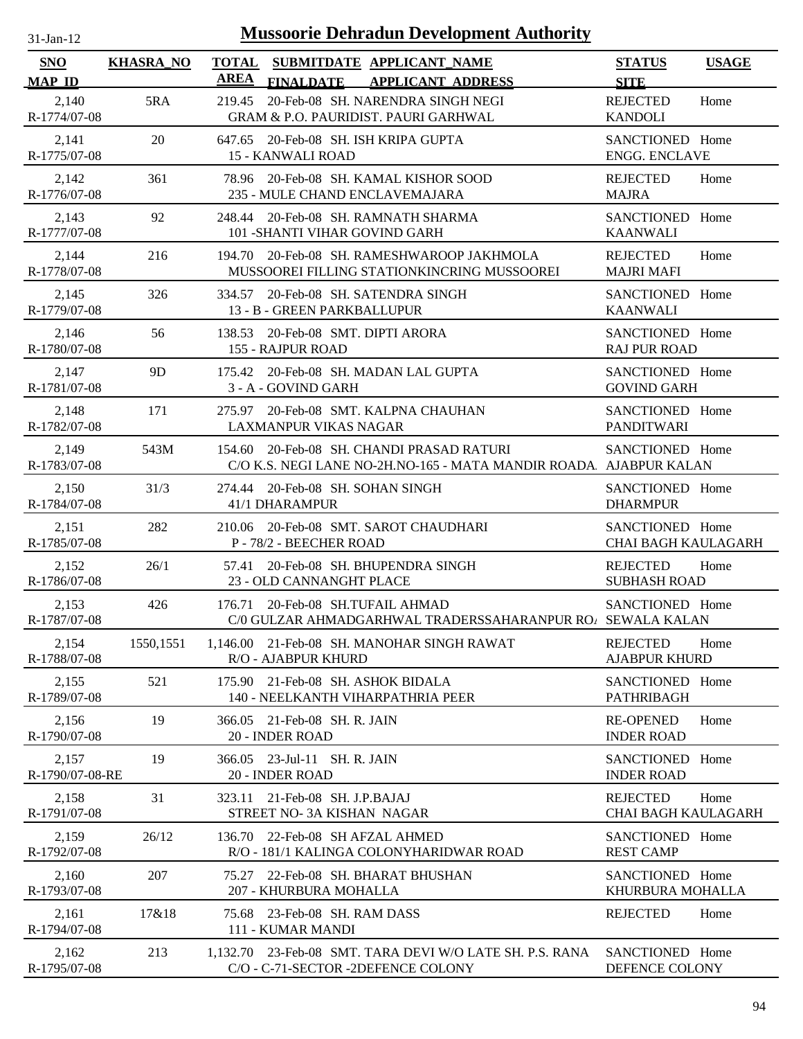| -.ian- |  |
|--------|--|
|        |  |

| SNO                      | <b>KHASRA_NO</b> | <b>TOTAL</b> | SUBMITDATE APPLICANT_NAME                                                                                      | <b>STATUS</b>                                 | <b>USAGE</b> |
|--------------------------|------------------|--------------|----------------------------------------------------------------------------------------------------------------|-----------------------------------------------|--------------|
| <b>MAP ID</b>            |                  | <b>AREA</b>  | <b>FINALDATE</b><br><b>APPLICANT ADDRESS</b>                                                                   | <b>SITE</b>                                   |              |
| 2,140<br>R-1774/07-08    | 5RA              | 219.45       | 20-Feb-08 SH. NARENDRA SINGH NEGI<br><b>GRAM &amp; P.O. PAURIDIST. PAURI GARHWAL</b>                           | <b>REJECTED</b><br><b>KANDOLI</b>             | Home         |
| 2,141<br>R-1775/07-08    | 20               |              | 647.65 20-Feb-08 SH. ISH KRIPA GUPTA<br><b>15 - KANWALI ROAD</b>                                               | SANCTIONED Home<br><b>ENGG. ENCLAVE</b>       |              |
| 2,142<br>R-1776/07-08    | 361              |              | 78.96 20-Feb-08 SH. KAMAL KISHOR SOOD<br>235 - MULE CHAND ENCLAVEMAJARA                                        | <b>REJECTED</b><br><b>MAJRA</b>               | Home         |
| 2,143<br>R-1777/07-08    | 92               |              | 248.44 20-Feb-08 SH. RAMNATH SHARMA<br>101 - SHANTI VIHAR GOVIND GARH                                          | SANCTIONED Home<br><b>KAANWALI</b>            |              |
| 2,144<br>R-1778/07-08    | 216              |              | 194.70 20-Feb-08 SH. RAMESHWAROOP JAKHMOLA<br>MUSSOOREI FILLING STATIONKINCRING MUSSOOREI                      | <b>REJECTED</b><br><b>MAJRI MAFI</b>          | Home         |
| 2,145<br>R-1779/07-08    | 326              |              | 334.57 20-Feb-08 SH. SATENDRA SINGH<br>13 - B - GREEN PARKBALLUPUR                                             | SANCTIONED Home<br><b>KAANWALI</b>            |              |
| 2,146<br>R-1780/07-08    | 56               | 138.53       | 20-Feb-08 SMT. DIPTI ARORA<br>155 - RAJPUR ROAD                                                                | SANCTIONED Home<br><b>RAJ PUR ROAD</b>        |              |
| 2,147<br>R-1781/07-08    | 9D               |              | 175.42 20-Feb-08 SH. MADAN LAL GUPTA<br>3 - A - GOVIND GARH                                                    | SANCTIONED Home<br><b>GOVIND GARH</b>         |              |
| 2,148<br>R-1782/07-08    | 171              |              | 275.97 20-Feb-08 SMT. KALPNA CHAUHAN<br><b>LAXMANPUR VIKAS NAGAR</b>                                           | SANCTIONED Home<br><b>PANDITWARI</b>          |              |
| 2,149<br>R-1783/07-08    | 543M             |              | 154.60 20-Feb-08 SH. CHANDI PRASAD RATURI<br>C/O K.S. NEGI LANE NO-2H.NO-165 - MATA MANDIR ROADA AJABPUR KALAN | SANCTIONED Home                               |              |
| 2,150<br>R-1784/07-08    | 31/3             |              | 274.44 20-Feb-08 SH, SOHAN SINGH<br>41/1 DHARAMPUR                                                             | SANCTIONED Home<br><b>DHARMPUR</b>            |              |
| 2,151<br>R-1785/07-08    | 282              |              | 210.06 20-Feb-08 SMT. SAROT CHAUDHARI<br>P - 78/2 - BEECHER ROAD                                               | SANCTIONED Home<br><b>CHAI BAGH KAULAGARH</b> |              |
| 2,152<br>R-1786/07-08    | 26/1             |              | 57.41 20-Feb-08 SH. BHUPENDRA SINGH<br>23 - OLD CANNANGHT PLACE                                                | <b>REJECTED</b><br><b>SUBHASH ROAD</b>        | Home         |
| 2,153<br>R-1787/07-08    | 426              |              | 176.71 20-Feb-08 SH.TUFAIL AHMAD<br>C/0 GULZAR AHMADGARHWAL TRADERSSAHARANPUR ROA SEWALA KALAN                 | SANCTIONED Home                               |              |
| 2,154<br>R-1788/07-08    | 1550,1551        |              | 1,146.00 21-Feb-08 SH. MANOHAR SINGH RAWAT<br><b>R/O - AJABPUR KHURD</b>                                       | <b>REJECTED</b><br><b>AJABPUR KHURD</b>       | Home         |
| 2,155<br>R-1789/07-08    | 521              |              | 175.90 21-Feb-08 SH. ASHOK BIDALA<br>140 - NEELKANTH VIHARPATHRIA PEER                                         | SANCTIONED Home<br>PATHRIBAGH                 |              |
| 2,156<br>R-1790/07-08    | 19               | 366.05       | 21-Feb-08 SH. R. JAIN<br>20 - INDER ROAD                                                                       | <b>RE-OPENED</b><br><b>INDER ROAD</b>         | Home         |
| 2,157<br>R-1790/07-08-RE | 19               | 366.05       | 23-Jul-11 SH. R. JAIN<br>20 - INDER ROAD                                                                       | <b>SANCTIONED</b><br><b>INDER ROAD</b>        | Home         |
| 2,158<br>R-1791/07-08    | 31               | 323.11       | 21-Feb-08 SH. J.P.BAJAJ<br>STREET NO-3A KISHAN NAGAR                                                           | <b>REJECTED</b><br><b>CHAI BAGH KAULAGARH</b> | Home         |
| 2,159<br>R-1792/07-08    | 26/12            |              | 136.70 22-Feb-08 SH AFZAL AHMED<br>R/O - 181/1 KALINGA COLONYHARIDWAR ROAD                                     | SANCTIONED Home<br><b>REST CAMP</b>           |              |
| 2,160<br>R-1793/07-08    | 207              |              | 75.27 22-Feb-08 SH. BHARAT BHUSHAN<br>207 - KHURBURA MOHALLA                                                   | SANCTIONED Home<br>KHURBURA MOHALLA           |              |
| 2,161<br>R-1794/07-08    | 17&18            |              | 75.68 23-Feb-08 SH. RAM DASS<br>111 - KUMAR MANDI                                                              | <b>REJECTED</b>                               | Home         |
| 2,162                    | 213              |              | 1,132.70 23-Feb-08 SMT. TARA DEVI W/O LATE SH. P.S. RANA                                                       | SANCTIONED Home                               |              |
| R-1795/07-08             |                  |              | C/O - C-71-SECTOR -2DEFENCE COLONY                                                                             | DEFENCE COLONY                                |              |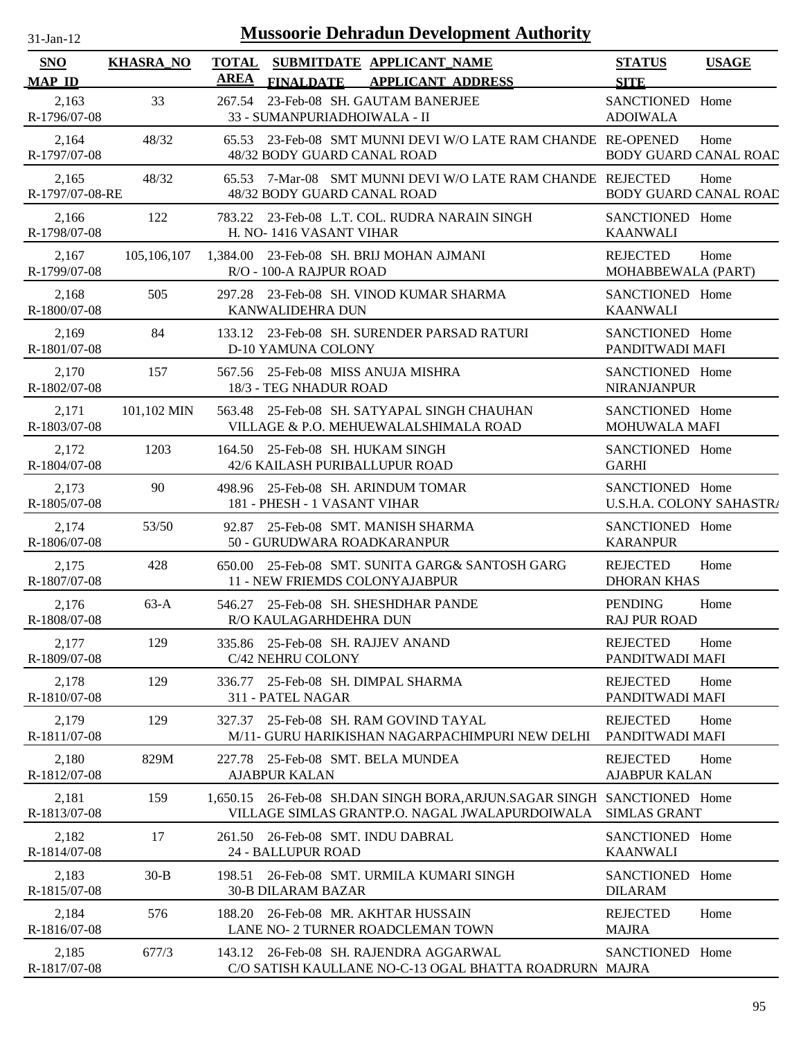| $31$ -Jan-12                |                  | <b>Mussoorie Dehradun Development Authority</b>                                                                            |                                             |              |
|-----------------------------|------------------|----------------------------------------------------------------------------------------------------------------------------|---------------------------------------------|--------------|
| <b>SNO</b><br><b>MAP ID</b> | <b>KHASRA_NO</b> | TOTAL SUBMITDATE APPLICANT NAME<br><b>AREA</b><br><b>FINALDATE</b><br><b>APPLICANT ADDRESS</b>                             | <b>STATUS</b><br><b>SITE</b>                | <b>USAGE</b> |
| 2,163<br>R-1796/07-08       | 33               | 267.54 23-Feb-08 SH. GAUTAM BANERJEE<br>33 - SUMANPURIADHOIWALA - II                                                       | SANCTIONED Home<br><b>ADOIWALA</b>          |              |
| 2,164<br>R-1797/07-08       | 48/32            | 65.53 23-Feb-08 SMT MUNNI DEVI W/O LATE RAM CHANDE RE-OPENED<br>48/32 BODY GUARD CANAL ROAD                                | <b>BODY GUARD CANAL ROAD</b>                | Home         |
| 2,165<br>R-1797/07-08-RE    | 48/32            | 65.53 7-Mar-08 SMT MUNNI DEVI W/O LATE RAM CHANDE REJECTED<br>48/32 BODY GUARD CANAL ROAD                                  | <b>BODY GUARD CANAL ROAD</b>                | Home         |
| 2,166<br>R-1798/07-08       | 122              | 783.22 23-Feb-08 L.T. COL. RUDRA NARAIN SINGH<br>H. NO-1416 VASANT VIHAR                                                   | SANCTIONED Home<br><b>KAANWALI</b>          |              |
| 2,167<br>R-1799/07-08       | 105,106,107      | 1,384.00 23-Feb-08 SH. BRIJ MOHAN AJMANI<br>R/O - 100-A RAJPUR ROAD                                                        | <b>REJECTED</b><br>MOHABBEWALA (PART)       | Home         |
| 2,168<br>R-1800/07-08       | 505              | 297.28 23-Feb-08 SH. VINOD KUMAR SHARMA<br><b>KANWALIDEHRA DUN</b>                                                         | SANCTIONED Home<br><b>KAANWALI</b>          |              |
| 2,169<br>R-1801/07-08       | 84               | 133.12 23-Feb-08 SH. SURENDER PARSAD RATURI<br><b>D-10 YAMUNA COLONY</b>                                                   | SANCTIONED Home<br>PANDITWADI MAFI          |              |
| 2,170<br>R-1802/07-08       | 157              | 567.56 25-Feb-08 MISS ANUJA MISHRA<br>18/3 - TEG NHADUR ROAD                                                               | SANCTIONED Home<br><b>NIRANJANPUR</b>       |              |
| 2,171<br>R-1803/07-08       | 101,102 MIN      | 563.48 25-Feb-08 SH. SATYAPAL SINGH CHAUHAN<br>VILLAGE & P.O. MEHUEWALALSHIMALA ROAD                                       | SANCTIONED Home<br><b>MOHUWALA MAFI</b>     |              |
| 2,172<br>R-1804/07-08       | 1203             | 164.50 25-Feb-08 SH. HUKAM SINGH<br>42/6 KAILASH PURIBALLUPUR ROAD                                                         | SANCTIONED Home<br><b>GARHI</b>             |              |
| 2,173<br>R-1805/07-08       | 90               | 498.96 25-Feb-08 SH. ARINDUM TOMAR<br>181 - PHESH - 1 VASANT VIHAR                                                         | SANCTIONED Home<br>U.S.H.A. COLONY SAHASTR/ |              |
| 2,174<br>R-1806/07-08       | 53/50            | 92.87 25-Feb-08 SMT. MANISH SHARMA<br>50 - GURUDWARA ROADKARANPUR                                                          | SANCTIONED Home<br><b>KARANPUR</b>          |              |
| 2,175<br>R-1807/07-08       | 428              | 650.00 25-Feb-08 SMT. SUNITA GARG& SANTOSH GARG<br>11 - NEW FRIEMDS COLONYAJABPUR                                          | <b>REJECTED</b><br><b>DHORAN KHAS</b>       | Home         |
| 2,176<br>R-1808/07-08       | $63-A$           | 546.27 25-Feb-08 SH. SHESHDHAR PANDE<br>R/O KAULAGARHDEHRA DUN                                                             | <b>PENDING</b><br><b>RAJ PUR ROAD</b>       | Home         |
| 2,177<br>R-1809/07-08       | 129              | 335.86 25-Feb-08 SH. RAJJEV ANAND<br>C/42 NEHRU COLONY                                                                     | <b>REJECTED</b><br>PANDITWADI MAFI          | Home         |
| 2,178<br>R-1810/07-08       | 129              | 25-Feb-08 SH. DIMPAL SHARMA<br>336.77<br>311 - PATEL NAGAR                                                                 | <b>REJECTED</b><br>PANDITWADI MAFI          | Home         |
| 2,179<br>R-1811/07-08       | 129              | 327.37 25-Feb-08 SH. RAM GOVIND TAYAL<br>M/11- GURU HARIKISHAN NAGARPACHIMPURI NEW DELHI                                   | <b>REJECTED</b><br>PANDITWADI MAFI          | Home         |
| 2,180<br>R-1812/07-08       | 829M             | 227.78 25-Feb-08 SMT. BELA MUNDEA<br><b>AJABPUR KALAN</b>                                                                  | <b>REJECTED</b><br><b>AJABPUR KALAN</b>     | Home         |
| 2,181<br>R-1813/07-08       | 159              | 1,650.15 26-Feb-08 SH.DAN SINGH BORA, ARJUN. SAGAR SINGH SANCTIONED Home<br>VILLAGE SIMLAS GRANTP.O. NAGAL JWALAPURDOIWALA | <b>SIMLAS GRANT</b>                         |              |
| 2,182<br>R-1814/07-08       | 17               | 261.50 26-Feb-08 SMT. INDU DABRAL<br>24 - BALLUPUR ROAD                                                                    | SANCTIONED Home<br><b>KAANWALI</b>          |              |
| 2,183<br>R-1815/07-08       | $30-B$           | 198.51 26-Feb-08 SMT. URMILA KUMARI SINGH<br><b>30-B DILARAM BAZAR</b>                                                     | SANCTIONED Home<br><b>DILARAM</b>           |              |
| 2,184<br>R-1816/07-08       | 576              | 188.20 26-Feb-08 MR. AKHTAR HUSSAIN<br>LANE NO- 2 TURNER ROADCLEMAN TOWN                                                   | <b>REJECTED</b><br><b>MAJRA</b>             | Home         |
| 2,185<br>R-1817/07-08       | 677/3            | 143.12 26-Feb-08 SH. RAJENDRA AGGARWAL<br>C/O SATISH KAULLANE NO-C-13 OGAL BHATTA ROADRURN MAJRA                           | SANCTIONED Home                             |              |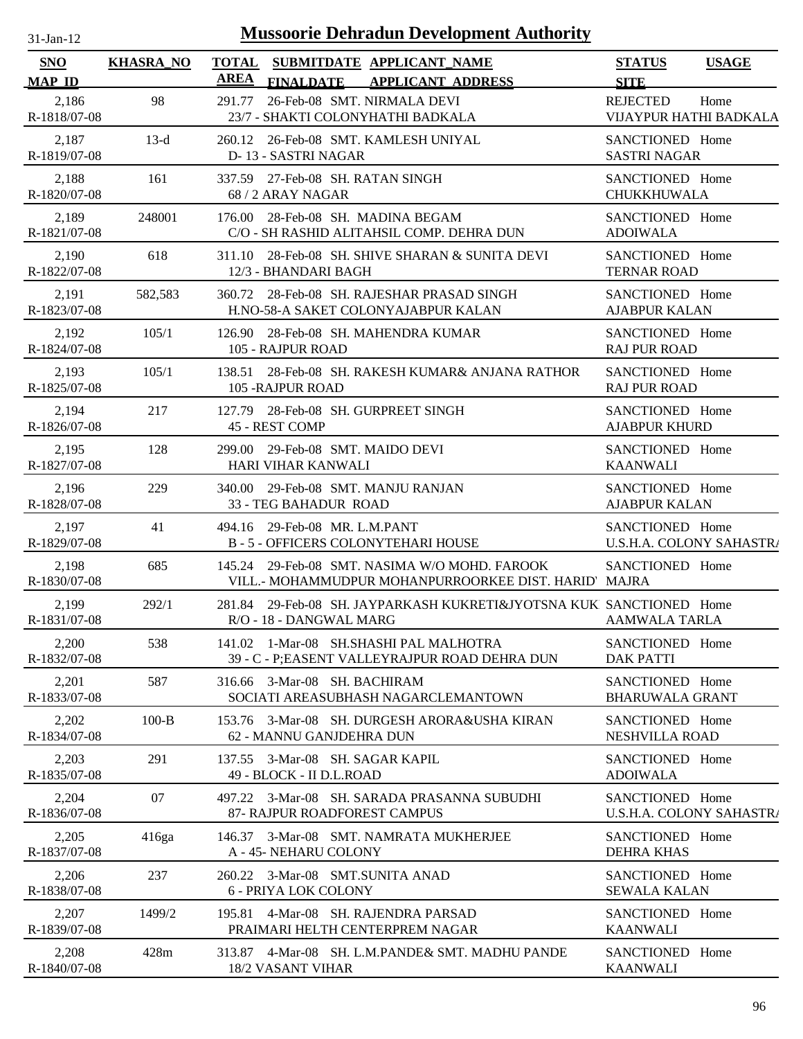| $31-Jan-12$                 |                  | <b>Mussoorie Dehradun Development Authority</b>                                                       |                                             |              |
|-----------------------------|------------------|-------------------------------------------------------------------------------------------------------|---------------------------------------------|--------------|
| <b>SNO</b><br><b>MAP ID</b> | <b>KHASRA_NO</b> | TOTAL SUBMITDATE APPLICANT NAME<br><b>AREA</b><br><b>APPLICANT ADDRESS</b><br><b>FINALDATE</b>        | <b>STATUS</b><br><b>SITE</b>                | <b>USAGE</b> |
| 2,186<br>R-1818/07-08       | 98               | 26-Feb-08 SMT. NIRMALA DEVI<br>291.77<br>23/7 - SHAKTI COLONYHATHI BADKALA                            | <b>REJECTED</b><br>VIJAYPUR HATHI BADKALA   | Home         |
| 2,187<br>R-1819/07-08       | $13-d$           | 260.12 26-Feb-08 SMT. KAMLESH UNIYAL<br>D-13 - SASTRI NAGAR                                           | SANCTIONED Home<br><b>SASTRI NAGAR</b>      |              |
| 2,188<br>R-1820/07-08       | 161              | 337.59 27-Feb-08 SH. RATAN SINGH<br>68 / 2 ARAY NAGAR                                                 | SANCTIONED Home<br>CHUKKHUWALA              |              |
| 2,189<br>R-1821/07-08       | 248001           | 176.00 28-Feb-08 SH. MADINA BEGAM<br>C/O - SH RASHID ALITAHSIL COMP. DEHRA DUN                        | SANCTIONED Home<br><b>ADOIWALA</b>          |              |
| 2,190<br>R-1822/07-08       | 618              | 311.10 28-Feb-08 SH. SHIVE SHARAN & SUNITA DEVI<br>12/3 - BHANDARI BAGH                               | SANCTIONED Home<br><b>TERNAR ROAD</b>       |              |
| 2,191<br>R-1823/07-08       | 582,583          | 360.72 28-Feb-08 SH. RAJESHAR PRASAD SINGH<br>H.NO-58-A SAKET COLONYAJABPUR KALAN                     | SANCTIONED Home<br><b>AJABPUR KALAN</b>     |              |
| 2,192<br>R-1824/07-08       | 105/1            | 126.90 28-Feb-08 SH, MAHENDRA KUMAR<br>105 - RAJPUR ROAD                                              | SANCTIONED Home<br><b>RAJ PUR ROAD</b>      |              |
| 2,193<br>R-1825/07-08       | 105/1            | 138.51 28-Feb-08 SH. RAKESH KUMAR& ANJANA RATHOR<br>105 - RAJPUR ROAD                                 | SANCTIONED Home<br><b>RAJ PUR ROAD</b>      |              |
| 2,194<br>R-1826/07-08       | 217              | 127.79 28-Feb-08 SH. GURPREET SINGH<br>45 - REST COMP                                                 | SANCTIONED Home<br><b>AJABPUR KHURD</b>     |              |
| 2,195<br>R-1827/07-08       | 128              | 299.00 29-Feb-08 SMT. MAIDO DEVI<br>HARI VIHAR KANWALI                                                | SANCTIONED Home<br><b>KAANWALI</b>          |              |
| 2,196<br>R-1828/07-08       | 229              | 340.00 29-Feb-08 SMT. MANJU RANJAN<br>33 - TEG BAHADUR ROAD                                           | SANCTIONED Home<br><b>AJABPUR KALAN</b>     |              |
| 2,197<br>R-1829/07-08       | 41               | 494.16 29-Feb-08 MR. L.M.PANT<br><b>B-5-OFFICERS COLONYTEHARI HOUSE</b>                               | SANCTIONED Home<br>U.S.H.A. COLONY SAHASTRA |              |
| 2,198<br>R-1830/07-08       | 685              | 145.24 29-Feb-08 SMT, NASIMA W/O MOHD, FAROOK<br>VILL.- MOHAMMUDPUR MOHANPURROORKEE DIST. HARID MAJRA | SANCTIONED Home                             |              |
| 2,199<br>R-1831/07-08       | 292/1            | 281.84 29-Feb-08 SH. JAYPARKASH KUKRETI&JYOTSNA KUK SANCTIONED Home<br>R/O - 18 - DANGWAL MARG        | <b>AAMWALA TARLA</b>                        |              |
| 2,200<br>R-1832/07-08       | 538              | 141.02 1-Mar-08 SH.SHASHI PAL MALHOTRA<br>39 - C - P;EASENT VALLEYRAJPUR ROAD DEHRA DUN               | SANCTIONED Home<br><b>DAK PATTI</b>         |              |
| 2,201<br>R-1833/07-08       | 587              | 316.66 3-Mar-08 SH. BACHIRAM<br>SOCIATI AREASUBHASH NAGARCLEMANTOWN                                   | SANCTIONED Home<br><b>BHARUWALA GRANT</b>   |              |
| 2,202<br>R-1834/07-08       | $100-B$          | 153.76 3-Mar-08 SH. DURGESH ARORA&USHA KIRAN<br>62 - MANNU GANJDEHRA DUN                              | SANCTIONED Home<br>NESHVILLA ROAD           |              |
| 2,203<br>R-1835/07-08       | 291              | 137.55 3-Mar-08 SH. SAGAR KAPIL<br>49 - BLOCK - II D.L.ROAD                                           | SANCTIONED Home<br><b>ADOIWALA</b>          |              |
| 2,204<br>R-1836/07-08       | 07               | 497.22 3-Mar-08 SH. SARADA PRASANNA SUBUDHI<br>87- RAJPUR ROADFOREST CAMPUS                           | SANCTIONED Home<br>U.S.H.A. COLONY SAHASTR/ |              |
| 2,205<br>R-1837/07-08       | 416ga            | 146.37 3-Mar-08 SMT. NAMRATA MUKHERJEE<br>A - 45- NEHARU COLONY                                       | SANCTIONED Home<br><b>DEHRA KHAS</b>        |              |
| 2,206<br>R-1838/07-08       | 237              | 260.22 3-Mar-08 SMT.SUNITA ANAD<br>6 - PRIYA LOK COLONY                                               | SANCTIONED Home<br><b>SEWALA KALAN</b>      |              |
| 2,207<br>R-1839/07-08       | 1499/2           | 195.81 4-Mar-08 SH. RAJENDRA PARSAD<br>PRAIMARI HELTH CENTERPREM NAGAR                                | SANCTIONED Home<br><b>KAANWALI</b>          |              |
| 2,208<br>R-1840/07-08       | 428m             | 313.87 4-Mar-08 SH. L.M.PANDE& SMT. MADHU PANDE<br>18/2 VASANT VIHAR                                  | SANCTIONED Home<br><b>KAANWALI</b>          |              |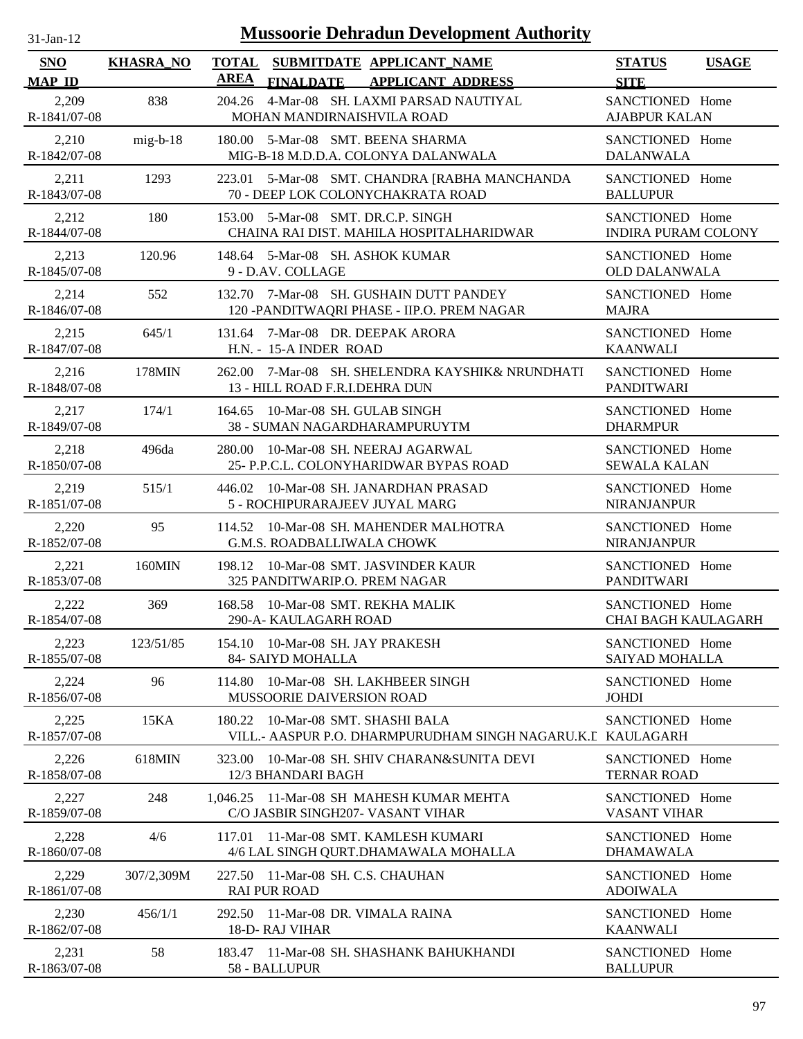| $31$ -Jan-12 |  |
|--------------|--|
|              |  |

| <b>SNO</b><br><b>MAP ID</b> | <b>KHASRA NO</b> | <b>AREA</b> | TOTAL SUBMITDATE APPLICANT NAME<br><b>APPLICANT ADDRESS</b><br><b>FINALDATE</b>           | <b>STATUS</b><br><b>USAGE</b><br><b>SITE</b>  |
|-----------------------------|------------------|-------------|-------------------------------------------------------------------------------------------|-----------------------------------------------|
| 2,209<br>R-1841/07-08       | 838              | 204.26      | 4-Mar-08 SH. LAXMI PARSAD NAUTIYAL<br>MOHAN MANDIRNAISHVILA ROAD                          | SANCTIONED Home<br><b>AJABPUR KALAN</b>       |
| 2,210<br>R-1842/07-08       | $mig-b-18$       |             | 180.00 5-Mar-08 SMT. BEENA SHARMA<br>MIG-B-18 M.D.D.A. COLONYA DALANWALA                  | SANCTIONED Home<br><b>DALANWALA</b>           |
| 2,211<br>R-1843/07-08       | 1293             | 223.01      | 5-Mar-08 SMT. CHANDRA [RABHA MANCHANDA<br>70 - DEEP LOK COLONYCHAKRATA ROAD               | SANCTIONED Home<br><b>BALLUPUR</b>            |
| 2,212<br>R-1844/07-08       | 180              |             | 153.00 5-Mar-08 SMT. DR.C.P. SINGH<br>CHAINA RAI DIST. MAHILA HOSPITALHARIDWAR            | SANCTIONED Home<br><b>INDIRA PURAM COLONY</b> |
| 2,213<br>R-1845/07-08       | 120.96           |             | 148.64 5-Mar-08 SH. ASHOK KUMAR<br>9 - D.AV. COLLAGE                                      | SANCTIONED Home<br><b>OLD DALANWALA</b>       |
| 2,214<br>R-1846/07-08       | 552              |             | 132.70 7-Mar-08 SH. GUSHAIN DUTT PANDEY<br>120 -PANDITWAQRI PHASE - IIP.O. PREM NAGAR     | SANCTIONED Home<br><b>MAJRA</b>               |
| 2,215<br>R-1847/07-08       | 645/1            | 131.64      | 7-Mar-08 DR. DEEPAK ARORA<br>H.N. - 15-A INDER ROAD                                       | SANCTIONED Home<br><b>KAANWALI</b>            |
| 2,216<br>R-1848/07-08       | 178MIN           |             | 262.00 7-Mar-08 SH. SHELENDRA KAYSHIK& NRUNDHATI<br>13 - HILL ROAD F.R.I.DEHRA DUN        | SANCTIONED Home<br><b>PANDITWARI</b>          |
| 2,217<br>R-1849/07-08       | 174/1            |             | 164.65 10-Mar-08 SH, GULAB SINGH<br>38 - SUMAN NAGARDHARAMPURUYTM                         | SANCTIONED Home<br><b>DHARMPUR</b>            |
| 2,218<br>R-1850/07-08       | 496da            | 280.00      | 10-Mar-08 SH. NEERAJ AGARWAL<br>25- P.P.C.L. COLONYHARIDWAR BYPAS ROAD                    | SANCTIONED Home<br><b>SEWALA KALAN</b>        |
| 2,219<br>R-1851/07-08       | 515/1            |             | 446.02 10-Mar-08 SH. JANARDHAN PRASAD<br>5 - ROCHIPURARAJEEV JUYAL MARG                   | SANCTIONED Home<br>NIRANJANPUR                |
| 2,220<br>R-1852/07-08       | 95               | 114.52      | 10-Mar-08 SH. MAHENDER MALHOTRA<br><b>G.M.S. ROADBALLIWALA CHOWK</b>                      | SANCTIONED Home<br>NIRANJANPUR                |
| 2,221<br>R-1853/07-08       | 160MIN           | 198.12      | 10-Mar-08 SMT. JASVINDER KAUR<br>325 PANDITWARIP.O. PREM NAGAR                            | SANCTIONED Home<br><b>PANDITWARI</b>          |
| 2,222<br>R-1854/07-08       | 369              | 168.58      | 10-Mar-08 SMT. REKHA MALIK<br>290-A- KAULAGARH ROAD                                       | SANCTIONED Home<br><b>CHAI BAGH KAULAGARH</b> |
| 2,223<br>R-1855/07-08       | 123/51/85        |             | 154.10 10-Mar-08 SH. JAY PRAKESH<br>84- SAIYD MOHALLA                                     | SANCTIONED Home<br>SAIYAD MOHALLA             |
| 2,224<br>R-1856/07-08       | 96               | 114.80      | 10-Mar-08 SH. LAKHBEER SINGH<br>MUSSOORIE DAIVERSION ROAD                                 | SANCTIONED Home<br><b>JOHDI</b>               |
| 2,225<br>R-1857/07-08       | 15KA             | 180.22      | 10-Mar-08 SMT. SHASHI BALA<br>VILL.- AASPUR P.O. DHARMPURUDHAM SINGH NAGARU.K.L KAULAGARH | SANCTIONED Home                               |
| 2,226<br>R-1858/07-08       | 618MIN           | 323.00      | 10-Mar-08 SH. SHIV CHARAN&SUNITA DEVI<br>12/3 BHANDARI BAGH                               | SANCTIONED Home<br><b>TERNAR ROAD</b>         |
| 2,227<br>R-1859/07-08       | 248              |             | 1,046.25 11-Mar-08 SH MAHESH KUMAR MEHTA<br>C/O JASBIR SINGH207- VASANT VIHAR             | SANCTIONED Home<br><b>VASANT VIHAR</b>        |
| 2,228<br>R-1860/07-08       | 4/6              | 117.01      | 11-Mar-08 SMT. KAMLESH KUMARI<br>4/6 LAL SINGH QURT.DHAMAWALA MOHALLA                     | SANCTIONED Home<br><b>DHAMAWALA</b>           |
| 2,229<br>R-1861/07-08       | 307/2,309M       |             | 227.50 11-Mar-08 SH, C.S. CHAUHAN<br><b>RAI PUR ROAD</b>                                  | SANCTIONED Home<br><b>ADOIWALA</b>            |
| 2,230<br>R-1862/07-08       | 456/1/1          | 292.50      | 11-Mar-08 DR. VIMALA RAINA<br>18-D-RAJ VIHAR                                              | SANCTIONED Home<br><b>KAANWALI</b>            |
| 2,231<br>R-1863/07-08       | 58               |             | 183.47 11-Mar-08 SH, SHASHANK BAHUKHANDI<br>58 - BALLUPUR                                 | SANCTIONED Home<br><b>BALLUPUR</b>            |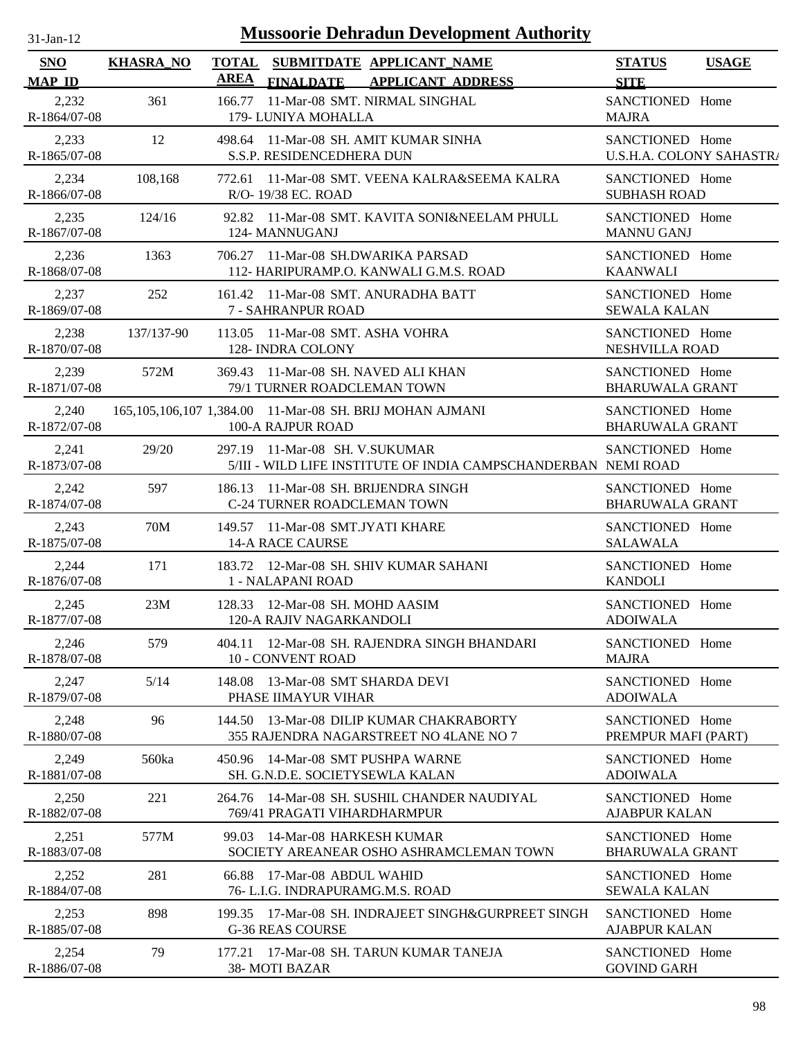| $31$ -Jan-12                |                  |             | <b>Mussoorie Dehradun Development Authority</b>                                                  |                                             |              |
|-----------------------------|------------------|-------------|--------------------------------------------------------------------------------------------------|---------------------------------------------|--------------|
| <b>SNO</b><br><b>MAP ID</b> | <b>KHASRA_NO</b> | <b>AREA</b> | TOTAL SUBMITDATE APPLICANT_NAME<br><b>APPLICANT ADDRESS</b><br><b>FINALDATE</b>                  | <b>STATUS</b><br><b>SITE</b>                | <b>USAGE</b> |
| 2,232<br>R-1864/07-08       | 361              | 166.77      | 11-Mar-08 SMT. NIRMAL SINGHAL<br>179- LUNIYA MOHALLA                                             | SANCTIONED Home<br><b>MAJRA</b>             |              |
| 2,233<br>R-1865/07-08       | 12               |             | 498.64 11-Mar-08 SH. AMIT KUMAR SINHA<br>S.S.P. RESIDENCEDHERA DUN                               | SANCTIONED Home<br>U.S.H.A. COLONY SAHASTR/ |              |
| 2,234<br>R-1866/07-08       | 108,168          |             | 772.61 11-Mar-08 SMT. VEENA KALRA&SEEMA KALRA<br>R/O-19/38 EC. ROAD                              | SANCTIONED Home<br><b>SUBHASH ROAD</b>      |              |
| 2,235<br>R-1867/07-08       | 124/16           |             | 92.82 11-Mar-08 SMT. KAVITA SONI&NEELAM PHULL<br>124- MANNUGANJ                                  | SANCTIONED Home<br><b>MANNU GANJ</b>        |              |
| 2,236<br>R-1868/07-08       | 1363             |             | 706.27 11-Mar-08 SH.DWARIKA PARSAD<br>112- HARIPURAMP.O. KANWALI G.M.S. ROAD                     | SANCTIONED Home<br><b>KAANWALI</b>          |              |
| 2,237<br>R-1869/07-08       | 252              |             | 161.42 11-Mar-08 SMT. ANURADHA BATT<br>7 - SAHRANPUR ROAD                                        | SANCTIONED Home<br><b>SEWALA KALAN</b>      |              |
| 2,238<br>R-1870/07-08       | 137/137-90       |             | 113.05 11-Mar-08 SMT. ASHA VOHRA<br>128- INDRA COLONY                                            | SANCTIONED Home<br>NESHVILLA ROAD           |              |
| 2,239<br>R-1871/07-08       | 572M             |             | 369.43 11-Mar-08 SH, NAVED ALI KHAN<br>79/1 TURNER ROADCLEMAN TOWN                               | SANCTIONED Home<br><b>BHARUWALA GRANT</b>   |              |
| 2,240<br>R-1872/07-08       |                  |             | 165,105,106,107 1,384.00 11-Mar-08 SH. BRIJ MOHAN AJMANI<br>100-A RAJPUR ROAD                    | SANCTIONED Home<br><b>BHARUWALA GRANT</b>   |              |
| 2,241<br>R-1873/07-08       | 29/20            |             | 297.19 11-Mar-08 SH. V.SUKUMAR<br>5/III - WILD LIFE INSTITUTE OF INDIA CAMPSCHANDERBAN NEMI ROAD | SANCTIONED Home                             |              |
| 2,242<br>R-1874/07-08       | 597              |             | 186.13 11-Mar-08 SH. BRIJENDRA SINGH<br>C-24 TURNER ROADCLEMAN TOWN                              | SANCTIONED Home<br><b>BHARUWALA GRANT</b>   |              |
| 2,243<br>R-1875/07-08       | 70M              |             | 149.57 11-Mar-08 SMT.JYATI KHARE<br><b>14-A RACE CAURSE</b>                                      | SANCTIONED Home<br><b>SALAWALA</b>          |              |
| 2,244<br>R-1876/07-08       | 171              |             | 183.72 12-Mar-08 SH. SHIV KUMAR SAHANI<br>1 - NALAPANI ROAD                                      | SANCTIONED Home<br><b>KANDOLI</b>           |              |
| 2,245<br>R-1877/07-08       | 23M              |             | 128.33 12-Mar-08 SH. MOHD AASIM<br>120-A RAJIV NAGARKANDOLI                                      | SANCTIONED Home<br><b>ADOIWALA</b>          |              |
| 2,246<br>R-1878/07-08       | 579              |             | 404.11 12-Mar-08 SH, RAJENDRA SINGH BHANDARI<br>10 - CONVENT ROAD                                | SANCTIONED Home<br><b>MAJRA</b>             |              |
| 2,247<br>R-1879/07-08       | 5/14             | 148.08      | 13-Mar-08 SMT SHARDA DEVI<br>PHASE IIMAYUR VIHAR                                                 | SANCTIONED Home<br><b>ADOIWALA</b>          |              |
| 2,248<br>R-1880/07-08       | 96               |             | 144.50 13-Mar-08 DILIP KUMAR CHAKRABORTY<br>355 RAJENDRA NAGARSTREET NO 4LANE NO 7               | SANCTIONED Home<br>PREMPUR MAFI (PART)      |              |
| 2,249<br>R-1881/07-08       | 560ka            |             | 450.96 14-Mar-08 SMT PUSHPA WARNE<br>SH. G.N.D.E. SOCIETYSEWLA KALAN                             | SANCTIONED Home<br><b>ADOIWALA</b>          |              |
| 2,250<br>R-1882/07-08       | 221              |             | 264.76 14-Mar-08 SH. SUSHIL CHANDER NAUDIYAL<br>769/41 PRAGATI VIHARDHARMPUR                     | SANCTIONED Home<br><b>AJABPUR KALAN</b>     |              |
| 2,251<br>R-1883/07-08       | 577M             |             | 99.03 14-Mar-08 HARKESH KUMAR<br>SOCIETY AREANEAR OSHO ASHRAMCLEMAN TOWN                         | SANCTIONED Home<br><b>BHARUWALA GRANT</b>   |              |
| 2,252<br>R-1884/07-08       | 281              |             | 66.88 17-Mar-08 ABDUL WAHID<br>76- L.I.G. INDRAPURAMG.M.S. ROAD                                  | SANCTIONED Home<br><b>SEWALA KALAN</b>      |              |
| 2,253<br>R-1885/07-08       | 898              |             | 199.35 17-Mar-08 SH. INDRAJEET SINGH&GURPREET SINGH<br><b>G-36 REAS COURSE</b>                   | SANCTIONED Home<br><b>AJABPUR KALAN</b>     |              |
| 2,254<br>R-1886/07-08       | 79               |             | 177.21 17-Mar-08 SH. TARUN KUMAR TANEJA<br>38- MOTI BAZAR                                        | SANCTIONED Home<br><b>GOVIND GARH</b>       |              |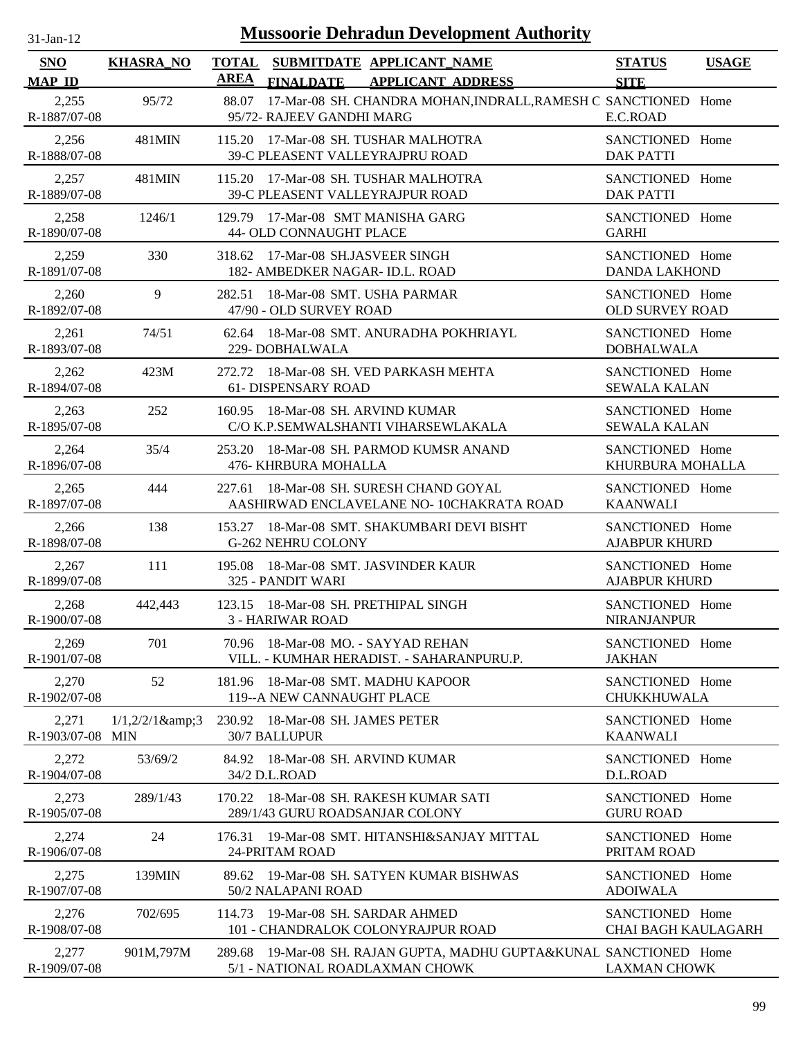| $31$ -Jan-12 |  |
|--------------|--|
|              |  |

| <b>SNO</b>                | <b>KHASRA_NO</b> | <b>AREA</b> | TOTAL SUBMITDATE APPLICANT NAME                                                                        | <b>STATUS</b>                                 | <b>USAGE</b> |
|---------------------------|------------------|-------------|--------------------------------------------------------------------------------------------------------|-----------------------------------------------|--------------|
| <b>MAP ID</b>             |                  |             | <b>APPLICANT ADDRESS</b><br><b>FINALDATE</b>                                                           | <b>SITE</b>                                   |              |
| 2,255<br>R-1887/07-08     | 95/72            | 88.07       | 17-Mar-08 SH. CHANDRA MOHAN, INDRALL, RAMESH C SANCTIONED Home<br>95/72- RAJEEV GANDHI MARG            | E.C.ROAD                                      |              |
| 2,256<br>R-1888/07-08     | 481MIN           |             | 115.20 17-Mar-08 SH. TUSHAR MALHOTRA<br>39-C PLEASENT VALLEYRAJPRU ROAD                                | SANCTIONED Home<br><b>DAK PATTI</b>           |              |
| 2,257<br>R-1889/07-08     | 481MIN           |             | 115.20 17-Mar-08 SH. TUSHAR MALHOTRA<br>39-C PLEASENT VALLEYRAJPUR ROAD                                | SANCTIONED Home<br><b>DAK PATTI</b>           |              |
| 2,258<br>R-1890/07-08     | 1246/1           |             | 129.79 17-Mar-08 SMT MANISHA GARG<br>44- OLD CONNAUGHT PLACE                                           | SANCTIONED Home<br><b>GARHI</b>               |              |
| 2,259<br>R-1891/07-08     | 330              |             | 318.62 17-Mar-08 SH.JASVEER SINGH<br>182- AMBEDKER NAGAR- ID.L. ROAD                                   | SANCTIONED Home<br><b>DANDA LAKHOND</b>       |              |
| 2,260<br>R-1892/07-08     | 9                |             | 282.51 18-Mar-08 SMT. USHA PARMAR<br>47/90 - OLD SURVEY ROAD                                           | SANCTIONED Home<br><b>OLD SURVEY ROAD</b>     |              |
| 2,261<br>R-1893/07-08     | 74/51            |             | 62.64 18-Mar-08 SMT. ANURADHA POKHRIAYL<br>229-DOBHALWALA                                              | SANCTIONED Home<br><b>DOBHALWALA</b>          |              |
| 2,262<br>R-1894/07-08     | 423M             |             | 272.72 18-Mar-08 SH. VED PARKASH MEHTA<br>61- DISPENSARY ROAD                                          | SANCTIONED Home<br><b>SEWALA KALAN</b>        |              |
| 2,263<br>R-1895/07-08     | 252              |             | 160.95 18-Mar-08 SH. ARVIND KUMAR<br>C/O K.P.SEMWALSHANTI VIHARSEWLAKALA                               | SANCTIONED Home<br><b>SEWALA KALAN</b>        |              |
| 2,264<br>R-1896/07-08     | 35/4             |             | 253.20 18-Mar-08 SH. PARMOD KUMSR ANAND<br>476- KHRBURA MOHALLA                                        | SANCTIONED Home<br>KHURBURA MOHALLA           |              |
| 2,265<br>R-1897/07-08     | 444              | 227.61      | 18-Mar-08 SH. SURESH CHAND GOYAL<br>AASHIRWAD ENCLAVELANE NO- 10CHAKRATA ROAD                          | SANCTIONED Home<br><b>KAANWALI</b>            |              |
| 2,266<br>R-1898/07-08     | 138              |             | 153.27 18-Mar-08 SMT. SHAKUMBARI DEVI BISHT<br><b>G-262 NEHRU COLONY</b>                               | SANCTIONED Home<br><b>AJABPUR KHURD</b>       |              |
| 2,267<br>R-1899/07-08     | 111              |             | 195.08 18-Mar-08 SMT. JASVINDER KAUR<br>325 - PANDIT WARI                                              | SANCTIONED Home<br><b>AJABPUR KHURD</b>       |              |
| 2,268<br>R-1900/07-08     | 442,443          |             | 123.15 18-Mar-08 SH. PRETHIPAL SINGH<br>3 - HARIWAR ROAD                                               | SANCTIONED Home<br><b>NIRANJANPUR</b>         |              |
| 2,269<br>R-1901/07-08     | 701              |             | 70.96 18-Mar-08 MO. - SAYYAD REHAN<br>VILL. - KUMHAR HERADIST. - SAHARANPURU.P.                        | SANCTIONED Home<br><b>JAKHAN</b>              |              |
| 2,270<br>R-1902/07-08     | 52               |             | 181.96 18-Mar-08 SMT. MADHU KAPOOR<br>119--A NEW CANNAUGHT PLACE                                       | SANCTIONED Home<br>CHUKKHUWALA                |              |
| 2,271<br>R-1903/07-08 MIN | $1/1,2/2/1$ &3   |             | 230.92 18-Mar-08 SH. JAMES PETER<br><b>30/7 BALLUPUR</b>                                               | SANCTIONED Home<br><b>KAANWALI</b>            |              |
| 2,272<br>R-1904/07-08     | 53/69/2          |             | 84.92 18-Mar-08 SH. ARVIND KUMAR<br>34/2 D.L.ROAD                                                      | SANCTIONED Home<br>D.L.ROAD                   |              |
| 2,273<br>R-1905/07-08     | 289/1/43         | 170.22      | 18-Mar-08 SH. RAKESH KUMAR SATI<br>289/1/43 GURU ROADSANJAR COLONY                                     | SANCTIONED Home<br><b>GURU ROAD</b>           |              |
| 2,274<br>R-1906/07-08     | 24               | 176.31      | 19-Mar-08 SMT. HITANSHI&SANJAY MITTAL<br>24-PRITAM ROAD                                                | SANCTIONED Home<br>PRITAM ROAD                |              |
| 2,275<br>R-1907/07-08     | 139MIN           | 89.62       | 19-Mar-08 SH. SATYEN KUMAR BISHWAS<br>50/2 NALAPANI ROAD                                               | SANCTIONED Home<br><b>ADOIWALA</b>            |              |
| 2,276<br>R-1908/07-08     | 702/695          | 114.73      | 19-Mar-08 SH. SARDAR AHMED<br>101 - CHANDRALOK COLONYRAJPUR ROAD                                       | SANCTIONED Home<br><b>CHAI BAGH KAULAGARH</b> |              |
| 2,277<br>R-1909/07-08     | 901M,797M        |             | 289.68 19-Mar-08 SH. RAJAN GUPTA, MADHU GUPTA&KUNAL SANCTIONED Home<br>5/1 - NATIONAL ROADLAXMAN CHOWK | <b>LAXMAN CHOWK</b>                           |              |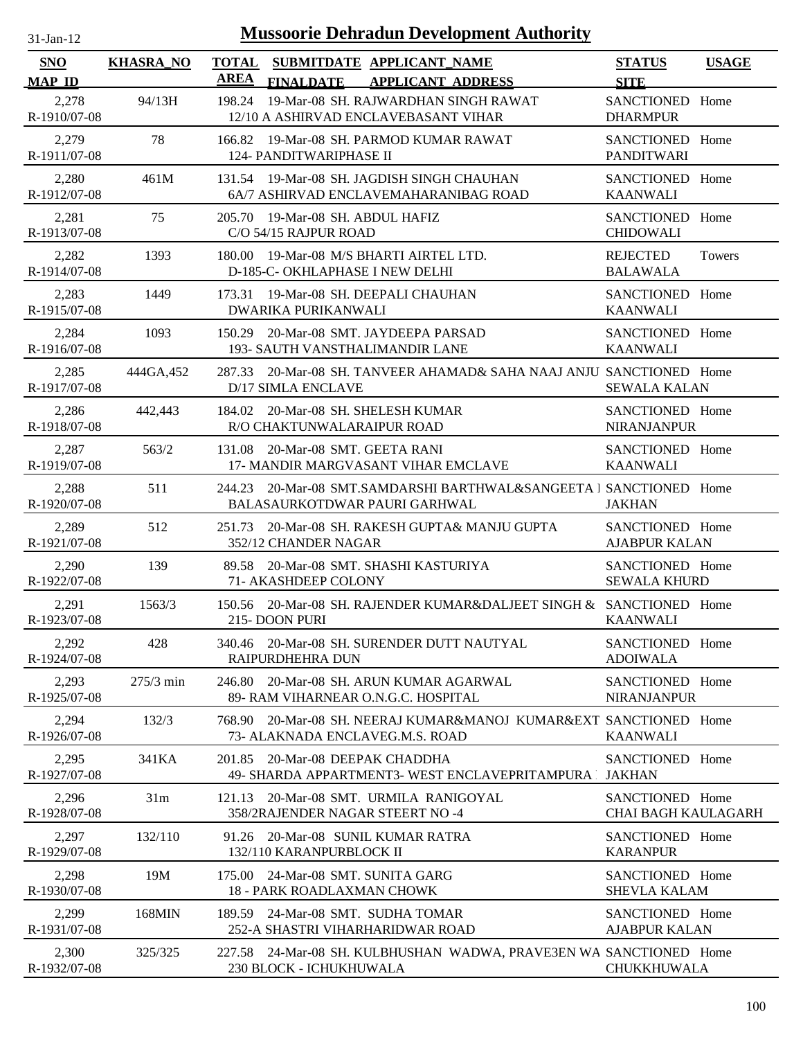| <b>Mussoorie Dehradun Development Authority</b><br>$31$ -Jan-12 |                  |                                                                                                          |                                               |               |  |  |
|-----------------------------------------------------------------|------------------|----------------------------------------------------------------------------------------------------------|-----------------------------------------------|---------------|--|--|
| <b>SNO</b><br><b>MAP ID</b>                                     | <b>KHASRA_NO</b> | <b>TOTAL</b><br>SUBMITDATE APPLICANT_NAME<br><b>AREA</b><br><b>FINALDATE</b><br><b>APPLICANT ADDRESS</b> | <b>STATUS</b><br><b>SITE</b>                  | <b>USAGE</b>  |  |  |
| 2,278<br>R-1910/07-08                                           | 94/13H           | 198.24<br>19-Mar-08 SH. RAJWARDHAN SINGH RAWAT<br>12/10 A ASHIRVAD ENCLAVEBASANT VIHAR                   | SANCTIONED Home<br><b>DHARMPUR</b>            |               |  |  |
| 2,279<br>R-1911/07-08                                           | 78               | 166.82 19-Mar-08 SH. PARMOD KUMAR RAWAT<br><b>124- PANDITWARIPHASE II</b>                                | SANCTIONED Home<br><b>PANDITWARI</b>          |               |  |  |
| 2,280<br>R-1912/07-08                                           | 461M             | 131.54 19-Mar-08 SH. JAGDISH SINGH CHAUHAN<br>6A/7 ASHIRVAD ENCLAVEMAHARANIBAG ROAD                      | SANCTIONED Home<br><b>KAANWALI</b>            |               |  |  |
| 2,281<br>R-1913/07-08                                           | 75               | 19-Mar-08 SH. ABDUL HAFIZ<br>205.70<br>C/O 54/15 RAJPUR ROAD                                             | SANCTIONED Home<br><b>CHIDOWALI</b>           |               |  |  |
| 2,282<br>R-1914/07-08                                           | 1393             | 19-Mar-08 M/S BHARTI AIRTEL LTD.<br>180.00<br>D-185-C- OKHLAPHASE I NEW DELHI                            | <b>REJECTED</b><br><b>BALAWALA</b>            | <b>Towers</b> |  |  |
| 2,283<br>R-1915/07-08                                           | 1449             | 19-Mar-08 SH. DEEPALI CHAUHAN<br>173.31<br>DWARIKA PURIKANWALI                                           | SANCTIONED Home<br><b>KAANWALI</b>            |               |  |  |
| 2,284<br>R-1916/07-08                                           | 1093             | 20-Mar-08 SMT. JAYDEEPA PARSAD<br>150.29<br>193- SAUTH VANSTHALIMANDIR LANE                              | SANCTIONED Home<br><b>KAANWALI</b>            |               |  |  |
| 2,285<br>R-1917/07-08                                           | 444GA, 452       | 20-Mar-08 SH. TANVEER AHAMAD& SAHA NAAJ ANJU SANCTIONED Home<br>287.33<br>D/17 SIMLA ENCLAVE             | <b>SEWALA KALAN</b>                           |               |  |  |
| 2,286<br>R-1918/07-08                                           | 442,443          | 184.02<br>20-Mar-08 SH. SHELESH KUMAR<br>R/O CHAKTUNWALARAIPUR ROAD                                      | SANCTIONED Home<br><b>NIRANJANPUR</b>         |               |  |  |
| 2,287<br>R-1919/07-08                                           | 563/2            | 20-Mar-08 SMT. GEETA RANI<br>131.08<br>17- MANDIR MARGVASANT VIHAR EMCLAVE                               | SANCTIONED Home<br><b>KAANWALI</b>            |               |  |  |
| 2,288<br>R-1920/07-08                                           | 511              | 20-Mar-08 SMT.SAMDARSHI BARTHWAL&SANGEETA 1 SANCTIONED Home<br>244.23<br>BALASAURKOTDWAR PAURI GARHWAL   | <b>JAKHAN</b>                                 |               |  |  |
| 2,289<br>R-1921/07-08                                           | 512              | 20-Mar-08 SH. RAKESH GUPTA& MANJU GUPTA<br>251.73<br>352/12 CHANDER NAGAR                                | SANCTIONED Home<br><b>AJABPUR KALAN</b>       |               |  |  |
| 2,290<br>R-1922/07-08                                           | 139              | 20-Mar-08 SMT. SHASHI KASTURIYA<br>89.58<br>71- AKASHDEEP COLONY                                         | SANCTIONED Home<br><b>SEWALA KHURD</b>        |               |  |  |
| 2,291<br>R-1923/07-08                                           | 1563/3           | 150.56 20-Mar-08 SH. RAJENDER KUMAR&DALJEET SINGH & SANCTIONED Home<br>215-DOON PURI                     | <b>KAANWALI</b>                               |               |  |  |
| 2,292<br>R-1924/07-08                                           | 428              | 340.46 20-Mar-08 SH. SURENDER DUTT NAUTYAL<br>RAIPURDHEHRA DUN                                           | SANCTIONED Home<br><b>ADOIWALA</b>            |               |  |  |
| 2,293<br>R-1925/07-08                                           | $275/3$ min      | 246.80<br>20-Mar-08 SH. ARUN KUMAR AGARWAL<br>89- RAM VIHARNEAR O.N.G.C. HOSPITAL                        | SANCTIONED Home<br><b>NIRANJANPUR</b>         |               |  |  |
| 2,294<br>R-1926/07-08                                           | 132/3            | 20-Mar-08 SH. NEERAJ KUMAR&MANOJ KUMAR&EXT SANCTIONED Home<br>768.90<br>73- ALAKNADA ENCLAVEG.M.S. ROAD  | <b>KAANWALI</b>                               |               |  |  |
| 2,295<br>R-1927/07-08                                           | 341KA            | 20-Mar-08 DEEPAK CHADDHA<br>201.85<br>49- SHARDA APPARTMENT3- WEST ENCLAVEPRITAMPURA                     | SANCTIONED Home<br><b>JAKHAN</b>              |               |  |  |
| 2,296<br>R-1928/07-08                                           | 31m              | 20-Mar-08 SMT. URMILA RANIGOYAL<br>121.13<br>358/2RAJENDER NAGAR STEERT NO -4                            | SANCTIONED Home<br><b>CHAI BAGH KAULAGARH</b> |               |  |  |
| 2,297<br>R-1929/07-08                                           | 132/110          | 20-Mar-08 SUNIL KUMAR RATRA<br>91.26<br>132/110 KARANPURBLOCK II                                         | SANCTIONED Home<br><b>KARANPUR</b>            |               |  |  |
| 2,298<br>R-1930/07-08                                           | 19M              | 24-Mar-08 SMT. SUNITA GARG<br>175.00<br><b>18 - PARK ROADLAXMAN CHOWK</b>                                | SANCTIONED Home<br><b>SHEVLA KALAM</b>        |               |  |  |
| 2,299<br>R-1931/07-08                                           | 168MIN           | 24-Mar-08 SMT. SUDHA TOMAR<br>189.59<br>252-A SHASTRI VIHARHARIDWAR ROAD                                 | SANCTIONED Home<br><b>AJABPUR KALAN</b>       |               |  |  |
| 2,300<br>R-1932/07-08                                           | 325/325          | 24-Mar-08 SH. KULBHUSHAN WADWA, PRAVE3EN WA SANCTIONED Home<br>227.58<br>230 BLOCK - ICHUKHUWALA         | CHUKKHUWALA                                   |               |  |  |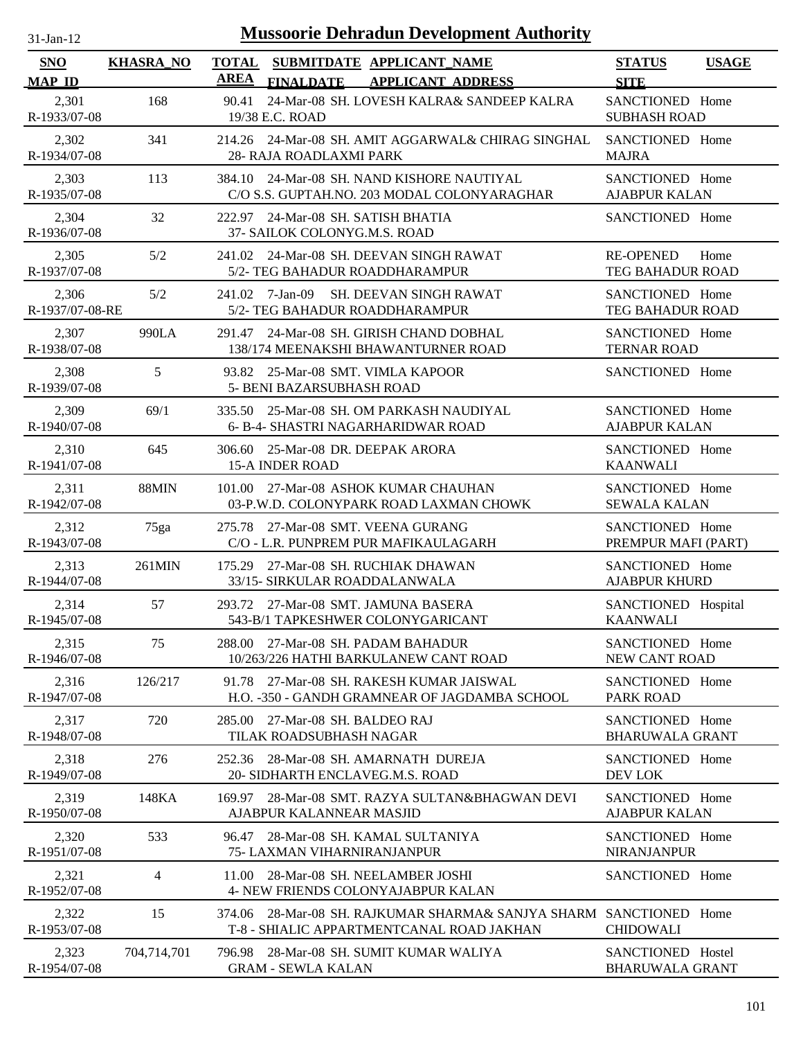| l-Jan-1 |  |
|---------|--|

| <b>SNO</b><br><b>MAP ID</b> | <b>KHASRA_NO</b> | <b>TOTAL</b><br><b>AREA</b> | <b>FINALDATE</b>                                    | SUBMITDATE APPLICANT NAME<br><b>APPLICANT ADDRESS</b>                                                           | <b>STATUS</b><br><b>SITE</b>                 | <b>USAGE</b> |
|-----------------------------|------------------|-----------------------------|-----------------------------------------------------|-----------------------------------------------------------------------------------------------------------------|----------------------------------------------|--------------|
| 2,301<br>R-1933/07-08       | 168              | 90.41                       | 19/38 E.C. ROAD                                     | 24-Mar-08 SH. LOVESH KALRA& SANDEEP KALRA                                                                       | SANCTIONED Home<br><b>SUBHASH ROAD</b>       |              |
| 2,302<br>R-1934/07-08       | 341              |                             | 28- RAJA ROADLAXMI PARK                             | 214.26 24-Mar-08 SH. AMIT AGGARWAL& CHIRAG SINGHAL                                                              | SANCTIONED Home<br><b>MAJRA</b>              |              |
| 2,303<br>R-1935/07-08       | 113              |                             |                                                     | 384.10 24-Mar-08 SH. NAND KISHORE NAUTIYAL<br>C/O S.S. GUPTAH.NO. 203 MODAL COLONYARAGHAR                       | SANCTIONED Home<br><b>AJABPUR KALAN</b>      |              |
| 2,304<br>R-1936/07-08       | 32               |                             | 37- SAILOK COLONYG.M.S. ROAD                        | 222.97 24-Mar-08 SH. SATISH BHATIA                                                                              | SANCTIONED Home                              |              |
| 2,305<br>R-1937/07-08       | 5/2              |                             |                                                     | 241.02 24-Mar-08 SH. DEEVAN SINGH RAWAT<br>5/2- TEG BAHADUR ROADDHARAMPUR                                       | <b>RE-OPENED</b><br>Home<br>TEG BAHADUR ROAD |              |
| 2,306<br>R-1937/07-08-RE    | 5/2              |                             | 241.02 7-Jan-09                                     | <b>SH. DEEVAN SINGH RAWAT</b><br>5/2- TEG BAHADUR ROADDHARAMPUR                                                 | SANCTIONED Home<br>TEG BAHADUR ROAD          |              |
| 2,307<br>R-1938/07-08       | 990LA            | 291.47                      |                                                     | 24-Mar-08 SH. GIRISH CHAND DOBHAL<br>138/174 MEENAKSHI BHAWANTURNER ROAD                                        | SANCTIONED Home<br><b>TERNAR ROAD</b>        |              |
| 2,308<br>R-1939/07-08       | 5                |                             | <b>5- BENI BAZARSUBHASH ROAD</b>                    | 93.82 25-Mar-08 SMT. VIMLA KAPOOR                                                                               | SANCTIONED Home                              |              |
| 2,309<br>R-1940/07-08       | 69/1             | 335.50                      |                                                     | 25-Mar-08 SH. OM PARKASH NAUDIYAL<br>6- B-4- SHASTRI NAGARHARIDWAR ROAD                                         | SANCTIONED Home<br><b>AJABPUR KALAN</b>      |              |
| 2,310<br>R-1941/07-08       | 645              |                             | <b>15-A INDER ROAD</b>                              | 306.60 25-Mar-08 DR. DEEPAK ARORA                                                                               | SANCTIONED Home<br><b>KAANWALI</b>           |              |
| 2,311<br>R-1942/07-08       | 88MIN            | 101.00                      |                                                     | 27-Mar-08 ASHOK KUMAR CHAUHAN<br>03-P.W.D. COLONYPARK ROAD LAXMAN CHOWK                                         | SANCTIONED Home<br><b>SEWALA KALAN</b>       |              |
| 2,312<br>R-1943/07-08       | 75ga             |                             |                                                     | 275.78 27-Mar-08 SMT. VEENA GURANG<br>C/O - L.R. PUNPREM PUR MAFIKAULAGARH                                      | SANCTIONED Home<br>PREMPUR MAFI (PART)       |              |
| 2,313<br>R-1944/07-08       | 261MIN           | 175.29                      |                                                     | 27-Mar-08 SH, RUCHIAK DHAWAN<br>33/15- SIRKULAR ROADDALANWALA                                                   | SANCTIONED Home<br><b>AJABPUR KHURD</b>      |              |
| 2,314<br>R-1945/07-08       | 57               |                             |                                                     | 293.72 27-Mar-08 SMT. JAMUNA BASERA<br>543-B/1 TAPKESHWER COLONYGARICANT                                        | SANCTIONED Hospital<br><b>KAANWALI</b>       |              |
| 2,315<br>R-1946/07-08       | 75               |                             |                                                     | 288.00 27-Mar-08 SH. PADAM BAHADUR<br>10/263/226 HATHI BARKULANEW CANT ROAD                                     | SANCTIONED Home<br>NEW CANT ROAD             |              |
| 2,316<br>R-1947/07-08       | 126/217          |                             |                                                     | 91.78 27-Mar-08 SH, RAKESH KUMAR JAISWAL<br>H.O. -350 - GANDH GRAMNEAR OF JAGDAMBA SCHOOL                       | SANCTIONED Home<br>PARK ROAD                 |              |
| 2,317<br>R-1948/07-08       | 720              | 285.00                      | 27-Mar-08 SH. BALDEO RAJ<br>TILAK ROADSUBHASH NAGAR |                                                                                                                 | SANCTIONED Home<br><b>BHARUWALA GRANT</b>    |              |
| 2,318<br>R-1949/07-08       | 276              | 252.36                      |                                                     | 28-Mar-08 SH. AMARNATH DUREJA<br>20- SIDHARTH ENCLAVEG.M.S. ROAD                                                | SANCTIONED Home<br>DEV LOK                   |              |
| 2,319<br>R-1950/07-08       | 148KA            | 169.97                      | AJABPUR KALANNEAR MASJID                            | 28-Mar-08 SMT. RAZYA SULTAN&BHAGWAN DEVI                                                                        | SANCTIONED Home<br><b>AJABPUR KALAN</b>      |              |
| 2,320<br>R-1951/07-08       | 533              | 96.47                       | 75- LAXMAN VIHARNIRANJANPUR                         | 28-Mar-08 SH. KAMAL SULTANIYA                                                                                   | SANCTIONED Home<br><b>NIRANJANPUR</b>        |              |
| 2,321<br>R-1952/07-08       | 4                | 11.00                       |                                                     | 28-Mar-08 SH. NEELAMBER JOSHI<br><b>4- NEW FRIENDS COLONYAJABPUR KALAN</b>                                      | SANCTIONED Home                              |              |
| 2,322<br>R-1953/07-08       | 15               |                             |                                                     | 374.06 28-Mar-08 SH. RAJKUMAR SHARMA& SANJYA SHARM SANCTIONED Home<br>T-8 - SHIALIC APPARTMENTCANAL ROAD JAKHAN | <b>CHIDOWALI</b>                             |              |
| 2,323<br>R-1954/07-08       | 704,714,701      |                             | <b>GRAM - SEWLA KALAN</b>                           | 796.98 28-Mar-08 SH. SUMIT KUMAR WALIYA                                                                         | SANCTIONED Hostel<br><b>BHARUWALA GRANT</b>  |              |